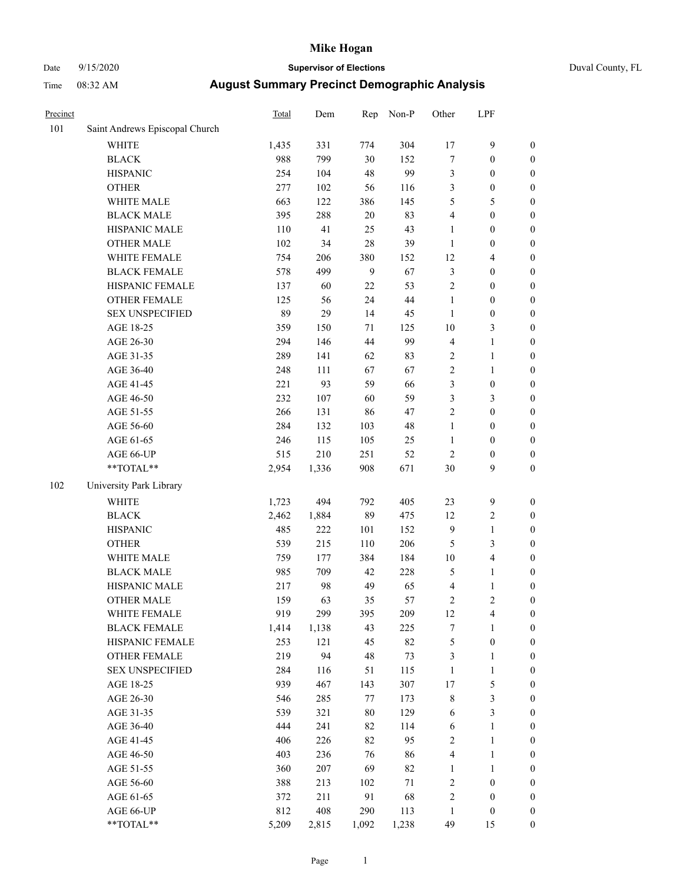# Date 9/15/2020 **Supervisor of Elections** Duval County, FL

| Precinct |                                | <b>Total</b> | Dem   | Rep          | Non-P | Other          | LPF              |                  |
|----------|--------------------------------|--------------|-------|--------------|-------|----------------|------------------|------------------|
| 101      | Saint Andrews Episcopal Church |              |       |              |       |                |                  |                  |
|          | <b>WHITE</b>                   | 1,435        | 331   | 774          | 304   | 17             | $\boldsymbol{9}$ | 0                |
|          | <b>BLACK</b>                   | 988          | 799   | 30           | 152   | 7              | $\boldsymbol{0}$ | $\boldsymbol{0}$ |
|          | <b>HISPANIC</b>                | 254          | 104   | 48           | 99    | 3              | $\boldsymbol{0}$ | $\boldsymbol{0}$ |
|          | <b>OTHER</b>                   | 277          | 102   | 56           | 116   | 3              | $\boldsymbol{0}$ | $\boldsymbol{0}$ |
|          | WHITE MALE                     | 663          | 122   | 386          | 145   | 5              | 5                | $\boldsymbol{0}$ |
|          | <b>BLACK MALE</b>              | 395          | 288   | 20           | 83    | 4              | $\boldsymbol{0}$ | $\boldsymbol{0}$ |
|          | HISPANIC MALE                  | 110          | 41    | 25           | 43    | $\mathbf{1}$   | $\boldsymbol{0}$ | $\boldsymbol{0}$ |
|          | <b>OTHER MALE</b>              | 102          | 34    | 28           | 39    | $\mathbf{1}$   | $\boldsymbol{0}$ | $\boldsymbol{0}$ |
|          | WHITE FEMALE                   | 754          | 206   | 380          | 152   | 12             | $\overline{4}$   | $\boldsymbol{0}$ |
|          | <b>BLACK FEMALE</b>            | 578          | 499   | $\mathbf{9}$ | 67    | 3              | $\boldsymbol{0}$ | $\boldsymbol{0}$ |
|          | HISPANIC FEMALE                | 137          | 60    | 22           | 53    | $\overline{c}$ | $\boldsymbol{0}$ | $\boldsymbol{0}$ |
|          | <b>OTHER FEMALE</b>            | 125          | 56    | 24           | 44    | $\mathbf{1}$   | $\boldsymbol{0}$ | $\boldsymbol{0}$ |
|          | <b>SEX UNSPECIFIED</b>         | 89           | 29    | 14           | 45    | $\mathbf{1}$   | $\boldsymbol{0}$ | $\boldsymbol{0}$ |
|          | AGE 18-25                      | 359          | 150   | 71           | 125   | $10\,$         | $\mathfrak{Z}$   | $\boldsymbol{0}$ |
|          | AGE 26-30                      | 294          | 146   | 44           | 99    | 4              | $\mathbf{1}$     | $\boldsymbol{0}$ |
|          | AGE 31-35                      | 289          | 141   | 62           | 83    | $\overline{c}$ | $\mathbf{1}$     | $\boldsymbol{0}$ |
|          | AGE 36-40                      | 248          | 111   | 67           | 67    | $\overline{c}$ | $\mathbf{1}$     | $\boldsymbol{0}$ |
|          | AGE 41-45                      | 221          | 93    | 59           | 66    | 3              | $\boldsymbol{0}$ | $\boldsymbol{0}$ |
|          | AGE 46-50                      | 232          | 107   | 60           | 59    | 3              | $\mathfrak{Z}$   | $\boldsymbol{0}$ |
|          | AGE 51-55                      | 266          | 131   | 86           | 47    | $\overline{c}$ | $\boldsymbol{0}$ | $\boldsymbol{0}$ |
|          | AGE 56-60                      | 284          | 132   | 103          | 48    | $\mathbf{1}$   | $\boldsymbol{0}$ | 0                |
|          | AGE 61-65                      | 246          | 115   | 105          | 25    | $\mathbf{1}$   | $\boldsymbol{0}$ | $\boldsymbol{0}$ |
|          | AGE 66-UP                      | 515          | 210   | 251          | 52    | $\mathbf{2}$   | $\boldsymbol{0}$ | $\boldsymbol{0}$ |
|          | $**TOTAL**$                    | 2,954        | 1,336 | 908          | 671   | 30             | 9                | $\boldsymbol{0}$ |
| 102      | University Park Library        |              |       |              |       |                |                  |                  |
|          | <b>WHITE</b>                   | 1,723        | 494   | 792          | 405   | 23             | $\mathbf{9}$     | $\boldsymbol{0}$ |
|          | <b>BLACK</b>                   | 2,462        | 1,884 | 89           | 475   | 12             | $\sqrt{2}$       | $\boldsymbol{0}$ |
|          | <b>HISPANIC</b>                | 485          | 222   | 101          | 152   | 9              | $\mathbf{1}$     | $\boldsymbol{0}$ |
|          | <b>OTHER</b>                   | 539          | 215   | 110          | 206   | 5              | 3                | $\boldsymbol{0}$ |
|          | WHITE MALE                     | 759          | 177   | 384          | 184   | $10\,$         | $\overline{4}$   | $\boldsymbol{0}$ |
|          | <b>BLACK MALE</b>              | 985          | 709   | 42           | 228   | 5              | $\mathbf{1}$     | $\boldsymbol{0}$ |
|          | HISPANIC MALE                  | 217          | 98    | 49           | 65    | 4              | 1                | $\boldsymbol{0}$ |
|          | <b>OTHER MALE</b>              | 159          | 63    | 35           | 57    | 2              | $\mathfrak{2}$   | $\boldsymbol{0}$ |
|          | WHITE FEMALE                   | 919          | 299   | 395          | 209   | 12             | 4                | 0                |
|          | <b>BLACK FEMALE</b>            | 1,414        | 1,138 | 43           | 225   | 7              | $\mathbf{1}$     | $\boldsymbol{0}$ |
|          | HISPANIC FEMALE                | 253          | 121   | 45           | 82    | 5              | $\boldsymbol{0}$ | $\overline{0}$   |
|          | <b>OTHER FEMALE</b>            | 219          | 94    | 48           | 73    | 3              | $\mathbf{1}$     | $\overline{0}$   |
|          | <b>SEX UNSPECIFIED</b>         | 284          | 116   | 51           | 115   | $\mathbf{1}$   | $\mathbf{1}$     | 0                |
|          | AGE 18-25                      | 939          | 467   | 143          | 307   | 17             | 5                | 0                |
|          | AGE 26-30                      | 546          | 285   | 77           | 173   | 8              | 3                | 0                |
|          | AGE 31-35                      | 539          | 321   | 80           | 129   | 6              | 3                | 0                |
|          | AGE 36-40                      | 444          | 241   | 82           | 114   | 6              | $\mathbf{1}$     | 0                |
|          | AGE 41-45                      | 406          | 226   | 82           | 95    | 2              | $\mathbf{1}$     | 0                |
|          | AGE 46-50                      | 403          | 236   | 76           | 86    | 4              | $\mathbf{1}$     | 0                |
|          | AGE 51-55                      | 360          | 207   | 69           | 82    | $\mathbf{1}$   | $\mathbf{1}$     | 0                |
|          | AGE 56-60                      | 388          | 213   | 102          | 71    | 2              | $\boldsymbol{0}$ | 0                |
|          | AGE 61-65                      | 372          | 211   | 91           | 68    | 2              | $\boldsymbol{0}$ | $\boldsymbol{0}$ |
|          | AGE 66-UP                      | 812          | 408   | 290          | 113   | $\mathbf{1}$   | $\boldsymbol{0}$ | 0                |
|          | **TOTAL**                      | 5,209        | 2,815 | 1,092        | 1,238 | 49             | 15               | $\boldsymbol{0}$ |
|          |                                |              |       |              |       |                |                  |                  |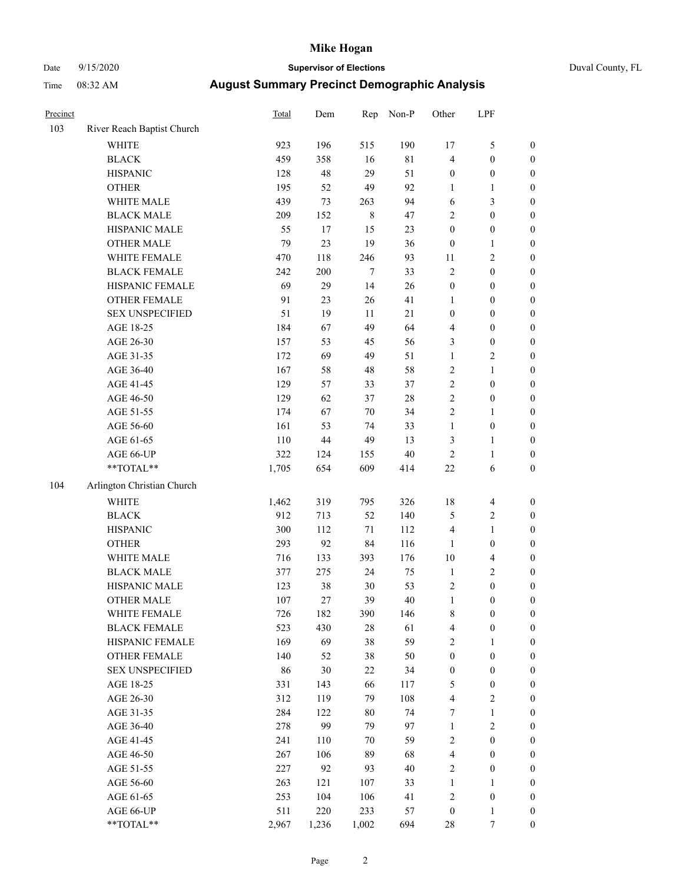### Date 9/15/2020 **Supervisor of Elections** Duval County, FL

| Precinct |                            | Total | Dem    | Rep     | Non-P  | Other            | LPF                     |                  |
|----------|----------------------------|-------|--------|---------|--------|------------------|-------------------------|------------------|
| 103      | River Reach Baptist Church |       |        |         |        |                  |                         |                  |
|          | <b>WHITE</b>               | 923   | 196    | 515     | 190    | 17               | $\mathfrak{S}$          | 0                |
|          | <b>BLACK</b>               | 459   | 358    | 16      | $81\,$ | 4                | $\boldsymbol{0}$        | 0                |
|          | <b>HISPANIC</b>            | 128   | 48     | 29      | 51     | $\boldsymbol{0}$ | $\boldsymbol{0}$        | $\boldsymbol{0}$ |
|          | <b>OTHER</b>               | 195   | 52     | 49      | 92     | 1                | 1                       | $\boldsymbol{0}$ |
|          | WHITE MALE                 | 439   | 73     | 263     | 94     | 6                | $\mathfrak{Z}$          | $\boldsymbol{0}$ |
|          | <b>BLACK MALE</b>          | 209   | 152    | $\,8\,$ | 47     | 2                | $\boldsymbol{0}$        | $\boldsymbol{0}$ |
|          | HISPANIC MALE              | 55    | 17     | 15      | 23     | $\boldsymbol{0}$ | $\boldsymbol{0}$        | $\boldsymbol{0}$ |
|          | <b>OTHER MALE</b>          | 79    | 23     | 19      | 36     | $\boldsymbol{0}$ | $\mathbf{1}$            | $\boldsymbol{0}$ |
|          | WHITE FEMALE               | 470   | 118    | 246     | 93     | 11               | $\sqrt{2}$              | $\boldsymbol{0}$ |
|          | <b>BLACK FEMALE</b>        | 242   | 200    | $\tau$  | 33     | $\sqrt{2}$       | $\boldsymbol{0}$        | $\boldsymbol{0}$ |
|          | HISPANIC FEMALE            | 69    | 29     | 14      | 26     | $\boldsymbol{0}$ | $\boldsymbol{0}$        | 0                |
|          | OTHER FEMALE               | 91    | 23     | 26      | 41     | $\mathbf{1}$     | $\boldsymbol{0}$        | $\boldsymbol{0}$ |
|          | <b>SEX UNSPECIFIED</b>     | 51    | 19     | 11      | 21     | $\boldsymbol{0}$ | $\boldsymbol{0}$        | $\boldsymbol{0}$ |
|          | AGE 18-25                  | 184   | 67     | 49      | 64     | 4                | $\boldsymbol{0}$        | $\boldsymbol{0}$ |
|          | AGE 26-30                  | 157   | 53     | 45      | 56     | 3                | $\boldsymbol{0}$        | $\boldsymbol{0}$ |
|          | AGE 31-35                  | 172   | 69     | 49      | 51     | $\mathbf{1}$     | $\sqrt{2}$              | $\boldsymbol{0}$ |
|          | AGE 36-40                  | 167   | 58     | 48      | 58     | 2                | $\mathbf{1}$            | $\boldsymbol{0}$ |
|          | AGE 41-45                  | 129   | 57     | 33      | 37     | $\overline{c}$   | $\boldsymbol{0}$        | $\boldsymbol{0}$ |
|          | AGE 46-50                  | 129   | 62     | 37      | $28\,$ | $\overline{2}$   | $\boldsymbol{0}$        | $\boldsymbol{0}$ |
|          | AGE 51-55                  | 174   | 67     | $70\,$  | 34     | 2                | $\mathbf{1}$            | $\boldsymbol{0}$ |
|          | AGE 56-60                  | 161   | 53     | 74      | 33     | $\mathbf{1}$     | $\boldsymbol{0}$        | 0                |
|          | AGE 61-65                  | 110   | $44\,$ | 49      | 13     | 3                | $\mathbf{1}$            | 0                |
|          | AGE 66-UP                  | 322   | 124    | 155     | $40\,$ | $\sqrt{2}$       | $\mathbf{1}$            | $\boldsymbol{0}$ |
|          | **TOTAL**                  | 1,705 | 654    | 609     | 414    | $22\,$           | 6                       | $\boldsymbol{0}$ |
| 104      | Arlington Christian Church |       |        |         |        |                  |                         |                  |
|          | <b>WHITE</b>               | 1,462 | 319    | 795     | 326    | $18\,$           | $\overline{4}$          | $\boldsymbol{0}$ |
|          | <b>BLACK</b>               | 912   | 713    | 52      | 140    | 5                | $\sqrt{2}$              | $\boldsymbol{0}$ |
|          | <b>HISPANIC</b>            | 300   | 112    | 71      | 112    | 4                | $\mathbf{1}$            | $\boldsymbol{0}$ |
|          | <b>OTHER</b>               | 293   | 92     | 84      | 116    | 1                | $\boldsymbol{0}$        | $\boldsymbol{0}$ |
|          | WHITE MALE                 | 716   | 133    | 393     | 176    | $10\,$           | $\overline{\mathbf{4}}$ | $\boldsymbol{0}$ |
|          | <b>BLACK MALE</b>          | 377   | 275    | 24      | 75     | $\mathbf{1}$     | $\sqrt{2}$              | $\boldsymbol{0}$ |
|          | HISPANIC MALE              | 123   | 38     | 30      | 53     | $\sqrt{2}$       | $\boldsymbol{0}$        | $\boldsymbol{0}$ |
|          | OTHER MALE                 | 107   | 27     | 39      | $40\,$ | $\mathbf{1}$     | $\boldsymbol{0}$        | $\boldsymbol{0}$ |
|          | WHITE FEMALE               | 726   | 182    | 390     | 146    | 8                | $\boldsymbol{0}$        | 0                |
|          | <b>BLACK FEMALE</b>        | 523   | 430    | 28      | 61     | 4                | $\boldsymbol{0}$        | $\boldsymbol{0}$ |
|          | HISPANIC FEMALE            | 169   | 69     | 38      | 59     | 2                | 1                       | $\overline{0}$   |
|          | <b>OTHER FEMALE</b>        | 140   | 52     | 38      | 50     | $\boldsymbol{0}$ | $\boldsymbol{0}$        | $\overline{0}$   |
|          | <b>SEX UNSPECIFIED</b>     | 86    | 30     | 22      | 34     | $\boldsymbol{0}$ | $\boldsymbol{0}$        | 0                |
|          | AGE 18-25                  | 331   | 143    | 66      | 117    | 5                | $\boldsymbol{0}$        | 0                |
|          | AGE 26-30                  | 312   | 119    | 79      | 108    | $\overline{4}$   | $\overline{2}$          | 0                |
|          | AGE 31-35                  | 284   | 122    | $80\,$  | 74     | 7                | $\mathbf{1}$            | 0                |
|          | AGE 36-40                  | 278   | 99     | 79      | 97     | $\mathbf{1}$     | $\sqrt{2}$              | 0                |
|          | AGE 41-45                  | 241   | 110    | 70      | 59     | 2                | $\boldsymbol{0}$        | 0                |
|          | AGE 46-50                  | 267   | 106    | 89      | 68     | 4                | $\boldsymbol{0}$        | 0                |
|          | AGE 51-55                  | 227   | 92     | 93      | 40     | 2                | $\boldsymbol{0}$        | 0                |
|          | AGE 56-60                  | 263   | 121    | 107     | 33     | 1                | 1                       | $\overline{0}$   |
|          | AGE 61-65                  | 253   | 104    | 106     | 41     | 2                | $\boldsymbol{0}$        | $\overline{0}$   |
|          | AGE 66-UP                  | 511   | 220    | 233     | 57     | $\boldsymbol{0}$ | $\mathbf{1}$            | 0                |
|          | $**TOTAL**$                | 2,967 | 1,236  | 1,002   | 694    | 28               | 7                       | $\boldsymbol{0}$ |
|          |                            |       |        |         |        |                  |                         |                  |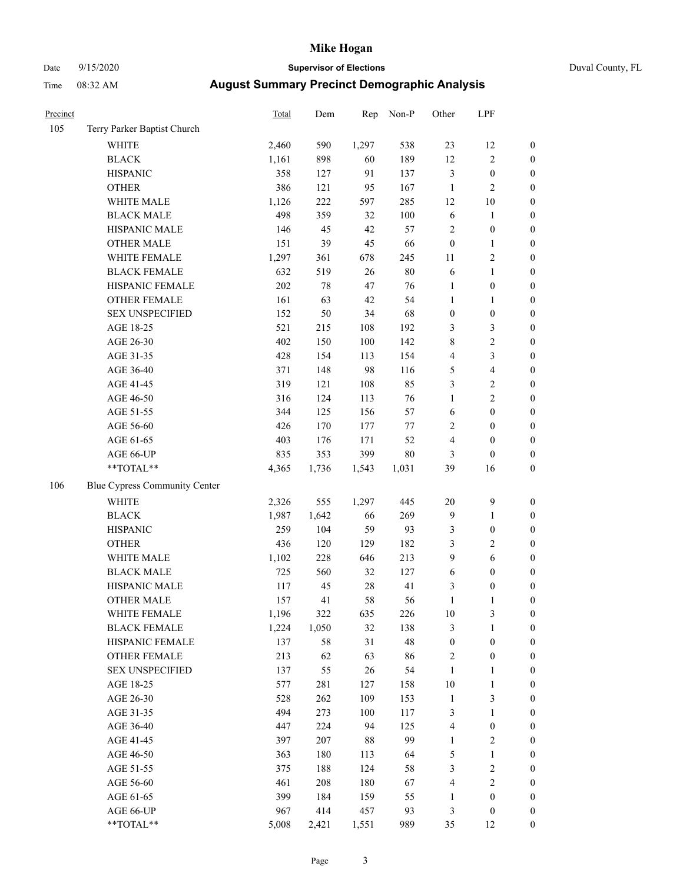# Date 9/15/2020 **Supervisor of Elections** Duval County, FL

| Precinct |                               | <b>Total</b> | Dem   | Rep    | Non-P  | Other            | LPF              |                  |
|----------|-------------------------------|--------------|-------|--------|--------|------------------|------------------|------------------|
| 105      | Terry Parker Baptist Church   |              |       |        |        |                  |                  |                  |
|          | <b>WHITE</b>                  | 2,460        | 590   | 1,297  | 538    | 23               | 12               | 0                |
|          | <b>BLACK</b>                  | 1,161        | 898   | 60     | 189    | 12               | $\sqrt{2}$       | $\boldsymbol{0}$ |
|          | <b>HISPANIC</b>               | 358          | 127   | 91     | 137    | 3                | $\boldsymbol{0}$ | $\boldsymbol{0}$ |
|          | <b>OTHER</b>                  | 386          | 121   | 95     | 167    | $\mathbf{1}$     | $\sqrt{2}$       | $\boldsymbol{0}$ |
|          | WHITE MALE                    | 1,126        | 222   | 597    | 285    | 12               | 10               | $\boldsymbol{0}$ |
|          | <b>BLACK MALE</b>             | 498          | 359   | 32     | 100    | $\sqrt{6}$       | 1                | $\boldsymbol{0}$ |
|          | HISPANIC MALE                 | 146          | 45    | 42     | 57     | 2                | $\boldsymbol{0}$ | $\boldsymbol{0}$ |
|          | <b>OTHER MALE</b>             | 151          | 39    | 45     | 66     | $\boldsymbol{0}$ | $\mathbf{1}$     | $\boldsymbol{0}$ |
|          | WHITE FEMALE                  | 1,297        | 361   | 678    | 245    | $11\,$           | $\sqrt{2}$       | $\boldsymbol{0}$ |
|          | <b>BLACK FEMALE</b>           | 632          | 519   | $26\,$ | $80\,$ | 6                | $\mathbf{1}$     | $\boldsymbol{0}$ |
|          | HISPANIC FEMALE               | 202          | 78    | 47     | 76     | $\mathbf{1}$     | $\boldsymbol{0}$ | 0                |
|          | <b>OTHER FEMALE</b>           | 161          | 63    | 42     | 54     | $\mathbf{1}$     | $\mathbf{1}$     | $\boldsymbol{0}$ |
|          | <b>SEX UNSPECIFIED</b>        | 152          | 50    | 34     | 68     | $\boldsymbol{0}$ | $\boldsymbol{0}$ | $\boldsymbol{0}$ |
|          | AGE 18-25                     | 521          | 215   | 108    | 192    | 3                | $\mathfrak{Z}$   | $\boldsymbol{0}$ |
|          | AGE 26-30                     | 402          | 150   | 100    | 142    | 8                | $\sqrt{2}$       | $\boldsymbol{0}$ |
|          | AGE 31-35                     | 428          | 154   | 113    | 154    | 4                | 3                | $\boldsymbol{0}$ |
|          | AGE 36-40                     | 371          | 148   | 98     | 116    | 5                | $\overline{4}$   | $\boldsymbol{0}$ |
|          | AGE 41-45                     | 319          | 121   | 108    | 85     | 3                | $\sqrt{2}$       | $\boldsymbol{0}$ |
|          | AGE 46-50                     | 316          | 124   | 113    | 76     | $\mathbf{1}$     | $\overline{c}$   | $\boldsymbol{0}$ |
|          | AGE 51-55                     | 344          | 125   | 156    | 57     | 6                | $\boldsymbol{0}$ | $\boldsymbol{0}$ |
|          | AGE 56-60                     | 426          | 170   | 177    | $77\,$ | $\overline{c}$   | $\boldsymbol{0}$ | 0                |
|          | AGE 61-65                     | 403          | 176   | 171    | 52     | 4                | $\boldsymbol{0}$ | $\boldsymbol{0}$ |
|          | AGE 66-UP                     | 835          | 353   | 399    | $80\,$ | 3                | $\boldsymbol{0}$ | $\boldsymbol{0}$ |
|          | **TOTAL**                     | 4,365        | 1,736 | 1,543  | 1,031  | 39               | 16               | $\boldsymbol{0}$ |
| 106      | Blue Cypress Community Center |              |       |        |        |                  |                  |                  |
|          | <b>WHITE</b>                  | 2,326        | 555   | 1,297  | 445    | $20\,$           | $\boldsymbol{9}$ | $\boldsymbol{0}$ |
|          | <b>BLACK</b>                  | 1,987        | 1,642 | 66     | 269    | 9                | $\mathbf{1}$     | $\boldsymbol{0}$ |
|          | <b>HISPANIC</b>               | 259          | 104   | 59     | 93     | 3                | $\boldsymbol{0}$ | $\boldsymbol{0}$ |
|          | <b>OTHER</b>                  | 436          | 120   | 129    | 182    | 3                | $\sqrt{2}$       | $\boldsymbol{0}$ |
|          | WHITE MALE                    | 1,102        | 228   | 646    | 213    | 9                | 6                | $\boldsymbol{0}$ |
|          | <b>BLACK MALE</b>             | 725          | 560   | 32     | 127    | $\sqrt{6}$       | $\boldsymbol{0}$ | $\boldsymbol{0}$ |
|          | HISPANIC MALE                 | 117          | 45    | $28\,$ | 41     | 3                | $\boldsymbol{0}$ | $\boldsymbol{0}$ |
|          | <b>OTHER MALE</b>             | 157          | 41    | 58     | 56     | $\mathbf{1}$     | 1                | $\boldsymbol{0}$ |
|          | WHITE FEMALE                  | 1,196        | 322   | 635    | 226    | 10               | 3                | 0                |
|          | <b>BLACK FEMALE</b>           | 1,224        | 1,050 | 32     | 138    | 3                | $\mathbf{1}$     | $\boldsymbol{0}$ |
|          | HISPANIC FEMALE               | 137          | 58    | 31     | 48     | $\boldsymbol{0}$ | $\boldsymbol{0}$ | $\overline{0}$   |
|          | <b>OTHER FEMALE</b>           | 213          | 62    | 63     | 86     | 2                | $\boldsymbol{0}$ | 0                |
|          | <b>SEX UNSPECIFIED</b>        | 137          | 55    | 26     | 54     | $\mathbf{1}$     | $\mathbf{1}$     | 0                |
|          | AGE 18-25                     | 577          | 281   | 127    | 158    | $10\,$           | $\mathbf{1}$     | 0                |
|          | AGE 26-30                     | 528          | 262   | 109    | 153    | $\mathbf{1}$     | 3                | 0                |
|          | AGE 31-35                     | 494          | 273   | 100    | 117    | 3                | $\mathbf{1}$     | 0                |
|          | AGE 36-40                     | 447          | 224   | 94     | 125    | 4                | $\boldsymbol{0}$ | 0                |
|          | AGE 41-45                     | 397          | 207   | 88     | 99     | $\mathbf{1}$     | $\sqrt{2}$       | 0                |
|          | AGE 46-50                     | 363          | 180   | 113    | 64     | 5                | $\mathbf{1}$     | 0                |
|          | AGE 51-55                     | 375          | 188   | 124    | 58     | 3                | $\sqrt{2}$       | 0                |
|          | AGE 56-60                     | 461          | 208   | 180    | 67     | 4                | $\sqrt{2}$       | $\overline{0}$   |
|          | AGE 61-65                     | 399          | 184   | 159    | 55     | 1                | $\boldsymbol{0}$ | $\overline{0}$   |
|          | AGE 66-UP                     | 967          | 414   | 457    | 93     | 3                | $\boldsymbol{0}$ | 0                |
|          | **TOTAL**                     | 5,008        | 2,421 | 1,551  | 989    | 35               | 12               | $\boldsymbol{0}$ |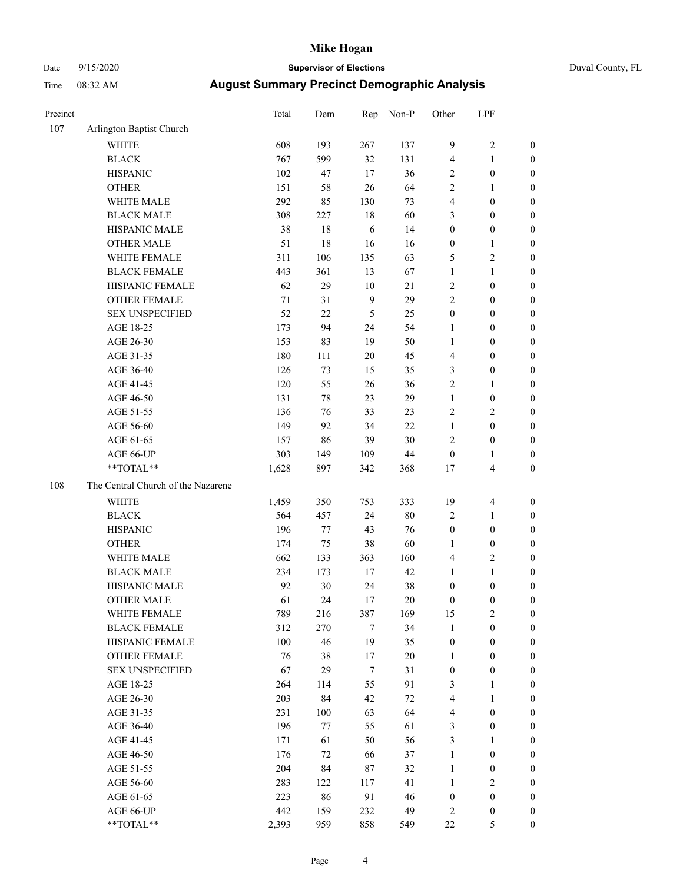# Date 9/15/2020 **Supervisor of Elections** Duval County, FL

| Precinct |                                                            | Total | Dem | Rep            | Non-P  | Other            | LPF              |                  |
|----------|------------------------------------------------------------|-------|-----|----------------|--------|------------------|------------------|------------------|
| 107      | Arlington Baptist Church                                   |       |     |                |        |                  |                  |                  |
|          | <b>WHITE</b>                                               | 608   | 193 | 267            | 137    | $\boldsymbol{9}$ | $\sqrt{2}$       | 0                |
|          | <b>BLACK</b>                                               | 767   | 599 | 32             | 131    | 4                | $\mathbf{1}$     | 0                |
|          | <b>HISPANIC</b>                                            | 102   | 47  | 17             | 36     | 2                | $\boldsymbol{0}$ | $\boldsymbol{0}$ |
|          | <b>OTHER</b>                                               | 151   | 58  | 26             | 64     | 2                | 1                | $\boldsymbol{0}$ |
|          | WHITE MALE                                                 | 292   | 85  | 130            | 73     | 4                | $\boldsymbol{0}$ | $\boldsymbol{0}$ |
|          | <b>BLACK MALE</b>                                          | 308   | 227 | 18             | 60     | 3                | $\boldsymbol{0}$ | $\boldsymbol{0}$ |
|          | HISPANIC MALE                                              | 38    | 18  | 6              | 14     | $\boldsymbol{0}$ | $\boldsymbol{0}$ | $\boldsymbol{0}$ |
|          | <b>OTHER MALE</b>                                          | 51    | 18  | 16             | 16     | 0                | $\mathbf{1}$     | $\boldsymbol{0}$ |
|          | WHITE FEMALE                                               | 311   | 106 | 135            | 63     | 5                | $\sqrt{2}$       | $\boldsymbol{0}$ |
|          | <b>BLACK FEMALE</b>                                        | 443   | 361 | 13             | 67     | 1                | $\mathbf{1}$     | $\boldsymbol{0}$ |
|          | HISPANIC FEMALE                                            | 62    | 29  | 10             | 21     | $\mathbf{2}$     | $\boldsymbol{0}$ | $\boldsymbol{0}$ |
|          | OTHER FEMALE                                               | 71    | 31  | $\overline{9}$ | 29     | $\overline{c}$   | $\boldsymbol{0}$ | $\boldsymbol{0}$ |
|          | <b>SEX UNSPECIFIED</b>                                     | 52    | 22  | 5              | 25     | $\boldsymbol{0}$ | $\boldsymbol{0}$ | $\boldsymbol{0}$ |
|          | AGE 18-25                                                  | 173   | 94  | 24             | 54     | 1                | $\boldsymbol{0}$ | $\boldsymbol{0}$ |
|          | AGE 26-30                                                  | 153   | 83  | 19             | 50     | 1                | $\boldsymbol{0}$ | $\boldsymbol{0}$ |
|          | AGE 31-35                                                  | 180   | 111 | 20             | 45     | 4                | $\boldsymbol{0}$ | $\boldsymbol{0}$ |
|          | AGE 36-40                                                  | 126   | 73  | 15             | 35     | 3                | $\boldsymbol{0}$ | $\boldsymbol{0}$ |
|          | AGE 41-45                                                  | 120   | 55  | 26             | 36     | $\overline{c}$   | $\mathbf{1}$     | $\boldsymbol{0}$ |
|          | AGE 46-50                                                  | 131   | 78  | 23             | 29     | $\mathbf{1}$     | $\boldsymbol{0}$ | $\boldsymbol{0}$ |
|          | AGE 51-55                                                  | 136   | 76  | 33             | 23     | 2                | $\sqrt{2}$       | $\boldsymbol{0}$ |
|          | AGE 56-60                                                  | 149   | 92  | 34             | 22     | $\mathbf{1}$     | $\boldsymbol{0}$ | $\boldsymbol{0}$ |
|          | AGE 61-65                                                  | 157   | 86  | 39             | 30     | 2                | $\boldsymbol{0}$ | $\boldsymbol{0}$ |
|          | AGE 66-UP                                                  | 303   | 149 | 109            | 44     | $\boldsymbol{0}$ | $\mathbf{1}$     | $\boldsymbol{0}$ |
|          | $**TOTAL**$                                                | 1,628 | 897 | 342            | 368    | 17               | $\overline{4}$   | $\boldsymbol{0}$ |
| 108      | The Central Church of the Nazarene                         |       |     |                |        |                  |                  |                  |
|          | <b>WHITE</b>                                               | 1,459 | 350 | 753            | 333    | 19               | $\overline{4}$   | $\boldsymbol{0}$ |
|          | <b>BLACK</b>                                               | 564   | 457 | 24             | 80     | 2                | $\mathbf{1}$     | $\boldsymbol{0}$ |
|          | <b>HISPANIC</b>                                            | 196   | 77  | 43             | 76     | $\boldsymbol{0}$ | $\boldsymbol{0}$ | $\boldsymbol{0}$ |
|          | <b>OTHER</b>                                               | 174   | 75  | 38             | 60     | 1                | $\boldsymbol{0}$ | $\boldsymbol{0}$ |
|          | WHITE MALE                                                 | 662   | 133 | 363            | 160    | 4                | $\mathbf{2}$     | $\boldsymbol{0}$ |
|          | <b>BLACK MALE</b>                                          | 234   | 173 | $17\,$         | 42     | 1                | $\mathbf{1}$     | $\boldsymbol{0}$ |
|          | HISPANIC MALE                                              | 92    | 30  | 24             | 38     | $\boldsymbol{0}$ | $\boldsymbol{0}$ | 0                |
|          | <b>OTHER MALE</b>                                          | 61    | 24  | 17             | 20     | 0                | $\boldsymbol{0}$ | $\boldsymbol{0}$ |
|          | WHITE FEMALE                                               | 789   | 216 | 387            | 169    | 15               | $\overline{c}$   | 0                |
|          | <b>BLACK FEMALE</b>                                        | 312   | 270 | 7              | 34     | $\mathbf{1}$     | $\boldsymbol{0}$ | $\overline{0}$   |
|          | HISPANIC FEMALE                                            | 100   | 46  | 19             | 35     | $\boldsymbol{0}$ | $\boldsymbol{0}$ | $\overline{0}$   |
|          | OTHER FEMALE                                               | 76    | 38  | 17             | 20     | 1                | $\boldsymbol{0}$ | $\theta$         |
|          | <b>SEX UNSPECIFIED</b>                                     | 67    | 29  | 7              | 31     | $\boldsymbol{0}$ | $\boldsymbol{0}$ | 0                |
|          | AGE 18-25                                                  | 264   | 114 | 55             | 91     | 3                | $\mathbf{1}$     | 0                |
|          | AGE 26-30                                                  | 203   | 84  | 42             | $72\,$ | 4                | $\mathbf{1}$     | 0                |
|          | AGE 31-35                                                  | 231   | 100 | 63             | 64     | 4                | $\boldsymbol{0}$ | 0                |
|          | AGE 36-40                                                  | 196   | 77  | 55             | 61     | 3                | $\boldsymbol{0}$ | 0                |
|          | AGE 41-45                                                  | 171   | 61  | 50             | 56     | 3                | 1                | 0                |
|          | AGE 46-50                                                  | 176   | 72  | 66             | 37     | $\mathbf{1}$     | $\boldsymbol{0}$ | 0                |
|          | AGE 51-55                                                  | 204   | 84  | 87             | 32     | $\mathbf{1}$     | $\boldsymbol{0}$ | 0                |
|          | AGE 56-60                                                  | 283   | 122 | 117            | 41     | $\mathbf{1}$     | $\sqrt{2}$       | $\overline{0}$   |
|          | AGE 61-65                                                  | 223   | 86  | 91             | 46     | $\boldsymbol{0}$ | $\boldsymbol{0}$ | $\overline{0}$   |
|          | AGE 66-UP                                                  | 442   | 159 | 232            | 49     | 2                | $\boldsymbol{0}$ | 0                |
|          | $\mathrm{*}\mathrm{*} \mathrm{TOTAL} \mathrm{*}\mathrm{*}$ | 2,393 | 959 | 858            | 549    | 22               | $\mathfrak s$    | $\boldsymbol{0}$ |
|          |                                                            |       |     |                |        |                  |                  |                  |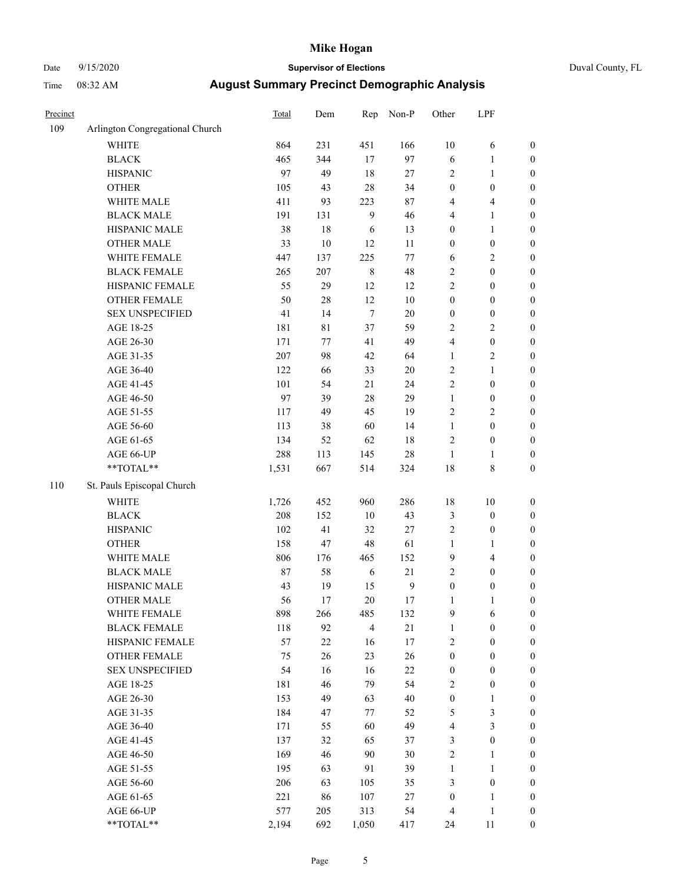### Date 9/15/2020 **Supervisor of Elections** Duval County, FL

| Precinct |                                 | <b>Total</b> | Dem         | Rep            | Non-P            | Other            | LPF              |                  |
|----------|---------------------------------|--------------|-------------|----------------|------------------|------------------|------------------|------------------|
| 109      | Arlington Congregational Church |              |             |                |                  |                  |                  |                  |
|          | <b>WHITE</b>                    | 864          | 231         | 451            | 166              | $10\,$           | 6                | 0                |
|          | <b>BLACK</b>                    | 465          | 344         | 17             | 97               | 6                | $\mathbf{1}$     | 0                |
|          | <b>HISPANIC</b>                 | 97           | 49          | 18             | $27\,$           | $\overline{c}$   | $\mathbf{1}$     | $\boldsymbol{0}$ |
|          | <b>OTHER</b>                    | 105          | 43          | 28             | 34               | $\boldsymbol{0}$ | $\boldsymbol{0}$ | $\boldsymbol{0}$ |
|          | WHITE MALE                      | 411          | 93          | 223            | $87\,$           | 4                | $\overline{4}$   | $\boldsymbol{0}$ |
|          | <b>BLACK MALE</b>               | 191          | 131         | $\mathbf{9}$   | 46               | 4                | $\mathbf{1}$     | $\boldsymbol{0}$ |
|          | HISPANIC MALE                   | 38           | $18\,$      | 6              | 13               | 0                | $\mathbf{1}$     | $\boldsymbol{0}$ |
|          | <b>OTHER MALE</b>               | 33           | $10\,$      | 12             | $11\,$           | $\boldsymbol{0}$ | $\boldsymbol{0}$ | $\boldsymbol{0}$ |
|          | WHITE FEMALE                    | 447          | 137         | 225            | $77 \,$          | 6                | $\sqrt{2}$       | $\boldsymbol{0}$ |
|          | <b>BLACK FEMALE</b>             | 265          | 207         | $\,$ 8 $\,$    | 48               | $\mathbf{2}$     | $\boldsymbol{0}$ | $\boldsymbol{0}$ |
|          | HISPANIC FEMALE                 | 55           | 29          | 12             | 12               | $\overline{c}$   | $\boldsymbol{0}$ | $\boldsymbol{0}$ |
|          | <b>OTHER FEMALE</b>             | 50           | $28\,$      | 12             | $10\,$           | $\boldsymbol{0}$ | $\boldsymbol{0}$ | $\boldsymbol{0}$ |
|          | <b>SEX UNSPECIFIED</b>          | 41           | 14          | $\tau$         | $20\,$           | $\boldsymbol{0}$ | $\boldsymbol{0}$ | $\boldsymbol{0}$ |
|          | AGE 18-25                       | 181          | $8\sqrt{1}$ | 37             | 59               | $\mathbf{2}$     | $\sqrt{2}$       | $\boldsymbol{0}$ |
|          | AGE 26-30                       | 171          | $77 \,$     | 41             | 49               | 4                | $\boldsymbol{0}$ | $\boldsymbol{0}$ |
|          | AGE 31-35                       | 207          | 98          | 42             | 64               | $\mathbf{1}$     | $\sqrt{2}$       | $\boldsymbol{0}$ |
|          | AGE 36-40                       | 122          | 66          | 33             | 20               | $\overline{c}$   | $\mathbf{1}$     | $\boldsymbol{0}$ |
|          | AGE 41-45                       | 101          | 54          | 21             | 24               | $\overline{c}$   | $\boldsymbol{0}$ | $\boldsymbol{0}$ |
|          | AGE 46-50                       | 97           | 39          | $28\,$         | 29               | $\mathbf{1}$     | $\boldsymbol{0}$ | $\boldsymbol{0}$ |
|          | AGE 51-55                       | 117          | 49          | 45             | 19               | $\mathbf{2}$     | $\sqrt{2}$       | $\boldsymbol{0}$ |
|          | AGE 56-60                       | 113          | 38          | 60             | 14               | $\mathbf{1}$     | $\boldsymbol{0}$ | $\boldsymbol{0}$ |
|          | AGE 61-65                       | 134          | 52          | 62             | $18\,$           | $\mathbf{2}$     | $\boldsymbol{0}$ | $\boldsymbol{0}$ |
|          | AGE 66-UP                       | 288          | 113         | 145            | $28\,$           | $\mathbf{1}$     | 1                | $\boldsymbol{0}$ |
|          | $**TOTAL**$                     | 1,531        | 667         | 514            | 324              | 18               | $\,$ $\,$        | $\boldsymbol{0}$ |
| 110      | St. Pauls Episcopal Church      |              |             |                |                  |                  |                  |                  |
|          | <b>WHITE</b>                    | 1,726        | 452         | 960            | 286              | 18               | $10\,$           | $\boldsymbol{0}$ |
|          | <b>BLACK</b>                    | 208          | 152         | $10\,$         | 43               | 3                | $\boldsymbol{0}$ | $\boldsymbol{0}$ |
|          | <b>HISPANIC</b>                 | 102          | 41          | 32             | $27\,$           | 2                | $\boldsymbol{0}$ | $\boldsymbol{0}$ |
|          | <b>OTHER</b>                    | 158          | 47          | 48             | 61               | $\mathbf{1}$     | $\mathbf{1}$     | $\boldsymbol{0}$ |
|          | WHITE MALE                      | 806          | 176         | 465            | 152              | 9                | $\overline{4}$   | $\boldsymbol{0}$ |
|          | <b>BLACK MALE</b>               | $87\,$       | 58          | $\sqrt{6}$     | 21               | $\overline{c}$   | $\boldsymbol{0}$ | $\boldsymbol{0}$ |
|          | HISPANIC MALE                   | 43           | 19          | 15             | $\boldsymbol{9}$ | $\boldsymbol{0}$ | $\boldsymbol{0}$ | $\boldsymbol{0}$ |
|          | <b>OTHER MALE</b>               | 56           | 17          | $20\,$         | 17               | 1                | $\mathbf{1}$     | $\boldsymbol{0}$ |
|          | WHITE FEMALE                    | 898          | 266         | 485            | 132              | 9                | 6                | 0                |
|          | <b>BLACK FEMALE</b>             | 118          | 92          | $\overline{4}$ | 21               | 1                | $\boldsymbol{0}$ | $\overline{0}$   |
|          | HISPANIC FEMALE                 | 57           | $22\,$      | 16             | 17               | $\overline{c}$   | $\boldsymbol{0}$ | $\overline{0}$   |
|          | OTHER FEMALE                    | 75           | 26          | 23             | 26               | $\boldsymbol{0}$ | $\boldsymbol{0}$ | $\overline{0}$   |
|          | <b>SEX UNSPECIFIED</b>          | 54           | 16          | 16             | $22\,$           | 0                | $\boldsymbol{0}$ | 0                |
|          | AGE 18-25                       | 181          | 46          | 79             | 54               | $\mathbf{2}$     | $\boldsymbol{0}$ | 0                |
|          | AGE 26-30                       | 153          | 49          | 63             | $40\,$           | $\boldsymbol{0}$ | $\mathbf{1}$     | 0                |
|          | AGE 31-35                       | 184          | 47          | 77             | 52               | 5                | $\mathfrak z$    | 0                |
|          | AGE 36-40                       | 171          | 55          | 60             | 49               | 4                | $\mathfrak{Z}$   | 0                |
|          | AGE 41-45                       | 137          | 32          | 65             | 37               | 3                | $\boldsymbol{0}$ | 0                |
|          | AGE 46-50                       | 169          | 46          | 90             | 30               | $\mathbf{2}$     | 1                | 0                |
|          | AGE 51-55                       | 195          | 63          | 91             | 39               | $\mathbf{1}$     | $\mathbf{1}$     | 0                |
|          | AGE 56-60                       | 206          | 63          | 105            | 35               | 3                | $\boldsymbol{0}$ | 0                |
|          | AGE 61-65                       | 221          | 86          | 107            | 27               | 0                | $\mathbf{1}$     | $\boldsymbol{0}$ |
|          | AGE 66-UP                       | 577          | 205         | 313            | 54               | 4                | $\mathbf{1}$     | 0                |
|          | **TOTAL**                       | 2,194        | 692         | 1,050          | 417              | 24               | 11               | $\boldsymbol{0}$ |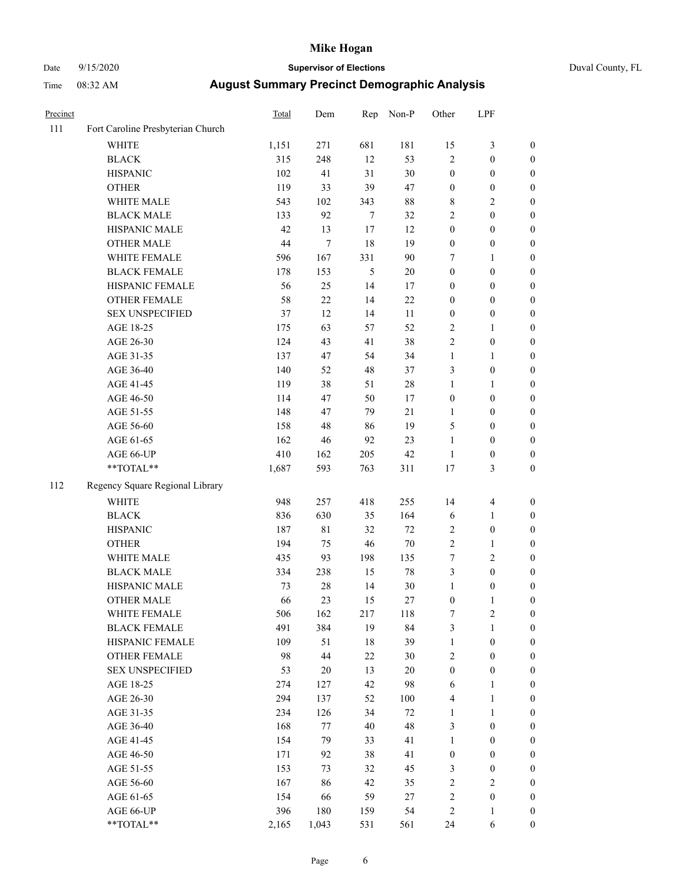### Date 9/15/2020 **Supervisor of Elections** Duval County, FL

| Precinct |                                   | <b>Total</b> | Dem         | Rep            | Non-P   | Other            | LPF              |                  |
|----------|-----------------------------------|--------------|-------------|----------------|---------|------------------|------------------|------------------|
| 111      | Fort Caroline Presbyterian Church |              |             |                |         |                  |                  |                  |
|          | <b>WHITE</b>                      | 1,151        | 271         | 681            | 181     | 15               | $\mathfrak{Z}$   | 0                |
|          | <b>BLACK</b>                      | 315          | 248         | 12             | 53      | $\overline{c}$   | $\boldsymbol{0}$ | $\boldsymbol{0}$ |
|          | <b>HISPANIC</b>                   | 102          | 41          | 31             | $30\,$  | $\boldsymbol{0}$ | $\boldsymbol{0}$ | $\boldsymbol{0}$ |
|          | <b>OTHER</b>                      | 119          | 33          | 39             | 47      | $\boldsymbol{0}$ | $\boldsymbol{0}$ | $\boldsymbol{0}$ |
|          | WHITE MALE                        | 543          | 102         | 343            | $88\,$  | 8                | $\sqrt{2}$       | $\boldsymbol{0}$ |
|          | <b>BLACK MALE</b>                 | 133          | 92          | $\tau$         | 32      | $\overline{c}$   | $\boldsymbol{0}$ | $\boldsymbol{0}$ |
|          | HISPANIC MALE                     | 42           | 13          | $17\,$         | 12      | $\boldsymbol{0}$ | $\boldsymbol{0}$ | $\boldsymbol{0}$ |
|          | <b>OTHER MALE</b>                 | 44           | $\tau$      | 18             | 19      | $\boldsymbol{0}$ | $\boldsymbol{0}$ | $\boldsymbol{0}$ |
|          | WHITE FEMALE                      | 596          | 167         | 331            | 90      | 7                | 1                | $\boldsymbol{0}$ |
|          | <b>BLACK FEMALE</b>               | 178          | 153         | $\mathfrak{S}$ | $20\,$  | $\boldsymbol{0}$ | $\boldsymbol{0}$ | $\boldsymbol{0}$ |
|          | HISPANIC FEMALE                   | 56           | 25          | 14             | 17      | 0                | $\boldsymbol{0}$ | 0                |
|          | <b>OTHER FEMALE</b>               | 58           | 22          | 14             | $22\,$  | $\boldsymbol{0}$ | $\boldsymbol{0}$ | $\boldsymbol{0}$ |
|          | <b>SEX UNSPECIFIED</b>            | 37           | 12          | 14             | 11      | $\boldsymbol{0}$ | $\boldsymbol{0}$ | $\boldsymbol{0}$ |
|          | AGE 18-25                         | 175          | 63          | 57             | 52      | $\overline{c}$   | 1                | $\boldsymbol{0}$ |
|          | AGE 26-30                         | 124          | 43          | 41             | 38      | 2                | $\boldsymbol{0}$ | $\boldsymbol{0}$ |
|          | AGE 31-35                         | 137          | 47          | 54             | 34      | $\mathbf{1}$     | $\mathbf{1}$     | $\boldsymbol{0}$ |
|          | AGE 36-40                         | 140          | 52          | 48             | 37      | 3                | $\boldsymbol{0}$ | $\boldsymbol{0}$ |
|          | AGE 41-45                         | 119          | 38          | 51             | $28\,$  | $\mathbf{1}$     | $\mathbf{1}$     | $\boldsymbol{0}$ |
|          | AGE 46-50                         | 114          | 47          | 50             | 17      | $\boldsymbol{0}$ | $\boldsymbol{0}$ | $\boldsymbol{0}$ |
|          | AGE 51-55                         | 148          | 47          | 79             | 21      | $\mathbf{1}$     | $\boldsymbol{0}$ | $\boldsymbol{0}$ |
|          | AGE 56-60                         | 158          | 48          | 86             | 19      | 5                | $\boldsymbol{0}$ | 0                |
|          | AGE 61-65                         | 162          | 46          | 92             | 23      | $\mathbf{1}$     | $\boldsymbol{0}$ | 0                |
|          | AGE 66-UP                         | 410          | 162         | 205            | 42      | $\mathbf{1}$     | $\boldsymbol{0}$ | $\boldsymbol{0}$ |
|          | $**TOTAL**$                       | 1,687        | 593         | 763            | 311     | 17               | $\mathfrak{Z}$   | $\boldsymbol{0}$ |
| 112      | Regency Square Regional Library   |              |             |                |         |                  |                  |                  |
|          | <b>WHITE</b>                      | 948          | 257         | 418            | 255     | 14               | $\overline{4}$   | $\boldsymbol{0}$ |
|          | <b>BLACK</b>                      | 836          | 630         | 35             | 164     | 6                | $\mathbf{1}$     | $\boldsymbol{0}$ |
|          | <b>HISPANIC</b>                   | 187          | $8\sqrt{1}$ | 32             | 72      | 2                | $\boldsymbol{0}$ | $\boldsymbol{0}$ |
|          | <b>OTHER</b>                      | 194          | 75          | 46             | $70\,$  | $\overline{c}$   | $\mathbf{1}$     | $\boldsymbol{0}$ |
|          | WHITE MALE                        | 435          | 93          | 198            | 135     | $\boldsymbol{7}$ | $\mathbf{2}$     | $\boldsymbol{0}$ |
|          | <b>BLACK MALE</b>                 | 334          | 238         | 15             | $78\,$  | 3                | $\boldsymbol{0}$ | $\boldsymbol{0}$ |
|          | HISPANIC MALE                     | 73           | $28\,$      | 14             | $30\,$  | $\mathbf{1}$     | $\boldsymbol{0}$ | $\boldsymbol{0}$ |
|          | <b>OTHER MALE</b>                 | 66           | 23          | 15             | $27\,$  | $\boldsymbol{0}$ | $\mathbf{1}$     | $\boldsymbol{0}$ |
|          | WHITE FEMALE                      | 506          | 162         | 217            | 118     | 7                | $\overline{c}$   | 0                |
|          | <b>BLACK FEMALE</b>               | 491          | 384         | 19             | 84      | 3                | $\mathbf{1}$     | $\boldsymbol{0}$ |
|          | HISPANIC FEMALE                   | 109          | 51          | 18             | 39      | $\mathbf{1}$     | $\boldsymbol{0}$ | $\overline{0}$   |
|          | OTHER FEMALE                      | 98           | $44\,$      | $22\,$         | $30\,$  | 2                | $\boldsymbol{0}$ | $\overline{0}$   |
|          | <b>SEX UNSPECIFIED</b>            | 53           | $20\,$      | 13             | $20\,$  | $\boldsymbol{0}$ | $\boldsymbol{0}$ | 0                |
|          | AGE 18-25                         | 274          | 127         | 42             | 98      | 6                | $\mathbf{1}$     | 0                |
|          | AGE 26-30                         | 294          | 137         | 52             | $100\,$ | 4                | $\mathbf{1}$     | 0                |
|          | AGE 31-35                         | 234          | 126         | 34             | $72\,$  | $\mathbf{1}$     | $\mathbf{1}$     | 0                |
|          | AGE 36-40                         | 168          | 77          | 40             | 48      | 3                | $\boldsymbol{0}$ | 0                |
|          | AGE 41-45                         | 154          | 79          | 33             | 41      | $\mathbf{1}$     | $\boldsymbol{0}$ | 0                |
|          | AGE 46-50                         | 171          | 92          | 38             | 41      | $\boldsymbol{0}$ | $\boldsymbol{0}$ | 0                |
|          | AGE 51-55                         | 153          | 73          | 32             | 45      | 3                | $\boldsymbol{0}$ | 0                |
|          | AGE 56-60                         | 167          | 86          | 42             | 35      | 2                | $\sqrt{2}$       | 0                |
|          | AGE 61-65                         | 154          | 66          | 59             | 27      | 2                | $\boldsymbol{0}$ | $\overline{0}$   |
|          | AGE 66-UP                         | 396          | 180         | 159            | 54      | 2                | $\mathbf{1}$     | 0                |
|          | **TOTAL**                         | 2,165        | 1,043       | 531            | 561     | 24               | 6                | $\boldsymbol{0}$ |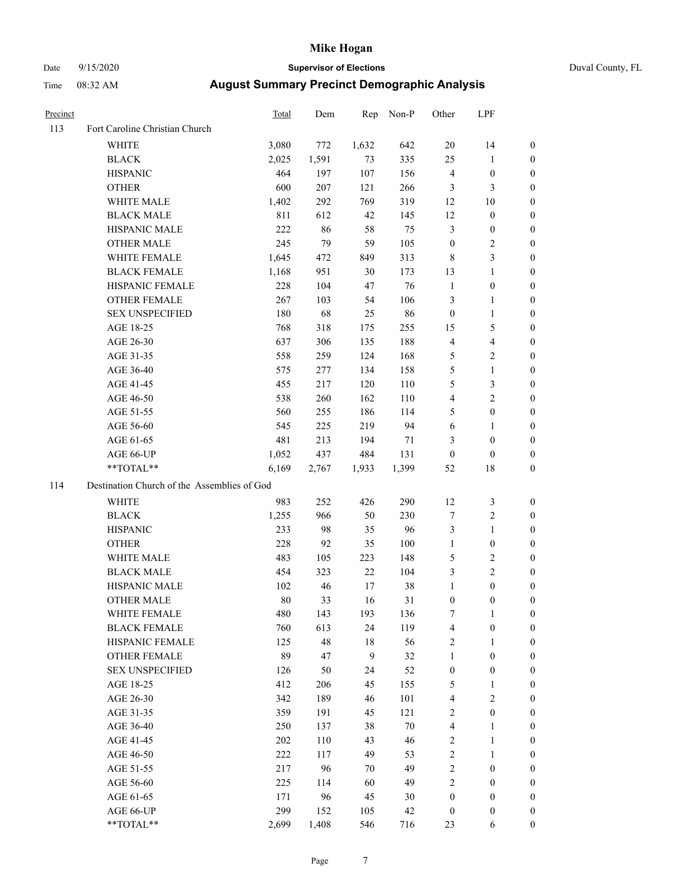### Date 9/15/2020 **Supervisor of Elections** Duval County, FL

| Precinct |                                             | Total | Dem   | Rep              | Non-P | Other            | LPF              |                  |
|----------|---------------------------------------------|-------|-------|------------------|-------|------------------|------------------|------------------|
| 113      | Fort Caroline Christian Church              |       |       |                  |       |                  |                  |                  |
|          | <b>WHITE</b>                                | 3,080 | 772   | 1,632            | 642   | 20               | 14               | 0                |
|          | <b>BLACK</b>                                | 2,025 | 1,591 | 73               | 335   | 25               | 1                | 0                |
|          | <b>HISPANIC</b>                             | 464   | 197   | 107              | 156   | 4                | $\boldsymbol{0}$ | 0                |
|          | <b>OTHER</b>                                | 600   | 207   | 121              | 266   | 3                | 3                | $\boldsymbol{0}$ |
|          | WHITE MALE                                  | 1,402 | 292   | 769              | 319   | 12               | 10               | $\boldsymbol{0}$ |
|          | <b>BLACK MALE</b>                           | 811   | 612   | 42               | 145   | 12               | $\boldsymbol{0}$ | 0                |
|          | HISPANIC MALE                               | 222   | 86    | 58               | 75    | 3                | $\boldsymbol{0}$ | 0                |
|          | <b>OTHER MALE</b>                           | 245   | 79    | 59               | 105   | $\boldsymbol{0}$ | $\mathbf{2}$     | 0                |
|          | WHITE FEMALE                                | 1,645 | 472   | 849              | 313   | 8                | $\mathfrak{Z}$   | 0                |
|          | <b>BLACK FEMALE</b>                         | 1,168 | 951   | 30               | 173   | 13               | $\mathbf{1}$     | 0                |
|          | HISPANIC FEMALE                             | 228   | 104   | 47               | 76    | $\mathbf{1}$     | $\boldsymbol{0}$ | 0                |
|          | OTHER FEMALE                                | 267   | 103   | 54               | 106   | 3                | 1                | 0                |
|          | <b>SEX UNSPECIFIED</b>                      | 180   | 68    | 25               | 86    | $\boldsymbol{0}$ | $\mathbf{1}$     | $\boldsymbol{0}$ |
|          | AGE 18-25                                   | 768   | 318   | 175              | 255   | 15               | $\mathfrak s$    | $\boldsymbol{0}$ |
|          | AGE 26-30                                   | 637   | 306   | 135              | 188   | 4                | $\overline{4}$   | $\boldsymbol{0}$ |
|          | AGE 31-35                                   | 558   | 259   | 124              | 168   | 5                | $\sqrt{2}$       | $\boldsymbol{0}$ |
|          | AGE 36-40                                   | 575   | 277   | 134              | 158   | 5                | $\mathbf{1}$     | $\boldsymbol{0}$ |
|          | AGE 41-45                                   | 455   | 217   | 120              | 110   | 5                | 3                | $\overline{0}$   |
|          | AGE 46-50                                   | 538   | 260   | 162              | 110   | 4                | $\overline{c}$   | 0                |
|          | AGE 51-55                                   | 560   | 255   | 186              | 114   | 5                | $\boldsymbol{0}$ | 0                |
|          | AGE 56-60                                   | 545   | 225   | 219              | 94    | 6                | 1                | 0                |
|          | AGE 61-65                                   | 481   | 213   | 194              | 71    | 3                | $\boldsymbol{0}$ | 0                |
|          | AGE 66-UP                                   | 1,052 | 437   | 484              | 131   | $\boldsymbol{0}$ | $\boldsymbol{0}$ | 0                |
|          | $**TOTAL**$                                 | 6,169 | 2,767 | 1,933            | 1,399 | 52               | 18               | $\boldsymbol{0}$ |
| 114      | Destination Church of the Assemblies of God |       |       |                  |       |                  |                  |                  |
|          | <b>WHITE</b>                                | 983   | 252   | 426              | 290   | 12               | $\mathfrak z$    | $\boldsymbol{0}$ |
|          | <b>BLACK</b>                                | 1,255 | 966   | 50               | 230   | 7                | $\sqrt{2}$       | $\boldsymbol{0}$ |
|          | <b>HISPANIC</b>                             | 233   | 98    | 35               | 96    | 3                | $\mathbf{1}$     | 0                |
|          | <b>OTHER</b>                                | 228   | 92    | 35               | 100   | $\mathbf{1}$     | $\boldsymbol{0}$ | $\overline{0}$   |
|          | WHITE MALE                                  | 483   | 105   | 223              | 148   | 5                | $\sqrt{2}$       | 0                |
|          | <b>BLACK MALE</b>                           | 454   | 323   | 22               | 104   | 3                | $\overline{c}$   | 0                |
|          | HISPANIC MALE                               | 102   | 46    | 17               | 38    | $\mathbf{1}$     | $\boldsymbol{0}$ | 0                |
|          | <b>OTHER MALE</b>                           | 80    | 33    | 16               | 31    | $\boldsymbol{0}$ | $\boldsymbol{0}$ | 0                |
|          | WHITE FEMALE                                | 480   | 143   | 193              | 136   | 7                | 1                | 0                |
|          | <b>BLACK FEMALE</b>                         | 760   | 613   | 24               | 119   | 4                | $\boldsymbol{0}$ | $\overline{0}$   |
|          | HISPANIC FEMALE                             | 125   | 48    | 18               | 56    | 2                | $\mathbf{1}$     | $\overline{0}$   |
|          | <b>OTHER FEMALE</b>                         | 89    | 47    | $\boldsymbol{9}$ | 32    | 1                | $\boldsymbol{0}$ | $\overline{0}$   |
|          | <b>SEX UNSPECIFIED</b>                      | 126   | 50    | 24               | 52    | $\boldsymbol{0}$ | $\boldsymbol{0}$ | 0                |
|          | AGE 18-25                                   | 412   | 206   | 45               | 155   | 5                | $\mathbf{1}$     | $\theta$         |
|          | AGE 26-30                                   | 342   | 189   | 46               | 101   | 4                | $\mathfrak{2}$   | 0                |
|          | AGE 31-35                                   | 359   | 191   | 45               | 121   | 2                | $\boldsymbol{0}$ | 0                |
|          | AGE 36-40                                   | 250   | 137   | 38               | 70    | 4                | $\mathbf{1}$     | 0                |
|          | AGE 41-45                                   | 202   | 110   | 43               | 46    | $\mathbf{2}$     | $\mathbf{1}$     | 0                |
|          | AGE 46-50                                   | 222   | 117   | 49               | 53    | $\mathbf{2}$     | $\mathbf{1}$     | 0                |
|          | AGE 51-55                                   | 217   | 96    | 70               | 49    | $\mathbf{2}$     | $\boldsymbol{0}$ | 0                |
|          | AGE 56-60                                   | 225   | 114   | 60               | 49    | 2                | $\boldsymbol{0}$ | $\overline{0}$   |
|          | AGE 61-65                                   | 171   | 96    | 45               | 30    | 0                | $\boldsymbol{0}$ | $\overline{0}$   |
|          | AGE 66-UP                                   | 299   | 152   | 105              | 42    | $\boldsymbol{0}$ | $\boldsymbol{0}$ | 0                |
|          | **TOTAL**                                   | 2,699 | 1,408 | 546              | 716   | 23               | 6                | $\boldsymbol{0}$ |
|          |                                             |       |       |                  |       |                  |                  |                  |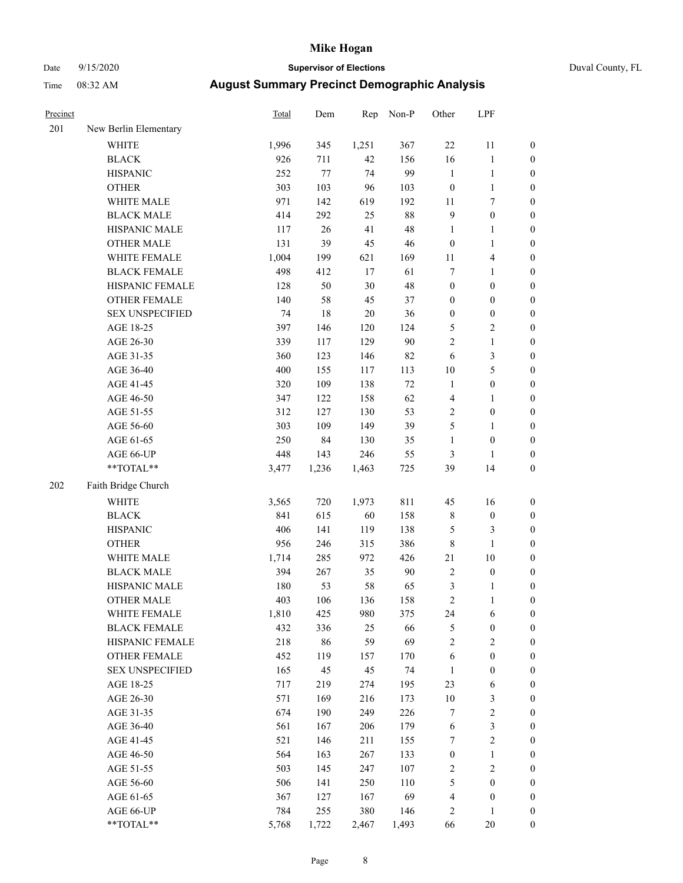# Date 9/15/2020 **Supervisor of Elections** Duval County, FL

| Precinct |                        | <b>Total</b> | Dem    | Rep    | Non-P  | Other            | LPF              |                  |
|----------|------------------------|--------------|--------|--------|--------|------------------|------------------|------------------|
| 201      | New Berlin Elementary  |              |        |        |        |                  |                  |                  |
|          | <b>WHITE</b>           | 1,996        | 345    | 1,251  | 367    | 22               | 11               | 0                |
|          | <b>BLACK</b>           | 926          | 711    | 42     | 156    | 16               | $\mathbf{1}$     | 0                |
|          | <b>HISPANIC</b>        | 252          | 77     | 74     | 99     | $\mathbf{1}$     | $\mathbf{1}$     | $\boldsymbol{0}$ |
|          | <b>OTHER</b>           | 303          | 103    | 96     | 103    | $\boldsymbol{0}$ | $\mathbf{1}$     | $\boldsymbol{0}$ |
|          | WHITE MALE             | 971          | 142    | 619    | 192    | $11\,$           | $\boldsymbol{7}$ | $\boldsymbol{0}$ |
|          | <b>BLACK MALE</b>      | 414          | 292    | 25     | $88\,$ | 9                | $\boldsymbol{0}$ | $\boldsymbol{0}$ |
|          | HISPANIC MALE          | 117          | 26     | 41     | 48     | $\mathbf{1}$     | $\mathbf{1}$     | $\boldsymbol{0}$ |
|          | <b>OTHER MALE</b>      | 131          | 39     | 45     | 46     | $\boldsymbol{0}$ | $\mathbf{1}$     | $\boldsymbol{0}$ |
|          | WHITE FEMALE           | 1,004        | 199    | 621    | 169    | $11\,$           | $\overline{4}$   | $\boldsymbol{0}$ |
|          | <b>BLACK FEMALE</b>    | 498          | 412    | $17\,$ | 61     | 7                | $\mathbf{1}$     | $\boldsymbol{0}$ |
|          | HISPANIC FEMALE        | 128          | 50     | 30     | 48     | $\boldsymbol{0}$ | $\boldsymbol{0}$ | $\boldsymbol{0}$ |
|          | OTHER FEMALE           | 140          | 58     | 45     | 37     | $\boldsymbol{0}$ | $\boldsymbol{0}$ | $\boldsymbol{0}$ |
|          | <b>SEX UNSPECIFIED</b> | 74           | $18\,$ | $20\,$ | 36     | $\boldsymbol{0}$ | $\boldsymbol{0}$ | $\boldsymbol{0}$ |
|          | AGE 18-25              | 397          | 146    | 120    | 124    | 5                | $\sqrt{2}$       | $\boldsymbol{0}$ |
|          | AGE 26-30              | 339          | 117    | 129    | 90     | $\overline{c}$   | $\mathbf{1}$     | $\boldsymbol{0}$ |
|          | AGE 31-35              | 360          | 123    | 146    | 82     | 6                | $\mathfrak{Z}$   | $\boldsymbol{0}$ |
|          | AGE 36-40              | 400          | 155    | 117    | 113    | $10\,$           | 5                | $\boldsymbol{0}$ |
|          | AGE 41-45              | 320          | 109    | 138    | $72\,$ | $\mathbf{1}$     | $\boldsymbol{0}$ | $\boldsymbol{0}$ |
|          | AGE 46-50              | 347          | 122    | 158    | 62     | 4                | $\mathbf{1}$     | $\boldsymbol{0}$ |
|          | AGE 51-55              | 312          | 127    | 130    | 53     | $\mathbf{2}$     | $\boldsymbol{0}$ | $\boldsymbol{0}$ |
|          | AGE 56-60              | 303          | 109    | 149    | 39     | 5                | 1                | 0                |
|          | AGE 61-65              | 250          | 84     | 130    | 35     | $\mathbf{1}$     | $\boldsymbol{0}$ | $\boldsymbol{0}$ |
|          | AGE 66-UP              | 448          | 143    | 246    | 55     | 3                | $\mathbf{1}$     | $\boldsymbol{0}$ |
|          | $**TOTAL**$            | 3,477        | 1,236  | 1,463  | 725    | 39               | 14               | $\boldsymbol{0}$ |
| 202      | Faith Bridge Church    |              |        |        |        |                  |                  |                  |
|          | <b>WHITE</b>           | 3,565        | 720    | 1,973  | 811    | 45               | 16               | $\boldsymbol{0}$ |
|          | <b>BLACK</b>           | 841          | 615    | 60     | 158    | 8                | $\boldsymbol{0}$ | $\boldsymbol{0}$ |
|          | <b>HISPANIC</b>        | 406          | 141    | 119    | 138    | 5                | $\mathfrak{Z}$   | $\boldsymbol{0}$ |
|          | <b>OTHER</b>           | 956          | 246    | 315    | 386    | 8                | $\mathbf{1}$     | $\boldsymbol{0}$ |
|          | WHITE MALE             | 1,714        | 285    | 972    | 426    | 21               | 10               | $\boldsymbol{0}$ |
|          | <b>BLACK MALE</b>      | 394          | 267    | 35     | 90     | $\overline{c}$   | $\boldsymbol{0}$ | $\boldsymbol{0}$ |
|          | HISPANIC MALE          | 180          | 53     | 58     | 65     | 3                | 1                | 0                |
|          | <b>OTHER MALE</b>      | 403          | 106    | 136    | 158    | $\overline{c}$   | $\mathbf{1}$     | $\boldsymbol{0}$ |
|          | WHITE FEMALE           | 1,810        | 425    | 980    | 375    | 24               | 6                | 0                |
|          | <b>BLACK FEMALE</b>    | 432          | 336    | 25     | 66     | 5                | $\boldsymbol{0}$ | $\overline{0}$   |
|          | HISPANIC FEMALE        | 218          | 86     | 59     | 69     | $\overline{c}$   | $\sqrt{2}$       | $\overline{0}$   |
|          | OTHER FEMALE           | 452          | 119    | 157    | 170    | 6                | $\boldsymbol{0}$ | 0                |
|          | <b>SEX UNSPECIFIED</b> | 165          | 45     | 45     | 74     | $\mathbf{1}$     | $\boldsymbol{0}$ | 0                |
|          | AGE 18-25              | 717          | 219    | 274    | 195    | 23               | 6                | 0                |
|          | AGE 26-30              | 571          | 169    | 216    | 173    | $10\,$           | 3                | 0                |
|          | AGE 31-35              | 674          | 190    | 249    | 226    | 7                | $\sqrt{2}$       | 0                |
|          | AGE 36-40              | 561          | 167    | 206    | 179    | 6                | 3                | 0                |
|          | AGE 41-45              | 521          | 146    | 211    | 155    | 7                | $\sqrt{2}$       | 0                |
|          | AGE 46-50              | 564          | 163    | 267    | 133    | $\boldsymbol{0}$ | $\mathbf{1}$     | 0                |
|          | AGE 51-55              | 503          | 145    | 247    | 107    | 2                | $\sqrt{2}$       | 0                |
|          | AGE 56-60              | 506          | 141    | 250    | 110    | 5                | $\boldsymbol{0}$ | 0                |
|          | AGE 61-65              | 367          | 127    | 167    | 69     | 4                | $\boldsymbol{0}$ | 0                |
|          | AGE 66-UP              | 784          | 255    | 380    | 146    | 2                | $\mathbf{1}$     | 0                |
|          | **TOTAL**              | 5,768        | 1,722  | 2,467  | 1,493  | 66               | 20               | $\boldsymbol{0}$ |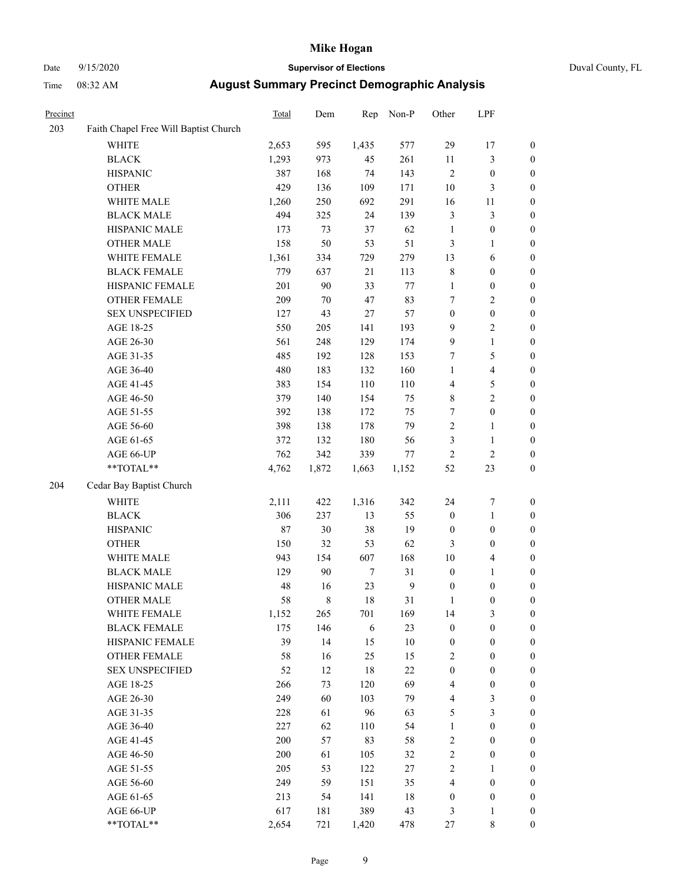### Date 9/15/2020 **Supervisor of Elections** Duval County, FL

| Precinct |                                       | Total | Dem         | Rep              | Non-P            | Other            | LPF              |                  |
|----------|---------------------------------------|-------|-------------|------------------|------------------|------------------|------------------|------------------|
| 203      | Faith Chapel Free Will Baptist Church |       |             |                  |                  |                  |                  |                  |
|          | <b>WHITE</b>                          | 2,653 | 595         | 1,435            | 577              | 29               | 17               | 0                |
|          | <b>BLACK</b>                          | 1,293 | 973         | 45               | 261              | $11\,$           | $\mathfrak{Z}$   | 0                |
|          | <b>HISPANIC</b>                       | 387   | 168         | 74               | 143              | $\sqrt{2}$       | $\boldsymbol{0}$ | $\boldsymbol{0}$ |
|          | <b>OTHER</b>                          | 429   | 136         | 109              | 171              | 10               | $\mathfrak{Z}$   | $\boldsymbol{0}$ |
|          | WHITE MALE                            | 1,260 | 250         | 692              | 291              | 16               | 11               | $\boldsymbol{0}$ |
|          | <b>BLACK MALE</b>                     | 494   | 325         | 24               | 139              | 3                | $\mathfrak{Z}$   | $\boldsymbol{0}$ |
|          | HISPANIC MALE                         | 173   | 73          | 37               | 62               | $\mathbf{1}$     | $\boldsymbol{0}$ | $\boldsymbol{0}$ |
|          | <b>OTHER MALE</b>                     | 158   | 50          | 53               | 51               | 3                | $\mathbf{1}$     | $\boldsymbol{0}$ |
|          | WHITE FEMALE                          | 1,361 | 334         | 729              | 279              | 13               | 6                | $\boldsymbol{0}$ |
|          | <b>BLACK FEMALE</b>                   | 779   | 637         | 21               | 113              | 8                | $\boldsymbol{0}$ | $\boldsymbol{0}$ |
|          | HISPANIC FEMALE                       | 201   | 90          | 33               | $77 \,$          | $\mathbf{1}$     | $\boldsymbol{0}$ | 0                |
|          | OTHER FEMALE                          | 209   | $70\,$      | 47               | 83               | $\boldsymbol{7}$ | $\sqrt{2}$       | $\boldsymbol{0}$ |
|          | <b>SEX UNSPECIFIED</b>                | 127   | 43          | $27\,$           | 57               | $\boldsymbol{0}$ | $\boldsymbol{0}$ | $\boldsymbol{0}$ |
|          | AGE 18-25                             | 550   | 205         | 141              | 193              | 9                | $\sqrt{2}$       | $\boldsymbol{0}$ |
|          | AGE 26-30                             | 561   | 248         | 129              | 174              | 9                | $\mathbf{1}$     | $\boldsymbol{0}$ |
|          | AGE 31-35                             | 485   | 192         | 128              | 153              | 7                | 5                | $\boldsymbol{0}$ |
|          | AGE 36-40                             | 480   | 183         | 132              | 160              | $\mathbf{1}$     | $\overline{4}$   | $\boldsymbol{0}$ |
|          | AGE 41-45                             | 383   | 154         | 110              | 110              | 4                | 5                | $\boldsymbol{0}$ |
|          | AGE 46-50                             | 379   | 140         | 154              | 75               | 8                | $\overline{c}$   | $\boldsymbol{0}$ |
|          | AGE 51-55                             | 392   | 138         | 172              | 75               | 7                | $\boldsymbol{0}$ | $\boldsymbol{0}$ |
|          | AGE 56-60                             | 398   | 138         | 178              | 79               | $\overline{c}$   | 1                | 0                |
|          | AGE 61-65                             | 372   | 132         | 180              | 56               | 3                | $\mathbf{1}$     | 0                |
|          | AGE 66-UP                             | 762   | 342         | 339              | $77\,$           | $\mathfrak{2}$   | $\sqrt{2}$       | $\boldsymbol{0}$ |
|          | $**TOTAL**$                           | 4,762 | 1,872       | 1,663            | 1,152            | 52               | 23               | $\boldsymbol{0}$ |
|          |                                       |       |             |                  |                  |                  |                  |                  |
| 204      | Cedar Bay Baptist Church              |       |             |                  |                  |                  |                  |                  |
|          | <b>WHITE</b>                          | 2,111 | 422         | 1,316            | 342              | 24               | $\boldsymbol{7}$ | $\boldsymbol{0}$ |
|          | <b>BLACK</b>                          | 306   | 237         | 13               | 55               | $\boldsymbol{0}$ | $\mathbf{1}$     | $\boldsymbol{0}$ |
|          | <b>HISPANIC</b>                       | 87    | 30          | 38               | 19               | $\boldsymbol{0}$ | $\boldsymbol{0}$ | $\boldsymbol{0}$ |
|          | <b>OTHER</b>                          | 150   | 32          | 53               | 62               | 3                | $\boldsymbol{0}$ | $\boldsymbol{0}$ |
|          | WHITE MALE                            | 943   | 154         | 607              | 168              | 10               | $\overline{4}$   | $\boldsymbol{0}$ |
|          | <b>BLACK MALE</b>                     | 129   | 90          | $\boldsymbol{7}$ | 31               | $\boldsymbol{0}$ | $\mathbf{1}$     | $\boldsymbol{0}$ |
|          | HISPANIC MALE                         | 48    | 16          | 23               | $\boldsymbol{9}$ | $\boldsymbol{0}$ | $\boldsymbol{0}$ | $\boldsymbol{0}$ |
|          | <b>OTHER MALE</b>                     | 58    | $\,$ 8 $\,$ | 18               | 31               | 1                | $\boldsymbol{0}$ | $\boldsymbol{0}$ |
|          | WHITE FEMALE                          | 1,152 | 265         | 701              | 169              | 14               | 3                | 0                |
|          | <b>BLACK FEMALE</b>                   | 175   | 146         | 6                | 23               | 0                | $\boldsymbol{0}$ | $\overline{0}$   |
|          | HISPANIC FEMALE                       | 39    | 14          | 15               | 10               | $\boldsymbol{0}$ | $\boldsymbol{0}$ | $\overline{0}$   |
|          | OTHER FEMALE                          | 58    | 16          | 25               | 15               | 2                | $\boldsymbol{0}$ | $\overline{0}$   |
|          | <b>SEX UNSPECIFIED</b>                | 52    | 12          | 18               | 22               | $\boldsymbol{0}$ | $\boldsymbol{0}$ | 0                |
|          | AGE 18-25                             | 266   | 73          | 120              | 69               | 4                | $\boldsymbol{0}$ | 0                |
|          | AGE 26-30                             | 249   | 60          | 103              | 79               | 4                | 3                | 0                |
|          | AGE 31-35                             | 228   | 61          | 96               | 63               | 5                | $\mathfrak{Z}$   | 0                |
|          | AGE 36-40                             | 227   | 62          | 110              | 54               | 1                | $\boldsymbol{0}$ | 0                |
|          | AGE 41-45                             | 200   | 57          | 83               | 58               | $\mathbf{2}$     | $\boldsymbol{0}$ | 0                |
|          | AGE 46-50                             | 200   | 61          | 105              | 32               | $\mathbf{2}$     | $\boldsymbol{0}$ | 0                |
|          | AGE 51-55                             | 205   | 53          | 122              | $27\,$           | $\overline{c}$   | 1                | 0                |
|          | AGE 56-60                             | 249   | 59          | 151              | 35               | 4                | $\boldsymbol{0}$ | 0                |
|          | AGE 61-65                             | 213   | 54          | 141              | 18               | $\boldsymbol{0}$ | $\boldsymbol{0}$ | $\overline{0}$   |
|          | AGE 66-UP                             | 617   | 181         | 389              | 43               | 3                | $\mathbf{1}$     | 0                |
|          | **TOTAL**                             | 2,654 | 721         | 1,420            | 478              | 27               | 8                | $\boldsymbol{0}$ |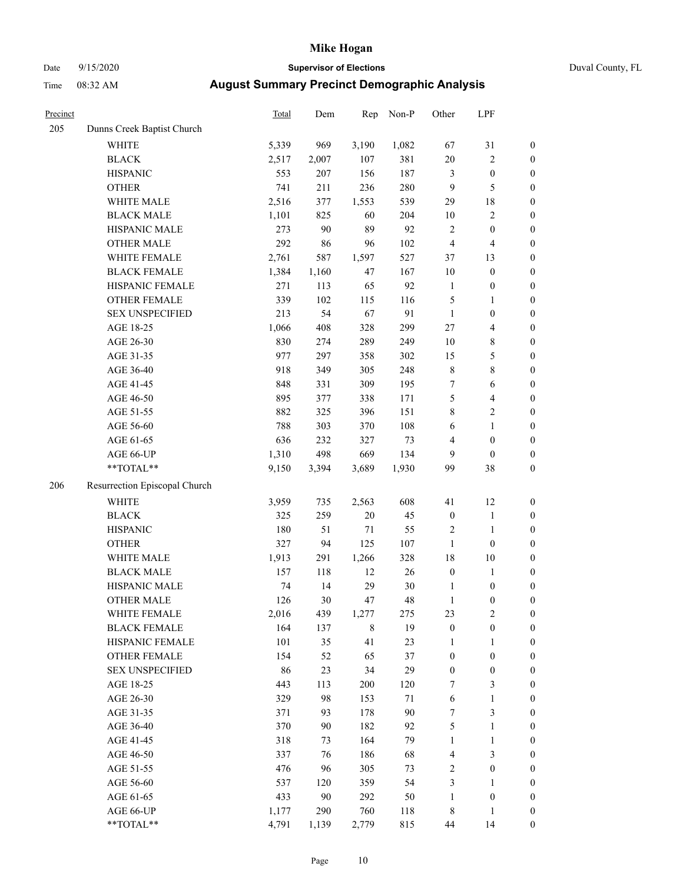### Date 9/15/2020 **Supervisor of Elections** Duval County, FL

| Precinct |                               | Total | Dem   | Rep         | Non-P  | Other            | LPF                     |                  |
|----------|-------------------------------|-------|-------|-------------|--------|------------------|-------------------------|------------------|
| 205      | Dunns Creek Baptist Church    |       |       |             |        |                  |                         |                  |
|          | WHITE                         | 5,339 | 969   | 3,190       | 1,082  | 67               | 31                      | 0                |
|          | <b>BLACK</b>                  | 2,517 | 2,007 | 107         | 381    | 20               | $\sqrt{2}$              | $\boldsymbol{0}$ |
|          | <b>HISPANIC</b>               | 553   | 207   | 156         | 187    | 3                | $\boldsymbol{0}$        | $\boldsymbol{0}$ |
|          | <b>OTHER</b>                  | 741   | 211   | 236         | 280    | 9                | 5                       | $\boldsymbol{0}$ |
|          | WHITE MALE                    | 2,516 | 377   | 1,553       | 539    | 29               | $18\,$                  | $\boldsymbol{0}$ |
|          | <b>BLACK MALE</b>             | 1,101 | 825   | 60          | 204    | $10\,$           | $\sqrt{2}$              | $\boldsymbol{0}$ |
|          | HISPANIC MALE                 | 273   | 90    | 89          | 92     | $\overline{c}$   | $\boldsymbol{0}$        | $\boldsymbol{0}$ |
|          | <b>OTHER MALE</b>             | 292   | 86    | 96          | 102    | $\overline{4}$   | $\overline{\mathbf{4}}$ | $\boldsymbol{0}$ |
|          | WHITE FEMALE                  | 2,761 | 587   | 1,597       | 527    | 37               | 13                      | $\boldsymbol{0}$ |
|          | <b>BLACK FEMALE</b>           | 1,384 | 1,160 | 47          | 167    | 10               | $\boldsymbol{0}$        | $\boldsymbol{0}$ |
|          | HISPANIC FEMALE               | 271   | 113   | 65          | 92     | $\mathbf{1}$     | $\boldsymbol{0}$        | 0                |
|          | OTHER FEMALE                  | 339   | 102   | 115         | 116    | 5                | $\mathbf{1}$            | $\boldsymbol{0}$ |
|          | <b>SEX UNSPECIFIED</b>        | 213   | 54    | 67          | 91     | $\mathbf{1}$     | $\boldsymbol{0}$        | $\boldsymbol{0}$ |
|          | AGE 18-25                     | 1,066 | 408   | 328         | 299    | 27               | $\overline{\mathbf{4}}$ | $\boldsymbol{0}$ |
|          | AGE 26-30                     | 830   | 274   | 289         | 249    | 10               | $\,$ 8 $\,$             | $\boldsymbol{0}$ |
|          | AGE 31-35                     | 977   | 297   | 358         | 302    | 15               | $\mathfrak{S}$          | $\boldsymbol{0}$ |
|          | AGE 36-40                     | 918   | 349   | 305         | 248    | $\,$ $\,$        | $\,$ 8 $\,$             | $\boldsymbol{0}$ |
|          | AGE 41-45                     | 848   | 331   | 309         | 195    | 7                | $\sqrt{6}$              | $\boldsymbol{0}$ |
|          | AGE 46-50                     | 895   | 377   | 338         | 171    | 5                | $\overline{\mathbf{4}}$ | $\boldsymbol{0}$ |
|          | AGE 51-55                     | 882   | 325   | 396         | 151    | 8                | $\sqrt{2}$              | $\boldsymbol{0}$ |
|          | AGE 56-60                     | 788   | 303   | 370         | 108    | 6                | $\mathbf{1}$            | 0                |
|          | AGE 61-65                     | 636   | 232   | 327         | 73     | 4                | $\boldsymbol{0}$        | $\boldsymbol{0}$ |
|          | AGE 66-UP                     | 1,310 | 498   | 669         | 134    | 9                | $\boldsymbol{0}$        | $\boldsymbol{0}$ |
|          | **TOTAL**                     | 9,150 | 3,394 | 3,689       | 1,930  | 99               | 38                      | $\boldsymbol{0}$ |
| 206      | Resurrection Episcopal Church |       |       |             |        |                  |                         |                  |
|          | <b>WHITE</b>                  | 3,959 | 735   | 2,563       | 608    | 41               | 12                      | $\boldsymbol{0}$ |
|          | <b>BLACK</b>                  | 325   | 259   | 20          | 45     | $\boldsymbol{0}$ | $\mathbf{1}$            | $\boldsymbol{0}$ |
|          | <b>HISPANIC</b>               | 180   | 51    | $71\,$      | 55     | $\overline{c}$   | $\mathbf{1}$            | $\boldsymbol{0}$ |
|          | <b>OTHER</b>                  | 327   | 94    | 125         | 107    | $\mathbf{1}$     | $\boldsymbol{0}$        | $\boldsymbol{0}$ |
|          | WHITE MALE                    | 1,913 | 291   | 1,266       | 328    | 18               | $10\,$                  | $\boldsymbol{0}$ |
|          | <b>BLACK MALE</b>             | 157   | 118   | 12          | 26     | $\boldsymbol{0}$ | $\mathbf{1}$            | $\boldsymbol{0}$ |
|          | HISPANIC MALE                 | 74    | 14    | 29          | 30     | 1                | $\boldsymbol{0}$        | 0                |
|          | <b>OTHER MALE</b>             | 126   | 30    | 47          | 48     | $\mathbf{1}$     | $\boldsymbol{0}$        | $\boldsymbol{0}$ |
|          | WHITE FEMALE                  | 2,016 | 439   | 1,277       | 275    | 23               | 2                       | 0                |
|          | <b>BLACK FEMALE</b>           | 164   | 137   | $\,$ 8 $\,$ | 19     | $\boldsymbol{0}$ | $\boldsymbol{0}$        | $\boldsymbol{0}$ |
|          | HISPANIC FEMALE               | 101   | 35    | 41          | 23     | 1                | $\mathbf{1}$            | $\boldsymbol{0}$ |
|          | OTHER FEMALE                  | 154   | 52    | 65          | 37     | $\boldsymbol{0}$ | $\boldsymbol{0}$        | $\overline{0}$   |
|          | <b>SEX UNSPECIFIED</b>        | 86    | 23    | 34          | 29     | $\boldsymbol{0}$ | $\boldsymbol{0}$        | 0                |
|          | AGE 18-25                     | 443   | 113   | 200         | 120    | 7                | $\mathfrak{Z}$          | 0                |
|          | AGE 26-30                     | 329   | 98    | 153         | $71\,$ | 6                | $\mathbf{1}$            | 0                |
|          | AGE 31-35                     | 371   | 93    | 178         | 90     | 7                | $\mathfrak{Z}$          | 0                |
|          | AGE 36-40                     | 370   | 90    | 182         | 92     | 5                | $\mathbf{1}$            | 0                |
|          | AGE 41-45                     | 318   | 73    | 164         | 79     | $\mathbf{1}$     | $\mathbf{1}$            | 0                |
|          | AGE 46-50                     | 337   | 76    | 186         | 68     | 4                | $\mathfrak{Z}$          | 0                |
|          | AGE 51-55                     | 476   | 96    | 305         | 73     | 2                | $\boldsymbol{0}$        | 0                |
|          | AGE 56-60                     | 537   | 120   | 359         | 54     | 3                | $\mathbf{1}$            | 0                |
|          | AGE 61-65                     | 433   | 90    | 292         | 50     | $\mathbf{1}$     | $\boldsymbol{0}$        | 0                |
|          | AGE 66-UP                     | 1,177 | 290   | 760         | 118    | 8                | $\mathbf{1}$            | 0                |
|          | **TOTAL**                     | 4,791 | 1,139 | 2,779       | 815    | 44               | 14                      | $\boldsymbol{0}$ |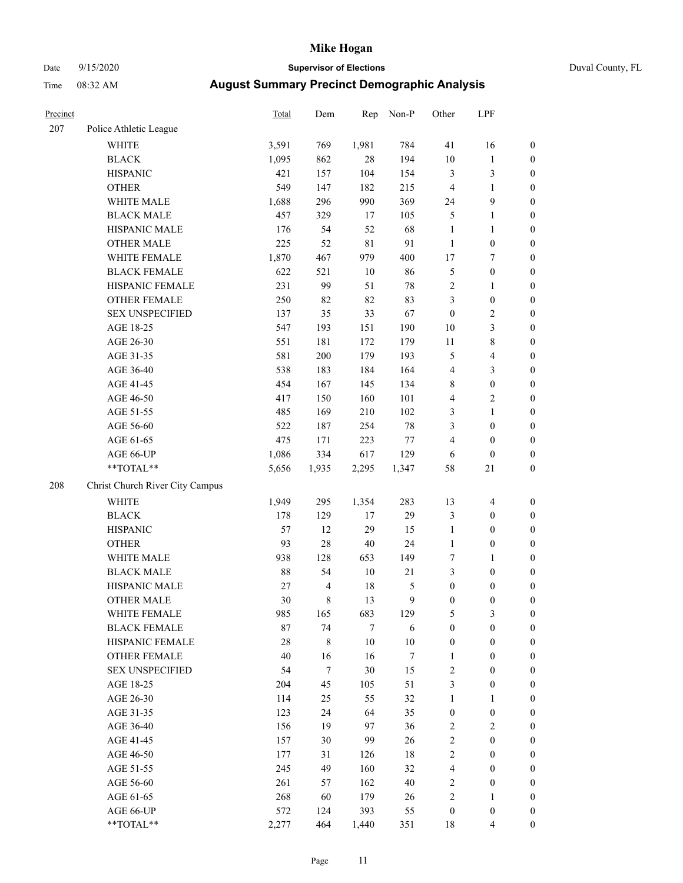### Date 9/15/2020 **Supervisor of Elections** Duval County, FL

| Precinct |                                 | Total  | Dem                      | Rep    | Non-P  | Other            | LPF                     |                  |
|----------|---------------------------------|--------|--------------------------|--------|--------|------------------|-------------------------|------------------|
| 207      | Police Athletic League          |        |                          |        |        |                  |                         |                  |
|          | <b>WHITE</b>                    | 3,591  | 769                      | 1,981  | 784    | 41               | 16                      | 0                |
|          | <b>BLACK</b>                    | 1,095  | 862                      | 28     | 194    | $10\,$           | $\mathbf{1}$            | $\boldsymbol{0}$ |
|          | <b>HISPANIC</b>                 | 421    | 157                      | 104    | 154    | 3                | $\mathfrak{Z}$          | $\boldsymbol{0}$ |
|          | <b>OTHER</b>                    | 549    | 147                      | 182    | 215    | 4                | $\mathbf{1}$            | $\boldsymbol{0}$ |
|          | WHITE MALE                      | 1,688  | 296                      | 990    | 369    | 24               | 9                       | $\boldsymbol{0}$ |
|          | <b>BLACK MALE</b>               | 457    | 329                      | 17     | 105    | 5                | $\mathbf{1}$            | $\boldsymbol{0}$ |
|          | HISPANIC MALE                   | 176    | 54                       | 52     | 68     | $\mathbf{1}$     | $\mathbf{1}$            | $\boldsymbol{0}$ |
|          | <b>OTHER MALE</b>               | 225    | 52                       | 81     | 91     | $\mathbf{1}$     | $\boldsymbol{0}$        | $\boldsymbol{0}$ |
|          | WHITE FEMALE                    | 1,870  | 467                      | 979    | 400    | 17               | $\boldsymbol{7}$        | $\boldsymbol{0}$ |
|          | <b>BLACK FEMALE</b>             | 622    | 521                      | $10\,$ | 86     | 5                | $\boldsymbol{0}$        | $\boldsymbol{0}$ |
|          | HISPANIC FEMALE                 | 231    | 99                       | 51     | 78     | $\sqrt{2}$       | $\mathbf{1}$            | $\boldsymbol{0}$ |
|          | <b>OTHER FEMALE</b>             | 250    | 82                       | 82     | 83     | 3                | $\boldsymbol{0}$        | $\boldsymbol{0}$ |
|          | <b>SEX UNSPECIFIED</b>          | 137    | 35                       | 33     | 67     | $\boldsymbol{0}$ | $\sqrt{2}$              | $\boldsymbol{0}$ |
|          | AGE 18-25                       | 547    | 193                      | 151    | 190    | $10\,$           | $\mathfrak{Z}$          | $\boldsymbol{0}$ |
|          | AGE 26-30                       | 551    | 181                      | 172    | 179    | $11\,$           | $\,$ 8 $\,$             | $\boldsymbol{0}$ |
|          | AGE 31-35                       | 581    | 200                      | 179    | 193    | 5                | $\overline{\mathbf{4}}$ | $\boldsymbol{0}$ |
|          | AGE 36-40                       | 538    | 183                      | 184    | 164    | 4                | $\mathfrak{Z}$          | $\boldsymbol{0}$ |
|          | AGE 41-45                       | 454    | 167                      | 145    | 134    | 8                | $\boldsymbol{0}$        | $\boldsymbol{0}$ |
|          | AGE 46-50                       | 417    | 150                      | 160    | 101    | 4                | $\overline{2}$          | $\boldsymbol{0}$ |
|          | AGE 51-55                       | 485    | 169                      | 210    | 102    | 3                | $\mathbf{1}$            | $\boldsymbol{0}$ |
|          | AGE 56-60                       | 522    | 187                      | 254    | $78\,$ | 3                | $\boldsymbol{0}$        | $\boldsymbol{0}$ |
|          | AGE 61-65                       | 475    | 171                      | 223    | $77\,$ | 4                | $\boldsymbol{0}$        | $\boldsymbol{0}$ |
|          | AGE 66-UP                       | 1,086  | 334                      | 617    | 129    | 6                | $\boldsymbol{0}$        | $\boldsymbol{0}$ |
|          | **TOTAL**                       | 5,656  | 1,935                    | 2,295  | 1,347  | 58               | $21\,$                  | $\boldsymbol{0}$ |
| 208      | Christ Church River City Campus |        |                          |        |        |                  |                         |                  |
|          | WHITE                           | 1,949  | 295                      | 1,354  | 283    | 13               | $\overline{\mathbf{4}}$ | $\boldsymbol{0}$ |
|          | <b>BLACK</b>                    | 178    | 129                      | 17     | 29     | 3                | $\boldsymbol{0}$        | $\boldsymbol{0}$ |
|          | <b>HISPANIC</b>                 | 57     | 12                       | 29     | 15     | $\mathbf{1}$     | $\boldsymbol{0}$        | $\boldsymbol{0}$ |
|          | <b>OTHER</b>                    | 93     | $28\,$                   | 40     | 24     | $\mathbf{1}$     | $\boldsymbol{0}$        | $\boldsymbol{0}$ |
|          | WHITE MALE                      | 938    | 128                      | 653    | 149    | 7                | $\mathbf{1}$            | $\boldsymbol{0}$ |
|          | <b>BLACK MALE</b>               | 88     | 54                       | $10\,$ | 21     | 3                | $\boldsymbol{0}$        | $\boldsymbol{0}$ |
|          | HISPANIC MALE                   | $27\,$ | $\overline{\mathcal{L}}$ | 18     | 5      | $\boldsymbol{0}$ | $\boldsymbol{0}$        | $\boldsymbol{0}$ |
|          | <b>OTHER MALE</b>               | 30     | 8                        | 13     | 9      | $\boldsymbol{0}$ | $\boldsymbol{0}$        | $\boldsymbol{0}$ |
|          | WHITE FEMALE                    | 985    | 165                      | 683    | 129    | 5                | 3                       | 0                |
|          | <b>BLACK FEMALE</b>             | 87     | 74                       | $\tau$ | 6      | $\boldsymbol{0}$ | $\boldsymbol{0}$        | $\overline{0}$   |
|          | HISPANIC FEMALE                 | 28     | 8                        | $10\,$ | $10\,$ | $\boldsymbol{0}$ | $\boldsymbol{0}$        | $\overline{0}$   |
|          | OTHER FEMALE                    | 40     | 16                       | 16     | 7      | $\mathbf{1}$     | $\boldsymbol{0}$        | $\overline{0}$   |
|          | <b>SEX UNSPECIFIED</b>          | 54     | $\tau$                   | 30     | 15     | 2                | $\boldsymbol{0}$        | 0                |
|          | AGE 18-25                       | 204    | 45                       | 105    | 51     | 3                | $\boldsymbol{0}$        | 0                |
|          | AGE 26-30                       | 114    | 25                       | 55     | 32     | $\mathbf{1}$     | $\mathbf{1}$            | 0                |
|          | AGE 31-35                       | 123    | 24                       | 64     | 35     | $\boldsymbol{0}$ | $\boldsymbol{0}$        | 0                |
|          | AGE 36-40                       | 156    | 19                       | 97     | 36     | 2                | $\sqrt{2}$              | 0                |
|          | AGE 41-45                       | 157    | 30                       | 99     | 26     | $\overline{c}$   | $\boldsymbol{0}$        | 0                |
|          | AGE 46-50                       | 177    | 31                       | 126    | 18     | 2                | $\boldsymbol{0}$        | 0                |
|          | AGE 51-55                       | 245    | 49                       | 160    | 32     | $\overline{4}$   | $\boldsymbol{0}$        | 0                |
|          | AGE 56-60                       | 261    | 57                       | 162    | $40\,$ | 2                | $\boldsymbol{0}$        | $\overline{0}$   |
|          | AGE 61-65                       | 268    | 60                       | 179    | 26     | 2                | $\mathbf{1}$            | $\overline{0}$   |
|          | AGE 66-UP                       | 572    | 124                      | 393    | 55     | $\boldsymbol{0}$ | $\boldsymbol{0}$        | 0                |
|          | **TOTAL**                       | 2,277  | 464                      | 1,440  | 351    | 18               | $\overline{4}$          | $\boldsymbol{0}$ |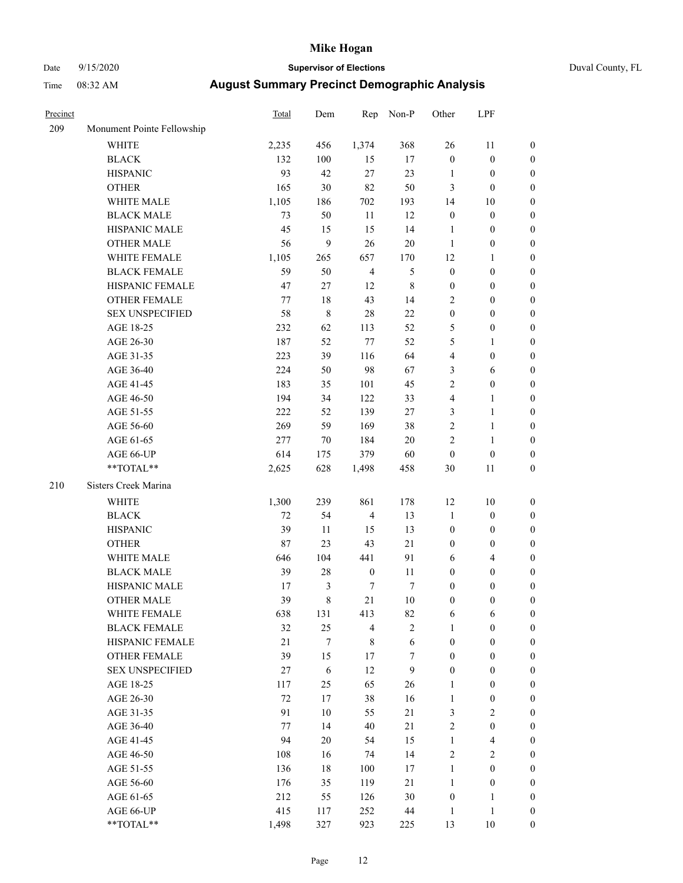### Date 9/15/2020 **Supervisor of Elections** Duval County, FL

| Precinct |                            | Total  | Dem              | Rep              | Non-P            | Other            | LPF              |                  |
|----------|----------------------------|--------|------------------|------------------|------------------|------------------|------------------|------------------|
| 209      | Monument Pointe Fellowship |        |                  |                  |                  |                  |                  |                  |
|          | <b>WHITE</b>               | 2,235  | 456              | 1,374            | 368              | 26               | 11               | 0                |
|          | <b>BLACK</b>               | 132    | 100              | 15               | 17               | $\boldsymbol{0}$ | $\boldsymbol{0}$ | 0                |
|          | <b>HISPANIC</b>            | 93     | 42               | 27               | 23               | $\mathbf{1}$     | $\boldsymbol{0}$ | $\boldsymbol{0}$ |
|          | <b>OTHER</b>               | 165    | 30               | 82               | 50               | 3                | $\boldsymbol{0}$ | $\boldsymbol{0}$ |
|          | WHITE MALE                 | 1,105  | 186              | 702              | 193              | 14               | 10               | $\boldsymbol{0}$ |
|          | <b>BLACK MALE</b>          | 73     | 50               | 11               | 12               | $\boldsymbol{0}$ | $\boldsymbol{0}$ | $\boldsymbol{0}$ |
|          | HISPANIC MALE              | 45     | 15               | 15               | 14               | $\mathbf{1}$     | $\boldsymbol{0}$ | $\boldsymbol{0}$ |
|          | <b>OTHER MALE</b>          | 56     | 9                | 26               | 20               | $\mathbf{1}$     | $\boldsymbol{0}$ | $\boldsymbol{0}$ |
|          | WHITE FEMALE               | 1,105  | 265              | 657              | 170              | 12               | 1                | $\boldsymbol{0}$ |
|          | <b>BLACK FEMALE</b>        | 59     | 50               | $\overline{4}$   | $\mathfrak s$    | $\boldsymbol{0}$ | $\boldsymbol{0}$ | 0                |
|          | HISPANIC FEMALE            | 47     | $27\,$           | 12               | $\,$ 8 $\,$      | $\boldsymbol{0}$ | $\boldsymbol{0}$ | 0                |
|          | OTHER FEMALE               | 77     | 18               | 43               | 14               | $\overline{c}$   | $\boldsymbol{0}$ | $\boldsymbol{0}$ |
|          | <b>SEX UNSPECIFIED</b>     | 58     | $\,$ 8 $\,$      | 28               | 22               | $\boldsymbol{0}$ | $\boldsymbol{0}$ | $\boldsymbol{0}$ |
|          | AGE 18-25                  | 232    | 62               | 113              | 52               | 5                | $\boldsymbol{0}$ | $\boldsymbol{0}$ |
|          | AGE 26-30                  | 187    | 52               | $77 \,$          | 52               | 5                | $\mathbf{1}$     | $\boldsymbol{0}$ |
|          | AGE 31-35                  | 223    | 39               | 116              | 64               | 4                | $\boldsymbol{0}$ | $\boldsymbol{0}$ |
|          | AGE 36-40                  | 224    | 50               | 98               | 67               | 3                | 6                | $\boldsymbol{0}$ |
|          | AGE 41-45                  | 183    | 35               | 101              | 45               | $\overline{c}$   | $\boldsymbol{0}$ | $\boldsymbol{0}$ |
|          | AGE 46-50                  | 194    | 34               | 122              | 33               | 4                | $\mathbf{1}$     | $\boldsymbol{0}$ |
|          | AGE 51-55                  | 222    | 52               | 139              | $27\,$           | 3                | $\mathbf{1}$     |                  |
|          | AGE 56-60                  | 269    | 59               | 169              | 38               | $\overline{c}$   |                  | 0                |
|          |                            | 277    | 70               | 184              | 20               | $\overline{c}$   | $\mathbf{1}$     | 0                |
|          | AGE 61-65                  |        |                  |                  |                  |                  | $\mathbf{1}$     | 0                |
|          | AGE 66-UP<br>$**TOTAL**$   | 614    | 175              | 379              | 60               | $\boldsymbol{0}$ | $\boldsymbol{0}$ | $\boldsymbol{0}$ |
|          |                            | 2,625  | 628              | 1,498            | 458              | 30               | 11               | $\boldsymbol{0}$ |
| 210      | Sisters Creek Marina       |        |                  |                  |                  |                  |                  |                  |
|          | <b>WHITE</b>               | 1,300  | 239              | 861              | 178              | 12               | 10               | $\boldsymbol{0}$ |
|          | <b>BLACK</b>               | $72\,$ | 54               | $\overline{4}$   | 13               | 1                | $\boldsymbol{0}$ | $\boldsymbol{0}$ |
|          | <b>HISPANIC</b>            | 39     | 11               | 15               | 13               | $\boldsymbol{0}$ | $\boldsymbol{0}$ | $\boldsymbol{0}$ |
|          | <b>OTHER</b>               | 87     | 23               | 43               | 21               | 0                | $\boldsymbol{0}$ | $\boldsymbol{0}$ |
|          | WHITE MALE                 | 646    | 104              | 441              | 91               | 6                | $\overline{4}$   | $\boldsymbol{0}$ |
|          | <b>BLACK MALE</b>          | 39     | 28               | $\boldsymbol{0}$ | 11               | $\boldsymbol{0}$ | $\boldsymbol{0}$ | $\boldsymbol{0}$ |
|          | HISPANIC MALE              | 17     | $\mathfrak{Z}$   | 7                | $\boldsymbol{7}$ | $\boldsymbol{0}$ | $\boldsymbol{0}$ | $\boldsymbol{0}$ |
|          | <b>OTHER MALE</b>          | 39     | $\,$ 8 $\,$      | 21               | 10               | $\boldsymbol{0}$ | $\boldsymbol{0}$ | $\boldsymbol{0}$ |
|          | WHITE FEMALE               | 638    | 131              | 413              | 82               | 6                | 6                | 0                |
|          | <b>BLACK FEMALE</b>        | 32     | 25               | $\overline{4}$   | $\overline{c}$   | 1                | $\boldsymbol{0}$ | $\overline{0}$   |
|          | HISPANIC FEMALE            | 21     | $\boldsymbol{7}$ | 8                | 6                | $\boldsymbol{0}$ | $\boldsymbol{0}$ | $\overline{0}$   |
|          | <b>OTHER FEMALE</b>        | 39     | 15               | 17               | 7                | $\boldsymbol{0}$ | $\boldsymbol{0}$ | $\overline{0}$   |
|          | <b>SEX UNSPECIFIED</b>     | 27     | 6                | 12               | 9                | $\boldsymbol{0}$ | $\boldsymbol{0}$ | $\overline{0}$   |
|          | AGE 18-25                  | 117    | 25               | 65               | 26               | 1                | $\boldsymbol{0}$ | $\theta$         |
|          | AGE 26-30                  | 72     | 17               | 38               | 16               | $\mathbf{1}$     | $\boldsymbol{0}$ | 0                |
|          | AGE 31-35                  | 91     | 10               | 55               | $21\,$           | 3                | $\sqrt{2}$       | 0                |
|          | AGE 36-40                  | 77     | 14               | 40               | 21               | 2                | $\boldsymbol{0}$ | 0                |
|          | AGE 41-45                  | 94     | 20               | 54               | 15               | $\mathbf{1}$     | $\overline{4}$   | 0                |
|          | AGE 46-50                  | 108    | 16               | 74               | 14               | 2                | $\mathbf{2}$     | 0                |
|          | AGE 51-55                  | 136    | 18               | 100              | 17               | $\mathbf{1}$     | $\boldsymbol{0}$ | $\overline{0}$   |
|          | AGE 56-60                  | 176    | 35               | 119              | 21               | $\mathbf{1}$     | $\boldsymbol{0}$ | $\overline{0}$   |
|          | AGE 61-65                  | 212    | 55               | 126              | 30               | $\boldsymbol{0}$ | $\mathbf{1}$     | $\overline{0}$   |
|          | AGE 66-UP                  | 415    | 117              | 252              | 44               | $\mathbf{1}$     | $\mathbf{1}$     | 0                |
|          | **TOTAL**                  | 1,498  | 327              | 923              | 225              | 13               | 10               | $\boldsymbol{0}$ |
|          |                            |        |                  |                  |                  |                  |                  |                  |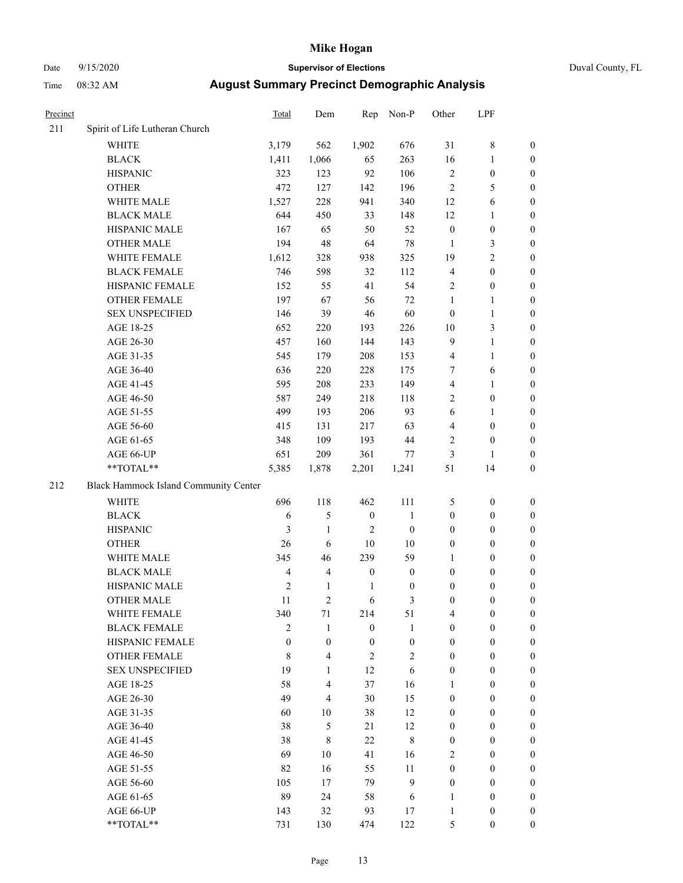### Date 9/15/2020 **Supervisor of Elections** Duval County, FL

| Precinct |                                       | Total          | Dem              | Rep              | Non-P            | Other            | LPF              |                  |
|----------|---------------------------------------|----------------|------------------|------------------|------------------|------------------|------------------|------------------|
| 211      | Spirit of Life Lutheran Church        |                |                  |                  |                  |                  |                  |                  |
|          | <b>WHITE</b>                          | 3,179          | 562              | 1,902            | 676              | 31               | $\,$ $\,$        | 0                |
|          | <b>BLACK</b>                          | 1,411          | 1,066            | 65               | 263              | 16               | $\mathbf{1}$     | 0                |
|          | <b>HISPANIC</b>                       | 323            | 123              | 92               | 106              | $\mathbf{2}$     | $\boldsymbol{0}$ | $\boldsymbol{0}$ |
|          | <b>OTHER</b>                          | 472            | 127              | 142              | 196              | $\mathbf{2}$     | 5                | $\boldsymbol{0}$ |
|          | WHITE MALE                            | 1,527          | 228              | 941              | 340              | 12               | 6                | $\boldsymbol{0}$ |
|          | <b>BLACK MALE</b>                     | 644            | 450              | 33               | 148              | 12               | 1                | $\boldsymbol{0}$ |
|          | HISPANIC MALE                         | 167            | 65               | 50               | 52               | $\boldsymbol{0}$ | $\boldsymbol{0}$ | $\boldsymbol{0}$ |
|          | <b>OTHER MALE</b>                     | 194            | 48               | 64               | 78               | $\mathbf{1}$     | 3                | $\boldsymbol{0}$ |
|          | WHITE FEMALE                          | 1,612          | 328              | 938              | 325              | 19               | $\overline{c}$   | $\boldsymbol{0}$ |
|          | <b>BLACK FEMALE</b>                   | 746            | 598              | 32               | 112              | 4                | $\boldsymbol{0}$ | 0                |
|          | HISPANIC FEMALE                       | 152            | 55               | 41               | 54               | $\mathbf{2}$     | $\boldsymbol{0}$ | 0                |
|          | OTHER FEMALE                          | 197            | 67               | 56               | 72               | $\mathbf{1}$     | $\mathbf{1}$     | $\boldsymbol{0}$ |
|          | <b>SEX UNSPECIFIED</b>                | 146            | 39               | 46               | 60               | $\boldsymbol{0}$ | $\mathbf{1}$     | $\boldsymbol{0}$ |
|          | AGE 18-25                             | 652            | 220              | 193              | 226              | $10\,$           | $\mathfrak{Z}$   | $\boldsymbol{0}$ |
|          | AGE 26-30                             | 457            | 160              | 144              | 143              | 9                | $\mathbf{1}$     | $\boldsymbol{0}$ |
|          | AGE 31-35                             | 545            | 179              | 208              | 153              | 4                | $\mathbf{1}$     | $\boldsymbol{0}$ |
|          | AGE 36-40                             | 636            | 220              | 228              | 175              | 7                | 6                | $\boldsymbol{0}$ |
|          | AGE 41-45                             | 595            | 208              | 233              | 149              | 4                | $\mathbf{1}$     | $\boldsymbol{0}$ |
|          | AGE 46-50                             | 587            | 249              | 218              | 118              | $\overline{c}$   | $\boldsymbol{0}$ | $\boldsymbol{0}$ |
|          | AGE 51-55                             | 499            | 193              | 206              | 93               | 6                | 1                | 0                |
|          | AGE 56-60                             | 415            | 131              | 217              | 63               | 4                | $\boldsymbol{0}$ | 0                |
|          | AGE 61-65                             | 348            | 109              | 193              | 44               | 2                | $\boldsymbol{0}$ | 0                |
|          | AGE 66-UP                             | 651            | 209              | 361              | 77               | 3                | $\mathbf{1}$     | $\boldsymbol{0}$ |
|          | $**TOTAL**$                           | 5,385          | 1,878            | 2,201            | 1,241            | 51               | 14               | $\boldsymbol{0}$ |
| 212      | Black Hammock Island Community Center |                |                  |                  |                  |                  |                  |                  |
|          | WHITE                                 | 696            | 118              | 462              | 111              | 5                | $\boldsymbol{0}$ | $\boldsymbol{0}$ |
|          | <b>BLACK</b>                          | 6              | $\mathfrak s$    | $\boldsymbol{0}$ | $\mathbf{1}$     | $\boldsymbol{0}$ | $\boldsymbol{0}$ | $\boldsymbol{0}$ |
|          | <b>HISPANIC</b>                       | 3              | $\mathbf{1}$     | 2                | $\boldsymbol{0}$ | $\boldsymbol{0}$ | $\boldsymbol{0}$ | $\boldsymbol{0}$ |
|          | <b>OTHER</b>                          | 26             | 6                | 10               | 10               | 0                | $\boldsymbol{0}$ | $\boldsymbol{0}$ |
|          | WHITE MALE                            | 345            | 46               | 239              | 59               | 1                | $\boldsymbol{0}$ | $\boldsymbol{0}$ |
|          | <b>BLACK MALE</b>                     | 4              | $\overline{4}$   | $\boldsymbol{0}$ | $\boldsymbol{0}$ | $\boldsymbol{0}$ | $\boldsymbol{0}$ | $\boldsymbol{0}$ |
|          | HISPANIC MALE                         | 2              | $\mathbf{1}$     | 1                | $\boldsymbol{0}$ | $\boldsymbol{0}$ | $\boldsymbol{0}$ | 0                |
|          | <b>OTHER MALE</b>                     | 11             | $\overline{2}$   | 6                | 3                | $\boldsymbol{0}$ | $\boldsymbol{0}$ | $\boldsymbol{0}$ |
|          | WHITE FEMALE                          | 340            | 71               | 214              | 51               | 4                | 0                | 0                |
|          | <b>BLACK FEMALE</b>                   | $\overline{c}$ | $\mathbf{1}$     | $\boldsymbol{0}$ | 1                | 0                | $\boldsymbol{0}$ | $\overline{0}$   |
|          | HISPANIC FEMALE                       | $\overline{0}$ | $\boldsymbol{0}$ | $\boldsymbol{0}$ | $\boldsymbol{0}$ | $\boldsymbol{0}$ | $\boldsymbol{0}$ | $\overline{0}$   |
|          | <b>OTHER FEMALE</b>                   | 8              | $\overline{4}$   | 2                | $\sqrt{2}$       | $\boldsymbol{0}$ | $\boldsymbol{0}$ | $\overline{0}$   |
|          | <b>SEX UNSPECIFIED</b>                | 19             | $\mathbf{1}$     | 12               | 6                | 0                | $\boldsymbol{0}$ | $\overline{0}$   |
|          | AGE 18-25                             | 58             | $\overline{4}$   | 37               | 16               | 1                | $\boldsymbol{0}$ | $\theta$         |
|          | AGE 26-30                             | 49             | $\overline{4}$   | 30               | 15               | 0                | $\boldsymbol{0}$ | $\overline{0}$   |
|          | AGE 31-35                             | 60             | $10\,$           | 38               | 12               | 0                | $\boldsymbol{0}$ | 0                |
|          | AGE 36-40                             | 38             | 5                | 21               | 12               | 0                | $\boldsymbol{0}$ | 0                |
|          | AGE 41-45                             | 38             | $\,$ 8 $\,$      | 22               | $\,$ 8 $\,$      | $\boldsymbol{0}$ | $\boldsymbol{0}$ | 0                |
|          | AGE 46-50                             | 69             | 10               | 41               | 16               | $\overline{c}$   | $\boldsymbol{0}$ | 0                |
|          | AGE 51-55                             | 82             | 16               | 55               | 11               | $\boldsymbol{0}$ | $\boldsymbol{0}$ | $\overline{0}$   |
|          | AGE 56-60                             | 105            | 17               | 79               | 9                | $\boldsymbol{0}$ | $\boldsymbol{0}$ | $\overline{0}$   |
|          | AGE 61-65                             | 89             | 24               | 58               | 6                | 1                | $\boldsymbol{0}$ | $\overline{0}$   |
|          | AGE 66-UP                             | 143            | 32               | 93               | 17               | 1                | $\boldsymbol{0}$ | $\boldsymbol{0}$ |
|          | **TOTAL**                             | 731            | 130              | 474              | 122              | 5                | $\boldsymbol{0}$ | $\overline{0}$   |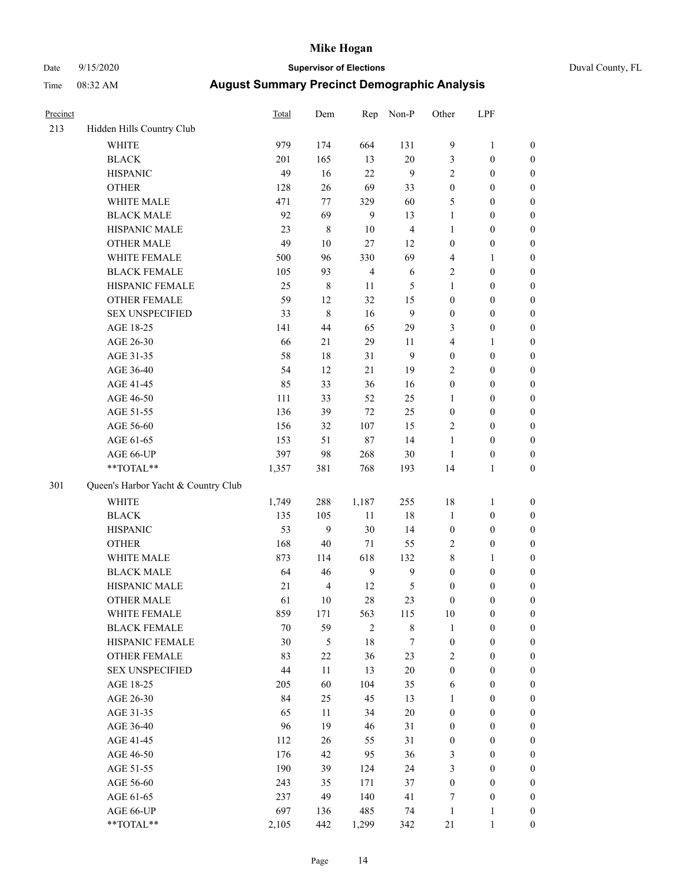# Date 9/15/2020 **Supervisor of Elections** Duval County, FL

| Precinct |                                     | <b>Total</b> | Dem                     | Rep                     | Non-P          | Other            | LPF              |                  |
|----------|-------------------------------------|--------------|-------------------------|-------------------------|----------------|------------------|------------------|------------------|
| 213      | Hidden Hills Country Club           |              |                         |                         |                |                  |                  |                  |
|          | <b>WHITE</b>                        | 979          | 174                     | 664                     | 131            | 9                | $\mathbf{1}$     | 0                |
|          | <b>BLACK</b>                        | 201          | 165                     | 13                      | $20\,$         | 3                | $\boldsymbol{0}$ | $\boldsymbol{0}$ |
|          | <b>HISPANIC</b>                     | 49           | 16                      | 22                      | 9              | 2                | $\boldsymbol{0}$ | $\boldsymbol{0}$ |
|          | <b>OTHER</b>                        | 128          | 26                      | 69                      | 33             | $\boldsymbol{0}$ | $\boldsymbol{0}$ | $\boldsymbol{0}$ |
|          | WHITE MALE                          | 471          | 77                      | 329                     | 60             | 5                | $\boldsymbol{0}$ | $\boldsymbol{0}$ |
|          | <b>BLACK MALE</b>                   | 92           | 69                      | 9                       | 13             | $\mathbf{1}$     | $\boldsymbol{0}$ | $\boldsymbol{0}$ |
|          | HISPANIC MALE                       | 23           | $\,$ 8 $\,$             | 10                      | $\overline{4}$ | 1                | $\boldsymbol{0}$ | $\boldsymbol{0}$ |
|          | <b>OTHER MALE</b>                   | 49           | 10                      | 27                      | 12             | $\boldsymbol{0}$ | $\boldsymbol{0}$ | $\boldsymbol{0}$ |
|          | WHITE FEMALE                        | 500          | 96                      | 330                     | 69             | 4                | 1                | $\boldsymbol{0}$ |
|          | <b>BLACK FEMALE</b>                 | 105          | 93                      | $\overline{\mathbf{4}}$ | $\sqrt{6}$     | 2                | $\boldsymbol{0}$ | $\boldsymbol{0}$ |
|          | HISPANIC FEMALE                     | 25           | $\,$ 8 $\,$             | 11                      | 5              | $\mathbf{1}$     | $\boldsymbol{0}$ | $\boldsymbol{0}$ |
|          | <b>OTHER FEMALE</b>                 | 59           | 12                      | 32                      | 15             | $\boldsymbol{0}$ | $\boldsymbol{0}$ | $\boldsymbol{0}$ |
|          | <b>SEX UNSPECIFIED</b>              | 33           | $\,8\,$                 | 16                      | 9              | $\boldsymbol{0}$ | $\boldsymbol{0}$ | $\boldsymbol{0}$ |
|          | AGE 18-25                           | 141          | 44                      | 65                      | 29             | 3                | $\boldsymbol{0}$ | $\boldsymbol{0}$ |
|          | AGE 26-30                           | 66           | 21                      | 29                      | 11             | 4                | $\mathbf{1}$     | $\boldsymbol{0}$ |
|          | AGE 31-35                           | 58           | 18                      | 31                      | 9              | $\boldsymbol{0}$ | $\boldsymbol{0}$ | $\boldsymbol{0}$ |
|          | AGE 36-40                           | 54           | 12                      | 21                      | 19             | 2                | $\boldsymbol{0}$ | $\boldsymbol{0}$ |
|          | AGE 41-45                           | 85           | 33                      | 36                      | 16             | $\boldsymbol{0}$ | $\boldsymbol{0}$ | $\boldsymbol{0}$ |
|          | AGE 46-50                           | 111          | 33                      | 52                      | 25             | $\mathbf{1}$     | $\boldsymbol{0}$ | $\boldsymbol{0}$ |
|          | AGE 51-55                           | 136          | 39                      | 72                      | 25             | $\boldsymbol{0}$ | $\boldsymbol{0}$ | $\boldsymbol{0}$ |
|          | AGE 56-60                           | 156          | 32                      | 107                     | 15             | 2                | $\boldsymbol{0}$ | 0                |
|          | AGE 61-65                           | 153          | 51                      | $87\,$                  | 14             | 1                | $\boldsymbol{0}$ | $\boldsymbol{0}$ |
|          | AGE 66-UP                           | 397          | 98                      | 268                     | $30\,$         | $\mathbf{1}$     | $\boldsymbol{0}$ | $\boldsymbol{0}$ |
|          | **TOTAL**                           | 1,357        | 381                     | 768                     | 193            | 14               | $\mathbf{1}$     | $\boldsymbol{0}$ |
| 301      | Queen's Harbor Yacht & Country Club |              |                         |                         |                |                  |                  |                  |
|          | <b>WHITE</b>                        | 1,749        | 288                     | 1,187                   | 255            | 18               | $\mathbf{1}$     | $\boldsymbol{0}$ |
|          | <b>BLACK</b>                        | 135          | 105                     | $11\,$                  | 18             | $\mathbf{1}$     | $\boldsymbol{0}$ | $\boldsymbol{0}$ |
|          | <b>HISPANIC</b>                     | 53           | 9                       | 30                      | 14             | $\boldsymbol{0}$ | $\boldsymbol{0}$ | $\boldsymbol{0}$ |
|          | <b>OTHER</b>                        | 168          | 40                      | 71                      | 55             | 2                | $\boldsymbol{0}$ | $\boldsymbol{0}$ |
|          | WHITE MALE                          | 873          | 114                     | 618                     | 132            | 8                | $\mathbf{1}$     | $\boldsymbol{0}$ |
|          | <b>BLACK MALE</b>                   | 64           | 46                      | $\boldsymbol{9}$        | $\mathbf{9}$   | $\boldsymbol{0}$ | $\boldsymbol{0}$ | $\boldsymbol{0}$ |
|          | HISPANIC MALE                       | 21           | $\overline{\mathbf{4}}$ | 12                      | $\mathfrak{S}$ | $\boldsymbol{0}$ | $\boldsymbol{0}$ | $\boldsymbol{0}$ |
|          | <b>OTHER MALE</b>                   | 61           | 10                      | 28                      | 23             | $\boldsymbol{0}$ | $\boldsymbol{0}$ | $\boldsymbol{0}$ |
|          | WHITE FEMALE                        | 859          | 171                     | 563                     | 115            | 10               | 0                | 0                |
|          | <b>BLACK FEMALE</b>                 | $70\,$       | 59                      | 2                       | $\,$ 8 $\,$    | $\mathbf{1}$     | $\boldsymbol{0}$ | $\overline{0}$   |
|          | HISPANIC FEMALE                     | 30           | 5                       | 18                      | 7              | $\boldsymbol{0}$ | $\boldsymbol{0}$ | $\overline{0}$   |
|          | <b>OTHER FEMALE</b>                 | 83           | $22\,$                  | 36                      | 23             | 2                | $\boldsymbol{0}$ | $\overline{0}$   |
|          | <b>SEX UNSPECIFIED</b>              | 44           | 11                      | 13                      | $20\,$         | $\boldsymbol{0}$ | $\boldsymbol{0}$ | $\overline{0}$   |
|          | AGE 18-25                           | 205          | 60                      | 104                     | 35             | 6                | $\boldsymbol{0}$ | $\overline{0}$   |
|          | AGE 26-30                           | 84           | 25                      | 45                      | 13             | $\mathbf{1}$     | $\boldsymbol{0}$ | 0                |
|          | AGE 31-35                           | 65           | 11                      | 34                      | $20\,$         | $\boldsymbol{0}$ | $\boldsymbol{0}$ | 0                |
|          | AGE 36-40                           | 96           | 19                      | 46                      | 31             | $\boldsymbol{0}$ | $\boldsymbol{0}$ | 0                |
|          | AGE 41-45                           | 112          | 26                      | 55                      | 31             | $\boldsymbol{0}$ | $\boldsymbol{0}$ | 0                |
|          | AGE 46-50                           | 176          | 42                      | 95                      | 36             | 3                | $\boldsymbol{0}$ | 0                |
|          | AGE 51-55                           | 190          | 39                      | 124                     | 24             | 3                | $\boldsymbol{0}$ | $\overline{0}$   |
|          | AGE 56-60                           | 243          | 35                      | 171                     | 37             | $\boldsymbol{0}$ | $\boldsymbol{0}$ | $\overline{0}$   |
|          | AGE 61-65                           | 237          | 49                      | 140                     | 41             | 7                | $\boldsymbol{0}$ | $\overline{0}$   |
|          | AGE 66-UP                           | 697          | 136                     | 485                     | 74             | $\mathbf{1}$     | $\mathbf{1}$     | 0                |
|          | **TOTAL**                           | 2,105        | 442                     | 1,299                   | 342            | 21               | $\mathbf{1}$     | $\boldsymbol{0}$ |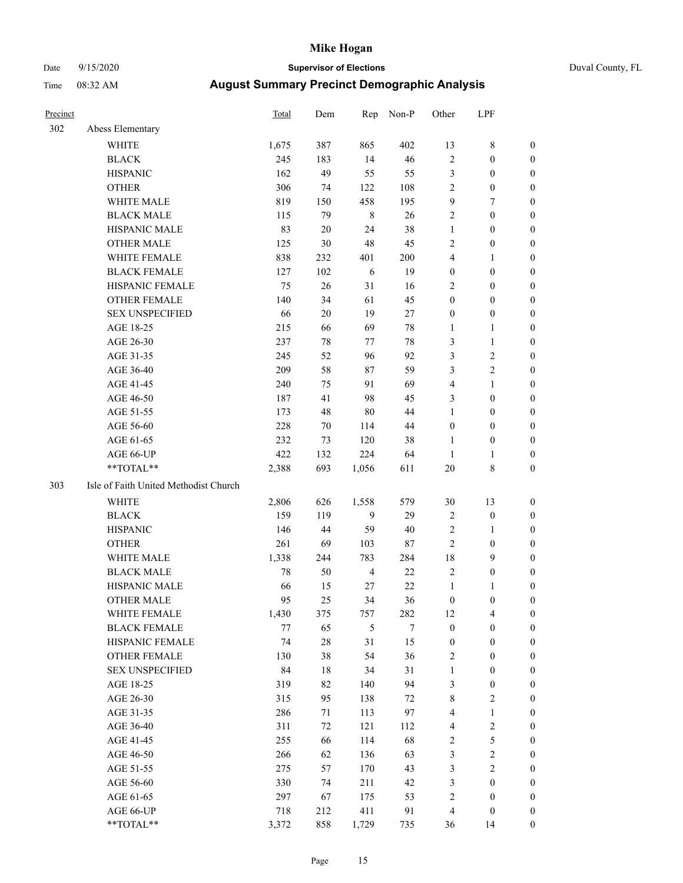### Date 9/15/2020 **Supervisor of Elections** Duval County, FL

| Precinct |                                       | <b>Total</b> | Dem    | Rep            | Non-P   | Other            | LPF              |                  |
|----------|---------------------------------------|--------------|--------|----------------|---------|------------------|------------------|------------------|
| 302      | Abess Elementary                      |              |        |                |         |                  |                  |                  |
|          | <b>WHITE</b>                          | 1,675        | 387    | 865            | 402     | 13               | $\,$ 8 $\,$      | 0                |
|          | <b>BLACK</b>                          | 245          | 183    | 14             | 46      | $\sqrt{2}$       | $\boldsymbol{0}$ | 0                |
|          | <b>HISPANIC</b>                       | 162          | 49     | 55             | 55      | 3                | $\boldsymbol{0}$ | $\boldsymbol{0}$ |
|          | <b>OTHER</b>                          | 306          | 74     | 122            | 108     | $\overline{c}$   | $\boldsymbol{0}$ | $\boldsymbol{0}$ |
|          | WHITE MALE                            | 819          | 150    | 458            | 195     | 9                | 7                | $\boldsymbol{0}$ |
|          | <b>BLACK MALE</b>                     | 115          | 79     | $\,8\,$        | 26      | $\overline{c}$   | $\boldsymbol{0}$ | $\boldsymbol{0}$ |
|          | HISPANIC MALE                         | 83           | 20     | 24             | 38      | $\mathbf{1}$     | $\boldsymbol{0}$ | $\boldsymbol{0}$ |
|          | <b>OTHER MALE</b>                     | 125          | 30     | 48             | 45      | 2                | $\boldsymbol{0}$ | $\boldsymbol{0}$ |
|          | WHITE FEMALE                          | 838          | 232    | 401            | $200\,$ | 4                | $\mathbf{1}$     | $\boldsymbol{0}$ |
|          | <b>BLACK FEMALE</b>                   | 127          | 102    | 6              | 19      | $\boldsymbol{0}$ | $\boldsymbol{0}$ | 0                |
|          | HISPANIC FEMALE                       | 75           | 26     | 31             | 16      | $\overline{2}$   | $\boldsymbol{0}$ | 0                |
|          | <b>OTHER FEMALE</b>                   | 140          | 34     | 61             | 45      | $\boldsymbol{0}$ | $\boldsymbol{0}$ | $\boldsymbol{0}$ |
|          | <b>SEX UNSPECIFIED</b>                | 66           | 20     | 19             | 27      | $\boldsymbol{0}$ | $\boldsymbol{0}$ | $\boldsymbol{0}$ |
|          | AGE 18-25                             | 215          | 66     | 69             | 78      | 1                | $\mathbf{1}$     | $\boldsymbol{0}$ |
|          | AGE 26-30                             | 237          | 78     | 77             | $78\,$  | 3                | $\mathbf{1}$     | $\boldsymbol{0}$ |
|          | AGE 31-35                             | 245          | 52     | 96             | 92      | 3                | $\sqrt{2}$       | $\boldsymbol{0}$ |
|          | AGE 36-40                             | 209          | 58     | $87\,$         | 59      | 3                | $\sqrt{2}$       | $\boldsymbol{0}$ |
|          | AGE 41-45                             | 240          | 75     | 91             | 69      | 4                | $\mathbf{1}$     | $\boldsymbol{0}$ |
|          | AGE 46-50                             | 187          | 41     | 98             | 45      | 3                | $\boldsymbol{0}$ | $\boldsymbol{0}$ |
|          | AGE 51-55                             | 173          | 48     | $80\,$         | 44      | $\mathbf{1}$     | $\boldsymbol{0}$ | 0                |
|          | AGE 56-60                             | 228          | 70     | 114            | 44      | $\boldsymbol{0}$ | $\boldsymbol{0}$ | 0                |
|          | AGE 61-65                             | 232          | 73     | 120            | 38      | $\mathbf{1}$     | $\boldsymbol{0}$ | 0                |
|          | AGE 66-UP                             | 422          | 132    | 224            | 64      | $\mathbf{1}$     | $\mathbf{1}$     | $\boldsymbol{0}$ |
|          | **TOTAL**                             | 2,388        | 693    | 1,056          | 611     | 20               | $\,$ 8 $\,$      | $\boldsymbol{0}$ |
| 303      | Isle of Faith United Methodist Church |              |        |                |         |                  |                  |                  |
|          | <b>WHITE</b>                          | 2,806        | 626    | 1,558          | 579     | 30               | 13               | $\boldsymbol{0}$ |
|          | <b>BLACK</b>                          | 159          | 119    | 9              | 29      | 2                | $\boldsymbol{0}$ | $\boldsymbol{0}$ |
|          | <b>HISPANIC</b>                       | 146          | 44     | 59             | 40      | 2                | $\mathbf{1}$     | $\boldsymbol{0}$ |
|          | <b>OTHER</b>                          | 261          | 69     | 103            | 87      | $\mathfrak{2}$   | $\boldsymbol{0}$ | $\boldsymbol{0}$ |
|          | <b>WHITE MALE</b>                     | 1,338        | 244    | 783            | 284     | 18               | 9                | $\boldsymbol{0}$ |
|          | <b>BLACK MALE</b>                     | 78           | 50     | $\overline{4}$ | 22      | $\overline{2}$   | $\boldsymbol{0}$ | $\boldsymbol{0}$ |
|          | HISPANIC MALE                         | 66           | 15     | 27             | $22\,$  | $\mathbf{1}$     | 1                | 0                |
|          | <b>OTHER MALE</b>                     | 95           | 25     | 34             | 36      | $\boldsymbol{0}$ | $\boldsymbol{0}$ | 0                |
|          | WHITE FEMALE                          | 1,430        | 375    | 757            | 282     | 12               | 4                | 0                |
|          | <b>BLACK FEMALE</b>                   | 77           | 65     | 5              | 7       | $\boldsymbol{0}$ | $\boldsymbol{0}$ | $\boldsymbol{0}$ |
|          | HISPANIC FEMALE                       | 74           | $28\,$ | 31             | 15      | $\boldsymbol{0}$ | $\boldsymbol{0}$ | $\overline{0}$   |
|          | OTHER FEMALE                          | 130          | 38     | 54             | 36      | 2                | $\boldsymbol{0}$ | $\overline{0}$   |
|          | <b>SEX UNSPECIFIED</b>                | 84           | 18     | 34             | 31      | $\mathbf{1}$     | $\boldsymbol{0}$ | 0                |
|          | AGE 18-25                             | 319          | 82     | 140            | 94      | 3                | $\boldsymbol{0}$ | 0                |
|          | AGE 26-30                             | 315          | 95     | 138            | 72      | 8                | $\overline{2}$   | 0                |
|          | AGE 31-35                             | 286          | 71     | 113            | 97      | 4                | $\mathbf{1}$     | 0                |
|          | AGE 36-40                             | 311          | 72     | 121            | 112     | 4                | $\sqrt{2}$       | 0                |
|          | AGE 41-45                             | 255          | 66     | 114            | 68      | $\sqrt{2}$       | 5                | 0                |
|          | AGE 46-50                             | 266          | 62     | 136            | 63      | 3                | $\sqrt{2}$       | 0                |
|          | AGE 51-55                             | 275          | 57     | 170            | 43      | 3                | $\overline{2}$   | $\overline{0}$   |
|          | AGE 56-60                             | 330          | 74     | 211            | 42      | 3                | $\boldsymbol{0}$ | $\boldsymbol{0}$ |
|          | AGE 61-65                             | 297          | 67     | 175            | 53      | $\overline{c}$   | $\boldsymbol{0}$ | $\boldsymbol{0}$ |
|          | AGE 66-UP                             | 718          | 212    | 411            | 91      | $\overline{4}$   | $\boldsymbol{0}$ | $\boldsymbol{0}$ |
|          | **TOTAL**                             | 3,372        | 858    | 1,729          | 735     | 36               | 14               | $\boldsymbol{0}$ |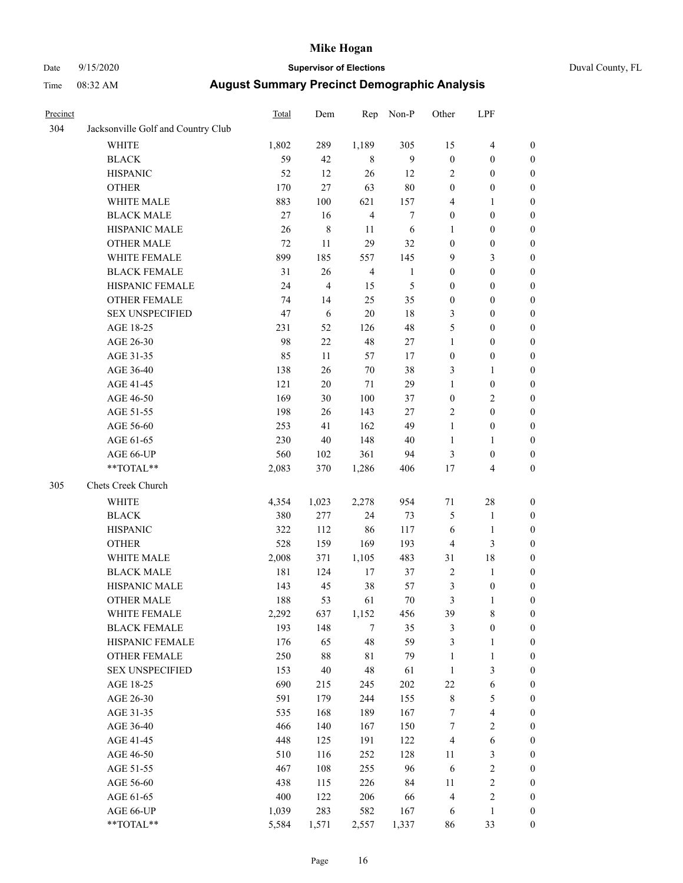### Date 9/15/2020 **Supervisor of Elections** Duval County, FL

| Precinct |                                    | Total | Dem            | Rep            | Non-P            | Other            | LPF                     |                  |
|----------|------------------------------------|-------|----------------|----------------|------------------|------------------|-------------------------|------------------|
| 304      | Jacksonville Golf and Country Club |       |                |                |                  |                  |                         |                  |
|          | <b>WHITE</b>                       | 1,802 | 289            | 1,189          | 305              | 15               | $\overline{4}$          | 0                |
|          | <b>BLACK</b>                       | 59    | 42             | 8              | 9                | $\boldsymbol{0}$ | $\boldsymbol{0}$        | 0                |
|          | <b>HISPANIC</b>                    | 52    | 12             | 26             | 12               | $\overline{2}$   | $\boldsymbol{0}$        | $\boldsymbol{0}$ |
|          | <b>OTHER</b>                       | 170   | 27             | 63             | $80\,$           | $\boldsymbol{0}$ | $\boldsymbol{0}$        | $\boldsymbol{0}$ |
|          | WHITE MALE                         | 883   | 100            | 621            | 157              | 4                | 1                       | $\boldsymbol{0}$ |
|          | <b>BLACK MALE</b>                  | 27    | 16             | $\overline{4}$ | $\boldsymbol{7}$ | $\boldsymbol{0}$ | $\boldsymbol{0}$        | $\boldsymbol{0}$ |
|          | HISPANIC MALE                      | 26    | $\,$ $\,$      | 11             | 6                | 1                | $\boldsymbol{0}$        | $\boldsymbol{0}$ |
|          | <b>OTHER MALE</b>                  | 72    | 11             | 29             | 32               | $\boldsymbol{0}$ | $\boldsymbol{0}$        | $\boldsymbol{0}$ |
|          | WHITE FEMALE                       | 899   | 185            | 557            | 145              | 9                | $\mathfrak{Z}$          | $\boldsymbol{0}$ |
|          | <b>BLACK FEMALE</b>                | 31    | 26             | $\overline{4}$ | $\mathbf{1}$     | $\boldsymbol{0}$ | $\boldsymbol{0}$        | 0                |
|          | HISPANIC FEMALE                    | 24    | $\overline{4}$ | 15             | 5                | $\boldsymbol{0}$ | $\boldsymbol{0}$        | 0                |
|          | OTHER FEMALE                       | 74    | 14             | 25             | 35               | $\boldsymbol{0}$ | $\boldsymbol{0}$        | 0                |
|          | <b>SEX UNSPECIFIED</b>             | 47    | 6              | 20             | $18\,$           | 3                | $\boldsymbol{0}$        | $\boldsymbol{0}$ |
|          | AGE 18-25                          | 231   | 52             | 126            | 48               | 5                | $\boldsymbol{0}$        | $\boldsymbol{0}$ |
|          | AGE 26-30                          | 98    | $22\,$         | 48             | 27               | $\mathbf{1}$     | $\boldsymbol{0}$        | $\boldsymbol{0}$ |
|          | AGE 31-35                          | 85    | 11             | 57             | 17               | $\boldsymbol{0}$ | $\boldsymbol{0}$        | $\boldsymbol{0}$ |
|          | AGE 36-40                          | 138   | 26             | $70\,$         | 38               | 3                | $\mathbf{1}$            | $\boldsymbol{0}$ |
|          | AGE 41-45                          | 121   | $20\,$         | 71             | 29               | $\mathbf{1}$     | $\boldsymbol{0}$        | $\boldsymbol{0}$ |
|          | AGE 46-50                          | 169   | 30             | 100            | 37               | $\boldsymbol{0}$ | $\mathbf{2}$            | $\boldsymbol{0}$ |
|          | AGE 51-55                          | 198   |                | 143            | 27               | $\sqrt{2}$       | $\boldsymbol{0}$        |                  |
|          | AGE 56-60                          | 253   | 26<br>41       | 162            | 49               |                  | $\boldsymbol{0}$        | $\boldsymbol{0}$ |
|          |                                    | 230   | 40             | 148            | 40               | $\mathbf{1}$     |                         | 0                |
|          | AGE 61-65                          |       |                |                |                  | $\mathbf{1}$     | $\mathbf{1}$            | 0                |
|          | AGE 66-UP<br>**TOTAL**             | 560   | 102            | 361            | 94               | 3                | $\boldsymbol{0}$        | $\boldsymbol{0}$ |
|          |                                    | 2,083 | 370            | 1,286          | 406              | $17$             | $\overline{\mathbf{4}}$ | $\boldsymbol{0}$ |
| 305      | Chets Creek Church                 |       |                |                |                  |                  |                         |                  |
|          | <b>WHITE</b>                       | 4,354 | 1,023          | 2,278          | 954              | 71               | $28\,$                  | $\boldsymbol{0}$ |
|          | <b>BLACK</b>                       | 380   | 277            | 24             | 73               | 5                | $\mathbf{1}$            | $\boldsymbol{0}$ |
|          | <b>HISPANIC</b>                    | 322   | 112            | 86             | 117              | 6                | $\mathbf{1}$            | $\boldsymbol{0}$ |
|          | <b>OTHER</b>                       | 528   | 159            | 169            | 193              | 4                | $\mathfrak{Z}$          | $\boldsymbol{0}$ |
|          | WHITE MALE                         | 2,008 | 371            | 1,105          | 483              | 31               | 18                      | $\boldsymbol{0}$ |
|          | <b>BLACK MALE</b>                  | 181   | 124            | 17             | 37               | $\mathbf{2}$     | $\mathbf{1}$            | $\boldsymbol{0}$ |
|          | HISPANIC MALE                      | 143   | 45             | 38             | 57               | 3                | $\boldsymbol{0}$        | 0                |
|          | <b>OTHER MALE</b>                  | 188   | 53             | 61             | $70\,$           | 3                | $\mathbf{1}$            | $\boldsymbol{0}$ |
|          | WHITE FEMALE                       | 2,292 | 637            | 1,152          | 456              | 39               | 8                       | 0                |
|          | <b>BLACK FEMALE</b>                | 193   | 148            | 7              | 35               | 3                | $\boldsymbol{0}$        | $\boldsymbol{0}$ |
|          | HISPANIC FEMALE                    | 176   | 65             | 48             | 59               | 3                | $\mathbf{1}$            | $\boldsymbol{0}$ |
|          | OTHER FEMALE                       | 250   | $88\,$         | $8\sqrt{1}$    | 79               | $\mathbf{1}$     | $\mathbf{1}$            | $\overline{0}$   |
|          | <b>SEX UNSPECIFIED</b>             | 153   | $40\,$         | 48             | 61               | $\mathbf{1}$     | $\mathfrak{Z}$          | 0                |
|          | AGE 18-25                          | 690   | 215            | 245            | 202              | 22               | $\sqrt{6}$              | 0                |
|          | AGE 26-30                          | 591   | 179            | 244            | 155              | $\,$ 8 $\,$      | $\mathfrak{S}$          | 0                |
|          | AGE 31-35                          | 535   | 168            | 189            | 167              | 7                | $\overline{\mathbf{4}}$ | 0                |
|          | AGE 36-40                          | 466   | 140            | 167            | 150              | 7                | $\sqrt{2}$              | 0                |
|          | AGE 41-45                          | 448   | 125            | 191            | 122              | $\overline{4}$   | $\sqrt{6}$              | 0                |
|          | AGE 46-50                          | 510   | 116            | 252            | 128              | 11               | $\mathfrak{Z}$          | 0                |
|          | AGE 51-55                          | 467   | 108            | 255            | 96               | 6                | $\sqrt{2}$              | $\boldsymbol{0}$ |
|          | AGE 56-60                          | 438   | 115            | 226            | 84               | 11               | $\sqrt{2}$              | $\boldsymbol{0}$ |
|          | AGE 61-65                          | 400   | 122            | 206            | 66               | 4                | $\sqrt{2}$              | $\boldsymbol{0}$ |
|          | AGE 66-UP                          | 1,039 | 283            | 582            | 167              | 6                | $\mathbf{1}$            | $\boldsymbol{0}$ |
|          | **TOTAL**                          | 5,584 | 1,571          | 2,557          | 1,337            | 86               | 33                      | $\boldsymbol{0}$ |
|          |                                    |       |                |                |                  |                  |                         |                  |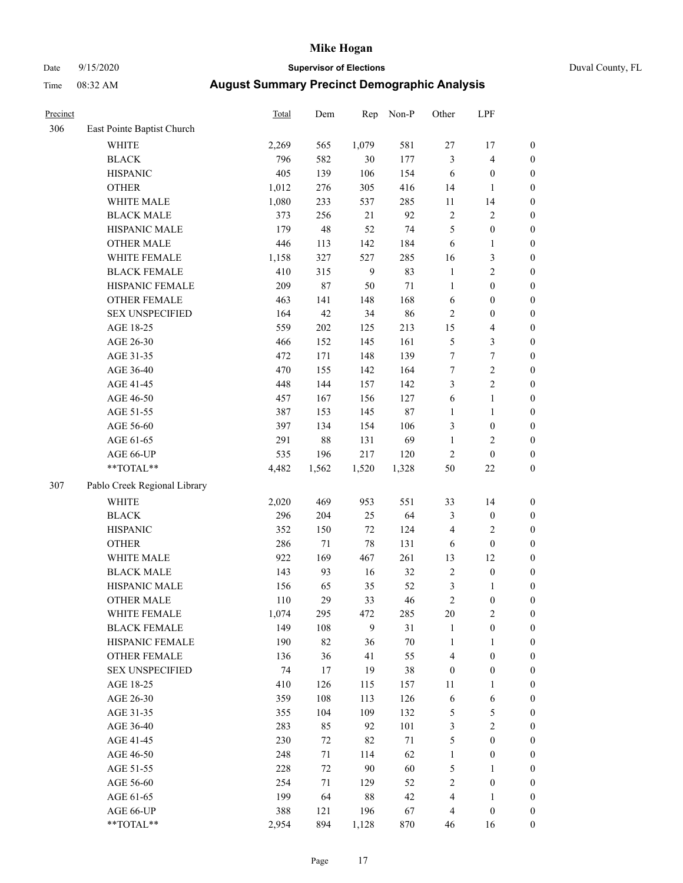### Date 9/15/2020 **Supervisor of Elections** Duval County, FL

| Precinct |                              | Total | Dem    | Rep          | Non-P  | Other            | LPF              |                  |
|----------|------------------------------|-------|--------|--------------|--------|------------------|------------------|------------------|
| 306      | East Pointe Baptist Church   |       |        |              |        |                  |                  |                  |
|          | <b>WHITE</b>                 | 2,269 | 565    | 1,079        | 581    | $27\,$           | 17               | 0                |
|          | <b>BLACK</b>                 | 796   | 582    | 30           | 177    | 3                | $\overline{4}$   | $\boldsymbol{0}$ |
|          | <b>HISPANIC</b>              | 405   | 139    | 106          | 154    | 6                | $\boldsymbol{0}$ | $\boldsymbol{0}$ |
|          | <b>OTHER</b>                 | 1,012 | 276    | 305          | 416    | 14               | $\mathbf{1}$     | $\boldsymbol{0}$ |
|          | WHITE MALE                   | 1,080 | 233    | 537          | 285    | 11               | 14               | $\boldsymbol{0}$ |
|          | <b>BLACK MALE</b>            | 373   | 256    | 21           | 92     | $\overline{c}$   | $\sqrt{2}$       | $\boldsymbol{0}$ |
|          | HISPANIC MALE                | 179   | 48     | 52           | 74     | 5                | $\boldsymbol{0}$ | $\boldsymbol{0}$ |
|          | <b>OTHER MALE</b>            | 446   | 113    | 142          | 184    | 6                | $\mathbf{1}$     | $\boldsymbol{0}$ |
|          | WHITE FEMALE                 | 1,158 | 327    | 527          | 285    | 16               | $\mathfrak z$    | $\boldsymbol{0}$ |
|          | <b>BLACK FEMALE</b>          | 410   | 315    | $\mathbf{9}$ | 83     | $\mathbf{1}$     | $\sqrt{2}$       | $\boldsymbol{0}$ |
|          | HISPANIC FEMALE              | 209   | $87\,$ | 50           | $71\,$ | $\mathbf{1}$     | $\boldsymbol{0}$ | $\boldsymbol{0}$ |
|          | <b>OTHER FEMALE</b>          | 463   | 141    | 148          | 168    | $\sqrt{6}$       | $\boldsymbol{0}$ | $\boldsymbol{0}$ |
|          | <b>SEX UNSPECIFIED</b>       | 164   | 42     | 34           | 86     | $\sqrt{2}$       | $\boldsymbol{0}$ | $\boldsymbol{0}$ |
|          | AGE 18-25                    | 559   | 202    | 125          | 213    | 15               | $\overline{4}$   | $\boldsymbol{0}$ |
|          | AGE 26-30                    | 466   | 152    | 145          | 161    | 5                | $\mathfrak{Z}$   | $\boldsymbol{0}$ |
|          | AGE 31-35                    | 472   | 171    | 148          | 139    | $\boldsymbol{7}$ | $\boldsymbol{7}$ | $\boldsymbol{0}$ |
|          | AGE 36-40                    | 470   | 155    | 142          | 164    | $\boldsymbol{7}$ | $\sqrt{2}$       | $\boldsymbol{0}$ |
|          | AGE 41-45                    | 448   | 144    | 157          | 142    | 3                | $\overline{c}$   | $\boldsymbol{0}$ |
|          | AGE 46-50                    | 457   | 167    | 156          | 127    | $\sqrt{6}$       | $\mathbf{1}$     | $\boldsymbol{0}$ |
|          | AGE 51-55                    | 387   | 153    | 145          | $87\,$ | $\mathbf{1}$     | $\mathbf{1}$     | $\boldsymbol{0}$ |
|          | AGE 56-60                    | 397   | 134    | 154          | 106    | 3                | $\boldsymbol{0}$ | 0                |
|          | AGE 61-65                    | 291   | $88\,$ | 131          | 69     | $\mathbf{1}$     | $\overline{2}$   | $\boldsymbol{0}$ |
|          | AGE 66-UP                    | 535   | 196    | 217          | 120    | $\sqrt{2}$       | $\boldsymbol{0}$ | $\boldsymbol{0}$ |
|          | $**TOTAL**$                  | 4,482 | 1,562  | 1,520        | 1,328  | 50               | $22\,$           | $\boldsymbol{0}$ |
| 307      | Pablo Creek Regional Library |       |        |              |        |                  |                  |                  |
|          | <b>WHITE</b>                 | 2,020 | 469    | 953          | 551    | 33               | 14               | $\boldsymbol{0}$ |
|          | <b>BLACK</b>                 | 296   | 204    | 25           | 64     | 3                | $\boldsymbol{0}$ | $\boldsymbol{0}$ |
|          | <b>HISPANIC</b>              | 352   | 150    | $72\,$       | 124    | 4                | $\mathfrak{2}$   | $\boldsymbol{0}$ |
|          | <b>OTHER</b>                 | 286   | 71     | 78           | 131    | 6                | $\boldsymbol{0}$ | $\boldsymbol{0}$ |
|          | WHITE MALE                   | 922   | 169    | 467          | 261    | 13               | 12               | $\boldsymbol{0}$ |
|          | <b>BLACK MALE</b>            | 143   | 93     | 16           | 32     | $\sqrt{2}$       | $\boldsymbol{0}$ | $\boldsymbol{0}$ |
|          | HISPANIC MALE                | 156   | 65     | 35           | 52     | 3                | 1                | $\boldsymbol{0}$ |
|          | <b>OTHER MALE</b>            | 110   | 29     | 33           | 46     | $\overline{c}$   | $\boldsymbol{0}$ | $\boldsymbol{0}$ |
|          | WHITE FEMALE                 | 1,074 | 295    | 472          | 285    | 20               | $\overline{c}$   | 0                |
|          | <b>BLACK FEMALE</b>          | 149   | 108    | 9            | 31     | $\mathbf{1}$     | $\boldsymbol{0}$ | $\boldsymbol{0}$ |
|          | HISPANIC FEMALE              | 190   | 82     | 36           | $70\,$ | $\mathbf{1}$     | 1                | $\overline{0}$   |
|          | <b>OTHER FEMALE</b>          | 136   | 36     | 41           | 55     | 4                | $\boldsymbol{0}$ | $\overline{0}$   |
|          | <b>SEX UNSPECIFIED</b>       | 74    | 17     | 19           | 38     | $\boldsymbol{0}$ | $\boldsymbol{0}$ | 0                |
|          | AGE 18-25                    | 410   | 126    | 115          | 157    | 11               | $\mathbf{1}$     | $\overline{0}$   |
|          | AGE 26-30                    | 359   | 108    | 113          | 126    | 6                | 6                | 0                |
|          | AGE 31-35                    | 355   | 104    | 109          | 132    | 5                | 5                | 0                |
|          | AGE 36-40                    | 283   | 85     | 92           | 101    | 3                | $\sqrt{2}$       | 0                |
|          | AGE 41-45                    | 230   | 72     | 82           | $71\,$ | 5                | $\boldsymbol{0}$ | 0                |
|          | AGE 46-50                    | 248   | 71     | 114          | 62     | $\mathbf{1}$     | $\boldsymbol{0}$ | 0                |
|          | AGE 51-55                    | 228   | 72     | 90           | 60     | 5                | $\mathbf{1}$     | 0                |
|          | AGE 56-60                    | 254   | 71     | 129          | 52     | 2                | $\boldsymbol{0}$ | $\boldsymbol{0}$ |
|          | AGE 61-65                    | 199   | 64     | 88           | 42     | 4                | 1                | $\boldsymbol{0}$ |
|          | AGE 66-UP                    | 388   | 121    | 196          | 67     | 4                | $\boldsymbol{0}$ | 0                |
|          | **TOTAL**                    | 2,954 | 894    | 1,128        | 870    | 46               | 16               | $\boldsymbol{0}$ |
|          |                              |       |        |              |        |                  |                  |                  |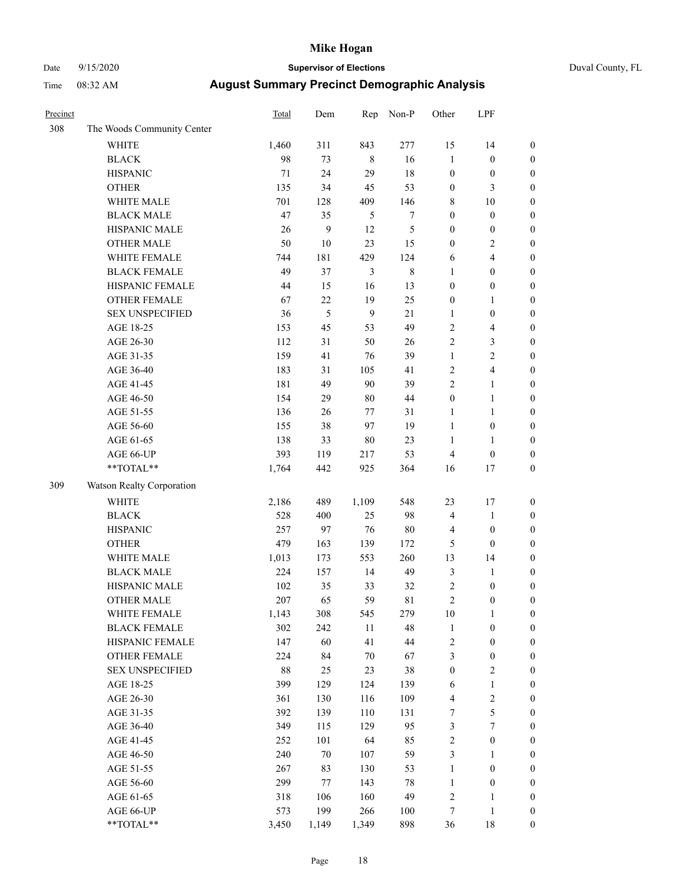### Date 9/15/2020 **Supervisor of Elections** Duval County, FL

| Precinct |                            | <b>Total</b> | Dem              | Rep            | Non-P            | Other            | LPF              |                  |
|----------|----------------------------|--------------|------------------|----------------|------------------|------------------|------------------|------------------|
| 308      | The Woods Community Center |              |                  |                |                  |                  |                  |                  |
|          | <b>WHITE</b>               | 1,460        | 311              | 843            | 277              | 15               | 14               | 0                |
|          | <b>BLACK</b>               | 98           | 73               | $\,8\,$        | 16               | $\mathbf{1}$     | $\boldsymbol{0}$ | $\boldsymbol{0}$ |
|          | <b>HISPANIC</b>            | 71           | 24               | 29             | 18               | $\boldsymbol{0}$ | $\boldsymbol{0}$ | $\boldsymbol{0}$ |
|          | <b>OTHER</b>               | 135          | 34               | 45             | 53               | $\boldsymbol{0}$ | 3                | $\boldsymbol{0}$ |
|          | WHITE MALE                 | 701          | 128              | 409            | 146              | 8                | 10               | $\boldsymbol{0}$ |
|          | <b>BLACK MALE</b>          | 47           | 35               | 5              | $\boldsymbol{7}$ | $\boldsymbol{0}$ | $\boldsymbol{0}$ | $\boldsymbol{0}$ |
|          | HISPANIC MALE              | 26           | $\boldsymbol{9}$ | 12             | 5                | $\boldsymbol{0}$ | $\boldsymbol{0}$ | $\boldsymbol{0}$ |
|          | <b>OTHER MALE</b>          | 50           | $10\,$           | 23             | 15               | $\boldsymbol{0}$ | $\mathfrak{2}$   | $\boldsymbol{0}$ |
|          | WHITE FEMALE               | 744          | 181              | 429            | 124              | 6                | $\overline{4}$   | $\boldsymbol{0}$ |
|          | <b>BLACK FEMALE</b>        | 49           | 37               | $\mathfrak{Z}$ | $\,$ 8 $\,$      | 1                | $\boldsymbol{0}$ | $\boldsymbol{0}$ |
|          | HISPANIC FEMALE            | 44           | 15               | 16             | 13               | $\boldsymbol{0}$ | $\boldsymbol{0}$ | $\boldsymbol{0}$ |
|          | <b>OTHER FEMALE</b>        | 67           | $22\,$           | 19             | 25               | $\boldsymbol{0}$ | $\mathbf{1}$     | $\boldsymbol{0}$ |
|          | <b>SEX UNSPECIFIED</b>     | 36           | $\mathfrak s$    | 9              | 21               | $\mathbf{1}$     | $\boldsymbol{0}$ | $\boldsymbol{0}$ |
|          | AGE 18-25                  | 153          | 45               | 53             | 49               | 2                | $\overline{4}$   | $\boldsymbol{0}$ |
|          | AGE 26-30                  | 112          | 31               | 50             | 26               | 2                | $\mathfrak{Z}$   | $\boldsymbol{0}$ |
|          | AGE 31-35                  | 159          | 41               | 76             | 39               | $\mathbf{1}$     | $\sqrt{2}$       | $\boldsymbol{0}$ |
|          | AGE 36-40                  | 183          | 31               | 105            | 41               | 2                | $\overline{4}$   | $\boldsymbol{0}$ |
|          | AGE 41-45                  | 181          | 49               | 90             | 39               | $\overline{2}$   | $\mathbf{1}$     | $\boldsymbol{0}$ |
|          | AGE 46-50                  | 154          | 29               | $80\,$         | 44               | $\boldsymbol{0}$ | $\mathbf{1}$     | $\boldsymbol{0}$ |
|          | AGE 51-55                  | 136          | 26               | 77             | 31               | 1                | $\mathbf{1}$     | $\boldsymbol{0}$ |
|          | AGE 56-60                  | 155          | 38               | 97             | 19               | $\mathbf{1}$     | $\boldsymbol{0}$ | 0                |
|          | AGE 61-65                  | 138          | 33               | $80\,$         | 23               | 1                | $\mathbf{1}$     | 0                |
|          | AGE 66-UP                  | 393          | 119              | 217            | 53               | 4                | $\boldsymbol{0}$ | $\boldsymbol{0}$ |
|          | **TOTAL**                  | 1,764        | 442              | 925            | 364              | 16               | 17               | $\boldsymbol{0}$ |
| 309      | Watson Realty Corporation  |              |                  |                |                  |                  |                  |                  |
|          | <b>WHITE</b>               | 2,186        | 489              | 1,109          | 548              | 23               | 17               | $\boldsymbol{0}$ |
|          | <b>BLACK</b>               | 528          | 400              | 25             | 98               | 4                | $\mathbf{1}$     | $\boldsymbol{0}$ |
|          | <b>HISPANIC</b>            | 257          | 97               | 76             | $80\,$           | 4                | $\boldsymbol{0}$ | $\boldsymbol{0}$ |
|          | <b>OTHER</b>               | 479          | 163              | 139            | 172              | 5                | $\boldsymbol{0}$ | $\boldsymbol{0}$ |
|          | WHITE MALE                 | 1,013        | 173              | 553            | 260              | 13               | 14               | $\boldsymbol{0}$ |
|          | <b>BLACK MALE</b>          | 224          | 157              | 14             | 49               | $\mathfrak{Z}$   | $\mathbf{1}$     | $\boldsymbol{0}$ |
|          | HISPANIC MALE              | 102          | 35               | 33             | 32               | 2                | $\boldsymbol{0}$ | $\boldsymbol{0}$ |
|          | <b>OTHER MALE</b>          | 207          | 65               | 59             | 81               | $\overline{c}$   | $\boldsymbol{0}$ | $\boldsymbol{0}$ |
|          | WHITE FEMALE               | 1,143        | 308              | 545            | 279              | 10               | 1                | 0                |
|          | <b>BLACK FEMALE</b>        | 302          | 242              | 11             | 48               | $\mathbf{1}$     | $\boldsymbol{0}$ | $\boldsymbol{0}$ |
|          | HISPANIC FEMALE            | 147          | 60               | 41             | $44\,$           | $\overline{c}$   | $\boldsymbol{0}$ | $\overline{0}$   |
|          | <b>OTHER FEMALE</b>        | 224          | 84               | $70\,$         | 67               | 3                | $\boldsymbol{0}$ | $\overline{0}$   |
|          | <b>SEX UNSPECIFIED</b>     | $88\,$       | 25               | 23             | 38               | $\boldsymbol{0}$ | $\mathfrak{2}$   | 0                |
|          | AGE 18-25                  | 399          | 129              | 124            | 139              | 6                | $\mathbf{1}$     | 0                |
|          | AGE 26-30                  | 361          | 130              | 116            | 109              | 4                | $\sqrt{2}$       | 0                |
|          | AGE 31-35                  | 392          | 139              | 110            | 131              | 7                | 5                | 0                |
|          | AGE 36-40                  | 349          | 115              | 129            | 95               | 3                | $\boldsymbol{7}$ | 0                |
|          | AGE 41-45                  | 252          | 101              | 64             | 85               | $\overline{c}$   | $\boldsymbol{0}$ | 0                |
|          | AGE 46-50                  | 240          | 70               | 107            | 59               | 3                | 1                | 0                |
|          | AGE 51-55                  | 267          | 83               | 130            | 53               | $\mathbf{1}$     | $\boldsymbol{0}$ | 0                |
|          | AGE 56-60                  | 299          | 77               | 143            | $78\,$           | $\mathbf{1}$     | $\boldsymbol{0}$ | $\overline{0}$   |
|          | AGE 61-65                  | 318          | 106              | 160            | 49               | 2                | 1                | $\boldsymbol{0}$ |
|          | AGE 66-UP                  | 573          | 199              | 266            | 100              | 7                | $\mathbf{1}$     | 0                |
|          | **TOTAL**                  | 3,450        | 1,149            | 1,349          | 898              | 36               | 18               | $\boldsymbol{0}$ |
|          |                            |              |                  |                |                  |                  |                  |                  |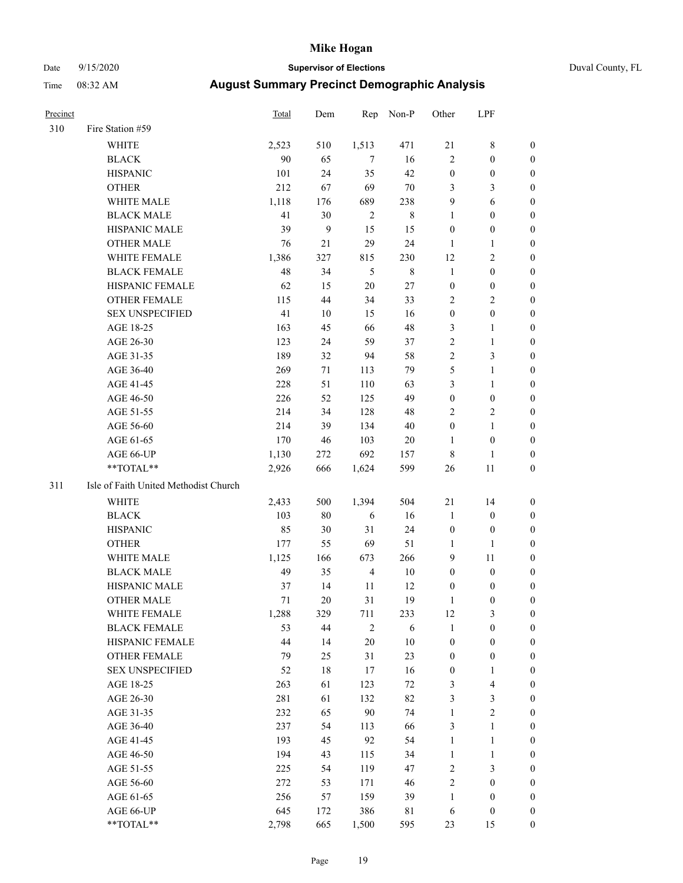#### Date 9/15/2020 **Supervisor of Elections** Duval County, FL

| Precinct |                                       | <b>Total</b> | Dem          | Rep            | Non-P       | Other            | LPF                     |                  |
|----------|---------------------------------------|--------------|--------------|----------------|-------------|------------------|-------------------------|------------------|
| 310      | Fire Station #59                      |              |              |                |             |                  |                         |                  |
|          | <b>WHITE</b>                          | 2,523        | 510          | 1,513          | 471         | 21               | $\,$ 8 $\,$             | 0                |
|          | <b>BLACK</b>                          | 90           | 65           | 7              | 16          | $\mathbf{2}$     | $\boldsymbol{0}$        | 0                |
|          | <b>HISPANIC</b>                       | 101          | 24           | 35             | 42          | $\boldsymbol{0}$ | $\boldsymbol{0}$        | 0                |
|          | <b>OTHER</b>                          | 212          | 67           | 69             | $70\,$      | 3                | 3                       | $\boldsymbol{0}$ |
|          | WHITE MALE                            | 1,118        | 176          | 689            | 238         | 9                | 6                       | $\boldsymbol{0}$ |
|          | <b>BLACK MALE</b>                     | 41           | 30           | $\sqrt{2}$     | $\,8\,$     | $\mathbf{1}$     | $\boldsymbol{0}$        | 0                |
|          | HISPANIC MALE                         | 39           | $\mathbf{9}$ | 15             | 15          | $\boldsymbol{0}$ | $\boldsymbol{0}$        | $\boldsymbol{0}$ |
|          | <b>OTHER MALE</b>                     | 76           | 21           | 29             | 24          | $\mathbf{1}$     | $\mathbf{1}$            | $\boldsymbol{0}$ |
|          | WHITE FEMALE                          | 1,386        | 327          | 815            | 230         | 12               | $\overline{2}$          | 0                |
|          | <b>BLACK FEMALE</b>                   | 48           | 34           | 5              | $\,$ 8 $\,$ | $\mathbf{1}$     | $\boldsymbol{0}$        | 0                |
|          | HISPANIC FEMALE                       | 62           | 15           | 20             | 27          | $\boldsymbol{0}$ | $\boldsymbol{0}$        | 0                |
|          | OTHER FEMALE                          | 115          | 44           | 34             | 33          | 2                | $\sqrt{2}$              | 0                |
|          | <b>SEX UNSPECIFIED</b>                | 41           | 10           | 15             | 16          | $\boldsymbol{0}$ | $\boldsymbol{0}$        | $\boldsymbol{0}$ |
|          | AGE 18-25                             | 163          | 45           | 66             | 48          | 3                | $\mathbf{1}$            | $\boldsymbol{0}$ |
|          | AGE 26-30                             | 123          | 24           | 59             | 37          | 2                | $\mathbf{1}$            | $\boldsymbol{0}$ |
|          | AGE 31-35                             | 189          | 32           | 94             | 58          | $\overline{c}$   | $\mathfrak{Z}$          | $\boldsymbol{0}$ |
|          | AGE 36-40                             | 269          | 71           | 113            | 79          | 5                | $\mathbf{1}$            | $\boldsymbol{0}$ |
|          | AGE 41-45                             | 228          | 51           | 110            | 63          | 3                | $\mathbf{1}$            | $\boldsymbol{0}$ |
|          | AGE 46-50                             | 226          | 52           | 125            | 49          | $\boldsymbol{0}$ | $\boldsymbol{0}$        | 0                |
|          | AGE 51-55                             | 214          | 34           | 128            | 48          | 2                | $\sqrt{2}$              | 0                |
|          | AGE 56-60                             | 214          | 39           | 134            | 40          | $\boldsymbol{0}$ | $\mathbf{1}$            | 0                |
|          | AGE 61-65                             | 170          | 46           | 103            | 20          | 1                | $\boldsymbol{0}$        | 0                |
|          | AGE 66-UP                             | 1,130        | 272          | 692            | 157         | 8                | 1                       | 0                |
|          | **TOTAL**                             | 2,926        | 666          | 1,624          | 599         | 26               | 11                      | $\boldsymbol{0}$ |
| 311      | Isle of Faith United Methodist Church |              |              |                |             |                  |                         |                  |
|          | <b>WHITE</b>                          | 2,433        | 500          | 1,394          | 504         | 21               | 14                      | $\boldsymbol{0}$ |
|          | <b>BLACK</b>                          | 103          | $80\,$       | 6              | 16          | $\mathbf{1}$     | $\boldsymbol{0}$        | $\boldsymbol{0}$ |
|          | <b>HISPANIC</b>                       | 85           | 30           | 31             | 24          | $\boldsymbol{0}$ | $\boldsymbol{0}$        | 0                |
|          | <b>OTHER</b>                          | 177          | 55           | 69             | 51          | $\mathbf{1}$     | $\mathbf{1}$            | $\boldsymbol{0}$ |
|          | WHITE MALE                            | 1,125        | 166          | 673            | 266         | 9                | 11                      | $\boldsymbol{0}$ |
|          | <b>BLACK MALE</b>                     | 49           | 35           | $\overline{4}$ | $10\,$      | $\boldsymbol{0}$ | $\boldsymbol{0}$        | 0                |
|          | HISPANIC MALE                         | 37           | 14           | 11             | 12          | $\boldsymbol{0}$ | $\boldsymbol{0}$        | 0                |
|          | <b>OTHER MALE</b>                     | 71           | 20           | 31             | 19          | 1                | $\boldsymbol{0}$        | 0                |
|          | WHITE FEMALE                          | 1,288        | 329          | 711            | 233         | 12               | 3                       | 0                |
|          | <b>BLACK FEMALE</b>                   | 53           | 44           | 2              | 6           | $\mathbf{1}$     | $\boldsymbol{0}$        | $\overline{0}$   |
|          | HISPANIC FEMALE                       | 44           | 14           | 20             | $10\,$      | $\boldsymbol{0}$ | $\boldsymbol{0}$        | 0                |
|          | OTHER FEMALE                          | 79           | 25           | 31             | 23          | $\boldsymbol{0}$ | $\boldsymbol{0}$        | 0                |
|          | <b>SEX UNSPECIFIED</b>                | 52           | $18\,$       | 17             | 16          | $\boldsymbol{0}$ | $\mathbf{1}$            | 0                |
|          | AGE 18-25                             | 263          | 61           | 123            | 72          | 3                | $\overline{\mathbf{4}}$ | 0                |
|          | AGE 26-30                             | 281          | 61           | 132            | 82          | 3                | $\mathfrak{Z}$          | 0                |
|          | AGE 31-35                             | 232          | 65           | 90             | 74          | $\mathbf{1}$     | $\overline{2}$          | 0                |
|          | AGE 36-40                             | 237          | 54           | 113            | 66          | 3                | $\mathbf{1}$            | 0                |
|          | AGE 41-45                             | 193          | 45           | 92             | 54          | $\mathbf{1}$     | $\mathbf{1}$            | 0                |
|          | AGE 46-50                             | 194          | 43           | 115            | 34          | $\mathbf{1}$     | $\mathbf{1}$            | 0                |
|          | AGE 51-55                             | 225          | 54           | 119            | 47          | 2                | $\mathfrak{Z}$          | 0                |
|          | AGE 56-60                             | 272          | 53           | 171            | 46          | 2                | $\boldsymbol{0}$        | 0                |
|          | AGE 61-65                             | 256          | 57           | 159            | 39          | $\mathbf{1}$     | $\boldsymbol{0}$        | 0                |
|          | AGE 66-UP                             | 645          | 172          | 386            | $8\sqrt{1}$ | 6                | $\boldsymbol{0}$        | 0                |
|          | **TOTAL**                             | 2,798        | 665          | 1,500          | 595         | 23               | 15                      | $\boldsymbol{0}$ |
|          |                                       |              |              |                |             |                  |                         |                  |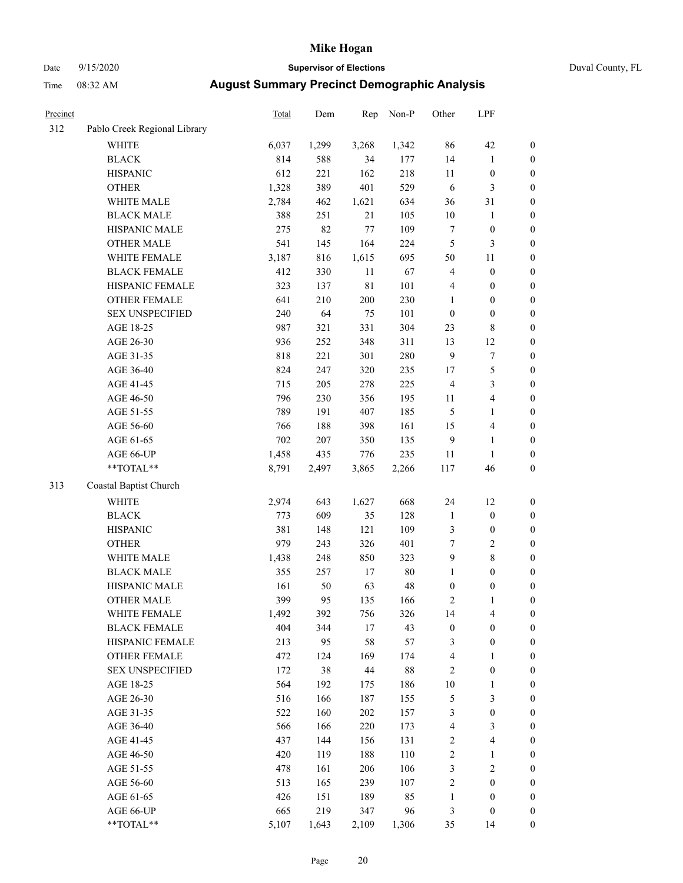# Date 9/15/2020 **Supervisor of Elections** Duval County, FL

| Precinct |                              | Total | Dem   | Rep         | Non-P | Other            | LPF              |                  |
|----------|------------------------------|-------|-------|-------------|-------|------------------|------------------|------------------|
| 312      | Pablo Creek Regional Library |       |       |             |       |                  |                  |                  |
|          | <b>WHITE</b>                 | 6,037 | 1,299 | 3,268       | 1,342 | 86               | 42               | 0                |
|          | <b>BLACK</b>                 | 814   | 588   | 34          | 177   | 14               | $\mathbf{1}$     | $\boldsymbol{0}$ |
|          | <b>HISPANIC</b>              | 612   | 221   | 162         | 218   | $11\,$           | $\boldsymbol{0}$ | $\boldsymbol{0}$ |
|          | <b>OTHER</b>                 | 1,328 | 389   | 401         | 529   | 6                | $\mathfrak{Z}$   | $\boldsymbol{0}$ |
|          | WHITE MALE                   | 2,784 | 462   | 1,621       | 634   | 36               | 31               | $\boldsymbol{0}$ |
|          | <b>BLACK MALE</b>            | 388   | 251   | 21          | 105   | $10\,$           | 1                | $\boldsymbol{0}$ |
|          | HISPANIC MALE                | 275   | 82    | $77\,$      | 109   | 7                | $\boldsymbol{0}$ | $\boldsymbol{0}$ |
|          | <b>OTHER MALE</b>            | 541   | 145   | 164         | 224   | 5                | 3                | $\boldsymbol{0}$ |
|          | WHITE FEMALE                 | 3,187 | 816   | 1,615       | 695   | 50               | $11\,$           | $\boldsymbol{0}$ |
|          | <b>BLACK FEMALE</b>          | 412   | 330   | $11\,$      | 67    | 4                | $\boldsymbol{0}$ | $\boldsymbol{0}$ |
|          | HISPANIC FEMALE              | 323   | 137   | $8\sqrt{1}$ | 101   | 4                | $\boldsymbol{0}$ | 0                |
|          | OTHER FEMALE                 | 641   | 210   | 200         | 230   | $\mathbf{1}$     | $\boldsymbol{0}$ | $\boldsymbol{0}$ |
|          | <b>SEX UNSPECIFIED</b>       | 240   | 64    | 75          | 101   | $\boldsymbol{0}$ | $\boldsymbol{0}$ | $\boldsymbol{0}$ |
|          | AGE 18-25                    | 987   | 321   | 331         | 304   | 23               | $\,$ 8 $\,$      | $\boldsymbol{0}$ |
|          | AGE 26-30                    | 936   | 252   | 348         | 311   | 13               | 12               | $\boldsymbol{0}$ |
|          | AGE 31-35                    | 818   | 221   | 301         | 280   | 9                | $\sqrt{ }$       | $\boldsymbol{0}$ |
|          | AGE 36-40                    | 824   | 247   | 320         | 235   | 17               | 5                | $\boldsymbol{0}$ |
|          | AGE 41-45                    | 715   | 205   | 278         | 225   | $\overline{4}$   | 3                | $\boldsymbol{0}$ |
|          | AGE 46-50                    | 796   | 230   | 356         | 195   | 11               | $\overline{4}$   | $\boldsymbol{0}$ |
|          | AGE 51-55                    | 789   | 191   | 407         | 185   | 5                | $\mathbf{1}$     | $\boldsymbol{0}$ |
|          | AGE 56-60                    | 766   | 188   | 398         | 161   | 15               | $\overline{4}$   | 0                |
|          | AGE 61-65                    | 702   | 207   | 350         | 135   | 9                | $\mathbf{1}$     | $\boldsymbol{0}$ |
|          | AGE 66-UP                    | 1,458 | 435   | 776         | 235   | 11               | $\mathbf{1}$     | $\boldsymbol{0}$ |
|          | $**TOTAL**$                  | 8,791 | 2,497 | 3,865       | 2,266 | 117              | 46               | $\boldsymbol{0}$ |
| 313      | Coastal Baptist Church       |       |       |             |       |                  |                  |                  |
|          | <b>WHITE</b>                 | 2,974 | 643   | 1,627       | 668   | 24               | 12               | $\boldsymbol{0}$ |
|          | <b>BLACK</b>                 | 773   | 609   | 35          | 128   | $\mathbf{1}$     | $\boldsymbol{0}$ | $\boldsymbol{0}$ |
|          | <b>HISPANIC</b>              | 381   | 148   | 121         | 109   | 3                | $\boldsymbol{0}$ | $\boldsymbol{0}$ |
|          | <b>OTHER</b>                 | 979   | 243   | 326         | 401   | $\boldsymbol{7}$ | $\sqrt{2}$       | $\boldsymbol{0}$ |
|          | WHITE MALE                   | 1,438 | 248   | 850         | 323   | 9                | $\,$ 8 $\,$      | $\boldsymbol{0}$ |
|          | <b>BLACK MALE</b>            | 355   | 257   | $17\,$      | 80    | $\mathbf{1}$     | $\boldsymbol{0}$ | $\boldsymbol{0}$ |
|          | HISPANIC MALE                | 161   | 50    | 63          | 48    | $\boldsymbol{0}$ | $\boldsymbol{0}$ | $\boldsymbol{0}$ |
|          | <b>OTHER MALE</b>            | 399   | 95    | 135         | 166   | 2                | $\mathbf{1}$     | $\boldsymbol{0}$ |
|          | WHITE FEMALE                 | 1,492 | 392   | 756         | 326   | 14               | 4                | 0                |
|          | <b>BLACK FEMALE</b>          | 404   | 344   | $17\,$      | 43    | $\boldsymbol{0}$ | $\boldsymbol{0}$ | $\overline{0}$   |
|          | HISPANIC FEMALE              | 213   | 95    | 58          | 57    | 3                | $\boldsymbol{0}$ | $\overline{0}$   |
|          | OTHER FEMALE                 | 472   | 124   | 169         | 174   | 4                | $\mathbf{1}$     | $\overline{0}$   |
|          | <b>SEX UNSPECIFIED</b>       | 172   | 38    | 44          | 88    | 2                | $\boldsymbol{0}$ | 0                |
|          | AGE 18-25                    | 564   | 192   | 175         | 186   | $10\,$           | $\mathbf{1}$     | 0                |
|          | AGE 26-30                    | 516   | 166   | 187         | 155   | 5                | 3                | 0                |
|          | AGE 31-35                    | 522   | 160   | 202         | 157   | 3                | $\boldsymbol{0}$ | 0                |
|          | AGE 36-40                    | 566   | 166   | 220         | 173   | 4                | $\mathfrak{Z}$   | 0                |
|          | AGE 41-45                    | 437   | 144   | 156         | 131   | 2                | $\overline{4}$   | 0                |
|          | AGE 46-50                    | 420   | 119   | 188         | 110   | $\overline{c}$   | $\mathbf{1}$     | 0                |
|          | AGE 51-55                    | 478   | 161   | 206         | 106   | 3                | $\sqrt{2}$       | 0                |
|          | AGE 56-60                    | 513   | 165   | 239         | 107   | $\overline{c}$   | $\boldsymbol{0}$ | $\overline{0}$   |
|          | AGE 61-65                    | 426   | 151   | 189         | 85    | 1                | $\boldsymbol{0}$ | $\overline{0}$   |
|          | AGE 66-UP                    | 665   | 219   | 347         | 96    | 3                | $\boldsymbol{0}$ | 0                |
|          | **TOTAL**                    | 5,107 | 1,643 | 2,109       | 1,306 | 35               | 14               | $\boldsymbol{0}$ |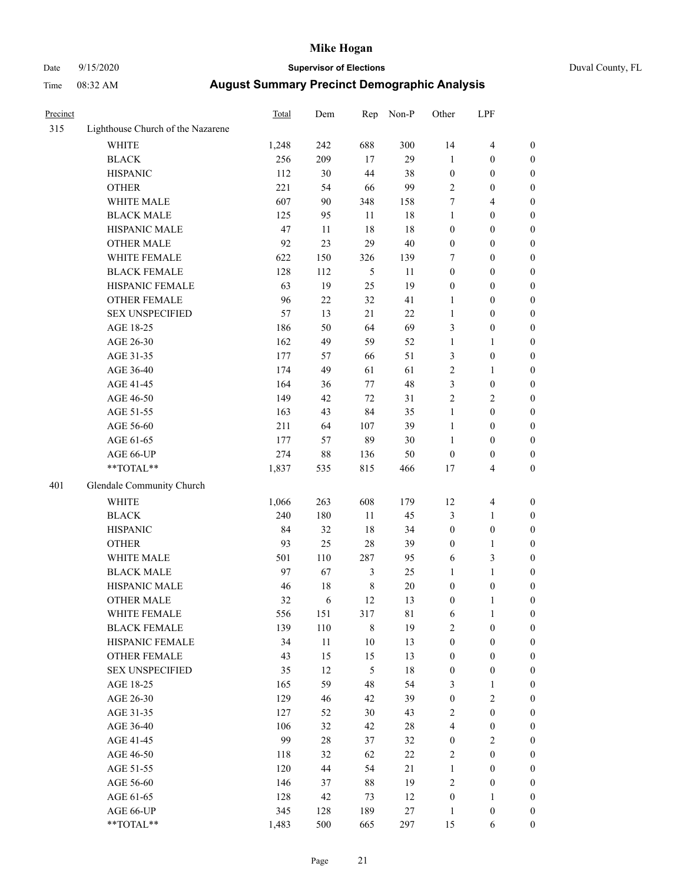### Date 9/15/2020 **Supervisor of Elections** Duval County, FL

| Precinct |                                   | Total | Dem    | Rep            | Non-P  | Other            | LPF              |                  |
|----------|-----------------------------------|-------|--------|----------------|--------|------------------|------------------|------------------|
| 315      | Lighthouse Church of the Nazarene |       |        |                |        |                  |                  |                  |
|          | <b>WHITE</b>                      | 1,248 | 242    | 688            | 300    | 14               | $\overline{4}$   | $\boldsymbol{0}$ |
|          | <b>BLACK</b>                      | 256   | 209    | 17             | 29     | $\mathbf{1}$     | $\boldsymbol{0}$ | $\boldsymbol{0}$ |
|          | <b>HISPANIC</b>                   | 112   | 30     | 44             | 38     | $\boldsymbol{0}$ | $\boldsymbol{0}$ | $\boldsymbol{0}$ |
|          | <b>OTHER</b>                      | 221   | 54     | 66             | 99     | 2                | $\boldsymbol{0}$ | $\boldsymbol{0}$ |
|          | WHITE MALE                        | 607   | 90     | 348            | 158    | 7                | $\overline{4}$   | $\boldsymbol{0}$ |
|          | <b>BLACK MALE</b>                 | 125   | 95     | 11             | 18     | $\mathbf{1}$     | $\boldsymbol{0}$ | $\boldsymbol{0}$ |
|          | HISPANIC MALE                     | 47    | $11\,$ | 18             | 18     | $\boldsymbol{0}$ | $\boldsymbol{0}$ | $\boldsymbol{0}$ |
|          | <b>OTHER MALE</b>                 | 92    | 23     | 29             | 40     | $\boldsymbol{0}$ | $\boldsymbol{0}$ | $\boldsymbol{0}$ |
|          | WHITE FEMALE                      | 622   | 150    | 326            | 139    | 7                | $\boldsymbol{0}$ | $\boldsymbol{0}$ |
|          | <b>BLACK FEMALE</b>               | 128   | 112    | 5              | 11     | $\boldsymbol{0}$ | $\boldsymbol{0}$ | $\boldsymbol{0}$ |
|          | HISPANIC FEMALE                   | 63    | 19     | 25             | 19     | $\boldsymbol{0}$ | $\boldsymbol{0}$ | $\boldsymbol{0}$ |
|          | <b>OTHER FEMALE</b>               | 96    | 22     | 32             | 41     | $\mathbf{1}$     | $\boldsymbol{0}$ | $\boldsymbol{0}$ |
|          | <b>SEX UNSPECIFIED</b>            | 57    | 13     | 21             | $22\,$ | $\mathbf{1}$     | $\boldsymbol{0}$ | $\boldsymbol{0}$ |
|          | AGE 18-25                         | 186   | 50     | 64             | 69     | 3                | $\boldsymbol{0}$ | $\boldsymbol{0}$ |
|          | AGE 26-30                         | 162   | 49     | 59             | 52     | $\mathbf{1}$     | $\mathbf{1}$     | $\boldsymbol{0}$ |
|          | AGE 31-35                         | 177   | 57     | 66             | 51     | 3                | $\boldsymbol{0}$ | $\boldsymbol{0}$ |
|          | AGE 36-40                         | 174   | 49     | 61             | 61     | $\overline{c}$   | $\mathbf{1}$     | $\boldsymbol{0}$ |
|          | AGE 41-45                         | 164   | 36     | 77             | 48     | 3                | $\boldsymbol{0}$ | $\boldsymbol{0}$ |
|          | AGE 46-50                         | 149   | 42     | $72\,$         | 31     | $\overline{c}$   | $\sqrt{2}$       | $\boldsymbol{0}$ |
|          | AGE 51-55                         | 163   | 43     | 84             | 35     | $\mathbf{1}$     | $\boldsymbol{0}$ | 0                |
|          | AGE 56-60                         | 211   | 64     | 107            | 39     | $\mathbf{1}$     | $\boldsymbol{0}$ | $\boldsymbol{0}$ |
|          | AGE 61-65                         | 177   | 57     | 89             | 30     | $\mathbf{1}$     | $\boldsymbol{0}$ | $\boldsymbol{0}$ |
|          | AGE 66-UP                         | 274   | 88     | 136            | 50     | $\boldsymbol{0}$ | $\boldsymbol{0}$ | $\boldsymbol{0}$ |
|          | $**TOTAL**$                       | 1,837 | 535    | 815            | 466    | 17               | $\overline{4}$   | $\boldsymbol{0}$ |
| 401      | Glendale Community Church         |       |        |                |        |                  |                  |                  |
|          |                                   |       |        |                |        |                  |                  |                  |
|          | <b>WHITE</b>                      | 1,066 | 263    | 608            | 179    | 12               | $\overline{4}$   | $\boldsymbol{0}$ |
|          | <b>BLACK</b>                      | 240   | 180    | 11             | 45     | 3                | $\mathbf{1}$     | $\boldsymbol{0}$ |
|          | <b>HISPANIC</b>                   | 84    | 32     | 18             | 34     | $\boldsymbol{0}$ | $\boldsymbol{0}$ | $\boldsymbol{0}$ |
|          | <b>OTHER</b>                      | 93    | 25     | 28             | 39     | $\boldsymbol{0}$ | $\mathbf{1}$     | $\boldsymbol{0}$ |
|          | WHITE MALE                        | 501   | 110    | 287            | 95     | 6                | $\mathfrak{Z}$   | $\boldsymbol{0}$ |
|          | <b>BLACK MALE</b>                 | 97    | 67     | $\mathfrak{Z}$ | 25     | 1                | $\mathbf{1}$     | 0                |
|          | HISPANIC MALE                     | 46    | 18     | $\,$ 8 $\,$    | $20\,$ | 0                | $\boldsymbol{0}$ | 0                |
|          | <b>OTHER MALE</b>                 | 32    | 6      | 12             | 13     | 0                | $\mathbf{1}$     | $\boldsymbol{0}$ |
|          | WHITE FEMALE                      | 556   | 151    | 317            | 81     | 6                | $\mathbf{1}$     | $\boldsymbol{0}$ |
|          | <b>BLACK FEMALE</b>               | 139   | 110    | $\,$ $\,$      | 19     | $\mathbf{2}$     | $\boldsymbol{0}$ | $\overline{0}$   |
|          | HISPANIC FEMALE                   | 34    | $11\,$ | $10\,$         | 13     | $\boldsymbol{0}$ | $\boldsymbol{0}$ | $\overline{0}$   |
|          | <b>OTHER FEMALE</b>               | 43    | 15     | 15             | 13     | $\boldsymbol{0}$ | $\boldsymbol{0}$ | 0                |
|          | <b>SEX UNSPECIFIED</b>            | 35    | 12     | 5              | 18     | $\boldsymbol{0}$ | $\boldsymbol{0}$ | $\theta$         |
|          | AGE 18-25                         | 165   | 59     | 48             | 54     | 3                | $\mathbf{1}$     | 0                |
|          | AGE 26-30                         | 129   | 46     | 42             | 39     | $\boldsymbol{0}$ | $\sqrt{2}$       | 0                |
|          | AGE 31-35                         | 127   | 52     | 30             | 43     | $\mathbf{2}$     | $\boldsymbol{0}$ | 0                |
|          | AGE 36-40                         | 106   | 32     | 42             | $28\,$ | 4                | $\boldsymbol{0}$ | 0                |
|          | AGE 41-45                         | 99    | $28\,$ | 37             | 32     | $\boldsymbol{0}$ | $\sqrt{2}$       | 0                |
|          | AGE 46-50                         | 118   | 32     | 62             | 22     | 2                | $\boldsymbol{0}$ | $\overline{0}$   |
|          | AGE 51-55                         | 120   | 44     | 54             | 21     | 1                | $\boldsymbol{0}$ | $\boldsymbol{0}$ |
|          | AGE 56-60                         | 146   | 37     | $88\,$         | 19     | 2                | $\boldsymbol{0}$ | $\overline{0}$   |
|          | AGE 61-65                         | 128   | 42     | 73             | 12     | 0                | $\mathbf{1}$     | 0                |
|          | AGE 66-UP                         | 345   | 128    | 189            | 27     | $\mathbf{1}$     | $\boldsymbol{0}$ | $\boldsymbol{0}$ |
|          | **TOTAL**                         | 1,483 | 500    | 665            | 297    | 15               | 6                | $\boldsymbol{0}$ |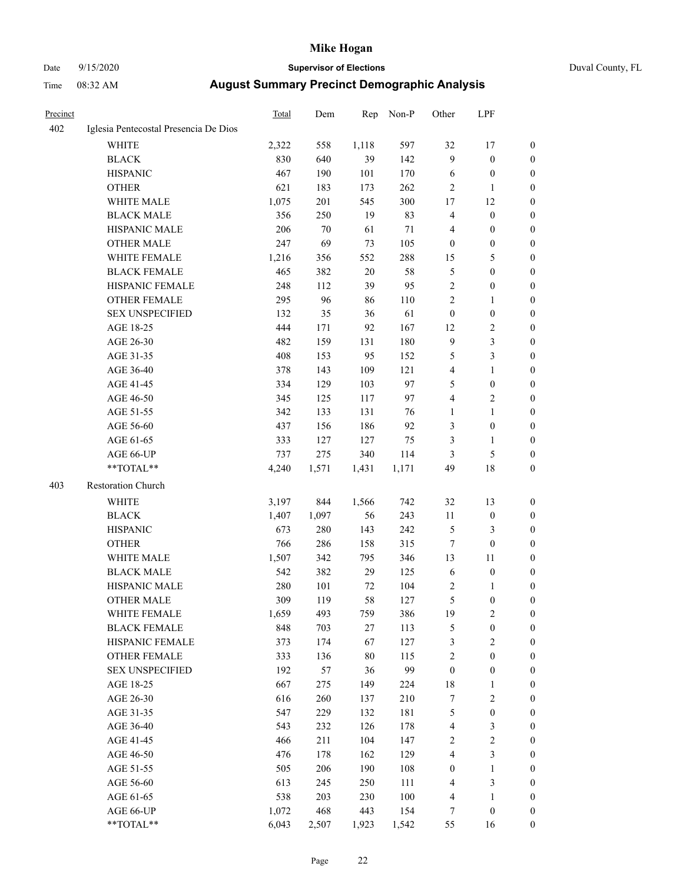# Date 9/15/2020 **Supervisor of Elections** Duval County, FL

| Precinct |                                       | Total      | Dem        | Rep        | Non-P      | Other                                       | LPF                                  |                                  |
|----------|---------------------------------------|------------|------------|------------|------------|---------------------------------------------|--------------------------------------|----------------------------------|
| 402      | Iglesia Pentecostal Presencia De Dios |            |            |            |            |                                             |                                      |                                  |
|          | <b>WHITE</b>                          | 2,322      | 558        | 1,118      | 597        | 32                                          | 17                                   | 0                                |
|          | <b>BLACK</b>                          | 830        | 640        | 39         | 142        | 9                                           | $\boldsymbol{0}$                     | 0                                |
|          | <b>HISPANIC</b>                       | 467        | 190        | 101        | 170        | 6                                           | $\boldsymbol{0}$                     | $\boldsymbol{0}$                 |
|          | <b>OTHER</b>                          | 621        | 183        | 173        | 262        | 2                                           | 1                                    | $\boldsymbol{0}$                 |
|          | WHITE MALE                            | 1,075      | 201        | 545        | 300        | 17                                          | 12                                   | $\boldsymbol{0}$                 |
|          | <b>BLACK MALE</b>                     | 356        | 250        | 19         | 83         | 4                                           | $\boldsymbol{0}$                     | $\boldsymbol{0}$                 |
|          | HISPANIC MALE                         | 206        | 70         | 61         | 71         | 4                                           | $\boldsymbol{0}$                     | $\boldsymbol{0}$                 |
|          | <b>OTHER MALE</b>                     | 247        | 69         | 73         | 105        | $\boldsymbol{0}$                            | $\boldsymbol{0}$                     | $\boldsymbol{0}$                 |
|          | WHITE FEMALE                          | 1,216      | 356        | 552        | 288        | 15                                          | $\mathfrak s$                        | $\boldsymbol{0}$                 |
|          | <b>BLACK FEMALE</b>                   | 465        | 382        | $20\,$     | 58         | 5                                           | $\boldsymbol{0}$                     | 0                                |
|          | HISPANIC FEMALE                       | 248        | 112        | 39         | 95         | $\overline{c}$                              | $\boldsymbol{0}$                     | 0                                |
|          | OTHER FEMALE                          | 295        | 96         | 86         | 110        | $\overline{c}$                              | 1                                    | 0                                |
|          | <b>SEX UNSPECIFIED</b>                | 132        | 35         | 36         | 61         | $\boldsymbol{0}$                            | $\boldsymbol{0}$                     | $\boldsymbol{0}$                 |
|          | AGE 18-25                             | 444        | 171        | 92         | 167        | 12                                          | $\sqrt{2}$                           | $\boldsymbol{0}$                 |
|          | AGE 26-30                             | 482        | 159        | 131        | 180        | 9                                           | $\mathfrak{Z}$                       | $\boldsymbol{0}$                 |
|          | AGE 31-35                             | 408        | 153        | 95         | 152        | 5                                           | 3                                    | $\boldsymbol{0}$                 |
|          | AGE 36-40                             | 378        | 143        | 109        | 121        | 4                                           | $\mathbf{1}$                         | $\boldsymbol{0}$                 |
|          | AGE 41-45                             | 334        | 129        | 103        | 97         | 5                                           | $\boldsymbol{0}$                     | $\boldsymbol{0}$                 |
|          | AGE 46-50                             | 345        | 125        | 117        | 97         | 4                                           | $\sqrt{2}$                           | $\boldsymbol{0}$                 |
|          | AGE 51-55                             | 342        | 133        | 131        | 76         | 1                                           | $\mathbf{1}$                         | 0                                |
|          | AGE 56-60                             | 437        | 156        | 186        | 92         | 3                                           | $\boldsymbol{0}$                     | 0                                |
|          | AGE 61-65                             | 333        | 127        | 127        | 75         | 3                                           | 1                                    | 0                                |
|          | AGE 66-UP                             | 737        | 275        | 340        | 114        | 3                                           | $\mathfrak s$                        | $\boldsymbol{0}$                 |
|          | $**TOTAL**$                           | 4,240      | 1,571      | 1,431      | 1,171      | 49                                          | 18                                   | $\boldsymbol{0}$                 |
| 403      | Restoration Church                    |            |            |            |            |                                             |                                      |                                  |
|          |                                       |            |            |            |            |                                             |                                      |                                  |
|          | <b>WHITE</b>                          | 3,197      | 844        | 1,566      | 742        | 32                                          | 13                                   | $\boldsymbol{0}$                 |
|          | <b>BLACK</b>                          | 1,407      | 1,097      | 56         | 243        | 11                                          | $\boldsymbol{0}$                     | $\boldsymbol{0}$                 |
|          | <b>HISPANIC</b>                       | 673        | 280        | 143        | 242        | 5                                           | $\mathfrak{Z}$                       | $\boldsymbol{0}$                 |
|          | <b>OTHER</b>                          | 766        | 286        | 158        | 315        | $\boldsymbol{7}$                            | $\boldsymbol{0}$                     | $\boldsymbol{0}$                 |
|          | WHITE MALE                            | 1,507      | 342        | 795        | 346        | 13                                          | 11                                   | $\boldsymbol{0}$                 |
|          | <b>BLACK MALE</b>                     | 542        | 382        | 29         | 125        | 6                                           | $\boldsymbol{0}$                     | $\boldsymbol{0}$                 |
|          | HISPANIC MALE                         | 280        | 101        | 72         | 104        | 2                                           | 1                                    | 0                                |
|          | <b>OTHER MALE</b>                     | 309        | 119        | 58         | 127        | 5                                           | $\boldsymbol{0}$                     | $\boldsymbol{0}$                 |
|          | WHITE FEMALE<br><b>BLACK FEMALE</b>   | 1,659      | 493        | 759        | 386        | 19                                          | $\overline{c}$                       | 0                                |
|          | HISPANIC FEMALE                       | 848<br>373 | 703<br>174 | 27<br>67   | 113<br>127 | 5<br>3                                      | $\boldsymbol{0}$<br>$\sqrt{2}$       | $\overline{0}$<br>$\overline{0}$ |
|          | OTHER FEMALE                          |            |            |            |            |                                             |                                      |                                  |
|          | <b>SEX UNSPECIFIED</b>                | 333<br>192 | 136        | 80         | 115<br>99  | $\overline{\mathbf{c}}$<br>$\boldsymbol{0}$ | $\boldsymbol{0}$<br>$\boldsymbol{0}$ | $\overline{0}$<br>0              |
|          |                                       |            | 57         | 36         | 224        |                                             |                                      | 0                                |
|          | AGE 18-25<br>AGE 26-30                | 667        | 275<br>260 | 149        | 210        | 18                                          | $\mathbf{1}$<br>$\sqrt{2}$           | 0                                |
|          |                                       | 616<br>547 | 229        | 137        | 181        | 7<br>5                                      | $\boldsymbol{0}$                     | 0                                |
|          | AGE 31-35<br>AGE 36-40                | 543        | 232        | 132<br>126 | 178        |                                             | $\mathfrak z$                        |                                  |
|          | AGE 41-45                             | 466        | 211        | 104        | 147        | 4<br>2                                      | $\sqrt{2}$                           | 0<br>0                           |
|          |                                       | 476        |            | 162        | 129        | 4                                           | $\mathfrak{Z}$                       |                                  |
|          | AGE 46-50                             |            | 178        |            |            |                                             |                                      | 0                                |
|          | AGE 51-55                             | 505<br>613 | 206        | 190<br>250 | 108        | $\boldsymbol{0}$                            | $\mathbf{1}$<br>$\mathfrak{Z}$       | 0<br>$\overline{0}$              |
|          | AGE 56-60                             |            | 245        |            | 111        | 4                                           |                                      |                                  |
|          | AGE 61-65                             | 538        | 203        | 230        | 100        | 4                                           | $\mathbf{1}$                         | $\overline{0}$                   |
|          | AGE 66-UP                             | 1,072      | 468        | 443        | 154        | 7                                           | $\boldsymbol{0}$                     | 0                                |
|          | **TOTAL**                             | 6,043      | 2,507      | 1,923      | 1,542      | 55                                          | 16                                   | $\boldsymbol{0}$                 |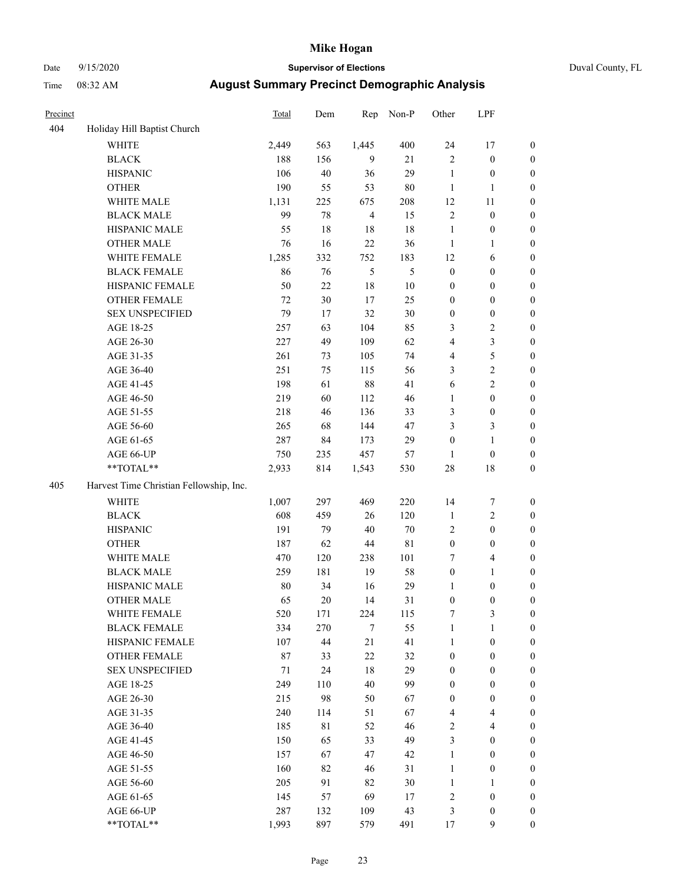### Date 9/15/2020 **Supervisor of Elections** Duval County, FL

| Precinct |                                         | Total | Dem | Rep            | Non-P | Other                   | LPF              |                  |
|----------|-----------------------------------------|-------|-----|----------------|-------|-------------------------|------------------|------------------|
| 404      | Holiday Hill Baptist Church             |       |     |                |       |                         |                  |                  |
|          | <b>WHITE</b>                            | 2,449 | 563 | 1,445          | 400   | 24                      | 17               | 0                |
|          | <b>BLACK</b>                            | 188   | 156 | 9              | 21    | $\overline{c}$          | $\boldsymbol{0}$ | 0                |
|          | <b>HISPANIC</b>                         | 106   | 40  | 36             | 29    | $\mathbf{1}$            | $\boldsymbol{0}$ | $\boldsymbol{0}$ |
|          | <b>OTHER</b>                            | 190   | 55  | 53             | 80    | $\mathbf{1}$            | 1                | $\boldsymbol{0}$ |
|          | WHITE MALE                              | 1,131 | 225 | 675            | 208   | 12                      | 11               | $\boldsymbol{0}$ |
|          | <b>BLACK MALE</b>                       | 99    | 78  | $\overline{4}$ | 15    | $\overline{c}$          | $\boldsymbol{0}$ | $\boldsymbol{0}$ |
|          | HISPANIC MALE                           | 55    | 18  | 18             | 18    | $\mathbf{1}$            | $\boldsymbol{0}$ | $\boldsymbol{0}$ |
|          | <b>OTHER MALE</b>                       | 76    | 16  | 22             | 36    | $\mathbf{1}$            | $\mathbf{1}$     | $\boldsymbol{0}$ |
|          | WHITE FEMALE                            | 1,285 | 332 | 752            | 183   | 12                      | 6                | $\boldsymbol{0}$ |
|          | <b>BLACK FEMALE</b>                     | 86    | 76  | 5              | 5     | $\boldsymbol{0}$        | $\boldsymbol{0}$ | 0                |
|          | HISPANIC FEMALE                         | 50    | 22  | 18             | 10    | $\boldsymbol{0}$        | $\boldsymbol{0}$ | $\boldsymbol{0}$ |
|          | OTHER FEMALE                            | 72    | 30  | 17             | 25    | 0                       | $\boldsymbol{0}$ | $\boldsymbol{0}$ |
|          | <b>SEX UNSPECIFIED</b>                  | 79    | 17  | 32             | 30    | $\boldsymbol{0}$        | $\boldsymbol{0}$ | $\boldsymbol{0}$ |
|          | AGE 18-25                               | 257   | 63  | 104            | 85    | 3                       | $\sqrt{2}$       | $\boldsymbol{0}$ |
|          | AGE 26-30                               | 227   | 49  | 109            | 62    | 4                       | 3                | $\boldsymbol{0}$ |
|          | AGE 31-35                               | 261   | 73  | 105            | 74    | 4                       | 5                | $\boldsymbol{0}$ |
|          | AGE 36-40                               | 251   | 75  | 115            | 56    | 3                       | $\sqrt{2}$       | $\boldsymbol{0}$ |
|          | AGE 41-45                               | 198   | 61  | 88             | 41    | 6                       | $\mathfrak{2}$   | $\boldsymbol{0}$ |
|          | AGE 46-50                               | 219   | 60  | 112            | 46    | $\mathbf{1}$            | $\boldsymbol{0}$ | $\boldsymbol{0}$ |
|          | AGE 51-55                               | 218   | 46  | 136            | 33    | 3                       | $\boldsymbol{0}$ | $\boldsymbol{0}$ |
|          | AGE 56-60                               | 265   | 68  | 144            | 47    | 3                       | $\mathfrak{Z}$   | 0                |
|          | AGE 61-65                               | 287   | 84  | 173            | 29    | $\boldsymbol{0}$        | $\mathbf{1}$     | $\boldsymbol{0}$ |
|          | AGE 66-UP                               | 750   | 235 | 457            | 57    | $\mathbf{1}$            | $\boldsymbol{0}$ | $\boldsymbol{0}$ |
|          | $**TOTAL**$                             | 2,933 | 814 | 1,543          | 530   | 28                      | 18               | $\boldsymbol{0}$ |
|          |                                         |       |     |                |       |                         |                  |                  |
| 405      | Harvest Time Christian Fellowship, Inc. |       |     |                |       |                         |                  |                  |
|          | <b>WHITE</b>                            | 1,007 | 297 | 469            | 220   | 14                      | $\boldsymbol{7}$ | $\boldsymbol{0}$ |
|          | <b>BLACK</b>                            | 608   | 459 | 26             | 120   | $\mathbf{1}$            | $\sqrt{2}$       | $\boldsymbol{0}$ |
|          | <b>HISPANIC</b>                         | 191   | 79  | 40             | 70    | 2                       | $\boldsymbol{0}$ | $\boldsymbol{0}$ |
|          | <b>OTHER</b>                            | 187   | 62  | 44             | 81    | $\boldsymbol{0}$        | $\boldsymbol{0}$ | $\boldsymbol{0}$ |
|          | WHITE MALE                              | 470   | 120 | 238            | 101   | 7                       | $\overline{4}$   | $\boldsymbol{0}$ |
|          | <b>BLACK MALE</b>                       | 259   | 181 | 19             | 58    | $\boldsymbol{0}$        | $\mathbf{1}$     | $\boldsymbol{0}$ |
|          | HISPANIC MALE                           | 80    | 34  | 16             | 29    | 1                       | $\boldsymbol{0}$ | $\boldsymbol{0}$ |
|          | <b>OTHER MALE</b>                       | 65    | 20  | 14             | 31    | $\boldsymbol{0}$        | $\boldsymbol{0}$ | $\boldsymbol{0}$ |
|          | WHITE FEMALE                            | 520   | 171 | 224            | 115   | 7                       | 3                | 0                |
|          | <b>BLACK FEMALE</b>                     | 334   | 270 | 7              | 55    | 1                       | $\mathbf{1}$     | $\boldsymbol{0}$ |
|          | HISPANIC FEMALE                         | 107   | 44  | 21             | 41    | $\mathbf{1}$            | $\boldsymbol{0}$ | $\overline{0}$   |
|          | <b>OTHER FEMALE</b>                     | 87    | 33  | 22             | 32    | $\boldsymbol{0}$        | $\boldsymbol{0}$ | $\overline{0}$   |
|          | <b>SEX UNSPECIFIED</b>                  | 71    | 24  | 18             | 29    | 0                       | $\boldsymbol{0}$ | 0                |
|          | AGE 18-25                               | 249   | 110 | 40             | 99    | 0                       | $\boldsymbol{0}$ | $\theta$         |
|          | AGE 26-30                               | 215   | 98  | 50             | 67    | 0                       | $\boldsymbol{0}$ | 0                |
|          | AGE 31-35                               | 240   | 114 | 51             | 67    | 4                       | $\overline{4}$   | 0                |
|          | AGE 36-40                               | 185   | 81  | 52             | 46    | 2                       | $\overline{4}$   | 0                |
|          | AGE 41-45                               | 150   | 65  | 33             | 49    | 3                       | $\boldsymbol{0}$ | 0                |
|          | AGE 46-50                               | 157   | 67  | 47             | 42    | $\mathbf{1}$            | $\boldsymbol{0}$ | 0                |
|          | AGE 51-55                               | 160   | 82  | 46             | 31    | $\mathbf{1}$            | $\boldsymbol{0}$ | $\overline{0}$   |
|          | AGE 56-60                               | 205   | 91  | 82             | 30    | $\mathbf{1}$            | 1                | $\overline{0}$   |
|          | AGE 61-65                               | 145   | 57  | 69             | 17    | $\overline{\mathbf{c}}$ | $\boldsymbol{0}$ | $\overline{0}$   |
|          | AGE 66-UP                               | 287   | 132 | 109            | 43    | 3                       | $\boldsymbol{0}$ | 0                |
|          | **TOTAL**                               | 1,993 | 897 | 579            | 491   | 17                      | $\mathbf{9}$     | $\boldsymbol{0}$ |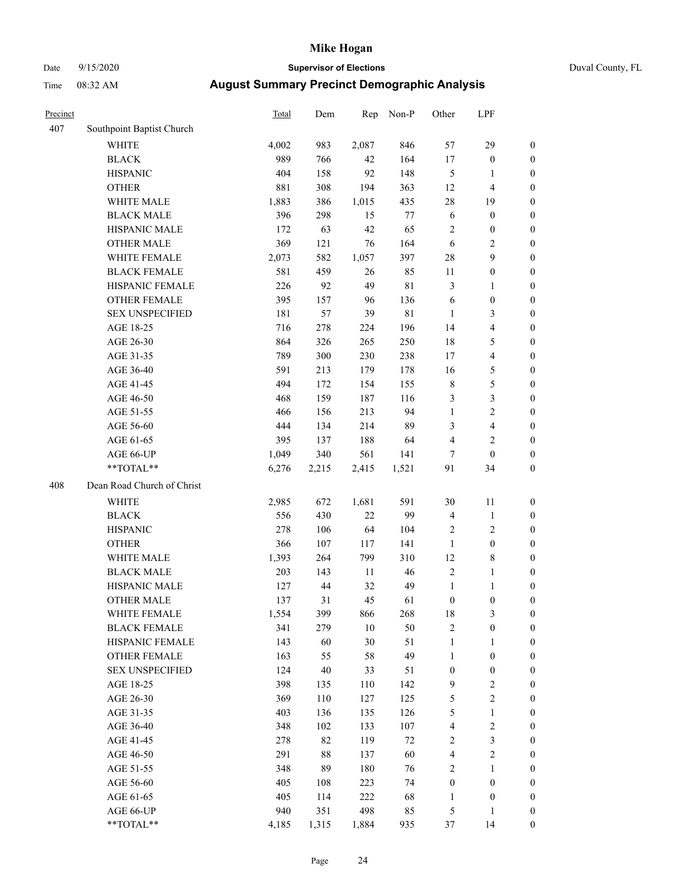### Date 9/15/2020 **Supervisor of Elections** Duval County, FL

| Precinct |                            | Total | Dem   | Rep    | Non-P  | Other            | LPF                     |                  |
|----------|----------------------------|-------|-------|--------|--------|------------------|-------------------------|------------------|
| 407      | Southpoint Baptist Church  |       |       |        |        |                  |                         |                  |
|          | <b>WHITE</b>               | 4,002 | 983   | 2,087  | 846    | 57               | 29                      | 0                |
|          | <b>BLACK</b>               | 989   | 766   | 42     | 164    | 17               | $\boldsymbol{0}$        | 0                |
|          | <b>HISPANIC</b>            | 404   | 158   | 92     | 148    | $\mathfrak{S}$   | 1                       | $\boldsymbol{0}$ |
|          | <b>OTHER</b>               | 881   | 308   | 194    | 363    | 12               | $\overline{\mathbf{4}}$ | $\boldsymbol{0}$ |
|          | WHITE MALE                 | 1,883 | 386   | 1,015  | 435    | 28               | 19                      | $\boldsymbol{0}$ |
|          | <b>BLACK MALE</b>          | 396   | 298   | 15     | 77     | 6                | $\boldsymbol{0}$        | $\boldsymbol{0}$ |
|          | HISPANIC MALE              | 172   | 63    | 42     | 65     | 2                | $\boldsymbol{0}$        | $\boldsymbol{0}$ |
|          | <b>OTHER MALE</b>          | 369   | 121   | 76     | 164    | 6                | $\overline{2}$          | $\boldsymbol{0}$ |
|          | WHITE FEMALE               | 2,073 | 582   | 1,057  | 397    | 28               | $\boldsymbol{9}$        | $\boldsymbol{0}$ |
|          | <b>BLACK FEMALE</b>        | 581   | 459   | 26     | 85     | 11               | $\boldsymbol{0}$        | 0                |
|          | HISPANIC FEMALE            | 226   | 92    | 49     | 81     | 3                | $\mathbf{1}$            | 0                |
|          | <b>OTHER FEMALE</b>        | 395   | 157   | 96     | 136    | 6                | $\boldsymbol{0}$        | $\boldsymbol{0}$ |
|          | <b>SEX UNSPECIFIED</b>     | 181   | 57    | 39     | 81     | $\mathbf{1}$     | $\mathfrak{Z}$          | $\boldsymbol{0}$ |
|          | AGE 18-25                  | 716   | 278   | 224    | 196    | 14               | $\overline{\mathbf{4}}$ | $\boldsymbol{0}$ |
|          | AGE 26-30                  | 864   | 326   | 265    | 250    | 18               | $\mathfrak{S}$          | $\boldsymbol{0}$ |
|          | AGE 31-35                  | 789   | 300   | 230    | 238    | 17               | $\overline{\mathbf{4}}$ | $\boldsymbol{0}$ |
|          | AGE 36-40                  | 591   | 213   | 179    | 178    | 16               | $\mathfrak{S}$          | $\boldsymbol{0}$ |
|          | AGE 41-45                  | 494   | 172   | 154    | 155    | $\,$ 8 $\,$      | $\mathfrak{S}$          | $\boldsymbol{0}$ |
|          | AGE 46-50                  | 468   | 159   | 187    | 116    | 3                | $\mathfrak{Z}$          | $\boldsymbol{0}$ |
|          | AGE 51-55                  | 466   | 156   | 213    | 94     | $\mathbf{1}$     | $\sqrt{2}$              | $\boldsymbol{0}$ |
|          | AGE 56-60                  | 444   | 134   | 214    | 89     | 3                | $\overline{\mathbf{4}}$ | 0                |
|          | AGE 61-65                  | 395   | 137   | 188    | 64     | 4                | $\mathbf{2}$            | $\boldsymbol{0}$ |
|          | AGE 66-UP                  | 1,049 | 340   | 561    | 141    | 7                | $\boldsymbol{0}$        | $\boldsymbol{0}$ |
|          | **TOTAL**                  | 6,276 | 2,215 | 2,415  | 1,521  | 91               | 34                      | $\boldsymbol{0}$ |
| 408      | Dean Road Church of Christ |       |       |        |        |                  |                         |                  |
|          | <b>WHITE</b>               | 2,985 | 672   | 1,681  | 591    | 30               | 11                      | $\boldsymbol{0}$ |
|          | <b>BLACK</b>               | 556   | 430   | 22     | 99     | $\overline{4}$   | $\mathbf{1}$            | $\boldsymbol{0}$ |
|          | <b>HISPANIC</b>            | 278   | 106   | 64     | 104    | 2                | $\mathbf{2}$            | $\boldsymbol{0}$ |
|          | <b>OTHER</b>               | 366   | 107   | 117    | 141    | $\mathbf{1}$     | $\boldsymbol{0}$        | $\boldsymbol{0}$ |
|          | WHITE MALE                 | 1,393 | 264   | 799    | 310    | 12               | $\,$ 8 $\,$             | $\boldsymbol{0}$ |
|          | <b>BLACK MALE</b>          | 203   | 143   | 11     | 46     | $\mathbf{2}$     | $\mathbf{1}$            | $\boldsymbol{0}$ |
|          | HISPANIC MALE              | 127   | 44    | 32     | 49     | $\mathbf{1}$     | 1                       | 0                |
|          | <b>OTHER MALE</b>          | 137   | 31    | 45     | 61     | $\boldsymbol{0}$ | $\boldsymbol{0}$        | $\boldsymbol{0}$ |
|          | WHITE FEMALE               | 1,554 | 399   | 866    | 268    | 18               | 3                       | 0                |
|          | <b>BLACK FEMALE</b>        | 341   | 279   | $10\,$ | 50     | $\sqrt{2}$       | $\boldsymbol{0}$        | $\boldsymbol{0}$ |
|          | HISPANIC FEMALE            | 143   | 60    | 30     | 51     | $\mathbf{1}$     | $\mathbf{1}$            | $\overline{0}$   |
|          | OTHER FEMALE               | 163   | 55    | 58     | 49     | $\mathbf{1}$     | $\boldsymbol{0}$        | $\overline{0}$   |
|          | <b>SEX UNSPECIFIED</b>     | 124   | 40    | 33     | 51     | $\boldsymbol{0}$ | $\boldsymbol{0}$        | 0                |
|          | AGE 18-25                  | 398   | 135   | 110    | 142    | 9                | $\sqrt{2}$              | 0                |
|          | AGE 26-30                  | 369   | 110   | 127    | 125    | 5                | $\sqrt{2}$              | 0                |
|          | AGE 31-35                  | 403   | 136   | 135    | 126    | 5                | $\mathbf{1}$            | 0                |
|          | AGE 36-40                  | 348   | 102   | 133    | 107    | 4                | $\sqrt{2}$              | 0                |
|          | AGE 41-45                  | 278   | 82    | 119    | $72\,$ | $\sqrt{2}$       | $\mathfrak{Z}$          | 0                |
|          | AGE 46-50                  | 291   | 88    | 137    | 60     | 4                | $\sqrt{2}$              | 0                |
|          | AGE 51-55                  | 348   | 89    | 180    | 76     | $\sqrt{2}$       | $\mathbf{1}$            | $\boldsymbol{0}$ |
|          | AGE 56-60                  | 405   | 108   | 223    | 74     | $\boldsymbol{0}$ | $\boldsymbol{0}$        | $\boldsymbol{0}$ |
|          | AGE 61-65                  | 405   | 114   | 222    | 68     | 1                | $\boldsymbol{0}$        | $\boldsymbol{0}$ |
|          | AGE 66-UP                  | 940   | 351   | 498    | 85     | 5                | $\mathbf{1}$            | $\boldsymbol{0}$ |
|          | **TOTAL**                  | 4,185 | 1,315 | 1,884  | 935    | 37               | 14                      | $\boldsymbol{0}$ |
|          |                            |       |       |        |        |                  |                         |                  |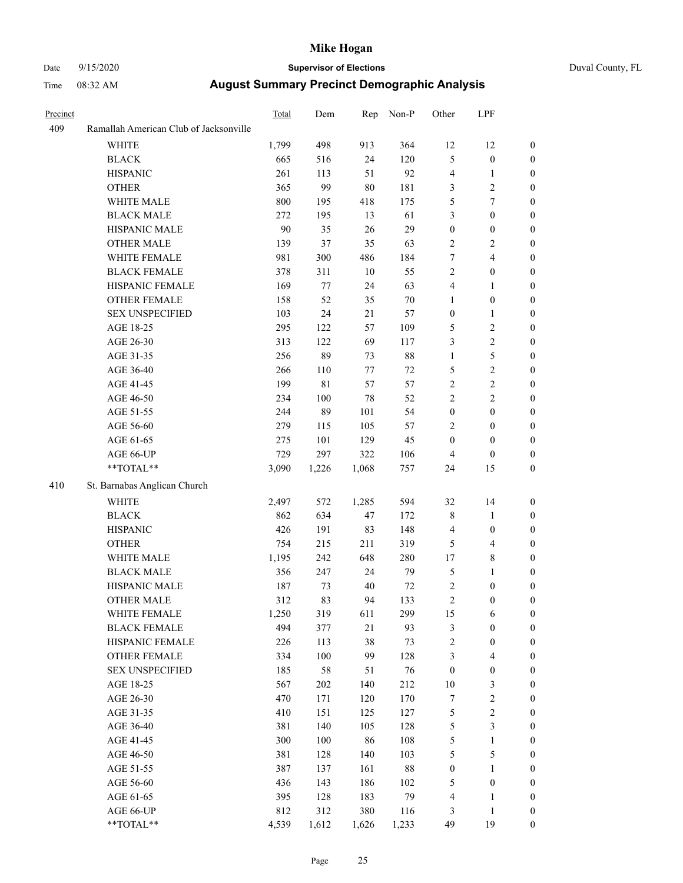# Date 9/15/2020 **Supervisor of Elections** Duval County, FL

| Precinct |                                        | Total | Dem     | Rep    | Non-P | Other            | LPF              |                  |
|----------|----------------------------------------|-------|---------|--------|-------|------------------|------------------|------------------|
| 409      | Ramallah American Club of Jacksonville |       |         |        |       |                  |                  |                  |
|          | <b>WHITE</b>                           | 1,799 | 498     | 913    | 364   | 12               | 12               | $\boldsymbol{0}$ |
|          | <b>BLACK</b>                           | 665   | 516     | 24     | 120   | 5                | $\boldsymbol{0}$ | $\boldsymbol{0}$ |
|          | <b>HISPANIC</b>                        | 261   | 113     | 51     | 92    | 4                | $\mathbf{1}$     | $\boldsymbol{0}$ |
|          | <b>OTHER</b>                           | 365   | 99      | $80\,$ | 181   | 3                | $\sqrt{2}$       | $\boldsymbol{0}$ |
|          | WHITE MALE                             | 800   | 195     | 418    | 175   | 5                | $\tau$           | $\boldsymbol{0}$ |
|          | <b>BLACK MALE</b>                      | 272   | 195     | 13     | 61    | 3                | $\boldsymbol{0}$ | $\boldsymbol{0}$ |
|          | HISPANIC MALE                          | 90    | 35      | 26     | 29    | $\boldsymbol{0}$ | $\boldsymbol{0}$ | $\boldsymbol{0}$ |
|          | <b>OTHER MALE</b>                      | 139   | 37      | 35     | 63    | $\overline{c}$   | $\mathbf{2}$     | 0                |
|          | WHITE FEMALE                           | 981   | 300     | 486    | 184   | $\boldsymbol{7}$ | $\overline{4}$   | 0                |
|          | <b>BLACK FEMALE</b>                    | 378   | 311     | $10\,$ | 55    | $\mathbf{2}$     | $\boldsymbol{0}$ | $\boldsymbol{0}$ |
|          | HISPANIC FEMALE                        | 169   | $77 \,$ | 24     | 63    | 4                | 1                | $\boldsymbol{0}$ |
|          | OTHER FEMALE                           | 158   | 52      | 35     | 70    | $\mathbf{1}$     | $\boldsymbol{0}$ | $\boldsymbol{0}$ |
|          | <b>SEX UNSPECIFIED</b>                 | 103   | 24      | 21     | 57    | $\boldsymbol{0}$ | $\mathbf{1}$     | $\boldsymbol{0}$ |
|          | AGE 18-25                              | 295   | 122     | 57     | 109   | 5                | $\sqrt{2}$       | $\boldsymbol{0}$ |
|          | AGE 26-30                              | 313   | 122     | 69     | 117   | 3                | $\sqrt{2}$       | $\overline{0}$   |
|          | AGE 31-35                              | 256   | 89      | 73     | 88    | $\mathbf{1}$     | 5                | $\boldsymbol{0}$ |
|          | AGE 36-40                              | 266   | 110     | 77     | 72    | 5                | $\sqrt{2}$       | $\boldsymbol{0}$ |
|          | AGE 41-45                              | 199   | 81      | 57     | 57    | $\mathbf{2}$     | $\sqrt{2}$       | 0                |
|          | AGE 46-50                              | 234   | 100     | 78     | 52    | $\overline{c}$   | $\sqrt{2}$       | 0                |
|          | AGE 51-55                              | 244   | 89      | 101    | 54    | $\boldsymbol{0}$ | $\boldsymbol{0}$ | $\boldsymbol{0}$ |
|          | AGE 56-60                              | 279   | 115     | 105    | 57    | $\overline{c}$   | $\boldsymbol{0}$ | $\boldsymbol{0}$ |
|          | AGE 61-65                              | 275   | 101     | 129    | 45    | $\boldsymbol{0}$ | $\boldsymbol{0}$ | $\boldsymbol{0}$ |
|          | AGE 66-UP                              | 729   | 297     | 322    | 106   | 4                | $\boldsymbol{0}$ | 0                |
|          | $\mathrm{``TOTAL}^{\mathrm{**}}$       | 3,090 | 1,226   | 1,068  | 757   | 24               | 15               | $\boldsymbol{0}$ |
| 410      | St. Barnabas Anglican Church           |       |         |        |       |                  |                  |                  |
|          | <b>WHITE</b>                           | 2,497 | 572     | 1,285  | 594   | 32               | 14               | $\boldsymbol{0}$ |
|          | <b>BLACK</b>                           | 862   | 634     | 47     | 172   | 8                | $\mathbf{1}$     | $\boldsymbol{0}$ |
|          | <b>HISPANIC</b>                        | 426   | 191     | 83     | 148   | 4                | $\boldsymbol{0}$ | $\boldsymbol{0}$ |
|          | <b>OTHER</b>                           | 754   | 215     | 211    | 319   | 5                | $\overline{4}$   | $\boldsymbol{0}$ |
|          | WHITE MALE                             | 1,195 | 242     | 648    | 280   | 17               | $\,$ 8 $\,$      |                  |
|          | <b>BLACK MALE</b>                      | 356   | 247     | 24     | 79    | 5                | 1                | 0<br>0           |
|          | HISPANIC MALE                          | 187   | 73      | 40     | 72    | 2                | $\boldsymbol{0}$ | 0                |
|          | <b>OTHER MALE</b>                      | 312   | 83      | 94     | 133   | $\overline{c}$   | $\boldsymbol{0}$ | $\boldsymbol{0}$ |
|          | WHITE FEMALE                           | 1,250 | 319     | 611    | 299   | 15               | 6                | $\boldsymbol{0}$ |
|          | <b>BLACK FEMALE</b>                    | 494   | 377     | 21     | 93    | 3                | $\boldsymbol{0}$ | $\overline{0}$   |
|          | HISPANIC FEMALE                        | 226   | 113     | 38     | 73    | $\overline{c}$   | $\boldsymbol{0}$ | $\overline{0}$   |
|          | <b>OTHER FEMALE</b>                    | 334   | 100     | 99     | 128   | 3                | $\overline{4}$   | $\theta$         |
|          | <b>SEX UNSPECIFIED</b>                 | 185   | 58      | 51     | 76    | $\boldsymbol{0}$ | $\boldsymbol{0}$ | $\overline{0}$   |
|          | AGE 18-25                              | 567   | 202     | 140    | 212   | $10\,$           | $\sqrt{3}$       | 0                |
|          | AGE 26-30                              | 470   | 171     | 120    | 170   | $\boldsymbol{7}$ | $\sqrt{2}$       | 0                |
|          | AGE 31-35                              | 410   | 151     | 125    | 127   | 5                | $\sqrt{2}$       | 0                |
|          | AGE 36-40                              | 381   | 140     | 105    | 128   | 5                | $\mathfrak{Z}$   | $\boldsymbol{0}$ |
|          | AGE 41-45                              | 300   | 100     | 86     | 108   | 5                | $\mathbf{1}$     | $\boldsymbol{0}$ |
|          | AGE 46-50                              | 381   | 128     | 140    | 103   | 5                | $\mathfrak s$    | $\boldsymbol{0}$ |
|          | AGE 51-55                              | 387   | 137     | 161    | 88    | $\boldsymbol{0}$ | $\mathbf{1}$     | $\overline{0}$   |
|          | AGE 56-60                              | 436   | 143     | 186    | 102   | 5                | $\boldsymbol{0}$ | $\overline{0}$   |
|          | AGE 61-65                              | 395   | 128     | 183    | 79    | 4                | $\mathbf{1}$     | $\overline{0}$   |
|          | AGE 66-UP                              | 812   | 312     | 380    | 116   | 3                | $\mathbf{1}$     | $\overline{0}$   |
|          | **TOTAL**                              | 4,539 | 1,612   | 1,626  | 1,233 | 49               | 19               | $\boldsymbol{0}$ |
|          |                                        |       |         |        |       |                  |                  |                  |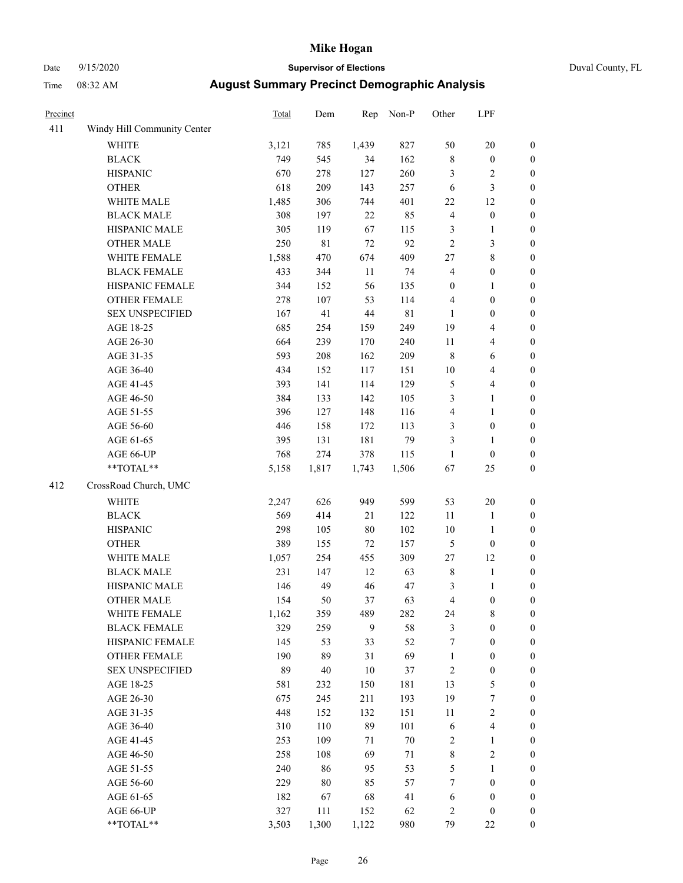Date 9/15/2020 **Supervisor of Elections** Duval County, FL

| Precinct |                             | <b>Total</b> | Dem         | Rep    | Non-P       | Other                   | LPF              |                  |
|----------|-----------------------------|--------------|-------------|--------|-------------|-------------------------|------------------|------------------|
| 411      | Windy Hill Community Center |              |             |        |             |                         |                  |                  |
|          | <b>WHITE</b>                | 3,121        | 785         | 1,439  | 827         | 50                      | 20               | 0                |
|          | <b>BLACK</b>                | 749          | 545         | 34     | 162         | 8                       | $\boldsymbol{0}$ | $\boldsymbol{0}$ |
|          | <b>HISPANIC</b>             | 670          | 278         | 127    | 260         | 3                       | $\sqrt{2}$       | $\boldsymbol{0}$ |
|          | <b>OTHER</b>                | 618          | 209         | 143    | 257         | 6                       | $\mathfrak{Z}$   | $\boldsymbol{0}$ |
|          | WHITE MALE                  | 1,485        | 306         | 744    | 401         | $22\,$                  | 12               | $\boldsymbol{0}$ |
|          | <b>BLACK MALE</b>           | 308          | 197         | 22     | 85          | 4                       | $\boldsymbol{0}$ | $\boldsymbol{0}$ |
|          | HISPANIC MALE               | 305          | 119         | 67     | 115         | 3                       | $\mathbf{1}$     | $\boldsymbol{0}$ |
|          | <b>OTHER MALE</b>           | 250          | $8\sqrt{1}$ | 72     | 92          | $\overline{c}$          | 3                | $\boldsymbol{0}$ |
|          | WHITE FEMALE                | 1,588        | 470         | 674    | 409         | 27                      | $\,$ $\,$        | $\boldsymbol{0}$ |
|          | <b>BLACK FEMALE</b>         | 433          | 344         | $11\,$ | 74          | $\overline{\mathbf{4}}$ | $\boldsymbol{0}$ | $\boldsymbol{0}$ |
|          | HISPANIC FEMALE             | 344          | 152         | 56     | 135         | $\boldsymbol{0}$        | 1                | $\boldsymbol{0}$ |
|          | <b>OTHER FEMALE</b>         | 278          | 107         | 53     | 114         | 4                       | $\boldsymbol{0}$ | $\boldsymbol{0}$ |
|          | <b>SEX UNSPECIFIED</b>      | 167          | 41          | 44     | $8\sqrt{1}$ | $\mathbf{1}$            | $\boldsymbol{0}$ | $\boldsymbol{0}$ |
|          | AGE 18-25                   | 685          | 254         | 159    | 249         | 19                      | $\overline{4}$   | $\boldsymbol{0}$ |
|          | AGE 26-30                   | 664          | 239         | 170    | 240         | $11\,$                  | $\overline{4}$   | $\boldsymbol{0}$ |
|          | AGE 31-35                   | 593          | 208         | 162    | 209         | 8                       | 6                | $\boldsymbol{0}$ |
|          | AGE 36-40                   | 434          | 152         | 117    | 151         | $10\,$                  | $\overline{4}$   | $\boldsymbol{0}$ |
|          | AGE 41-45                   | 393          | 141         | 114    | 129         | 5                       | $\overline{4}$   | $\boldsymbol{0}$ |
|          | AGE 46-50                   | 384          | 133         | 142    | 105         | 3                       | $\mathbf{1}$     | $\boldsymbol{0}$ |
|          | AGE 51-55                   | 396          | 127         | 148    | 116         | 4                       | $\mathbf{1}$     | $\boldsymbol{0}$ |
|          | AGE 56-60                   | 446          | 158         | 172    | 113         | 3                       | $\boldsymbol{0}$ | $\boldsymbol{0}$ |
|          | AGE 61-65                   | 395          | 131         | 181    | 79          | 3                       | 1                | $\boldsymbol{0}$ |
|          | AGE 66-UP                   | 768          | 274         | 378    | 115         | $\mathbf{1}$            | $\boldsymbol{0}$ | $\boldsymbol{0}$ |
|          | $**TOTAL**$                 | 5,158        | 1,817       | 1,743  | 1,506       | 67                      | 25               | $\boldsymbol{0}$ |
| 412      | CrossRoad Church, UMC       |              |             |        |             |                         |                  |                  |
|          | <b>WHITE</b>                | 2,247        | 626         | 949    | 599         | 53                      | 20               | $\boldsymbol{0}$ |
|          | <b>BLACK</b>                | 569          | 414         | 21     | 122         | 11                      | $\mathbf{1}$     | $\boldsymbol{0}$ |
|          | <b>HISPANIC</b>             | 298          | 105         | $80\,$ | 102         | $10\,$                  | $\mathbf{1}$     | $\boldsymbol{0}$ |
|          | <b>OTHER</b>                | 389          | 155         | 72     | 157         | 5                       | $\boldsymbol{0}$ | $\boldsymbol{0}$ |
|          | WHITE MALE                  | 1,057        | 254         | 455    | 309         | 27                      | 12               | $\boldsymbol{0}$ |
|          | <b>BLACK MALE</b>           | 231          | 147         | 12     | 63          | 8                       | $\mathbf{1}$     | $\boldsymbol{0}$ |
|          | HISPANIC MALE               | 146          | 49          | 46     | 47          | 3                       | $\mathbf{1}$     | 0                |
|          | <b>OTHER MALE</b>           | 154          | 50          | 37     | 63          | 4                       | $\boldsymbol{0}$ | $\boldsymbol{0}$ |
|          | WHITE FEMALE                | 1,162        | 359         | 489    | 282         | 24                      | 8                | 0                |
|          | <b>BLACK FEMALE</b>         | 329          | 259         | 9      | 58          | 3                       | $\boldsymbol{0}$ | $\overline{0}$   |
|          | HISPANIC FEMALE             | 145          | 53          | 33     | 52          | 7                       | $\boldsymbol{0}$ | $\overline{0}$   |
|          | OTHER FEMALE                | 190          | 89          | 31     | 69          | 1                       | $\boldsymbol{0}$ | $\overline{0}$   |
|          | <b>SEX UNSPECIFIED</b>      | 89           | $40\,$      | $10\,$ | 37          | 2                       | $\boldsymbol{0}$ | 0                |
|          | AGE 18-25                   | 581          | 232         | 150    | 181         | 13                      | $\mathfrak s$    | 0                |
|          | AGE 26-30                   | 675          | 245         | 211    | 193         | 19                      | $\boldsymbol{7}$ | 0                |
|          | AGE 31-35                   | 448          | 152         | 132    | 151         | $11\,$                  | $\sqrt{2}$       | 0                |
|          | AGE 36-40                   | 310          | 110         | 89     | 101         | 6                       | $\overline{4}$   | 0                |
|          | AGE 41-45                   | 253          | 109         | 71     | $70\,$      | 2                       | $\mathbf{1}$     | 0                |
|          | AGE 46-50                   | 258          | 108         | 69     | 71          | 8                       | $\sqrt{2}$       | 0                |
|          | AGE 51-55                   | 240          | 86          | 95     | 53          | 5                       | $\mathbf{1}$     | 0                |
|          | AGE 56-60                   | 229          | 80          | 85     | 57          | 7                       | $\boldsymbol{0}$ | 0                |
|          | AGE 61-65                   | 182          | 67          | 68     | 41          | 6                       | $\boldsymbol{0}$ | $\boldsymbol{0}$ |
|          | AGE 66-UP                   | 327          | 111         | 152    | 62          | 2                       | $\boldsymbol{0}$ | 0                |
|          | **TOTAL**                   | 3,503        | 1,300       | 1,122  | 980         | 79                      | 22               | $\boldsymbol{0}$ |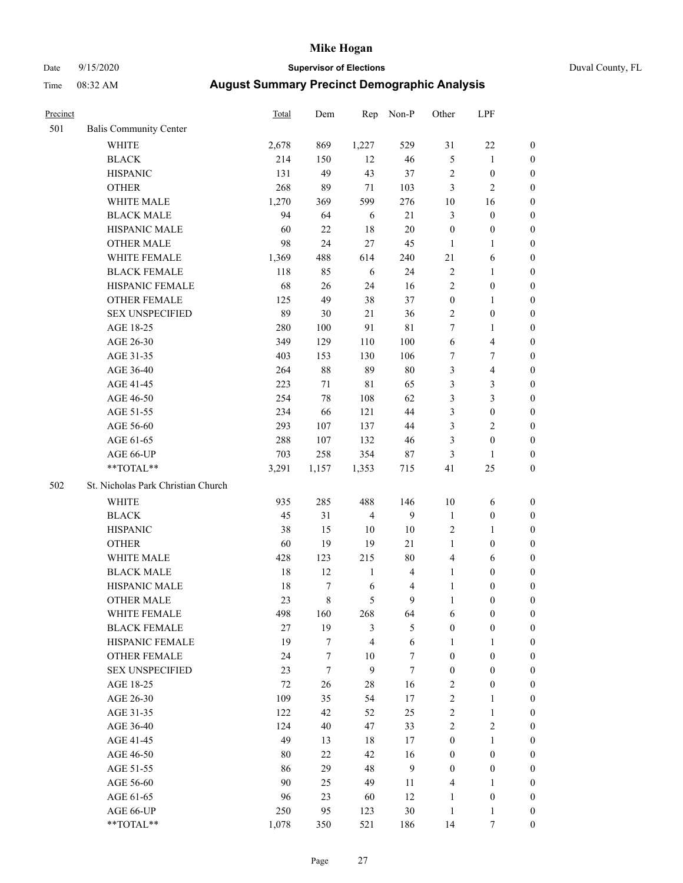# Date 9/15/2020 **Supervisor of Elections** Duval County, FL

| Precinct |                                    | <b>Total</b> | Dem     | Rep            | Non-P                   | Other            | LPF              |                  |
|----------|------------------------------------|--------------|---------|----------------|-------------------------|------------------|------------------|------------------|
| 501      | <b>Balis Community Center</b>      |              |         |                |                         |                  |                  |                  |
|          | <b>WHITE</b>                       | 2,678        | 869     | 1,227          | 529                     | 31               | $22\,$           | 0                |
|          | <b>BLACK</b>                       | 214          | 150     | 12             | 46                      | 5                | $\mathbf{1}$     | 0                |
|          | <b>HISPANIC</b>                    | 131          | 49      | 43             | 37                      | 2                | $\boldsymbol{0}$ | $\boldsymbol{0}$ |
|          | <b>OTHER</b>                       | 268          | 89      | 71             | 103                     | 3                | $\mathfrak{2}$   | $\boldsymbol{0}$ |
|          | WHITE MALE                         | 1,270        | 369     | 599            | 276                     | 10               | 16               | $\boldsymbol{0}$ |
|          | <b>BLACK MALE</b>                  | 94           | 64      | 6              | 21                      | 3                | $\boldsymbol{0}$ | $\boldsymbol{0}$ |
|          | HISPANIC MALE                      | 60           | 22      | 18             | $20\,$                  | $\boldsymbol{0}$ | $\boldsymbol{0}$ | $\boldsymbol{0}$ |
|          | <b>OTHER MALE</b>                  | 98           | 24      | 27             | 45                      | $\mathbf{1}$     | $\mathbf{1}$     | $\boldsymbol{0}$ |
|          | WHITE FEMALE                       | 1,369        | 488     | 614            | 240                     | 21               | 6                | $\boldsymbol{0}$ |
|          | <b>BLACK FEMALE</b>                | 118          | 85      | 6              | 24                      | 2                | $\mathbf{1}$     | 0                |
|          | HISPANIC FEMALE                    | 68           | 26      | 24             | 16                      | $\overline{c}$   | $\boldsymbol{0}$ | 0                |
|          | <b>OTHER FEMALE</b>                | 125          | 49      | 38             | 37                      | $\boldsymbol{0}$ | $\mathbf{1}$     | $\boldsymbol{0}$ |
|          | <b>SEX UNSPECIFIED</b>             | 89           | $30\,$  | 21             | 36                      | $\overline{c}$   | $\boldsymbol{0}$ | $\boldsymbol{0}$ |
|          | AGE 18-25                          | 280          | 100     | 91             | $8\sqrt{1}$             | 7                | 1                | $\boldsymbol{0}$ |
|          | AGE 26-30                          | 349          | 129     | 110            | 100                     | 6                | $\overline{4}$   | $\boldsymbol{0}$ |
|          | AGE 31-35                          | 403          | 153     | 130            | 106                     | 7                | $\boldsymbol{7}$ | $\boldsymbol{0}$ |
|          | AGE 36-40                          | 264          | $88\,$  | 89             | $80\,$                  | 3                | $\overline{4}$   | $\boldsymbol{0}$ |
|          | AGE 41-45                          | 223          | $71\,$  | $8\sqrt{1}$    | 65                      | 3                | 3                | $\boldsymbol{0}$ |
|          | AGE 46-50                          | 254          | 78      | 108            | 62                      | 3                | $\mathfrak{Z}$   | $\boldsymbol{0}$ |
|          | AGE 51-55                          | 234          | 66      | 121            | 44                      | 3                | $\boldsymbol{0}$ | $\boldsymbol{0}$ |
|          | AGE 56-60                          | 293          | 107     | 137            | 44                      | 3                | $\mathbf{2}$     | 0                |
|          | AGE 61-65                          | 288          | 107     | 132            | 46                      | 3                | $\boldsymbol{0}$ | 0                |
|          | AGE 66-UP                          | 703          | 258     | 354            | 87                      | 3                | $\mathbf{1}$     | $\boldsymbol{0}$ |
|          | **TOTAL**                          | 3,291        | 1,157   | 1,353          | 715                     | 41               | 25               | $\boldsymbol{0}$ |
| 502      | St. Nicholas Park Christian Church |              |         |                |                         |                  |                  |                  |
|          | <b>WHITE</b>                       | 935          | 285     | 488            | 146                     | $10\,$           | 6                | $\boldsymbol{0}$ |
|          | <b>BLACK</b>                       | 45           | 31      | $\overline{4}$ | 9                       | $\mathbf{1}$     | $\boldsymbol{0}$ | $\boldsymbol{0}$ |
|          | <b>HISPANIC</b>                    | 38           | 15      | 10             | $10\,$                  | 2                | $\mathbf{1}$     | $\boldsymbol{0}$ |
|          | <b>OTHER</b>                       | 60           | 19      | 19             | 21                      | $\mathbf{1}$     | $\boldsymbol{0}$ | $\boldsymbol{0}$ |
|          | WHITE MALE                         | 428          | 123     | 215            | $80\,$                  | 4                | 6                | $\boldsymbol{0}$ |
|          | <b>BLACK MALE</b>                  | $18\,$       | 12      | $\mathbf{1}$   | $\overline{4}$          | $\mathbf{1}$     | $\boldsymbol{0}$ | $\boldsymbol{0}$ |
|          | HISPANIC MALE                      | 18           | $\tau$  | 6              | $\overline{\mathbf{4}}$ | $\mathbf{1}$     | $\boldsymbol{0}$ | 0                |
|          | <b>OTHER MALE</b>                  | 23           | $\,8\,$ | 5              | 9                       | $\mathbf{1}$     | $\boldsymbol{0}$ | $\boldsymbol{0}$ |
|          | WHITE FEMALE                       | 498          | 160     | 268            | 64                      | 6                | 0                | 0                |
|          | <b>BLACK FEMALE</b>                | 27           | 19      | 3              | $\mathfrak{S}$          | $\boldsymbol{0}$ | $\boldsymbol{0}$ | $\overline{0}$   |
|          | HISPANIC FEMALE                    | 19           | $\tau$  | 4              | $\sqrt{6}$              | $\mathbf{1}$     | 1                | $\overline{0}$   |
|          | <b>OTHER FEMALE</b>                | 24           | 7       | $10\,$         | $\tau$                  | $\boldsymbol{0}$ | $\boldsymbol{0}$ | $\overline{0}$   |
|          | <b>SEX UNSPECIFIED</b>             | 23           | $\tau$  | 9              | $\tau$                  | $\boldsymbol{0}$ | $\boldsymbol{0}$ | 0                |
|          | AGE 18-25                          | 72           | 26      | 28             | 16                      | 2                | $\boldsymbol{0}$ | 0                |
|          | AGE 26-30                          | 109          | 35      | 54             | 17                      | $\overline{2}$   | $\mathbf{1}$     | 0                |
|          | AGE 31-35                          | 122          | 42      | 52             | 25                      | $\overline{c}$   | $\mathbf{1}$     | 0                |
|          | AGE 36-40                          | 124          | 40      | 47             | 33                      | 2                | $\sqrt{2}$       | 0                |
|          | AGE 41-45                          | 49           | 13      | 18             | 17                      | $\boldsymbol{0}$ | $\mathbf{1}$     | 0                |
|          | AGE 46-50                          | 80           | 22      | 42             | 16                      | $\boldsymbol{0}$ | $\boldsymbol{0}$ | 0                |
|          | AGE 51-55                          | 86           | 29      | 48             | 9                       | $\boldsymbol{0}$ | $\boldsymbol{0}$ | 0                |
|          | AGE 56-60                          | 90           | 25      | 49             | 11                      | 4                | 1                | 0                |
|          | AGE 61-65                          | 96           | 23      | 60             | 12                      | $\mathbf{1}$     | $\boldsymbol{0}$ | 0                |
|          | AGE 66-UP                          | 250          | 95      | 123            | $30\,$                  | $\mathbf{1}$     | $\mathbf{1}$     | 0                |
|          | **TOTAL**                          | 1,078        | 350     | 521            | 186                     | 14               | 7                | $\boldsymbol{0}$ |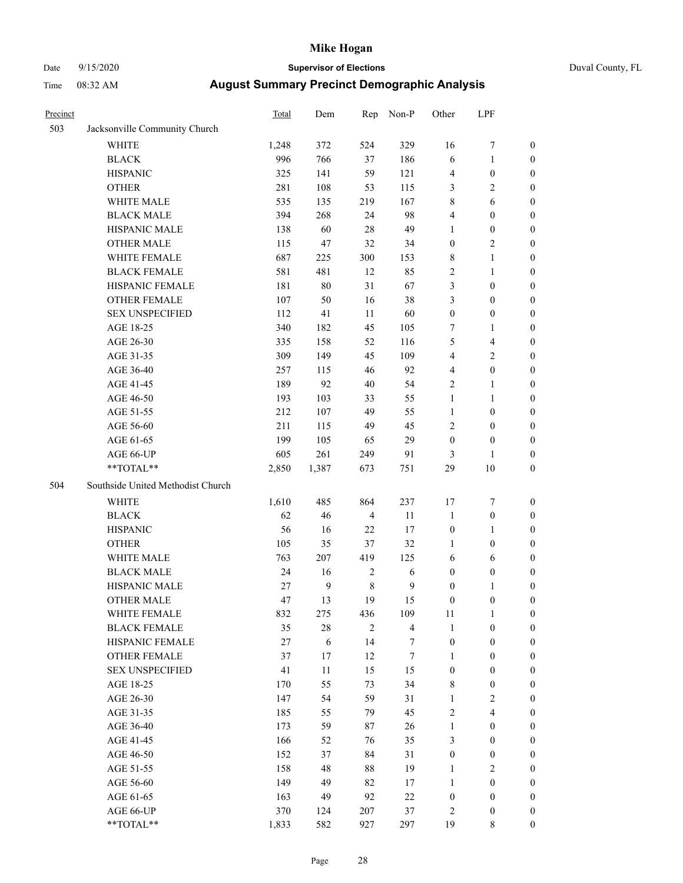# Date 9/15/2020 **Supervisor of Elections** Duval County, FL

| Precinct |                                                            | Total | Dem              | Rep            | Non-P          | Other            | LPF              |                  |
|----------|------------------------------------------------------------|-------|------------------|----------------|----------------|------------------|------------------|------------------|
| 503      | Jacksonville Community Church                              |       |                  |                |                |                  |                  |                  |
|          | <b>WHITE</b>                                               | 1,248 | 372              | 524            | 329            | 16               | $\boldsymbol{7}$ | 0                |
|          | <b>BLACK</b>                                               | 996   | 766              | 37             | 186            | 6                | $\mathbf{1}$     | 0                |
|          | <b>HISPANIC</b>                                            | 325   | 141              | 59             | 121            | 4                | $\boldsymbol{0}$ | $\boldsymbol{0}$ |
|          | <b>OTHER</b>                                               | 281   | 108              | 53             | 115            | 3                | $\sqrt{2}$       | $\boldsymbol{0}$ |
|          | WHITE MALE                                                 | 535   | 135              | 219            | 167            | 8                | 6                | $\boldsymbol{0}$ |
|          | <b>BLACK MALE</b>                                          | 394   | 268              | 24             | 98             | 4                | $\boldsymbol{0}$ | $\boldsymbol{0}$ |
|          | HISPANIC MALE                                              | 138   | 60               | 28             | 49             | 1                | $\boldsymbol{0}$ | $\boldsymbol{0}$ |
|          | <b>OTHER MALE</b>                                          | 115   | 47               | 32             | 34             | $\boldsymbol{0}$ | $\mathfrak{2}$   | $\boldsymbol{0}$ |
|          | WHITE FEMALE                                               | 687   | 225              | 300            | 153            | 8                | $\mathbf{1}$     | $\boldsymbol{0}$ |
|          | <b>BLACK FEMALE</b>                                        | 581   | 481              | 12             | 85             | 2                | $\mathbf{1}$     | 0                |
|          | HISPANIC FEMALE                                            | 181   | 80               | 31             | 67             | 3                | $\boldsymbol{0}$ | 0                |
|          | OTHER FEMALE                                               | 107   | 50               | 16             | 38             | 3                | $\boldsymbol{0}$ | $\boldsymbol{0}$ |
|          | <b>SEX UNSPECIFIED</b>                                     | 112   | 41               | $11\,$         | 60             | $\boldsymbol{0}$ | $\boldsymbol{0}$ | $\boldsymbol{0}$ |
|          | AGE 18-25                                                  | 340   | 182              | 45             | 105            | 7                | 1                | $\boldsymbol{0}$ |
|          | AGE 26-30                                                  | 335   | 158              | 52             | 116            | 5                | $\overline{4}$   | $\boldsymbol{0}$ |
|          | AGE 31-35                                                  | 309   | 149              | 45             | 109            | 4                | $\sqrt{2}$       | $\boldsymbol{0}$ |
|          | AGE 36-40                                                  | 257   | 115              | 46             | 92             | 4                | $\boldsymbol{0}$ | $\boldsymbol{0}$ |
|          | AGE 41-45                                                  | 189   | 92               | $40\,$         | 54             | 2                | $\mathbf{1}$     | $\boldsymbol{0}$ |
|          | AGE 46-50                                                  | 193   | 103              | 33             | 55             | $\mathbf{1}$     | $\mathbf{1}$     | $\boldsymbol{0}$ |
|          | AGE 51-55                                                  | 212   | 107              | 49             | 55             | $\mathbf{1}$     | $\boldsymbol{0}$ | 0                |
|          | AGE 56-60                                                  | 211   | 115              | 49             | 45             | $\overline{c}$   | $\boldsymbol{0}$ | 0                |
|          | AGE 61-65                                                  | 199   | 105              | 65             | 29             | $\boldsymbol{0}$ | $\boldsymbol{0}$ | $\boldsymbol{0}$ |
|          | AGE 66-UP                                                  | 605   | 261              | 249            | 91             | 3                | 1                | $\boldsymbol{0}$ |
|          | $**TOTAL**$                                                | 2,850 | 1,387            | 673            | 751            | 29               | 10               | $\boldsymbol{0}$ |
| 504      | Southside United Methodist Church                          |       |                  |                |                |                  |                  |                  |
|          | <b>WHITE</b>                                               | 1,610 | 485              | 864            | 237            | 17               | $\boldsymbol{7}$ | $\boldsymbol{0}$ |
|          | <b>BLACK</b>                                               | 62    | 46               | $\overline{4}$ | 11             | $\mathbf{1}$     | $\boldsymbol{0}$ | $\boldsymbol{0}$ |
|          | <b>HISPANIC</b>                                            | 56    | 16               | 22             | 17             | $\boldsymbol{0}$ | $\mathbf{1}$     | $\boldsymbol{0}$ |
|          | <b>OTHER</b>                                               | 105   | 35               | 37             | 32             | 1                | $\boldsymbol{0}$ | $\boldsymbol{0}$ |
|          | WHITE MALE                                                 | 763   | 207              | 419            | 125            | 6                | 6                | $\boldsymbol{0}$ |
|          | <b>BLACK MALE</b>                                          | 24    | 16               | $\sqrt{2}$     | 6              | $\boldsymbol{0}$ | $\boldsymbol{0}$ | $\boldsymbol{0}$ |
|          | HISPANIC MALE                                              | 27    | $\boldsymbol{9}$ | $\,$ 8 $\,$    | $\mathbf{9}$   | $\boldsymbol{0}$ | 1                | 0                |
|          | <b>OTHER MALE</b>                                          | 47    | 13               | 19             | 15             | $\boldsymbol{0}$ | $\boldsymbol{0}$ | $\boldsymbol{0}$ |
|          | WHITE FEMALE                                               | 832   | 275              | 436            | 109            | 11               | 1                | 0                |
|          | <b>BLACK FEMALE</b>                                        | 35    | 28               | $\overline{c}$ | $\overline{4}$ | $\mathbf{1}$     | $\boldsymbol{0}$ | $\overline{0}$   |
|          | HISPANIC FEMALE                                            | 27    | 6                | 14             | 7              | $\boldsymbol{0}$ | $\boldsymbol{0}$ | $\overline{0}$   |
|          | <b>OTHER FEMALE</b>                                        | 37    | 17               | 12             | 7              | 1                | $\boldsymbol{0}$ | $\overline{0}$   |
|          | <b>SEX UNSPECIFIED</b>                                     | 41    | 11               | 15             | 15             | $\boldsymbol{0}$ | $\boldsymbol{0}$ | 0                |
|          | AGE 18-25                                                  | 170   | 55               | 73             | 34             | 8                | $\boldsymbol{0}$ | 0                |
|          | AGE 26-30                                                  | 147   | 54               | 59             | 31             | $\mathbf{1}$     | $\mathfrak{2}$   | 0                |
|          | AGE 31-35                                                  | 185   | 55               | 79             | 45             | $\overline{c}$   | $\overline{4}$   | 0                |
|          | AGE 36-40                                                  | 173   | 59               | 87             | 26             | $\mathbf{1}$     | $\boldsymbol{0}$ | 0                |
|          | AGE 41-45                                                  | 166   | 52               | 76             | 35             | 3                | $\boldsymbol{0}$ | 0                |
|          | AGE 46-50                                                  | 152   | 37               | 84             | 31             | $\boldsymbol{0}$ | $\boldsymbol{0}$ | 0                |
|          | AGE 51-55                                                  | 158   | 48               | 88             | 19             | $\mathbf{1}$     | $\mathfrak{2}$   | 0                |
|          | AGE 56-60                                                  | 149   | 49               | 82             | 17             | $\mathbf{1}$     | $\boldsymbol{0}$ | $\overline{0}$   |
|          | AGE 61-65                                                  | 163   | 49               | 92             | $22\,$         | $\boldsymbol{0}$ | $\boldsymbol{0}$ | $\overline{0}$   |
|          | AGE 66-UP                                                  | 370   | 124              | 207            | 37             | 2                | $\boldsymbol{0}$ | 0                |
|          | $\mathrm{*}\mathrm{*} \mathrm{TOTAL} \mathrm{*}\mathrm{*}$ | 1,833 | 582              | 927            | 297            | 19               | 8                | $\overline{0}$   |
|          |                                                            |       |                  |                |                |                  |                  |                  |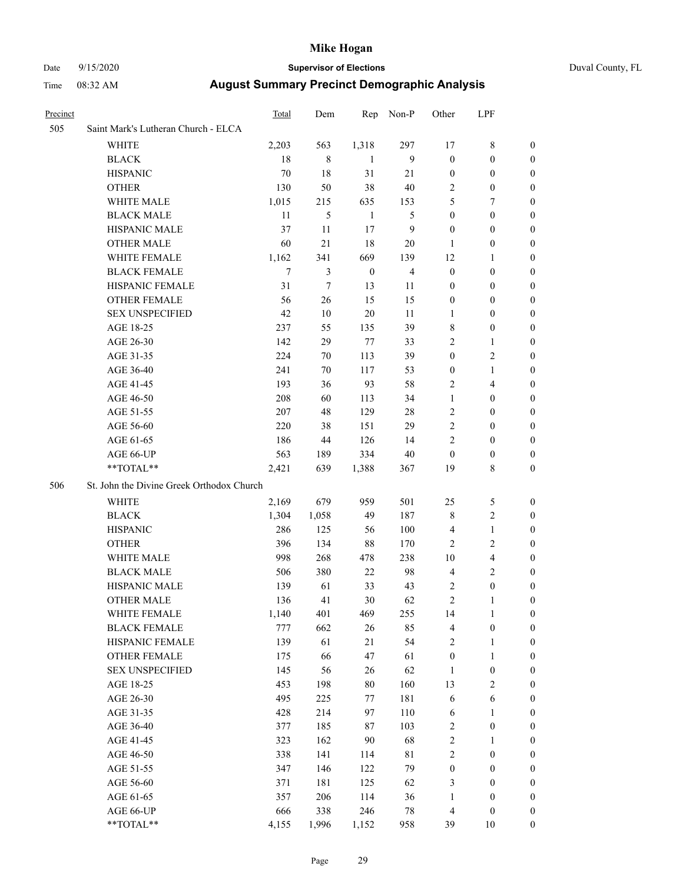#### Date 9/15/2020 **Supervisor of Elections** Duval County, FL

| Precinct |                                           | <b>Total</b> | Dem              |                  | Rep Non-P      | Other            | LPF                                  |                                    |  |  |
|----------|-------------------------------------------|--------------|------------------|------------------|----------------|------------------|--------------------------------------|------------------------------------|--|--|
| 505      | Saint Mark's Lutheran Church - ELCA       |              |                  |                  |                |                  |                                      |                                    |  |  |
|          | WHITE                                     | 2,203        | 563              | 1,318            | 297            | 17               | $\,$ 8 $\,$                          | 0                                  |  |  |
|          | <b>BLACK</b>                              | 18           | 8                | 1                | 9              | $\boldsymbol{0}$ | $\boldsymbol{0}$                     | 0                                  |  |  |
|          | <b>HISPANIC</b>                           | 70           | 18               | 31               | 21             | $\boldsymbol{0}$ | $\boldsymbol{0}$                     | 0                                  |  |  |
|          | <b>OTHER</b>                              | 130          | 50               | 38               | 40             | 2                | $\boldsymbol{0}$                     | $\boldsymbol{0}$                   |  |  |
|          | WHITE MALE                                | 1,015        | 215              | 635              | 153            | 5                | 7                                    | $\boldsymbol{0}$                   |  |  |
|          | <b>BLACK MALE</b>                         | 11           | 5                | $\mathbf{1}$     | 5              | $\boldsymbol{0}$ | $\boldsymbol{0}$                     | $\boldsymbol{0}$                   |  |  |
|          | HISPANIC MALE                             | 37           | 11               | 17               | $\mathbf{9}$   | $\boldsymbol{0}$ | $\boldsymbol{0}$                     | $\boldsymbol{0}$                   |  |  |
|          | <b>OTHER MALE</b>                         | 60           | 21               | 18               | 20             | 1                | $\boldsymbol{0}$                     | 0                                  |  |  |
|          | WHITE FEMALE                              | 1,162        | 341              | 669              | 139            | 12               | 1                                    | 0                                  |  |  |
|          | <b>BLACK FEMALE</b>                       | 7            | $\mathfrak{Z}$   | $\boldsymbol{0}$ | $\overline{4}$ | $\boldsymbol{0}$ | $\boldsymbol{0}$                     | 0                                  |  |  |
|          | HISPANIC FEMALE                           | 31           | $\boldsymbol{7}$ | 13               | 11             | 0                | 0                                    | 0                                  |  |  |
|          | OTHER FEMALE                              | 56           | 26               | 15               | 15             | 0                | 0                                    | 0                                  |  |  |
|          | <b>SEX UNSPECIFIED</b>                    | 42           | 10               | 20               | 11             | 1                | 0                                    | 0                                  |  |  |
|          | AGE 18-25                                 | 237          | 55               | 135              | 39             | 8                | $\boldsymbol{0}$                     | 0                                  |  |  |
|          | AGE 26-30                                 | 142          | 29               | 77               | 33             | $\overline{c}$   | 1                                    | 0                                  |  |  |
|          | AGE 31-35                                 | 224          | 70               | 113              | 39             | $\boldsymbol{0}$ | $\sqrt{2}$                           | 0                                  |  |  |
|          | AGE 36-40                                 | 241          | 70               | 117              | 53             | 0                | $\mathbf{1}$                         | 0                                  |  |  |
|          | AGE 41-45                                 | 193          | 36               | 93               | 58             | 2                | $\overline{4}$                       | 0                                  |  |  |
|          | AGE 46-50                                 | 208          | 60               | 113              | 34             | $\mathbf{1}$     | $\boldsymbol{0}$                     | 0                                  |  |  |
|          | AGE 51-55                                 | 207          | 48               | 129              | 28             | 2                | $\boldsymbol{0}$                     | 0                                  |  |  |
|          | AGE 56-60                                 | 220          | 38               | 151              | 29             | $\overline{c}$   | 0                                    | 0                                  |  |  |
|          | AGE 61-65                                 | 186          | 44               | 126              | 14             | $\overline{c}$   | $\boldsymbol{0}$                     | 0                                  |  |  |
|          | AGE 66-UP                                 | 563          | 189              | 334              | 40             | $\boldsymbol{0}$ | $\boldsymbol{0}$                     | 0                                  |  |  |
|          | **TOTAL**                                 | 2,421        | 639              | 1,388            | 367            | 19               | $\,$ 8 $\,$                          | $\boldsymbol{0}$                   |  |  |
| 506      | St. John the Divine Greek Orthodox Church |              |                  |                  |                |                  |                                      |                                    |  |  |
|          | WHITE                                     | 2,169        | 679              | 959              | 501            | 25               | 5                                    | 0                                  |  |  |
|          | <b>BLACK</b>                              | 1,304        | 1,058            | 49               | 187            | 8                | $\sqrt{2}$                           | $\boldsymbol{0}$                   |  |  |
|          | <b>HISPANIC</b>                           | 286          | 125              | 56               | 100            | 4                | $\mathbf{1}$                         | 0                                  |  |  |
|          | <b>OTHER</b>                              | 396          | 134              | 88               | 170            | 2                | $\sqrt{2}$                           | 0                                  |  |  |
|          | WHITE MALE                                | 998          | 268              | 478              | 238            | 10               | $\overline{4}$                       | $\boldsymbol{0}$                   |  |  |
|          | <b>BLACK MALE</b>                         | 506          | 380              | 22               | 98             | 4                | $\mathbf{2}$                         | $\boldsymbol{0}$                   |  |  |
|          | HISPANIC MALE                             | 139          | 61               | 33               | 43             | 2                | $\boldsymbol{0}$                     | 0                                  |  |  |
|          | <b>OTHER MALE</b>                         | 136          | 41               | 30               | 62             | $\overline{c}$   | 1                                    | $\overline{0}$                     |  |  |
|          | WHITE FEMALE                              | 1,140        | 401              | 469              | 255            | 14               | $\mathbf{1}$                         | 0                                  |  |  |
|          | <b>BLACK FEMALE</b>                       | 777          | 662              | 26               | 85             | 4                | $\boldsymbol{0}$                     | 0                                  |  |  |
|          | HISPANIC FEMALE                           | 139          | 61               | 21               | 54             | 2                | 1                                    | $\boldsymbol{0}$                   |  |  |
|          | <b>OTHER FEMALE</b>                       | 175          | 66               | 47               | 61             | $\boldsymbol{0}$ | $\mathbf{1}$                         | 0                                  |  |  |
|          | <b>SEX UNSPECIFIED</b>                    | 145          | 56               | 26               | 62             | $\mathbf{1}$     | $\boldsymbol{0}$                     | 0                                  |  |  |
|          | AGE 18-25                                 | 453          | 198              | 80               | 160            | 13               | $\sqrt{2}$                           | 0                                  |  |  |
|          | AGE 26-30                                 | 495          | 225              | 77               | 181            | 6                | 6                                    | 0                                  |  |  |
|          | AGE 31-35                                 | 428          | 214              | 97               | 110            | 6                | $\mathbf{1}$                         | 0                                  |  |  |
|          | AGE 36-40                                 | 377          | 185              | 87               | 103            | 2                | $\boldsymbol{0}$                     | 0                                  |  |  |
|          | AGE 41-45                                 | 323          | 162              | 90               | 68             | $\mathbf{2}$     | $\mathbf{1}$                         | 0                                  |  |  |
|          | AGE 46-50                                 | 338          | 141              | 114              | $8\sqrt{1}$    | $\overline{c}$   | $\boldsymbol{0}$                     | 0                                  |  |  |
|          | AGE 51-55                                 | 347          | 146              | 122              | 79             | $\boldsymbol{0}$ | $\boldsymbol{0}$                     | $\boldsymbol{0}$                   |  |  |
|          | AGE 56-60                                 | 371          | 181              | 125              | 62             | 3                | $\boldsymbol{0}$                     | $\boldsymbol{0}$                   |  |  |
|          | AGE 61-65                                 | 357          | 206              | 114              | 36<br>$78\,$   | 1                | $\boldsymbol{0}$<br>$\boldsymbol{0}$ | $\overline{0}$<br>$\boldsymbol{0}$ |  |  |
|          | AGE 66-UP<br>**TOTAL**                    | 666<br>4,155 | 338<br>1,996     | 246              |                | 4<br>39          | 10                                   | $\overline{0}$                     |  |  |
|          |                                           |              |                  | 1,152            | 958            |                  |                                      |                                    |  |  |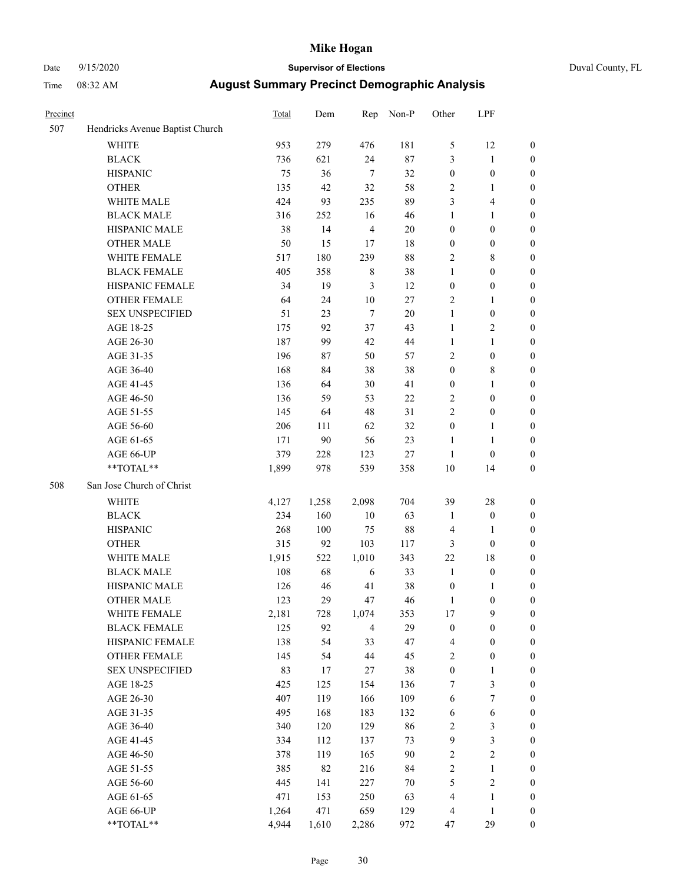### Date 9/15/2020 **Supervisor of Elections** Duval County, FL

| Precinct |                                 | <b>Total</b> | Dem   | Rep            | Non-P  | Other                   | LPF              |                  |
|----------|---------------------------------|--------------|-------|----------------|--------|-------------------------|------------------|------------------|
| 507      | Hendricks Avenue Baptist Church |              |       |                |        |                         |                  |                  |
|          | <b>WHITE</b>                    | 953          | 279   | 476            | 181    | 5                       | 12               | 0                |
|          | <b>BLACK</b>                    | 736          | 621   | 24             | $87\,$ | 3                       | $\mathbf{1}$     | 0                |
|          | <b>HISPANIC</b>                 | 75           | 36    | $\tau$         | 32     | $\boldsymbol{0}$        | $\boldsymbol{0}$ | $\boldsymbol{0}$ |
|          | <b>OTHER</b>                    | 135          | 42    | 32             | 58     | 2                       | 1                | $\boldsymbol{0}$ |
|          | WHITE MALE                      | 424          | 93    | 235            | 89     | 3                       | $\overline{4}$   | $\boldsymbol{0}$ |
|          | <b>BLACK MALE</b>               | 316          | 252   | 16             | 46     | 1                       | $\mathbf{1}$     | $\boldsymbol{0}$ |
|          | HISPANIC MALE                   | 38           | 14    | $\overline{4}$ | $20\,$ | $\boldsymbol{0}$        | $\boldsymbol{0}$ | $\boldsymbol{0}$ |
|          | <b>OTHER MALE</b>               | 50           | 15    | 17             | 18     | $\boldsymbol{0}$        | $\boldsymbol{0}$ | $\boldsymbol{0}$ |
|          | WHITE FEMALE                    | 517          | 180   | 239            | 88     | $\overline{c}$          | $\,$ 8 $\,$      | $\boldsymbol{0}$ |
|          | <b>BLACK FEMALE</b>             | 405          | 358   | $\,$ 8 $\,$    | 38     | 1                       | $\boldsymbol{0}$ | $\boldsymbol{0}$ |
|          | HISPANIC FEMALE                 | 34           | 19    | 3              | 12     | $\boldsymbol{0}$        | $\boldsymbol{0}$ | $\boldsymbol{0}$ |
|          | <b>OTHER FEMALE</b>             | 64           | 24    | $10\,$         | $27\,$ | $\mathbf{2}$            | $\mathbf{1}$     | $\boldsymbol{0}$ |
|          | <b>SEX UNSPECIFIED</b>          | 51           | 23    | $\tau$         | 20     | $\mathbf{1}$            | $\boldsymbol{0}$ | $\boldsymbol{0}$ |
|          | AGE 18-25                       | 175          | 92    | 37             | 43     | $\mathbf{1}$            | $\sqrt{2}$       | $\boldsymbol{0}$ |
|          | AGE 26-30                       | 187          | 99    | 42             | 44     | 1                       | $\mathbf{1}$     | $\boldsymbol{0}$ |
|          | AGE 31-35                       | 196          | 87    | 50             | 57     | $\overline{c}$          | $\boldsymbol{0}$ | $\boldsymbol{0}$ |
|          | AGE 36-40                       | 168          | 84    | 38             | 38     | $\boldsymbol{0}$        | $\,$ 8 $\,$      | $\boldsymbol{0}$ |
|          | AGE 41-45                       | 136          | 64    | 30             | 41     | $\boldsymbol{0}$        | $\mathbf{1}$     | $\boldsymbol{0}$ |
|          | AGE 46-50                       | 136          | 59    | 53             | $22\,$ | $\mathbf{2}$            | $\boldsymbol{0}$ | $\boldsymbol{0}$ |
|          | AGE 51-55                       | 145          | 64    | 48             | 31     | $\overline{c}$          | $\boldsymbol{0}$ | $\boldsymbol{0}$ |
|          | AGE 56-60                       | 206          | 111   | 62             | 32     | $\boldsymbol{0}$        | 1                | $\boldsymbol{0}$ |
|          | AGE 61-65                       | 171          | 90    | 56             | 23     | $\mathbf{1}$            | $\mathbf{1}$     | $\boldsymbol{0}$ |
|          | AGE 66-UP                       | 379          | 228   | 123            | $27\,$ | $\mathbf{1}$            | $\boldsymbol{0}$ | $\boldsymbol{0}$ |
|          | $**TOTAL**$                     | 1,899        | 978   | 539            | 358    | $10\,$                  | 14               | $\boldsymbol{0}$ |
| 508      | San Jose Church of Christ       |              |       |                |        |                         |                  |                  |
|          | <b>WHITE</b>                    | 4,127        | 1,258 | 2,098          | 704    | 39                      | 28               | $\boldsymbol{0}$ |
|          | <b>BLACK</b>                    | 234          | 160   | $10\,$         | 63     | 1                       | $\boldsymbol{0}$ | $\boldsymbol{0}$ |
|          | <b>HISPANIC</b>                 | 268          | 100   | 75             | 88     | 4                       | $\mathbf{1}$     | $\boldsymbol{0}$ |
|          | <b>OTHER</b>                    | 315          | 92    | 103            | 117    | 3                       | $\boldsymbol{0}$ | $\boldsymbol{0}$ |
|          | WHITE MALE                      | 1,915        | 522   | 1,010          | 343    | 22                      | 18               | $\boldsymbol{0}$ |
|          | <b>BLACK MALE</b>               | 108          | 68    | 6              | 33     | $\mathbf{1}$            | $\boldsymbol{0}$ | $\boldsymbol{0}$ |
|          | HISPANIC MALE                   | 126          | 46    | 41             | 38     | $\boldsymbol{0}$        | 1                | 0                |
|          | <b>OTHER MALE</b>               | 123          | 29    | 47             | 46     | 1                       | $\boldsymbol{0}$ | $\boldsymbol{0}$ |
|          | WHITE FEMALE                    | 2,181        | 728   | 1,074          | 353    | 17                      | 9                | 0                |
|          | <b>BLACK FEMALE</b>             | 125          | 92    | $\overline{4}$ | 29     | $\boldsymbol{0}$        | $\boldsymbol{0}$ | $\boldsymbol{0}$ |
|          | HISPANIC FEMALE                 | 138          | 54    | 33             | 47     | 4                       | $\boldsymbol{0}$ | $\overline{0}$   |
|          | OTHER FEMALE                    | 145          | 54    | 44             | 45     | $\overline{\mathbf{c}}$ | $\boldsymbol{0}$ | 0                |
|          | <b>SEX UNSPECIFIED</b>          | 83           | 17    | 27             | 38     | $\boldsymbol{0}$        | $\mathbf{1}$     | 0                |
|          | AGE 18-25                       | 425          | 125   | 154            | 136    | 7                       | 3                | 0                |
|          | AGE 26-30                       | 407          | 119   | 166            | 109    | 6                       | $\boldsymbol{7}$ | 0                |
|          | AGE 31-35                       | 495          | 168   | 183            | 132    | 6                       | 6                | 0                |
|          | AGE 36-40                       | 340          | 120   | 129            | 86     | $\overline{\mathbf{c}}$ | $\sqrt{3}$       | 0                |
|          | AGE 41-45                       | 334          | 112   | 137            | 73     | 9                       | $\mathfrak{Z}$   | 0                |
|          | AGE 46-50                       | 378          | 119   | 165            | 90     | $\mathbf{2}$            | $\sqrt{2}$       | 0                |
|          | AGE 51-55                       | 385          | 82    | 216            | 84     | $\mathbf{2}$            | $\mathbf{1}$     | 0                |
|          | AGE 56-60                       | 445          | 141   | 227            | $70\,$ | 5                       | $\sqrt{2}$       | 0                |
|          | AGE 61-65                       | 471          | 153   | 250            | 63     | 4                       | $\mathbf{1}$     | $\boldsymbol{0}$ |
|          | AGE 66-UP                       | 1,264        | 471   | 659            | 129    | 4                       | $\mathbf{1}$     | 0                |
|          | **TOTAL**                       | 4,944        | 1,610 | 2,286          | 972    | 47                      | 29               | $\boldsymbol{0}$ |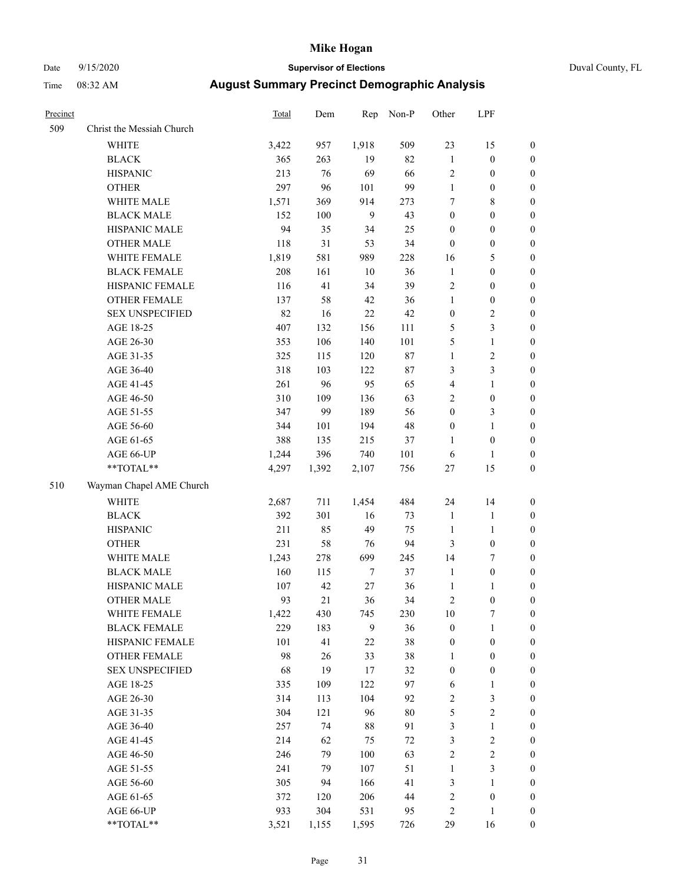# Date 9/15/2020 **Supervisor of Elections** Duval County, FL

| Precinct |                           | Total | Dem   | Rep          | Non-P  | Other                   | LPF              |                  |
|----------|---------------------------|-------|-------|--------------|--------|-------------------------|------------------|------------------|
| 509      | Christ the Messiah Church |       |       |              |        |                         |                  |                  |
|          | <b>WHITE</b>              | 3,422 | 957   | 1,918        | 509    | 23                      | 15               | 0                |
|          | <b>BLACK</b>              | 365   | 263   | 19           | 82     | $\mathbf{1}$            | $\boldsymbol{0}$ | 0                |
|          | <b>HISPANIC</b>           | 213   | 76    | 69           | 66     | $\mathbf{2}$            | $\boldsymbol{0}$ | $\boldsymbol{0}$ |
|          | <b>OTHER</b>              | 297   | 96    | 101          | 99     | $\mathbf{1}$            | $\boldsymbol{0}$ | $\boldsymbol{0}$ |
|          | WHITE MALE                | 1,571 | 369   | 914          | 273    | 7                       | $\,$ 8 $\,$      | $\boldsymbol{0}$ |
|          | <b>BLACK MALE</b>         | 152   | 100   | $\mathbf{9}$ | 43     | $\boldsymbol{0}$        | $\boldsymbol{0}$ | $\boldsymbol{0}$ |
|          | HISPANIC MALE             | 94    | 35    | 34           | 25     | 0                       | $\boldsymbol{0}$ | $\boldsymbol{0}$ |
|          | <b>OTHER MALE</b>         | 118   | 31    | 53           | 34     | $\boldsymbol{0}$        | $\boldsymbol{0}$ | $\boldsymbol{0}$ |
|          | WHITE FEMALE              | 1,819 | 581   | 989          | 228    | 16                      | 5                | $\boldsymbol{0}$ |
|          | <b>BLACK FEMALE</b>       | 208   | 161   | $10\,$       | 36     | $\mathbf{1}$            | $\boldsymbol{0}$ | $\boldsymbol{0}$ |
|          | HISPANIC FEMALE           | 116   | 41    | 34           | 39     | $\mathbf{2}$            | $\boldsymbol{0}$ | $\boldsymbol{0}$ |
|          | OTHER FEMALE              | 137   | 58    | 42           | 36     | $\mathbf{1}$            | $\boldsymbol{0}$ | $\boldsymbol{0}$ |
|          | <b>SEX UNSPECIFIED</b>    | 82    | 16    | 22           | 42     | $\boldsymbol{0}$        | $\sqrt{2}$       | $\boldsymbol{0}$ |
|          | AGE 18-25                 | 407   | 132   | 156          | 111    | 5                       | $\mathfrak{Z}$   | $\boldsymbol{0}$ |
|          | AGE 26-30                 | 353   | 106   | 140          | 101    | 5                       | $\mathbf{1}$     | $\boldsymbol{0}$ |
|          | AGE 31-35                 | 325   | 115   | 120          | $87\,$ | $\mathbf{1}$            | $\sqrt{2}$       | $\boldsymbol{0}$ |
|          | AGE 36-40                 | 318   | 103   | 122          | $87\,$ | 3                       | 3                | $\boldsymbol{0}$ |
|          | AGE 41-45                 | 261   | 96    | 95           | 65     | 4                       | $\mathbf{1}$     | $\boldsymbol{0}$ |
|          | AGE 46-50                 | 310   | 109   | 136          | 63     | $\overline{c}$          | $\boldsymbol{0}$ | $\boldsymbol{0}$ |
|          | AGE 51-55                 | 347   | 99    | 189          | 56     | $\boldsymbol{0}$        | $\mathfrak{Z}$   | $\boldsymbol{0}$ |
|          | AGE 56-60                 | 344   | 101   | 194          | 48     | $\boldsymbol{0}$        | $\mathbf{1}$     | 0                |
|          | AGE 61-65                 | 388   | 135   | 215          | 37     | 1                       | $\boldsymbol{0}$ | $\boldsymbol{0}$ |
|          | AGE 66-UP                 | 1,244 | 396   | 740          | 101    | 6                       | $\mathbf{1}$     | $\boldsymbol{0}$ |
|          | $**TOTAL**$               | 4,297 | 1,392 | 2,107        | 756    | $27\,$                  | 15               | $\boldsymbol{0}$ |
| 510      | Wayman Chapel AME Church  |       |       |              |        |                         |                  |                  |
|          | <b>WHITE</b>              | 2,687 | 711   | 1,454        | 484    | 24                      | 14               | $\boldsymbol{0}$ |
|          | <b>BLACK</b>              | 392   | 301   | 16           | 73     | $\mathbf{1}$            | $\mathbf{1}$     | $\boldsymbol{0}$ |
|          | <b>HISPANIC</b>           | 211   | 85    | 49           | 75     | $\mathbf{1}$            | $\mathbf{1}$     | $\boldsymbol{0}$ |
|          | <b>OTHER</b>              | 231   | 58    | 76           | 94     | 3                       | $\boldsymbol{0}$ | $\boldsymbol{0}$ |
|          | WHITE MALE                | 1,243 | 278   | 699          | 245    | 14                      | $\tau$           | $\boldsymbol{0}$ |
|          | <b>BLACK MALE</b>         | 160   | 115   | $\tau$       | 37     | $\mathbf{1}$            | $\boldsymbol{0}$ | $\boldsymbol{0}$ |
|          | HISPANIC MALE             | 107   | 42    | 27           | 36     | $\mathbf{1}$            | 1                | 0                |
|          | <b>OTHER MALE</b>         | 93    | 21    | 36           | 34     | 2                       | $\boldsymbol{0}$ | $\boldsymbol{0}$ |
|          | WHITE FEMALE              | 1,422 | 430   | 745          | 230    | 10                      | 7                | 0                |
|          | <b>BLACK FEMALE</b>       | 229   | 183   | 9            | 36     | $\boldsymbol{0}$        | $\mathbf{1}$     | $\boldsymbol{0}$ |
|          | HISPANIC FEMALE           | 101   | 41    | $22\,$       | 38     | $\boldsymbol{0}$        | $\boldsymbol{0}$ | $\overline{0}$   |
|          | OTHER FEMALE              | 98    | 26    | 33           | 38     | 1                       | $\boldsymbol{0}$ | $\overline{0}$   |
|          | <b>SEX UNSPECIFIED</b>    | 68    | 19    | 17           | 32     | $\boldsymbol{0}$        | $\boldsymbol{0}$ | 0                |
|          | AGE 18-25                 | 335   | 109   | 122          | 97     | 6                       | $\mathbf{1}$     | 0                |
|          | AGE 26-30                 | 314   | 113   | 104          | 92     | $\mathbf{2}$            | 3                | 0                |
|          | AGE 31-35                 | 304   | 121   | 96           | $80\,$ | 5                       | $\sqrt{2}$       | 0                |
|          | AGE 36-40                 | 257   | 74    | 88           | 91     | 3                       | $\mathbf{1}$     | 0                |
|          | AGE 41-45                 | 214   | 62    | 75           | $72\,$ | 3                       | $\sqrt{2}$       | 0                |
|          | AGE 46-50                 | 246   | 79    | 100          | 63     | $\overline{c}$          | $\sqrt{2}$       | 0                |
|          | AGE 51-55                 | 241   | 79    | 107          | 51     | $\mathbf{1}$            | 3                | 0                |
|          | AGE 56-60                 | 305   | 94    | 166          | 41     | 3                       | 1                | $\boldsymbol{0}$ |
|          | AGE 61-65                 | 372   | 120   | 206          | 44     | $\overline{\mathbf{c}}$ | $\boldsymbol{0}$ | $\boldsymbol{0}$ |
|          | AGE 66-UP                 | 933   | 304   | 531          | 95     | 2                       | $\mathbf{1}$     | 0                |
|          | **TOTAL**                 | 3,521 | 1,155 | 1,595        | 726    | 29                      | 16               | $\boldsymbol{0}$ |
|          |                           |       |       |              |        |                         |                  |                  |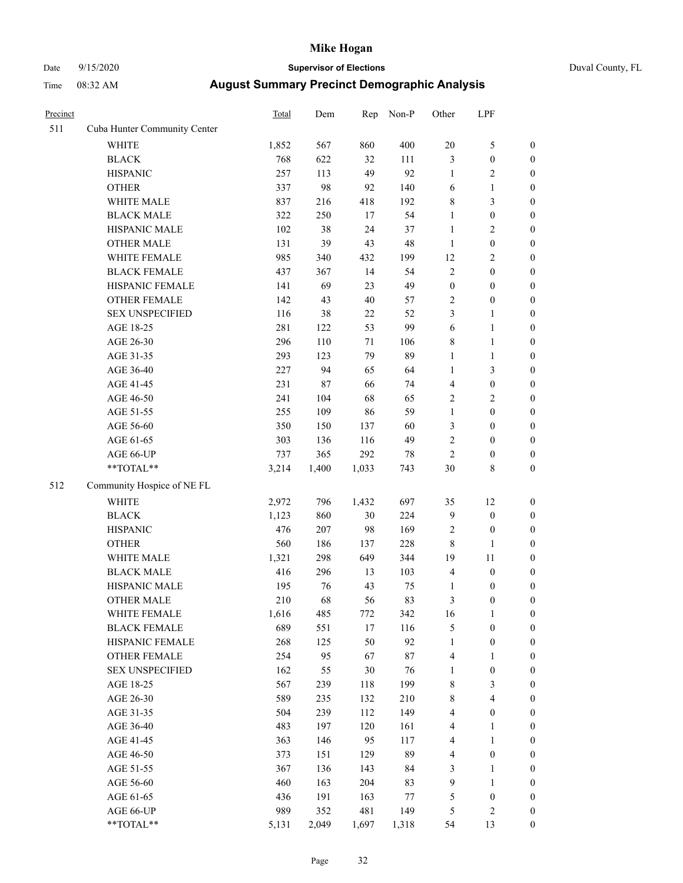# Date 9/15/2020 **Supervisor of Elections** Duval County, FL

| Precinct |                              | <b>Total</b> | Dem    | Rep    | Non-P  | Other            | LPF              |                  |
|----------|------------------------------|--------------|--------|--------|--------|------------------|------------------|------------------|
| 511      | Cuba Hunter Community Center |              |        |        |        |                  |                  |                  |
|          | <b>WHITE</b>                 | 1,852        | 567    | 860    | 400    | $20\,$           | $\mathfrak s$    | 0                |
|          | <b>BLACK</b>                 | 768          | 622    | 32     | 111    | 3                | $\boldsymbol{0}$ | 0                |
|          | <b>HISPANIC</b>              | 257          | 113    | 49     | 92     | $\mathbf{1}$     | $\sqrt{2}$       | $\boldsymbol{0}$ |
|          | <b>OTHER</b>                 | 337          | 98     | 92     | 140    | 6                | $\mathbf{1}$     | $\boldsymbol{0}$ |
|          | WHITE MALE                   | 837          | 216    | 418    | 192    | 8                | $\mathfrak{Z}$   | $\boldsymbol{0}$ |
|          | <b>BLACK MALE</b>            | 322          | 250    | 17     | 54     | 1                | $\boldsymbol{0}$ | $\boldsymbol{0}$ |
|          | HISPANIC MALE                | 102          | 38     | 24     | 37     | 1                | $\sqrt{2}$       | $\boldsymbol{0}$ |
|          | <b>OTHER MALE</b>            | 131          | 39     | 43     | 48     | $\mathbf{1}$     | $\boldsymbol{0}$ | $\boldsymbol{0}$ |
|          | WHITE FEMALE                 | 985          | 340    | 432    | 199    | 12               | $\sqrt{2}$       | $\boldsymbol{0}$ |
|          | <b>BLACK FEMALE</b>          | 437          | 367    | 14     | 54     | $\mathbf{2}$     | $\boldsymbol{0}$ | $\boldsymbol{0}$ |
|          | HISPANIC FEMALE              | 141          | 69     | 23     | 49     | $\boldsymbol{0}$ | $\boldsymbol{0}$ | $\boldsymbol{0}$ |
|          | OTHER FEMALE                 | 142          | 43     | 40     | 57     | $\mathbf{2}$     | $\boldsymbol{0}$ | $\boldsymbol{0}$ |
|          | <b>SEX UNSPECIFIED</b>       | 116          | 38     | 22     | 52     | 3                | $\mathbf{1}$     | $\boldsymbol{0}$ |
|          | AGE 18-25                    | 281          | 122    | 53     | 99     | 6                | $\mathbf{1}$     | $\boldsymbol{0}$ |
|          | AGE 26-30                    | 296          | 110    | 71     | 106    | 8                | $\mathbf{1}$     | $\boldsymbol{0}$ |
|          | AGE 31-35                    | 293          | 123    | 79     | 89     | $\mathbf{1}$     | $\mathbf{1}$     | $\boldsymbol{0}$ |
|          | AGE 36-40                    | 227          | 94     | 65     | 64     | $\mathbf{1}$     | 3                | $\boldsymbol{0}$ |
|          | AGE 41-45                    | 231          | $87\,$ | 66     | 74     | 4                | $\boldsymbol{0}$ | $\boldsymbol{0}$ |
|          | AGE 46-50                    | 241          | 104    | 68     | 65     | $\mathbf{2}$     | $\sqrt{2}$       | $\boldsymbol{0}$ |
|          | AGE 51-55                    | 255          | 109    | 86     | 59     | $\mathbf{1}$     | $\boldsymbol{0}$ | $\boldsymbol{0}$ |
|          | AGE 56-60                    | 350          | 150    | 137    | 60     | 3                | $\boldsymbol{0}$ | $\boldsymbol{0}$ |
|          | AGE 61-65                    | 303          | 136    | 116    | 49     | $\mathbf{2}$     | $\boldsymbol{0}$ | $\boldsymbol{0}$ |
|          | AGE 66-UP                    | 737          | 365    | 292    | $78\,$ | $\overline{c}$   | $\boldsymbol{0}$ | $\boldsymbol{0}$ |
|          | $**TOTAL**$                  | 3,214        | 1,400  | 1,033  | 743    | 30               | $\,$ 8 $\,$      | $\boldsymbol{0}$ |
| 512      | Community Hospice of NE FL   |              |        |        |        |                  |                  |                  |
|          | <b>WHITE</b>                 | 2,972        | 796    | 1,432  | 697    | 35               | 12               | $\boldsymbol{0}$ |
|          | <b>BLACK</b>                 | 1,123        | 860    | 30     | 224    | 9                | $\boldsymbol{0}$ | $\boldsymbol{0}$ |
|          | <b>HISPANIC</b>              | 476          | 207    | 98     | 169    | 2                | $\boldsymbol{0}$ | $\boldsymbol{0}$ |
|          | <b>OTHER</b>                 | 560          | 186    | 137    | 228    | 8                | $\mathbf{1}$     | $\boldsymbol{0}$ |
|          | WHITE MALE                   | 1,321        | 298    | 649    | 344    | 19               | 11               | $\boldsymbol{0}$ |
|          | <b>BLACK MALE</b>            | 416          | 296    | 13     | 103    | 4                | $\boldsymbol{0}$ | $\boldsymbol{0}$ |
|          | HISPANIC MALE                | 195          | 76     | 43     | 75     | 1                | $\boldsymbol{0}$ | 0                |
|          | <b>OTHER MALE</b>            | 210          | 68     | 56     | 83     | 3                | $\boldsymbol{0}$ | $\boldsymbol{0}$ |
|          | WHITE FEMALE                 | 1,616        | 485    | 772    | 342    | 16               | 1                | 0                |
|          | <b>BLACK FEMALE</b>          | 689          | 551    | $17\,$ | 116    | 5                | $\boldsymbol{0}$ | $\boldsymbol{0}$ |
|          | HISPANIC FEMALE              | 268          | 125    | 50     | 92     | 1                | $\boldsymbol{0}$ | $\overline{0}$   |
|          | OTHER FEMALE                 | 254          | 95     | 67     | 87     | 4                | $\mathbf{1}$     | $\overline{0}$   |
|          | <b>SEX UNSPECIFIED</b>       | 162          | 55     | 30     | 76     | 1                | $\boldsymbol{0}$ | 0                |
|          | AGE 18-25                    | 567          | 239    | 118    | 199    | 8                | 3                | 0                |
|          | AGE 26-30                    | 589          | 235    | 132    | 210    | 8                | $\overline{4}$   | 0                |
|          | AGE 31-35                    | 504          | 239    | 112    | 149    | 4                | $\boldsymbol{0}$ | 0                |
|          | AGE 36-40                    | 483          | 197    | 120    | 161    | 4                | $\mathbf{1}$     | 0                |
|          | AGE 41-45                    | 363          | 146    | 95     | 117    | 4                | $\mathbf{1}$     | 0                |
|          | AGE 46-50                    | 373          | 151    | 129    | 89     | 4                | $\boldsymbol{0}$ | 0                |
|          | AGE 51-55                    | 367          | 136    | 143    | 84     | 3                | $\mathbf{1}$     | 0                |
|          | AGE 56-60                    | 460          | 163    | 204    | 83     | 9                | $\mathbf{1}$     | $\overline{0}$   |
|          | AGE 61-65                    | 436          | 191    | 163    | 77     | 5                | $\boldsymbol{0}$ | $\overline{0}$   |
|          | AGE 66-UP                    | 989          | 352    | 481    | 149    | 5                | $\mathfrak{2}$   | 0                |
|          | **TOTAL**                    | 5,131        | 2,049  | 1,697  | 1,318  | 54               | 13               | $\boldsymbol{0}$ |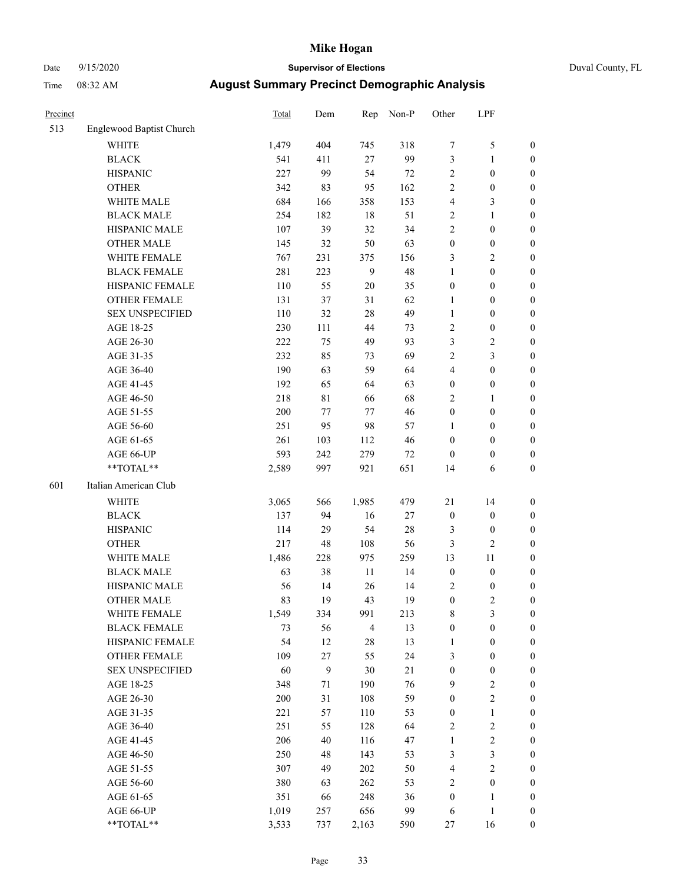# Date 9/15/2020 **Supervisor of Elections** Duval County, FL

| Precinct |                          | <b>Total</b> | Dem              | Rep            | Non-P  | Other            | LPF              |                  |
|----------|--------------------------|--------------|------------------|----------------|--------|------------------|------------------|------------------|
| 513      | Englewood Baptist Church |              |                  |                |        |                  |                  |                  |
|          | <b>WHITE</b>             | 1,479        | 404              | 745            | 318    | 7                | $\mathfrak s$    | 0                |
|          | <b>BLACK</b>             | 541          | 411              | 27             | 99     | 3                | $\mathbf{1}$     | 0                |
|          | <b>HISPANIC</b>          | 227          | 99               | 54             | $72\,$ | 2                | $\boldsymbol{0}$ | $\boldsymbol{0}$ |
|          | <b>OTHER</b>             | 342          | 83               | 95             | 162    | 2                | $\boldsymbol{0}$ | $\boldsymbol{0}$ |
|          | WHITE MALE               | 684          | 166              | 358            | 153    | 4                | $\mathfrak{Z}$   | $\boldsymbol{0}$ |
|          | <b>BLACK MALE</b>        | 254          | 182              | 18             | 51     | 2                | $\mathbf{1}$     | $\boldsymbol{0}$ |
|          | HISPANIC MALE            | 107          | 39               | 32             | 34     | $\overline{c}$   | $\boldsymbol{0}$ | $\boldsymbol{0}$ |
|          | <b>OTHER MALE</b>        | 145          | 32               | 50             | 63     | $\boldsymbol{0}$ | $\boldsymbol{0}$ | $\boldsymbol{0}$ |
|          | WHITE FEMALE             | 767          | 231              | 375            | 156    | 3                | $\sqrt{2}$       | $\boldsymbol{0}$ |
|          | <b>BLACK FEMALE</b>      | 281          | 223              | $\mathbf{9}$   | 48     | $\mathbf{1}$     | $\boldsymbol{0}$ | $\boldsymbol{0}$ |
|          | HISPANIC FEMALE          | 110          | 55               | $20\,$         | 35     | $\boldsymbol{0}$ | $\boldsymbol{0}$ | $\boldsymbol{0}$ |
|          | <b>OTHER FEMALE</b>      | 131          | 37               | 31             | 62     | $\mathbf{1}$     | $\boldsymbol{0}$ | $\boldsymbol{0}$ |
|          | <b>SEX UNSPECIFIED</b>   | 110          | 32               | 28             | 49     | $\mathbf{1}$     | $\boldsymbol{0}$ | $\boldsymbol{0}$ |
|          | AGE 18-25                | 230          | 111              | 44             | 73     | 2                | $\boldsymbol{0}$ | $\boldsymbol{0}$ |
|          | AGE 26-30                | 222          | 75               | 49             | 93     | 3                | $\sqrt{2}$       | $\boldsymbol{0}$ |
|          | AGE 31-35                | 232          | 85               | 73             | 69     | $\overline{c}$   | 3                | $\boldsymbol{0}$ |
|          | AGE 36-40                | 190          | 63               | 59             | 64     | 4                | $\boldsymbol{0}$ | $\boldsymbol{0}$ |
|          | AGE 41-45                | 192          | 65               | 64             | 63     | $\boldsymbol{0}$ | $\boldsymbol{0}$ | $\boldsymbol{0}$ |
|          | AGE 46-50                | 218          | $8\sqrt{1}$      | 66             | 68     | 2                | 1                | $\boldsymbol{0}$ |
|          | AGE 51-55                | $200\,$      | 77               | 77             | 46     | $\boldsymbol{0}$ | $\boldsymbol{0}$ | $\boldsymbol{0}$ |
|          | AGE 56-60                | 251          | 95               | 98             | 57     | 1                | $\boldsymbol{0}$ | 0                |
|          | AGE 61-65                | 261          | 103              | 112            | 46     | $\boldsymbol{0}$ | $\boldsymbol{0}$ | $\boldsymbol{0}$ |
|          | AGE 66-UP                | 593          | 242              | 279            | 72     | $\boldsymbol{0}$ | $\boldsymbol{0}$ | $\boldsymbol{0}$ |
|          | **TOTAL**                | 2,589        | 997              | 921            | 651    | 14               | 6                | $\boldsymbol{0}$ |
| 601      | Italian American Club    |              |                  |                |        |                  |                  |                  |
|          | <b>WHITE</b>             | 3,065        | 566              | 1,985          | 479    | 21               | 14               | $\boldsymbol{0}$ |
|          | <b>BLACK</b>             | 137          | 94               | 16             | $27\,$ | $\boldsymbol{0}$ | $\boldsymbol{0}$ | $\boldsymbol{0}$ |
|          | <b>HISPANIC</b>          | 114          | 29               | 54             | $28\,$ | 3                | $\boldsymbol{0}$ | $\boldsymbol{0}$ |
|          | <b>OTHER</b>             | 217          | 48               | 108            | 56     | 3                | $\mathfrak{2}$   | $\boldsymbol{0}$ |
|          | WHITE MALE               | 1,486        | 228              | 975            | 259    | 13               | 11               | $\boldsymbol{0}$ |
|          | <b>BLACK MALE</b>        | 63           | 38               | 11             | 14     | $\boldsymbol{0}$ | $\boldsymbol{0}$ | $\boldsymbol{0}$ |
|          | HISPANIC MALE            | 56           | 14               | 26             | 14     | 2                | $\boldsymbol{0}$ | 0                |
|          | <b>OTHER MALE</b>        | 83           | 19               | 43             | 19     | $\boldsymbol{0}$ | $\mathfrak{2}$   | $\boldsymbol{0}$ |
|          | WHITE FEMALE             | 1,549        | 334              | 991            | 213    | 8                | 3                | 0                |
|          | <b>BLACK FEMALE</b>      | 73           | 56               | $\overline{4}$ | 13     | $\boldsymbol{0}$ | $\boldsymbol{0}$ | $\boldsymbol{0}$ |
|          | HISPANIC FEMALE          | 54           | 12               | 28             | 13     | $\mathbf{1}$     | $\boldsymbol{0}$ | $\overline{0}$   |
|          | <b>OTHER FEMALE</b>      | 109          | $27\,$           | 55             | 24     | 3                | $\boldsymbol{0}$ | $\overline{0}$   |
|          | <b>SEX UNSPECIFIED</b>   | 60           | $\boldsymbol{9}$ | 30             | 21     | $\boldsymbol{0}$ | $\boldsymbol{0}$ | 0                |
|          | AGE 18-25                | 348          | 71               | 190            | 76     | 9                | $\sqrt{2}$       | 0                |
|          | AGE 26-30                | $200\,$      | $31\,$           | 108            | 59     | $\boldsymbol{0}$ | $\overline{c}$   | 0                |
|          | AGE 31-35                | 221          | 57               | 110            | 53     | $\boldsymbol{0}$ | $\mathbf{1}$     | 0                |
|          | AGE 36-40                | 251          | 55               | 128            | 64     | 2                | $\sqrt{2}$       | 0                |
|          | AGE 41-45                | 206          | $40\,$           | 116            | 47     | $\mathbf{1}$     | $\sqrt{2}$       | 0                |
|          | AGE 46-50                | 250          | 48               | 143            | 53     | 3                | $\mathfrak z$    | 0                |
|          | AGE 51-55                | 307          | 49               | 202            | 50     | 4                | $\sqrt{2}$       | 0                |
|          | AGE 56-60                | 380          | 63               | 262            | 53     | 2                | $\boldsymbol{0}$ | $\overline{0}$   |
|          | AGE 61-65                | 351          | 66               | 248            | 36     | $\boldsymbol{0}$ | 1                | $\overline{0}$   |
|          | AGE 66-UP                | 1,019        | 257              | 656            | 99     | 6                | $\mathbf{1}$     | 0                |
|          | **TOTAL**                | 3,533        | 737              | 2,163          | 590    | 27               | 16               | $\boldsymbol{0}$ |
|          |                          |              |                  |                |        |                  |                  |                  |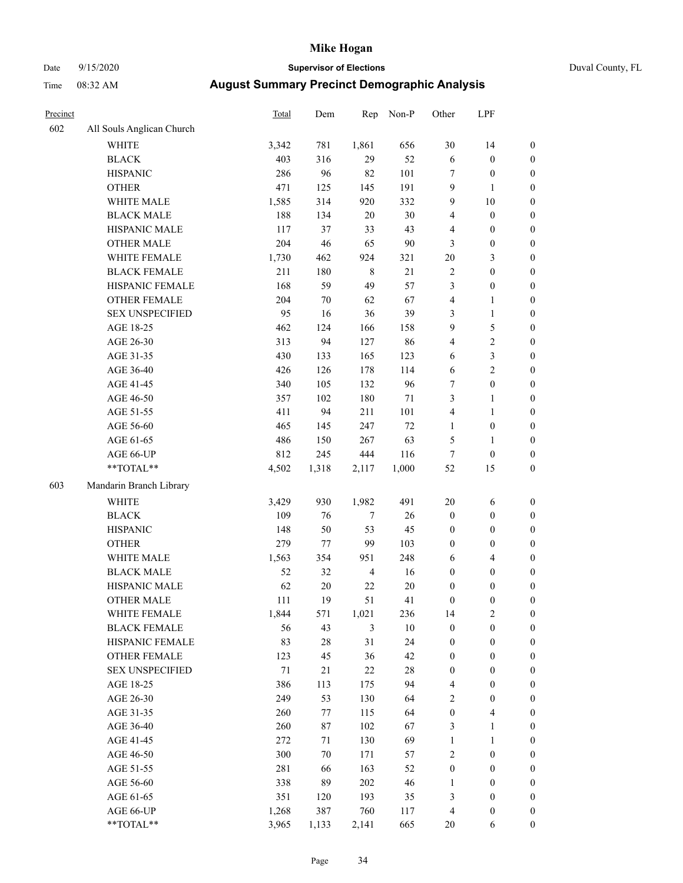### Date 9/15/2020 **Supervisor of Elections** Duval County, FL

| Precinct |                           | <b>Total</b> | Dem    | Rep            | Non-P  | Other            | LPF              |                  |
|----------|---------------------------|--------------|--------|----------------|--------|------------------|------------------|------------------|
| 602      | All Souls Anglican Church |              |        |                |        |                  |                  |                  |
|          | <b>WHITE</b>              | 3,342        | 781    | 1,861          | 656    | 30               | 14               | 0                |
|          | <b>BLACK</b>              | 403          | 316    | 29             | 52     | $\sqrt{6}$       | $\boldsymbol{0}$ | 0                |
|          | <b>HISPANIC</b>           | 286          | 96     | 82             | 101    | 7                | $\boldsymbol{0}$ | $\boldsymbol{0}$ |
|          | <b>OTHER</b>              | 471          | 125    | 145            | 191    | 9                | $\mathbf{1}$     | $\boldsymbol{0}$ |
|          | WHITE MALE                | 1,585        | 314    | 920            | 332    | 9                | 10               | $\boldsymbol{0}$ |
|          | <b>BLACK MALE</b>         | 188          | 134    | 20             | 30     | 4                | $\boldsymbol{0}$ | $\boldsymbol{0}$ |
|          | HISPANIC MALE             | 117          | 37     | 33             | 43     | 4                | $\boldsymbol{0}$ | $\boldsymbol{0}$ |
|          | <b>OTHER MALE</b>         | 204          | 46     | 65             | $90\,$ | 3                | $\boldsymbol{0}$ | $\boldsymbol{0}$ |
|          | WHITE FEMALE              | 1,730        | 462    | 924            | 321    | $20\,$           | $\mathfrak{Z}$   | $\boldsymbol{0}$ |
|          | <b>BLACK FEMALE</b>       | 211          | 180    | $\,$ 8 $\,$    | 21     | 2                | $\boldsymbol{0}$ | $\boldsymbol{0}$ |
|          | HISPANIC FEMALE           | 168          | 59     | 49             | 57     | 3                | $\boldsymbol{0}$ | $\boldsymbol{0}$ |
|          | <b>OTHER FEMALE</b>       | 204          | $70\,$ | 62             | 67     | 4                | $\mathbf{1}$     | $\boldsymbol{0}$ |
|          | <b>SEX UNSPECIFIED</b>    | 95           | 16     | 36             | 39     | 3                | $\mathbf{1}$     | $\boldsymbol{0}$ |
|          | AGE 18-25                 | 462          | 124    | 166            | 158    | 9                | $\mathfrak s$    | $\boldsymbol{0}$ |
|          | AGE 26-30                 | 313          | 94     | 127            | 86     | 4                | $\sqrt{2}$       | $\boldsymbol{0}$ |
|          | AGE 31-35                 | 430          | 133    | 165            | 123    | 6                | 3                | $\boldsymbol{0}$ |
|          | AGE 36-40                 | 426          | 126    | 178            | 114    | 6                | $\sqrt{2}$       | $\boldsymbol{0}$ |
|          | AGE 41-45                 | 340          | 105    | 132            | 96     | 7                | $\boldsymbol{0}$ | $\boldsymbol{0}$ |
|          | AGE 46-50                 | 357          | 102    | 180            | $71\,$ | 3                | $\mathbf{1}$     | $\boldsymbol{0}$ |
|          | AGE 51-55                 | 411          | 94     | 211            | 101    | 4                | $\mathbf{1}$     | $\boldsymbol{0}$ |
|          | AGE 56-60                 | 465          | 145    | 247            | 72     | $\mathbf{1}$     | $\boldsymbol{0}$ | 0                |
|          | AGE 61-65                 | 486          | 150    | 267            | 63     | 5                | $\mathbf{1}$     | 0                |
|          | AGE 66-UP                 | 812          | 245    | 444            | 116    | $\tau$           | $\boldsymbol{0}$ | $\boldsymbol{0}$ |
|          | $**TOTAL**$               | 4,502        | 1,318  | 2,117          | 1,000  | 52               | 15               | $\boldsymbol{0}$ |
| 603      | Mandarin Branch Library   |              |        |                |        |                  |                  |                  |
|          | <b>WHITE</b>              | 3,429        | 930    | 1,982          | 491    | $20\,$           | 6                | $\boldsymbol{0}$ |
|          | <b>BLACK</b>              | 109          | 76     | $\tau$         | 26     | $\boldsymbol{0}$ | $\boldsymbol{0}$ | $\boldsymbol{0}$ |
|          | <b>HISPANIC</b>           | 148          | 50     | 53             | 45     | $\boldsymbol{0}$ | $\boldsymbol{0}$ | $\boldsymbol{0}$ |
|          | <b>OTHER</b>              | 279          | 77     | 99             | 103    | 0                | $\boldsymbol{0}$ | $\boldsymbol{0}$ |
|          | WHITE MALE                | 1,563        | 354    | 951            | 248    | 6                | $\overline{4}$   | $\boldsymbol{0}$ |
|          | <b>BLACK MALE</b>         | 52           | 32     | $\overline{4}$ | 16     | $\boldsymbol{0}$ | $\boldsymbol{0}$ | $\boldsymbol{0}$ |
|          | HISPANIC MALE             | 62           | $20\,$ | $22\,$         | $20\,$ | $\boldsymbol{0}$ | $\boldsymbol{0}$ | $\boldsymbol{0}$ |
|          | <b>OTHER MALE</b>         | 111          | 19     | 51             | 41     | $\boldsymbol{0}$ | $\boldsymbol{0}$ | $\boldsymbol{0}$ |
|          | WHITE FEMALE              | 1,844        | 571    | 1,021          | 236    | 14               | $\overline{c}$   | 0                |
|          | <b>BLACK FEMALE</b>       | 56           | 43     | 3              | $10\,$ | $\boldsymbol{0}$ | $\boldsymbol{0}$ | $\overline{0}$   |
|          | HISPANIC FEMALE           | 83           | $28\,$ | 31             | 24     | $\boldsymbol{0}$ | $\boldsymbol{0}$ | $\overline{0}$   |
|          | OTHER FEMALE              | 123          | 45     | 36             | 42     | $\boldsymbol{0}$ | $\boldsymbol{0}$ | $\overline{0}$   |
|          | <b>SEX UNSPECIFIED</b>    | 71           | 21     | 22             | $28\,$ | $\boldsymbol{0}$ | $\boldsymbol{0}$ | 0                |
|          | AGE 18-25                 | 386          | 113    | 175            | 94     | 4                | $\boldsymbol{0}$ | 0                |
|          | AGE 26-30                 | 249          | 53     | 130            | 64     | 2                | $\boldsymbol{0}$ | 0                |
|          | AGE 31-35                 | 260          | 77     | 115            | 64     | $\boldsymbol{0}$ | $\overline{4}$   | 0                |
|          | AGE 36-40                 | 260          | 87     | 102            | 67     | 3                | $\mathbf{1}$     | 0                |
|          | AGE 41-45                 | 272          | 71     | 130            | 69     | $\mathbf{1}$     | $\mathbf{1}$     | 0                |
|          | AGE 46-50                 | 300          | 70     | 171            | 57     | 2                | $\boldsymbol{0}$ | 0                |
|          | AGE 51-55                 | 281          | 66     | 163            | 52     | $\boldsymbol{0}$ | $\boldsymbol{0}$ | 0                |
|          | AGE 56-60                 | 338          | 89     | 202            | 46     | 1                | $\boldsymbol{0}$ | 0                |
|          | AGE 61-65                 | 351          | 120    | 193            | 35     | 3                | $\boldsymbol{0}$ | 0                |
|          | AGE 66-UP                 | 1,268        | 387    | 760            | 117    | 4                | $\boldsymbol{0}$ | 0                |
|          | **TOTAL**                 | 3,965        | 1,133  | 2,141          | 665    | 20               | 6                | $\boldsymbol{0}$ |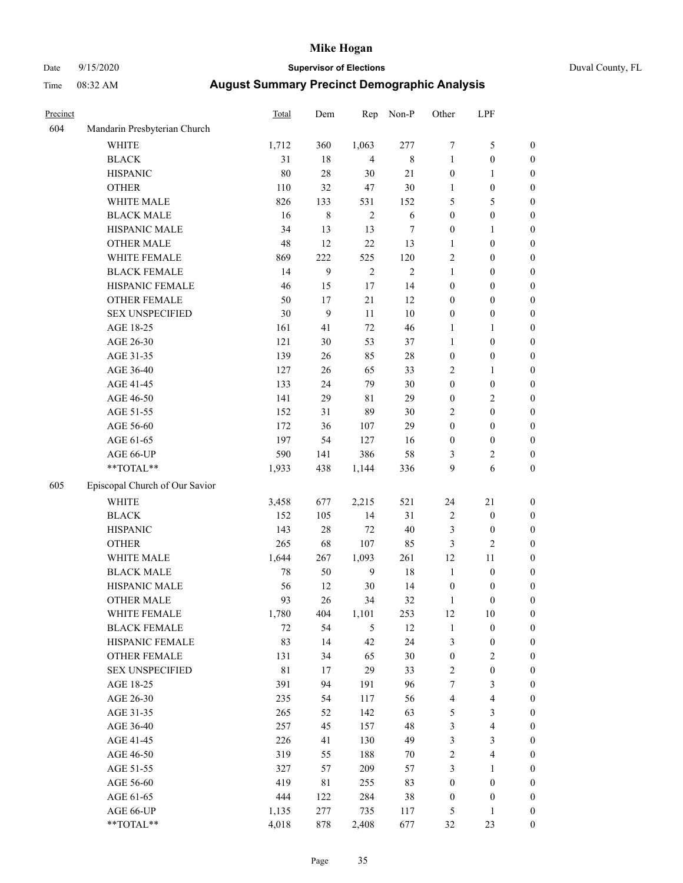# Date 9/15/2020 **Supervisor of Elections** Duval County, FL

| Precinct |                                | Total | Dem              | Rep            | Non-P       | Other            | LPF              |                  |
|----------|--------------------------------|-------|------------------|----------------|-------------|------------------|------------------|------------------|
| 604      | Mandarin Presbyterian Church   |       |                  |                |             |                  |                  |                  |
|          | <b>WHITE</b>                   | 1,712 | 360              | 1,063          | 277         | 7                | $\mathfrak s$    | 0                |
|          | <b>BLACK</b>                   | 31    | 18               | $\overline{4}$ | $\,$ 8 $\,$ | $\mathbf{1}$     | $\boldsymbol{0}$ | 0                |
|          | <b>HISPANIC</b>                | 80    | 28               | 30             | $21\,$      | $\boldsymbol{0}$ | $\mathbf{1}$     | $\boldsymbol{0}$ |
|          | <b>OTHER</b>                   | 110   | 32               | 47             | 30          | 1                | $\boldsymbol{0}$ | $\boldsymbol{0}$ |
|          | WHITE MALE                     | 826   | 133              | 531            | 152         | 5                | 5                | $\boldsymbol{0}$ |
|          | <b>BLACK MALE</b>              | 16    | $\,$ $\,$        | $\overline{c}$ | 6           | $\boldsymbol{0}$ | $\boldsymbol{0}$ | $\boldsymbol{0}$ |
|          | HISPANIC MALE                  | 34    | 13               | 13             | 7           | 0                | 1                | $\boldsymbol{0}$ |
|          | <b>OTHER MALE</b>              | 48    | 12               | 22             | 13          | 1                | $\boldsymbol{0}$ | $\boldsymbol{0}$ |
|          | WHITE FEMALE                   | 869   | 222              | 525            | 120         | $\overline{c}$   | $\boldsymbol{0}$ | $\boldsymbol{0}$ |
|          | <b>BLACK FEMALE</b>            | 14    | $\boldsymbol{9}$ | $\sqrt{2}$     | $\sqrt{2}$  | 1                | $\boldsymbol{0}$ | 0                |
|          | HISPANIC FEMALE                | 46    | 15               | 17             | 14          | 0                | $\boldsymbol{0}$ | 0                |
|          | OTHER FEMALE                   | 50    | 17               | 21             | 12          | 0                | $\boldsymbol{0}$ | $\boldsymbol{0}$ |
|          | <b>SEX UNSPECIFIED</b>         | 30    | 9                | 11             | 10          | $\boldsymbol{0}$ | $\boldsymbol{0}$ | $\boldsymbol{0}$ |
|          | AGE 18-25                      | 161   | 41               | $72\,$         | 46          | 1                | 1                | $\boldsymbol{0}$ |
|          | AGE 26-30                      | 121   | 30               | 53             | 37          | 1                | $\boldsymbol{0}$ | $\boldsymbol{0}$ |
|          | AGE 31-35                      | 139   | 26               | 85             | 28          | $\boldsymbol{0}$ | $\boldsymbol{0}$ | $\boldsymbol{0}$ |
|          | AGE 36-40                      | 127   | 26               | 65             | 33          | 2                | $\mathbf{1}$     | $\boldsymbol{0}$ |
|          | AGE 41-45                      | 133   | 24               | 79             | 30          | $\boldsymbol{0}$ | $\boldsymbol{0}$ | $\boldsymbol{0}$ |
|          | AGE 46-50                      | 141   | 29               | $8\sqrt{1}$    | 29          | $\boldsymbol{0}$ | $\sqrt{2}$       | $\boldsymbol{0}$ |
|          | AGE 51-55                      | 152   | 31               | 89             | 30          | 2                | $\boldsymbol{0}$ | $\boldsymbol{0}$ |
|          | AGE 56-60                      | 172   | 36               | 107            | 29          | $\boldsymbol{0}$ | $\boldsymbol{0}$ | 0                |
|          | AGE 61-65                      | 197   | 54               | 127            | 16          | $\boldsymbol{0}$ | $\boldsymbol{0}$ | 0                |
|          | AGE 66-UP                      | 590   | 141              | 386            | 58          | 3                | $\overline{c}$   | $\boldsymbol{0}$ |
|          | $**TOTAL**$                    | 1,933 | 438              | 1,144          | 336         | 9                | 6                | $\boldsymbol{0}$ |
|          |                                |       |                  |                |             |                  |                  |                  |
| 605      | Episcopal Church of Our Savior |       |                  |                |             |                  |                  |                  |
|          | <b>WHITE</b>                   | 3,458 | 677              | 2,215          | 521         | 24               | 21               | $\boldsymbol{0}$ |
|          | <b>BLACK</b>                   | 152   | 105              | 14             | 31          | 2                | $\boldsymbol{0}$ | $\boldsymbol{0}$ |
|          | <b>HISPANIC</b>                | 143   | 28               | 72             | 40          | 3                | $\boldsymbol{0}$ | $\boldsymbol{0}$ |
|          | <b>OTHER</b>                   | 265   | 68               | 107            | 85          | 3                | $\mathfrak{2}$   | $\boldsymbol{0}$ |
|          | WHITE MALE                     | 1,644 | 267              | 1,093          | 261         | 12               | 11               | $\boldsymbol{0}$ |
|          | <b>BLACK MALE</b>              | 78    | 50               | 9              | 18          | $\mathbf{1}$     | $\boldsymbol{0}$ | $\boldsymbol{0}$ |
|          | HISPANIC MALE                  | 56    | 12               | 30             | 14          | $\boldsymbol{0}$ | $\boldsymbol{0}$ | 0                |
|          | <b>OTHER MALE</b>              | 93    | 26               | 34             | 32          | $\mathbf{1}$     | $\boldsymbol{0}$ | $\boldsymbol{0}$ |
|          | WHITE FEMALE                   | 1,780 | 404              | 1,101          | 253         | 12               | 10               | 0                |
|          | <b>BLACK FEMALE</b>            | 72    | 54               | 5              | 12          | $\mathbf{1}$     | $\boldsymbol{0}$ | $\boldsymbol{0}$ |
|          | HISPANIC FEMALE                | 83    | 14               | 42             | 24          | 3                | $\boldsymbol{0}$ | $\overline{0}$   |
|          | OTHER FEMALE                   | 131   | 34               | 65             | 30          | $\boldsymbol{0}$ | $\sqrt{2}$       | 0                |
|          | <b>SEX UNSPECIFIED</b>         | 81    | 17               | 29             | 33          | 2                | $\boldsymbol{0}$ | 0                |
|          | AGE 18-25                      | 391   | 94               | 191            | 96          | 7                | $\mathfrak{Z}$   | 0                |
|          | AGE 26-30                      | 235   | 54               | 117            | 56          | 4                | $\overline{4}$   | 0                |
|          | AGE 31-35                      | 265   | 52               | 142            | 63          | 5                | $\sqrt{3}$       | 0                |
|          | AGE 36-40                      | 257   | 45               | 157            | 48          | 3                | $\overline{4}$   | 0                |
|          | AGE 41-45                      | 226   | 41               | 130            | 49          | 3                | $\mathfrak{Z}$   | 0                |
|          | AGE 46-50                      | 319   | 55               | 188            | 70          | $\overline{c}$   | $\overline{4}$   | 0                |
|          | AGE 51-55                      | 327   | 57               | 209            | 57          | 3                | $\mathbf{1}$     | 0                |
|          | AGE 56-60                      | 419   | 81               | 255            | 83          | $\boldsymbol{0}$ | $\boldsymbol{0}$ | 0                |
|          | AGE 61-65                      | 444   | 122              | 284            | 38          | $\boldsymbol{0}$ | $\boldsymbol{0}$ | 0                |
|          | AGE 66-UP                      | 1,135 | 277              | 735            | 117         | 5                | $\mathbf{1}$     | 0                |
|          | **TOTAL**                      | 4,018 | 878              | 2,408          | 677         | 32               | 23               | $\boldsymbol{0}$ |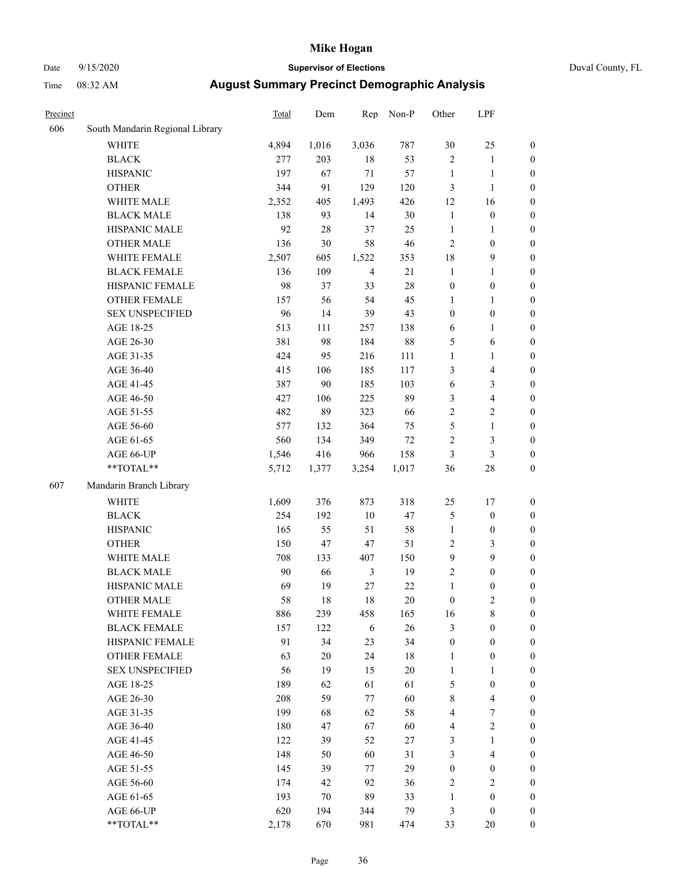### Date 9/15/2020 **Supervisor of Elections** Duval County, FL

| Precinct |                                 | Total | Dem    | Rep            | Non-P  | Other            | LPF              |                  |
|----------|---------------------------------|-------|--------|----------------|--------|------------------|------------------|------------------|
| 606      | South Mandarin Regional Library |       |        |                |        |                  |                  |                  |
|          | <b>WHITE</b>                    | 4,894 | 1,016  | 3,036          | 787    | 30               | 25               | 0                |
|          | $\operatorname{BLACK}$          | 277   | 203    | 18             | 53     | $\overline{c}$   | $\mathbf{1}$     | 0                |
|          | <b>HISPANIC</b>                 | 197   | 67     | 71             | 57     | $\mathbf{1}$     | $\mathbf{1}$     | $\boldsymbol{0}$ |
|          | <b>OTHER</b>                    | 344   | 91     | 129            | 120    | 3                | $\mathbf{1}$     | $\boldsymbol{0}$ |
|          | WHITE MALE                      | 2,352 | 405    | 1,493          | 426    | 12               | 16               | $\boldsymbol{0}$ |
|          | <b>BLACK MALE</b>               | 138   | 93     | 14             | 30     | $\mathbf{1}$     | $\boldsymbol{0}$ | $\boldsymbol{0}$ |
|          | HISPANIC MALE                   | 92    | $28\,$ | 37             | 25     | $\mathbf{1}$     | 1                | $\boldsymbol{0}$ |
|          | <b>OTHER MALE</b>               | 136   | 30     | 58             | 46     | 2                | $\boldsymbol{0}$ | $\boldsymbol{0}$ |
|          | WHITE FEMALE                    | 2,507 | 605    | 1,522          | 353    | 18               | $\mathbf{9}$     | $\boldsymbol{0}$ |
|          | <b>BLACK FEMALE</b>             | 136   | 109    | $\overline{4}$ | 21     | $\mathbf{1}$     | $\mathbf{1}$     | $\boldsymbol{0}$ |
|          | HISPANIC FEMALE                 | 98    | 37     | 33             | 28     | $\boldsymbol{0}$ | $\boldsymbol{0}$ | 0                |
|          | <b>OTHER FEMALE</b>             | 157   | 56     | 54             | 45     | 1                | $\mathbf{1}$     | $\boldsymbol{0}$ |
|          | <b>SEX UNSPECIFIED</b>          | 96    | 14     | 39             | 43     | $\boldsymbol{0}$ | $\boldsymbol{0}$ | $\boldsymbol{0}$ |
|          | AGE 18-25                       | 513   | 111    | 257            | 138    | 6                | $\mathbf{1}$     | $\boldsymbol{0}$ |
|          | AGE 26-30                       | 381   | 98     | 184            | $88\,$ | 5                | 6                | $\boldsymbol{0}$ |
|          | AGE 31-35                       | 424   | 95     | 216            | 111    | $\mathbf{1}$     | $\mathbf{1}$     | $\boldsymbol{0}$ |
|          | AGE 36-40                       | 415   | 106    | 185            | 117    | 3                | $\overline{4}$   | $\boldsymbol{0}$ |
|          | AGE 41-45                       | 387   | 90     | 185            | 103    | 6                | 3                | $\boldsymbol{0}$ |
|          | AGE 46-50                       | 427   | 106    | 225            | 89     | 3                | $\overline{4}$   | $\boldsymbol{0}$ |
|          | AGE 51-55                       | 482   | 89     | 323            | 66     | $\overline{c}$   | $\sqrt{2}$       | $\boldsymbol{0}$ |
|          | AGE 56-60                       | 577   | 132    | 364            | 75     | 5                | $\mathbf{1}$     | 0                |
|          | AGE 61-65                       | 560   | 134    | 349            | $72\,$ | $\overline{c}$   | $\mathfrak{Z}$   | $\boldsymbol{0}$ |
|          | AGE 66-UP                       | 1,546 | 416    | 966            | 158    | 3                | $\mathfrak{Z}$   | $\boldsymbol{0}$ |
|          | $**TOTAL**$                     | 5,712 | 1,377  | 3,254          | 1,017  | 36               | $28\,$           | $\boldsymbol{0}$ |
| 607      | Mandarin Branch Library         |       |        |                |        |                  |                  |                  |
|          | <b>WHITE</b>                    | 1,609 | 376    | 873            | 318    | $25\,$           | 17               | $\boldsymbol{0}$ |
|          | <b>BLACK</b>                    | 254   | 192    | 10             | 47     | 5                | $\boldsymbol{0}$ | $\boldsymbol{0}$ |
|          | <b>HISPANIC</b>                 | 165   | 55     | 51             | 58     | $\mathbf{1}$     | $\boldsymbol{0}$ | $\boldsymbol{0}$ |
|          | <b>OTHER</b>                    | 150   | 47     | 47             | 51     | 2                | 3                | $\boldsymbol{0}$ |
|          | WHITE MALE                      | 708   | 133    | 407            | 150    | 9                | 9                | $\boldsymbol{0}$ |
|          | <b>BLACK MALE</b>               | 90    | 66     | $\mathfrak{Z}$ | 19     | $\overline{2}$   | $\boldsymbol{0}$ | $\boldsymbol{0}$ |
|          | HISPANIC MALE                   | 69    | 19     | 27             | $22\,$ | $\mathbf{1}$     | $\boldsymbol{0}$ | $\boldsymbol{0}$ |
|          | <b>OTHER MALE</b>               | 58    | 18     | 18             | $20\,$ | $\boldsymbol{0}$ | $\mathfrak{2}$   | $\boldsymbol{0}$ |
|          | WHITE FEMALE                    | 886   | 239    | 458            | 165    | 16               | 8                | 0                |
|          | <b>BLACK FEMALE</b>             | 157   | 122    | 6              | 26     | 3                | $\boldsymbol{0}$ | $\overline{0}$   |
|          | HISPANIC FEMALE                 | 91    | 34     | 23             | 34     | $\boldsymbol{0}$ | $\boldsymbol{0}$ | $\overline{0}$   |
|          | <b>OTHER FEMALE</b>             | 63    | $20\,$ | 24             | 18     | $\mathbf{1}$     | $\boldsymbol{0}$ | $\overline{0}$   |
|          | <b>SEX UNSPECIFIED</b>          | 56    | 19     | 15             | $20\,$ | $\mathbf{1}$     | $\mathbf{1}$     | 0                |
|          | AGE 18-25                       | 189   | 62     | 61             | 61     | 5                | $\boldsymbol{0}$ | 0                |
|          | AGE 26-30                       | 208   | 59     | 77             | 60     | 8                | $\overline{4}$   | 0                |
|          | AGE 31-35                       | 199   | 68     | 62             | 58     | 4                | $\boldsymbol{7}$ | 0                |
|          | AGE 36-40                       | 180   | 47     | 67             | 60     | 4                | $\sqrt{2}$       | 0                |
|          | AGE 41-45                       | 122   | 39     | 52             | 27     | 3                | $\mathbf{1}$     | 0                |
|          | AGE 46-50                       | 148   | 50     | 60             | 31     | 3                | $\overline{4}$   | 0                |
|          | AGE 51-55                       | 145   | 39     | 77             | 29     | $\boldsymbol{0}$ | $\boldsymbol{0}$ | 0                |
|          | AGE 56-60                       | 174   | 42     | 92             | 36     | 2                | $\sqrt{2}$       | $\overline{0}$   |
|          | AGE 61-65                       | 193   | 70     | 89             | 33     | $\mathbf{1}$     | $\boldsymbol{0}$ | $\overline{0}$   |
|          | AGE 66-UP                       | 620   | 194    | 344            | 79     | 3                | $\boldsymbol{0}$ | 0                |
|          | **TOTAL**                       | 2,178 | 670    | 981            | 474    | 33               | 20               | $\boldsymbol{0}$ |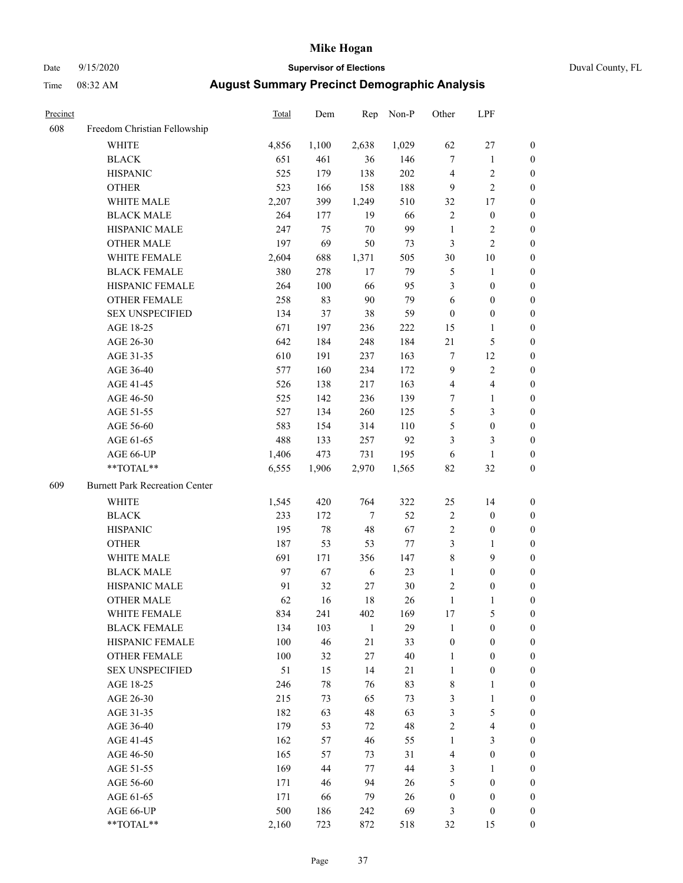# Date 9/15/2020 **Supervisor of Elections** Duval County, FL

| Precinct |                                                           | <b>Total</b> | Dem    | Rep    | Non-P  | Other            | LPF              |                  |
|----------|-----------------------------------------------------------|--------------|--------|--------|--------|------------------|------------------|------------------|
| 608      | Freedom Christian Fellowship                              |              |        |        |        |                  |                  |                  |
|          | <b>WHITE</b>                                              | 4,856        | 1,100  | 2,638  | 1,029  | 62               | $27\,$           | 0                |
|          | <b>BLACK</b>                                              | 651          | 461    | 36     | 146    | $\tau$           | $\mathbf{1}$     | 0                |
|          | <b>HISPANIC</b>                                           | 525          | 179    | 138    | 202    | 4                | $\sqrt{2}$       | $\boldsymbol{0}$ |
|          | <b>OTHER</b>                                              | 523          | 166    | 158    | 188    | 9                | $\overline{c}$   | $\boldsymbol{0}$ |
|          | WHITE MALE                                                | 2,207        | 399    | 1,249  | 510    | 32               | 17               | $\boldsymbol{0}$ |
|          | <b>BLACK MALE</b>                                         | 264          | 177    | 19     | 66     | $\overline{c}$   | $\boldsymbol{0}$ | $\boldsymbol{0}$ |
|          | HISPANIC MALE                                             | 247          | 75     | 70     | 99     | $\mathbf{1}$     | $\sqrt{2}$       | $\boldsymbol{0}$ |
|          | <b>OTHER MALE</b>                                         | 197          | 69     | 50     | 73     | 3                | $\mathbf{2}$     | $\boldsymbol{0}$ |
|          | WHITE FEMALE                                              | 2,604        | 688    | 1,371  | 505    | 30               | $10\,$           | $\boldsymbol{0}$ |
|          | <b>BLACK FEMALE</b>                                       | 380          | 278    | 17     | 79     | 5                | $\mathbf{1}$     | 0                |
|          | HISPANIC FEMALE                                           | 264          | 100    | 66     | 95     | 3                | $\boldsymbol{0}$ | 0                |
|          | <b>OTHER FEMALE</b>                                       | 258          | 83     | $90\,$ | 79     | 6                | $\boldsymbol{0}$ | 0                |
|          | <b>SEX UNSPECIFIED</b>                                    | 134          | 37     | 38     | 59     | $\boldsymbol{0}$ | $\boldsymbol{0}$ | $\boldsymbol{0}$ |
|          | AGE 18-25                                                 | 671          | 197    | 236    | 222    | 15               | $\mathbf{1}$     | $\boldsymbol{0}$ |
|          | AGE 26-30                                                 | 642          | 184    | 248    | 184    | 21               | $\mathfrak s$    | $\boldsymbol{0}$ |
|          | AGE 31-35                                                 | 610          | 191    | 237    | 163    | 7                | 12               | $\boldsymbol{0}$ |
|          | AGE 36-40                                                 | 577          | 160    | 234    | 172    | 9                | $\sqrt{2}$       | $\boldsymbol{0}$ |
|          | AGE 41-45                                                 | 526          | 138    | 217    | 163    | $\overline{4}$   | $\overline{4}$   | $\boldsymbol{0}$ |
|          | AGE 46-50                                                 | 525          | 142    | 236    | 139    | 7                | $\mathbf{1}$     | $\boldsymbol{0}$ |
|          | AGE 51-55                                                 | 527          | 134    | 260    | 125    | 5                | $\mathfrak{Z}$   | $\boldsymbol{0}$ |
|          | AGE 56-60                                                 | 583          | 154    | 314    | 110    | 5                | $\boldsymbol{0}$ | 0                |
|          | AGE 61-65                                                 | 488          | 133    | 257    | 92     | 3                | 3                | 0                |
|          | AGE 66-UP                                                 | 1,406        | 473    | 731    | 195    | 6                | $\mathbf{1}$     | $\boldsymbol{0}$ |
|          | **TOTAL**                                                 | 6,555        | 1,906  | 2,970  | 1,565  | 82               | 32               | $\boldsymbol{0}$ |
| 609      | <b>Burnett Park Recreation Center</b>                     |              |        |        |        |                  |                  |                  |
|          | <b>WHITE</b>                                              | 1,545        | 420    | 764    | 322    | 25               | 14               | $\boldsymbol{0}$ |
|          | <b>BLACK</b>                                              | 233          | 172    | $\tau$ | 52     | 2                | $\boldsymbol{0}$ | $\boldsymbol{0}$ |
|          | <b>HISPANIC</b>                                           | 195          | $78\,$ | 48     | 67     | 2                | $\boldsymbol{0}$ | $\boldsymbol{0}$ |
|          | <b>OTHER</b>                                              | 187          | 53     | 53     | 77     | 3                | $\mathbf{1}$     | $\boldsymbol{0}$ |
|          | WHITE MALE                                                | 691          | 171    | 356    | 147    | 8                | 9                | $\boldsymbol{0}$ |
|          | <b>BLACK MALE</b>                                         | 97           | 67     | 6      | 23     | $\mathbf{1}$     | $\boldsymbol{0}$ | $\boldsymbol{0}$ |
|          | HISPANIC MALE                                             | 91           | 32     | 27     | $30\,$ | 2                | $\boldsymbol{0}$ | 0                |
|          | <b>OTHER MALE</b>                                         | 62           | 16     | 18     | 26     | $\mathbf{1}$     | 1                | 0                |
|          | WHITE FEMALE                                              | 834          | 241    | 402    | 169    | 17               | 5                | 0                |
|          | <b>BLACK FEMALE</b>                                       | 134          | 103    | 1      | 29     | 1                | $\boldsymbol{0}$ | $\overline{0}$   |
|          | HISPANIC FEMALE                                           | 100          | 46     | 21     | 33     | $\boldsymbol{0}$ | $\boldsymbol{0}$ | $\overline{0}$   |
|          | <b>OTHER FEMALE</b>                                       | 100          | 32     | 27     | $40\,$ | $\mathbf{1}$     | $\boldsymbol{0}$ | $\theta$         |
|          | <b>SEX UNSPECIFIED</b>                                    | 51           | 15     | 14     | 21     | $\mathbf{1}$     | $\boldsymbol{0}$ | 0                |
|          | AGE 18-25                                                 | 246          | 78     | 76     | 83     | 8                | $\mathbf{1}$     | 0                |
|          | AGE 26-30                                                 | 215          | 73     | 65     | 73     | 3                | $\mathbf{1}$     | 0                |
|          | AGE 31-35                                                 | 182          | 63     | 48     | 63     | 3                | $\mathfrak s$    | 0                |
|          | AGE 36-40                                                 | 179          | 53     | 72     | 48     | 2                | $\overline{4}$   | 0                |
|          | AGE 41-45                                                 | 162          | 57     | 46     | 55     | $\mathbf{1}$     | 3                | 0                |
|          | AGE 46-50                                                 | 165          | 57     | 73     | 31     | 4                | $\boldsymbol{0}$ | 0                |
|          | AGE 51-55                                                 | 169          | 44     | 77     | 44     | 3                | 1                | 0                |
|          | AGE 56-60                                                 | 171          | 46     | 94     | 26     | 5                | $\boldsymbol{0}$ | 0                |
|          | AGE 61-65                                                 | 171          | 66     | 79     | 26     | $\boldsymbol{0}$ | $\boldsymbol{0}$ | 0                |
|          | AGE 66-UP                                                 | 500          | 186    | 242    | 69     | 3                | $\boldsymbol{0}$ | 0                |
|          | $\mathrm{*}\mathrm{*}\mathrm{TOTAL} \mathrm{*}\mathrm{*}$ | 2,160        | 723    | 872    | 518    | 32               | 15               | $\boldsymbol{0}$ |
|          |                                                           |              |        |        |        |                  |                  |                  |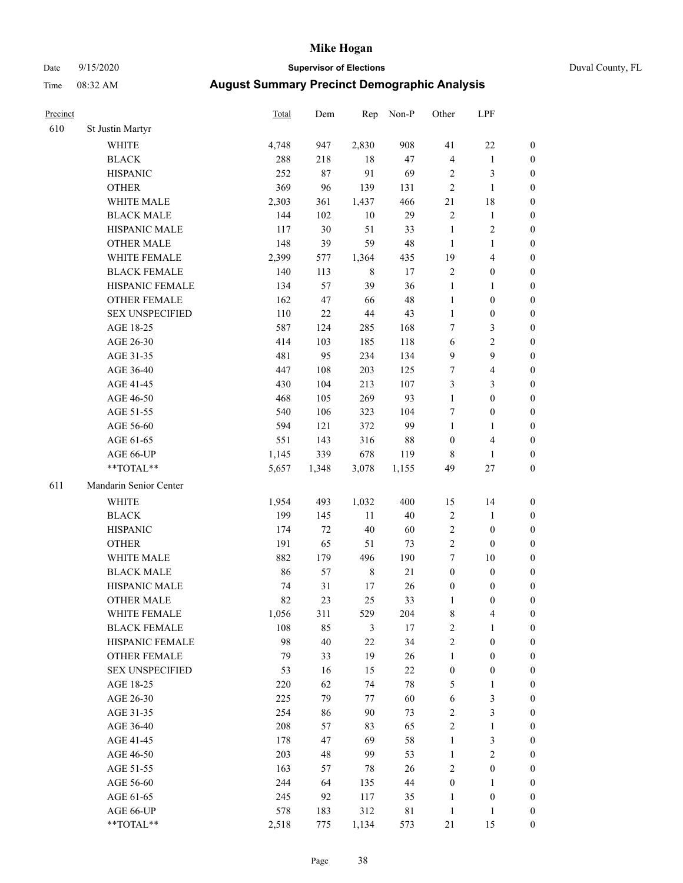#### Date 9/15/2020 **Supervisor of Elections** Duval County, FL

| Precinct |                        | <b>Total</b> | Dem   | Rep         | Non-P       | Other            | LPF                     |                  |
|----------|------------------------|--------------|-------|-------------|-------------|------------------|-------------------------|------------------|
| 610      | St Justin Martyr       |              |       |             |             |                  |                         |                  |
|          | <b>WHITE</b>           | 4,748        | 947   | 2,830       | 908         | 41               | $22\,$                  | 0                |
|          | <b>BLACK</b>           | 288          | 218   | 18          | 47          | 4                | $\mathbf{1}$            | 0                |
|          | <b>HISPANIC</b>        | 252          | 87    | 91          | 69          | 2                | 3                       | $\boldsymbol{0}$ |
|          | <b>OTHER</b>           | 369          | 96    | 139         | 131         | $\mathbf{2}$     | $\mathbf{1}$            | $\boldsymbol{0}$ |
|          | WHITE MALE             | 2,303        | 361   | 1,437       | 466         | 21               | $18\,$                  | $\boldsymbol{0}$ |
|          | <b>BLACK MALE</b>      | 144          | 102   | $10\,$      | 29          | $\sqrt{2}$       | $\mathbf{1}$            | $\boldsymbol{0}$ |
|          | HISPANIC MALE          | 117          | 30    | 51          | 33          | $\mathbf{1}$     | $\sqrt{2}$              | $\boldsymbol{0}$ |
|          | <b>OTHER MALE</b>      | 148          | 39    | 59          | 48          | $\mathbf{1}$     | $\mathbf{1}$            | $\boldsymbol{0}$ |
|          | WHITE FEMALE           | 2,399        | 577   | 1,364       | 435         | 19               | $\overline{\mathbf{4}}$ | $\boldsymbol{0}$ |
|          | <b>BLACK FEMALE</b>    | 140          | 113   | $\,$ 8 $\,$ | 17          | $\sqrt{2}$       | $\boldsymbol{0}$        | 0                |
|          | HISPANIC FEMALE        | 134          | 57    | 39          | 36          | $\mathbf{1}$     | $\mathbf{1}$            | 0                |
|          | <b>OTHER FEMALE</b>    | 162          | 47    | 66          | 48          | $\mathbf{1}$     | $\boldsymbol{0}$        | $\boldsymbol{0}$ |
|          | <b>SEX UNSPECIFIED</b> | 110          | 22    | 44          | 43          | $\mathbf{1}$     | $\boldsymbol{0}$        | $\boldsymbol{0}$ |
|          | AGE 18-25              | 587          | 124   | 285         | 168         | 7                | $\mathfrak{Z}$          | $\boldsymbol{0}$ |
|          | AGE 26-30              | 414          | 103   | 185         | 118         | 6                | $\sqrt{2}$              | $\boldsymbol{0}$ |
|          | AGE 31-35              | 481          | 95    | 234         | 134         | 9                | $\boldsymbol{9}$        | $\boldsymbol{0}$ |
|          | AGE 36-40              | 447          | 108   | 203         | 125         | 7                | $\overline{\mathbf{4}}$ | $\boldsymbol{0}$ |
|          | AGE 41-45              | 430          | 104   | 213         | 107         | 3                | $\mathfrak{Z}$          | $\boldsymbol{0}$ |
|          | AGE 46-50              | 468          | 105   | 269         | 93          | $\mathbf{1}$     | $\boldsymbol{0}$        | $\boldsymbol{0}$ |
|          | AGE 51-55              | 540          | 106   | 323         | 104         | 7                | $\boldsymbol{0}$        | 0                |
|          | AGE 56-60              | 594          | 121   | 372         | 99          | $\mathbf{1}$     | 1                       | 0                |
|          | AGE 61-65              | 551          | 143   | 316         | $88\,$      | $\boldsymbol{0}$ | $\overline{\mathbf{4}}$ | 0                |
|          | AGE 66-UP              | 1,145        | 339   | 678         | 119         | 8                | $\mathbf{1}$            | $\boldsymbol{0}$ |
|          | **TOTAL**              | 5,657        | 1,348 | 3,078       | 1,155       | 49               | $27\,$                  | $\boldsymbol{0}$ |
| 611      | Mandarin Senior Center |              |       |             |             |                  |                         |                  |
|          | <b>WHITE</b>           | 1,954        | 493   | 1,032       | 400         | 15               | 14                      | $\boldsymbol{0}$ |
|          | <b>BLACK</b>           | 199          | 145   | 11          | 40          | $\overline{c}$   | $\mathbf{1}$            | $\boldsymbol{0}$ |
|          | <b>HISPANIC</b>        | 174          | 72    | 40          | 60          | 2                | $\boldsymbol{0}$        | $\boldsymbol{0}$ |
|          | <b>OTHER</b>           | 191          | 65    | 51          | 73          | $\overline{c}$   | $\boldsymbol{0}$        | $\boldsymbol{0}$ |
|          | WHITE MALE             | 882          | 179   | 496         | 190         | 7                | $10\,$                  | $\boldsymbol{0}$ |
|          | <b>BLACK MALE</b>      | 86           | 57    | $\,$ 8 $\,$ | 21          | $\boldsymbol{0}$ | $\boldsymbol{0}$        | $\boldsymbol{0}$ |
|          | HISPANIC MALE          | 74           | 31    | 17          | 26          | $\boldsymbol{0}$ | $\boldsymbol{0}$        | 0                |
|          | <b>OTHER MALE</b>      | 82           | 23    | 25          | 33          | 1                | $\boldsymbol{0}$        | $\boldsymbol{0}$ |
|          | WHITE FEMALE           | 1,056        | 311   | 529         | 204         | 8                | 4                       | 0                |
|          | <b>BLACK FEMALE</b>    | 108          | 85    | 3           | 17          | $\overline{c}$   | $\mathbf{1}$            | $\overline{0}$   |
|          | HISPANIC FEMALE        | 98           | 40    | 22          | 34          | $\overline{c}$   | $\boldsymbol{0}$        | $\overline{0}$   |
|          | OTHER FEMALE           | 79           | 33    | 19          | 26          | $\mathbf{1}$     | $\boldsymbol{0}$        | 0                |
|          | <b>SEX UNSPECIFIED</b> | 53           | 16    | 15          | $22\,$      | $\boldsymbol{0}$ | $\boldsymbol{0}$        | 0                |
|          | AGE 18-25              | 220          | 62    | 74          | $78\,$      | 5                | $\mathbf{1}$            | 0                |
|          | AGE 26-30              | 225          | 79    | 77          | 60          | 6                | 3                       | 0                |
|          | AGE 31-35              | 254          | 86    | 90          | 73          | 2                | $\mathfrak{Z}$          | 0                |
|          | AGE 36-40              | 208          | 57    | 83          | 65          | 2                | $\mathbf{1}$            | 0                |
|          | AGE 41-45              | 178          | 47    | 69          | 58          | $\mathbf{1}$     | $\mathfrak{Z}$          | 0                |
|          | AGE 46-50              | 203          | 48    | 99          | 53          | $\mathbf{1}$     | $\sqrt{2}$              | 0                |
|          | AGE 51-55              | 163          | 57    | 78          | 26          | 2                | $\boldsymbol{0}$        | 0                |
|          | AGE 56-60              | 244          | 64    | 135         | 44          | $\boldsymbol{0}$ | 1                       | 0                |
|          | AGE 61-65              | 245          | 92    | 117         | 35          | 1                | $\boldsymbol{0}$        | 0                |
|          | AGE 66-UP              | 578          | 183   | 312         | $8\sqrt{1}$ | $\mathbf{1}$     | $\mathbf{1}$            | 0                |
|          | **TOTAL**              | 2,518        | 775   | 1,134       | 573         | 21               | 15                      | $\boldsymbol{0}$ |
|          |                        |              |       |             |             |                  |                         |                  |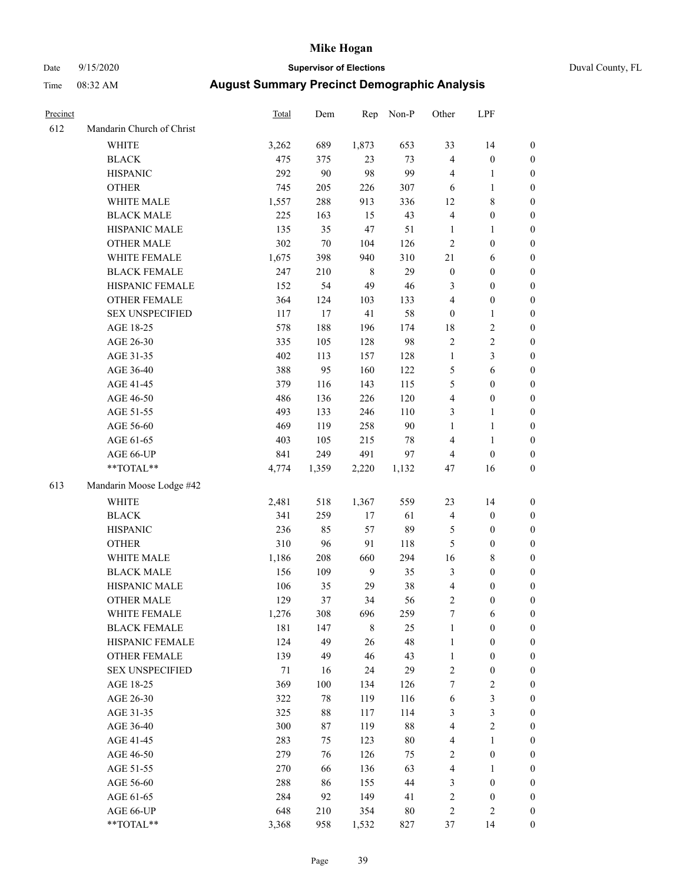# Date 9/15/2020 **Supervisor of Elections** Duval County, FL

| Precinct |                           | <b>Total</b> | Dem    | Rep         | Non-P  | Other                   | LPF              |                  |
|----------|---------------------------|--------------|--------|-------------|--------|-------------------------|------------------|------------------|
| 612      | Mandarin Church of Christ |              |        |             |        |                         |                  |                  |
|          | <b>WHITE</b>              | 3,262        | 689    | 1,873       | 653    | 33                      | 14               | 0                |
|          | <b>BLACK</b>              | 475          | 375    | 23          | 73     | 4                       | $\boldsymbol{0}$ | 0                |
|          | <b>HISPANIC</b>           | 292          | 90     | 98          | 99     | 4                       | $\mathbf{1}$     | $\boldsymbol{0}$ |
|          | <b>OTHER</b>              | 745          | 205    | 226         | 307    | 6                       | $\mathbf{1}$     | $\boldsymbol{0}$ |
|          | WHITE MALE                | 1,557        | 288    | 913         | 336    | 12                      | $\,$ 8 $\,$      | $\boldsymbol{0}$ |
|          | <b>BLACK MALE</b>         | 225          | 163    | 15          | 43     | 4                       | $\boldsymbol{0}$ | $\boldsymbol{0}$ |
|          | HISPANIC MALE             | 135          | 35     | 47          | 51     | $\mathbf{1}$            | $\mathbf{1}$     | $\boldsymbol{0}$ |
|          | <b>OTHER MALE</b>         | 302          | $70\,$ | 104         | 126    | $\overline{c}$          | $\boldsymbol{0}$ | $\boldsymbol{0}$ |
|          | WHITE FEMALE              | 1,675        | 398    | 940         | 310    | 21                      | 6                | $\boldsymbol{0}$ |
|          | <b>BLACK FEMALE</b>       | 247          | 210    | 8           | 29     | $\boldsymbol{0}$        | $\boldsymbol{0}$ | $\boldsymbol{0}$ |
|          | HISPANIC FEMALE           | 152          | 54     | 49          | 46     | 3                       | $\boldsymbol{0}$ | $\boldsymbol{0}$ |
|          | OTHER FEMALE              | 364          | 124    | 103         | 133    | 4                       | $\boldsymbol{0}$ | $\boldsymbol{0}$ |
|          | <b>SEX UNSPECIFIED</b>    | 117          | 17     | 41          | 58     | $\boldsymbol{0}$        | $\mathbf{1}$     | $\boldsymbol{0}$ |
|          | AGE 18-25                 | 578          | 188    | 196         | 174    | 18                      | $\sqrt{2}$       | $\boldsymbol{0}$ |
|          | AGE 26-30                 | 335          | 105    | 128         | 98     | $\overline{c}$          | $\sqrt{2}$       | $\boldsymbol{0}$ |
|          | AGE 31-35                 | 402          | 113    | 157         | 128    | $\mathbf{1}$            | $\mathfrak{Z}$   | $\boldsymbol{0}$ |
|          | AGE 36-40                 | 388          | 95     | 160         | 122    | 5                       | 6                | $\boldsymbol{0}$ |
|          | AGE 41-45                 | 379          | 116    | 143         | 115    | 5                       | $\boldsymbol{0}$ | $\boldsymbol{0}$ |
|          | AGE 46-50                 | 486          | 136    | 226         | 120    | 4                       | $\boldsymbol{0}$ | $\boldsymbol{0}$ |
|          | AGE 51-55                 | 493          | 133    | 246         | 110    | 3                       | $\mathbf{1}$     | $\boldsymbol{0}$ |
|          | AGE 56-60                 | 469          | 119    | 258         | 90     | $\mathbf{1}$            | $\mathbf{1}$     | 0                |
|          | AGE 61-65                 | 403          | 105    | 215         | $78\,$ | 4                       | $\mathbf{1}$     | 0                |
|          | AGE 66-UP                 | 841          | 249    | 491         | 97     | 4                       | $\boldsymbol{0}$ | $\boldsymbol{0}$ |
|          | $**TOTAL**$               | 4,774        | 1,359  | 2,220       | 1,132  | 47                      | 16               | $\boldsymbol{0}$ |
| 613      | Mandarin Moose Lodge #42  |              |        |             |        |                         |                  |                  |
|          | <b>WHITE</b>              | 2,481        | 518    | 1,367       | 559    | 23                      | 14               | $\boldsymbol{0}$ |
|          | <b>BLACK</b>              | 341          | 259    | $17\,$      | 61     | 4                       | $\boldsymbol{0}$ | $\boldsymbol{0}$ |
|          | <b>HISPANIC</b>           | 236          | 85     | 57          | 89     | 5                       | $\boldsymbol{0}$ | $\boldsymbol{0}$ |
|          | <b>OTHER</b>              | 310          | 96     | 91          | 118    | 5                       | $\boldsymbol{0}$ | $\boldsymbol{0}$ |
|          | WHITE MALE                | 1,186        | 208    | 660         | 294    | 16                      | $\,$ 8 $\,$      | $\boldsymbol{0}$ |
|          | <b>BLACK MALE</b>         | 156          | 109    | 9           | 35     | 3                       | $\boldsymbol{0}$ | $\boldsymbol{0}$ |
|          | HISPANIC MALE             | 106          | 35     | 29          | $38\,$ | 4                       | $\boldsymbol{0}$ | 0                |
|          | <b>OTHER MALE</b>         | 129          | 37     | 34          | 56     | $\mathbf{2}$            | $\boldsymbol{0}$ | $\boldsymbol{0}$ |
|          | WHITE FEMALE              | 1,276        | 308    | 696         | 259    | 7                       | 6                | 0                |
|          | <b>BLACK FEMALE</b>       | 181          | 147    | $\,$ 8 $\,$ | 25     | $\mathbf{1}$            | $\boldsymbol{0}$ | 0                |
|          | HISPANIC FEMALE           | 124          | 49     | 26          | 48     | $\mathbf{1}$            | $\boldsymbol{0}$ | 0                |
|          | <b>OTHER FEMALE</b>       | 139          | 49     | 46          | 43     | 1                       | $\boldsymbol{0}$ | 0                |
|          | <b>SEX UNSPECIFIED</b>    | 71           | 16     | 24          | 29     | $\overline{c}$          | $\boldsymbol{0}$ | 0                |
|          | AGE 18-25                 | 369          | 100    | 134         | 126    | 7                       | $\sqrt{2}$       | 0                |
|          | AGE 26-30                 | 322          | 78     | 119         | 116    | 6                       | 3                | 0                |
|          | AGE 31-35                 | 325          | 88     | 117         | 114    | 3                       | 3                | 0                |
|          | AGE 36-40                 | 300          | 87     | 119         | 88     | 4                       | $\sqrt{2}$       | 0                |
|          | AGE 41-45                 | 283          | 75     | 123         | 80     | 4                       | $\mathbf{1}$     | 0                |
|          | AGE 46-50                 | 279          | 76     | 126         | 75     | $\mathbf{2}$            | $\boldsymbol{0}$ | 0                |
|          | AGE 51-55                 | 270          | 66     | 136         | 63     | 4                       | 1                | 0                |
|          | AGE 56-60                 | 288          | 86     | 155         | 44     | 3                       | $\boldsymbol{0}$ | 0                |
|          | AGE 61-65                 | 284          | 92     | 149         | 41     | $\overline{\mathbf{c}}$ | $\boldsymbol{0}$ | 0                |
|          | AGE 66-UP                 | 648          | 210    | 354         | 80     | 2                       | $\mathfrak{2}$   | 0                |
|          | **TOTAL**                 | 3,368        | 958    | 1,532       | 827    | 37                      | 14               | $\boldsymbol{0}$ |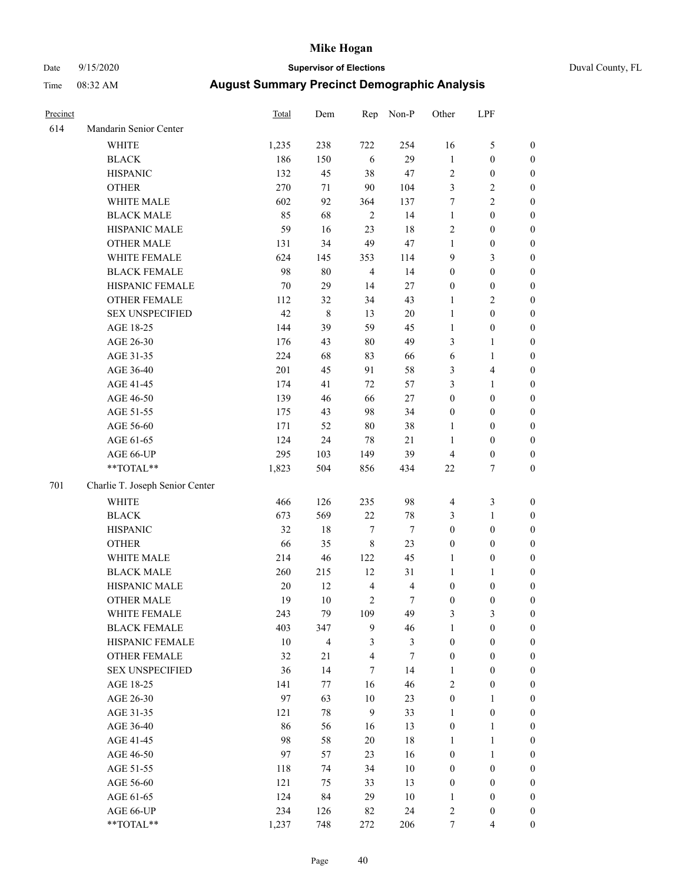# Date 9/15/2020 **Supervisor of Elections** Duval County, FL

| Precinct |                                 | <b>Total</b> | Dem     | Rep                     | Non-P            | Other            | LPF              |                  |
|----------|---------------------------------|--------------|---------|-------------------------|------------------|------------------|------------------|------------------|
| 614      | Mandarin Senior Center          |              |         |                         |                  |                  |                  |                  |
|          | <b>WHITE</b>                    | 1,235        | 238     | 722                     | 254              | 16               | $\mathfrak s$    | 0                |
|          | <b>BLACK</b>                    | 186          | 150     | 6                       | 29               | $\mathbf{1}$     | $\boldsymbol{0}$ | 0                |
|          | <b>HISPANIC</b>                 | 132          | 45      | 38                      | 47               | $\mathbf{2}$     | $\boldsymbol{0}$ | $\boldsymbol{0}$ |
|          | <b>OTHER</b>                    | 270          | 71      | 90                      | 104              | 3                | $\sqrt{2}$       | $\boldsymbol{0}$ |
|          | WHITE MALE                      | 602          | 92      | 364                     | 137              | 7                | $\sqrt{2}$       | $\boldsymbol{0}$ |
|          | <b>BLACK MALE</b>               | 85           | 68      | $\overline{2}$          | 14               | $\mathbf{1}$     | $\boldsymbol{0}$ | $\boldsymbol{0}$ |
|          | HISPANIC MALE                   | 59           | 16      | 23                      | 18               | 2                | $\boldsymbol{0}$ | $\boldsymbol{0}$ |
|          | <b>OTHER MALE</b>               | 131          | 34      | 49                      | 47               | $\mathbf{1}$     | $\boldsymbol{0}$ | $\boldsymbol{0}$ |
|          | WHITE FEMALE                    | 624          | 145     | 353                     | 114              | 9                | $\mathfrak{Z}$   | $\boldsymbol{0}$ |
|          | <b>BLACK FEMALE</b>             | 98           | $80\,$  | $\overline{4}$          | 14               | $\boldsymbol{0}$ | $\boldsymbol{0}$ | $\boldsymbol{0}$ |
|          | HISPANIC FEMALE                 | 70           | 29      | 14                      | $27\,$           | $\boldsymbol{0}$ | $\boldsymbol{0}$ | 0                |
|          | OTHER FEMALE                    | 112          | 32      | 34                      | 43               | $\mathbf{1}$     | $\overline{c}$   | $\boldsymbol{0}$ |
|          | <b>SEX UNSPECIFIED</b>          | 42           | $\,8\,$ | 13                      | $20\,$           | $\mathbf{1}$     | $\boldsymbol{0}$ | $\boldsymbol{0}$ |
|          | AGE 18-25                       | 144          | 39      | 59                      | 45               | $\mathbf{1}$     | $\boldsymbol{0}$ | $\boldsymbol{0}$ |
|          | AGE 26-30                       | 176          | 43      | $80\,$                  | 49               | 3                | $\mathbf{1}$     | $\boldsymbol{0}$ |
|          | AGE 31-35                       | 224          | 68      | 83                      | 66               | 6                | $\mathbf{1}$     | $\boldsymbol{0}$ |
|          | AGE 36-40                       | 201          | 45      | 91                      | 58               | 3                | $\overline{4}$   | $\boldsymbol{0}$ |
|          | AGE 41-45                       | 174          | 41      | 72                      | 57               | 3                | $\mathbf{1}$     | $\boldsymbol{0}$ |
|          | AGE 46-50                       | 139          | 46      | 66                      | $27\,$           | $\boldsymbol{0}$ | $\boldsymbol{0}$ | $\boldsymbol{0}$ |
|          | AGE 51-55                       | 175          | 43      | 98                      | 34               | $\boldsymbol{0}$ | $\boldsymbol{0}$ | $\boldsymbol{0}$ |
|          | AGE 56-60                       | 171          | 52      | $80\,$                  | 38               | 1                | $\boldsymbol{0}$ | 0                |
|          | AGE 61-65                       | 124          | 24      | $78\,$                  | 21               | $\mathbf{1}$     | $\boldsymbol{0}$ | $\boldsymbol{0}$ |
|          | AGE 66-UP                       | 295          | 103     | 149                     | 39               | $\overline{4}$   | $\boldsymbol{0}$ | $\boldsymbol{0}$ |
|          | $**TOTAL**$                     | 1,823        | 504     | 856                     | 434              | $22\,$           | $\tau$           | $\boldsymbol{0}$ |
| 701      |                                 |              |         |                         |                  |                  |                  |                  |
|          | Charlie T. Joseph Senior Center |              |         |                         |                  |                  |                  |                  |
|          | <b>WHITE</b>                    | 466          | 126     | 235                     | 98               | 4                | $\mathfrak z$    | $\boldsymbol{0}$ |
|          | <b>BLACK</b>                    | 673          | 569     | $22\,$                  | 78               | 3                | $\mathbf{1}$     | $\boldsymbol{0}$ |
|          | <b>HISPANIC</b>                 | 32           | $18\,$  | $\boldsymbol{7}$        | $\boldsymbol{7}$ | $\boldsymbol{0}$ | $\boldsymbol{0}$ | $\boldsymbol{0}$ |
|          | <b>OTHER</b>                    | 66           | 35      | $\,8\,$                 | 23               | $\boldsymbol{0}$ | $\boldsymbol{0}$ | $\boldsymbol{0}$ |
|          | WHITE MALE                      | 214          | 46      | 122                     | 45               | $\mathbf{1}$     | $\boldsymbol{0}$ | $\boldsymbol{0}$ |
|          | <b>BLACK MALE</b>               | 260          | 215     | 12                      | 31               | $\mathbf{1}$     | 1                | $\boldsymbol{0}$ |
|          | HISPANIC MALE                   | $20\,$       | 12      | $\overline{4}$          | $\overline{4}$   | 0                | $\boldsymbol{0}$ | 0                |
|          | <b>OTHER MALE</b>               | 19           | 10      | $\sqrt{2}$              | $\tau$           | $\boldsymbol{0}$ | $\boldsymbol{0}$ | $\boldsymbol{0}$ |
|          | WHITE FEMALE                    | 243          | 79      | 109                     | 49               | 3                | 3                | 0                |
|          | <b>BLACK FEMALE</b>             | 403          | 347     | 9                       | 46               | $\mathbf{1}$     | $\boldsymbol{0}$ | $\overline{0}$   |
|          | HISPANIC FEMALE                 | $10\,$       | 4       | 3                       | 3                | $\boldsymbol{0}$ | $\boldsymbol{0}$ | $\overline{0}$   |
|          | OTHER FEMALE                    | 32           | 21      | $\overline{\mathbf{4}}$ | 7                | $\boldsymbol{0}$ | $\boldsymbol{0}$ | $\overline{0}$   |
|          | <b>SEX UNSPECIFIED</b>          | 36           | 14      | $\tau$                  | 14               | 1                | $\boldsymbol{0}$ | 0                |
|          | AGE 18-25                       | 141          | 77      | 16                      | 46               | $\overline{c}$   | $\boldsymbol{0}$ | $\theta$         |
|          | AGE 26-30                       | 97           | 63      | $10\,$                  | 23               | $\boldsymbol{0}$ | $\mathbf{1}$     | 0                |
|          | AGE 31-35                       | 121          | 78      | 9                       | 33               | 1                | $\boldsymbol{0}$ | 0                |
|          | AGE 36-40                       | 86           | 56      | 16                      | 13               | $\boldsymbol{0}$ | $\mathbf{1}$     | 0                |
|          | AGE 41-45                       | 98           | 58      | 20                      | 18               | 1                | $\mathbf{1}$     | 0                |
|          | AGE 46-50                       | 97           | 57      | 23                      | 16               | 0                | $\mathbf{1}$     | 0                |
|          | AGE 51-55                       | 118          | 74      | 34                      | $10\,$           | $\boldsymbol{0}$ | $\boldsymbol{0}$ | 0                |
|          | AGE 56-60                       | 121          | 75      | 33                      | 13               | 0                | $\boldsymbol{0}$ | $\overline{0}$   |
|          | AGE 61-65                       | 124          | 84      | 29                      | 10               | 1                | $\boldsymbol{0}$ | $\overline{0}$   |
|          | AGE 66-UP                       | 234          | 126     | 82                      | 24               | 2                | $\boldsymbol{0}$ | 0                |
|          | **TOTAL**                       | 1,237        | 748     | 272                     | 206              | $\tau$           | $\overline{4}$   | $\boldsymbol{0}$ |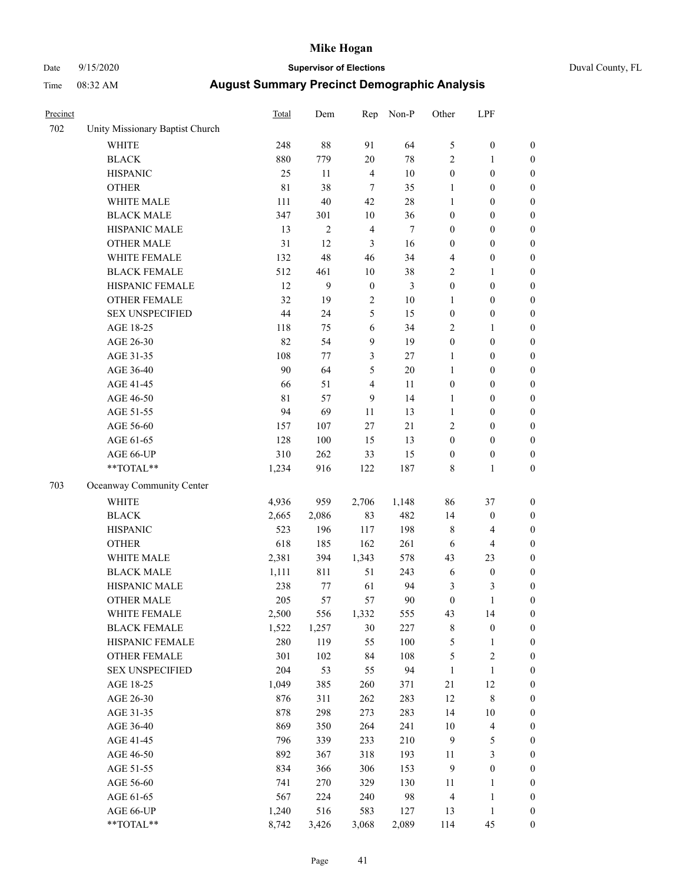# Date 9/15/2020 **Supervisor of Elections** Duval County, FL

| Precinct |                                 | <b>Total</b> | Dem            | Rep              | Non-P            | Other            | LPF                      |                  |
|----------|---------------------------------|--------------|----------------|------------------|------------------|------------------|--------------------------|------------------|
| 702      | Unity Missionary Baptist Church |              |                |                  |                  |                  |                          |                  |
|          | <b>WHITE</b>                    | 248          | 88             | 91               | 64               | 5                | $\boldsymbol{0}$         | 0                |
|          | <b>BLACK</b>                    | 880          | 779            | $20\,$           | $78\,$           | 2                | $\mathbf{1}$             | $\boldsymbol{0}$ |
|          | <b>HISPANIC</b>                 | 25           | 11             | $\overline{4}$   | 10               | $\boldsymbol{0}$ | $\boldsymbol{0}$         | $\boldsymbol{0}$ |
|          | <b>OTHER</b>                    | 81           | 38             | $\overline{7}$   | 35               | 1                | $\boldsymbol{0}$         | $\boldsymbol{0}$ |
|          | WHITE MALE                      | 111          | 40             | 42               | $28\,$           | $\mathbf{1}$     | $\boldsymbol{0}$         | $\boldsymbol{0}$ |
|          | <b>BLACK MALE</b>               | 347          | 301            | 10               | 36               | $\boldsymbol{0}$ | $\boldsymbol{0}$         | $\boldsymbol{0}$ |
|          | HISPANIC MALE                   | 13           | $\mathfrak{2}$ | $\overline{4}$   | $\boldsymbol{7}$ | $\boldsymbol{0}$ | $\boldsymbol{0}$         | $\boldsymbol{0}$ |
|          | <b>OTHER MALE</b>               | 31           | 12             | 3                | 16               | $\boldsymbol{0}$ | $\boldsymbol{0}$         | $\boldsymbol{0}$ |
|          | WHITE FEMALE                    | 132          | 48             | 46               | 34               | 4                | $\boldsymbol{0}$         | $\boldsymbol{0}$ |
|          | <b>BLACK FEMALE</b>             | 512          | 461            | $10\,$           | 38               | 2                | $\mathbf{1}$             | $\boldsymbol{0}$ |
|          | HISPANIC FEMALE                 | 12           | 9              | $\boldsymbol{0}$ | 3                | $\boldsymbol{0}$ | $\boldsymbol{0}$         | $\boldsymbol{0}$ |
|          | <b>OTHER FEMALE</b>             | 32           | 19             | $\sqrt{2}$       | $10\,$           | $\mathbf{1}$     | $\boldsymbol{0}$         | $\boldsymbol{0}$ |
|          | <b>SEX UNSPECIFIED</b>          | 44           | 24             | 5                | 15               | $\boldsymbol{0}$ | $\boldsymbol{0}$         | $\boldsymbol{0}$ |
|          | AGE 18-25                       | 118          | 75             | 6                | 34               | $\overline{c}$   | 1                        | $\boldsymbol{0}$ |
|          | AGE 26-30                       | 82           | 54             | 9                | 19               | $\boldsymbol{0}$ | $\boldsymbol{0}$         | $\boldsymbol{0}$ |
|          | AGE 31-35                       | 108          | 77             | 3                | 27               | $\mathbf{1}$     | $\boldsymbol{0}$         | $\boldsymbol{0}$ |
|          | AGE 36-40                       | 90           | 64             | 5                | 20               | $\mathbf{1}$     | $\boldsymbol{0}$         | $\boldsymbol{0}$ |
|          | AGE 41-45                       | 66           | 51             | $\overline{4}$   | 11               | $\boldsymbol{0}$ | $\boldsymbol{0}$         | $\boldsymbol{0}$ |
|          | AGE 46-50                       | 81           | 57             | $\mathbf{9}$     | 14               | $\mathbf{1}$     | $\boldsymbol{0}$         | $\boldsymbol{0}$ |
|          | AGE 51-55                       | 94           | 69             | 11               | 13               | $\mathbf{1}$     | $\boldsymbol{0}$         | $\boldsymbol{0}$ |
|          | AGE 56-60                       | 157          | 107            | 27               | 21               | $\overline{c}$   | $\boldsymbol{0}$         | $\boldsymbol{0}$ |
|          | AGE 61-65                       | 128          | 100            | 15               | 13               | $\boldsymbol{0}$ | $\boldsymbol{0}$         | $\boldsymbol{0}$ |
|          | AGE 66-UP                       | 310          | 262            | 33               | 15               | $\boldsymbol{0}$ | $\boldsymbol{0}$         | $\boldsymbol{0}$ |
|          | **TOTAL**                       | 1,234        | 916            | 122              | 187              | 8                | $\mathbf{1}$             | $\boldsymbol{0}$ |
| 703      | Oceanway Community Center       |              |                |                  |                  |                  |                          |                  |
|          | WHITE                           | 4,936        | 959            | 2,706            | 1,148            | 86               | 37                       | $\boldsymbol{0}$ |
|          | <b>BLACK</b>                    | 2,665        | 2,086          | 83               | 482              | 14               | $\boldsymbol{0}$         | $\boldsymbol{0}$ |
|          | <b>HISPANIC</b>                 | 523          | 196            | 117              | 198              | 8                | $\overline{4}$           | $\boldsymbol{0}$ |
|          | <b>OTHER</b>                    | 618          | 185            | 162              | 261              | 6                | $\overline{4}$           | $\boldsymbol{0}$ |
|          | WHITE MALE                      | 2,381        | 394            | 1,343            | 578              | 43               | 23                       | $\boldsymbol{0}$ |
|          | <b>BLACK MALE</b>               | 1,111        | 811            | 51               | 243              | $\sqrt{6}$       | $\boldsymbol{0}$         | $\boldsymbol{0}$ |
|          | HISPANIC MALE                   | 238          | 77             | 61               | 94               | 3                | 3                        | $\boldsymbol{0}$ |
|          | <b>OTHER MALE</b>               | 205          | 57             | 57               | 90               | $\boldsymbol{0}$ | $\mathbf{1}$             | $\boldsymbol{0}$ |
|          | WHITE FEMALE                    | 2,500        | 556            | 1,332            | 555              | 43               | 14                       | 0                |
|          | <b>BLACK FEMALE</b>             | 1,522        | 1,257          | 30               | 227              | 8                | $\boldsymbol{0}$         | $\boldsymbol{0}$ |
|          | HISPANIC FEMALE                 | 280          | 119            | 55               | $100\,$          | 5                | $\mathbf{1}$             | 0                |
|          | <b>OTHER FEMALE</b>             | 301          | 102            | 84               | 108              | 5                | $\sqrt{2}$               | 0                |
|          | <b>SEX UNSPECIFIED</b>          | 204          | 53             | 55               | 94               | $\mathbf{1}$     | $\mathbf{1}$             | 0                |
|          | AGE 18-25                       | 1,049        | 385            | 260              | 371              | $21\,$           | 12                       | 0                |
|          | AGE 26-30                       | 876          | 311            | 262              | 283              | 12               | $\,$ 8 $\,$              | 0                |
|          | AGE 31-35                       | 878          | 298            | 273              | 283              | 14               | $10\,$                   | 0                |
|          | AGE 36-40                       | 869          | 350            | 264              | 241              | $10\,$           | $\overline{\mathcal{L}}$ | 0                |
|          | AGE 41-45                       | 796          | 339            | 233              | 210              | $\overline{9}$   | $\mathfrak s$            | 0                |
|          | AGE 46-50                       | 892          | 367            | 318              | 193              | 11               | $\mathfrak{Z}$           | 0                |
|          | AGE 51-55                       | 834          | 366            | 306              | 153              | 9                | $\boldsymbol{0}$         | 0                |
|          | AGE 56-60                       | 741          | 270            | 329              | 130              | 11               | 1                        | 0                |
|          | AGE 61-65                       | 567          | 224            | 240              | 98               | 4                | $\mathbf{1}$             | $\boldsymbol{0}$ |
|          | AGE 66-UP                       | 1,240        | 516            | 583              | 127              | 13               | $\mathbf{1}$             | 0                |
|          | **TOTAL**                       | 8,742        | 3,426          | 3,068            | 2,089            | 114              | 45                       | $\boldsymbol{0}$ |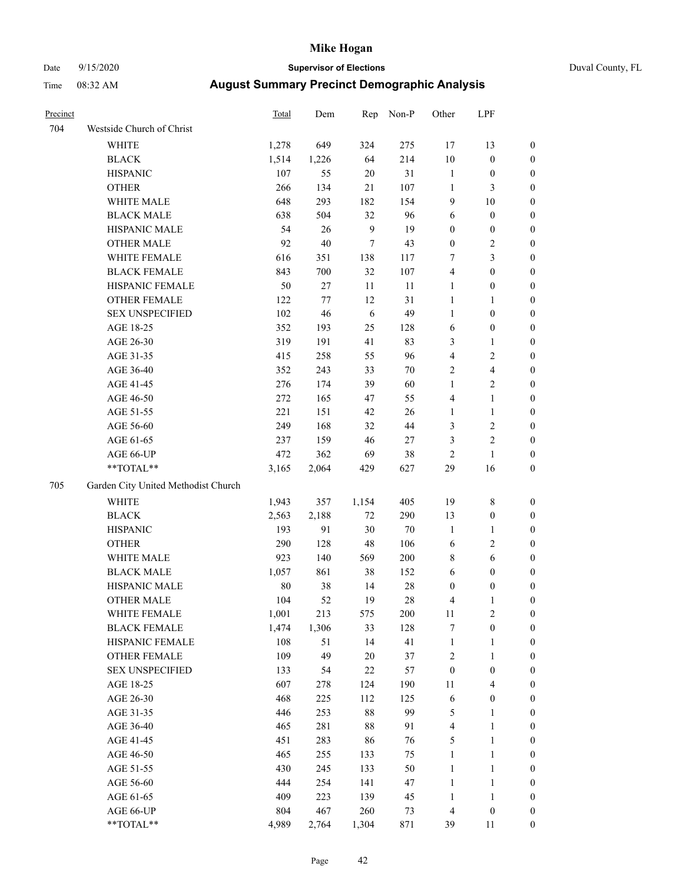# Date 9/15/2020 **Supervisor of Elections** Duval County, FL

| Precinct |                                                             | Total | Dem     | Rep          | Non-P   | Other                   | LPF              |                  |
|----------|-------------------------------------------------------------|-------|---------|--------------|---------|-------------------------|------------------|------------------|
| 704      | Westside Church of Christ                                   |       |         |              |         |                         |                  |                  |
|          | WHITE                                                       | 1,278 | 649     | 324          | 275     | 17                      | 13               | 0                |
|          | <b>BLACK</b>                                                | 1,514 | 1,226   | 64           | 214     | $10\,$                  | $\boldsymbol{0}$ | 0                |
|          | <b>HISPANIC</b>                                             | 107   | 55      | $20\,$       | 31      | $\mathbf{1}$            | $\boldsymbol{0}$ | $\boldsymbol{0}$ |
|          | <b>OTHER</b>                                                | 266   | 134     | 21           | 107     | $\mathbf{1}$            | 3                | $\boldsymbol{0}$ |
|          | WHITE MALE                                                  | 648   | 293     | 182          | 154     | 9                       | 10               | $\boldsymbol{0}$ |
|          | <b>BLACK MALE</b>                                           | 638   | 504     | 32           | 96      | 6                       | $\boldsymbol{0}$ | $\boldsymbol{0}$ |
|          | HISPANIC MALE                                               | 54    | 26      | $\mathbf{9}$ | 19      | 0                       | $\boldsymbol{0}$ | $\boldsymbol{0}$ |
|          | <b>OTHER MALE</b>                                           | 92    | 40      | $\tau$       | 43      | $\boldsymbol{0}$        | $\sqrt{2}$       | $\boldsymbol{0}$ |
|          | WHITE FEMALE                                                | 616   | 351     | 138          | 117     | 7                       | 3                | $\boldsymbol{0}$ |
|          | <b>BLACK FEMALE</b>                                         | 843   | 700     | 32           | 107     | 4                       | $\boldsymbol{0}$ | 0                |
|          | HISPANIC FEMALE                                             | 50    | 27      | 11           | 11      | 1                       | $\boldsymbol{0}$ | 0                |
|          | OTHER FEMALE                                                | 122   | $77 \,$ | 12           | 31      | $\mathbf{1}$            | 1                | 0                |
|          | <b>SEX UNSPECIFIED</b>                                      | 102   | 46      | 6            | 49      | $\mathbf{1}$            | $\boldsymbol{0}$ | $\boldsymbol{0}$ |
|          | AGE 18-25                                                   | 352   | 193     | 25           | 128     | 6                       | $\boldsymbol{0}$ | $\boldsymbol{0}$ |
|          | AGE 26-30                                                   | 319   | 191     | 41           | 83      | 3                       | $\mathbf{1}$     | $\boldsymbol{0}$ |
|          | AGE 31-35                                                   | 415   | 258     | 55           | 96      | 4                       | $\sqrt{2}$       | $\boldsymbol{0}$ |
|          | AGE 36-40                                                   | 352   | 243     | 33           | 70      | 2                       | $\overline{4}$   | $\boldsymbol{0}$ |
|          | AGE 41-45                                                   | 276   | 174     | 39           | 60      | $\mathbf{1}$            | $\mathbf{2}$     | $\boldsymbol{0}$ |
|          | AGE 46-50                                                   | 272   | 165     | 47           | 55      | 4                       | $\mathbf{1}$     | $\boldsymbol{0}$ |
|          | AGE 51-55                                                   | 221   | 151     | 42           | 26      | 1                       | $\mathbf{1}$     | 0                |
|          | AGE 56-60                                                   | 249   | 168     | 32           | 44      | 3                       | $\sqrt{2}$       | 0                |
|          | AGE 61-65                                                   | 237   | 159     | 46           | $27\,$  | 3                       | $\sqrt{2}$       | 0                |
|          | AGE 66-UP                                                   | 472   | 362     | 69           | 38      | 2                       | $\mathbf{1}$     | $\boldsymbol{0}$ |
|          | $\mathrm{*}\mathrm{*} \mathrm{TOTAL} \mathrm{*} \mathrm{*}$ | 3,165 | 2,064   | 429          | 627     | 29                      | 16               | $\boldsymbol{0}$ |
| 705      | Garden City United Methodist Church                         |       |         |              |         |                         |                  |                  |
|          | <b>WHITE</b>                                                | 1,943 | 357     | 1,154        | 405     | 19                      | $\,$ 8 $\,$      | $\boldsymbol{0}$ |
|          | <b>BLACK</b>                                                | 2,563 | 2,188   | $72\,$       | 290     | 13                      | $\boldsymbol{0}$ | $\boldsymbol{0}$ |
|          | <b>HISPANIC</b>                                             | 193   | 91      | 30           | 70      | $\mathbf{1}$            | $\mathbf{1}$     | $\boldsymbol{0}$ |
|          | <b>OTHER</b>                                                | 290   | 128     | 48           | 106     | 6                       | $\sqrt{2}$       | $\boldsymbol{0}$ |
|          | WHITE MALE                                                  | 923   | 140     | 569          | $200\,$ | 8                       | 6                | $\boldsymbol{0}$ |
|          | <b>BLACK MALE</b>                                           | 1,057 | 861     | 38           | 152     | 6                       | $\boldsymbol{0}$ | $\boldsymbol{0}$ |
|          | HISPANIC MALE                                               | 80    | 38      | 14           | $28\,$  | $\boldsymbol{0}$        | $\boldsymbol{0}$ | 0                |
|          | <b>OTHER MALE</b>                                           | 104   | 52      | 19           | 28      | 4                       | 1                | 0                |
|          | WHITE FEMALE                                                | 1,001 | 213     | 575          | 200     | 11                      | $\overline{c}$   | 0                |
|          | <b>BLACK FEMALE</b>                                         | 1,474 | 1,306   | 33           | 128     | 7                       | $\boldsymbol{0}$ | $\boldsymbol{0}$ |
|          | HISPANIC FEMALE                                             | 108   | 51      | 14           | 41      | $\mathbf{1}$            | $\mathbf{1}$     | $\overline{0}$   |
|          | OTHER FEMALE                                                | 109   | 49      | 20           | 37      | $\overline{\mathbf{c}}$ | $\mathbf{1}$     | $\overline{0}$   |
|          | <b>SEX UNSPECIFIED</b>                                      | 133   | 54      | 22           | 57      | $\boldsymbol{0}$        | $\boldsymbol{0}$ | 0                |
|          | AGE 18-25                                                   | 607   | 278     | 124          | 190     | 11                      | $\overline{4}$   | 0                |
|          | AGE 26-30                                                   | 468   | 225     | 112          | 125     | 6                       | $\boldsymbol{0}$ | 0                |
|          | AGE 31-35                                                   | 446   | 253     | 88           | 99      | 5                       | $\mathbf{1}$     | 0                |
|          | AGE 36-40                                                   | 465   | 281     | 88           | 91      | 4                       | $\mathbf{1}$     | 0                |
|          | AGE 41-45                                                   | 451   | 283     | 86           | 76      | 5                       | $\mathbf{1}$     | 0                |
|          | AGE 46-50                                                   | 465   | 255     | 133          | 75      | 1                       | $\mathbf{1}$     | 0                |
|          | AGE 51-55                                                   | 430   | 245     | 133          | 50      | $\mathbf{1}$            | $\mathbf{1}$     | 0                |
|          | AGE 56-60                                                   | 444   | 254     | 141          | 47      | 1                       | $\mathbf{1}$     | 0                |
|          | AGE 61-65                                                   | 409   | 223     | 139          | 45      | 1                       | $\mathbf{1}$     | 0                |
|          | AGE 66-UP                                                   | 804   | 467     | 260          | 73      | 4                       | $\boldsymbol{0}$ | 0                |
|          | **TOTAL**                                                   | 4,989 | 2,764   | 1,304        | 871     | 39                      | 11               | $\boldsymbol{0}$ |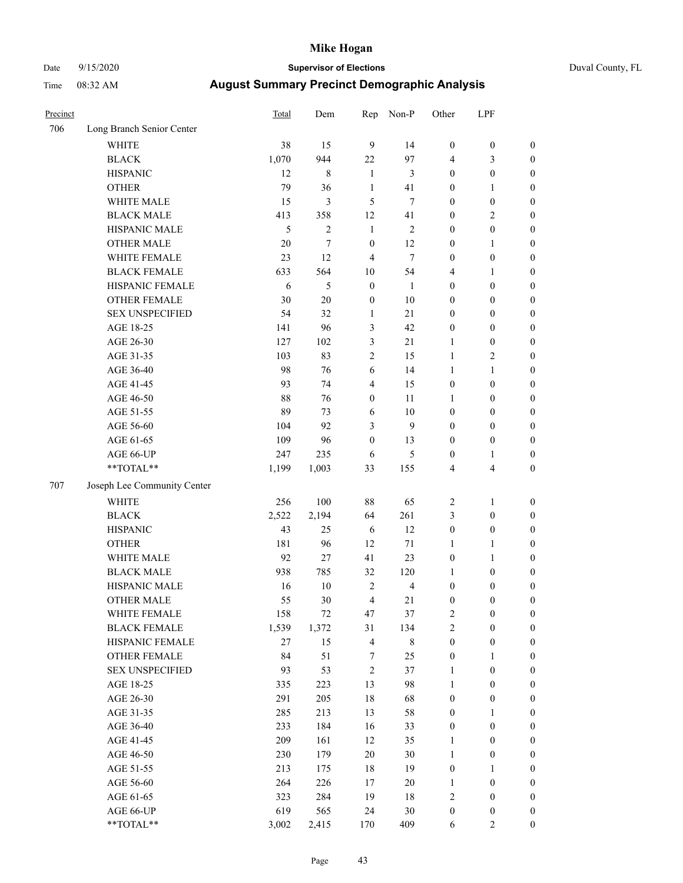# Date 9/15/2020 **Supervisor of Elections** Duval County, FL

| Precinct |                             | Total  | Dem            | Rep              | Non-P          | Other            | LPF                     |                  |
|----------|-----------------------------|--------|----------------|------------------|----------------|------------------|-------------------------|------------------|
| 706      | Long Branch Senior Center   |        |                |                  |                |                  |                         |                  |
|          | <b>WHITE</b>                | 38     | 15             | 9                | 14             | $\boldsymbol{0}$ | $\boldsymbol{0}$        | $\boldsymbol{0}$ |
|          | <b>BLACK</b>                | 1,070  | 944            | 22               | 97             | 4                | 3                       | $\boldsymbol{0}$ |
|          | <b>HISPANIC</b>             | 12     | 8              | $\mathbf{1}$     | 3              | $\boldsymbol{0}$ | $\boldsymbol{0}$        | $\boldsymbol{0}$ |
|          | <b>OTHER</b>                | 79     | 36             | $\mathbf{1}$     | 41             | $\boldsymbol{0}$ | 1                       | $\boldsymbol{0}$ |
|          | WHITE MALE                  | 15     | 3              | 5                | 7              | $\boldsymbol{0}$ | $\boldsymbol{0}$        | $\boldsymbol{0}$ |
|          | <b>BLACK MALE</b>           | 413    | 358            | 12               | 41             | $\boldsymbol{0}$ | $\sqrt{2}$              | $\boldsymbol{0}$ |
|          | HISPANIC MALE               | 5      | $\overline{2}$ | $\mathbf{1}$     | $\mathbf{2}$   | $\boldsymbol{0}$ | $\boldsymbol{0}$        | $\boldsymbol{0}$ |
|          | <b>OTHER MALE</b>           | $20\,$ | $\tau$         | $\boldsymbol{0}$ | 12             | $\boldsymbol{0}$ | $\mathbf{1}$            | $\boldsymbol{0}$ |
|          | WHITE FEMALE                | 23     | 12             | $\overline{4}$   | $\tau$         | $\boldsymbol{0}$ | $\boldsymbol{0}$        | $\boldsymbol{0}$ |
|          | <b>BLACK FEMALE</b>         | 633    | 564            | 10               | 54             | 4                | $\mathbf{1}$            | $\boldsymbol{0}$ |
|          | HISPANIC FEMALE             | 6      | 5              | $\boldsymbol{0}$ | 1              | $\boldsymbol{0}$ | $\boldsymbol{0}$        | 0                |
|          | <b>OTHER FEMALE</b>         | 30     | 20             | $\boldsymbol{0}$ | 10             | $\boldsymbol{0}$ | $\boldsymbol{0}$        | $\boldsymbol{0}$ |
|          | <b>SEX UNSPECIFIED</b>      | 54     | 32             | $\mathbf{1}$     | 21             | $\boldsymbol{0}$ | $\boldsymbol{0}$        | $\boldsymbol{0}$ |
|          | AGE 18-25                   | 141    | 96             | $\mathfrak{Z}$   | 42             | $\boldsymbol{0}$ | $\boldsymbol{0}$        | $\boldsymbol{0}$ |
|          | AGE 26-30                   | 127    | 102            | 3                | 21             | $\mathbf{1}$     | $\boldsymbol{0}$        | $\boldsymbol{0}$ |
|          | AGE 31-35                   | 103    | 83             | $\sqrt{2}$       | 15             | $\mathbf{1}$     | $\sqrt{2}$              | $\boldsymbol{0}$ |
|          | AGE 36-40                   | 98     | 76             | 6                | 14             | $\mathbf{1}$     | $\mathbf{1}$            | $\boldsymbol{0}$ |
|          | AGE 41-45                   | 93     | 74             | $\overline{4}$   | 15             | $\boldsymbol{0}$ | $\boldsymbol{0}$        | $\boldsymbol{0}$ |
|          | AGE 46-50                   | 88     | 76             | $\boldsymbol{0}$ | 11             | 1                | $\boldsymbol{0}$        | $\boldsymbol{0}$ |
|          | AGE 51-55                   | 89     | 73             | 6                | $10\,$         | $\boldsymbol{0}$ | $\boldsymbol{0}$        | $\boldsymbol{0}$ |
|          | AGE 56-60                   | 104    | 92             | 3                | 9              | $\boldsymbol{0}$ | $\boldsymbol{0}$        | 0                |
|          | AGE 61-65                   | 109    | 96             | $\boldsymbol{0}$ | 13             | $\boldsymbol{0}$ | $\boldsymbol{0}$        | 0                |
|          | AGE 66-UP                   | 247    | 235            | 6                | 5              | $\boldsymbol{0}$ | $\mathbf{1}$            | $\boldsymbol{0}$ |
|          | **TOTAL**                   | 1,199  | 1,003          | 33               | 155            | 4                | $\overline{\mathbf{4}}$ | $\boldsymbol{0}$ |
| 707      | Joseph Lee Community Center |        |                |                  |                |                  |                         |                  |
|          | <b>WHITE</b>                | 256    | 100            | 88               | 65             | $\overline{c}$   | $\mathbf{1}$            | $\boldsymbol{0}$ |
|          | <b>BLACK</b>                | 2,522  | 2,194          | 64               | 261            | 3                | $\boldsymbol{0}$        | $\boldsymbol{0}$ |
|          | <b>HISPANIC</b>             | 43     | 25             | 6                | 12             | $\boldsymbol{0}$ | $\boldsymbol{0}$        | $\boldsymbol{0}$ |
|          | <b>OTHER</b>                | 181    | 96             | 12               | 71             | $\mathbf{1}$     | $\mathbf{1}$            | $\boldsymbol{0}$ |
|          | WHITE MALE                  | 92     | 27             | 41               | 23             | $\boldsymbol{0}$ | $\mathbf{1}$            | $\boldsymbol{0}$ |
|          | <b>BLACK MALE</b>           | 938    | 785            | 32               | 120            | 1                | $\boldsymbol{0}$        | $\boldsymbol{0}$ |
|          | HISPANIC MALE               | 16     | $10\,$         | $\overline{2}$   | $\overline{4}$ | $\boldsymbol{0}$ | $\boldsymbol{0}$        | $\boldsymbol{0}$ |
|          | <b>OTHER MALE</b>           | 55     | 30             | $\overline{4}$   | 21             | $\boldsymbol{0}$ | $\boldsymbol{0}$        | $\boldsymbol{0}$ |
|          | WHITE FEMALE                | 158    | 72             | 47               | 37             | 2                | $\boldsymbol{0}$        | 0                |
|          | <b>BLACK FEMALE</b>         | 1,539  | 1,372          | 31               | 134            | $\overline{c}$   | $\boldsymbol{0}$        | $\boldsymbol{0}$ |
|          | HISPANIC FEMALE             | $27\,$ | 15             | $\overline{4}$   | $8\,$          | $\boldsymbol{0}$ | $\boldsymbol{0}$        | $\boldsymbol{0}$ |
|          | <b>OTHER FEMALE</b>         | 84     | 51             | 7                | 25             | $\boldsymbol{0}$ | $\mathbf{1}$            | $\overline{0}$   |
|          | <b>SEX UNSPECIFIED</b>      | 93     | 53             | $\sqrt{2}$       | 37             | $\mathbf{1}$     | $\boldsymbol{0}$        | 0                |
|          | AGE 18-25                   | 335    | 223            | 13               | 98             | $\mathbf{1}$     | $\boldsymbol{0}$        | 0                |
|          | AGE 26-30                   | 291    | 205            | 18               | 68             | $\boldsymbol{0}$ | $\boldsymbol{0}$        | 0                |
|          | AGE 31-35                   | 285    | 213            | 13               | 58             | $\boldsymbol{0}$ | 1                       | 0                |
|          | AGE 36-40                   | 233    | 184            | 16               | 33             | $\boldsymbol{0}$ | $\boldsymbol{0}$        | 0                |
|          | AGE 41-45                   | 209    | 161            | 12               | 35             | $\mathbf{1}$     | $\boldsymbol{0}$        | 0                |
|          | AGE 46-50                   | 230    | 179            | 20               | 30             | $\mathbf{1}$     | $\boldsymbol{0}$        | 0                |
|          | AGE 51-55                   | 213    | 175            | 18               | 19             | $\boldsymbol{0}$ | $\mathbf{1}$            | $\boldsymbol{0}$ |
|          | AGE 56-60                   | 264    | 226            | 17               | 20             | 1                | $\boldsymbol{0}$        | $\boldsymbol{0}$ |
|          | AGE 61-65                   | 323    | 284            | 19               | $18\,$         | 2                | $\boldsymbol{0}$        | $\boldsymbol{0}$ |
|          | AGE 66-UP                   | 619    | 565            | 24               | 30             | $\boldsymbol{0}$ | $\boldsymbol{0}$        | $\boldsymbol{0}$ |
|          | **TOTAL**                   | 3,002  | 2,415          | 170              | 409            | 6                | $\mathbf{2}$            | $\boldsymbol{0}$ |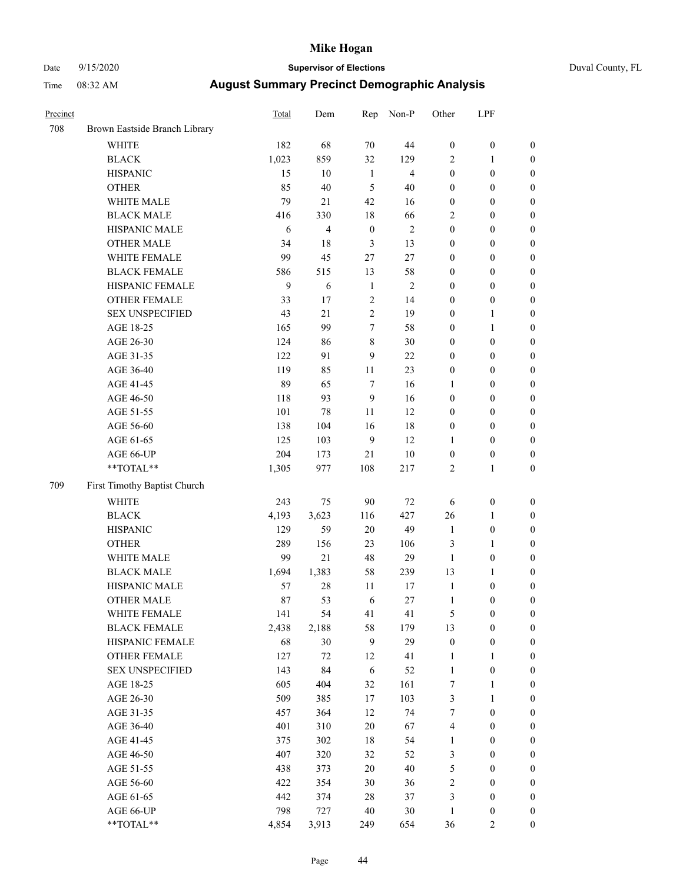# Date 9/15/2020 **Supervisor of Elections** Duval County, FL

| Precinct |                                                           | Total | Dem            | Rep              | Non-P          | Other                   | LPF              |                  |
|----------|-----------------------------------------------------------|-------|----------------|------------------|----------------|-------------------------|------------------|------------------|
| 708      | Brown Eastside Branch Library                             |       |                |                  |                |                         |                  |                  |
|          | <b>WHITE</b>                                              | 182   | 68             | 70               | 44             | $\boldsymbol{0}$        | $\boldsymbol{0}$ | $\boldsymbol{0}$ |
|          | <b>BLACK</b>                                              | 1,023 | 859            | 32               | 129            | 2                       | 1                | $\boldsymbol{0}$ |
|          | <b>HISPANIC</b>                                           | 15    | 10             | $\mathbf{1}$     | $\overline{4}$ | $\boldsymbol{0}$        | $\boldsymbol{0}$ | $\boldsymbol{0}$ |
|          | <b>OTHER</b>                                              | 85    | 40             | 5                | 40             | $\boldsymbol{0}$        | $\boldsymbol{0}$ | $\boldsymbol{0}$ |
|          | WHITE MALE                                                | 79    | 21             | 42               | 16             | 0                       | $\boldsymbol{0}$ | $\boldsymbol{0}$ |
|          | <b>BLACK MALE</b>                                         | 416   | 330            | 18               | 66             | $\overline{c}$          | $\boldsymbol{0}$ | $\boldsymbol{0}$ |
|          | HISPANIC MALE                                             | 6     | $\overline{4}$ | $\boldsymbol{0}$ | $\sqrt{2}$     | $\boldsymbol{0}$        | $\boldsymbol{0}$ | $\boldsymbol{0}$ |
|          | <b>OTHER MALE</b>                                         | 34    | 18             | 3                | 13             | $\boldsymbol{0}$        | $\boldsymbol{0}$ | $\boldsymbol{0}$ |
|          | WHITE FEMALE                                              | 99    | 45             | 27               | 27             | $\boldsymbol{0}$        | $\boldsymbol{0}$ | 0                |
|          | <b>BLACK FEMALE</b>                                       | 586   | 515            | 13               | 58             | 0                       | $\boldsymbol{0}$ | $\boldsymbol{0}$ |
|          | HISPANIC FEMALE                                           | 9     | 6              | $\mathbf{1}$     | $\mathbf{2}$   | $\boldsymbol{0}$        | $\boldsymbol{0}$ | $\boldsymbol{0}$ |
|          | <b>OTHER FEMALE</b>                                       | 33    | 17             | $\sqrt{2}$       | 14             | 0                       | $\boldsymbol{0}$ | $\boldsymbol{0}$ |
|          | <b>SEX UNSPECIFIED</b>                                    | 43    | 21             | $\overline{c}$   | 19             | 0                       | $\mathbf{1}$     | $\boldsymbol{0}$ |
|          | AGE 18-25                                                 | 165   | 99             | 7                | 58             | $\boldsymbol{0}$        | $\mathbf{1}$     | $\boldsymbol{0}$ |
|          | AGE 26-30                                                 | 124   | 86             | 8                | 30             | 0                       | $\boldsymbol{0}$ | $\boldsymbol{0}$ |
|          | AGE 31-35                                                 | 122   | 91             | 9                | 22             | $\boldsymbol{0}$        | $\boldsymbol{0}$ | $\boldsymbol{0}$ |
|          | AGE 36-40                                                 | 119   | 85             | 11               | 23             | $\boldsymbol{0}$        | $\boldsymbol{0}$ | $\boldsymbol{0}$ |
|          | AGE 41-45                                                 | 89    | 65             | 7                | 16             | 1                       | $\boldsymbol{0}$ | $\boldsymbol{0}$ |
|          | AGE 46-50                                                 | 118   | 93             | $\mathbf{9}$     | 16             | $\boldsymbol{0}$        | $\boldsymbol{0}$ | 0                |
|          | AGE 51-55                                                 | 101   | 78             | 11               | 12             | 0                       | $\boldsymbol{0}$ | $\boldsymbol{0}$ |
|          | AGE 56-60                                                 | 138   | 104            | 16               | $18\,$         | $\boldsymbol{0}$        | $\boldsymbol{0}$ | $\boldsymbol{0}$ |
|          | AGE 61-65                                                 | 125   | 103            | 9                | 12             | 1                       | $\boldsymbol{0}$ | $\boldsymbol{0}$ |
|          | AGE 66-UP                                                 | 204   | 173            | 21               | 10             | $\boldsymbol{0}$        | $\boldsymbol{0}$ | $\boldsymbol{0}$ |
|          | $\mathrm{*}\mathrm{*}\mathrm{TOTAL} \mathrm{*}\mathrm{*}$ | 1,305 | 977            | 108              | 217            | 2                       | $\mathbf{1}$     | $\boldsymbol{0}$ |
| 709      | First Timothy Baptist Church                              |       |                |                  |                |                         |                  |                  |
|          | <b>WHITE</b>                                              | 243   | 75             | 90               | $72\,$         | 6                       | $\boldsymbol{0}$ | $\boldsymbol{0}$ |
|          | <b>BLACK</b>                                              | 4,193 | 3,623          | 116              | 427            | 26                      | $\mathbf{1}$     | $\boldsymbol{0}$ |
|          | <b>HISPANIC</b>                                           | 129   | 59             | $20\,$           | 49             | $\mathbf{1}$            | $\boldsymbol{0}$ | $\boldsymbol{0}$ |
|          | <b>OTHER</b>                                              | 289   | 156            | 23               | 106            | 3                       | $\mathbf{1}$     | $\boldsymbol{0}$ |
|          | WHITE MALE                                                | 99    | $21\,$         | 48               | 29             | $\mathbf{1}$            | $\boldsymbol{0}$ | $\boldsymbol{0}$ |
|          | <b>BLACK MALE</b>                                         | 1,694 | 1,383          | 58               | 239            | 13                      | $\mathbf{1}$     | 0                |
|          | HISPANIC MALE                                             | 57    | 28             | 11               | 17             | $\mathbf{1}$            | $\boldsymbol{0}$ | 0                |
|          | <b>OTHER MALE</b>                                         | 87    | 53             | 6                | $27\,$         | $\mathbf{1}$            | $\boldsymbol{0}$ | $\boldsymbol{0}$ |
|          | WHITE FEMALE                                              | 141   | 54             | 41               | 41             | 5                       | $\boldsymbol{0}$ | $\boldsymbol{0}$ |
|          | <b>BLACK FEMALE</b>                                       | 2,438 | 2,188          | 58               | 179            | 13                      | $\boldsymbol{0}$ | $\boldsymbol{0}$ |
|          | HISPANIC FEMALE                                           | 68    | 30             | $\boldsymbol{9}$ | 29             | $\boldsymbol{0}$        | $\boldsymbol{0}$ | $\overline{0}$   |
|          | <b>OTHER FEMALE</b>                                       | 127   | $72\,$         | 12               | 41             | 1                       | $\mathbf{1}$     | $\overline{0}$   |
|          | <b>SEX UNSPECIFIED</b>                                    | 143   | 84             | 6                | 52             | $\mathbf{1}$            | $\boldsymbol{0}$ | $\overline{0}$   |
|          | AGE 18-25                                                 | 605   | 404            | 32               | 161            | 7                       | $\mathbf{1}$     | $\overline{0}$   |
|          | AGE 26-30                                                 | 509   | 385            | 17               | 103            | 3                       | $\mathbf{1}$     | 0                |
|          | AGE 31-35                                                 | 457   | 364            | 12               | 74             | $\boldsymbol{7}$        | $\boldsymbol{0}$ | 0                |
|          | AGE 36-40                                                 | 401   | 310            | $20\,$           | 67             | 4                       | $\boldsymbol{0}$ | 0                |
|          | AGE 41-45                                                 | 375   | 302            | 18               | 54             | $\mathbf{1}$            | $\boldsymbol{0}$ | $\boldsymbol{0}$ |
|          | AGE 46-50                                                 | 407   | 320            | 32               | 52             | 3                       | $\boldsymbol{0}$ | $\boldsymbol{0}$ |
|          | AGE 51-55                                                 | 438   | 373            | 20               | 40             | 5                       | $\boldsymbol{0}$ | $\boldsymbol{0}$ |
|          | AGE 56-60                                                 | 422   | 354            | 30               | 36             | $\overline{\mathbf{c}}$ | $\boldsymbol{0}$ | $\boldsymbol{0}$ |
|          | AGE 61-65                                                 | 442   | 374            | 28               | 37             | 3                       | $\boldsymbol{0}$ | $\boldsymbol{0}$ |
|          | AGE 66-UP                                                 | 798   | 727            | 40               | 30             | $\mathbf{1}$            | $\boldsymbol{0}$ | $\boldsymbol{0}$ |
|          | **TOTAL**                                                 | 4,854 | 3,913          | 249              | 654            | 36                      | 2                | $\overline{0}$   |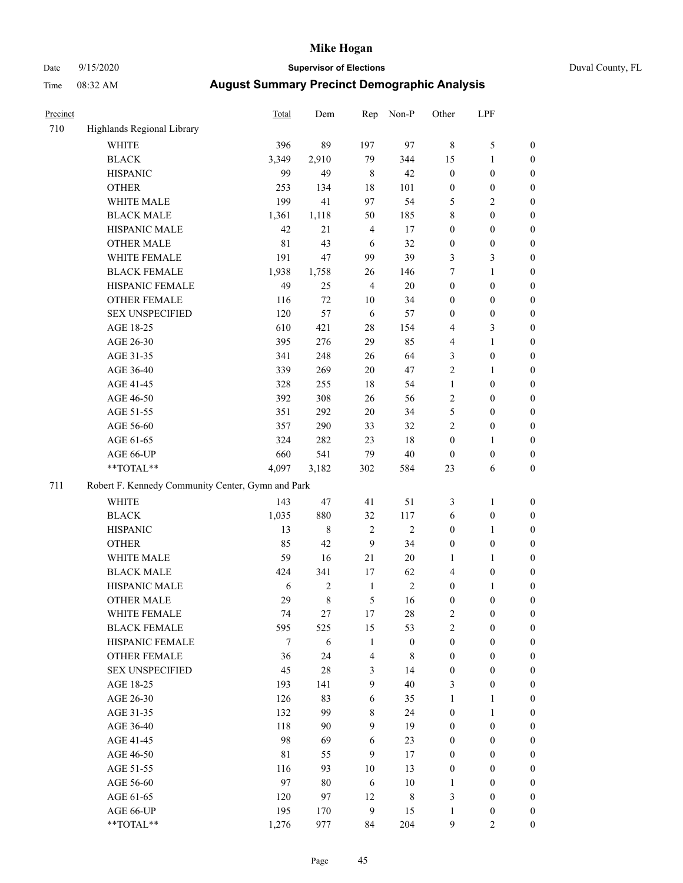# Date 9/15/2020 **Supervisor of Elections** Duval County, FL

| Precinct |                                                   | Total | Dem         | Rep              | Non-P            | Other            | LPF              |                  |
|----------|---------------------------------------------------|-------|-------------|------------------|------------------|------------------|------------------|------------------|
| 710      | Highlands Regional Library                        |       |             |                  |                  |                  |                  |                  |
|          | <b>WHITE</b>                                      | 396   | 89          | 197              | 97               | 8                | $\mathfrak s$    | 0                |
|          | <b>BLACK</b>                                      | 3,349 | 2,910       | 79               | 344              | 15               | $\mathbf{1}$     | 0                |
|          | <b>HISPANIC</b>                                   | 99    | 49          | 8                | 42               | $\boldsymbol{0}$ | $\boldsymbol{0}$ | $\boldsymbol{0}$ |
|          | <b>OTHER</b>                                      | 253   | 134         | 18               | 101              | $\boldsymbol{0}$ | $\boldsymbol{0}$ | $\boldsymbol{0}$ |
|          | WHITE MALE                                        | 199   | 41          | 97               | 54               | 5                | $\sqrt{2}$       | $\boldsymbol{0}$ |
|          | <b>BLACK MALE</b>                                 | 1,361 | 1,118       | 50               | 185              | 8                | $\boldsymbol{0}$ | $\boldsymbol{0}$ |
|          | HISPANIC MALE                                     | 42    | 21          | $\overline{4}$   | 17               | 0                | $\boldsymbol{0}$ | $\boldsymbol{0}$ |
|          | <b>OTHER MALE</b>                                 | 81    | 43          | 6                | 32               | $\boldsymbol{0}$ | $\boldsymbol{0}$ | $\boldsymbol{0}$ |
|          | WHITE FEMALE                                      | 191   | 47          | 99               | 39               | 3                | $\mathfrak{Z}$   | $\boldsymbol{0}$ |
|          | <b>BLACK FEMALE</b>                               | 1,938 | 1,758       | 26               | 146              | 7                | $\mathbf{1}$     | $\boldsymbol{0}$ |
|          | HISPANIC FEMALE                                   | 49    | 25          | $\overline{4}$   | 20               | $\boldsymbol{0}$ | $\boldsymbol{0}$ | $\boldsymbol{0}$ |
|          | OTHER FEMALE                                      | 116   | 72          | 10               | 34               | 0                | $\boldsymbol{0}$ | $\boldsymbol{0}$ |
|          | <b>SEX UNSPECIFIED</b>                            | 120   | 57          | 6                | 57               | $\boldsymbol{0}$ | $\boldsymbol{0}$ | $\boldsymbol{0}$ |
|          | AGE 18-25                                         | 610   | 421         | 28               | 154              | 4                | $\mathfrak{Z}$   | $\boldsymbol{0}$ |
|          | AGE 26-30                                         | 395   | 276         | 29               | 85               | 4                | $\mathbf{1}$     | $\boldsymbol{0}$ |
|          | AGE 31-35                                         | 341   | 248         | 26               | 64               | 3                | $\boldsymbol{0}$ | $\boldsymbol{0}$ |
|          | AGE 36-40                                         | 339   | 269         | 20               | 47               | $\overline{c}$   | $\mathbf{1}$     | $\boldsymbol{0}$ |
|          | AGE 41-45                                         | 328   | 255         | 18               | 54               | $\mathbf{1}$     | $\boldsymbol{0}$ | $\boldsymbol{0}$ |
|          | AGE 46-50                                         | 392   | 308         | 26               | 56               | $\mathbf{2}$     | $\boldsymbol{0}$ | $\boldsymbol{0}$ |
|          | AGE 51-55                                         | 351   | 292         | $20\,$           | 34               | 5                | $\boldsymbol{0}$ | $\boldsymbol{0}$ |
|          | AGE 56-60                                         | 357   | 290         | 33               | 32               | $\overline{c}$   | $\boldsymbol{0}$ | $\boldsymbol{0}$ |
|          | AGE 61-65                                         | 324   | 282         | 23               | 18               | $\boldsymbol{0}$ | 1                | $\boldsymbol{0}$ |
|          | AGE 66-UP                                         | 660   | 541         | 79               | 40               | $\boldsymbol{0}$ | $\boldsymbol{0}$ | $\boldsymbol{0}$ |
|          | $**TOTAL**$                                       | 4,097 | 3,182       | 302              | 584              | 23               | 6                | $\boldsymbol{0}$ |
| 711      | Robert F. Kennedy Community Center, Gymn and Park |       |             |                  |                  |                  |                  |                  |
|          | WHITE                                             | 143   | 47          | 41               | 51               | 3                | $\mathbf{1}$     | $\boldsymbol{0}$ |
|          | <b>BLACK</b>                                      | 1,035 | 880         | 32               | 117              | 6                | $\boldsymbol{0}$ | $\boldsymbol{0}$ |
|          | <b>HISPANIC</b>                                   | 13    | $\,$ 8 $\,$ | 2                | $\mathfrak{2}$   | $\boldsymbol{0}$ | $\mathbf{1}$     | $\boldsymbol{0}$ |
|          | <b>OTHER</b>                                      | 85    | 42          | 9                | 34               | 0                | $\boldsymbol{0}$ | $\boldsymbol{0}$ |
|          | WHITE MALE                                        | 59    | 16          | 21               | 20               | 1                | $\mathbf{1}$     | $\boldsymbol{0}$ |
|          | <b>BLACK MALE</b>                                 | 424   | 341         | 17               | 62               | 4                | $\boldsymbol{0}$ | $\overline{0}$   |
|          | HISPANIC MALE                                     | 6     | $\sqrt{2}$  | $\mathbf{1}$     | $\sqrt{2}$       | $\boldsymbol{0}$ | 1                | $\boldsymbol{0}$ |
|          | <b>OTHER MALE</b>                                 | 29    | $\,$ 8 $\,$ | 5                | 16               | $\boldsymbol{0}$ | $\boldsymbol{0}$ | $\boldsymbol{0}$ |
|          | WHITE FEMALE                                      | 74    | 27          | 17               | 28               | 2                | 0                | 0                |
|          | <b>BLACK FEMALE</b>                               | 595   | 525         | 15               | 53               | $\overline{c}$   | $\boldsymbol{0}$ | $\overline{0}$   |
|          | HISPANIC FEMALE                                   | 7     | 6           | $\mathbf{1}$     | $\boldsymbol{0}$ | $\boldsymbol{0}$ | $\boldsymbol{0}$ | $\overline{0}$   |
|          | OTHER FEMALE                                      | 36    | 24          | 4                | $\,$ 8 $\,$      | $\boldsymbol{0}$ | $\boldsymbol{0}$ | $\overline{0}$   |
|          | <b>SEX UNSPECIFIED</b>                            | 45    | $28\,$      | 3                | 14               | $\boldsymbol{0}$ | $\boldsymbol{0}$ | 0                |
|          | AGE 18-25                                         | 193   | 141         | 9                | 40               | 3                | $\boldsymbol{0}$ | $\theta$         |
|          | AGE 26-30                                         | 126   | 83          | 6                | 35               | $\mathbf{1}$     | $\mathbf{1}$     | 0                |
|          | AGE 31-35                                         | 132   | 99          | $\,$ 8 $\,$      | 24               | $\boldsymbol{0}$ | $\mathbf{1}$     | 0                |
|          | AGE 36-40                                         | 118   | 90          | 9                | 19               | 0                | $\boldsymbol{0}$ | 0                |
|          | AGE 41-45                                         | 98    | 69          | 6                | 23               | 0                | $\boldsymbol{0}$ | 0                |
|          | AGE 46-50                                         | 81    | 55          | 9                | 17               | 0                | $\boldsymbol{0}$ | 0                |
|          | AGE 51-55                                         | 116   | 93          | 10               | 13               | $\boldsymbol{0}$ | $\boldsymbol{0}$ | $\overline{0}$   |
|          | AGE 56-60                                         | 97    | 80          | 6                | 10               | 1                | $\boldsymbol{0}$ | $\overline{0}$   |
|          | AGE 61-65                                         | 120   | 97          | 12               | $\,$ 8 $\,$      | 3                | $\boldsymbol{0}$ | $\overline{0}$   |
|          | AGE 66-UP                                         | 195   | 170         | $\boldsymbol{9}$ | 15               | 1                | $\boldsymbol{0}$ | $\boldsymbol{0}$ |
|          | **TOTAL**                                         | 1,276 | 977         | 84               | 204              | 9                | $\mathfrak{2}$   | $\boldsymbol{0}$ |
|          |                                                   |       |             |                  |                  |                  |                  |                  |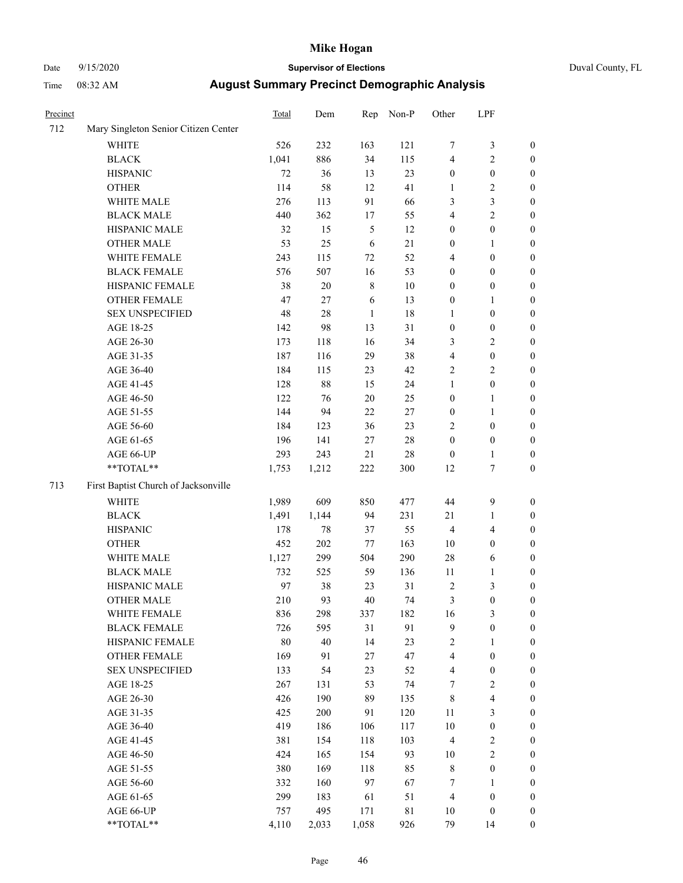# Date 9/15/2020 **Supervisor of Elections** Duval County, FL

| Precinct |                                                            | Total | Dem    | Rep          | Non-P       | Other            | LPF              |                  |
|----------|------------------------------------------------------------|-------|--------|--------------|-------------|------------------|------------------|------------------|
| 712      | Mary Singleton Senior Citizen Center                       |       |        |              |             |                  |                  |                  |
|          | <b>WHITE</b>                                               | 526   | 232    | 163          | 121         | 7                | $\mathfrak z$    | 0                |
|          | <b>BLACK</b>                                               | 1,041 | 886    | 34           | 115         | 4                | $\sqrt{2}$       | 0                |
|          | <b>HISPANIC</b>                                            | 72    | 36     | 13           | 23          | $\boldsymbol{0}$ | $\boldsymbol{0}$ | $\boldsymbol{0}$ |
|          | <b>OTHER</b>                                               | 114   | 58     | 12           | 41          | 1                | $\sqrt{2}$       | $\boldsymbol{0}$ |
|          | WHITE MALE                                                 | 276   | 113    | 91           | 66          | 3                | 3                | $\boldsymbol{0}$ |
|          | <b>BLACK MALE</b>                                          | 440   | 362    | 17           | 55          | 4                | $\sqrt{2}$       | $\boldsymbol{0}$ |
|          | HISPANIC MALE                                              | 32    | 15     | 5            | 12          | 0                | $\boldsymbol{0}$ | $\boldsymbol{0}$ |
|          | <b>OTHER MALE</b>                                          | 53    | 25     | 6            | $21\,$      | 0                | $\mathbf{1}$     | $\boldsymbol{0}$ |
|          | WHITE FEMALE                                               | 243   | 115    | $72\,$       | 52          | 4                | $\boldsymbol{0}$ | $\boldsymbol{0}$ |
|          | <b>BLACK FEMALE</b>                                        | 576   | 507    | 16           | 53          | 0                | $\boldsymbol{0}$ | 0                |
|          | HISPANIC FEMALE                                            | 38    | 20     | $\,$ 8 $\,$  | 10          | 0                | $\boldsymbol{0}$ | 0                |
|          | OTHER FEMALE                                               | 47    | $27\,$ | 6            | 13          | 0                | 1                | $\boldsymbol{0}$ |
|          | <b>SEX UNSPECIFIED</b>                                     | 48    | 28     | $\mathbf{1}$ | 18          | 1                | $\boldsymbol{0}$ | $\boldsymbol{0}$ |
|          | AGE 18-25                                                  | 142   | 98     | 13           | 31          | $\boldsymbol{0}$ | $\boldsymbol{0}$ | $\boldsymbol{0}$ |
|          | AGE 26-30                                                  | 173   | 118    | 16           | 34          | 3                | $\sqrt{2}$       | $\boldsymbol{0}$ |
|          | AGE 31-35                                                  | 187   | 116    | 29           | 38          | 4                | $\boldsymbol{0}$ | $\boldsymbol{0}$ |
|          | AGE 36-40                                                  | 184   | 115    | 23           | 42          | 2                | $\sqrt{2}$       | $\boldsymbol{0}$ |
|          | AGE 41-45                                                  | 128   | 88     | 15           | 24          | $\mathbf{1}$     | $\boldsymbol{0}$ | $\boldsymbol{0}$ |
|          | AGE 46-50                                                  | 122   | 76     | $20\,$       | 25          | $\boldsymbol{0}$ | 1                | $\boldsymbol{0}$ |
|          | AGE 51-55                                                  | 144   | 94     | $22\,$       | $27\,$      | $\boldsymbol{0}$ | 1                | 0                |
|          | AGE 56-60                                                  | 184   | 123    | 36           | 23          | $\overline{c}$   | $\boldsymbol{0}$ | 0                |
|          | AGE 61-65                                                  | 196   | 141    | 27           | $28\,$      | $\boldsymbol{0}$ | $\boldsymbol{0}$ | 0                |
|          | AGE 66-UP                                                  | 293   | 243    | 21           | $28\,$      | $\boldsymbol{0}$ | 1                | 0                |
|          | $\mathrm{*}\mathrm{*}\mathrm{TOTAL} \mathrm{*}\mathrm{*}$  | 1,753 | 1,212  | 222          | 300         | 12               | $\boldsymbol{7}$ | $\boldsymbol{0}$ |
| 713      | First Baptist Church of Jacksonville                       |       |        |              |             |                  |                  |                  |
|          | <b>WHITE</b>                                               | 1,989 | 609    | 850          | 477         | 44               | $\boldsymbol{9}$ | $\boldsymbol{0}$ |
|          | <b>BLACK</b>                                               | 1,491 | 1,144  | 94           | 231         | 21               | $\mathbf{1}$     | $\boldsymbol{0}$ |
|          | <b>HISPANIC</b>                                            | 178   | 78     | 37           | 55          | 4                | $\overline{4}$   | $\boldsymbol{0}$ |
|          | <b>OTHER</b>                                               | 452   | 202    | 77           | 163         | 10               | $\boldsymbol{0}$ | $\boldsymbol{0}$ |
|          | WHITE MALE                                                 | 1,127 | 299    | 504          | 290         | 28               | 6                | $\boldsymbol{0}$ |
|          | <b>BLACK MALE</b>                                          | 732   | 525    | 59           | 136         | 11               | 1                | $\boldsymbol{0}$ |
|          | HISPANIC MALE                                              | 97    | 38     | 23           | 31          | 2                | $\mathfrak{Z}$   | 0                |
|          | <b>OTHER MALE</b>                                          | 210   | 93     | 40           | 74          | 3                | $\boldsymbol{0}$ | $\boldsymbol{0}$ |
|          | WHITE FEMALE                                               | 836   | 298    | 337          | 182         | 16               | 3                | 0                |
|          | <b>BLACK FEMALE</b>                                        | 726   | 595    | 31           | 91          | 9                | $\boldsymbol{0}$ | $\overline{0}$   |
|          | HISPANIC FEMALE                                            | 80    | 40     | 14           | 23          | 2                | 1                | $\overline{0}$   |
|          | OTHER FEMALE                                               | 169   | 91     | 27           | 47          | 4                | $\boldsymbol{0}$ | $\overline{0}$   |
|          | <b>SEX UNSPECIFIED</b>                                     | 133   | 54     | 23           | 52          | 4                | $\boldsymbol{0}$ | 0                |
|          | AGE 18-25                                                  | 267   | 131    | 53           | 74          | 7                | $\sqrt{2}$       | 0                |
|          | AGE 26-30                                                  | 426   | 190    | 89           | 135         | 8                | $\overline{4}$   | 0                |
|          | AGE 31-35                                                  | 425   | 200    | 91           | 120         | 11               | $\mathfrak{Z}$   | 0                |
|          | AGE 36-40                                                  | 419   | 186    | 106          | 117         | $10\,$           | $\boldsymbol{0}$ | 0                |
|          | AGE 41-45                                                  | 381   | 154    | 118          | 103         | 4                | $\sqrt{2}$       | 0                |
|          | AGE 46-50                                                  | 424   | 165    | 154          | 93          | 10               | $\sqrt{2}$       | 0                |
|          | AGE 51-55                                                  | 380   | 169    | 118          | 85          | 8                | $\boldsymbol{0}$ | 0                |
|          | AGE 56-60                                                  | 332   | 160    | 97           | 67          | 7                | 1                | 0                |
|          | AGE 61-65                                                  | 299   | 183    | 61           | 51          | 4                | $\boldsymbol{0}$ | 0                |
|          | AGE 66-UP                                                  | 757   | 495    | 171          | $8\sqrt{1}$ | 10               | $\boldsymbol{0}$ | 0                |
|          | $\mathrm{*}\mathrm{*} \mathrm{TOTAL} \mathrm{*}\mathrm{*}$ | 4,110 | 2,033  | 1,058        | 926         | 79               | 14               | $\boldsymbol{0}$ |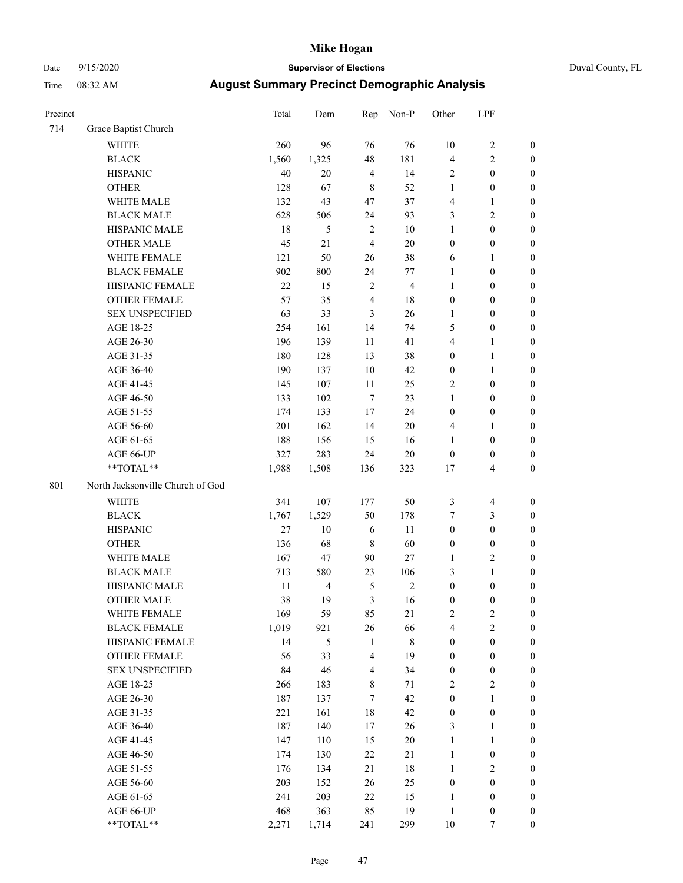# Date 9/15/2020 **Supervisor of Elections** Duval County, FL

| Precinct |                                  | Total | Dem            | Rep                     | Non-P          | Other            | LPF                     |                  |
|----------|----------------------------------|-------|----------------|-------------------------|----------------|------------------|-------------------------|------------------|
| 714      | Grace Baptist Church             |       |                |                         |                |                  |                         |                  |
|          | <b>WHITE</b>                     | 260   | 96             | 76                      | 76             | 10               | $\sqrt{2}$              | 0                |
|          | <b>BLACK</b>                     | 1,560 | 1,325          | 48                      | 181            | 4                | $\sqrt{2}$              | 0                |
|          | <b>HISPANIC</b>                  | 40    | 20             | $\overline{4}$          | 14             | $\overline{2}$   | $\boldsymbol{0}$        | $\boldsymbol{0}$ |
|          | <b>OTHER</b>                     | 128   | 67             | $\,$ 8 $\,$             | 52             | $\mathbf{1}$     | $\boldsymbol{0}$        | $\boldsymbol{0}$ |
|          | WHITE MALE                       | 132   | 43             | 47                      | 37             | 4                | $\mathbf{1}$            | $\boldsymbol{0}$ |
|          | <b>BLACK MALE</b>                | 628   | 506            | 24                      | 93             | 3                | $\sqrt{2}$              | $\boldsymbol{0}$ |
|          | HISPANIC MALE                    | 18    | $\sqrt{5}$     | $\sqrt{2}$              | $10\,$         | $\mathbf{1}$     | $\boldsymbol{0}$        | $\boldsymbol{0}$ |
|          | <b>OTHER MALE</b>                | 45    | 21             | $\overline{4}$          | $20\,$         | $\boldsymbol{0}$ | $\boldsymbol{0}$        | $\boldsymbol{0}$ |
|          | WHITE FEMALE                     | 121   | 50             | 26                      | 38             | 6                | 1                       | $\boldsymbol{0}$ |
|          | <b>BLACK FEMALE</b>              | 902   | 800            | 24                      | 77             | $\mathbf{1}$     | $\boldsymbol{0}$        | $\boldsymbol{0}$ |
|          | HISPANIC FEMALE                  | 22    | 15             | $\boldsymbol{2}$        | $\overline{4}$ | $\mathbf{1}$     | $\boldsymbol{0}$        | $\boldsymbol{0}$ |
|          | OTHER FEMALE                     | 57    | 35             | $\overline{4}$          | 18             | $\boldsymbol{0}$ | $\boldsymbol{0}$        | $\boldsymbol{0}$ |
|          | <b>SEX UNSPECIFIED</b>           | 63    | 33             | $\mathfrak{Z}$          | 26             | $\mathbf{1}$     | $\boldsymbol{0}$        | $\boldsymbol{0}$ |
|          | AGE 18-25                        | 254   | 161            | 14                      | 74             | 5                | $\boldsymbol{0}$        | $\boldsymbol{0}$ |
|          | AGE 26-30                        | 196   | 139            | 11                      | 41             | 4                | $\mathbf{1}$            | $\boldsymbol{0}$ |
|          | AGE 31-35                        | 180   | 128            | 13                      | 38             | $\boldsymbol{0}$ | $\mathbf{1}$            | $\boldsymbol{0}$ |
|          | AGE 36-40                        | 190   | 137            | $10\,$                  | $42\,$         | $\boldsymbol{0}$ | $\mathbf{1}$            | $\boldsymbol{0}$ |
|          | AGE 41-45                        | 145   | 107            | 11                      | 25             | $\mathbf{2}$     | $\boldsymbol{0}$        | $\boldsymbol{0}$ |
|          | AGE 46-50                        | 133   | 102            | $\tau$                  | 23             | $\mathbf{1}$     | $\boldsymbol{0}$        | $\boldsymbol{0}$ |
|          | AGE 51-55                        | 174   | 133            | $17\,$                  | 24             | $\boldsymbol{0}$ | $\boldsymbol{0}$        | $\boldsymbol{0}$ |
|          | AGE 56-60                        | 201   | 162            | 14                      | 20             | 4                | 1                       | 0                |
|          | AGE 61-65                        | 188   | 156            | 15                      | 16             | $\mathbf{1}$     | $\boldsymbol{0}$        | $\boldsymbol{0}$ |
|          | AGE 66-UP                        | 327   | 283            | 24                      | $20\,$         | $\boldsymbol{0}$ | $\boldsymbol{0}$        | $\boldsymbol{0}$ |
|          | **TOTAL**                        | 1,988 | 1,508          | 136                     | 323            | 17               | $\overline{4}$          | $\boldsymbol{0}$ |
| 801      | North Jacksonville Church of God |       |                |                         |                |                  |                         |                  |
|          | <b>WHITE</b>                     | 341   | 107            | 177                     | 50             | 3                | $\overline{\mathbf{4}}$ | $\boldsymbol{0}$ |
|          | <b>BLACK</b>                     | 1,767 | 1,529          | 50                      | 178            | 7                | $\mathfrak{Z}$          | $\boldsymbol{0}$ |
|          | <b>HISPANIC</b>                  | 27    | 10             | 6                       | 11             | $\boldsymbol{0}$ | $\boldsymbol{0}$        | $\boldsymbol{0}$ |
|          | <b>OTHER</b>                     | 136   | 68             | $\,$ 8 $\,$             | 60             | $\boldsymbol{0}$ | $\boldsymbol{0}$        | $\boldsymbol{0}$ |
|          | WHITE MALE                       | 167   | 47             | 90                      | 27             | $\mathbf{1}$     | $\mathbf{2}$            | $\overline{0}$   |
|          | <b>BLACK MALE</b>                | 713   | 580            | 23                      | 106            | 3                | $\mathbf{1}$            | $\boldsymbol{0}$ |
|          | HISPANIC MALE                    | 11    | $\overline{4}$ | $\mathfrak{S}$          | $\sqrt{2}$     | $\boldsymbol{0}$ | $\boldsymbol{0}$        | 0                |
|          | <b>OTHER MALE</b>                | 38    | 19             | $\mathfrak{Z}$          | 16             | $\boldsymbol{0}$ | $\boldsymbol{0}$        | $\boldsymbol{0}$ |
|          | WHITE FEMALE                     | 169   | 59             | 85                      | 21             | 2                | 2                       | 0                |
|          | <b>BLACK FEMALE</b>              | 1,019 | 921            | 26                      | 66             | 4                | $\sqrt{2}$              | $\overline{0}$   |
|          | HISPANIC FEMALE                  | 14    | 5              | $\mathbf{1}$            | $\,$ 8 $\,$    | $\boldsymbol{0}$ | $\boldsymbol{0}$        | $\overline{0}$   |
|          | <b>OTHER FEMALE</b>              | 56    | 33             | $\overline{4}$          | 19             | $\boldsymbol{0}$ | $\boldsymbol{0}$        | $\overline{0}$   |
|          | <b>SEX UNSPECIFIED</b>           | 84    | 46             | $\overline{\mathbf{4}}$ | 34             | $\boldsymbol{0}$ | $\boldsymbol{0}$        | 0                |
|          | AGE 18-25                        | 266   | 183            | 8                       | 71             | $\sqrt{2}$       | $\sqrt{2}$              | 0                |
|          | AGE 26-30                        | 187   | 137            | $\tau$                  | $42\,$         | $\boldsymbol{0}$ | $\mathbf{1}$            | 0                |
|          | AGE 31-35                        | 221   | 161            | $18\,$                  | $42\,$         | $\boldsymbol{0}$ | $\boldsymbol{0}$        | 0                |
|          | AGE 36-40                        | 187   | 140            | 17                      | 26             | 3                | $\mathbf{1}$            | 0                |
|          | AGE 41-45                        | 147   | 110            | 15                      | $20\,$         | $\mathbf{1}$     | $\mathbf{1}$            | 0                |
|          | AGE 46-50                        | 174   | 130            | $22\,$                  | 21             | $\mathbf{1}$     | $\boldsymbol{0}$        | 0                |
|          | AGE 51-55                        | 176   | 134            | 21                      | 18             | $\mathbf{1}$     | $\overline{2}$          | 0                |
|          | AGE 56-60                        | 203   | 152            | 26                      | 25             | $\boldsymbol{0}$ | $\boldsymbol{0}$        | 0                |
|          | AGE 61-65                        | 241   | 203            | $22\,$                  | 15             | $\mathbf{1}$     | $\boldsymbol{0}$        | 0                |
|          | AGE 66-UP                        | 468   | 363            | 85                      | 19             | $\mathbf{1}$     | $\boldsymbol{0}$        | 0                |
|          | **TOTAL**                        | 2,271 | 1,714          | 241                     | 299            | $10\,$           | 7                       | $\boldsymbol{0}$ |
|          |                                  |       |                |                         |                |                  |                         |                  |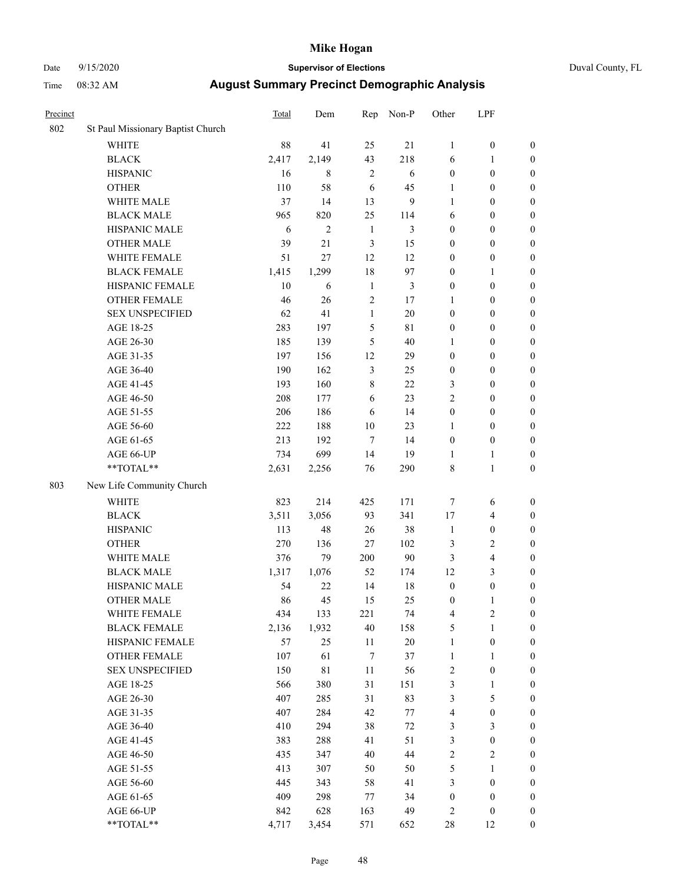# Date 9/15/2020 **Supervisor of Elections** Duval County, FL

| Precinct |                                   | <b>Total</b> | Dem            | Rep          | Non-P          | Other                   | LPF              |                  |
|----------|-----------------------------------|--------------|----------------|--------------|----------------|-------------------------|------------------|------------------|
| 802      | St Paul Missionary Baptist Church |              |                |              |                |                         |                  |                  |
|          | <b>WHITE</b>                      | 88           | 41             | 25           | 21             | $\mathbf{1}$            | $\boldsymbol{0}$ | 0                |
|          | $\operatorname{BLACK}$            | 2,417        | 2,149          | 43           | 218            | 6                       | 1                | $\boldsymbol{0}$ |
|          | <b>HISPANIC</b>                   | 16           | 8              | $\mathbf{2}$ | 6              | $\boldsymbol{0}$        | $\boldsymbol{0}$ | $\boldsymbol{0}$ |
|          | <b>OTHER</b>                      | 110          | 58             | 6            | 45             | 1                       | $\boldsymbol{0}$ | $\boldsymbol{0}$ |
|          | WHITE MALE                        | 37           | 14             | 13           | 9              | 1                       | $\boldsymbol{0}$ | $\boldsymbol{0}$ |
|          | <b>BLACK MALE</b>                 | 965          | 820            | 25           | 114            | 6                       | $\boldsymbol{0}$ | $\boldsymbol{0}$ |
|          | HISPANIC MALE                     | 6            | $\mathfrak{2}$ | $\mathbf{1}$ | 3              | 0                       | $\boldsymbol{0}$ | $\boldsymbol{0}$ |
|          | <b>OTHER MALE</b>                 | 39           | 21             | 3            | 15             | 0                       | $\boldsymbol{0}$ | $\boldsymbol{0}$ |
|          | WHITE FEMALE                      | 51           | 27             | 12           | 12             | 0                       | $\boldsymbol{0}$ | $\boldsymbol{0}$ |
|          | <b>BLACK FEMALE</b>               | 1,415        | 1,299          | 18           | 97             | 0                       | 1                | $\boldsymbol{0}$ |
|          | HISPANIC FEMALE                   | 10           | 6              | $\mathbf{1}$ | $\mathfrak{Z}$ | 0                       | $\boldsymbol{0}$ | $\boldsymbol{0}$ |
|          | OTHER FEMALE                      | 46           | 26             | 2            | 17             | 1                       | $\boldsymbol{0}$ | $\boldsymbol{0}$ |
|          | <b>SEX UNSPECIFIED</b>            | 62           | 41             | $\mathbf{1}$ | 20             | $\boldsymbol{0}$        | $\boldsymbol{0}$ | $\boldsymbol{0}$ |
|          | AGE 18-25                         | 283          | 197            | 5            | 81             | 0                       | $\boldsymbol{0}$ | $\boldsymbol{0}$ |
|          | AGE 26-30                         | 185          | 139            | 5            | 40             | 1                       | $\boldsymbol{0}$ | $\boldsymbol{0}$ |
|          | AGE 31-35                         | 197          | 156            | 12           | 29             | $\boldsymbol{0}$        | $\boldsymbol{0}$ | $\boldsymbol{0}$ |
|          | AGE 36-40                         | 190          | 162            | 3            | 25             | 0                       | $\boldsymbol{0}$ | $\boldsymbol{0}$ |
|          | AGE 41-45                         | 193          | 160            | 8            | 22             | 3                       | $\boldsymbol{0}$ | $\boldsymbol{0}$ |
|          | AGE 46-50                         | 208          | 177            | 6            | 23             | $\overline{c}$          | $\boldsymbol{0}$ | $\boldsymbol{0}$ |
|          | AGE 51-55                         | 206          | 186            | 6            | 14             | $\boldsymbol{0}$        | $\boldsymbol{0}$ | $\boldsymbol{0}$ |
|          | AGE 56-60                         | 222          | 188            | 10           | 23             | 1                       | $\boldsymbol{0}$ | $\boldsymbol{0}$ |
|          | AGE 61-65                         | 213          | 192            | $\tau$       | 14             | $\boldsymbol{0}$        | $\boldsymbol{0}$ | $\boldsymbol{0}$ |
|          | AGE 66-UP                         | 734          | 699            | 14           | 19             | $\mathbf{1}$            | $\mathbf{1}$     | $\boldsymbol{0}$ |
|          | $**TOTAL**$                       | 2,631        | 2,256          | 76           | 290            | 8                       | $\mathbf{1}$     | $\boldsymbol{0}$ |
| 803      | New Life Community Church         |              |                |              |                |                         |                  |                  |
|          | <b>WHITE</b>                      | 823          | 214            | 425          | 171            | 7                       | 6                | $\boldsymbol{0}$ |
|          | <b>BLACK</b>                      | 3,511        | 3,056          | 93           | 341            | 17                      | $\overline{4}$   | $\boldsymbol{0}$ |
|          | <b>HISPANIC</b>                   | 113          | 48             | 26           | 38             | $\mathbf{1}$            | $\boldsymbol{0}$ | $\boldsymbol{0}$ |
|          | <b>OTHER</b>                      | 270          | 136            | 27           | 102            | 3                       | $\sqrt{2}$       | $\boldsymbol{0}$ |
|          | WHITE MALE                        | 376          | 79             | 200          | 90             | 3                       | $\overline{4}$   | $\boldsymbol{0}$ |
|          | <b>BLACK MALE</b>                 | 1,317        | 1,076          | 52           | 174            | 12                      | 3                | $\boldsymbol{0}$ |
|          | HISPANIC MALE                     | 54           | 22             | 14           | 18             | $\boldsymbol{0}$        | $\boldsymbol{0}$ | $\boldsymbol{0}$ |
|          | <b>OTHER MALE</b>                 | 86           | 45             | 15           | 25             | $\boldsymbol{0}$        | 1                | $\boldsymbol{0}$ |
|          | WHITE FEMALE                      | 434          | 133            | 221          | 74             | 4                       | $\overline{c}$   | 0                |
|          | <b>BLACK FEMALE</b>               | 2,136        | 1,932          | 40           | 158            | 5                       | $\mathbf{1}$     | $\boldsymbol{0}$ |
|          | HISPANIC FEMALE                   | 57           | 25             | 11           | 20             | 1                       | $\boldsymbol{0}$ | $\overline{0}$   |
|          | OTHER FEMALE                      | 107          | 61             | 7            | 37             | 1                       | $\mathbf{1}$     | $\overline{0}$   |
|          | <b>SEX UNSPECIFIED</b>            | 150          | 81             | 11           | 56             | $\overline{\mathbf{c}}$ | $\boldsymbol{0}$ | 0                |
|          | AGE 18-25                         | 566          | 380            | 31           | 151            | 3                       | $\mathbf{1}$     | 0                |
|          | AGE 26-30                         | 407          | 285            | 31           | 83             | 3                       | $\mathfrak s$    | 0                |
|          | AGE 31-35                         | 407          | 284            | 42           | $77 \,$        | 4                       | $\boldsymbol{0}$ | 0                |
|          | AGE 36-40                         | 410          | 294            | 38           | $72\,$         | 3                       | $\mathfrak{Z}$   | 0                |
|          | AGE 41-45                         | 383          | 288            | 41           | 51             | 3                       | $\boldsymbol{0}$ | 0                |
|          | AGE 46-50                         | 435          | 347            | 40           | 44             | $\overline{c}$          | $\sqrt{2}$       | 0                |
|          | AGE 51-55                         | 413          | 307            | 50           | 50             | 5                       | $\mathbf{1}$     | $\boldsymbol{0}$ |
|          | AGE 56-60                         | 445          | 343            | 58           | 41             | 3                       | $\boldsymbol{0}$ | $\boldsymbol{0}$ |
|          | AGE 61-65                         | 409          | 298            | 77           | 34             | $\boldsymbol{0}$        | $\boldsymbol{0}$ | $\boldsymbol{0}$ |
|          | AGE 66-UP                         | 842          | 628            | 163          | 49             | $\overline{\mathbf{c}}$ | $\boldsymbol{0}$ | $\boldsymbol{0}$ |
|          | **TOTAL**                         | 4,717        | 3,454          | 571          | 652            | 28                      | 12               | $\boldsymbol{0}$ |
|          |                                   |              |                |              |                |                         |                  |                  |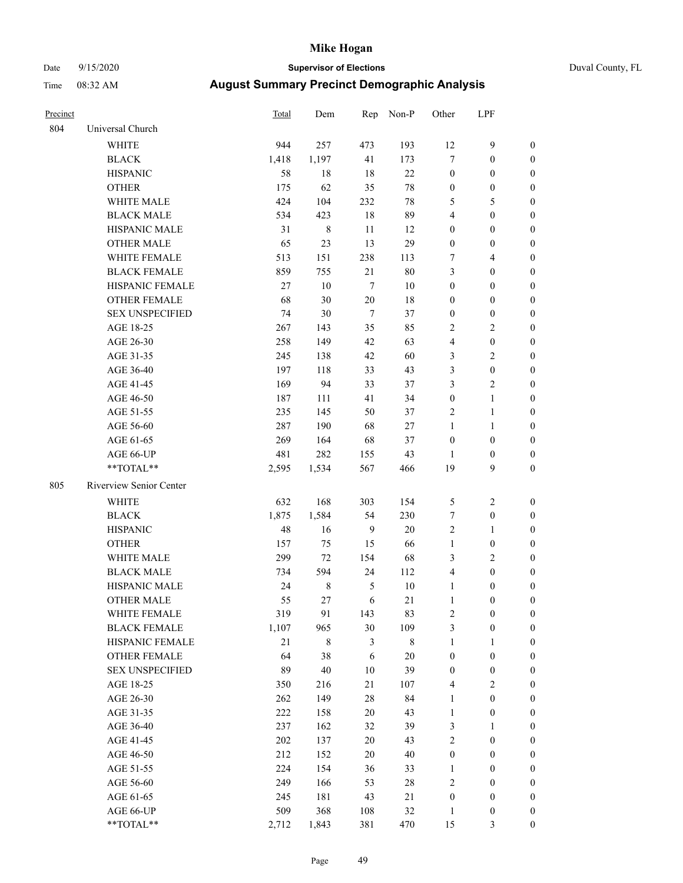# Date 9/15/2020 **Supervisor of Elections** Duval County, FL

| Precinct |                         | <b>Total</b> | Dem    | Rep            | Non-P  | Other            | LPF              |                  |
|----------|-------------------------|--------------|--------|----------------|--------|------------------|------------------|------------------|
| 804      | Universal Church        |              |        |                |        |                  |                  |                  |
|          | <b>WHITE</b>            | 944          | 257    | 473            | 193    | 12               | $\mathbf{9}$     | $\boldsymbol{0}$ |
|          | <b>BLACK</b>            | 1,418        | 1,197  | 41             | 173    | $\tau$           | $\boldsymbol{0}$ | 0                |
|          | <b>HISPANIC</b>         | 58           | 18     | 18             | 22     | $\boldsymbol{0}$ | $\boldsymbol{0}$ | $\boldsymbol{0}$ |
|          | <b>OTHER</b>            | 175          | 62     | 35             | $78\,$ | $\boldsymbol{0}$ | $\boldsymbol{0}$ | $\boldsymbol{0}$ |
|          | WHITE MALE              | 424          | 104    | 232            | $78\,$ | 5                | 5                | $\boldsymbol{0}$ |
|          | <b>BLACK MALE</b>       | 534          | 423    | 18             | 89     | 4                | $\boldsymbol{0}$ | $\boldsymbol{0}$ |
|          | HISPANIC MALE           | 31           | $8\,$  | 11             | 12     | $\boldsymbol{0}$ | $\boldsymbol{0}$ | $\boldsymbol{0}$ |
|          | <b>OTHER MALE</b>       | 65           | 23     | 13             | 29     | $\boldsymbol{0}$ | $\boldsymbol{0}$ | $\boldsymbol{0}$ |
|          | <b>WHITE FEMALE</b>     | 513          | 151    | 238            | 113    | 7                | $\overline{4}$   | $\boldsymbol{0}$ |
|          | <b>BLACK FEMALE</b>     | 859          | 755    | 21             | $80\,$ | 3                | $\boldsymbol{0}$ | $\boldsymbol{0}$ |
|          | HISPANIC FEMALE         | 27           | 10     | $\tau$         | 10     | $\boldsymbol{0}$ | $\boldsymbol{0}$ | 0                |
|          | <b>OTHER FEMALE</b>     | 68           | 30     | 20             | 18     | $\boldsymbol{0}$ | $\boldsymbol{0}$ | 0                |
|          | <b>SEX UNSPECIFIED</b>  | 74           | $30\,$ | $\overline{7}$ | 37     | $\boldsymbol{0}$ | $\boldsymbol{0}$ | $\boldsymbol{0}$ |
|          | AGE 18-25               | 267          | 143    | 35             | 85     | 2                | $\sqrt{2}$       | $\boldsymbol{0}$ |
|          | AGE 26-30               | 258          | 149    | 42             | 63     | 4                | $\boldsymbol{0}$ | $\boldsymbol{0}$ |
|          | AGE 31-35               | 245          | 138    | 42             | 60     | 3                | $\sqrt{2}$       | $\boldsymbol{0}$ |
|          | AGE 36-40               | 197          | 118    | 33             | 43     | 3                | $\boldsymbol{0}$ | $\boldsymbol{0}$ |
|          | AGE 41-45               | 169          | 94     | 33             | 37     | 3                | $\overline{2}$   | $\overline{0}$   |
|          | AGE 46-50               | 187          | 111    | 41             | 34     | $\boldsymbol{0}$ | $\mathbf{1}$     | $\boldsymbol{0}$ |
|          | AGE 51-55               | 235          | 145    | 50             | 37     | $\sqrt{2}$       | $\mathbf{1}$     | 0                |
|          | AGE 56-60               | 287          | 190    | 68             | 27     | $\mathbf{1}$     | $\mathbf{1}$     | 0                |
|          | AGE 61-65               | 269          | 164    | 68             | 37     | $\boldsymbol{0}$ | $\boldsymbol{0}$ | 0                |
|          | AGE 66-UP               | 481          | 282    | 155            | 43     | $\mathbf{1}$     | $\boldsymbol{0}$ | 0                |
|          | **TOTAL**               | 2,595        | 1,534  | 567            | 466    | 19               | 9                | $\boldsymbol{0}$ |
| 805      | Riverview Senior Center |              |        |                |        |                  |                  |                  |
|          | <b>WHITE</b>            | 632          | 168    | 303            | 154    | 5                | $\sqrt{2}$       | $\boldsymbol{0}$ |
|          | <b>BLACK</b>            | 1,875        | 1,584  | 54             | 230    | 7                | $\boldsymbol{0}$ | $\boldsymbol{0}$ |
|          | <b>HISPANIC</b>         | 48           | 16     | 9              | 20     | 2                | $\mathbf{1}$     | $\boldsymbol{0}$ |
|          | <b>OTHER</b>            | 157          | 75     | 15             | 66     | $\mathbf{1}$     | $\boldsymbol{0}$ | $\boldsymbol{0}$ |
|          | WHITE MALE              | 299          | 72     | 154            | 68     | 3                | $\overline{2}$   | $\boldsymbol{0}$ |
|          | <b>BLACK MALE</b>       | 734          | 594    | 24             | 112    | 4                | $\boldsymbol{0}$ | $\boldsymbol{0}$ |
|          | HISPANIC MALE           | 24           | $8\,$  | 5              | $10\,$ | $\mathbf{1}$     | $\boldsymbol{0}$ | 0                |
|          | <b>OTHER MALE</b>       | 55           | 27     | 6              | 21     | $\mathbf{1}$     | $\boldsymbol{0}$ | 0                |
|          | WHITE FEMALE            | 319          | 91     | 143            | 83     | 2                | $\boldsymbol{0}$ | 0                |
|          | <b>BLACK FEMALE</b>     | 1,107        | 965    | 30             | 109    | 3                | $\boldsymbol{0}$ | $\boldsymbol{0}$ |
|          | HISPANIC FEMALE         | $21\,$       | 8      | 3              | $8\,$  | $\mathbf{1}$     | $\mathbf{1}$     | $\overline{0}$   |
|          | OTHER FEMALE            | 64           | 38     | 6              | $20\,$ | $\boldsymbol{0}$ | $\boldsymbol{0}$ | $\overline{0}$   |
|          | <b>SEX UNSPECIFIED</b>  | 89           | 40     | 10             | 39     | $\boldsymbol{0}$ | $\boldsymbol{0}$ | 0                |
|          | AGE 18-25               | 350          | 216    | 21             | 107    | 4                | $\sqrt{2}$       | $\theta$         |
|          | AGE 26-30               | 262          | 149    | 28             | 84     | $\mathbf{1}$     | $\boldsymbol{0}$ | 0                |
|          | AGE 31-35               | 222          | 158    | $20\,$         | 43     | $\mathbf{1}$     | $\boldsymbol{0}$ | 0                |
|          | AGE 36-40               | 237          | 162    | 32             | 39     | 3                | $\mathbf{1}$     | 0                |
|          | AGE 41-45               | 202          | 137    | 20             | 43     | 2                | $\boldsymbol{0}$ | 0                |
|          | AGE 46-50               | 212          | 152    | 20             | $40\,$ | $\boldsymbol{0}$ | $\boldsymbol{0}$ | 0                |
|          | AGE 51-55               | 224          | 154    | 36             | 33     | $\mathbf{1}$     | $\boldsymbol{0}$ | $\boldsymbol{0}$ |
|          | AGE 56-60               | 249          | 166    | 53             | 28     | 2                | $\boldsymbol{0}$ | $\boldsymbol{0}$ |
|          | AGE 61-65               | 245          | 181    | 43             | 21     | $\boldsymbol{0}$ | $\boldsymbol{0}$ | $\boldsymbol{0}$ |
|          | AGE 66-UP               | 509          | 368    | 108            | $32\,$ | $\mathbf{1}$     | $\boldsymbol{0}$ | 0                |
|          | **TOTAL**               | 2,712        | 1,843  | 381            | 470    | 15               | 3                | $\boldsymbol{0}$ |
|          |                         |              |        |                |        |                  |                  |                  |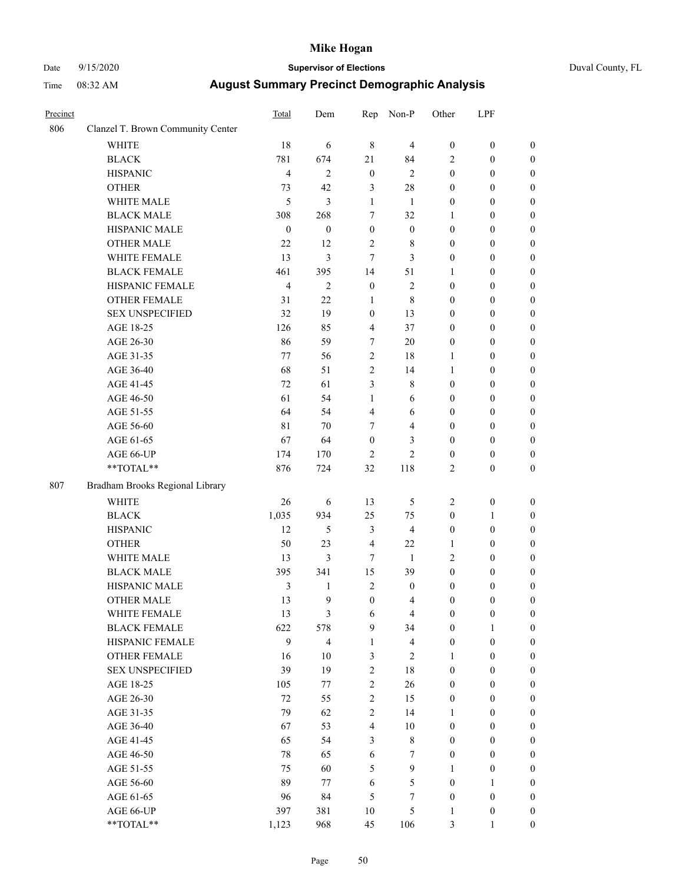# Date 9/15/2020 **Supervisor of Elections** Duval County, FL

| Precinct |                                   | Total            | Dem              | Rep                     | Non-P              | Other                 | LPF                                  |                                      |
|----------|-----------------------------------|------------------|------------------|-------------------------|--------------------|-----------------------|--------------------------------------|--------------------------------------|
| 806      | Clanzel T. Brown Community Center |                  |                  |                         |                    |                       |                                      |                                      |
|          | <b>WHITE</b>                      | 18               | 6                | $\,$ 8 $\,$             | $\overline{4}$     | $\boldsymbol{0}$      | $\boldsymbol{0}$                     | $\boldsymbol{0}$                     |
|          | <b>BLACK</b>                      | 781              | 674              | 21                      | 84                 | 2                     | $\boldsymbol{0}$                     | $\boldsymbol{0}$                     |
|          | <b>HISPANIC</b>                   | 4                | $\mathbf{2}$     | $\boldsymbol{0}$        | $\sqrt{2}$         | $\boldsymbol{0}$      | $\boldsymbol{0}$                     | $\boldsymbol{0}$                     |
|          | <b>OTHER</b>                      | 73               | 42               | 3                       | 28                 | $\boldsymbol{0}$      | $\boldsymbol{0}$                     | $\boldsymbol{0}$                     |
|          | WHITE MALE                        | 5                | $\mathfrak{Z}$   | $\mathbf{1}$            | 1                  | 0                     | $\boldsymbol{0}$                     | $\boldsymbol{0}$                     |
|          | <b>BLACK MALE</b>                 | 308              | 268              | 7                       | 32                 | 1                     | $\boldsymbol{0}$                     | $\boldsymbol{0}$                     |
|          | HISPANIC MALE                     | $\boldsymbol{0}$ | $\boldsymbol{0}$ | $\boldsymbol{0}$        | $\boldsymbol{0}$   | $\boldsymbol{0}$      | $\boldsymbol{0}$                     | $\boldsymbol{0}$                     |
|          | <b>OTHER MALE</b>                 | 22               | 12               | $\mathbf{2}$            | $\,$ 8 $\,$        | $\boldsymbol{0}$      | $\boldsymbol{0}$                     | $\boldsymbol{0}$                     |
|          | WHITE FEMALE                      | 13               | $\mathfrak{Z}$   | $\tau$                  | 3                  | $\boldsymbol{0}$      | $\boldsymbol{0}$                     | 0                                    |
|          | <b>BLACK FEMALE</b>               | 461              | 395              | 14                      | 51                 | $\mathbf{1}$          | $\boldsymbol{0}$                     | $\boldsymbol{0}$                     |
|          | HISPANIC FEMALE                   | 4                | $\mathfrak{2}$   | $\boldsymbol{0}$        | $\mathbf{2}$       | $\boldsymbol{0}$      | $\boldsymbol{0}$                     | $\boldsymbol{0}$                     |
|          | <b>OTHER FEMALE</b>               | 31               | 22               | $\mathbf{1}$            | $\,$ 8 $\,$        | 0                     | $\boldsymbol{0}$                     | $\boldsymbol{0}$                     |
|          | <b>SEX UNSPECIFIED</b>            | 32               | 19               | $\boldsymbol{0}$        | 13                 | 0                     | $\boldsymbol{0}$                     | $\boldsymbol{0}$                     |
|          | AGE 18-25                         | 126              | 85               | 4                       | 37                 | $\boldsymbol{0}$      | $\boldsymbol{0}$                     | $\boldsymbol{0}$                     |
|          | AGE 26-30                         | 86               | 59               | 7                       | 20                 | 0                     | $\boldsymbol{0}$                     | $\boldsymbol{0}$                     |
|          | AGE 31-35                         | 77               | 56               | $\mathbf{2}$            | 18                 | $\mathbf{1}$          | $\boldsymbol{0}$                     | $\boldsymbol{0}$                     |
|          | AGE 36-40                         | 68               | 51               | $\mathbf{2}$            | 14                 | $\mathbf{1}$          | $\boldsymbol{0}$                     | $\boldsymbol{0}$                     |
|          | AGE 41-45                         | 72               | 61               | 3                       | $\,$ 8 $\,$        | $\boldsymbol{0}$      | $\boldsymbol{0}$                     | $\boldsymbol{0}$                     |
|          | AGE 46-50                         | 61               | 54               | $\mathbf{1}$            | 6                  | $\boldsymbol{0}$      | $\boldsymbol{0}$                     | 0                                    |
|          | AGE 51-55                         | 64               | 54               | $\overline{\mathbf{4}}$ | 6                  | 0                     | $\boldsymbol{0}$                     | $\boldsymbol{0}$                     |
|          | AGE 56-60                         | 81               | 70               | $\tau$                  | $\overline{4}$     | $\boldsymbol{0}$      | $\boldsymbol{0}$                     | $\boldsymbol{0}$                     |
|          | AGE 61-65                         | 67               | 64               | $\boldsymbol{0}$        | 3                  | $\boldsymbol{0}$      | $\boldsymbol{0}$                     | $\boldsymbol{0}$                     |
|          | AGE 66-UP                         | 174              | 170              | $\overline{c}$          | $\overline{c}$     | $\boldsymbol{0}$      | $\boldsymbol{0}$                     | $\boldsymbol{0}$                     |
|          | $**TOTAL**$                       | 876              | 724              | 32                      | 118                | 2                     | $\boldsymbol{0}$                     | $\boldsymbol{0}$                     |
| 807      | Bradham Brooks Regional Library   |                  |                  |                         |                    |                       |                                      |                                      |
|          | <b>WHITE</b>                      | 26               | 6                | 13                      | 5                  | $\overline{c}$        | $\boldsymbol{0}$                     |                                      |
|          |                                   | 1,035            | 934              | 25                      | 75                 | $\boldsymbol{0}$      | $\mathbf{1}$                         | $\boldsymbol{0}$<br>$\boldsymbol{0}$ |
|          | <b>BLACK</b><br><b>HISPANIC</b>   | 12               | $\mathfrak s$    | 3                       | $\overline{4}$     | $\boldsymbol{0}$      | $\boldsymbol{0}$                     | $\boldsymbol{0}$                     |
|          | <b>OTHER</b>                      | 50               | 23               | $\overline{4}$          | 22                 | 1                     |                                      | $\boldsymbol{0}$                     |
|          |                                   |                  | $\mathfrak{Z}$   |                         |                    |                       | $\boldsymbol{0}$                     |                                      |
|          | WHITE MALE<br><b>BLACK MALE</b>   | 13<br>395        | 341              | $\tau$<br>15            | $\mathbf{1}$<br>39 | 2<br>$\boldsymbol{0}$ | $\boldsymbol{0}$<br>$\boldsymbol{0}$ | $\boldsymbol{0}$                     |
|          | HISPANIC MALE                     |                  | 1                | 2                       | $\boldsymbol{0}$   |                       |                                      | 0                                    |
|          | <b>OTHER MALE</b>                 | 3<br>13          | 9                | $\boldsymbol{0}$        | $\overline{4}$     | 0<br>0                | $\boldsymbol{0}$                     | 0<br>$\boldsymbol{0}$                |
|          | WHITE FEMALE                      | 13               | 3                |                         | $\overline{4}$     | $\boldsymbol{0}$      | $\boldsymbol{0}$                     |                                      |
|          | <b>BLACK FEMALE</b>               | 622              | 578              | 6<br>9                  | 34                 | $\boldsymbol{0}$      | $\boldsymbol{0}$                     | $\boldsymbol{0}$<br>$\overline{0}$   |
|          | HISPANIC FEMALE                   | 9                | $\overline{4}$   | $\mathbf{1}$            | $\overline{4}$     | $\boldsymbol{0}$      | $\mathbf{1}$<br>$\boldsymbol{0}$     | $\overline{0}$                       |
|          | <b>OTHER FEMALE</b>               | 16               | 10               | 3                       | $\sqrt{2}$         | $\mathbf{1}$          | $\boldsymbol{0}$                     | $\overline{0}$                       |
|          | <b>SEX UNSPECIFIED</b>            | 39               | 19               | $\overline{\mathbf{c}}$ | 18                 | $\boldsymbol{0}$      | $\boldsymbol{0}$                     | $\overline{0}$                       |
|          | AGE 18-25                         | 105              | 77               | $\overline{c}$          | 26                 | $\boldsymbol{0}$      | $\boldsymbol{0}$                     | $\overline{0}$                       |
|          | AGE 26-30                         | $72\,$           | 55               | $\sqrt{2}$              | 15                 | $\boldsymbol{0}$      | $\boldsymbol{0}$                     | 0                                    |
|          | AGE 31-35                         | 79               | 62               | $\overline{c}$          | 14                 | 1                     | $\boldsymbol{0}$                     | 0                                    |
|          | AGE 36-40                         | 67               | 53               | $\overline{\mathbf{4}}$ | 10                 | $\boldsymbol{0}$      | $\boldsymbol{0}$                     | $\boldsymbol{0}$                     |
|          | AGE 41-45                         | 65               | 54               | 3                       | $\,$ 8 $\,$        | $\boldsymbol{0}$      | $\boldsymbol{0}$                     | $\overline{0}$                       |
|          |                                   | 78               | 65               |                         | 7                  | $\boldsymbol{0}$      | $\boldsymbol{0}$                     |                                      |
|          | AGE 46-50                         | 75               | 60               | 6                       | $\mathbf{9}$       | 1                     | $\boldsymbol{0}$                     | $\boldsymbol{0}$<br>$\boldsymbol{0}$ |
|          | AGE 51-55<br>AGE 56-60            | 89               | 77               | 5<br>6                  | 5                  | $\boldsymbol{0}$      | $\mathbf{1}$                         | $\overline{0}$                       |
|          | AGE 61-65                         | 96               | 84               | 5                       | 7                  | $\boldsymbol{0}$      | $\boldsymbol{0}$                     | $\overline{0}$                       |
|          | AGE 66-UP                         | 397              | 381              | $10\,$                  | 5                  | $\mathbf{1}$          | $\boldsymbol{0}$                     | $\overline{0}$                       |
|          | **TOTAL**                         | 1,123            | 968              | 45                      | 106                | 3                     | $\mathbf{1}$                         | $\boldsymbol{0}$                     |
|          |                                   |                  |                  |                         |                    |                       |                                      |                                      |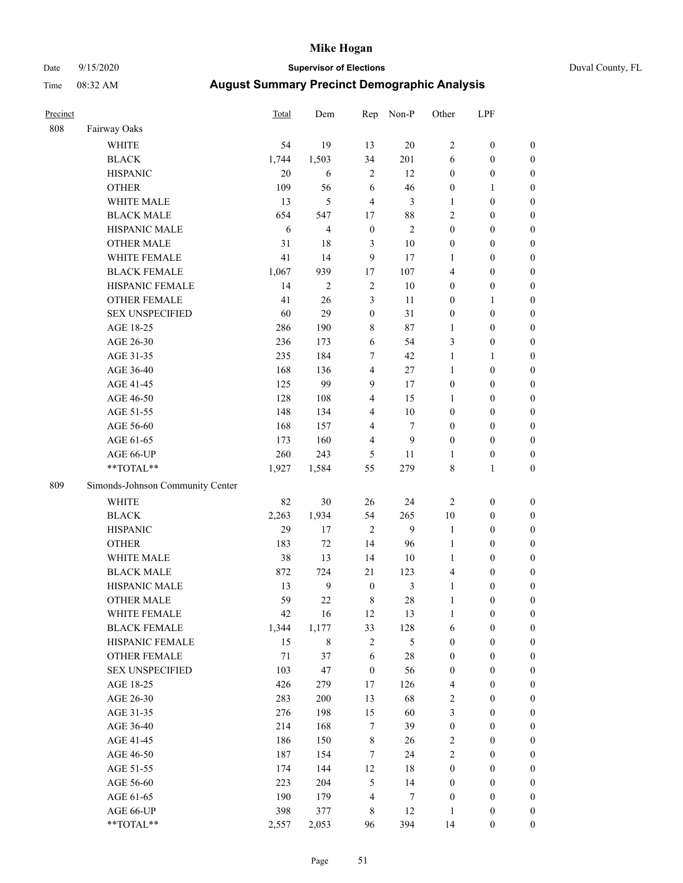# Date 9/15/2020 **Supervisor of Elections** Duval County, FL

| Precinct |                                  | Total  | Dem            | Rep              | Non-P          | Other            | LPF              |                  |
|----------|----------------------------------|--------|----------------|------------------|----------------|------------------|------------------|------------------|
| 808      | Fairway Oaks                     |        |                |                  |                |                  |                  |                  |
|          | <b>WHITE</b>                     | 54     | 19             | 13               | 20             | $\overline{2}$   | $\boldsymbol{0}$ | $\boldsymbol{0}$ |
|          | <b>BLACK</b>                     | 1,744  | 1,503          | 34               | 201            | 6                | $\boldsymbol{0}$ | $\boldsymbol{0}$ |
|          | <b>HISPANIC</b>                  | 20     | 6              | $\overline{2}$   | 12             | $\boldsymbol{0}$ | $\boldsymbol{0}$ | $\boldsymbol{0}$ |
|          | <b>OTHER</b>                     | 109    | 56             | 6                | 46             | $\boldsymbol{0}$ | $\mathbf{1}$     | $\boldsymbol{0}$ |
|          | WHITE MALE                       | 13     | 5              | $\overline{4}$   | 3              | $\mathbf{1}$     | $\boldsymbol{0}$ | $\boldsymbol{0}$ |
|          | <b>BLACK MALE</b>                | 654    | 547            | 17               | 88             | $\mathfrak{2}$   | $\boldsymbol{0}$ | $\boldsymbol{0}$ |
|          | HISPANIC MALE                    | 6      | 4              | $\boldsymbol{0}$ | 2              | $\boldsymbol{0}$ | $\boldsymbol{0}$ | $\boldsymbol{0}$ |
|          | <b>OTHER MALE</b>                | 31     | 18             | $\mathfrak{Z}$   | 10             | $\boldsymbol{0}$ | $\boldsymbol{0}$ | $\boldsymbol{0}$ |
|          | WHITE FEMALE                     | 41     | 14             | 9                | 17             | 1                | $\boldsymbol{0}$ | $\boldsymbol{0}$ |
|          | <b>BLACK FEMALE</b>              | 1,067  | 939            | $17$             | 107            | 4                | $\boldsymbol{0}$ | $\boldsymbol{0}$ |
|          | HISPANIC FEMALE                  | 14     | $\overline{c}$ | $\sqrt{2}$       | 10             | $\boldsymbol{0}$ | $\boldsymbol{0}$ | 0                |
|          | <b>OTHER FEMALE</b>              | 41     | 26             | $\mathfrak{Z}$   | 11             | $\boldsymbol{0}$ | $\mathbf{1}$     | $\boldsymbol{0}$ |
|          | <b>SEX UNSPECIFIED</b>           | 60     | 29             | $\boldsymbol{0}$ | 31             | $\boldsymbol{0}$ | $\boldsymbol{0}$ | $\boldsymbol{0}$ |
|          | AGE 18-25                        | 286    | 190            | 8                | 87             | 1                | $\boldsymbol{0}$ | $\boldsymbol{0}$ |
|          | AGE 26-30                        | 236    | 173            | 6                | 54             | 3                | $\boldsymbol{0}$ | $\boldsymbol{0}$ |
|          | AGE 31-35                        | 235    | 184            | 7                | 42             | $\mathbf{1}$     | $\mathbf{1}$     | $\boldsymbol{0}$ |
|          | AGE 36-40                        | 168    | 136            | $\overline{4}$   | 27             | $\mathbf{1}$     | $\boldsymbol{0}$ | $\boldsymbol{0}$ |
|          | AGE 41-45                        | 125    | 99             | 9                | 17             | $\boldsymbol{0}$ | $\boldsymbol{0}$ | $\boldsymbol{0}$ |
|          | AGE 46-50                        | 128    | 108            | $\overline{4}$   | 15             | 1                | $\boldsymbol{0}$ | $\boldsymbol{0}$ |
|          | AGE 51-55                        | 148    | 134            | $\overline{4}$   | $10\,$         | $\boldsymbol{0}$ | $\boldsymbol{0}$ | $\boldsymbol{0}$ |
|          | AGE 56-60                        | 168    | 157            | $\overline{4}$   | 7              | $\boldsymbol{0}$ | $\boldsymbol{0}$ | 0                |
|          | AGE 61-65                        | 173    | 160            | $\overline{4}$   | 9              | $\boldsymbol{0}$ | $\boldsymbol{0}$ | $\boldsymbol{0}$ |
|          | AGE 66-UP                        | 260    | 243            | 5                | 11             | $\mathbf{1}$     | $\boldsymbol{0}$ | $\boldsymbol{0}$ |
|          | **TOTAL**                        | 1,927  | 1,584          | 55               | 279            | 8                | $\mathbf{1}$     | $\boldsymbol{0}$ |
| 809      | Simonds-Johnson Community Center |        |                |                  |                |                  |                  |                  |
|          | <b>WHITE</b>                     | 82     | 30             | 26               | 24             | $\overline{2}$   | $\boldsymbol{0}$ | $\boldsymbol{0}$ |
|          | <b>BLACK</b>                     | 2,263  | 1,934          | 54               | 265            | 10               | $\boldsymbol{0}$ | $\boldsymbol{0}$ |
|          | <b>HISPANIC</b>                  | 29     | 17             | $\overline{2}$   | 9              | $\mathbf{1}$     | $\boldsymbol{0}$ | $\boldsymbol{0}$ |
|          | <b>OTHER</b>                     | 183    | 72             | 14               | 96             | $\mathbf{1}$     | $\boldsymbol{0}$ | $\boldsymbol{0}$ |
|          | WHITE MALE                       | 38     | 13             | 14               | $10\,$         | $\mathbf{1}$     | $\boldsymbol{0}$ | $\boldsymbol{0}$ |
|          | <b>BLACK MALE</b>                | 872    | 724            | 21               | 123            | $\overline{4}$   | $\boldsymbol{0}$ | $\boldsymbol{0}$ |
|          | HISPANIC MALE                    | 13     | $\mathbf{9}$   | $\boldsymbol{0}$ | $\mathfrak{Z}$ | $\mathbf{1}$     | $\boldsymbol{0}$ | $\boldsymbol{0}$ |
|          | <b>OTHER MALE</b>                | 59     | 22             | $\,8\,$          | 28             | $\mathbf{1}$     | $\boldsymbol{0}$ | $\boldsymbol{0}$ |
|          | WHITE FEMALE                     | 42     | 16             | 12               | 13             | 1                | $\boldsymbol{0}$ | 0                |
|          | <b>BLACK FEMALE</b>              | 1,344  | 1,177          | 33               | 128            | 6                | $\boldsymbol{0}$ | $\boldsymbol{0}$ |
|          | HISPANIC FEMALE                  | 15     | 8              | $\sqrt{2}$       | 5              | $\boldsymbol{0}$ | $\boldsymbol{0}$ | $\overline{0}$   |
|          | OTHER FEMALE                     | $71\,$ | 37             | 6                | $28\,$         | $\boldsymbol{0}$ | $\boldsymbol{0}$ | $\overline{0}$   |
|          | <b>SEX UNSPECIFIED</b>           | 103    | 47             | $\boldsymbol{0}$ | 56             | $\boldsymbol{0}$ | $\boldsymbol{0}$ | $\overline{0}$   |
|          | AGE 18-25                        | 426    | 279            | 17               | 126            | 4                | $\boldsymbol{0}$ | $\overline{0}$   |
|          | AGE 26-30                        | 283    | 200            | 13               | 68             | $\sqrt{2}$       | $\boldsymbol{0}$ | $\overline{0}$   |
|          | AGE 31-35                        | 276    | 198            | 15               | 60             | 3                | $\boldsymbol{0}$ | $\overline{0}$   |
|          | AGE 36-40                        | 214    | 168            | $\tau$           | 39             | $\boldsymbol{0}$ | $\boldsymbol{0}$ | 0                |
|          | AGE 41-45                        | 186    | 150            | $\,$ 8 $\,$      | 26             | $\overline{c}$   | $\boldsymbol{0}$ | 0                |
|          | AGE 46-50                        | 187    | 154            | 7                | 24             | $\mathbf{2}$     | $\boldsymbol{0}$ | $\boldsymbol{0}$ |
|          | AGE 51-55                        | 174    | 144            | 12               | 18             | $\boldsymbol{0}$ | $\boldsymbol{0}$ | $\boldsymbol{0}$ |
|          | AGE 56-60                        | 223    | 204            | 5                | 14             | $\boldsymbol{0}$ | $\boldsymbol{0}$ | $\boldsymbol{0}$ |
|          | AGE 61-65                        | 190    | 179            | 4                | 7              | $\boldsymbol{0}$ | $\boldsymbol{0}$ | $\boldsymbol{0}$ |
|          | AGE 66-UP                        | 398    | 377            | 8                | 12             | $\mathbf{1}$     | $\boldsymbol{0}$ | $\boldsymbol{0}$ |
|          | **TOTAL**                        | 2,557  | 2,053          | 96               | 394            | 14               | $\boldsymbol{0}$ | $\boldsymbol{0}$ |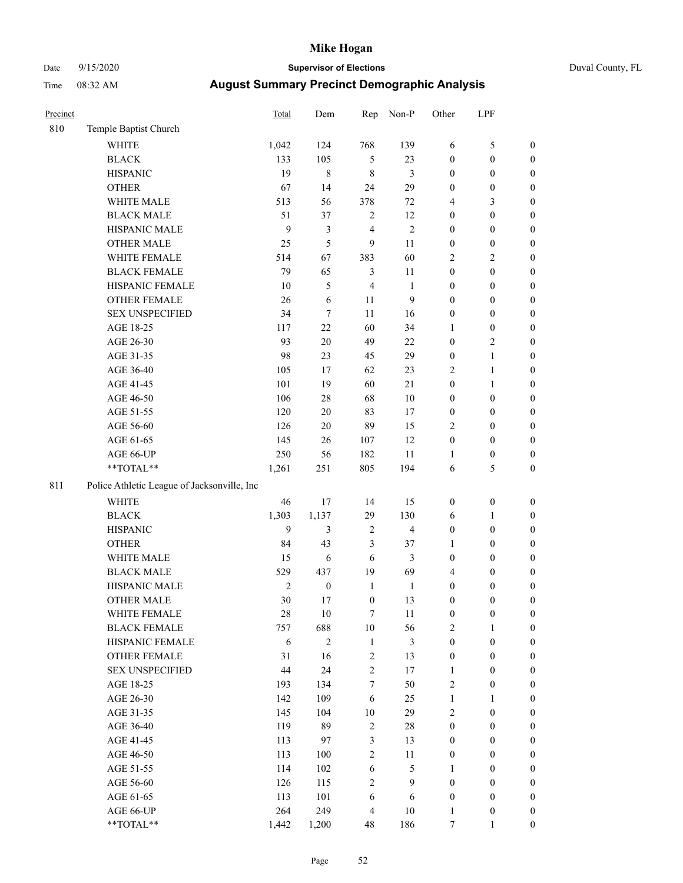# Date 9/15/2020 **Supervisor of Elections** Duval County, FL

| Precinct |                                             | Total          | Dem              | Rep                     | Non-P          | Other            | LPF              |                  |
|----------|---------------------------------------------|----------------|------------------|-------------------------|----------------|------------------|------------------|------------------|
| 810      | Temple Baptist Church                       |                |                  |                         |                |                  |                  |                  |
|          | <b>WHITE</b>                                | 1,042          | 124              | 768                     | 139            | 6                | $\mathfrak s$    | 0                |
|          | <b>BLACK</b>                                | 133            | 105              | $\mathfrak{S}$          | 23             | $\boldsymbol{0}$ | $\boldsymbol{0}$ | 0                |
|          | <b>HISPANIC</b>                             | 19             | 8                | $\,$ 8 $\,$             | 3              | $\boldsymbol{0}$ | $\boldsymbol{0}$ | $\boldsymbol{0}$ |
|          | <b>OTHER</b>                                | 67             | 14               | 24                      | 29             | $\boldsymbol{0}$ | $\boldsymbol{0}$ | $\boldsymbol{0}$ |
|          | WHITE MALE                                  | 513            | 56               | 378                     | 72             | 4                | 3                | $\boldsymbol{0}$ |
|          | <b>BLACK MALE</b>                           | 51             | 37               | $\sqrt{2}$              | 12             | $\boldsymbol{0}$ | $\boldsymbol{0}$ | $\boldsymbol{0}$ |
|          | HISPANIC MALE                               | 9              | $\mathfrak{Z}$   | $\overline{\mathbf{4}}$ | $\sqrt{2}$     | $\boldsymbol{0}$ | $\boldsymbol{0}$ | $\boldsymbol{0}$ |
|          | <b>OTHER MALE</b>                           | 25             | 5                | 9                       | $11\,$         | $\boldsymbol{0}$ | $\boldsymbol{0}$ | $\boldsymbol{0}$ |
|          | WHITE FEMALE                                | 514            | 67               | 383                     | 60             | 2                | $\mathbf{2}$     | $\boldsymbol{0}$ |
|          | <b>BLACK FEMALE</b>                         | 79             | 65               | $\mathfrak{Z}$          | $11\,$         | $\boldsymbol{0}$ | $\boldsymbol{0}$ | $\boldsymbol{0}$ |
|          | HISPANIC FEMALE                             | 10             | 5                | $\overline{4}$          | $\mathbf{1}$   | $\boldsymbol{0}$ | $\boldsymbol{0}$ | $\boldsymbol{0}$ |
|          | OTHER FEMALE                                | 26             | 6                | 11                      | 9              | $\boldsymbol{0}$ | $\boldsymbol{0}$ | $\boldsymbol{0}$ |
|          | <b>SEX UNSPECIFIED</b>                      | 34             | $\tau$           | 11                      | 16             | $\boldsymbol{0}$ | $\boldsymbol{0}$ | $\boldsymbol{0}$ |
|          | AGE 18-25                                   | 117            | 22               | 60                      | 34             | 1                | $\boldsymbol{0}$ | $\boldsymbol{0}$ |
|          | AGE 26-30                                   | 93             | $20\,$           | 49                      | $22\,$         | $\boldsymbol{0}$ | $\sqrt{2}$       | $\boldsymbol{0}$ |
|          | AGE 31-35                                   | 98             | 23               | 45                      | 29             | $\boldsymbol{0}$ | $\mathbf{1}$     | $\boldsymbol{0}$ |
|          | AGE 36-40                                   | 105            | 17               | 62                      | 23             | $\mathbf{2}$     | $\mathbf{1}$     | $\boldsymbol{0}$ |
|          | AGE 41-45                                   | 101            | 19               | 60                      | 21             | $\boldsymbol{0}$ | $\mathbf{1}$     | $\boldsymbol{0}$ |
|          | AGE 46-50                                   | 106            | $28\,$           | 68                      | $10\,$         | $\boldsymbol{0}$ | $\boldsymbol{0}$ | $\boldsymbol{0}$ |
|          | AGE 51-55                                   | 120            | $20\,$           | 83                      | 17             | $\boldsymbol{0}$ | $\boldsymbol{0}$ | 0                |
|          | AGE 56-60                                   | 126            | $20\,$           | 89                      | 15             | $\mathbf{2}$     | $\boldsymbol{0}$ | 0                |
|          | AGE 61-65                                   | 145            | 26               | 107                     | 12             | $\boldsymbol{0}$ | $\boldsymbol{0}$ | $\boldsymbol{0}$ |
|          | AGE 66-UP                                   | 250            | 56               | 182                     | $11\,$         | $\mathbf{1}$     | $\boldsymbol{0}$ | $\boldsymbol{0}$ |
|          | $\mathrm{``TOTAL}^{\mathrm{**}}$            | 1,261          | 251              | 805                     | 194            | $\sqrt{6}$       | 5                | $\boldsymbol{0}$ |
| 811      | Police Athletic League of Jacksonville, Inc |                |                  |                         |                |                  |                  |                  |
|          | <b>WHITE</b>                                | 46             | 17               | 14                      | 15             | $\boldsymbol{0}$ | $\boldsymbol{0}$ | $\boldsymbol{0}$ |
|          | <b>BLACK</b>                                | 1,303          | 1,137            | 29                      | 130            | 6                | $\mathbf{1}$     | $\boldsymbol{0}$ |
|          | <b>HISPANIC</b>                             | 9              | $\mathfrak{Z}$   | $\sqrt{2}$              | $\overline{4}$ | $\boldsymbol{0}$ | $\boldsymbol{0}$ | $\boldsymbol{0}$ |
|          | <b>OTHER</b>                                | 84             | 43               | 3                       | 37             | $\mathbf{1}$     | $\boldsymbol{0}$ | $\boldsymbol{0}$ |
|          | WHITE MALE                                  | 15             | 6                | $\sqrt{6}$              | 3              | $\boldsymbol{0}$ | $\boldsymbol{0}$ | $\boldsymbol{0}$ |
|          | <b>BLACK MALE</b>                           | 529            | 437              | 19                      | 69             | 4                | $\boldsymbol{0}$ | $\boldsymbol{0}$ |
|          | HISPANIC MALE                               | $\overline{2}$ | $\boldsymbol{0}$ | $\mathbf{1}$            | $\mathbf{1}$   | $\boldsymbol{0}$ | $\boldsymbol{0}$ | $\boldsymbol{0}$ |
|          | <b>OTHER MALE</b>                           | 30             | 17               | $\boldsymbol{0}$        | 13             | $\boldsymbol{0}$ | $\theta$         | $\boldsymbol{0}$ |
|          | WHITE FEMALE                                | 28             | 10               | $\tau$                  | 11             | $\boldsymbol{0}$ | $\boldsymbol{0}$ | $\boldsymbol{0}$ |
|          | <b>BLACK FEMALE</b>                         | 757            | 688              | $10\,$                  | 56             | $\mathbf{2}$     | $\mathbf{1}$     | $\boldsymbol{0}$ |
|          | HISPANIC FEMALE                             | 6              | $\sqrt{2}$       | $\mathbf{1}$            | $\mathfrak{Z}$ | $\boldsymbol{0}$ | $\boldsymbol{0}$ | $\overline{0}$   |
|          | <b>OTHER FEMALE</b>                         | 31             | 16               | $\sqrt{2}$              | 13             | $\boldsymbol{0}$ | $\boldsymbol{0}$ | $\overline{0}$   |
|          | <b>SEX UNSPECIFIED</b>                      | $44\,$         | 24               | $\overline{c}$          | 17             | $\mathbf{1}$     | $\boldsymbol{0}$ | $\overline{0}$   |
|          | AGE 18-25                                   | 193            | 134              | $\boldsymbol{7}$        | 50             | $\overline{c}$   | $\boldsymbol{0}$ | $\overline{0}$   |
|          | AGE 26-30                                   | 142            | 109              | $\sqrt{6}$              | 25             | $\mathbf{1}$     | $\mathbf{1}$     | $\overline{0}$   |
|          | AGE 31-35                                   | 145            | 104              | $10\,$                  | 29             | $\mathfrak{2}$   | $\boldsymbol{0}$ | $\overline{0}$   |
|          | AGE 36-40                                   | 119            | 89               | $\sqrt{2}$              | 28             | $\boldsymbol{0}$ | $\boldsymbol{0}$ | 0                |
|          | AGE 41-45                                   | 113            | 97               | 3                       | 13             | $\boldsymbol{0}$ | $\boldsymbol{0}$ | 0                |
|          | AGE 46-50                                   | 113            | 100              | $\overline{c}$          | 11             | $\boldsymbol{0}$ | $\boldsymbol{0}$ | $\boldsymbol{0}$ |
|          | AGE 51-55                                   | 114            | 102              | $\sqrt{6}$              | 5              | $\mathbf{1}$     | $\boldsymbol{0}$ | $\boldsymbol{0}$ |
|          | AGE 56-60                                   | 126            | 115              | $\overline{c}$          | 9              | $\boldsymbol{0}$ | $\boldsymbol{0}$ | $\overline{0}$   |
|          | AGE 61-65                                   | 113            | 101              | $\sqrt{6}$              | 6              | $\boldsymbol{0}$ | $\boldsymbol{0}$ | $\overline{0}$   |
|          | AGE 66-UP                                   | 264            | 249              | $\overline{4}$          | $10\,$         | $\mathbf{1}$     | $\boldsymbol{0}$ | $\boldsymbol{0}$ |
|          | **TOTAL**                                   | 1,442          | 1,200            | 48                      | 186            | $\boldsymbol{7}$ | $\mathbf{1}$     | $\overline{0}$   |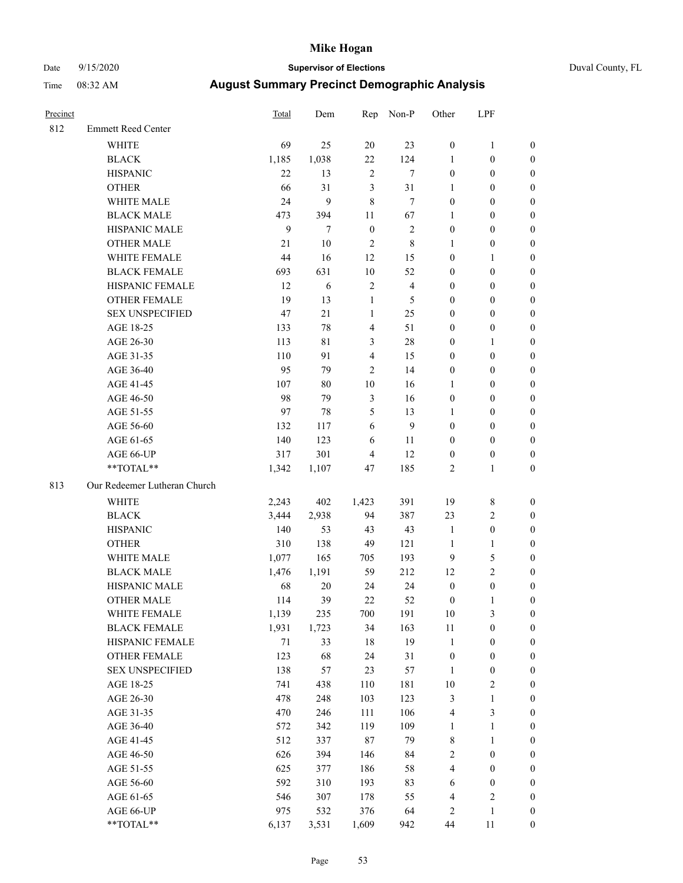# Date 9/15/2020 **Supervisor of Elections** Duval County, FL

| Precinct |                              | <b>Total</b> | Dem   |                  | Rep Non-P      | Other            | LPF              |                  |
|----------|------------------------------|--------------|-------|------------------|----------------|------------------|------------------|------------------|
| 812      | <b>Emmett Reed Center</b>    |              |       |                  |                |                  |                  |                  |
|          | <b>WHITE</b>                 | 69           | 25    | 20               | 23             | $\boldsymbol{0}$ | $\mathbf{1}$     | 0                |
|          | <b>BLACK</b>                 | 1,185        | 1,038 | 22               | 124            | $\mathbf{1}$     | $\boldsymbol{0}$ | 0                |
|          | <b>HISPANIC</b>              | 22           | 13    | $\mathbf{2}$     | $\tau$         | $\boldsymbol{0}$ | $\boldsymbol{0}$ | $\boldsymbol{0}$ |
|          | <b>OTHER</b>                 | 66           | 31    | 3                | 31             | 1                | $\boldsymbol{0}$ | $\boldsymbol{0}$ |
|          | WHITE MALE                   | 24           | 9     | 8                | 7              | $\boldsymbol{0}$ | $\boldsymbol{0}$ | $\boldsymbol{0}$ |
|          | <b>BLACK MALE</b>            | 473          | 394   | 11               | 67             | $\mathbf{1}$     | $\boldsymbol{0}$ | $\boldsymbol{0}$ |
|          | HISPANIC MALE                | 9            | 7     | $\boldsymbol{0}$ | $\sqrt{2}$     | 0                | $\boldsymbol{0}$ | $\boldsymbol{0}$ |
|          | <b>OTHER MALE</b>            | 21           | 10    | 2                | $\,$ 8 $\,$    | $\mathbf{1}$     | $\boldsymbol{0}$ | $\boldsymbol{0}$ |
|          | WHITE FEMALE                 | 44           | 16    | 12               | 15             | 0                | 1                | $\boldsymbol{0}$ |
|          | <b>BLACK FEMALE</b>          | 693          | 631   | 10               | 52             | 0                | $\boldsymbol{0}$ | 0                |
|          | HISPANIC FEMALE              | 12           | 6     | 2                | $\overline{4}$ | 0                | $\boldsymbol{0}$ | 0                |
|          | <b>OTHER FEMALE</b>          | 19           | 13    | $\mathbf{1}$     | 5              | 0                | $\boldsymbol{0}$ | $\boldsymbol{0}$ |
|          | <b>SEX UNSPECIFIED</b>       | 47           | 21    | $\mathbf{1}$     | 25             | 0                | $\boldsymbol{0}$ | $\boldsymbol{0}$ |
|          | AGE 18-25                    | 133          | 78    | 4                | 51             | 0                | $\boldsymbol{0}$ | $\boldsymbol{0}$ |
|          | AGE 26-30                    | 113          | 81    | 3                | 28             | 0                | $\mathbf{1}$     | $\boldsymbol{0}$ |
|          | AGE 31-35                    | 110          | 91    | $\overline{4}$   | 15             | 0                | $\boldsymbol{0}$ | $\boldsymbol{0}$ |
|          | AGE 36-40                    | 95           | 79    | 2                | 14             | 0                | $\boldsymbol{0}$ | $\boldsymbol{0}$ |
|          | AGE 41-45                    | 107          | 80    | $10\,$           | 16             | $\mathbf{1}$     | $\boldsymbol{0}$ | $\boldsymbol{0}$ |
|          | AGE 46-50                    | 98           | 79    | $\mathfrak{Z}$   | 16             | $\boldsymbol{0}$ | $\boldsymbol{0}$ | $\boldsymbol{0}$ |
|          | AGE 51-55                    | 97           | 78    | 5                | 13             | 1                | $\boldsymbol{0}$ | $\boldsymbol{0}$ |
|          | AGE 56-60                    | 132          | 117   | 6                | $\mathbf{9}$   | 0                | $\boldsymbol{0}$ | 0                |
|          | AGE 61-65                    | 140          | 123   | 6                | 11             | 0                | $\boldsymbol{0}$ | 0                |
|          | AGE 66-UP                    | 317          | 301   | 4                | 12             | $\boldsymbol{0}$ | $\boldsymbol{0}$ | $\boldsymbol{0}$ |
|          | $**TOTAL**$                  | 1,342        | 1,107 | 47               | 185            | $\mathbf{2}$     | $\mathbf{1}$     | $\boldsymbol{0}$ |
| 813      | Our Redeemer Lutheran Church |              |       |                  |                |                  |                  |                  |
|          | <b>WHITE</b>                 | 2,243        | 402   | 1,423            | 391            | 19               | $8\,$            | $\boldsymbol{0}$ |
|          | <b>BLACK</b>                 | 3,444        | 2,938 | 94               | 387            | 23               | $\sqrt{2}$       | $\boldsymbol{0}$ |
|          | <b>HISPANIC</b>              | 140          | 53    | 43               | 43             | $\mathbf{1}$     | $\boldsymbol{0}$ | $\boldsymbol{0}$ |
|          | <b>OTHER</b>                 | 310          | 138   | 49               | 121            | $\mathbf{1}$     | $\mathbf{1}$     | $\boldsymbol{0}$ |
|          | WHITE MALE                   | 1,077        | 165   | 705              | 193            | 9                | 5                | $\overline{0}$   |
|          | <b>BLACK MALE</b>            | 1,476        | 1,191 | 59               | 212            | 12               | $\overline{c}$   | $\boldsymbol{0}$ |
|          | HISPANIC MALE                | 68           | 20    | 24               | 24             | $\boldsymbol{0}$ | $\boldsymbol{0}$ | 0                |
|          | <b>OTHER MALE</b>            | 114          | 39    | 22               | 52             | $\boldsymbol{0}$ | $\mathbf{1}$     | 0                |
|          | WHITE FEMALE                 | 1,139        | 235   | 700              | 191            | 10               | 3                | 0                |
|          | <b>BLACK FEMALE</b>          | 1,931        | 1,723 | 34               | 163            | $11\,$           | $\boldsymbol{0}$ | $\boldsymbol{0}$ |
|          | HISPANIC FEMALE              | $71\,$       | 33    | 18               | 19             | 1                | $\boldsymbol{0}$ | $\overline{0}$   |
|          | OTHER FEMALE                 | 123          | 68    | 24               | 31             | $\boldsymbol{0}$ | $\boldsymbol{0}$ | $\overline{0}$   |
|          | <b>SEX UNSPECIFIED</b>       | 138          | 57    | 23               | 57             | $\mathbf{1}$     | $\boldsymbol{0}$ | 0                |
|          | AGE 18-25                    | 741          | 438   | 110              | 181            | $10\,$           | $\sqrt{2}$       | 0                |
|          | AGE 26-30                    | 478          | 248   | 103              | 123            | 3                | $\mathbf{1}$     | 0                |
|          | AGE 31-35                    | 470          | 246   | 111              | 106            | 4                | $\mathfrak{Z}$   | 0                |
|          | AGE 36-40                    | 572          | 342   | 119              | 109            | 1                | $\mathbf{1}$     | 0                |
|          | AGE 41-45                    | 512          | 337   | 87               | 79             | 8                | $\mathbf{1}$     | 0                |
|          | AGE 46-50                    | 626          | 394   | 146              | 84             | 2                | $\boldsymbol{0}$ | 0                |
|          | AGE 51-55                    | 625          | 377   | 186              | 58             | 4                | $\boldsymbol{0}$ | 0                |
|          | AGE 56-60                    | 592          | 310   | 193              | 83             | 6                | $\boldsymbol{0}$ | 0                |
|          | AGE 61-65                    | 546          | 307   | 178              | 55             | 4                | $\sqrt{2}$       | 0                |
|          | AGE 66-UP                    | 975          | 532   | 376              | 64             | 2                | $\mathbf{1}$     | 0                |
|          | **TOTAL**                    | 6,137        | 3,531 | 1,609            | 942            | 44               | 11               | $\boldsymbol{0}$ |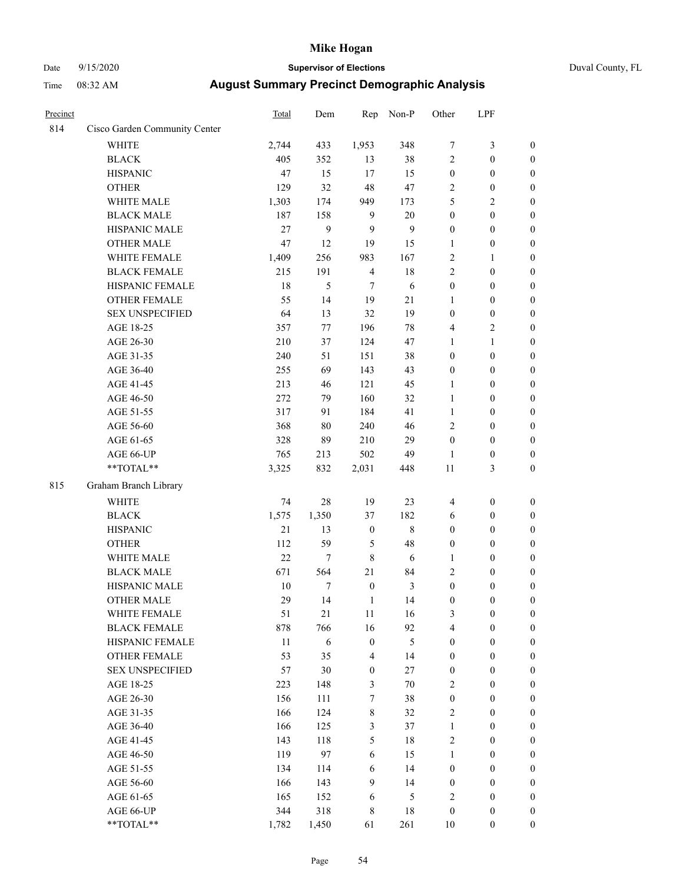# Date 9/15/2020 **Supervisor of Elections** Duval County, FL

| Precinct |                               | Total  | Dem              | Rep                     | Non-P          | Other            | LPF              |                  |
|----------|-------------------------------|--------|------------------|-------------------------|----------------|------------------|------------------|------------------|
| 814      | Cisco Garden Community Center |        |                  |                         |                |                  |                  |                  |
|          | <b>WHITE</b>                  | 2,744  | 433              | 1,953                   | 348            | 7                | $\mathfrak{Z}$   | 0                |
|          | <b>BLACK</b>                  | 405    | 352              | 13                      | 38             | $\overline{c}$   | $\boldsymbol{0}$ | $\boldsymbol{0}$ |
|          | <b>HISPANIC</b>               | 47     | 15               | 17                      | 15             | $\boldsymbol{0}$ | $\boldsymbol{0}$ | $\boldsymbol{0}$ |
|          | <b>OTHER</b>                  | 129    | 32               | 48                      | 47             | 2                | $\boldsymbol{0}$ | $\boldsymbol{0}$ |
|          | WHITE MALE                    | 1,303  | 174              | 949                     | 173            | 5                | $\sqrt{2}$       | $\boldsymbol{0}$ |
|          | <b>BLACK MALE</b>             | 187    | 158              | 9                       | 20             | $\boldsymbol{0}$ | $\boldsymbol{0}$ | $\boldsymbol{0}$ |
|          | HISPANIC MALE                 | 27     | $\boldsymbol{9}$ | 9                       | $\mathbf{9}$   | 0                | $\boldsymbol{0}$ | $\boldsymbol{0}$ |
|          | <b>OTHER MALE</b>             | 47     | 12               | 19                      | 15             | 1                | $\boldsymbol{0}$ | $\boldsymbol{0}$ |
|          | WHITE FEMALE                  | 1,409  | 256              | 983                     | 167            | $\overline{c}$   | 1                | $\boldsymbol{0}$ |
|          | <b>BLACK FEMALE</b>           | 215    | 191              | $\overline{\mathbf{4}}$ | 18             | 2                | $\boldsymbol{0}$ | $\boldsymbol{0}$ |
|          | HISPANIC FEMALE               | 18     | 5                | 7                       | 6              | $\boldsymbol{0}$ | $\boldsymbol{0}$ | $\boldsymbol{0}$ |
|          | OTHER FEMALE                  | 55     | 14               | 19                      | 21             | $\mathbf{1}$     | $\boldsymbol{0}$ | $\boldsymbol{0}$ |
|          | <b>SEX UNSPECIFIED</b>        | 64     | 13               | 32                      | 19             | $\boldsymbol{0}$ | $\boldsymbol{0}$ | $\boldsymbol{0}$ |
|          | AGE 18-25                     | 357    | $77 \,$          | 196                     | 78             | 4                | $\sqrt{2}$       | $\boldsymbol{0}$ |
|          | AGE 26-30                     | 210    | 37               | 124                     | 47             | 1                | $\mathbf{1}$     | $\boldsymbol{0}$ |
|          | AGE 31-35                     | 240    | 51               | 151                     | 38             | $\boldsymbol{0}$ | $\boldsymbol{0}$ | $\boldsymbol{0}$ |
|          | AGE 36-40                     | 255    | 69               | 143                     | 43             | 0                | $\boldsymbol{0}$ | $\boldsymbol{0}$ |
|          | AGE 41-45                     | 213    | 46               | 121                     | 45             | $\mathbf{1}$     | $\boldsymbol{0}$ | $\boldsymbol{0}$ |
|          | AGE 46-50                     | 272    | 79               | 160                     | 32             | $\mathbf{1}$     | $\boldsymbol{0}$ | $\boldsymbol{0}$ |
|          | AGE 51-55                     | 317    | 91               | 184                     | 41             | $\mathbf{1}$     | $\boldsymbol{0}$ | $\boldsymbol{0}$ |
|          | AGE 56-60                     | 368    | 80               | 240                     | 46             | $\overline{c}$   | $\boldsymbol{0}$ | $\boldsymbol{0}$ |
|          | AGE 61-65                     | 328    | 89               | 210                     | 29             | $\boldsymbol{0}$ | $\boldsymbol{0}$ | $\boldsymbol{0}$ |
|          | AGE 66-UP                     | 765    | 213              | 502                     | 49             | $\mathbf{1}$     | $\boldsymbol{0}$ | $\boldsymbol{0}$ |
|          | $**TOTAL**$                   | 3,325  | 832              | 2,031                   | 448            | $11\,$           | $\mathfrak{Z}$   | $\boldsymbol{0}$ |
| 815      | Graham Branch Library         |        |                  |                         |                |                  |                  |                  |
|          | WHITE                         | 74     | 28               | 19                      | 23             | 4                | $\boldsymbol{0}$ | $\boldsymbol{0}$ |
|          | <b>BLACK</b>                  | 1,575  | 1,350            | 37                      | 182            | 6                | $\boldsymbol{0}$ | $\boldsymbol{0}$ |
|          | <b>HISPANIC</b>               | 21     | 13               | $\boldsymbol{0}$        | $\,$ 8 $\,$    | $\boldsymbol{0}$ | $\boldsymbol{0}$ | $\boldsymbol{0}$ |
|          | <b>OTHER</b>                  | 112    | 59               | 5                       | 48             | 0                | $\boldsymbol{0}$ | $\boldsymbol{0}$ |
|          | WHITE MALE                    | 22     | $\tau$           | $\,$ $\,$               | 6              | $\mathbf{1}$     | $\boldsymbol{0}$ | $\boldsymbol{0}$ |
|          | <b>BLACK MALE</b>             | 671    | 564              | 21                      | 84             | $\overline{c}$   | $\boldsymbol{0}$ | $\boldsymbol{0}$ |
|          | HISPANIC MALE                 | $10\,$ | 7                | $\boldsymbol{0}$        | $\mathfrak{Z}$ | $\boldsymbol{0}$ | $\boldsymbol{0}$ | $\boldsymbol{0}$ |
|          | <b>OTHER MALE</b>             | 29     | 14               | $\mathbf{1}$            | 14             | $\boldsymbol{0}$ | $\boldsymbol{0}$ | $\boldsymbol{0}$ |
|          | WHITE FEMALE                  | 51     | 21               | 11                      | 16             | 3                | 0                | 0                |
|          | <b>BLACK FEMALE</b>           | 878    | 766              | 16                      | 92             | 4                | $\boldsymbol{0}$ | $\overline{0}$   |
|          | HISPANIC FEMALE               | $11\,$ | 6                | $\boldsymbol{0}$        | 5              | $\boldsymbol{0}$ | $\boldsymbol{0}$ | $\overline{0}$   |
|          | OTHER FEMALE                  | 53     | 35               | 4                       | 14             | $\boldsymbol{0}$ | $\boldsymbol{0}$ | $\overline{0}$   |
|          | <b>SEX UNSPECIFIED</b>        | 57     | 30               | $\boldsymbol{0}$        | $27\,$         | $\boldsymbol{0}$ | $\boldsymbol{0}$ | $\overline{0}$   |
|          | AGE 18-25                     | 223    | 148              | 3                       | $70\,$         | 2                | $\boldsymbol{0}$ | $\overline{0}$   |
|          | AGE 26-30                     | 156    | 111              | 7                       | 38             | $\boldsymbol{0}$ | $\boldsymbol{0}$ | $\overline{0}$   |
|          | AGE 31-35                     | 166    | 124              | 8                       | 32             | 2                | $\boldsymbol{0}$ | 0                |
|          | AGE 36-40                     | 166    | 125              | 3                       | 37             | 1                | $\boldsymbol{0}$ | 0                |
|          | AGE 41-45                     | 143    | 118              | 5                       | 18             | 2                | $\boldsymbol{0}$ | 0                |
|          | AGE 46-50                     | 119    | 97               | 6                       | 15             | $\mathbf{1}$     | $\boldsymbol{0}$ | 0                |
|          | AGE 51-55                     | 134    | 114              | 6                       | 14             | $\boldsymbol{0}$ | $\boldsymbol{0}$ | $\overline{0}$   |
|          | AGE 56-60                     | 166    | 143              | 9                       | 14             | $\boldsymbol{0}$ | $\boldsymbol{0}$ | $\overline{0}$   |
|          | AGE 61-65                     | 165    | 152              | 6                       | 5              | $\overline{c}$   | $\boldsymbol{0}$ | $\overline{0}$   |
|          | AGE 66-UP                     | 344    | 318              | 8                       | 18             | $\boldsymbol{0}$ | $\boldsymbol{0}$ | $\boldsymbol{0}$ |
|          | **TOTAL**                     | 1,782  | 1,450            | 61                      | 261            | 10               | $\boldsymbol{0}$ | $\boldsymbol{0}$ |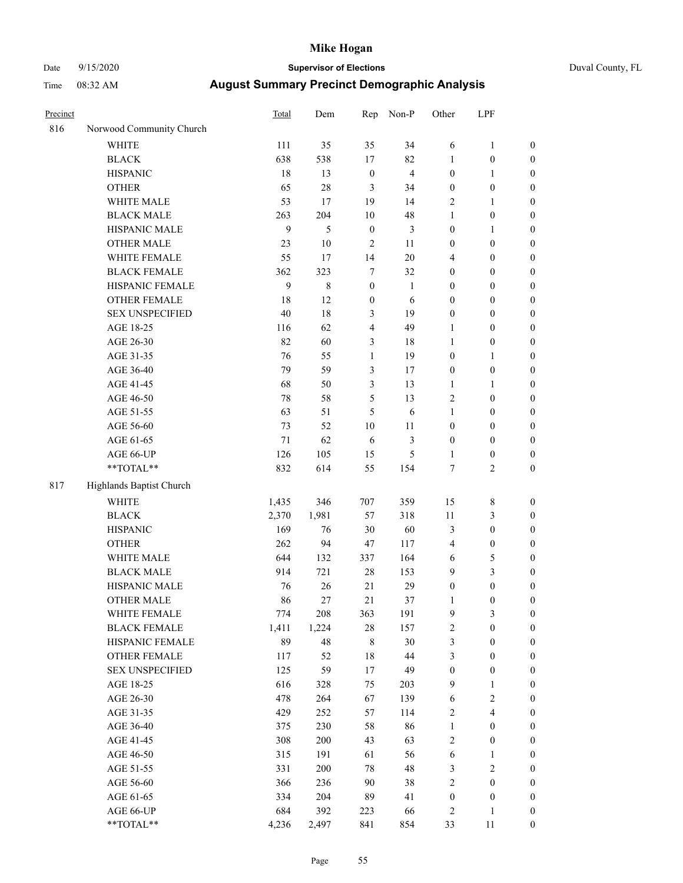# Date 9/15/2020 **Supervisor of Elections** Duval County, FL

| Precinct |                          | Total | Dem         | Rep              | Non-P          | Other            | LPF                            |                                      |
|----------|--------------------------|-------|-------------|------------------|----------------|------------------|--------------------------------|--------------------------------------|
| 816      | Norwood Community Church |       |             |                  |                |                  |                                |                                      |
|          | <b>WHITE</b>             | 111   | 35          | 35               | 34             | 6                | $\mathbf{1}$                   | 0                                    |
|          | <b>BLACK</b>             | 638   | 538         | 17               | 82             | 1                | $\boldsymbol{0}$               | $\boldsymbol{0}$                     |
|          | <b>HISPANIC</b>          | 18    | 13          | $\boldsymbol{0}$ | $\overline{4}$ | $\boldsymbol{0}$ | $\mathbf{1}$                   | $\boldsymbol{0}$                     |
|          | <b>OTHER</b>             | 65    | 28          | 3                | 34             | $\boldsymbol{0}$ | $\boldsymbol{0}$               | $\boldsymbol{0}$                     |
|          | WHITE MALE               | 53    | 17          | 19               | 14             | 2                | $\mathbf{1}$                   | $\boldsymbol{0}$                     |
|          | <b>BLACK MALE</b>        | 263   | 204         | 10               | 48             | 1                | $\boldsymbol{0}$               | $\boldsymbol{0}$                     |
|          | HISPANIC MALE            | 9     | 5           | $\boldsymbol{0}$ | $\mathfrak{Z}$ | 0                | $\mathbf{1}$                   | $\boldsymbol{0}$                     |
|          | <b>OTHER MALE</b>        | 23    | 10          | 2                | 11             | 0                | $\boldsymbol{0}$               | $\boldsymbol{0}$                     |
|          | WHITE FEMALE             | 55    | 17          | 14               | 20             | 4                | $\boldsymbol{0}$               | $\boldsymbol{0}$                     |
|          | <b>BLACK FEMALE</b>      | 362   | 323         | 7                | 32             | 0                | $\boldsymbol{0}$               | $\boldsymbol{0}$                     |
|          | HISPANIC FEMALE          | 9     | $\,$ 8 $\,$ | $\boldsymbol{0}$ | $\mathbf{1}$   | 0                | $\boldsymbol{0}$               | $\boldsymbol{0}$                     |
|          | OTHER FEMALE             | 18    | 12          | $\boldsymbol{0}$ | 6              | 0                | $\boldsymbol{0}$               | $\boldsymbol{0}$                     |
|          | <b>SEX UNSPECIFIED</b>   | 40    | 18          | 3                | 19             | $\boldsymbol{0}$ | $\boldsymbol{0}$               | $\boldsymbol{0}$                     |
|          | AGE 18-25                | 116   | 62          | 4                | 49             | 1                | $\boldsymbol{0}$               | $\boldsymbol{0}$                     |
|          | AGE 26-30                | 82    | 60          | 3                | 18             | 1                | $\boldsymbol{0}$               | $\boldsymbol{0}$                     |
|          | AGE 31-35                | 76    | 55          | $\mathbf{1}$     | 19             | $\boldsymbol{0}$ | $\mathbf{1}$                   | $\boldsymbol{0}$                     |
|          | AGE 36-40                | 79    | 59          | 3                | 17             | 0                | $\boldsymbol{0}$               | $\boldsymbol{0}$                     |
|          | AGE 41-45                | 68    | 50          | 3                | 13             | $\mathbf{1}$     | $\mathbf{1}$                   | $\boldsymbol{0}$                     |
|          | AGE 46-50                | 78    | 58          | 5                | 13             | 2                | $\boldsymbol{0}$               | $\boldsymbol{0}$                     |
|          | AGE 51-55                | 63    | 51          | 5                | 6              | 1                | $\boldsymbol{0}$               | $\boldsymbol{0}$                     |
|          | AGE 56-60                | 73    | 52          | 10               | 11             | $\boldsymbol{0}$ | $\boldsymbol{0}$               |                                      |
|          | AGE 61-65                | 71    | 62          | 6                | 3              | $\boldsymbol{0}$ | $\boldsymbol{0}$               | 0<br>$\boldsymbol{0}$                |
|          |                          | 126   | 105         |                  | $\mathfrak s$  |                  |                                |                                      |
|          | AGE 66-UP<br>$**TOTAL**$ | 832   | 614         | 15<br>55         | 154            | 1<br>7           | $\boldsymbol{0}$<br>$\sqrt{2}$ | $\boldsymbol{0}$<br>$\boldsymbol{0}$ |
|          |                          |       |             |                  |                |                  |                                |                                      |
| 817      | Highlands Baptist Church |       |             |                  |                |                  |                                |                                      |
|          | <b>WHITE</b>             | 1,435 | 346         | 707              | 359            | 15               | $\,$ $\,$                      | $\boldsymbol{0}$                     |
|          | <b>BLACK</b>             | 2,370 | 1,981       | 57               | 318            | 11               | $\mathfrak{Z}$                 | $\boldsymbol{0}$                     |
|          | <b>HISPANIC</b>          | 169   | 76          | 30               | 60             | 3                | $\boldsymbol{0}$               | $\boldsymbol{0}$                     |
|          | <b>OTHER</b>             | 262   | 94          | 47               | 117            | 4                | $\boldsymbol{0}$               | $\boldsymbol{0}$                     |
|          | WHITE MALE               | 644   | 132         | 337              | 164            | 6                | 5                              | $\boldsymbol{0}$                     |
|          | <b>BLACK MALE</b>        | 914   | 721         | $28\,$           | 153            | 9                | $\mathfrak{Z}$                 | $\boldsymbol{0}$                     |
|          | HISPANIC MALE            | 76    | 26          | 21               | 29             | $\boldsymbol{0}$ | $\boldsymbol{0}$               | $\boldsymbol{0}$                     |
|          | <b>OTHER MALE</b>        | 86    | 27          | 21               | 37             | 1                | $\boldsymbol{0}$               | $\boldsymbol{0}$                     |
|          | WHITE FEMALE             | 774   | 208         | 363              | 191            | 9                | 3                              | 0                                    |
|          | <b>BLACK FEMALE</b>      | 1,411 | 1,224       | 28               | 157            | $\mathbf{2}$     | $\boldsymbol{0}$               | $\boldsymbol{0}$                     |
|          | HISPANIC FEMALE          | 89    | 48          | 8                | 30             | 3                | $\boldsymbol{0}$               | $\overline{0}$                       |
|          | OTHER FEMALE             | 117   | 52          | 18               | 44             | 3                | $\boldsymbol{0}$               | $\overline{0}$                       |
|          | <b>SEX UNSPECIFIED</b>   | 125   | 59          | 17               | 49             | $\boldsymbol{0}$ | $\boldsymbol{0}$               | 0                                    |
|          | AGE 18-25                | 616   | 328         | 75               | 203            | 9                | $\mathbf{1}$                   | 0                                    |
|          | AGE 26-30                | 478   | 264         | 67               | 139            | 6                | $\sqrt{2}$                     | 0                                    |
|          | AGE 31-35                | 429   | 252         | 57               | 114            | 2                | $\overline{4}$                 | 0                                    |
|          | AGE 36-40                | 375   | 230         | 58               | 86             | 1                | $\boldsymbol{0}$               | 0                                    |
|          | AGE 41-45                | 308   | 200         | 43               | 63             | 2                | $\boldsymbol{0}$               | 0                                    |
|          | AGE 46-50                | 315   | 191         | 61               | 56             | 6                | 1                              | 0                                    |
|          | AGE 51-55                | 331   | 200         | 78               | 48             | 3                | $\sqrt{2}$                     | 0                                    |
|          | AGE 56-60                | 366   | 236         | 90               | 38             | $\overline{c}$   | $\boldsymbol{0}$               | $\overline{0}$                       |
|          | AGE 61-65                | 334   | 204         | 89               | 41             | $\boldsymbol{0}$ | $\boldsymbol{0}$               | $\overline{0}$                       |
|          | AGE 66-UP                | 684   | 392         | 223              | 66             | 2                | 1                              | 0                                    |
|          | **TOTAL**                | 4,236 | 2,497       | 841              | 854            | 33               | 11                             | $\boldsymbol{0}$                     |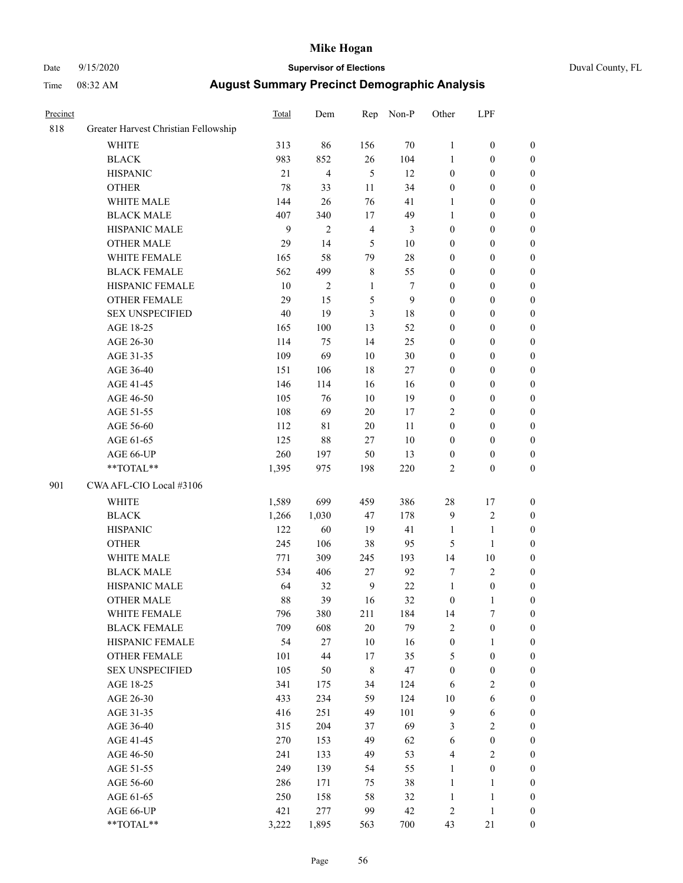# Date 9/15/2020 **Supervisor of Elections** Duval County, FL

| Precinct |                                      | Total  | Dem            | Rep            | Non-P          | Other                   | LPF              |                                      |
|----------|--------------------------------------|--------|----------------|----------------|----------------|-------------------------|------------------|--------------------------------------|
| 818      | Greater Harvest Christian Fellowship |        |                |                |                |                         |                  |                                      |
|          | <b>WHITE</b>                         | 313    | 86             | 156            | 70             | $\mathbf{1}$            | $\boldsymbol{0}$ | $\boldsymbol{0}$                     |
|          | <b>BLACK</b>                         | 983    | 852            | 26             | 104            | $\mathbf{1}$            | $\boldsymbol{0}$ | $\boldsymbol{0}$                     |
|          | <b>HISPANIC</b>                      | 21     | $\overline{4}$ | 5              | 12             | $\boldsymbol{0}$        | $\boldsymbol{0}$ | $\boldsymbol{0}$                     |
|          | <b>OTHER</b>                         | 78     | 33             | 11             | 34             | $\boldsymbol{0}$        | $\boldsymbol{0}$ | $\boldsymbol{0}$                     |
|          | WHITE MALE                           | 144    | 26             | 76             | 41             | 1                       | $\boldsymbol{0}$ | $\boldsymbol{0}$                     |
|          | <b>BLACK MALE</b>                    | 407    | 340            | $17\,$         | 49             | 1                       | $\boldsymbol{0}$ | $\boldsymbol{0}$                     |
|          | HISPANIC MALE                        | 9      | $\mathfrak{2}$ | $\overline{4}$ | $\mathfrak{Z}$ | $\boldsymbol{0}$        | $\boldsymbol{0}$ | $\boldsymbol{0}$                     |
|          | <b>OTHER MALE</b>                    | 29     | 14             | 5              | 10             | 0                       | $\boldsymbol{0}$ | $\boldsymbol{0}$                     |
|          | WHITE FEMALE                         | 165    | 58             | 79             | 28             | 0                       | $\boldsymbol{0}$ | $\boldsymbol{0}$                     |
|          | <b>BLACK FEMALE</b>                  | 562    | 499            | $\,$ 8 $\,$    | 55             | 0                       | $\boldsymbol{0}$ | 0                                    |
|          | HISPANIC FEMALE                      | $10\,$ | $\sqrt{2}$     | $\mathbf{1}$   | 7              | 0                       | $\boldsymbol{0}$ | $\boldsymbol{0}$                     |
|          | OTHER FEMALE                         | 29     | 15             | 5              | 9              | 0                       | $\boldsymbol{0}$ | $\boldsymbol{0}$                     |
|          | <b>SEX UNSPECIFIED</b>               | 40     | 19             | 3              | 18             | 0                       | $\boldsymbol{0}$ | $\boldsymbol{0}$                     |
|          | AGE 18-25                            | 165    | 100            | 13             | 52             | 0                       | $\boldsymbol{0}$ | $\boldsymbol{0}$                     |
|          | AGE 26-30                            | 114    | 75             | 14             | 25             | 0                       | $\boldsymbol{0}$ | $\boldsymbol{0}$                     |
|          | AGE 31-35                            | 109    | 69             | 10             | 30             | 0                       | $\boldsymbol{0}$ | $\boldsymbol{0}$                     |
|          | AGE 36-40                            | 151    | 106            | 18             | $27\,$         | 0                       | $\boldsymbol{0}$ | $\boldsymbol{0}$                     |
|          | AGE 41-45                            | 146    | 114            | 16             | 16             | 0                       | $\boldsymbol{0}$ | $\boldsymbol{0}$                     |
|          | AGE 46-50                            | 105    | 76             | $10\,$         | 19             | $\boldsymbol{0}$        | $\boldsymbol{0}$ | $\boldsymbol{0}$                     |
|          | AGE 51-55                            | 108    | 69             | 20             | 17             | $\overline{c}$          | $\boldsymbol{0}$ | 0                                    |
|          | AGE 56-60                            | 112    | 81             | $20\,$         | 11             | $\boldsymbol{0}$        | $\boldsymbol{0}$ |                                      |
|          | AGE 61-65                            | 125    | 88             | 27             | 10             | $\boldsymbol{0}$        | $\boldsymbol{0}$ | $\boldsymbol{0}$<br>$\boldsymbol{0}$ |
|          |                                      |        |                |                |                |                         |                  |                                      |
|          | AGE 66-UP<br>$**TOTAL**$             | 260    | 197            | 50             | 13             | $\boldsymbol{0}$        | $\boldsymbol{0}$ | $\boldsymbol{0}$                     |
|          |                                      | 1,395  | 975            | 198            | 220            | 2                       | $\boldsymbol{0}$ | $\boldsymbol{0}$                     |
| 901      | CWA AFL-CIO Local #3106              |        |                |                |                |                         |                  |                                      |
|          | WHITE                                | 1,589  | 699            | 459            | 386            | 28                      | 17               | $\boldsymbol{0}$                     |
|          | <b>BLACK</b>                         | 1,266  | 1,030          | 47             | 178            | 9                       | $\sqrt{2}$       | $\boldsymbol{0}$                     |
|          | <b>HISPANIC</b>                      | 122    | 60             | 19             | 41             | $\mathbf{1}$            | $\mathbf{1}$     | $\boldsymbol{0}$                     |
|          | <b>OTHER</b>                         | 245    | 106            | 38             | 95             | 5                       | $\mathbf{1}$     | $\boldsymbol{0}$                     |
|          | WHITE MALE                           | 771    | 309            | 245            | 193            | 14                      | $10\,$           | $\boldsymbol{0}$                     |
|          | <b>BLACK MALE</b>                    | 534    | 406            | 27             | 92             | 7                       | $\mathfrak{2}$   | $\boldsymbol{0}$                     |
|          | HISPANIC MALE                        | 64     | 32             | $\mathbf{9}$   | $22\,$         | $\mathbf{1}$            | $\boldsymbol{0}$ | 0                                    |
|          | <b>OTHER MALE</b>                    | 88     | 39             | 16             | 32             | $\boldsymbol{0}$        | $\mathbf{1}$     | $\boldsymbol{0}$                     |
|          | WHITE FEMALE                         | 796    | 380            | 211            | 184            | 14                      | 7                | $\overline{0}$                       |
|          | <b>BLACK FEMALE</b>                  | 709    | 608            | 20             | 79             | 2                       | $\boldsymbol{0}$ | $\overline{0}$                       |
|          | HISPANIC FEMALE                      | 54     | $27\,$         | 10             | 16             | $\boldsymbol{0}$        | $\mathbf{1}$     | $\overline{0}$                       |
|          | OTHER FEMALE                         | 101    | 44             | 17             | 35             | 5                       | $\boldsymbol{0}$ | 0                                    |
|          | <b>SEX UNSPECIFIED</b>               | 105    | 50             | 8              | 47             | $\boldsymbol{0}$        | $\boldsymbol{0}$ | 0                                    |
|          | AGE 18-25                            | 341    | 175            | 34             | 124            | 6                       | $\sqrt{2}$       | 0                                    |
|          | AGE 26-30                            | 433    | 234            | 59             | 124            | $10\,$                  | 6                | 0                                    |
|          | AGE 31-35                            | 416    | 251            | 49             | 101            | 9                       | 6                | 0                                    |
|          | AGE 36-40                            | 315    | 204            | 37             | 69             | 3                       | $\sqrt{2}$       | 0                                    |
|          | AGE 41-45                            | 270    | 153            | 49             | 62             | 6                       | $\boldsymbol{0}$ | 0                                    |
|          | AGE 46-50                            | 241    | 133            | 49             | 53             | 4                       | $\sqrt{2}$       | 0                                    |
|          | AGE 51-55                            | 249    | 139            | 54             | 55             | 1                       | $\boldsymbol{0}$ | $\boldsymbol{0}$                     |
|          | AGE 56-60                            | 286    | 171            | 75             | 38             | $\mathbf{1}$            | 1                | $\boldsymbol{0}$                     |
|          | AGE 61-65                            | 250    | 158            | 58             | 32             | $\mathbf{1}$            | $\mathbf{1}$     | 0                                    |
|          | AGE 66-UP                            | 421    | 277            | 99             | 42             | $\overline{\mathbf{c}}$ | $\mathbf{1}$     | 0                                    |
|          | **TOTAL**                            | 3,222  | 1,895          | 563            | 700            | 43                      | 21               | $\boldsymbol{0}$                     |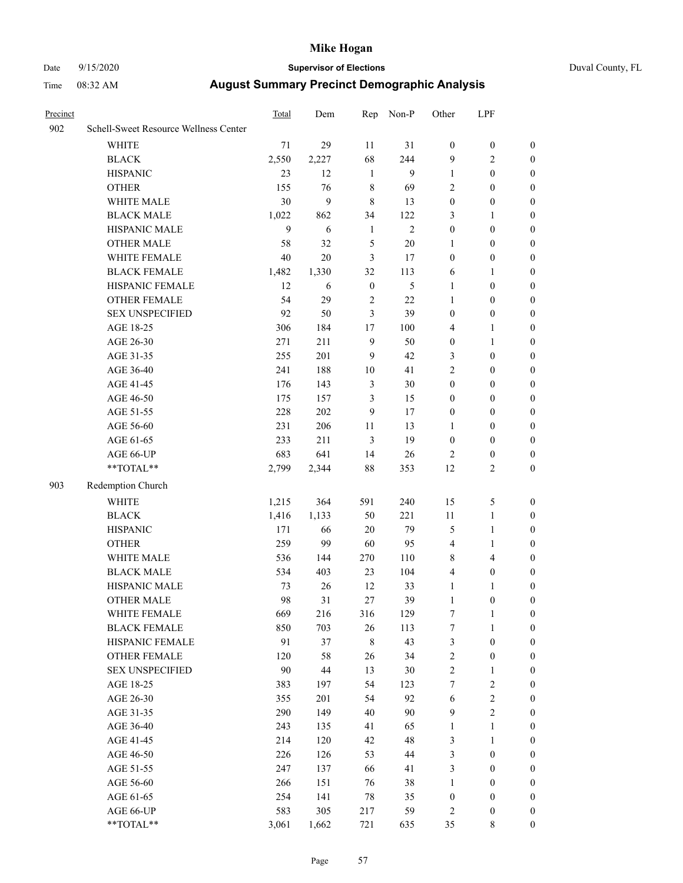# Date 9/15/2020 **Supervisor of Elections** Duval County, FL

| Precinct |                                                           | Total | Dem    | Rep              | Non-P        | Other                   | LPF              |                  |
|----------|-----------------------------------------------------------|-------|--------|------------------|--------------|-------------------------|------------------|------------------|
| 902      | Schell-Sweet Resource Wellness Center                     |       |        |                  |              |                         |                  |                  |
|          | <b>WHITE</b>                                              | 71    | 29     | 11               | 31           | $\boldsymbol{0}$        | $\boldsymbol{0}$ | $\boldsymbol{0}$ |
|          | <b>BLACK</b>                                              | 2,550 | 2,227  | 68               | 244          | 9                       | $\mathfrak{2}$   | $\boldsymbol{0}$ |
|          | <b>HISPANIC</b>                                           | 23    | 12     | $\mathbf{1}$     | 9            | $\mathbf{1}$            | $\boldsymbol{0}$ | $\boldsymbol{0}$ |
|          | <b>OTHER</b>                                              | 155   | 76     | 8                | 69           | 2                       | $\boldsymbol{0}$ | $\boldsymbol{0}$ |
|          | WHITE MALE                                                | 30    | 9      | $\,8\,$          | 13           | $\boldsymbol{0}$        | $\boldsymbol{0}$ | $\boldsymbol{0}$ |
|          | <b>BLACK MALE</b>                                         | 1,022 | 862    | 34               | 122          | 3                       | $\mathbf{1}$     | $\boldsymbol{0}$ |
|          | HISPANIC MALE                                             | 9     | 6      | $\mathbf{1}$     | $\mathbf{2}$ | $\boldsymbol{0}$        | $\boldsymbol{0}$ | $\boldsymbol{0}$ |
|          | OTHER MALE                                                | 58    | 32     | 5                | $20\,$       | 1                       | $\boldsymbol{0}$ | 0                |
|          | WHITE FEMALE                                              | 40    | 20     | 3                | 17           | $\boldsymbol{0}$        | $\boldsymbol{0}$ | 0                |
|          | <b>BLACK FEMALE</b>                                       | 1,482 | 1,330  | 32               | 113          | 6                       | $\mathbf{1}$     | $\boldsymbol{0}$ |
|          | HISPANIC FEMALE                                           | 12    | 6      | $\boldsymbol{0}$ | 5            | $\mathbf{1}$            | $\boldsymbol{0}$ | $\boldsymbol{0}$ |
|          | OTHER FEMALE                                              | 54    | 29     | $\sqrt{2}$       | 22           | $\mathbf{1}$            | $\boldsymbol{0}$ | $\boldsymbol{0}$ |
|          | <b>SEX UNSPECIFIED</b>                                    | 92    | 50     | 3                | 39           | $\boldsymbol{0}$        | $\boldsymbol{0}$ | $\boldsymbol{0}$ |
|          | AGE 18-25                                                 | 306   | 184    | 17               | 100          | 4                       | $\mathbf{1}$     | $\boldsymbol{0}$ |
|          | AGE 26-30                                                 | 271   | 211    | $\overline{9}$   | 50           | $\boldsymbol{0}$        | $\mathbf{1}$     | $\boldsymbol{0}$ |
|          | AGE 31-35                                                 | 255   | 201    | 9                | 42           | 3                       | $\boldsymbol{0}$ | $\boldsymbol{0}$ |
|          | AGE 36-40                                                 | 241   | 188    | $10\,$           | 41           | $\overline{c}$          | $\boldsymbol{0}$ | $\boldsymbol{0}$ |
|          | AGE 41-45                                                 | 176   | 143    | 3                | $30\,$       | $\boldsymbol{0}$        | $\boldsymbol{0}$ | $\boldsymbol{0}$ |
|          | AGE 46-50                                                 | 175   | 157    | 3                | 15           | $\boldsymbol{0}$        | $\boldsymbol{0}$ | 0                |
|          | AGE 51-55                                                 | 228   | 202    | 9                | 17           | $\boldsymbol{0}$        | $\boldsymbol{0}$ | $\boldsymbol{0}$ |
|          | AGE 56-60                                                 | 231   | 206    | 11               | 13           | 1                       | $\boldsymbol{0}$ | $\boldsymbol{0}$ |
|          | AGE 61-65                                                 | 233   | 211    | $\mathfrak{Z}$   | 19           | $\boldsymbol{0}$        | $\boldsymbol{0}$ | $\boldsymbol{0}$ |
|          | AGE 66-UP                                                 | 683   | 641    | 14               | 26           | 2                       | $\boldsymbol{0}$ | $\boldsymbol{0}$ |
|          | $\mathrm{*}\mathrm{*}\mathrm{TOTAL} \mathrm{*}\mathrm{*}$ | 2,799 | 2,344  | 88               | 353          | 12                      | $\mathfrak{2}$   | $\boldsymbol{0}$ |
| 903      | Redemption Church                                         |       |        |                  |              |                         |                  |                  |
|          | <b>WHITE</b>                                              | 1,215 | 364    | 591              | 240          | 15                      | 5                | $\boldsymbol{0}$ |
|          | <b>BLACK</b>                                              | 1,416 | 1,133  | 50               | 221          | 11                      | $\mathbf{1}$     | $\boldsymbol{0}$ |
|          | <b>HISPANIC</b>                                           | 171   | 66     | $20\,$           | 79           | 5                       | $\mathbf{1}$     | $\boldsymbol{0}$ |
|          | <b>OTHER</b>                                              | 259   | 99     | 60               | 95           | 4                       | 1                | $\boldsymbol{0}$ |
|          | WHITE MALE                                                | 536   | 144    | 270              | 110          | 8                       | $\overline{4}$   | 0                |
|          | <b>BLACK MALE</b>                                         | 534   | 403    | 23               | 104          | $\overline{\mathbf{4}}$ | $\boldsymbol{0}$ | 0                |
|          | HISPANIC MALE                                             | 73    | 26     | 12               | 33           | $\mathbf{1}$            | $\mathbf{1}$     | 0                |
|          | <b>OTHER MALE</b>                                         | 98    | 31     | 27               | 39           | 1                       | $\boldsymbol{0}$ | $\boldsymbol{0}$ |
|          | WHITE FEMALE                                              | 669   | 216    | 316              | 129          | $\boldsymbol{7}$        | 1                | $\boldsymbol{0}$ |
|          | <b>BLACK FEMALE</b>                                       | 850   | 703    | 26               | 113          | 7                       | $\mathbf{1}$     | $\boldsymbol{0}$ |
|          | HISPANIC FEMALE                                           | 91    | 37     | 8                | 43           | 3                       | $\boldsymbol{0}$ | $\overline{0}$   |
|          | <b>OTHER FEMALE</b>                                       | 120   | 58     | 26               | 34           | 2                       | $\boldsymbol{0}$ | $\overline{0}$   |
|          | <b>SEX UNSPECIFIED</b>                                    | 90    | $44\,$ | 13               | $30\,$       | $\overline{c}$          | $\mathbf{1}$     | $\overline{0}$   |
|          | AGE 18-25                                                 | 383   | 197    | 54               | 123          | 7                       | $\sqrt{2}$       | 0                |
|          | AGE 26-30                                                 | 355   | 201    | 54               | 92           | 6                       | $\sqrt{2}$       | 0                |
|          | AGE 31-35                                                 | 290   | 149    | 40               | 90           | 9                       | $\sqrt{2}$       | 0                |
|          | AGE 36-40                                                 | 243   | 135    | 41               | 65           | $\mathbf{1}$            | $\mathbf{1}$     | 0                |
|          | AGE 41-45                                                 | 214   | 120    | 42               | 48           | 3                       | $\mathbf{1}$     | 0                |
|          | AGE 46-50                                                 | 226   | 126    | 53               | $44\,$       | 3                       | $\boldsymbol{0}$ | $\overline{0}$   |
|          | AGE 51-55                                                 | 247   | 137    | 66               | 41           | 3                       | $\boldsymbol{0}$ | $\overline{0}$   |
|          | AGE 56-60                                                 | 266   | 151    | 76               | 38           | $\mathbf{1}$            | $\boldsymbol{0}$ | $\overline{0}$   |
|          | AGE 61-65                                                 | 254   | 141    | 78               | 35           | $\boldsymbol{0}$        | $\boldsymbol{0}$ | $\overline{0}$   |
|          | AGE 66-UP                                                 | 583   | 305    | 217              | 59           | $\sqrt{2}$              | $\boldsymbol{0}$ | $\boldsymbol{0}$ |
|          | **TOTAL**                                                 | 3,061 | 1,662  | 721              | 635          | 35                      | $8\,$            | $\boldsymbol{0}$ |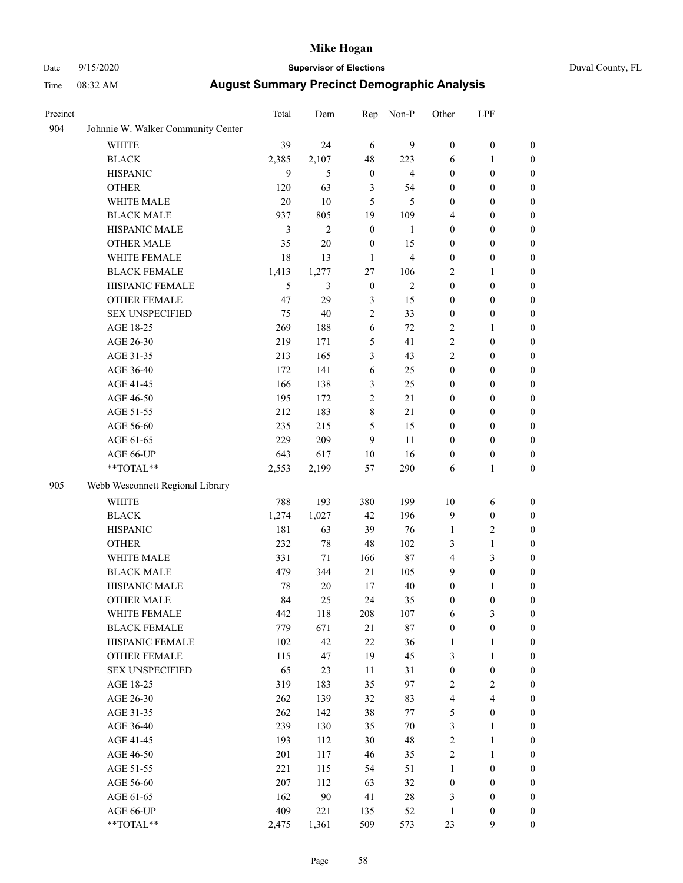# Date 9/15/2020 **Supervisor of Elections** Duval County, FL

| Precinct |                                                             | Total | Dem            | Rep              | Non-P          | Other            | LPF              |                  |
|----------|-------------------------------------------------------------|-------|----------------|------------------|----------------|------------------|------------------|------------------|
| 904      | Johnnie W. Walker Community Center                          |       |                |                  |                |                  |                  |                  |
|          | <b>WHITE</b>                                                | 39    | 24             | 6                | 9              | $\boldsymbol{0}$ | $\boldsymbol{0}$ | $\boldsymbol{0}$ |
|          | <b>BLACK</b>                                                | 2,385 | 2,107          | 48               | 223            | 6                | $\mathbf{1}$     | $\boldsymbol{0}$ |
|          | <b>HISPANIC</b>                                             | 9     | 5              | $\boldsymbol{0}$ | $\overline{4}$ | $\boldsymbol{0}$ | $\boldsymbol{0}$ | $\boldsymbol{0}$ |
|          | <b>OTHER</b>                                                | 120   | 63             | 3                | 54             | 0                | $\boldsymbol{0}$ | $\boldsymbol{0}$ |
|          | WHITE MALE                                                  | 20    | 10             | 5                | 5              | 0                | $\boldsymbol{0}$ | $\boldsymbol{0}$ |
|          | <b>BLACK MALE</b>                                           | 937   | 805            | 19               | 109            | 4                | $\boldsymbol{0}$ | $\boldsymbol{0}$ |
|          | HISPANIC MALE                                               | 3     | $\overline{2}$ | $\boldsymbol{0}$ | $\mathbf{1}$   | 0                | $\boldsymbol{0}$ | $\boldsymbol{0}$ |
|          | <b>OTHER MALE</b>                                           | 35    | 20             | $\boldsymbol{0}$ | 15             | $\boldsymbol{0}$ | $\boldsymbol{0}$ | 0                |
|          | WHITE FEMALE                                                | 18    | 13             | $\mathbf{1}$     | $\overline{4}$ | $\boldsymbol{0}$ | $\boldsymbol{0}$ | 0                |
|          | <b>BLACK FEMALE</b>                                         | 1,413 | 1,277          | 27               | 106            | $\overline{c}$   | $\mathbf{1}$     | $\boldsymbol{0}$ |
|          | HISPANIC FEMALE                                             | 5     | 3              | $\boldsymbol{0}$ | $\mathbf{2}$   | $\boldsymbol{0}$ | $\boldsymbol{0}$ | $\boldsymbol{0}$ |
|          | OTHER FEMALE                                                | 47    | 29             | 3                | 15             | 0                | $\boldsymbol{0}$ | $\boldsymbol{0}$ |
|          | <b>SEX UNSPECIFIED</b>                                      | 75    | 40             | 2                | 33             | $\boldsymbol{0}$ | $\boldsymbol{0}$ | $\boldsymbol{0}$ |
|          | AGE 18-25                                                   | 269   | 188            | 6                | 72             | $\overline{c}$   | $\mathbf{1}$     | $\boldsymbol{0}$ |
|          | AGE 26-30                                                   | 219   | 171            | 5                | 41             | $\overline{c}$   | $\boldsymbol{0}$ | $\boldsymbol{0}$ |
|          | AGE 31-35                                                   | 213   | 165            | 3                | 43             | $\overline{c}$   | $\boldsymbol{0}$ | $\boldsymbol{0}$ |
|          | AGE 36-40                                                   | 172   | 141            | 6                | 25             | $\boldsymbol{0}$ | $\boldsymbol{0}$ | $\boldsymbol{0}$ |
|          | AGE 41-45                                                   | 166   | 138            | 3                | 25             | $\boldsymbol{0}$ | $\boldsymbol{0}$ | 0                |
|          | AGE 46-50                                                   | 195   | 172            | $\mathbf{2}$     | 21             | 0                | $\boldsymbol{0}$ | 0                |
|          | AGE 51-55                                                   | 212   | 183            | 8                | 21             | 0                | $\boldsymbol{0}$ | $\boldsymbol{0}$ |
|          | AGE 56-60                                                   | 235   | 215            | 5                | 15             | 0                | $\boldsymbol{0}$ | $\boldsymbol{0}$ |
|          | AGE 61-65                                                   | 229   | 209            | 9                | 11             | 0                | $\boldsymbol{0}$ | $\boldsymbol{0}$ |
|          | AGE 66-UP                                                   | 643   | 617            | 10               | 16             | $\boldsymbol{0}$ | $\boldsymbol{0}$ | $\boldsymbol{0}$ |
|          | $\mathrm{*}\mathrm{*} \mathrm{TOTAL} \mathrm{*} \mathrm{*}$ | 2,553 | 2,199          | 57               | 290            | 6                | $\mathbf{1}$     | $\boldsymbol{0}$ |
| 905      | Webb Wesconnett Regional Library                            |       |                |                  |                |                  |                  |                  |
|          | <b>WHITE</b>                                                | 788   | 193            | 380              | 199            | 10               | 6                | $\boldsymbol{0}$ |
|          | <b>BLACK</b>                                                | 1,274 | 1,027          | 42               | 196            | 9                | $\boldsymbol{0}$ | $\boldsymbol{0}$ |
|          | <b>HISPANIC</b>                                             | 181   | 63             | 39               | 76             | $\mathbf{1}$     | $\mathbf{2}$     | $\boldsymbol{0}$ |
|          | <b>OTHER</b>                                                | 232   | 78             | 48               | 102            | 3                | $\mathbf{1}$     | $\boldsymbol{0}$ |
|          | WHITE MALE                                                  | 331   | 71             | 166              | 87             | 4                | 3                | 0                |
|          | <b>BLACK MALE</b>                                           | 479   | 344            | 21               | 105            | 9                | $\boldsymbol{0}$ | 0                |
|          | HISPANIC MALE                                               | 78    | 20             | 17               | 40             | 0                | 1                | $\boldsymbol{0}$ |
|          | <b>OTHER MALE</b>                                           | 84    | 25             | 24               | 35             | 0                | $\boldsymbol{0}$ | $\boldsymbol{0}$ |
|          | WHITE FEMALE                                                | 442   | 118            | 208              | 107            | 6                | $\mathfrak{Z}$   | $\boldsymbol{0}$ |
|          | <b>BLACK FEMALE</b>                                         | 779   | 671            | 21               | 87             | $\boldsymbol{0}$ | $\boldsymbol{0}$ | $\overline{0}$   |
|          | HISPANIC FEMALE                                             | 102   | 42             | 22               | 36             | 1                | $\mathbf{1}$     | $\overline{0}$   |
|          | <b>OTHER FEMALE</b>                                         | 115   | 47             | 19               | 45             | 3                | $\mathbf{1}$     | $\theta$         |
|          | <b>SEX UNSPECIFIED</b>                                      | 65    | 23             | $11\,$           | 31             | $\boldsymbol{0}$ | $\boldsymbol{0}$ | 0                |
|          | AGE 18-25                                                   | 319   | 183            | 35               | 97             | 2                | $\sqrt{2}$       | 0                |
|          | AGE 26-30                                                   | 262   | 139            | 32               | 83             | 4                | $\overline{4}$   | 0                |
|          | AGE 31-35                                                   | 262   | 142            | 38               | $77 \,$        | 5                | $\boldsymbol{0}$ | 0                |
|          | AGE 36-40                                                   | 239   | 130            | 35               | 70             | 3                | $\mathbf{1}$     | $\boldsymbol{0}$ |
|          | AGE 41-45                                                   | 193   | 112            | 30               | 48             | $\overline{c}$   | $\mathbf{1}$     | $\boldsymbol{0}$ |
|          | AGE 46-50                                                   | 201   | 117            | 46               | 35             | 2                | $\mathbf{1}$     | $\boldsymbol{0}$ |
|          | AGE 51-55                                                   | 221   | 115            | 54               | 51             | 1                | $\boldsymbol{0}$ | $\overline{0}$   |
|          | AGE 56-60                                                   | 207   | 112            | 63               | 32             | $\boldsymbol{0}$ | $\boldsymbol{0}$ | $\boldsymbol{0}$ |
|          | AGE 61-65                                                   | 162   | 90             | 41               | 28             | 3                | $\boldsymbol{0}$ | $\overline{0}$   |
|          | AGE 66-UP                                                   | 409   | 221            | 135              | 52             | $\mathbf{1}$     | $\boldsymbol{0}$ | $\overline{0}$   |
|          | **TOTAL**                                                   | 2,475 | 1,361          | 509              | 573            | 23               | $\mathbf{9}$     | $\boldsymbol{0}$ |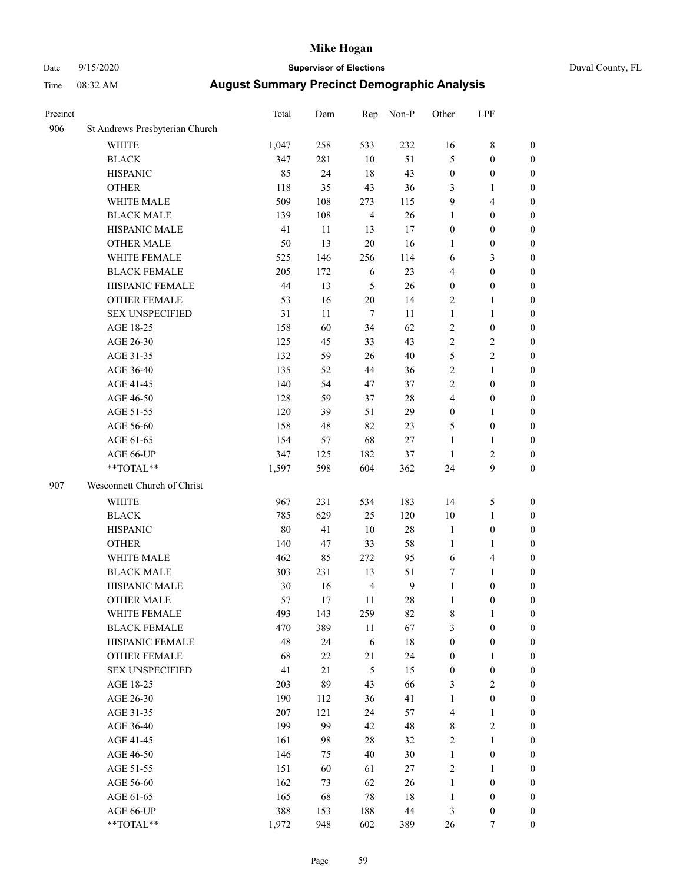# Date 9/15/2020 **Supervisor of Elections** Duval County, FL

| Precinct |                                                            | Total | Dem    | Rep            | Non-P            | Other            | LPF              |                  |
|----------|------------------------------------------------------------|-------|--------|----------------|------------------|------------------|------------------|------------------|
| 906      | St Andrews Presbyterian Church                             |       |        |                |                  |                  |                  |                  |
|          | <b>WHITE</b>                                               | 1,047 | 258    | 533            | 232              | 16               | $\,$ 8 $\,$      | 0                |
|          | <b>BLACK</b>                                               | 347   | 281    | 10             | 51               | 5                | $\boldsymbol{0}$ | 0                |
|          | <b>HISPANIC</b>                                            | 85    | 24     | 18             | 43               | $\boldsymbol{0}$ | $\boldsymbol{0}$ | $\boldsymbol{0}$ |
|          | <b>OTHER</b>                                               | 118   | 35     | 43             | 36               | 3                | 1                | $\boldsymbol{0}$ |
|          | WHITE MALE                                                 | 509   | 108    | 273            | 115              | 9                | $\overline{4}$   | $\boldsymbol{0}$ |
|          | <b>BLACK MALE</b>                                          | 139   | 108    | $\overline{4}$ | 26               | 1                | $\boldsymbol{0}$ | $\boldsymbol{0}$ |
|          | HISPANIC MALE                                              | 41    | 11     | 13             | 17               | 0                | $\boldsymbol{0}$ | $\boldsymbol{0}$ |
|          | <b>OTHER MALE</b>                                          | 50    | 13     | $20\,$         | 16               | 1                | $\boldsymbol{0}$ | $\boldsymbol{0}$ |
|          | WHITE FEMALE                                               | 525   | 146    | 256            | 114              | 6                | $\mathfrak{Z}$   | $\boldsymbol{0}$ |
|          | <b>BLACK FEMALE</b>                                        | 205   | 172    | 6              | 23               | 4                | $\boldsymbol{0}$ | $\boldsymbol{0}$ |
|          | HISPANIC FEMALE                                            | 44    | 13     | 5              | 26               | $\boldsymbol{0}$ | $\boldsymbol{0}$ | 0                |
|          | OTHER FEMALE                                               | 53    | 16     | $20\,$         | 14               | $\overline{c}$   | 1                | $\boldsymbol{0}$ |
|          | <b>SEX UNSPECIFIED</b>                                     | 31    | 11     | $\tau$         | 11               | $\mathbf{1}$     | $\mathbf{1}$     | $\boldsymbol{0}$ |
|          | AGE 18-25                                                  | 158   | 60     | 34             | 62               | 2                | $\boldsymbol{0}$ | $\boldsymbol{0}$ |
|          | AGE 26-30                                                  | 125   | 45     | 33             | 43               | 2                | $\sqrt{2}$       | $\boldsymbol{0}$ |
|          | AGE 31-35                                                  | 132   | 59     | 26             | 40               | 5                | $\sqrt{2}$       | $\boldsymbol{0}$ |
|          | AGE 36-40                                                  | 135   | 52     | 44             | 36               | $\overline{c}$   | $\mathbf{1}$     | $\boldsymbol{0}$ |
|          | AGE 41-45                                                  | 140   | 54     | 47             | 37               | $\overline{c}$   | $\boldsymbol{0}$ | $\boldsymbol{0}$ |
|          | AGE 46-50                                                  | 128   | 59     | 37             | 28               | 4                | $\boldsymbol{0}$ | $\boldsymbol{0}$ |
|          | AGE 51-55                                                  | 120   | 39     | 51             | 29               | $\boldsymbol{0}$ | 1                | $\boldsymbol{0}$ |
|          | AGE 56-60                                                  | 158   | 48     | 82             | 23               | 5                | $\boldsymbol{0}$ | 0                |
|          | AGE 61-65                                                  | 154   | 57     | 68             | $27\,$           | $\mathbf{1}$     | 1                | 0                |
|          | AGE 66-UP                                                  | 347   | 125    | 182            | 37               | $\mathbf{1}$     | $\sqrt{2}$       | $\boldsymbol{0}$ |
|          | $**TOTAL**$                                                | 1,597 | 598    | 604            | 362              | 24               | 9                | $\boldsymbol{0}$ |
| 907      | Wesconnett Church of Christ                                |       |        |                |                  |                  |                  |                  |
|          | <b>WHITE</b>                                               | 967   | 231    | 534            | 183              | 14               | $\mathfrak s$    | $\boldsymbol{0}$ |
|          | <b>BLACK</b>                                               | 785   | 629    | 25             | 120              | 10               | $\mathbf{1}$     | $\boldsymbol{0}$ |
|          | <b>HISPANIC</b>                                            | 80    | 41     | 10             | 28               | $\mathbf{1}$     | $\boldsymbol{0}$ | $\boldsymbol{0}$ |
|          | <b>OTHER</b>                                               | 140   | 47     | 33             | 58               | $\mathbf{1}$     | $\mathbf{1}$     | $\boldsymbol{0}$ |
|          | WHITE MALE                                                 | 462   | 85     | 272            | 95               | 6                | $\overline{4}$   | $\boldsymbol{0}$ |
|          | <b>BLACK MALE</b>                                          | 303   | 231    | 13             | 51               | 7                | $\mathbf{1}$     | $\boldsymbol{0}$ |
|          | HISPANIC MALE                                              | 30    | 16     | $\overline{4}$ | $\boldsymbol{9}$ | $\mathbf{1}$     | $\boldsymbol{0}$ | $\boldsymbol{0}$ |
|          | <b>OTHER MALE</b>                                          | 57    | 17     | 11             | 28               | 1                | $\boldsymbol{0}$ | $\boldsymbol{0}$ |
|          | WHITE FEMALE                                               | 493   | 143    | 259            | 82               | 8                | 1                | 0                |
|          | <b>BLACK FEMALE</b>                                        | 470   | 389    | 11             | 67               | 3                | $\boldsymbol{0}$ | $\overline{0}$   |
|          | HISPANIC FEMALE                                            | 48    | 24     | 6              | 18               | $\boldsymbol{0}$ | $\boldsymbol{0}$ | $\overline{0}$   |
|          | OTHER FEMALE                                               | 68    | $22\,$ | 21             | 24               | $\boldsymbol{0}$ | $\mathbf{1}$     | $\overline{0}$   |
|          | <b>SEX UNSPECIFIED</b>                                     | 41    | 21     | 5              | 15               | $\boldsymbol{0}$ | $\boldsymbol{0}$ | 0                |
|          | AGE 18-25                                                  | 203   | 89     | 43             | 66               | 3                | $\sqrt{2}$       | 0                |
|          | AGE 26-30                                                  | 190   | 112    | 36             | 41               | $\mathbf{1}$     | $\boldsymbol{0}$ | 0                |
|          | AGE 31-35                                                  | 207   | 121    | 24             | 57               | 4                | $\mathbf{1}$     | 0                |
|          | AGE 36-40                                                  | 199   | 99     | 42             | 48               | 8                | $\sqrt{2}$       | 0                |
|          | AGE 41-45                                                  | 161   | 98     | 28             | 32               | 2                | $\mathbf{1}$     | 0                |
|          | AGE 46-50                                                  | 146   | 75     | 40             | 30               | $\mathbf{1}$     | $\boldsymbol{0}$ | 0                |
|          | AGE 51-55                                                  | 151   | 60     | 61             | $27\,$           | 2                | $\mathbf{1}$     | 0                |
|          | AGE 56-60                                                  | 162   | 73     | 62             | 26               | $\mathbf{1}$     | $\boldsymbol{0}$ | 0                |
|          | AGE 61-65                                                  | 165   | 68     | 78             | 18               | $\mathbf{1}$     | $\boldsymbol{0}$ | $\overline{0}$   |
|          | AGE 66-UP                                                  | 388   | 153    | 188            | 44               | 3                | $\boldsymbol{0}$ | 0                |
|          | $\mathrm{*}\mathrm{*} \mathrm{TOTAL} \mathrm{*}\mathrm{*}$ | 1,972 | 948    | 602            | 389              | 26               | 7                | $\boldsymbol{0}$ |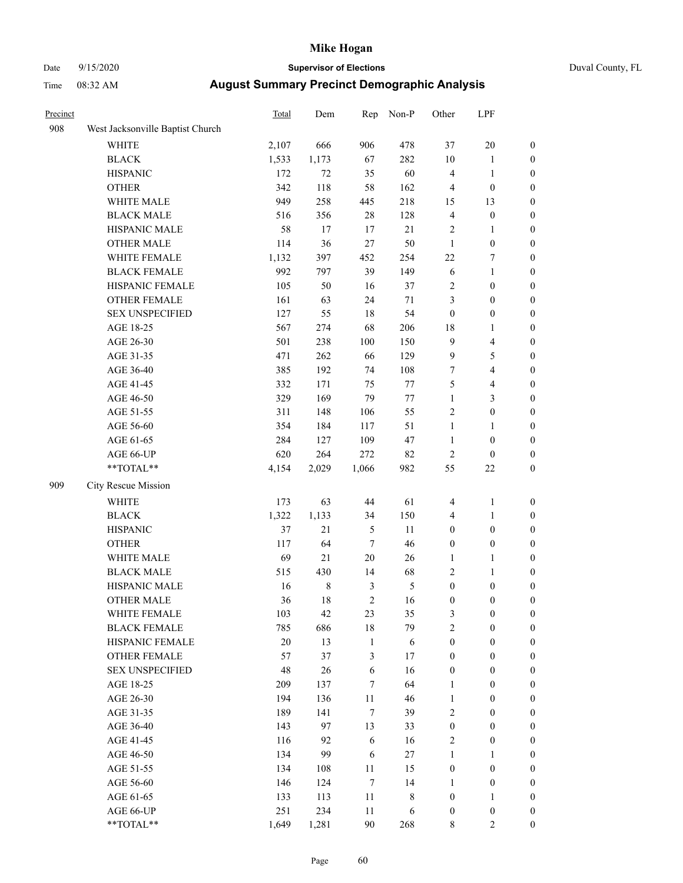# Date 9/15/2020 **Supervisor of Elections** Duval County, FL

| Precinct |                                  | <b>Total</b> | Dem         | Rep              | Non-P          | Other            | LPF                     |                  |
|----------|----------------------------------|--------------|-------------|------------------|----------------|------------------|-------------------------|------------------|
| 908      | West Jacksonville Baptist Church |              |             |                  |                |                  |                         |                  |
|          | <b>WHITE</b>                     | 2,107        | 666         | 906              | 478            | 37               | $20\,$                  | 0                |
|          | <b>BLACK</b>                     | 1,533        | 1,173       | 67               | 282            | $10\,$           | $\mathbf{1}$            | 0                |
|          | <b>HISPANIC</b>                  | 172          | 72          | 35               | 60             | 4                | $\mathbf{1}$            | $\boldsymbol{0}$ |
|          | <b>OTHER</b>                     | 342          | 118         | 58               | 162            | 4                | $\boldsymbol{0}$        | $\boldsymbol{0}$ |
|          | WHITE MALE                       | 949          | 258         | 445              | 218            | 15               | 13                      | $\boldsymbol{0}$ |
|          | <b>BLACK MALE</b>                | 516          | 356         | $28\,$           | 128            | 4                | $\boldsymbol{0}$        | $\boldsymbol{0}$ |
|          | HISPANIC MALE                    | 58           | 17          | 17               | 21             | 2                | $\mathbf{1}$            | $\boldsymbol{0}$ |
|          | <b>OTHER MALE</b>                | 114          | 36          | 27               | 50             | $\mathbf{1}$     | $\boldsymbol{0}$        | $\boldsymbol{0}$ |
|          | WHITE FEMALE                     | 1,132        | 397         | 452              | 254            | $22\,$           | $\boldsymbol{7}$        | $\boldsymbol{0}$ |
|          | <b>BLACK FEMALE</b>              | 992          | 797         | 39               | 149            | 6                | $\mathbf{1}$            | $\boldsymbol{0}$ |
|          | HISPANIC FEMALE                  | 105          | 50          | 16               | 37             | $\sqrt{2}$       | $\boldsymbol{0}$        | 0                |
|          | OTHER FEMALE                     | 161          | 63          | 24               | $71\,$         | 3                | $\boldsymbol{0}$        | $\boldsymbol{0}$ |
|          | <b>SEX UNSPECIFIED</b>           | 127          | 55          | 18               | 54             | $\boldsymbol{0}$ | $\boldsymbol{0}$        | $\boldsymbol{0}$ |
|          | AGE 18-25                        | 567          | 274         | 68               | 206            | 18               | 1                       | $\boldsymbol{0}$ |
|          | AGE 26-30                        | 501          | 238         | 100              | 150            | 9                | $\overline{4}$          | $\boldsymbol{0}$ |
|          | AGE 31-35                        | 471          | 262         | 66               | 129            | 9                | $\mathfrak{S}$          | $\boldsymbol{0}$ |
|          | AGE 36-40                        | 385          | 192         | 74               | 108            | $\boldsymbol{7}$ | $\overline{4}$          | $\boldsymbol{0}$ |
|          | AGE 41-45                        | 332          | 171         | 75               | $77\,$         | 5                | $\overline{\mathbf{4}}$ | $\boldsymbol{0}$ |
|          | AGE 46-50                        | 329          | 169         | 79               | $77\,$         | $\mathbf{1}$     | $\mathfrak{Z}$          | $\boldsymbol{0}$ |
|          | AGE 51-55                        | 311          | 148         | 106              | 55             | 2                | $\boldsymbol{0}$        | $\boldsymbol{0}$ |
|          | AGE 56-60                        | 354          | 184         | 117              | 51             | $\mathbf{1}$     | 1                       | 0                |
|          | AGE 61-65                        | 284          | 127         | 109              | 47             | $\mathbf{1}$     | $\boldsymbol{0}$        | 0                |
|          | AGE 66-UP                        | 620          | 264         | 272              | 82             | $\mathbf{2}$     | $\boldsymbol{0}$        | $\boldsymbol{0}$ |
|          | **TOTAL**                        | 4,154        | 2,029       | 1,066            | 982            | 55               | $22\,$                  | $\boldsymbol{0}$ |
| 909      | City Rescue Mission              |              |             |                  |                |                  |                         |                  |
|          | <b>WHITE</b>                     | 173          | 63          | $44\,$           | 61             | 4                | $\mathbf{1}$            | $\boldsymbol{0}$ |
|          | <b>BLACK</b>                     | 1,322        | 1,133       | 34               | 150            | 4                | $\mathbf{1}$            | $\boldsymbol{0}$ |
|          | <b>HISPANIC</b>                  | 37           | 21          | $\mathfrak{S}$   | 11             | $\boldsymbol{0}$ | $\boldsymbol{0}$        | $\boldsymbol{0}$ |
|          | <b>OTHER</b>                     | 117          | 64          | $\tau$           | 46             | $\boldsymbol{0}$ | $\boldsymbol{0}$        | $\boldsymbol{0}$ |
|          | WHITE MALE                       | 69           | 21          | $20\,$           | 26             | $\mathbf{1}$     | $\mathbf{1}$            | $\boldsymbol{0}$ |
|          | <b>BLACK MALE</b>                | 515          | 430         | 14               | 68             | 2                | $\mathbf{1}$            | $\boldsymbol{0}$ |
|          | HISPANIC MALE                    | 16           | $\,$ 8 $\,$ | $\mathfrak{Z}$   | $\mathfrak{S}$ | $\boldsymbol{0}$ | $\boldsymbol{0}$        | 0                |
|          | OTHER MALE                       | 36           | 18          | $\overline{2}$   | 16             | $\boldsymbol{0}$ | $\boldsymbol{0}$        | $\boldsymbol{0}$ |
|          | WHITE FEMALE                     | 103          | 42          | 23               | 35             | 3                | $\boldsymbol{0}$        | 0                |
|          | <b>BLACK FEMALE</b>              | 785          | 686         | 18               | 79             | $\overline{2}$   | $\boldsymbol{0}$        | $\overline{0}$   |
|          | HISPANIC FEMALE                  | 20           | 13          | $\mathbf{1}$     | $\sqrt{6}$     | $\boldsymbol{0}$ | $\boldsymbol{0}$        | $\overline{0}$   |
|          | OTHER FEMALE                     | 57           | 37          | 3                | 17             | $\boldsymbol{0}$ | $\boldsymbol{0}$        | $\overline{0}$   |
|          | <b>SEX UNSPECIFIED</b>           | 48           | 26          | $\sqrt{6}$       | 16             | $\boldsymbol{0}$ | $\boldsymbol{0}$        | $\overline{0}$   |
|          | AGE 18-25                        | 209          | 137         | 7                | 64             | $\mathbf{1}$     | $\boldsymbol{0}$        | $\overline{0}$   |
|          | AGE 26-30                        | 194          | 136         | $11\,$           | 46             | $\mathbf{1}$     | $\boldsymbol{0}$        | $\overline{0}$   |
|          | AGE 31-35                        | 189          | 141         | $\tau$           | 39             | 2                | $\boldsymbol{0}$        | 0                |
|          | AGE 36-40                        | 143          | 97          | 13               | 33             | $\boldsymbol{0}$ | $\boldsymbol{0}$        | 0                |
|          | AGE 41-45                        | 116          | 92          | 6                | 16             | 2                | $\boldsymbol{0}$        | 0                |
|          | AGE 46-50                        | 134          | 99          | 6                | 27             | $\mathbf{1}$     | $\mathbf{1}$            | 0                |
|          | AGE 51-55                        | 134          | 108         | $11\,$           | 15             | $\boldsymbol{0}$ | $\boldsymbol{0}$        | $\overline{0}$   |
|          | AGE 56-60                        | 146          | 124         | $\boldsymbol{7}$ | 14             | 1                | $\boldsymbol{0}$        | $\overline{0}$   |
|          | AGE 61-65                        | 133          | 113         | 11               | 8              | $\boldsymbol{0}$ | $\mathbf{1}$            | $\overline{0}$   |
|          | AGE 66-UP                        | 251          | 234         | 11               | 6              | $\boldsymbol{0}$ | $\boldsymbol{0}$        | $\boldsymbol{0}$ |
|          | **TOTAL**                        | 1,649        | 1,281       | 90               | 268            | 8                | $\overline{2}$          | $\boldsymbol{0}$ |
|          |                                  |              |             |                  |                |                  |                         |                  |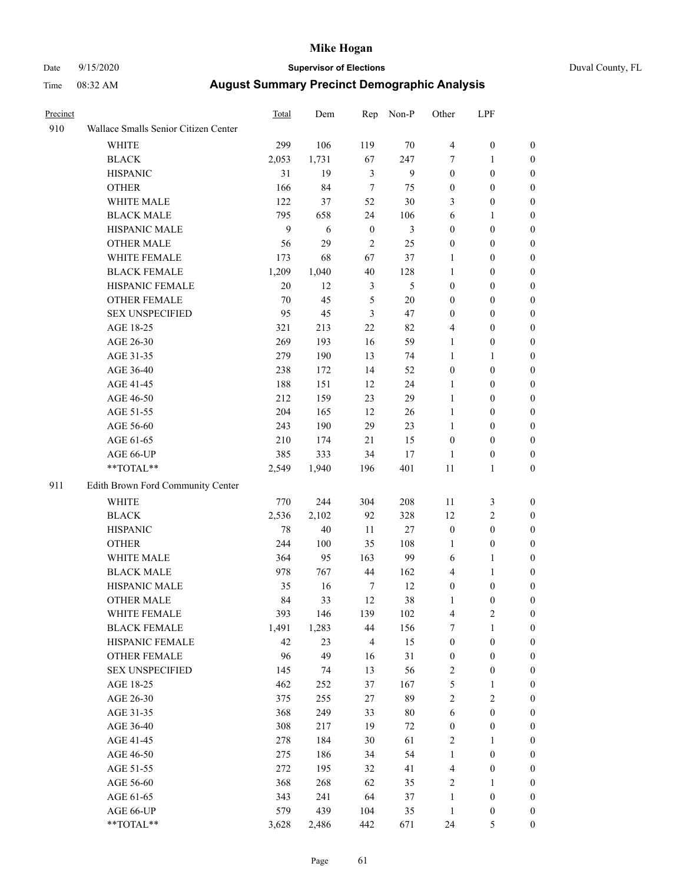# Date 9/15/2020 **Supervisor of Elections** Duval County, FL

| Precinct |                                      | Total | Dem   |               | Rep Non-P      | Other            | LPF              |                  |
|----------|--------------------------------------|-------|-------|---------------|----------------|------------------|------------------|------------------|
| 910      | Wallace Smalls Senior Citizen Center |       |       |               |                |                  |                  |                  |
|          | <b>WHITE</b>                         | 299   | 106   | 119           | 70             | 4                | $\boldsymbol{0}$ | $\boldsymbol{0}$ |
|          | <b>BLACK</b>                         | 2,053 | 1,731 | 67            | 247            | 7                | $\mathbf{1}$     | $\boldsymbol{0}$ |
|          | <b>HISPANIC</b>                      | 31    | 19    | 3             | 9              | $\boldsymbol{0}$ | $\boldsymbol{0}$ | $\boldsymbol{0}$ |
|          | <b>OTHER</b>                         | 166   | 84    | $\tau$        | 75             | $\boldsymbol{0}$ | $\boldsymbol{0}$ | $\boldsymbol{0}$ |
|          | WHITE MALE                           | 122   | 37    | 52            | 30             | 3                | $\boldsymbol{0}$ | $\boldsymbol{0}$ |
|          | <b>BLACK MALE</b>                    | 795   | 658   | 24            | 106            | 6                | $\mathbf{1}$     | $\boldsymbol{0}$ |
|          | HISPANIC MALE                        | 9     | 6     | $\mathbf{0}$  | $\mathfrak{Z}$ | $\boldsymbol{0}$ | $\boldsymbol{0}$ | $\boldsymbol{0}$ |
|          | <b>OTHER MALE</b>                    | 56    | 29    | 2             | 25             | $\boldsymbol{0}$ | $\boldsymbol{0}$ | $\boldsymbol{0}$ |
|          | WHITE FEMALE                         | 173   | 68    | 67            | 37             | 1                | $\boldsymbol{0}$ | 0                |
|          | <b>BLACK FEMALE</b>                  | 1,209 | 1,040 | 40            | 128            | $\mathbf{1}$     | $\boldsymbol{0}$ | 0                |
|          | HISPANIC FEMALE                      | 20    | 12    | 3             | 5              | $\boldsymbol{0}$ | $\boldsymbol{0}$ | $\boldsymbol{0}$ |
|          | OTHER FEMALE                         | 70    | 45    | $\mathfrak s$ | 20             | $\boldsymbol{0}$ | $\boldsymbol{0}$ | $\boldsymbol{0}$ |
|          | <b>SEX UNSPECIFIED</b>               | 95    | 45    | 3             | 47             | 0                | $\boldsymbol{0}$ | $\boldsymbol{0}$ |
|          | AGE 18-25                            | 321   | 213   | 22            | 82             | 4                | $\boldsymbol{0}$ | $\boldsymbol{0}$ |
|          | AGE 26-30                            | 269   | 193   | 16            | 59             | $\mathbf{1}$     | $\boldsymbol{0}$ | $\boldsymbol{0}$ |
|          | AGE 31-35                            | 279   | 190   | 13            | 74             | $\mathbf{1}$     | $\mathbf{1}$     | $\boldsymbol{0}$ |
|          | AGE 36-40                            | 238   | 172   | 14            | 52             | $\boldsymbol{0}$ | $\boldsymbol{0}$ | $\boldsymbol{0}$ |
|          | AGE 41-45                            | 188   | 151   | 12            | 24             | 1                | $\boldsymbol{0}$ | $\boldsymbol{0}$ |
|          | AGE 46-50                            | 212   | 159   | 23            | 29             | $\mathbf{1}$     | $\boldsymbol{0}$ | $\boldsymbol{0}$ |
|          | AGE 51-55                            | 204   | 165   | 12            | 26             | $\mathbf{1}$     | $\boldsymbol{0}$ | 0                |
|          | AGE 56-60                            | 243   | 190   | 29            | 23             | $\mathbf{1}$     | $\boldsymbol{0}$ | $\boldsymbol{0}$ |
|          | AGE 61-65                            | 210   | 174   | 21            | 15             | $\boldsymbol{0}$ | $\boldsymbol{0}$ | $\boldsymbol{0}$ |
|          | AGE 66-UP                            | 385   | 333   | 34            | 17             | 1                | $\boldsymbol{0}$ | $\boldsymbol{0}$ |
|          | $**TOTAL**$                          | 2,549 | 1,940 | 196           | 401            | 11               | $\mathbf{1}$     | $\boldsymbol{0}$ |
| 911      | Edith Brown Ford Community Center    |       |       |               |                |                  |                  |                  |
|          | <b>WHITE</b>                         | 770   | 244   | 304           | 208            | $11\,$           | $\mathfrak{Z}$   | $\boldsymbol{0}$ |
|          | <b>BLACK</b>                         | 2,536 | 2,102 | 92            | 328            | 12               | $\sqrt{2}$       | $\boldsymbol{0}$ |
|          | <b>HISPANIC</b>                      | 78    | 40    | 11            | $27\,$         | $\boldsymbol{0}$ | $\boldsymbol{0}$ | $\boldsymbol{0}$ |
|          | <b>OTHER</b>                         | 244   | 100   | 35            | 108            | $\mathbf{1}$     | $\boldsymbol{0}$ | $\boldsymbol{0}$ |
|          | WHITE MALE                           | 364   | 95    | 163           | 99             | 6                | $\mathbf{1}$     | 0                |
|          | <b>BLACK MALE</b>                    | 978   | 767   | 44            | 162            | 4                | $\mathbf{1}$     | 0                |
|          | HISPANIC MALE                        | 35    | 16    | 7             | 12             | 0                | $\boldsymbol{0}$ | 0                |
|          | <b>OTHER MALE</b>                    | 84    | 33    | 12            | 38             | 1                | $\boldsymbol{0}$ | $\boldsymbol{0}$ |
|          | WHITE FEMALE                         | 393   | 146   | 139           | 102            | 4                | $\sqrt{2}$       | $\boldsymbol{0}$ |
|          | <b>BLACK FEMALE</b>                  | 1,491 | 1,283 | 44            | 156            | 7                | $\mathbf{1}$     | $\overline{0}$   |
|          | HISPANIC FEMALE                      | 42    | 23    | 4             | 15             | $\boldsymbol{0}$ | $\boldsymbol{0}$ | $\overline{0}$   |
|          | <b>OTHER FEMALE</b>                  | 96    | 49    | 16            | 31             | $\boldsymbol{0}$ | $\boldsymbol{0}$ | 0                |
|          | <b>SEX UNSPECIFIED</b>               | 145   | 74    | 13            | 56             | 2                | $\boldsymbol{0}$ | $\overline{0}$   |
|          | AGE 18-25                            | 462   | 252   | 37            | 167            | 5                | $\mathbf{1}$     | 0                |
|          | AGE 26-30                            | 375   | 255   | 27            | 89             | $\overline{c}$   | $\sqrt{2}$       | 0                |
|          | AGE 31-35                            | 368   | 249   | 33            | 80             | 6                | $\boldsymbol{0}$ | 0                |
|          | AGE 36-40                            | 308   | 217   | 19            | $72\,$         | $\boldsymbol{0}$ | $\boldsymbol{0}$ | 0                |
|          | AGE 41-45                            | 278   | 184   | 30            | 61             | 2                | 1                | 0                |
|          | AGE 46-50                            | 275   | 186   | 34            | 54             | $\mathbf{1}$     | $\boldsymbol{0}$ | $\overline{0}$   |
|          | AGE 51-55                            | 272   | 195   | 32            | 41             | 4                | $\boldsymbol{0}$ | $\boldsymbol{0}$ |
|          | AGE 56-60                            | 368   | 268   | 62            | 35             | 2                | 1                | $\overline{0}$   |
|          | AGE 61-65                            | 343   | 241   | 64            | 37             | $\mathbf{1}$     | $\boldsymbol{0}$ | 0                |
|          | AGE 66-UP                            | 579   | 439   | 104           | 35             | $\mathbf{1}$     | $\boldsymbol{0}$ | 0                |
|          | **TOTAL**                            | 3,628 | 2,486 | 442           | 671            | 24               | 5                | $\boldsymbol{0}$ |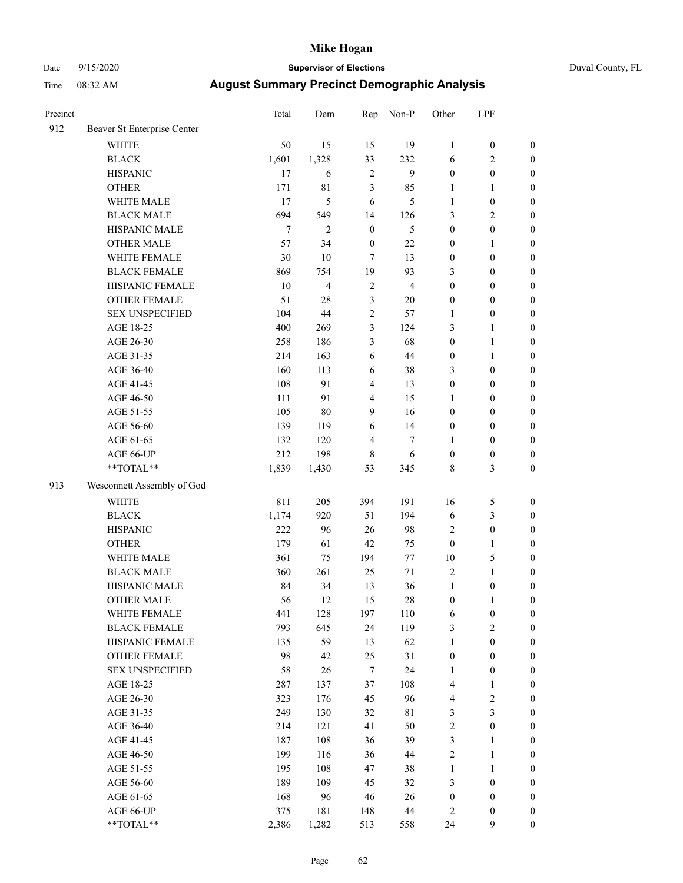# Date 9/15/2020 **Supervisor of Elections** Duval County, FL

| Precinct |                             | Total  | Dem            | Rep                     | Non-P          | Other                   | LPF              |                  |
|----------|-----------------------------|--------|----------------|-------------------------|----------------|-------------------------|------------------|------------------|
| 912      | Beaver St Enterprise Center |        |                |                         |                |                         |                  |                  |
|          | <b>WHITE</b>                | 50     | 15             | 15                      | 19             | $\mathbf{1}$            | $\boldsymbol{0}$ | $\boldsymbol{0}$ |
|          | <b>BLACK</b>                | 1,601  | 1,328          | 33                      | 232            | 6                       | $\mathfrak{2}$   | $\boldsymbol{0}$ |
|          | <b>HISPANIC</b>             | 17     | 6              | 2                       | 9              | $\boldsymbol{0}$        | $\boldsymbol{0}$ | $\boldsymbol{0}$ |
|          | <b>OTHER</b>                | 171    | 81             | 3                       | 85             | 1                       | $\mathbf{1}$     | $\boldsymbol{0}$ |
|          | WHITE MALE                  | 17     | 5              | 6                       | 5              | $\mathbf{1}$            | $\boldsymbol{0}$ | $\boldsymbol{0}$ |
|          | <b>BLACK MALE</b>           | 694    | 549            | 14                      | 126            | 3                       | $\sqrt{2}$       | $\boldsymbol{0}$ |
|          | HISPANIC MALE               | $\tau$ | $\mathfrak{2}$ | $\boldsymbol{0}$        | 5              | $\boldsymbol{0}$        | $\boldsymbol{0}$ | $\boldsymbol{0}$ |
|          | <b>OTHER MALE</b>           | 57     | 34             | $\boldsymbol{0}$        | $22\,$         | $\boldsymbol{0}$        | $\mathbf{1}$     | $\boldsymbol{0}$ |
|          | WHITE FEMALE                | 30     | 10             | 7                       | 13             | $\boldsymbol{0}$        | $\boldsymbol{0}$ | $\boldsymbol{0}$ |
|          | <b>BLACK FEMALE</b>         | 869    | 754            | 19                      | 93             | 3                       | $\boldsymbol{0}$ | $\boldsymbol{0}$ |
|          | HISPANIC FEMALE             | 10     | $\overline{4}$ | 2                       | $\overline{4}$ | $\boldsymbol{0}$        | $\boldsymbol{0}$ | $\boldsymbol{0}$ |
|          | OTHER FEMALE                | 51     | 28             | 3                       | 20             | $\boldsymbol{0}$        | $\boldsymbol{0}$ | $\boldsymbol{0}$ |
|          | <b>SEX UNSPECIFIED</b>      | 104    | 44             | $\overline{c}$          | 57             | $\mathbf{1}$            | $\boldsymbol{0}$ | $\boldsymbol{0}$ |
|          | AGE 18-25                   | 400    | 269            | 3                       | 124            | 3                       | $\mathbf{1}$     | $\boldsymbol{0}$ |
|          | AGE 26-30                   | 258    | 186            | 3                       | 68             | $\boldsymbol{0}$        | $\mathbf{1}$     | $\boldsymbol{0}$ |
|          | AGE 31-35                   | 214    | 163            | $\sqrt{6}$              | 44             | $\boldsymbol{0}$        | $\mathbf{1}$     | $\boldsymbol{0}$ |
|          | AGE 36-40                   | 160    | 113            | 6                       | 38             | 3                       | $\boldsymbol{0}$ | $\boldsymbol{0}$ |
|          | AGE 41-45                   | 108    | 91             | $\overline{\mathbf{4}}$ | 13             | $\boldsymbol{0}$        | $\boldsymbol{0}$ | $\boldsymbol{0}$ |
|          | AGE 46-50                   | 111    | 91             | $\overline{4}$          | 15             | 1                       | $\boldsymbol{0}$ | $\boldsymbol{0}$ |
|          | AGE 51-55                   | 105    | 80             | 9                       | 16             | 0                       | $\boldsymbol{0}$ | $\boldsymbol{0}$ |
|          | AGE 56-60                   | 139    | 119            | 6                       | 14             | $\boldsymbol{0}$        | $\boldsymbol{0}$ | $\boldsymbol{0}$ |
|          | AGE 61-65                   | 132    | 120            | $\overline{4}$          | 7              | 1                       | $\boldsymbol{0}$ | $\boldsymbol{0}$ |
|          | AGE 66-UP                   | 212    | 198            | 8                       | 6              | $\boldsymbol{0}$        | $\boldsymbol{0}$ | $\boldsymbol{0}$ |
|          | $**TOTAL**$                 | 1,839  | 1,430          | 53                      | 345            | 8                       | $\mathfrak{Z}$   | $\boldsymbol{0}$ |
| 913      | Wesconnett Assembly of God  |        |                |                         |                |                         |                  |                  |
|          | <b>WHITE</b>                | 811    | 205            | 394                     | 191            | 16                      | $\mathfrak{S}$   | $\boldsymbol{0}$ |
|          | <b>BLACK</b>                | 1,174  | 920            | 51                      | 194            | 6                       | $\mathfrak{Z}$   | $\boldsymbol{0}$ |
|          | <b>HISPANIC</b>             | 222    | 96             | 26                      | 98             | 2                       | $\boldsymbol{0}$ | $\boldsymbol{0}$ |
|          | <b>OTHER</b>                | 179    | 61             | 42                      | 75             | $\boldsymbol{0}$        | $\mathbf{1}$     | $\boldsymbol{0}$ |
|          | WHITE MALE                  | 361    | 75             | 194                     | 77             | $10\,$                  | 5                | $\boldsymbol{0}$ |
|          | <b>BLACK MALE</b>           | 360    | 261            | 25                      | $71\,$         | 2                       | $\mathbf{1}$     | $\boldsymbol{0}$ |
|          | HISPANIC MALE               | 84     | 34             | 13                      | 36             | $\mathbf{1}$            | $\boldsymbol{0}$ | 0                |
|          | <b>OTHER MALE</b>           | 56     | 12             | 15                      | 28             | $\boldsymbol{0}$        | $\mathbf{1}$     | $\boldsymbol{0}$ |
|          | WHITE FEMALE                | 441    | 128            | 197                     | 110            | 6                       | $\boldsymbol{0}$ | $\boldsymbol{0}$ |
|          | <b>BLACK FEMALE</b>         | 793    | 645            | 24                      | 119            | 3                       | $\sqrt{2}$       | $\overline{0}$   |
|          | HISPANIC FEMALE             | 135    | 59             | 13                      | 62             | 1                       | $\boldsymbol{0}$ | $\overline{0}$   |
|          | <b>OTHER FEMALE</b>         | 98     | 42             | 25                      | 31             | $\boldsymbol{0}$        | $\boldsymbol{0}$ | $\overline{0}$   |
|          | <b>SEX UNSPECIFIED</b>      | 58     | 26             | $\boldsymbol{7}$        | 24             | 1                       | $\boldsymbol{0}$ | $\overline{0}$   |
|          | AGE 18-25                   | 287    | 137            | 37                      | 108            | 4                       | $\mathbf{1}$     | 0                |
|          | AGE 26-30                   | 323    | 176            | 45                      | 96             | 4                       | $\sqrt{2}$       | 0                |
|          | AGE 31-35                   | 249    | 130            | 32                      | 81             | 3                       | $\mathfrak{Z}$   | 0                |
|          | AGE 36-40                   | 214    | 121            | 41                      | 50             | $\overline{\mathbf{c}}$ | $\boldsymbol{0}$ | 0                |
|          | AGE 41-45                   | 187    | 108            | 36                      | 39             | 3                       | $\mathbf{1}$     | 0                |
|          | AGE 46-50                   | 199    | 116            | 36                      | 44             | 2                       | $\mathbf{1}$     | $\overline{0}$   |
|          | AGE 51-55                   | 195    | 108            | 47                      | 38             | 1                       | $\mathbf{1}$     | $\boldsymbol{0}$ |
|          | AGE 56-60                   | 189    | 109            | 45                      | 32             | 3                       | $\boldsymbol{0}$ | $\overline{0}$   |
|          | AGE 61-65                   | 168    | 96             | 46                      | 26             | $\boldsymbol{0}$        | $\boldsymbol{0}$ | $\boldsymbol{0}$ |
|          | AGE 66-UP                   | 375    | 181            | 148                     | 44             | 2                       | $\boldsymbol{0}$ | $\boldsymbol{0}$ |
|          | **TOTAL**                   | 2,386  | 1,282          | 513                     | 558            | 24                      | 9                | $\boldsymbol{0}$ |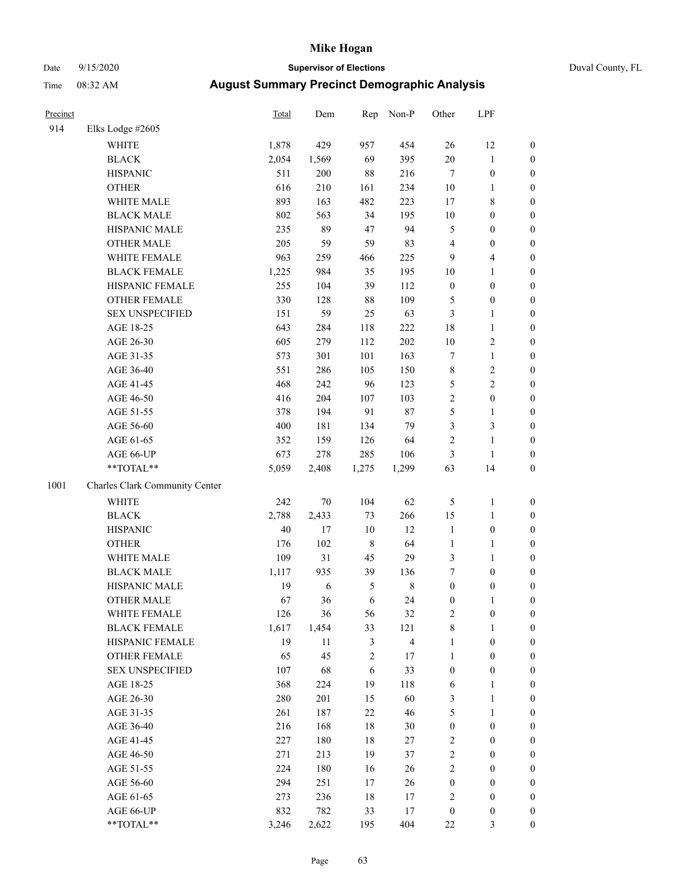# Date 9/15/2020 **Supervisor of Elections** Duval County, FL

| Precinct |                                | Total | Dem        | Rep            | Non-P       | Other                   | LPF              |                  |
|----------|--------------------------------|-------|------------|----------------|-------------|-------------------------|------------------|------------------|
| 914      | Elks Lodge #2605               |       |            |                |             |                         |                  |                  |
|          | <b>WHITE</b>                   | 1,878 | 429        | 957            | 454         | 26                      | 12               | $\boldsymbol{0}$ |
|          | <b>BLACK</b>                   | 2,054 | 1,569      | 69             | 395         | $20\,$                  | $\mathbf{1}$     | 0                |
|          | <b>HISPANIC</b>                | 511   | 200        | 88             | 216         | $\boldsymbol{7}$        | $\boldsymbol{0}$ | $\boldsymbol{0}$ |
|          | <b>OTHER</b>                   | 616   | 210        | 161            | 234         | $10\,$                  | 1                | $\boldsymbol{0}$ |
|          | WHITE MALE                     | 893   | 163        | 482            | 223         | $17$                    | $\,$ 8 $\,$      | $\boldsymbol{0}$ |
|          | <b>BLACK MALE</b>              | 802   | 563        | 34             | 195         | $10\,$                  | $\boldsymbol{0}$ | $\boldsymbol{0}$ |
|          | HISPANIC MALE                  | 235   | 89         | 47             | 94          | 5                       | $\boldsymbol{0}$ | $\boldsymbol{0}$ |
|          | <b>OTHER MALE</b>              | 205   | 59         | 59             | 83          | $\overline{\mathbf{4}}$ | $\boldsymbol{0}$ | $\boldsymbol{0}$ |
|          | WHITE FEMALE                   | 963   | 259        | 466            | 225         | $\mathbf{9}$            | $\overline{4}$   | $\boldsymbol{0}$ |
|          | <b>BLACK FEMALE</b>            | 1,225 | 984        | 35             | 195         | $10\,$                  | $\mathbf{1}$     | $\boldsymbol{0}$ |
|          | HISPANIC FEMALE                | 255   | 104        | 39             | 112         | $\boldsymbol{0}$        | $\boldsymbol{0}$ | 0                |
|          | OTHER FEMALE                   | 330   | 128        | $88\,$         | 109         | 5                       | $\boldsymbol{0}$ | $\boldsymbol{0}$ |
|          | <b>SEX UNSPECIFIED</b>         | 151   | 59         | 25             | 63          | 3                       | $\mathbf{1}$     | $\boldsymbol{0}$ |
|          | AGE 18-25                      | 643   | 284        | 118            | 222         | 18                      | $\mathbf{1}$     | $\boldsymbol{0}$ |
|          | AGE 26-30                      | 605   | 279        | 112            | 202         | $10\,$                  | $\sqrt{2}$       | $\boldsymbol{0}$ |
|          | AGE 31-35                      | 573   | 301        | 101            | 163         | $\boldsymbol{7}$        | $\mathbf{1}$     | $\boldsymbol{0}$ |
|          | AGE 36-40                      | 551   | 286        | 105            | 150         | $\,$ 8 $\,$             | $\sqrt{2}$       | $\boldsymbol{0}$ |
|          | AGE 41-45                      | 468   | 242        | 96             | 123         | 5                       | $\mathfrak{2}$   | $\boldsymbol{0}$ |
|          | AGE 46-50                      | 416   | 204        | 107            | 103         | $\sqrt{2}$              | $\boldsymbol{0}$ | $\boldsymbol{0}$ |
|          | AGE 51-55                      | 378   | 194        | 91             | 87          | $\mathfrak s$           | $\mathbf{1}$     | $\boldsymbol{0}$ |
|          | AGE 56-60                      | 400   | 181        | 134            | 79          | 3                       | $\mathfrak{Z}$   | $\boldsymbol{0}$ |
|          | AGE 61-65                      | 352   | 159        | 126            | 64          | $\sqrt{2}$              | $\mathbf{1}$     | $\boldsymbol{0}$ |
|          | AGE 66-UP                      | 673   | 278        | 285            | 106         | 3                       | $\mathbf{1}$     | $\boldsymbol{0}$ |
|          | $**TOTAL**$                    | 5,059 | 2,408      | 1,275          | 1,299       | 63                      | 14               | $\boldsymbol{0}$ |
| 1001     | Charles Clark Community Center |       |            |                |             |                         |                  |                  |
|          | <b>WHITE</b>                   | 242   | 70         | 104            | 62          | 5                       | $\mathbf{1}$     | $\boldsymbol{0}$ |
|          | <b>BLACK</b>                   | 2,788 | 2,433      | 73             | 266         | 15                      | $\mathbf{1}$     | $\boldsymbol{0}$ |
|          | <b>HISPANIC</b>                | 40    | 17         | $10\,$         | 12          | $\mathbf{1}$            | $\boldsymbol{0}$ | $\boldsymbol{0}$ |
|          | <b>OTHER</b>                   | 176   | 102        | $\,$ 8 $\,$    | 64          | $\mathbf{1}$            | $\mathbf{1}$     | $\boldsymbol{0}$ |
|          | WHITE MALE                     | 109   | 31         | 45             | 29          | 3                       | $\mathbf{1}$     | $\boldsymbol{0}$ |
|          | <b>BLACK MALE</b>              | 1,117 | 935        | 39             | 136         | $\boldsymbol{7}$        | $\boldsymbol{0}$ | $\boldsymbol{0}$ |
|          | HISPANIC MALE                  | 19    | $\sqrt{6}$ | $\mathfrak{S}$ | $\,$ 8 $\,$ | $\boldsymbol{0}$        | $\boldsymbol{0}$ | $\boldsymbol{0}$ |
|          | <b>OTHER MALE</b>              | 67    | 36         | 6              | 24          | $\boldsymbol{0}$        | 1                | $\boldsymbol{0}$ |
|          | WHITE FEMALE                   | 126   | 36         | 56             | 32          | $\overline{2}$          | $\boldsymbol{0}$ | 0                |
|          | <b>BLACK FEMALE</b>            | 1,617 | 1,454      | 33             | 121         | 8                       | $\mathbf{1}$     | 0                |
|          | HISPANIC FEMALE                | 19    | 11         | 3              | 4           | $\mathbf{1}$            | $\boldsymbol{0}$ | 0                |
|          | <b>OTHER FEMALE</b>            | 65    | 45         | $\sqrt{2}$     | 17          | $\mathbf{1}$            | $\boldsymbol{0}$ | 0                |
|          | <b>SEX UNSPECIFIED</b>         | 107   | 68         | 6              | 33          | $\boldsymbol{0}$        | $\boldsymbol{0}$ | 0                |
|          | AGE 18-25                      | 368   | 224        | 19             | 118         | 6                       | $\mathbf{1}$     | 0                |
|          | AGE 26-30                      | 280   | 201        | 15             | 60          | 3                       | $\mathbf{1}$     | 0                |
|          | AGE 31-35                      | 261   | 187        | 22             | $46\,$      | 5                       | $\mathbf{1}$     | 0                |
|          | AGE 36-40                      | 216   | 168        | $18\,$         | 30          | $\boldsymbol{0}$        | $\boldsymbol{0}$ | 0                |
|          | AGE 41-45                      | 227   | 180        | $18\,$         | 27          | $\overline{c}$          | $\boldsymbol{0}$ | 0                |
|          | AGE 46-50                      | 271   | 213        | 19             | 37          | $\sqrt{2}$              | $\boldsymbol{0}$ | 0                |
|          | AGE 51-55                      | 224   | 180        | 16             | 26          | $\sqrt{2}$              | $\boldsymbol{0}$ | $\overline{0}$   |
|          | AGE 56-60                      | 294   | 251        | $17\,$         | 26          | $\boldsymbol{0}$        | $\boldsymbol{0}$ | $\overline{0}$   |
|          | AGE 61-65                      | 273   | 236        | 18             | 17          | 2                       | $\boldsymbol{0}$ | 0                |
|          | AGE 66-UP                      | 832   | 782        | 33             | 17          | $\boldsymbol{0}$        | $\boldsymbol{0}$ | 0                |
|          | **TOTAL**                      | 3,246 | 2,622      | 195            | 404         | $22\,$                  | $\mathfrak{Z}$   | $\boldsymbol{0}$ |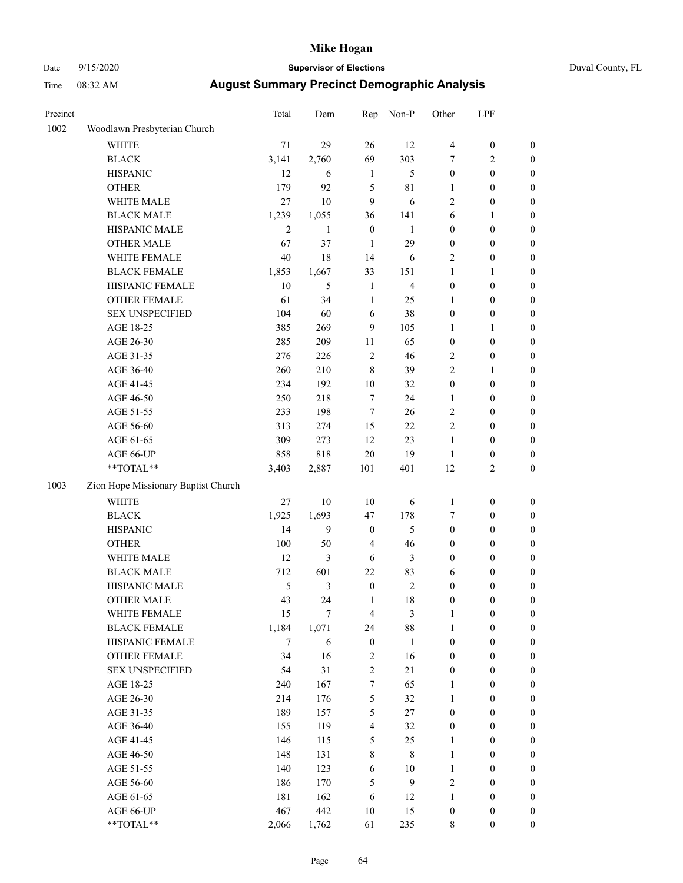# Date 9/15/2020 **Supervisor of Elections** Duval County, FL

| Precinct |                                     | Total          | Dem            | Rep              | Non-P          | Other            | LPF              |                  |
|----------|-------------------------------------|----------------|----------------|------------------|----------------|------------------|------------------|------------------|
| 1002     | Woodlawn Presbyterian Church        |                |                |                  |                |                  |                  |                  |
|          | <b>WHITE</b>                        | 71             | 29             | 26               | 12             | $\overline{4}$   | $\boldsymbol{0}$ | $\boldsymbol{0}$ |
|          | <b>BLACK</b>                        | 3,141          | 2,760          | 69               | 303            | 7                | $\mathfrak{2}$   | $\boldsymbol{0}$ |
|          | <b>HISPANIC</b>                     | 12             | 6              | $\mathbf{1}$     | 5              | $\boldsymbol{0}$ | $\boldsymbol{0}$ | $\boldsymbol{0}$ |
|          | <b>OTHER</b>                        | 179            | 92             | 5                | $8\sqrt{1}$    | 1                | $\boldsymbol{0}$ | $\boldsymbol{0}$ |
|          | WHITE MALE                          | 27             | 10             | 9                | 6              | $\sqrt{2}$       | $\boldsymbol{0}$ | $\boldsymbol{0}$ |
|          | <b>BLACK MALE</b>                   | 1,239          | 1,055          | 36               | 141            | $\sqrt{6}$       | $\mathbf{1}$     | $\boldsymbol{0}$ |
|          | HISPANIC MALE                       | $\overline{c}$ | $\mathbf{1}$   | $\boldsymbol{0}$ | $\mathbf{1}$   | $\boldsymbol{0}$ | $\boldsymbol{0}$ | $\boldsymbol{0}$ |
|          | <b>OTHER MALE</b>                   | 67             | 37             | $\mathbf{1}$     | 29             | $\boldsymbol{0}$ | $\boldsymbol{0}$ | $\boldsymbol{0}$ |
|          | WHITE FEMALE                        | 40             | 18             | 14               | 6              | $\sqrt{2}$       | $\boldsymbol{0}$ | 0                |
|          | <b>BLACK FEMALE</b>                 | 1,853          | 1,667          | 33               | 151            | $\mathbf{1}$     | 1                | 0                |
|          | HISPANIC FEMALE                     | 10             | 5              | $\mathbf{1}$     | $\overline{4}$ | $\boldsymbol{0}$ | $\boldsymbol{0}$ | $\boldsymbol{0}$ |
|          | OTHER FEMALE                        | 61             | 34             | $\mathbf{1}$     | 25             | $\mathbf{1}$     | $\boldsymbol{0}$ | $\boldsymbol{0}$ |
|          | <b>SEX UNSPECIFIED</b>              | 104            | 60             | $\sqrt{6}$       | 38             | $\boldsymbol{0}$ | $\boldsymbol{0}$ | $\boldsymbol{0}$ |
|          | AGE 18-25                           | 385            | 269            | 9                | 105            | $\mathbf{1}$     | $\mathbf{1}$     | $\boldsymbol{0}$ |
|          | AGE 26-30                           | 285            | 209            | $11\,$           | 65             | $\boldsymbol{0}$ | $\boldsymbol{0}$ | $\boldsymbol{0}$ |
|          | AGE 31-35                           | 276            | 226            | $\sqrt{2}$       | $46\,$         | 2                | $\boldsymbol{0}$ | $\boldsymbol{0}$ |
|          | AGE 36-40                           | 260            | 210            | $\,$ 8 $\,$      | 39             | $\overline{c}$   | $\mathbf{1}$     | $\boldsymbol{0}$ |
|          | AGE 41-45                           | 234            | 192            | $10\,$           | 32             | $\boldsymbol{0}$ | $\boldsymbol{0}$ | $\boldsymbol{0}$ |
|          | AGE 46-50                           | 250            | 218            | 7                | 24             | 1                | $\boldsymbol{0}$ | $\boldsymbol{0}$ |
|          | AGE 51-55                           | 233            | 198            | $\tau$           | 26             | $\sqrt{2}$       | $\boldsymbol{0}$ | 0                |
|          | AGE 56-60                           | 313            | 274            | 15               | $22\,$         | $\sqrt{2}$       | $\boldsymbol{0}$ | $\boldsymbol{0}$ |
|          | AGE 61-65                           | 309            | 273            | 12               | 23             | $\mathbf{1}$     | $\boldsymbol{0}$ | $\boldsymbol{0}$ |
|          | AGE 66-UP                           | 858            | 818            | $20\,$           | 19             | $\mathbf{1}$     | $\boldsymbol{0}$ | $\boldsymbol{0}$ |
|          | **TOTAL**                           | 3,403          | 2,887          | 101              | 401            | 12               | $\sqrt{2}$       | $\boldsymbol{0}$ |
| 1003     | Zion Hope Missionary Baptist Church |                |                |                  |                |                  |                  |                  |
|          | <b>WHITE</b>                        | $27\,$         | $10\,$         | $10\,$           | 6              | $\mathbf{1}$     | $\boldsymbol{0}$ | $\boldsymbol{0}$ |
|          | <b>BLACK</b>                        | 1,925          | 1,693          | 47               | 178            | 7                | $\boldsymbol{0}$ | $\boldsymbol{0}$ |
|          | <b>HISPANIC</b>                     | 14             | $\overline{9}$ | $\boldsymbol{0}$ | 5              | $\boldsymbol{0}$ | $\boldsymbol{0}$ | $\boldsymbol{0}$ |
|          | <b>OTHER</b>                        | 100            | 50             | $\overline{4}$   | $46\,$         | $\boldsymbol{0}$ | $\boldsymbol{0}$ | $\boldsymbol{0}$ |
|          | WHITE MALE                          | 12             | 3              | 6                | $\mathfrak{Z}$ | $\boldsymbol{0}$ | $\boldsymbol{0}$ | 0                |
|          | <b>BLACK MALE</b>                   | 712            | 601            | 22               | 83             | 6                | $\boldsymbol{0}$ | $\boldsymbol{0}$ |
|          | HISPANIC MALE                       | 5              | $\mathfrak{Z}$ | $\boldsymbol{0}$ | $\sqrt{2}$     | $\boldsymbol{0}$ | $\boldsymbol{0}$ | 0                |
|          | <b>OTHER MALE</b>                   | 43             | 24             | $\mathbf{1}$     | $18\,$         | $\boldsymbol{0}$ | $\boldsymbol{0}$ | $\boldsymbol{0}$ |
|          | WHITE FEMALE                        | 15             | 7              | $\overline{4}$   | 3              | $\mathbf{1}$     | $\boldsymbol{0}$ | $\boldsymbol{0}$ |
|          | <b>BLACK FEMALE</b>                 | 1,184          | 1,071          | 24               | $88\,$         | $\mathbf{1}$     | $\boldsymbol{0}$ | $\overline{0}$   |
|          | HISPANIC FEMALE                     | 7              | 6              | $\boldsymbol{0}$ | $\mathbf{1}$   | $\boldsymbol{0}$ | $\boldsymbol{0}$ | $\overline{0}$   |
|          | OTHER FEMALE                        | 34             | 16             | $\sqrt{2}$       | 16             | $\boldsymbol{0}$ | $\boldsymbol{0}$ | $\overline{0}$   |
|          | <b>SEX UNSPECIFIED</b>              | 54             | 31             | $\overline{c}$   | 21             | $\boldsymbol{0}$ | $\boldsymbol{0}$ | $\overline{0}$   |
|          | AGE 18-25                           | 240            | 167            | $\boldsymbol{7}$ | 65             | $\mathbf{1}$     | $\boldsymbol{0}$ | 0                |
|          | AGE 26-30                           | 214            | 176            | 5                | 32             | $\mathbf{1}$     | $\boldsymbol{0}$ | 0                |
|          | AGE 31-35                           | 189            | 157            | 5                | $27\,$         | $\boldsymbol{0}$ | $\boldsymbol{0}$ | 0                |
|          | AGE 36-40                           | 155            | 119            | $\overline{4}$   | 32             | $\boldsymbol{0}$ | $\boldsymbol{0}$ | 0                |
|          | AGE 41-45                           | 146            | 115            | 5                | 25             | $\mathbf{1}$     | $\boldsymbol{0}$ | 0                |
|          | AGE 46-50                           | 148            | 131            | $\,$ 8 $\,$      | $\,$ 8 $\,$    | $\mathbf{1}$     | $\boldsymbol{0}$ | $\boldsymbol{0}$ |
|          | AGE 51-55                           | 140            | 123            | 6                | 10             | $\mathbf{1}$     | $\boldsymbol{0}$ | $\boldsymbol{0}$ |
|          | AGE 56-60                           | 186            | 170            | 5                | 9              | $\overline{c}$   | $\boldsymbol{0}$ | $\overline{0}$   |
|          | AGE 61-65                           | 181            | 162            | 6                | 12             | $\mathbf{1}$     | $\boldsymbol{0}$ | 0                |
|          | AGE 66-UP                           | 467            | 442            | $10\,$           | 15             | $\boldsymbol{0}$ | $\boldsymbol{0}$ | $\boldsymbol{0}$ |
|          | **TOTAL**                           | 2,066          | 1,762          | 61               | 235            | $\,$ 8 $\,$      | $\boldsymbol{0}$ | $\boldsymbol{0}$ |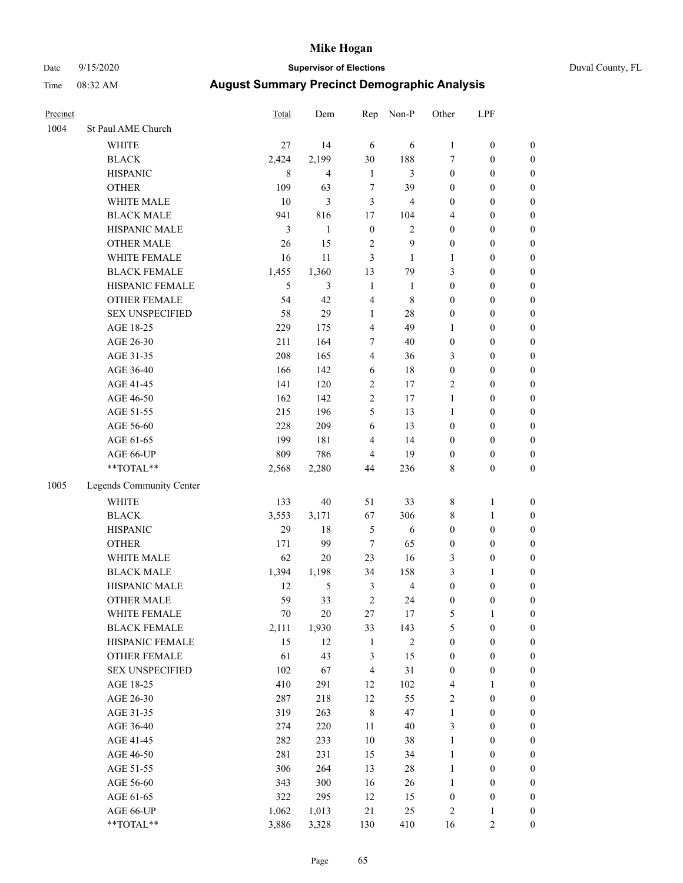# Date 9/15/2020 **Supervisor of Elections** Duval County, FL

| Precinct |                          | Total          | Dem            | Rep                     | Non-P          | Other            | LPF              |                  |
|----------|--------------------------|----------------|----------------|-------------------------|----------------|------------------|------------------|------------------|
| 1004     | St Paul AME Church       |                |                |                         |                |                  |                  |                  |
|          | <b>WHITE</b>             | 27             | 14             | 6                       | 6              | $\mathbf{1}$     | $\boldsymbol{0}$ | 0                |
|          | <b>BLACK</b>             | 2,424          | 2,199          | 30                      | 188            | 7                | $\boldsymbol{0}$ | 0                |
|          | <b>HISPANIC</b>          | 8              | $\overline{4}$ | $\mathbf{1}$            | 3              | $\boldsymbol{0}$ | $\boldsymbol{0}$ | $\boldsymbol{0}$ |
|          | <b>OTHER</b>             | 109            | 63             | 7                       | 39             | $\boldsymbol{0}$ | $\boldsymbol{0}$ | $\boldsymbol{0}$ |
|          | WHITE MALE               | 10             | $\mathfrak{Z}$ | 3                       | 4              | $\boldsymbol{0}$ | $\boldsymbol{0}$ | $\boldsymbol{0}$ |
|          | <b>BLACK MALE</b>        | 941            | 816            | 17                      | 104            | 4                | $\boldsymbol{0}$ | $\boldsymbol{0}$ |
|          | HISPANIC MALE            | $\mathfrak{Z}$ | $\mathbf{1}$   | $\boldsymbol{0}$        | $\mathbf{2}$   | $\boldsymbol{0}$ | $\boldsymbol{0}$ | $\boldsymbol{0}$ |
|          | <b>OTHER MALE</b>        | 26             | 15             | $\overline{c}$          | 9              | $\boldsymbol{0}$ | $\boldsymbol{0}$ | $\boldsymbol{0}$ |
|          | WHITE FEMALE             | 16             | 11             | 3                       | 1              | $\mathbf{1}$     | $\boldsymbol{0}$ | $\boldsymbol{0}$ |
|          | <b>BLACK FEMALE</b>      | 1,455          | 1,360          | 13                      | 79             | 3                | $\boldsymbol{0}$ | $\boldsymbol{0}$ |
|          | HISPANIC FEMALE          | 5              | 3              | $\mathbf{1}$            | $\mathbf{1}$   | $\boldsymbol{0}$ | $\boldsymbol{0}$ | $\boldsymbol{0}$ |
|          | <b>OTHER FEMALE</b>      | 54             | 42             | $\overline{\mathbf{4}}$ | $\,$ 8 $\,$    | $\boldsymbol{0}$ | $\boldsymbol{0}$ | $\boldsymbol{0}$ |
|          | <b>SEX UNSPECIFIED</b>   | 58             | 29             | $\mathbf{1}$            | $28\,$         | $\boldsymbol{0}$ | $\boldsymbol{0}$ | $\boldsymbol{0}$ |
|          | AGE 18-25                | 229            | 175            | $\overline{\mathbf{4}}$ | 49             | $\mathbf{1}$     | $\boldsymbol{0}$ | $\boldsymbol{0}$ |
|          | AGE 26-30                | 211            | 164            | 7                       | 40             | $\boldsymbol{0}$ | $\boldsymbol{0}$ | $\boldsymbol{0}$ |
|          | AGE 31-35                | 208            | 165            | $\overline{\mathbf{4}}$ | 36             | 3                | $\boldsymbol{0}$ | $\boldsymbol{0}$ |
|          | AGE 36-40                | 166            | 142            | 6                       | $18\,$         | $\boldsymbol{0}$ | $\boldsymbol{0}$ | $\boldsymbol{0}$ |
|          | AGE 41-45                | 141            | 120            | $\overline{c}$          | $17\,$         | 2                | $\boldsymbol{0}$ | $\boldsymbol{0}$ |
|          | AGE 46-50                | 162            | 142            | $\overline{c}$          | 17             | $\mathbf{1}$     | $\boldsymbol{0}$ | $\boldsymbol{0}$ |
|          | AGE 51-55                | 215            | 196            | 5                       | 13             | $\mathbf{1}$     | $\boldsymbol{0}$ | $\boldsymbol{0}$ |
|          | AGE 56-60                | 228            | 209            | 6                       | 13             | $\boldsymbol{0}$ | $\boldsymbol{0}$ | 0                |
|          | AGE 61-65                | 199            | 181            | $\overline{4}$          | 14             | $\boldsymbol{0}$ | $\boldsymbol{0}$ | $\boldsymbol{0}$ |
|          | AGE 66-UP                | 809            | 786            | $\overline{\mathbf{4}}$ | 19             | $\boldsymbol{0}$ | $\boldsymbol{0}$ | $\boldsymbol{0}$ |
|          | **TOTAL**                | 2,568          | 2,280          | 44                      | 236            | 8                | $\boldsymbol{0}$ | $\boldsymbol{0}$ |
| 1005     | Legends Community Center |                |                |                         |                |                  |                  |                  |
|          | WHITE                    | 133            | 40             | 51                      | 33             | 8                | $\mathbf{1}$     | $\boldsymbol{0}$ |
|          | <b>BLACK</b>             | 3,553          | 3,171          | 67                      | 306            | 8                | $\mathbf{1}$     | $\boldsymbol{0}$ |
|          | <b>HISPANIC</b>          | 29             | 18             | 5                       | 6              | $\boldsymbol{0}$ | $\boldsymbol{0}$ | $\boldsymbol{0}$ |
|          | <b>OTHER</b>             | 171            | 99             | $\tau$                  | 65             | $\boldsymbol{0}$ | $\boldsymbol{0}$ | $\boldsymbol{0}$ |
|          | WHITE MALE               | 62             | 20             | 23                      | 16             | 3                | $\boldsymbol{0}$ | $\boldsymbol{0}$ |
|          | <b>BLACK MALE</b>        | 1,394          | 1,198          | 34                      | 158            | 3                | $\mathbf{1}$     | $\boldsymbol{0}$ |
|          | HISPANIC MALE            | 12             | 5              | 3                       | $\overline{4}$ | $\boldsymbol{0}$ | $\boldsymbol{0}$ | 0                |
|          | <b>OTHER MALE</b>        | 59             | 33             | $\overline{c}$          | 24             | $\boldsymbol{0}$ | $\boldsymbol{0}$ | $\boldsymbol{0}$ |
|          | WHITE FEMALE             | 70             | 20             | 27                      | 17             | 5                | 1                | 0                |
|          | <b>BLACK FEMALE</b>      | 2,111          | 1,930          | 33                      | 143            | 5                | $\boldsymbol{0}$ | $\boldsymbol{0}$ |
|          | HISPANIC FEMALE          | 15             | 12             | $\mathbf{1}$            | $\sqrt{2}$     | $\boldsymbol{0}$ | $\boldsymbol{0}$ | $\overline{0}$   |
|          | <b>OTHER FEMALE</b>      | 61             | 43             | 3                       | 15             | $\boldsymbol{0}$ | $\boldsymbol{0}$ | $\overline{0}$   |
|          | <b>SEX UNSPECIFIED</b>   | 102            | 67             | $\overline{\mathbf{4}}$ | 31             | $\boldsymbol{0}$ | $\boldsymbol{0}$ | 0                |
|          | AGE 18-25                | 410            | 291            | 12                      | 102            | 4                | $\mathbf{1}$     | $\overline{0}$   |
|          | AGE 26-30                | 287            | 218            | 12                      | 55             | 2                | $\boldsymbol{0}$ | 0                |
|          | AGE 31-35                | 319            | 263            | $\,8\,$                 | 47             | $\mathbf{1}$     | $\boldsymbol{0}$ | 0                |
|          | AGE 36-40                | 274            | 220            | 11                      | $40\,$         | 3                | $\boldsymbol{0}$ | 0                |
|          | AGE 41-45                | 282            | 233            | $10\,$                  | 38             | $\mathbf{1}$     | $\boldsymbol{0}$ | 0                |
|          | AGE 46-50                | 281            | 231            | 15                      | 34             | $\mathbf{1}$     | $\boldsymbol{0}$ | 0                |
|          | AGE 51-55                | 306            | 264            | 13                      | $28\,$         | $\mathbf{1}$     | $\boldsymbol{0}$ | $\boldsymbol{0}$ |
|          | AGE 56-60                | 343            | 300            | 16                      | 26             | $\mathbf{1}$     | $\boldsymbol{0}$ | $\boldsymbol{0}$ |
|          | AGE 61-65                | 322            | 295            | 12                      | 15             | $\boldsymbol{0}$ | $\boldsymbol{0}$ | $\boldsymbol{0}$ |
|          | AGE 66-UP                | 1,062          | 1,013          | 21                      | 25             | $\sqrt{2}$       | $\mathbf{1}$     | 0                |
|          | **TOTAL**                | 3,886          | 3,328          | 130                     | 410            | 16               | $\sqrt{2}$       | $\boldsymbol{0}$ |
|          |                          |                |                |                         |                |                  |                  |                  |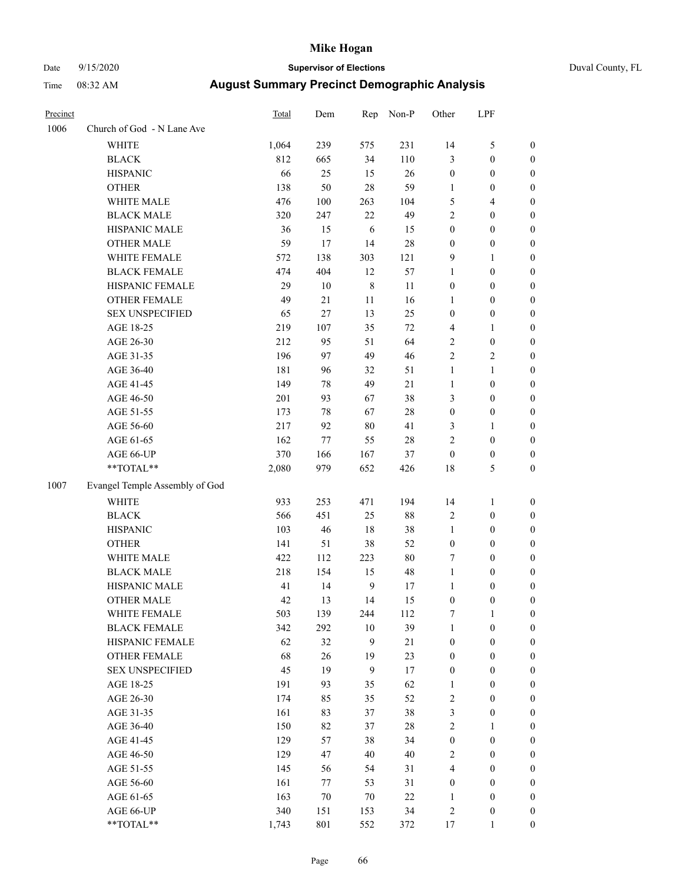# Date 9/15/2020 **Supervisor of Elections** Duval County, FL

| Precinct |                                | <b>Total</b> | Dem    | Rep          | Non-P  | Other            | LPF              |                  |
|----------|--------------------------------|--------------|--------|--------------|--------|------------------|------------------|------------------|
| 1006     | Church of God - N Lane Ave     |              |        |              |        |                  |                  |                  |
|          | <b>WHITE</b>                   | 1,064        | 239    | 575          | 231    | 14               | $\mathfrak s$    | 0                |
|          | <b>BLACK</b>                   | 812          | 665    | 34           | 110    | 3                | $\boldsymbol{0}$ | 0                |
|          | <b>HISPANIC</b>                | 66           | 25     | 15           | 26     | $\boldsymbol{0}$ | $\boldsymbol{0}$ | $\boldsymbol{0}$ |
|          | <b>OTHER</b>                   | 138          | 50     | 28           | 59     | $\mathbf{1}$     | $\boldsymbol{0}$ | $\boldsymbol{0}$ |
|          | WHITE MALE                     | 476          | 100    | 263          | 104    | 5                | $\overline{4}$   | $\boldsymbol{0}$ |
|          | <b>BLACK MALE</b>              | 320          | 247    | 22           | 49     | $\overline{c}$   | $\boldsymbol{0}$ | $\boldsymbol{0}$ |
|          | HISPANIC MALE                  | 36           | 15     | 6            | 15     | $\boldsymbol{0}$ | $\boldsymbol{0}$ | $\boldsymbol{0}$ |
|          | <b>OTHER MALE</b>              | 59           | 17     | 14           | 28     | $\boldsymbol{0}$ | $\boldsymbol{0}$ | $\boldsymbol{0}$ |
|          | WHITE FEMALE                   | 572          | 138    | 303          | 121    | 9                | $\mathbf{1}$     | $\boldsymbol{0}$ |
|          | <b>BLACK FEMALE</b>            | 474          | 404    | 12           | 57     | 1                | $\boldsymbol{0}$ | 0                |
|          | HISPANIC FEMALE                | 29           | 10     | $\,8\,$      | 11     | 0                | $\boldsymbol{0}$ | 0                |
|          | OTHER FEMALE                   | 49           | 21     | 11           | 16     | 1                | $\boldsymbol{0}$ | $\boldsymbol{0}$ |
|          | <b>SEX UNSPECIFIED</b>         | 65           | 27     | 13           | 25     | $\boldsymbol{0}$ | $\boldsymbol{0}$ | $\boldsymbol{0}$ |
|          | AGE 18-25                      | 219          | 107    | 35           | $72\,$ | 4                | 1                | $\boldsymbol{0}$ |
|          | AGE 26-30                      | 212          | 95     | 51           | 64     | 2                | $\boldsymbol{0}$ | $\boldsymbol{0}$ |
|          | AGE 31-35                      | 196          | 97     | 49           | 46     | $\overline{c}$   | $\sqrt{2}$       | $\boldsymbol{0}$ |
|          | AGE 36-40                      | 181          | 96     | 32           | 51     | $\mathbf{1}$     | 1                | $\boldsymbol{0}$ |
|          | AGE 41-45                      | 149          | $78\,$ | 49           | 21     | $\mathbf{1}$     | $\boldsymbol{0}$ | $\boldsymbol{0}$ |
|          | AGE 46-50                      | 201          | 93     | 67           | 38     | 3                | $\boldsymbol{0}$ | $\boldsymbol{0}$ |
|          | AGE 51-55                      | 173          | 78     | 67           | $28\,$ | $\boldsymbol{0}$ | $\boldsymbol{0}$ | 0                |
|          | AGE 56-60                      | 217          | 92     | 80           | 41     | 3                | 1                | 0                |
|          | AGE 61-65                      | 162          | 77     | 55           | $28\,$ | $\overline{c}$   | $\boldsymbol{0}$ | 0                |
|          | AGE 66-UP                      | 370          | 166    | 167          | 37     | $\boldsymbol{0}$ | $\boldsymbol{0}$ | $\boldsymbol{0}$ |
|          | $**TOTAL**$                    | 2,080        | 979    | 652          | 426    | 18               | $\mathfrak s$    | $\boldsymbol{0}$ |
| 1007     | Evangel Temple Assembly of God |              |        |              |        |                  |                  |                  |
|          | <b>WHITE</b>                   | 933          | 253    | 471          | 194    | 14               | $\mathbf{1}$     | $\boldsymbol{0}$ |
|          | <b>BLACK</b>                   | 566          | 451    | 25           | 88     | 2                | $\boldsymbol{0}$ | $\boldsymbol{0}$ |
|          | <b>HISPANIC</b>                | 103          | 46     | 18           | 38     | 1                | $\boldsymbol{0}$ | $\boldsymbol{0}$ |
|          | <b>OTHER</b>                   | 141          | 51     | 38           | 52     | $\boldsymbol{0}$ | $\boldsymbol{0}$ | $\boldsymbol{0}$ |
|          | WHITE MALE                     | 422          | 112    | 223          | $80\,$ | 7                | $\boldsymbol{0}$ | $\boldsymbol{0}$ |
|          | <b>BLACK MALE</b>              | 218          | 154    | 15           | 48     | $\mathbf{1}$     | $\boldsymbol{0}$ | $\boldsymbol{0}$ |
|          | HISPANIC MALE                  | 41           | 14     | $\mathbf{9}$ | 17     | 1                | $\boldsymbol{0}$ | 0                |
|          | <b>OTHER MALE</b>              | 42           | 13     | 14           | 15     | $\boldsymbol{0}$ | $\boldsymbol{0}$ | $\boldsymbol{0}$ |
|          | WHITE FEMALE                   | 503          | 139    | 244          | 112    | 7                | 1                | 0                |
|          | <b>BLACK FEMALE</b>            | 342          | 292    | $10\,$       | 39     | 1                | $\boldsymbol{0}$ | $\overline{0}$   |
|          | HISPANIC FEMALE                | 62           | 32     | 9            | 21     | $\boldsymbol{0}$ | $\boldsymbol{0}$ | $\overline{0}$   |
|          | OTHER FEMALE                   | 68           | 26     | 19           | 23     | $\boldsymbol{0}$ | $\boldsymbol{0}$ | $\overline{0}$   |
|          | <b>SEX UNSPECIFIED</b>         | 45           | 19     | $\mathbf{9}$ | 17     | $\boldsymbol{0}$ | $\boldsymbol{0}$ | 0                |
|          | AGE 18-25                      | 191          | 93     | 35           | 62     | 1                | $\boldsymbol{0}$ | $\theta$         |
|          | AGE 26-30                      | 174          | 85     | 35           | 52     | 2                | $\boldsymbol{0}$ | 0                |
|          | AGE 31-35                      | 161          | 83     | 37           | 38     | 3                | $\boldsymbol{0}$ | 0                |
|          | AGE 36-40                      | 150          | 82     | 37           | $28\,$ | $\overline{c}$   | 1                | 0                |
|          | AGE 41-45                      | 129          | 57     | 38           | 34     | $\boldsymbol{0}$ | $\boldsymbol{0}$ | 0                |
|          | AGE 46-50                      | 129          | 47     | 40           | 40     | $\overline{c}$   | $\boldsymbol{0}$ | 0                |
|          | AGE 51-55                      | 145          | 56     | 54           | 31     | 4                | $\boldsymbol{0}$ | $\overline{0}$   |
|          | AGE 56-60                      | 161          | 77     | 53           | 31     | 0                | $\boldsymbol{0}$ | $\overline{0}$   |
|          | AGE 61-65                      | 163          | 70     | 70           | $22\,$ | 1                | $\boldsymbol{0}$ | $\overline{0}$   |
|          | AGE 66-UP                      | 340          | 151    | 153          | 34     | 2                | $\boldsymbol{0}$ | 0                |
|          | **TOTAL**                      | 1,743        | 801    | 552          | 372    | 17               | $\mathbf{1}$     | $\boldsymbol{0}$ |
|          |                                |              |        |              |        |                  |                  |                  |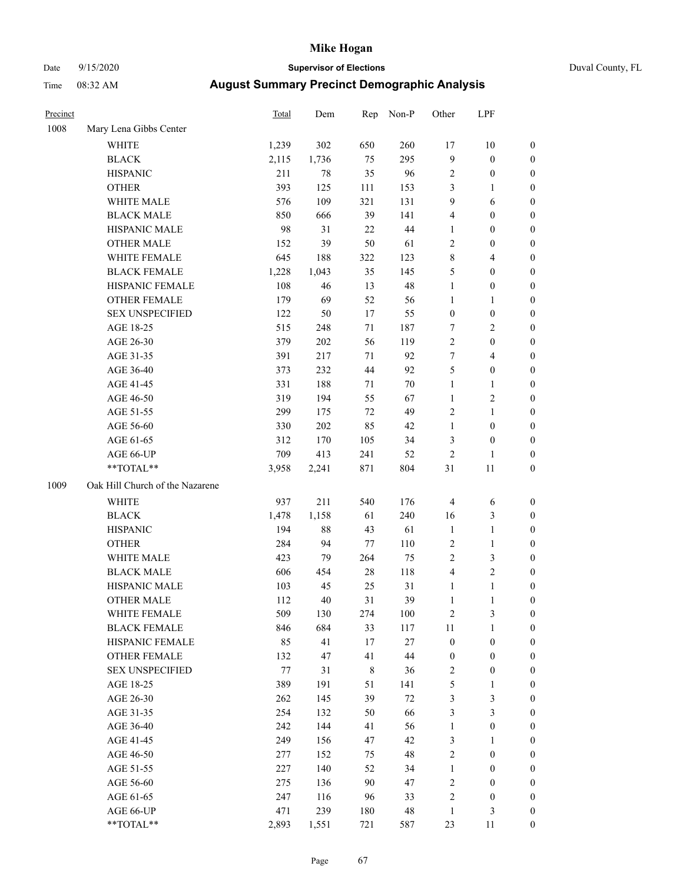# Date 9/15/2020 **Supervisor of Elections** Duval County, FL

| Precinct |                                 | <b>Total</b> | Dem    | Rep    | Non-P  | Other                   | LPF              |                  |
|----------|---------------------------------|--------------|--------|--------|--------|-------------------------|------------------|------------------|
| 1008     | Mary Lena Gibbs Center          |              |        |        |        |                         |                  |                  |
|          | <b>WHITE</b>                    | 1,239        | 302    | 650    | 260    | 17                      | 10               | 0                |
|          | <b>BLACK</b>                    | 2,115        | 1,736  | 75     | 295    | 9                       | $\boldsymbol{0}$ | 0                |
|          | <b>HISPANIC</b>                 | 211          | 78     | 35     | 96     | 2                       | $\boldsymbol{0}$ | $\boldsymbol{0}$ |
|          | <b>OTHER</b>                    | 393          | 125    | 111    | 153    | 3                       | 1                | $\boldsymbol{0}$ |
|          | WHITE MALE                      | 576          | 109    | 321    | 131    | 9                       | 6                | $\boldsymbol{0}$ |
|          | <b>BLACK MALE</b>               | 850          | 666    | 39     | 141    | 4                       | $\boldsymbol{0}$ | $\boldsymbol{0}$ |
|          | HISPANIC MALE                   | 98           | 31     | 22     | 44     | 1                       | $\boldsymbol{0}$ | $\boldsymbol{0}$ |
|          | <b>OTHER MALE</b>               | 152          | 39     | 50     | 61     | $\overline{c}$          | $\boldsymbol{0}$ | $\boldsymbol{0}$ |
|          | WHITE FEMALE                    | 645          | 188    | 322    | 123    | 8                       | $\overline{4}$   | $\boldsymbol{0}$ |
|          | <b>BLACK FEMALE</b>             | 1,228        | 1,043  | 35     | 145    | 5                       | $\boldsymbol{0}$ | $\boldsymbol{0}$ |
|          | HISPANIC FEMALE                 | 108          | 46     | 13     | 48     | $\mathbf{1}$            | $\boldsymbol{0}$ | $\boldsymbol{0}$ |
|          | OTHER FEMALE                    | 179          | 69     | 52     | 56     | 1                       | 1                | $\boldsymbol{0}$ |
|          | <b>SEX UNSPECIFIED</b>          | 122          | 50     | 17     | 55     | $\boldsymbol{0}$        | $\boldsymbol{0}$ | $\boldsymbol{0}$ |
|          | AGE 18-25                       | 515          | 248    | 71     | 187    | 7                       | $\sqrt{2}$       | $\boldsymbol{0}$ |
|          | AGE 26-30                       | 379          | 202    | 56     | 119    | $\overline{c}$          | $\boldsymbol{0}$ | $\boldsymbol{0}$ |
|          | AGE 31-35                       | 391          | 217    | 71     | 92     | 7                       | $\overline{4}$   | $\boldsymbol{0}$ |
|          | AGE 36-40                       | 373          | 232    | 44     | 92     | 5                       | $\boldsymbol{0}$ | $\boldsymbol{0}$ |
|          | AGE 41-45                       | 331          | 188    | 71     | $70\,$ | $\mathbf{1}$            | $\mathbf{1}$     | $\boldsymbol{0}$ |
|          | AGE 46-50                       | 319          | 194    | 55     | 67     | 1                       | $\overline{c}$   | $\boldsymbol{0}$ |
|          | AGE 51-55                       | 299          | 175    | 72     | 49     | 2                       | $\mathbf{1}$     | 0                |
|          | AGE 56-60                       | 330          | 202    | 85     | 42     | $\mathbf{1}$            | $\boldsymbol{0}$ | 0                |
|          | AGE 61-65                       | 312          | 170    | 105    | 34     | 3                       | $\boldsymbol{0}$ | $\boldsymbol{0}$ |
|          | AGE 66-UP                       | 709          | 413    | 241    | 52     | 2                       | $\mathbf{1}$     | $\boldsymbol{0}$ |
|          | **TOTAL**                       | 3,958        | 2,241  | 871    | 804    | 31                      | $11\,$           | $\boldsymbol{0}$ |
| 1009     | Oak Hill Church of the Nazarene |              |        |        |        |                         |                  |                  |
|          | <b>WHITE</b>                    | 937          | 211    | 540    | 176    | 4                       | 6                | $\boldsymbol{0}$ |
|          | <b>BLACK</b>                    | 1,478        | 1,158  | 61     | 240    | 16                      | $\mathfrak{Z}$   | $\boldsymbol{0}$ |
|          | <b>HISPANIC</b>                 | 194          | $88\,$ | 43     | 61     | $\mathbf{1}$            | $\mathbf{1}$     | $\boldsymbol{0}$ |
|          | <b>OTHER</b>                    | 284          | 94     | 77     | 110    | 2                       | $\mathbf{1}$     | $\boldsymbol{0}$ |
|          | WHITE MALE                      | 423          | 79     | 264    | 75     | $\overline{c}$          | 3                | $\overline{0}$   |
|          | <b>BLACK MALE</b>               | 606          | 454    | $28\,$ | 118    | 4                       | $\overline{c}$   | $\boldsymbol{0}$ |
|          | HISPANIC MALE                   | 103          | 45     | 25     | 31     | 1                       | $\mathbf{1}$     | 0                |
|          | <b>OTHER MALE</b>               | 112          | 40     | 31     | 39     | 1                       | $\mathbf{1}$     | $\boldsymbol{0}$ |
|          | WHITE FEMALE                    | 509          | 130    | 274    | 100    | 2                       | 3                | 0                |
|          | <b>BLACK FEMALE</b>             | 846          | 684    | 33     | 117    | 11                      | $\mathbf{1}$     | $\boldsymbol{0}$ |
|          | HISPANIC FEMALE                 | 85           | 41     | 17     | $27\,$ | $\boldsymbol{0}$        | $\boldsymbol{0}$ | $\overline{0}$   |
|          | OTHER FEMALE                    | 132          | 47     | 41     | 44     | $\boldsymbol{0}$        | $\boldsymbol{0}$ | 0                |
|          | <b>SEX UNSPECIFIED</b>          | 77           | 31     | 8      | 36     | 2                       | $\boldsymbol{0}$ | 0                |
|          | AGE 18-25                       | 389          | 191    | 51     | 141    | 5                       | $\mathbf{1}$     | 0                |
|          | AGE 26-30                       | 262          | 145    | 39     | $72\,$ | 3                       | 3                | 0                |
|          | AGE 31-35                       | 254          | 132    | 50     | 66     | 3                       | 3                | 0                |
|          | AGE 36-40                       | 242          | 144    | 41     | 56     | 1                       | $\boldsymbol{0}$ | 0                |
|          | AGE 41-45                       | 249          | 156    | 47     | 42     | 3                       | $\mathbf{1}$     | 0                |
|          | AGE 46-50                       | 277          | 152    | 75     | 48     | $\mathbf{2}$            | $\boldsymbol{0}$ | 0                |
|          | AGE 51-55                       | 227          | 140    | 52     | 34     | $\mathbf{1}$            | $\boldsymbol{0}$ | 0                |
|          | AGE 56-60                       | 275          | 136    | 90     | 47     | 2                       | $\boldsymbol{0}$ | 0                |
|          | AGE 61-65                       | 247          | 116    | 96     | 33     | $\overline{\mathbf{c}}$ | $\boldsymbol{0}$ | 0                |
|          | AGE 66-UP                       | 471          | 239    | 180    | 48     | $\mathbf{1}$            | $\mathfrak{Z}$   | 0                |
|          | **TOTAL**                       | 2,893        | 1,551  | 721    | 587    | 23                      | 11               | $\boldsymbol{0}$ |
|          |                                 |              |        |        |        |                         |                  |                  |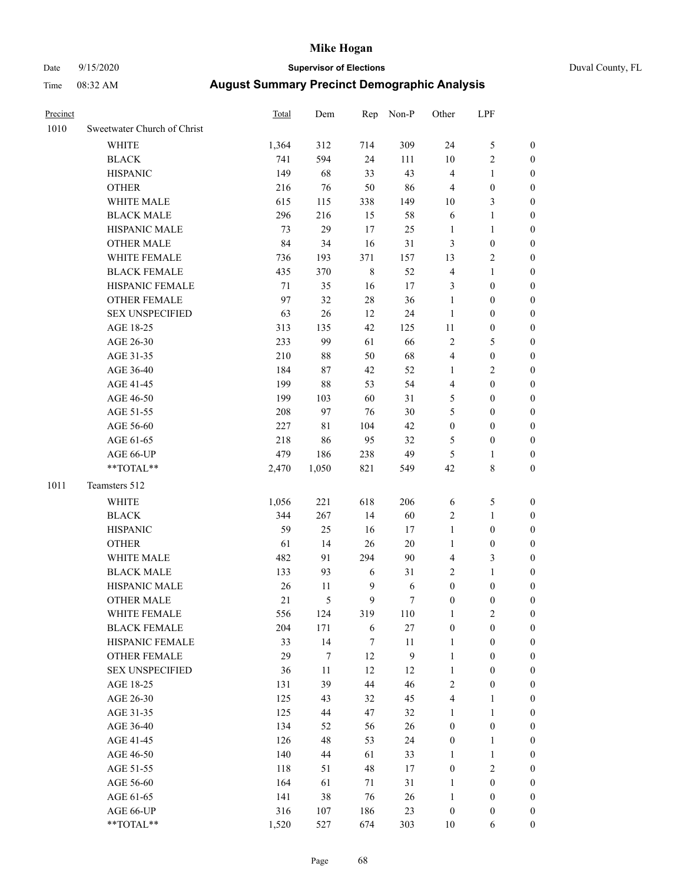# Date 9/15/2020 **Supervisor of Elections**

| Duval County, FL |  |
|------------------|--|
|------------------|--|

| Precinct |                             | Total | Dem   | Rep         | Non-P            | Other            | LPF              |                  |
|----------|-----------------------------|-------|-------|-------------|------------------|------------------|------------------|------------------|
| 1010     | Sweetwater Church of Christ |       |       |             |                  |                  |                  |                  |
|          | <b>WHITE</b>                | 1,364 | 312   | 714         | 309              | 24               | $\mathfrak s$    | 0                |
|          | <b>BLACK</b>                | 741   | 594   | 24          | 111              | 10               | $\sqrt{2}$       | 0                |
|          | <b>HISPANIC</b>             | 149   | 68    | 33          | 43               | $\overline{4}$   | $\mathbf{1}$     | 0                |
|          | <b>OTHER</b>                | 216   | 76    | 50          | 86               | 4                | $\boldsymbol{0}$ | $\boldsymbol{0}$ |
|          | WHITE MALE                  | 615   | 115   | 338         | 149              | 10               | $\mathfrak{Z}$   | $\boldsymbol{0}$ |
|          | <b>BLACK MALE</b>           | 296   | 216   | 15          | 58               | 6                | $\mathbf{1}$     | $\boldsymbol{0}$ |
|          | HISPANIC MALE               | 73    | 29    | 17          | 25               | $\mathbf{1}$     | $\mathbf{1}$     | $\boldsymbol{0}$ |
|          | <b>OTHER MALE</b>           | 84    | 34    | 16          | 31               | 3                | $\boldsymbol{0}$ | $\boldsymbol{0}$ |
|          | WHITE FEMALE                | 736   | 193   | 371         | 157              | 13               | $\sqrt{2}$       | $\overline{0}$   |
|          | <b>BLACK FEMALE</b>         | 435   | 370   | $\,$ 8 $\,$ | 52               | 4                | $\mathbf{1}$     | 0                |
|          | HISPANIC FEMALE             | 71    | 35    | 16          | 17               | 3                | $\boldsymbol{0}$ | 0                |
|          | OTHER FEMALE                | 97    | 32    | 28          | 36               | $\mathbf{1}$     | $\boldsymbol{0}$ | 0                |
|          | <b>SEX UNSPECIFIED</b>      | 63    | 26    | 12          | 24               | $\mathbf{1}$     | $\boldsymbol{0}$ | $\boldsymbol{0}$ |
|          | AGE 18-25                   | 313   | 135   | 42          | 125              | $11\,$           | $\boldsymbol{0}$ | $\boldsymbol{0}$ |
|          | AGE 26-30                   | 233   | 99    | 61          | 66               | $\overline{c}$   | $\mathfrak s$    | $\boldsymbol{0}$ |
|          | AGE 31-35                   | 210   | 88    | 50          | 68               | 4                | $\boldsymbol{0}$ | $\boldsymbol{0}$ |
|          | AGE 36-40                   | 184   | 87    | 42          | 52               | $\mathbf{1}$     | $\sqrt{2}$       | $\boldsymbol{0}$ |
|          | AGE 41-45                   | 199   | 88    | 53          | 54               | 4                | $\boldsymbol{0}$ | $\boldsymbol{0}$ |
|          | AGE 46-50                   | 199   | 103   | 60          | 31               | 5                | $\boldsymbol{0}$ | $\boldsymbol{0}$ |
|          | AGE 51-55                   | 208   | 97    | 76          | 30               | 5                | $\boldsymbol{0}$ | $\boldsymbol{0}$ |
|          | AGE 56-60                   | 227   | 81    | 104         | 42               | $\boldsymbol{0}$ | $\boldsymbol{0}$ | 0                |
|          | AGE 61-65                   | 218   | 86    | 95          | 32               | 5                | $\boldsymbol{0}$ | 0                |
|          | AGE 66-UP                   | 479   | 186   | 238         | 49               | 5                | 1                | $\boldsymbol{0}$ |
|          | $**TOTAL**$                 | 2,470 | 1,050 | 821         | 549              | 42               | $\,$ 8 $\,$      | $\boldsymbol{0}$ |
| 1011     | Teamsters 512               |       |       |             |                  |                  |                  |                  |
|          | <b>WHITE</b>                | 1,056 | 221   | 618         | 206              | 6                | 5                | $\boldsymbol{0}$ |
|          | <b>BLACK</b>                | 344   | 267   | 14          | 60               | 2                | $\mathbf{1}$     | $\boldsymbol{0}$ |
|          | <b>HISPANIC</b>             | 59    | 25    | 16          | 17               | $\mathbf{1}$     | $\boldsymbol{0}$ | $\boldsymbol{0}$ |
|          | <b>OTHER</b>                | 61    | 14    | 26          | 20               | $\mathbf{1}$     | $\boldsymbol{0}$ | $\boldsymbol{0}$ |
|          | WHITE MALE                  | 482   | 91    | 294         | 90               | 4                | 3                | $\boldsymbol{0}$ |
|          | <b>BLACK MALE</b>           | 133   | 93    | 6           | 31               | $\overline{c}$   | $\mathbf{1}$     | $\boldsymbol{0}$ |
|          | HISPANIC MALE               | 26    | 11    | 9           | 6                | $\boldsymbol{0}$ | $\boldsymbol{0}$ | 0                |
|          | <b>OTHER MALE</b>           | 21    | 5     | 9           | $\tau$           | $\boldsymbol{0}$ | $\boldsymbol{0}$ | 0                |
|          | WHITE FEMALE                | 556   | 124   | 319         | 110              | 1                | 2                | 0                |
|          | <b>BLACK FEMALE</b>         | 204   | 171   | 6           | $27\,$           | $\boldsymbol{0}$ | $\boldsymbol{0}$ | $\overline{0}$   |
|          | HISPANIC FEMALE             | 33    | 14    | 7           | $11\,$           | $\mathbf{1}$     | $\boldsymbol{0}$ | $\overline{0}$   |
|          | OTHER FEMALE                | 29    | 7     | 12          | $\boldsymbol{9}$ | $\mathbf{1}$     | $\boldsymbol{0}$ | $\overline{0}$   |
|          | <b>SEX UNSPECIFIED</b>      | 36    | 11    | 12          | 12               | $\mathbf{1}$     | $\boldsymbol{0}$ | 0                |
|          | AGE 18-25                   | 131   | 39    | 44          | 46               | 2                | $\boldsymbol{0}$ | 0                |
|          | AGE 26-30                   | 125   | 43    | 32          | 45               | 4                | $\mathbf{1}$     | 0                |
|          | AGE 31-35                   | 125   | 44    | 47          | 32               | $\mathbf{1}$     | $\mathbf{1}$     | 0                |
|          | AGE 36-40                   | 134   | 52    | 56          | 26               | 0                | $\boldsymbol{0}$ | 0                |
|          | AGE 41-45                   | 126   | 48    | 53          | 24               | $\boldsymbol{0}$ | $\mathbf{1}$     | 0                |
|          | AGE 46-50                   | 140   | 44    | 61          | 33               | 1                | $\mathbf{1}$     | 0                |
|          | AGE 51-55                   | 118   | 51    | 48          | 17               | $\boldsymbol{0}$ | $\sqrt{2}$       | 0                |
|          | AGE 56-60                   | 164   | 61    | 71          | 31               | 1                | $\boldsymbol{0}$ | $\overline{0}$   |
|          | AGE 61-65                   | 141   | 38    | 76          | 26               | 1                | $\boldsymbol{0}$ | $\overline{0}$   |
|          | AGE 66-UP                   | 316   | 107   | 186         | 23               | $\boldsymbol{0}$ | $\boldsymbol{0}$ | 0                |
|          | **TOTAL**                   | 1,520 | 527   | 674         | 303              | $10\,$           | 6                | $\boldsymbol{0}$ |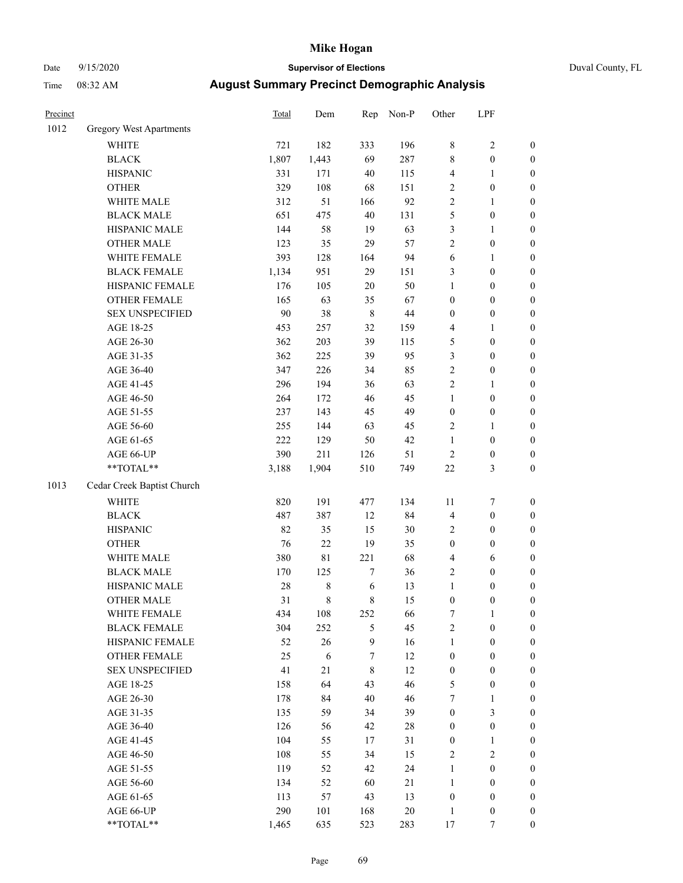# Date 9/15/2020 **Supervisor of Elections**

|  | Duval County, FL |  |
|--|------------------|--|
|--|------------------|--|

| Precinct |                                | Total | Dem         | Rep         | Non-P  | Other            | LPF              |                  |
|----------|--------------------------------|-------|-------------|-------------|--------|------------------|------------------|------------------|
| 1012     | <b>Gregory West Apartments</b> |       |             |             |        |                  |                  |                  |
|          | <b>WHITE</b>                   | 721   | 182         | 333         | 196    | 8                | $\sqrt{2}$       | 0                |
|          | <b>BLACK</b>                   | 1,807 | 1,443       | 69          | 287    | 8                | $\boldsymbol{0}$ | 0                |
|          | <b>HISPANIC</b>                | 331   | 171         | 40          | 115    | 4                | $\mathbf{1}$     | $\boldsymbol{0}$ |
|          | <b>OTHER</b>                   | 329   | 108         | 68          | 151    | 2                | $\boldsymbol{0}$ | $\boldsymbol{0}$ |
|          | WHITE MALE                     | 312   | 51          | 166         | 92     | 2                | $\mathbf{1}$     | $\boldsymbol{0}$ |
|          | <b>BLACK MALE</b>              | 651   | 475         | 40          | 131    | 5                | $\boldsymbol{0}$ | $\boldsymbol{0}$ |
|          | HISPANIC MALE                  | 144   | 58          | 19          | 63     | 3                | $\mathbf{1}$     | $\boldsymbol{0}$ |
|          | <b>OTHER MALE</b>              | 123   | 35          | 29          | 57     | $\overline{c}$   | $\boldsymbol{0}$ | $\boldsymbol{0}$ |
|          | WHITE FEMALE                   | 393   | 128         | 164         | 94     | 6                | 1                | $\boldsymbol{0}$ |
|          | <b>BLACK FEMALE</b>            | 1,134 | 951         | 29          | 151    | 3                | $\boldsymbol{0}$ | $\boldsymbol{0}$ |
|          | HISPANIC FEMALE                | 176   | 105         | 20          | 50     | $\mathbf{1}$     | $\boldsymbol{0}$ | $\boldsymbol{0}$ |
|          | OTHER FEMALE                   | 165   | 63          | 35          | 67     | 0                | $\boldsymbol{0}$ | $\boldsymbol{0}$ |
|          | <b>SEX UNSPECIFIED</b>         | 90    | 38          | $\,$ 8 $\,$ | 44     | $\boldsymbol{0}$ | $\boldsymbol{0}$ | $\boldsymbol{0}$ |
|          | AGE 18-25                      | 453   | 257         | 32          | 159    | 4                | 1                | $\boldsymbol{0}$ |
|          | AGE 26-30                      | 362   | 203         | 39          | 115    | 5                | $\boldsymbol{0}$ | $\boldsymbol{0}$ |
|          | AGE 31-35                      | 362   | 225         | 39          | 95     | 3                | $\boldsymbol{0}$ | $\boldsymbol{0}$ |
|          | AGE 36-40                      | 347   | 226         | 34          | 85     | $\overline{c}$   | $\boldsymbol{0}$ | $\boldsymbol{0}$ |
|          | AGE 41-45                      | 296   | 194         | 36          | 63     | $\overline{c}$   | $\mathbf{1}$     | $\boldsymbol{0}$ |
|          | AGE 46-50                      | 264   | 172         | 46          | 45     | $\mathbf{1}$     | $\boldsymbol{0}$ | $\boldsymbol{0}$ |
|          | AGE 51-55                      | 237   | 143         | 45          | 49     | $\boldsymbol{0}$ | $\boldsymbol{0}$ | $\boldsymbol{0}$ |
|          | AGE 56-60                      | 255   | 144         | 63          | 45     | $\mathbf{2}$     | 1                | $\boldsymbol{0}$ |
|          | AGE 61-65                      | 222   | 129         | 50          | 42     | $\mathbf{1}$     | $\boldsymbol{0}$ | $\boldsymbol{0}$ |
|          | AGE 66-UP                      | 390   | 211         | 126         | 51     | $\sqrt{2}$       | $\boldsymbol{0}$ | $\boldsymbol{0}$ |
|          | $**TOTAL**$                    | 3,188 | 1,904       | 510         | 749    | $22\,$           | $\mathfrak{Z}$   | $\boldsymbol{0}$ |
| 1013     | Cedar Creek Baptist Church     |       |             |             |        |                  |                  |                  |
|          | <b>WHITE</b>                   | 820   | 191         | 477         | 134    | $11\,$           | $\boldsymbol{7}$ | $\boldsymbol{0}$ |
|          | <b>BLACK</b>                   | 487   | 387         | 12          | 84     | 4                | $\boldsymbol{0}$ | $\boldsymbol{0}$ |
|          | <b>HISPANIC</b>                | 82    | 35          | 15          | 30     | 2                | $\boldsymbol{0}$ | $\boldsymbol{0}$ |
|          | <b>OTHER</b>                   | 76    | 22          | 19          | 35     | $\boldsymbol{0}$ | $\boldsymbol{0}$ | $\boldsymbol{0}$ |
|          | WHITE MALE                     | 380   | $8\sqrt{1}$ | 221         | 68     | 4                | 6                | $\boldsymbol{0}$ |
|          | <b>BLACK MALE</b>              | 170   | 125         | 7           | 36     | $\mathbf{2}$     | $\boldsymbol{0}$ | $\boldsymbol{0}$ |
|          | HISPANIC MALE                  | 28    | $\,$ $\,$   | 6           | 13     | 1                | $\boldsymbol{0}$ | $\boldsymbol{0}$ |
|          | <b>OTHER MALE</b>              | 31    | $\,$ 8 $\,$ | 8           | 15     | $\boldsymbol{0}$ | $\boldsymbol{0}$ | $\boldsymbol{0}$ |
|          | WHITE FEMALE                   | 434   | 108         | 252         | 66     | 7                | 1                | 0                |
|          | <b>BLACK FEMALE</b>            | 304   | 252         | 5           | 45     | $\mathbf{2}$     | $\boldsymbol{0}$ | $\overline{0}$   |
|          | HISPANIC FEMALE                | 52    | 26          | 9           | 16     | 1                | $\boldsymbol{0}$ | $\overline{0}$   |
|          | OTHER FEMALE                   | 25    | 6           | 7           | 12     | $\boldsymbol{0}$ | $\boldsymbol{0}$ | $\overline{0}$   |
|          | <b>SEX UNSPECIFIED</b>         | 41    | 21          | 8           | 12     | $\boldsymbol{0}$ | $\boldsymbol{0}$ | 0                |
|          | AGE 18-25                      | 158   | 64          | 43          | 46     | 5                | $\boldsymbol{0}$ | 0                |
|          | AGE 26-30                      | 178   | 84          | 40          | 46     | 7                | $\mathbf{1}$     | 0                |
|          | AGE 31-35                      | 135   | 59          | 34          | 39     | $\boldsymbol{0}$ | $\mathfrak{Z}$   | 0                |
|          | AGE 36-40                      | 126   | 56          | 42          | $28\,$ | 0                | $\boldsymbol{0}$ | 0                |
|          | AGE 41-45                      | 104   | 55          | 17          | 31     | $\boldsymbol{0}$ | $\mathbf{1}$     | 0                |
|          | AGE 46-50                      | 108   | 55          | 34          | 15     | 2                | $\sqrt{2}$       | 0                |
|          | AGE 51-55                      | 119   | 52          | 42          | 24     | $\mathbf{1}$     | $\boldsymbol{0}$ | 0                |
|          | AGE 56-60                      | 134   | 52          | 60          | 21     | $\mathbf{1}$     | $\boldsymbol{0}$ | $\overline{0}$   |
|          | AGE 61-65                      | 113   | 57          | 43          | 13     | $\boldsymbol{0}$ | $\boldsymbol{0}$ | $\overline{0}$   |
|          | AGE 66-UP                      | 290   | 101         | 168         | 20     | $\mathbf{1}$     | $\boldsymbol{0}$ | 0                |
|          | **TOTAL**                      | 1,465 | 635         | 523         | 283    | 17               | 7                | $\boldsymbol{0}$ |
|          |                                |       |             |             |        |                  |                  |                  |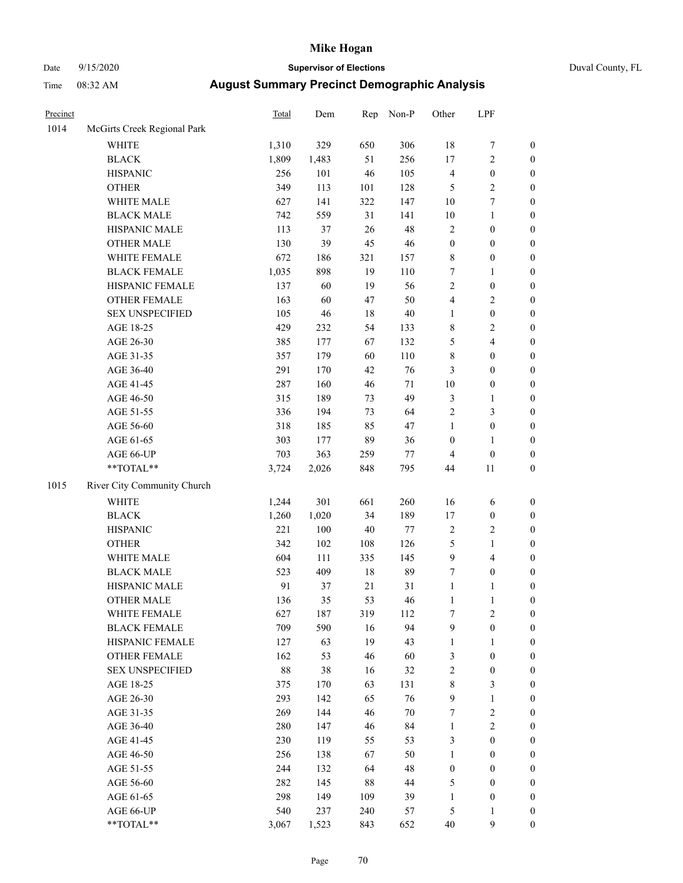# Date 9/15/2020 **Supervisor of Elections** Duval County, FL

| Precinct |                             | Total  | Dem   | Rep    | Non-P  | Other                   | LPF              |                  |
|----------|-----------------------------|--------|-------|--------|--------|-------------------------|------------------|------------------|
| 1014     | McGirts Creek Regional Park |        |       |        |        |                         |                  |                  |
|          | <b>WHITE</b>                | 1,310  | 329   | 650    | 306    | $18\,$                  | $\boldsymbol{7}$ | 0                |
|          | <b>BLACK</b>                | 1,809  | 1,483 | 51     | 256    | 17                      | $\sqrt{2}$       | 0                |
|          | <b>HISPANIC</b>             | 256    | 101   | 46     | 105    | $\overline{\mathbf{4}}$ | $\boldsymbol{0}$ | $\boldsymbol{0}$ |
|          | <b>OTHER</b>                | 349    | 113   | 101    | 128    | 5                       | $\sqrt{2}$       | $\boldsymbol{0}$ |
|          | WHITE MALE                  | 627    | 141   | 322    | 147    | $10\,$                  | 7                | $\boldsymbol{0}$ |
|          | <b>BLACK MALE</b>           | 742    | 559   | 31     | 141    | $10\,$                  | $\mathbf{1}$     | $\boldsymbol{0}$ |
|          | HISPANIC MALE               | 113    | 37    | 26     | 48     | $\sqrt{2}$              | $\boldsymbol{0}$ | $\boldsymbol{0}$ |
|          | <b>OTHER MALE</b>           | 130    | 39    | 45     | $46\,$ | $\boldsymbol{0}$        | $\boldsymbol{0}$ | $\boldsymbol{0}$ |
|          | WHITE FEMALE                | 672    | 186   | 321    | 157    | $8\,$                   | $\boldsymbol{0}$ | $\boldsymbol{0}$ |
|          | <b>BLACK FEMALE</b>         | 1,035  | 898   | 19     | 110    | 7                       | $\mathbf{1}$     | $\boldsymbol{0}$ |
|          | HISPANIC FEMALE             | 137    | 60    | 19     | 56     | $\sqrt{2}$              | $\boldsymbol{0}$ | $\boldsymbol{0}$ |
|          | OTHER FEMALE                | 163    | 60    | 47     | 50     | $\overline{4}$          | $\sqrt{2}$       | $\boldsymbol{0}$ |
|          | <b>SEX UNSPECIFIED</b>      | 105    | 46    | $18\,$ | $40\,$ | $\mathbf{1}$            | $\boldsymbol{0}$ | $\boldsymbol{0}$ |
|          | AGE 18-25                   | 429    | 232   | 54     | 133    | $\,$ 8 $\,$             | $\sqrt{2}$       | $\boldsymbol{0}$ |
|          | AGE 26-30                   | 385    | 177   | 67     | 132    | 5                       | 4                | $\boldsymbol{0}$ |
|          | AGE 31-35                   | 357    | 179   | 60     | 110    | $\,$ $\,$               | $\boldsymbol{0}$ | $\boldsymbol{0}$ |
|          | AGE 36-40                   | 291    | 170   | 42     | 76     | 3                       | $\boldsymbol{0}$ | $\boldsymbol{0}$ |
|          | AGE 41-45                   | 287    | 160   | 46     | $71\,$ | $10\,$                  | $\boldsymbol{0}$ | $\boldsymbol{0}$ |
|          | AGE 46-50                   | 315    | 189   | 73     | 49     | $\mathfrak{Z}$          | $\mathbf{1}$     | $\boldsymbol{0}$ |
|          | AGE 51-55                   | 336    | 194   | 73     | 64     | $\sqrt{2}$              | $\mathfrak{Z}$   | $\boldsymbol{0}$ |
|          | AGE 56-60                   | 318    | 185   | 85     | 47     | $\mathbf{1}$            | $\boldsymbol{0}$ | $\boldsymbol{0}$ |
|          | AGE 61-65                   | 303    | 177   | 89     | 36     | $\boldsymbol{0}$        | $\mathbf{1}$     | $\boldsymbol{0}$ |
|          | AGE 66-UP                   | 703    | 363   | 259    | $77\,$ | $\overline{4}$          | $\boldsymbol{0}$ | $\boldsymbol{0}$ |
|          | **TOTAL**                   | 3,724  | 2,026 | 848    | 795    | 44                      | $11\,$           | $\boldsymbol{0}$ |
| 1015     | River City Community Church |        |       |        |        |                         |                  |                  |
|          | WHITE                       | 1,244  | 301   | 661    | 260    | 16                      | 6                | $\boldsymbol{0}$ |
|          | <b>BLACK</b>                | 1,260  | 1,020 | 34     | 189    | 17                      | $\boldsymbol{0}$ | $\boldsymbol{0}$ |
|          | <b>HISPANIC</b>             | 221    | 100   | 40     | 77     | $\sqrt{2}$              | $\overline{2}$   | $\boldsymbol{0}$ |
|          | <b>OTHER</b>                | 342    | 102   | 108    | 126    | 5                       | $\mathbf{1}$     | $\boldsymbol{0}$ |
|          | WHITE MALE                  | 604    | 111   | 335    | 145    | $\boldsymbol{9}$        | $\overline{4}$   | $\boldsymbol{0}$ |
|          | <b>BLACK MALE</b>           | 523    | 409   | $18\,$ | 89     | 7                       | $\boldsymbol{0}$ | $\boldsymbol{0}$ |
|          | HISPANIC MALE               | 91     | 37    | 21     | 31     | $\mathbf{1}$            | $\mathbf{1}$     | 0                |
|          | <b>OTHER MALE</b>           | 136    | 35    | 53     | 46     | $\mathbf{1}$            | $\mathbf{1}$     | $\boldsymbol{0}$ |
|          | WHITE FEMALE                | 627    | 187   | 319    | 112    | 7                       | $\overline{2}$   | 0                |
|          | <b>BLACK FEMALE</b>         | 709    | 590   | 16     | 94     | 9                       | $\boldsymbol{0}$ | $\overline{0}$   |
|          | HISPANIC FEMALE             | 127    | 63    | 19     | 43     | $\mathbf{1}$            | $\mathbf{1}$     | $\overline{0}$   |
|          | <b>OTHER FEMALE</b>         | 162    | 53    | 46     | 60     | 3                       | $\boldsymbol{0}$ | $\overline{0}$   |
|          | <b>SEX UNSPECIFIED</b>      | $88\,$ | 38    | 16     | 32     | 2                       | $\boldsymbol{0}$ | 0                |
|          | AGE 18-25                   | 375    | 170   | 63     | 131    | $\,$ $\,$               | 3                | 0                |
|          | AGE 26-30                   | 293    | 142   | 65     | 76     | $\mathbf{9}$            | $\mathbf{1}$     | 0                |
|          | AGE 31-35                   | 269    | 144   | 46     | $70\,$ | 7                       | $\boldsymbol{2}$ | 0                |
|          | AGE 36-40                   | 280    | 147   | 46     | 84     | $\mathbf{1}$            | $\sqrt{2}$       | 0                |
|          | AGE 41-45                   | 230    | 119   | 55     | 53     | 3                       | $\boldsymbol{0}$ | 0                |
|          | AGE 46-50                   | 256    | 138   | 67     | 50     | $\mathbf{1}$            | $\boldsymbol{0}$ | 0                |
|          | AGE 51-55                   | 244    | 132   | 64     | 48     | $\boldsymbol{0}$        | $\boldsymbol{0}$ | 0                |
|          | AGE 56-60                   | 282    | 145   | $88\,$ | 44     | 5                       | $\boldsymbol{0}$ | $\overline{0}$   |
|          | AGE 61-65                   | 298    | 149   | 109    | 39     | $\mathbf{1}$            | $\boldsymbol{0}$ | $\overline{0}$   |
|          | AGE 66-UP                   | 540    | 237   | 240    | 57     | 5                       | $\mathbf{1}$     | 0                |
|          | **TOTAL**                   | 3,067  | 1,523 | 843    | 652    | $40\,$                  | $\overline{9}$   | $\boldsymbol{0}$ |
|          |                             |        |       |        |        |                         |                  |                  |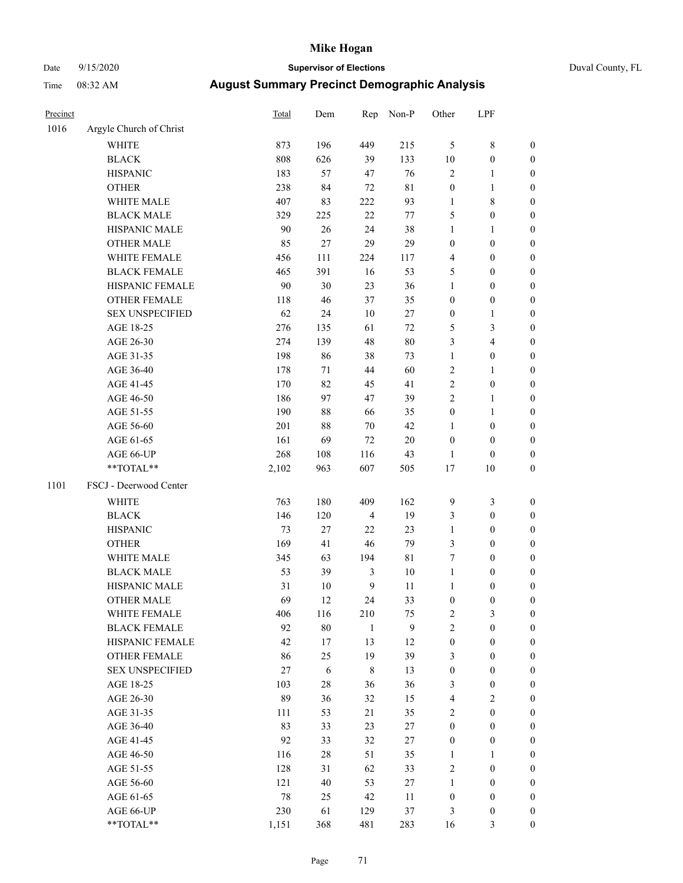# Date 9/15/2020 **Supervisor of Elections** Duval County, FL

| Precinct |                         | Total    | Dem    | Rep            | Non-P       | Other            | LPF              |                  |
|----------|-------------------------|----------|--------|----------------|-------------|------------------|------------------|------------------|
| 1016     | Argyle Church of Christ |          |        |                |             |                  |                  |                  |
|          | <b>WHITE</b>            | 873      | 196    | 449            | 215         | 5                | $\,$ $\,$        | 0                |
|          | <b>BLACK</b>            | 808      | 626    | 39             | 133         | $10\,$           | $\boldsymbol{0}$ | 0                |
|          | <b>HISPANIC</b>         | 183      | 57     | 47             | 76          | $\mathfrak{2}$   | $\mathbf{1}$     | $\boldsymbol{0}$ |
|          | <b>OTHER</b>            | 238      | 84     | $72\,$         | $8\sqrt{1}$ | $\boldsymbol{0}$ | $\mathbf{1}$     | $\boldsymbol{0}$ |
|          | WHITE MALE              | 407      | 83     | 222            | 93          | $\mathbf{1}$     | $\,$ 8 $\,$      | $\boldsymbol{0}$ |
|          | <b>BLACK MALE</b>       | 329      | 225    | 22             | 77          | 5                | $\boldsymbol{0}$ | $\boldsymbol{0}$ |
|          | HISPANIC MALE           | 90       | 26     | 24             | 38          | $\mathbf{1}$     | $\mathbf{1}$     | $\boldsymbol{0}$ |
|          | <b>OTHER MALE</b>       | 85       | 27     | 29             | 29          | $\boldsymbol{0}$ | $\boldsymbol{0}$ | $\boldsymbol{0}$ |
|          | WHITE FEMALE            | 456      | 111    | 224            | 117         | 4                | $\boldsymbol{0}$ | $\boldsymbol{0}$ |
|          | <b>BLACK FEMALE</b>     | 465      | 391    | 16             | 53          | 5                | $\boldsymbol{0}$ | $\boldsymbol{0}$ |
|          | HISPANIC FEMALE         | 90       | 30     | 23             | 36          | $\mathbf{1}$     | $\boldsymbol{0}$ | $\boldsymbol{0}$ |
|          | OTHER FEMALE            | 118      | 46     | 37             | 35          | $\boldsymbol{0}$ | $\boldsymbol{0}$ | $\boldsymbol{0}$ |
|          | <b>SEX UNSPECIFIED</b>  | 62       | 24     | $10\,$         | $27\,$      | $\boldsymbol{0}$ | $\mathbf{1}$     | $\boldsymbol{0}$ |
|          | AGE 18-25               | 276      | 135    | 61             | $72\,$      | 5                | 3                | $\boldsymbol{0}$ |
|          | AGE 26-30               | 274      | 139    | 48             | 80          | 3                | $\overline{4}$   | $\boldsymbol{0}$ |
|          | AGE 31-35               | 198      | 86     | 38             | 73          | $\mathbf{1}$     | $\boldsymbol{0}$ | $\boldsymbol{0}$ |
|          | AGE 36-40               | 178      | 71     | 44             | 60          | $\overline{c}$   | $\mathbf{1}$     | $\boldsymbol{0}$ |
|          | AGE 41-45               | 170      | 82     | 45             | 41          | $\overline{c}$   | $\boldsymbol{0}$ | $\boldsymbol{0}$ |
|          | AGE 46-50               | 186      | 97     | 47             | 39          | $\overline{c}$   | $\mathbf{1}$     | $\boldsymbol{0}$ |
|          | AGE 51-55               | 190      | 88     | 66             | 35          | $\boldsymbol{0}$ | $\mathbf{1}$     | 0                |
|          | AGE 56-60               | 201      | $88\,$ | 70             | $42\,$      | 1                | $\boldsymbol{0}$ | 0                |
|          | AGE 61-65               | 161      | 69     | $72\,$         | $20\,$      | $\boldsymbol{0}$ | $\boldsymbol{0}$ | 0                |
|          | AGE 66-UP               | 268      | 108    | 116            | 43          | $\mathbf{1}$     | $\boldsymbol{0}$ | $\boldsymbol{0}$ |
|          | **TOTAL**               | 2,102    | 963    | 607            | 505         | $17\,$           | 10               | $\boldsymbol{0}$ |
| 1101     | FSCJ - Deerwood Center  |          |        |                |             |                  |                  |                  |
|          |                         |          |        |                |             |                  |                  |                  |
|          | <b>WHITE</b>            | 763      | 180    | 409            | 162         | 9                | $\mathfrak{Z}$   | $\boldsymbol{0}$ |
|          | <b>BLACK</b>            | 146      | 120    | $\overline{4}$ | 19          | 3                | $\boldsymbol{0}$ | $\boldsymbol{0}$ |
|          | <b>HISPANIC</b>         | 73       | $27\,$ | 22             | 23          | $\mathbf{1}$     | $\boldsymbol{0}$ | $\boldsymbol{0}$ |
|          | <b>OTHER</b>            | 169      | 41     | 46             | 79          | 3                | $\boldsymbol{0}$ | $\boldsymbol{0}$ |
|          | WHITE MALE              | 345      | 63     | 194            | $8\sqrt{1}$ | 7                | $\boldsymbol{0}$ | $\boldsymbol{0}$ |
|          | <b>BLACK MALE</b>       | 53       | 39     | $\mathfrak{Z}$ | $10\,$      | $\mathbf{1}$     | $\boldsymbol{0}$ | $\boldsymbol{0}$ |
|          | HISPANIC MALE           | 31<br>69 | $10\,$ | 9              | 11          | $\mathbf{1}$     | $\boldsymbol{0}$ | 0                |
|          | <b>OTHER MALE</b>       |          | 12     | 24             | 33          | $\boldsymbol{0}$ | $\boldsymbol{0}$ | $\boldsymbol{0}$ |
|          | WHITE FEMALE            | 406      | 116    | 210            | 75          | 2                | 3                | 0                |
|          | <b>BLACK FEMALE</b>     | 92       | $80\,$ | $\mathbf{1}$   | 9           | $\sqrt{2}$       | $\boldsymbol{0}$ | $\overline{0}$   |
|          | HISPANIC FEMALE         | 42       | $17\,$ | 13             | 12          | $\boldsymbol{0}$ | $\boldsymbol{0}$ | $\overline{0}$   |
|          | OTHER FEMALE            | 86       | 25     | 19             | 39          | 3                | $\boldsymbol{0}$ | 0                |
|          | <b>SEX UNSPECIFIED</b>  | 27       | 6      | 8              | 13          | $\boldsymbol{0}$ | $\boldsymbol{0}$ | 0                |
|          | AGE 18-25               | 103      | $28\,$ | 36             | 36          | 3                | $\boldsymbol{0}$ | 0                |
|          | AGE 26-30               | 89       | 36     | 32             | 15          | 4                | $\mathbf{2}$     | 0                |
|          | AGE 31-35               | 111      | 53     | 21             | 35          | $\sqrt{2}$       | $\boldsymbol{0}$ | 0                |
|          | AGE 36-40               | 83       | 33     | 23             | $27\,$      | $\boldsymbol{0}$ | $\boldsymbol{0}$ | 0                |
|          | AGE 41-45               | 92       | 33     | 32             | $27\,$      | $\boldsymbol{0}$ | $\boldsymbol{0}$ | 0                |
|          | AGE 46-50               | 116      | $28\,$ | 51             | 35          | $\mathbf{1}$     | 1                | 0                |
|          | AGE 51-55               | 128      | 31     | 62             | 33          | $\sqrt{2}$       | $\boldsymbol{0}$ | 0                |
|          | AGE 56-60               | 121      | $40\,$ | 53             | 27          | $\mathbf{1}$     | $\boldsymbol{0}$ | 0                |
|          | AGE 61-65               | 78       | 25     | 42             | 11          | $\boldsymbol{0}$ | $\boldsymbol{0}$ | 0                |
|          | AGE 66-UP               | 230      | 61     | 129            | 37          | 3                | $\boldsymbol{0}$ | 0                |
|          | **TOTAL**               | 1,151    | 368    | 481            | 283         | 16               | $\mathfrak{Z}$   | $\boldsymbol{0}$ |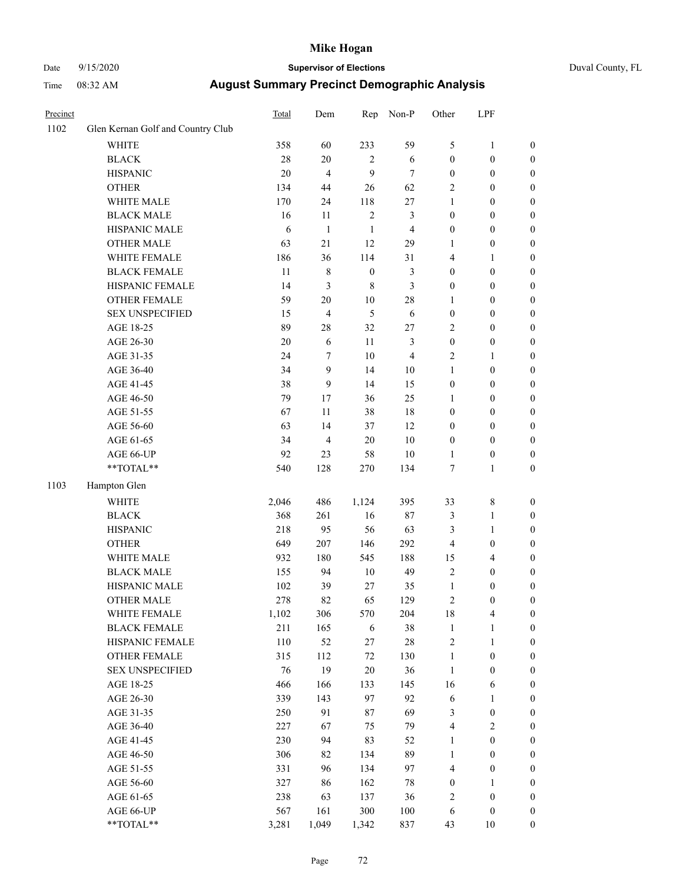# Date 9/15/2020 **Supervisor of Elections** Duval County, FL

| Precinct |                                   | Total  | Dem              | Rep              | Non-P          | Other            | LPF              |                  |
|----------|-----------------------------------|--------|------------------|------------------|----------------|------------------|------------------|------------------|
| 1102     | Glen Kernan Golf and Country Club |        |                  |                  |                |                  |                  |                  |
|          | <b>WHITE</b>                      | 358    | 60               | 233              | 59             | 5                | $\mathbf{1}$     | 0                |
|          | <b>BLACK</b>                      | $28\,$ | $20\,$           | 2                | $\sqrt{6}$     | $\boldsymbol{0}$ | $\boldsymbol{0}$ | 0                |
|          | <b>HISPANIC</b>                   | 20     | $\overline{4}$   | 9                | $\tau$         | $\boldsymbol{0}$ | $\boldsymbol{0}$ | $\boldsymbol{0}$ |
|          | <b>OTHER</b>                      | 134    | 44               | 26               | 62             | $\overline{c}$   | $\boldsymbol{0}$ | $\boldsymbol{0}$ |
|          | WHITE MALE                        | 170    | 24               | 118              | $27\,$         | $\mathbf{1}$     | $\boldsymbol{0}$ | $\boldsymbol{0}$ |
|          | <b>BLACK MALE</b>                 | 16     | 11               | $\sqrt{2}$       | 3              | $\boldsymbol{0}$ | $\boldsymbol{0}$ | $\boldsymbol{0}$ |
|          | HISPANIC MALE                     | 6      | $\mathbf{1}$     | $\mathbf{1}$     | 4              | $\boldsymbol{0}$ | $\boldsymbol{0}$ | $\boldsymbol{0}$ |
|          | <b>OTHER MALE</b>                 | 63     | 21               | 12               | 29             | $\mathbf{1}$     | $\boldsymbol{0}$ | $\boldsymbol{0}$ |
|          | WHITE FEMALE                      | 186    | 36               | 114              | 31             | 4                | $\mathbf{1}$     | $\boldsymbol{0}$ |
|          | <b>BLACK FEMALE</b>               | 11     | $\,$ 8 $\,$      | $\boldsymbol{0}$ | 3              | $\boldsymbol{0}$ | $\boldsymbol{0}$ | $\boldsymbol{0}$ |
|          | HISPANIC FEMALE                   | 14     | $\mathfrak{Z}$   | $8\,$            | 3              | $\boldsymbol{0}$ | $\boldsymbol{0}$ | $\boldsymbol{0}$ |
|          | OTHER FEMALE                      | 59     | $20\,$           | $10\,$           | $28\,$         | $\mathbf{1}$     | $\boldsymbol{0}$ | $\boldsymbol{0}$ |
|          | <b>SEX UNSPECIFIED</b>            | 15     | $\overline{4}$   | 5                | $\sqrt{6}$     | $\boldsymbol{0}$ | $\boldsymbol{0}$ | $\boldsymbol{0}$ |
|          | AGE 18-25                         | 89     | $28\,$           | 32               | $27\,$         | $\sqrt{2}$       | $\boldsymbol{0}$ | $\boldsymbol{0}$ |
|          | AGE 26-30                         | $20\,$ | 6                | 11               | 3              | $\boldsymbol{0}$ | $\boldsymbol{0}$ | $\boldsymbol{0}$ |
|          | AGE 31-35                         | 24     | $\boldsymbol{7}$ | $10\,$           | $\overline{4}$ | $\sqrt{2}$       | $\mathbf{1}$     | $\boldsymbol{0}$ |
|          | AGE 36-40                         | 34     | 9                | 14               | $10\,$         | $\mathbf{1}$     | $\boldsymbol{0}$ | $\boldsymbol{0}$ |
|          | AGE 41-45                         | 38     | $\mathbf{9}$     | 14               | 15             | $\boldsymbol{0}$ | $\boldsymbol{0}$ | $\boldsymbol{0}$ |
|          | AGE 46-50                         | 79     | 17               | 36               | 25             | $\mathbf{1}$     | $\boldsymbol{0}$ | $\boldsymbol{0}$ |
|          | AGE 51-55                         | 67     | 11               | 38               | 18             | $\boldsymbol{0}$ | $\boldsymbol{0}$ | $\boldsymbol{0}$ |
|          | AGE 56-60                         | 63     | 14               | 37               | 12             | $\boldsymbol{0}$ | $\boldsymbol{0}$ | $\boldsymbol{0}$ |
|          | AGE 61-65                         | 34     | $\overline{4}$   | $20\,$           | $10\,$         | $\boldsymbol{0}$ | $\boldsymbol{0}$ | $\boldsymbol{0}$ |
|          | AGE 66-UP                         | 92     | 23               | 58               | $10\,$         | $\mathbf{1}$     | $\boldsymbol{0}$ | $\boldsymbol{0}$ |
|          | **TOTAL**                         | 540    | 128              | 270              | 134            | $\boldsymbol{7}$ | $\mathbf{1}$     | $\boldsymbol{0}$ |
| 1103     | Hampton Glen                      |        |                  |                  |                |                  |                  |                  |
|          | <b>WHITE</b>                      | 2,046  | 486              | 1,124            | 395            | 33               | $\,$ $\,$        | $\boldsymbol{0}$ |
|          | <b>BLACK</b>                      | 368    | 261              | 16               | 87             | $\mathfrak{Z}$   | $\mathbf{1}$     | $\boldsymbol{0}$ |
|          | <b>HISPANIC</b>                   | 218    | 95               | 56               | 63             | 3                | $\mathbf{1}$     | $\boldsymbol{0}$ |
|          | <b>OTHER</b>                      | 649    | 207              | 146              | 292            | $\overline{4}$   | $\boldsymbol{0}$ | $\boldsymbol{0}$ |
|          | WHITE MALE                        | 932    | 180              | 545              | 188            | 15               | $\overline{4}$   | $\boldsymbol{0}$ |
|          | <b>BLACK MALE</b>                 | 155    | 94               | $10\,$           | 49             | $\overline{c}$   | $\boldsymbol{0}$ | $\boldsymbol{0}$ |
|          | HISPANIC MALE                     | 102    | 39               | $27\,$           | 35             | $\mathbf{1}$     | $\boldsymbol{0}$ | 0                |
|          | <b>OTHER MALE</b>                 | 278    | 82               | 65               | 129            | $\mathfrak{2}$   | $\boldsymbol{0}$ | $\boldsymbol{0}$ |
|          | WHITE FEMALE                      | 1,102  | 306              | 570              | 204            | 18               | 4                | 0                |
|          | <b>BLACK FEMALE</b>               | 211    | 165              | 6                | 38             | $\mathbf{1}$     | $\mathbf{1}$     | $\boldsymbol{0}$ |
|          | HISPANIC FEMALE                   | 110    | 52               | 27               | $28\,$         | $\sqrt{2}$       | $\mathbf{1}$     | $\overline{0}$   |
|          | <b>OTHER FEMALE</b>               | 315    | 112              | $72\,$           | 130            | $\mathbf{1}$     | $\boldsymbol{0}$ | $\overline{0}$   |
|          | <b>SEX UNSPECIFIED</b>            | 76     | 19               | $20\,$           | 36             | $\mathbf{1}$     | $\boldsymbol{0}$ | 0                |
|          | AGE 18-25                         | 466    | 166              | 133              | 145            | 16               | 6                | 0                |
|          | AGE 26-30                         | 339    | 143              | 97               | 92             | 6                | $\mathbf{1}$     | 0                |
|          | AGE 31-35                         | 250    | 91               | $87\,$           | 69             | 3                | $\boldsymbol{0}$ | 0                |
|          | AGE 36-40                         | 227    | 67               | 75               | 79             | $\overline{4}$   | $\sqrt{2}$       | 0                |
|          | AGE 41-45                         | 230    | 94               | 83               | 52             | $\mathbf{1}$     | $\boldsymbol{0}$ | 0                |
|          | AGE 46-50                         | 306    | 82               | 134              | 89             | $\mathbf{1}$     | $\boldsymbol{0}$ | 0                |
|          | AGE 51-55                         | 331    | 96               | 134              | 97             | 4                | $\boldsymbol{0}$ | 0                |
|          | AGE 56-60                         | 327    | 86               | 162              | 78             | $\boldsymbol{0}$ | 1                | $\overline{0}$   |
|          | AGE 61-65                         | 238    | 63               | 137              | 36             | 2                | $\boldsymbol{0}$ | $\overline{0}$   |
|          | AGE 66-UP                         | 567    | 161              | 300              | 100            | 6                | $\boldsymbol{0}$ | 0                |
|          | **TOTAL**                         | 3,281  | 1,049            | 1,342            | 837            | 43               | 10               | $\boldsymbol{0}$ |
|          |                                   |        |                  |                  |                |                  |                  |                  |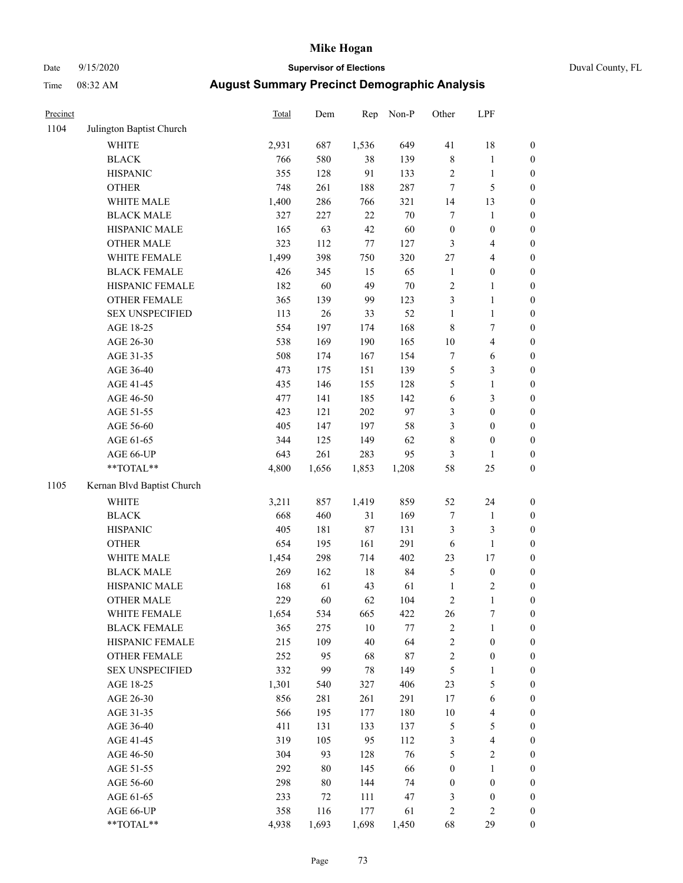# Date 9/15/2020 **Supervisor of Elections** Duval County, FL

| Precinct |                            | Total | Dem   | Rep    | Non-P  | Other            | LPF              |                  |
|----------|----------------------------|-------|-------|--------|--------|------------------|------------------|------------------|
| 1104     | Julington Baptist Church   |       |       |        |        |                  |                  |                  |
|          | <b>WHITE</b>               | 2,931 | 687   | 1,536  | 649    | 41               | $18\,$           | 0                |
|          | <b>BLACK</b>               | 766   | 580   | 38     | 139    | $\,$ 8 $\,$      | $\mathbf{1}$     | 0                |
|          | <b>HISPANIC</b>            | 355   | 128   | 91     | 133    | $\sqrt{2}$       | $\mathbf{1}$     | $\boldsymbol{0}$ |
|          | <b>OTHER</b>               | 748   | 261   | 188    | 287    | $\boldsymbol{7}$ | $\mathfrak{S}$   | $\boldsymbol{0}$ |
|          | WHITE MALE                 | 1,400 | 286   | 766    | 321    | 14               | 13               | $\boldsymbol{0}$ |
|          | <b>BLACK MALE</b>          | 327   | 227   | 22     | $70\,$ | 7                | $\mathbf{1}$     | $\boldsymbol{0}$ |
|          | HISPANIC MALE              | 165   | 63    | 42     | 60     | $\boldsymbol{0}$ | $\boldsymbol{0}$ | $\boldsymbol{0}$ |
|          | <b>OTHER MALE</b>          | 323   | 112   | 77     | 127    | 3                | $\overline{4}$   | $\boldsymbol{0}$ |
|          | WHITE FEMALE               | 1,499 | 398   | 750    | 320    | $27\,$           | $\overline{4}$   | $\boldsymbol{0}$ |
|          | <b>BLACK FEMALE</b>        | 426   | 345   | 15     | 65     | $\mathbf{1}$     | $\boldsymbol{0}$ | $\boldsymbol{0}$ |
|          | HISPANIC FEMALE            | 182   | 60    | 49     | $70\,$ | $\sqrt{2}$       | $\mathbf{1}$     | $\boldsymbol{0}$ |
|          | OTHER FEMALE               | 365   | 139   | 99     | 123    | 3                | $\mathbf{1}$     | $\boldsymbol{0}$ |
|          | <b>SEX UNSPECIFIED</b>     | 113   | 26    | 33     | 52     | $\mathbf{1}$     | $\mathbf{1}$     | $\boldsymbol{0}$ |
|          | AGE 18-25                  | 554   | 197   | 174    | 168    | $\,$ $\,$        | $\tau$           | $\boldsymbol{0}$ |
|          | AGE 26-30                  | 538   | 169   | 190    | 165    | $10\,$           | 4                | $\boldsymbol{0}$ |
|          | AGE 31-35                  | 508   | 174   | 167    | 154    | $\boldsymbol{7}$ | 6                | $\boldsymbol{0}$ |
|          | AGE 36-40                  | 473   | 175   | 151    | 139    | 5                | $\mathfrak{Z}$   | $\boldsymbol{0}$ |
|          | AGE 41-45                  | 435   | 146   | 155    | 128    | 5                | $\mathbf{1}$     | $\boldsymbol{0}$ |
|          | AGE 46-50                  | 477   | 141   | 185    | 142    | $\sqrt{6}$       | $\mathfrak{Z}$   | $\boldsymbol{0}$ |
|          | AGE 51-55                  | 423   | 121   | 202    | 97     | $\mathfrak{Z}$   | $\boldsymbol{0}$ | $\boldsymbol{0}$ |
|          | AGE 56-60                  | 405   | 147   | 197    | 58     | 3                | $\boldsymbol{0}$ | $\boldsymbol{0}$ |
|          | AGE 61-65                  | 344   | 125   | 149    | 62     | $\,$ 8 $\,$      | $\boldsymbol{0}$ | $\boldsymbol{0}$ |
|          | AGE 66-UP                  | 643   | 261   | 283    | 95     | 3                | $\mathbf{1}$     | $\boldsymbol{0}$ |
|          | **TOTAL**                  | 4,800 | 1,656 | 1,853  | 1,208  | 58               | $25\,$           | $\boldsymbol{0}$ |
| 1105     | Kernan Blvd Baptist Church |       |       |        |        |                  |                  |                  |
|          | <b>WHITE</b>               | 3,211 | 857   | 1,419  | 859    | 52               | 24               | $\boldsymbol{0}$ |
|          | <b>BLACK</b>               | 668   | 460   | 31     | 169    | $\boldsymbol{7}$ | $\mathbf{1}$     | $\boldsymbol{0}$ |
|          | <b>HISPANIC</b>            | 405   | 181   | $87\,$ | 131    | 3                | 3                | $\boldsymbol{0}$ |
|          | <b>OTHER</b>               | 654   | 195   | 161    | 291    | $\sqrt{6}$       | $\mathbf{1}$     | $\boldsymbol{0}$ |
|          | WHITE MALE                 | 1,454 | 298   | 714    | 402    | 23               | $17$             | $\boldsymbol{0}$ |
|          | <b>BLACK MALE</b>          | 269   | 162   | $18\,$ | 84     | $\mathfrak s$    | $\boldsymbol{0}$ | $\boldsymbol{0}$ |
|          | HISPANIC MALE              | 168   | 61    | 43     | 61     | $\mathbf{1}$     | $\sqrt{2}$       | 0                |
|          | <b>OTHER MALE</b>          | 229   | 60    | 62     | 104    | $\mathbf{2}$     | $\mathbf{1}$     | $\boldsymbol{0}$ |
|          | WHITE FEMALE               | 1,654 | 534   | 665    | 422    | 26               | 7                | 0                |
|          | <b>BLACK FEMALE</b>        | 365   | 275   | $10\,$ | 77     | $\sqrt{2}$       | $\mathbf{1}$     | $\boldsymbol{0}$ |
|          | HISPANIC FEMALE            | 215   | 109   | 40     | 64     | $\sqrt{2}$       | $\boldsymbol{0}$ | $\overline{0}$   |
|          | <b>OTHER FEMALE</b>        | 252   | 95    | 68     | 87     | $\overline{c}$   | $\boldsymbol{0}$ | 0                |
|          | <b>SEX UNSPECIFIED</b>     | 332   | 99    | $78\,$ | 149    | 5                | $\mathbf{1}$     | 0                |
|          | AGE 18-25                  | 1,301 | 540   | 327    | 406    | 23               | 5                | 0                |
|          | AGE 26-30                  | 856   | 281   | 261    | 291    | 17               | 6                | 0                |
|          | AGE 31-35                  | 566   | 195   | 177    | 180    | $10\,$           | $\overline{4}$   | 0                |
|          | AGE 36-40                  | 411   | 131   | 133    | 137    | 5                | $\mathfrak{S}$   | 0                |
|          | AGE 41-45                  | 319   | 105   | 95     | 112    | 3                | $\overline{4}$   | 0                |
|          | AGE 46-50                  | 304   | 93    | 128    | 76     | 5                | $\sqrt{2}$       | 0                |
|          | AGE 51-55                  | 292   | 80    | 145    | 66     | $\boldsymbol{0}$ | $\mathbf{1}$     | 0                |
|          | AGE 56-60                  | 298   | 80    | 144    | 74     | $\boldsymbol{0}$ | $\boldsymbol{0}$ | 0                |
|          | AGE 61-65                  | 233   | 72    | 111    | 47     | 3                | $\boldsymbol{0}$ | $\overline{0}$   |
|          | AGE 66-UP                  | 358   | 116   | 177    | 61     | $\overline{c}$   | $\overline{2}$   | 0                |
|          | **TOTAL**                  | 4,938 | 1,693 | 1,698  | 1,450  | 68               | 29               | $\boldsymbol{0}$ |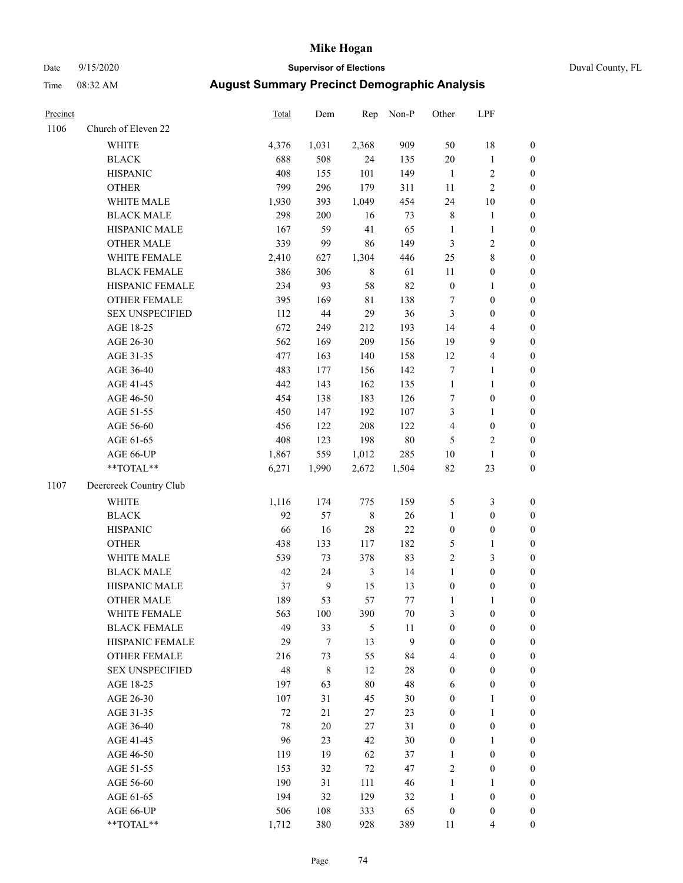### Date 9/15/2020 **Supervisor of Elections** Duval County, FL

| Precinct |                        | Total  | Dem            | Rep            | Non-P  | Other            | LPF                     |                  |
|----------|------------------------|--------|----------------|----------------|--------|------------------|-------------------------|------------------|
| 1106     | Church of Eleven 22    |        |                |                |        |                  |                         |                  |
|          | <b>WHITE</b>           | 4,376  | 1,031          | 2,368          | 909    | 50               | 18                      | $\boldsymbol{0}$ |
|          | <b>BLACK</b>           | 688    | 508            | 24             | 135    | $20\,$           | $\mathbf{1}$            | $\boldsymbol{0}$ |
|          | <b>HISPANIC</b>        | 408    | 155            | 101            | 149    | $\overline{1}$   | $\sqrt{2}$              | $\boldsymbol{0}$ |
|          | <b>OTHER</b>           | 799    | 296            | 179            | 311    | 11               | $\sqrt{2}$              | $\boldsymbol{0}$ |
|          | WHITE MALE             | 1,930  | 393            | 1,049          | 454    | 24               | $10\,$                  | $\boldsymbol{0}$ |
|          | <b>BLACK MALE</b>      | 298    | 200            | 16             | 73     | $\,$ 8 $\,$      | $\mathbf{1}$            | $\boldsymbol{0}$ |
|          | HISPANIC MALE          | 167    | 59             | 41             | 65     | $\mathbf{1}$     | $\mathbf{1}$            | $\boldsymbol{0}$ |
|          | <b>OTHER MALE</b>      | 339    | 99             | 86             | 149    | $\mathfrak{Z}$   | $\sqrt{2}$              | $\boldsymbol{0}$ |
|          | WHITE FEMALE           | 2,410  | 627            | 1,304          | 446    | $25\,$           | $8\,$                   | $\boldsymbol{0}$ |
|          | <b>BLACK FEMALE</b>    | 386    | 306            | $\,$ 8 $\,$    | 61     | 11               | $\boldsymbol{0}$        | $\boldsymbol{0}$ |
|          | HISPANIC FEMALE        | 234    | 93             | 58             | 82     | $\boldsymbol{0}$ | $\mathbf{1}$            | 0                |
|          | OTHER FEMALE           | 395    | 169            | $8\sqrt{1}$    | 138    | 7                | $\boldsymbol{0}$        | 0                |
|          | <b>SEX UNSPECIFIED</b> | 112    | $44\,$         | 29             | 36     | $\mathfrak{Z}$   | $\boldsymbol{0}$        | $\boldsymbol{0}$ |
|          | AGE 18-25              | 672    | 249            | 212            | 193    | 14               | $\overline{\mathbf{4}}$ | $\boldsymbol{0}$ |
|          | AGE 26-30              | 562    | 169            | 209            | 156    | 19               | 9                       | $\boldsymbol{0}$ |
|          | AGE 31-35              | 477    | 163            | 140            | 158    | 12               | $\overline{\mathbf{4}}$ | $\boldsymbol{0}$ |
|          | AGE 36-40              | 483    | 177            | 156            | 142    | 7                | $\mathbf{1}$            | $\boldsymbol{0}$ |
|          | AGE 41-45              | 442    | 143            | 162            | 135    | $\mathbf{1}$     | $\mathbf{1}$            | $\boldsymbol{0}$ |
|          | AGE 46-50              | 454    | 138            | 183            | 126    | 7                | $\boldsymbol{0}$        | $\boldsymbol{0}$ |
|          | AGE 51-55              | 450    | 147            | 192            | 107    | 3                | $\mathbf{1}$            | $\boldsymbol{0}$ |
|          | AGE 56-60              | 456    | 122            | 208            | 122    | $\overline{4}$   | $\boldsymbol{0}$        | 0                |
|          | AGE 61-65              | 408    | 123            | 198            | $80\,$ | 5                | $\sqrt{2}$              | 0                |
|          | AGE 66-UP              | 1,867  | 559            | 1,012          | 285    | $10\,$           | $\mathbf{1}$            | $\boldsymbol{0}$ |
|          | $**TOTAL**$            | 6,271  | 1,990          | 2,672          | 1,504  | $82\,$           | 23                      | $\boldsymbol{0}$ |
| 1107     | Deercreek Country Club |        |                |                |        |                  |                         |                  |
|          | <b>WHITE</b>           | 1,116  | 174            | 775            | 159    | 5                | $\mathfrak{Z}$          | $\boldsymbol{0}$ |
|          | <b>BLACK</b>           | 92     | 57             | $\,$ 8 $\,$    | 26     | $\mathbf{1}$     | $\boldsymbol{0}$        | $\boldsymbol{0}$ |
|          | <b>HISPANIC</b>        | 66     | 16             | 28             | $22\,$ | $\boldsymbol{0}$ | $\boldsymbol{0}$        | $\boldsymbol{0}$ |
|          | <b>OTHER</b>           | 438    | 133            | 117            | 182    | 5                | $\mathbf{1}$            | $\boldsymbol{0}$ |
|          | WHITE MALE             | 539    | 73             | 378            | 83     | $\sqrt{2}$       | $\mathfrak{Z}$          | $\boldsymbol{0}$ |
|          | <b>BLACK MALE</b>      | 42     | 24             | $\mathfrak{Z}$ | 14     | $\mathbf{1}$     | $\boldsymbol{0}$        | $\boldsymbol{0}$ |
|          | HISPANIC MALE          | 37     | $\overline{9}$ | 15             | 13     | $\boldsymbol{0}$ | $\boldsymbol{0}$        | $\boldsymbol{0}$ |
|          | <b>OTHER MALE</b>      | 189    | 53             | 57             | 77     | $\mathbf{1}$     | $\mathbf{1}$            | 0                |
|          | WHITE FEMALE           | 563    | 100            | 390            | 70     | 3                | $\boldsymbol{0}$        | 0                |
|          | <b>BLACK FEMALE</b>    | 49     | 33             | 5              | 11     | $\boldsymbol{0}$ | $\boldsymbol{0}$        | $\boldsymbol{0}$ |
|          | HISPANIC FEMALE        | 29     | 7              | 13             | 9      | $\boldsymbol{0}$ | $\boldsymbol{0}$        | $\overline{0}$   |
|          | OTHER FEMALE           | 216    | 73             | 55             | 84     | 4                | $\boldsymbol{0}$        | $\overline{0}$   |
|          | <b>SEX UNSPECIFIED</b> | 48     | 8              | 12             | $28\,$ | $\boldsymbol{0}$ | $\boldsymbol{0}$        | 0                |
|          | AGE 18-25              | 197    | 63             | 80             | 48     | 6                | $\boldsymbol{0}$        | 0                |
|          | AGE 26-30              | 107    | 31             | 45             | 30     | $\boldsymbol{0}$ | $\mathbf{1}$            | 0                |
|          | AGE 31-35              | $72\,$ | 21             | 27             | 23     | $\boldsymbol{0}$ | $\mathbf{1}$            | 0                |
|          | AGE 36-40              | 78     | $20\,$         | 27             | 31     | $\boldsymbol{0}$ | $\boldsymbol{0}$        | 0                |
|          | AGE 41-45              | 96     | 23             | 42             | 30     | $\boldsymbol{0}$ | $\mathbf{1}$            | 0                |
|          | AGE 46-50              | 119    | 19             | 62             | 37     | $\mathbf{1}$     | $\boldsymbol{0}$        | 0                |
|          | AGE 51-55              | 153    | 32             | 72             | 47     | $\sqrt{2}$       | $\boldsymbol{0}$        | 0                |
|          | AGE 56-60              | 190    | 31             | 111            | 46     | $\mathbf{1}$     | $\mathbf{1}$            | $\overline{0}$   |
|          | AGE 61-65              | 194    | 32             | 129            | 32     | $\mathbf{1}$     | $\boldsymbol{0}$        | $\overline{0}$   |
|          | AGE 66-UP              | 506    | 108            | 333            | 65     | $\boldsymbol{0}$ | $\boldsymbol{0}$        | 0                |
|          | **TOTAL**              | 1,712  | 380            | 928            | 389    | 11               | $\overline{4}$          | $\boldsymbol{0}$ |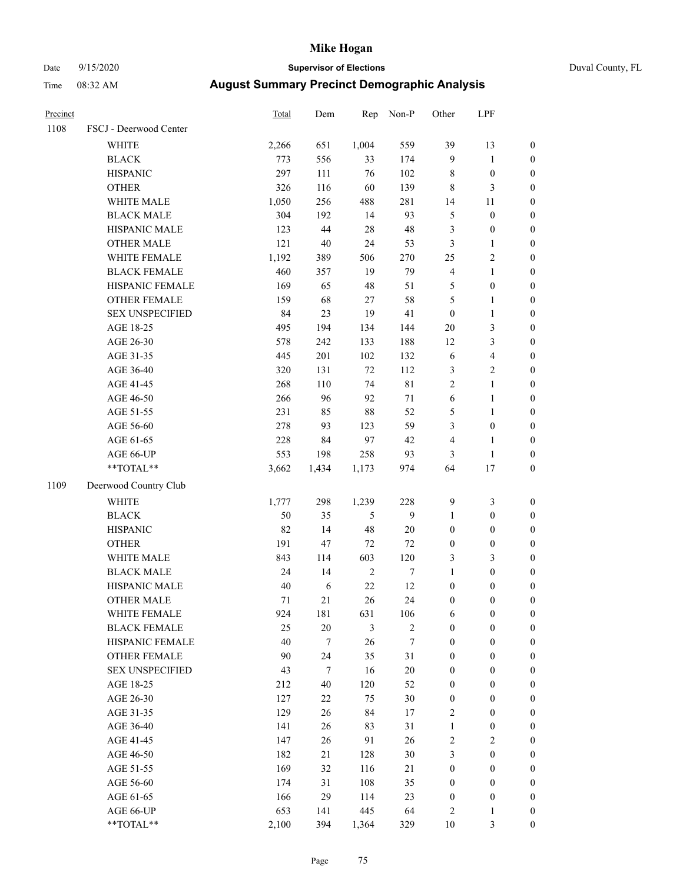# Date 9/15/2020 **Supervisor of Elections** Duval County, FL

| Precinct |                        | Total  | Dem              | Rep        | Non-P       | Other            | LPF              |                  |
|----------|------------------------|--------|------------------|------------|-------------|------------------|------------------|------------------|
| 1108     | FSCJ - Deerwood Center |        |                  |            |             |                  |                  |                  |
|          | WHITE                  | 2,266  | 651              | 1,004      | 559         | 39               | 13               | 0                |
|          | <b>BLACK</b>           | 773    | 556              | 33         | 174         | 9                | $\mathbf{1}$     | 0                |
|          | <b>HISPANIC</b>        | 297    | 111              | 76         | 102         | 8                | $\boldsymbol{0}$ | $\boldsymbol{0}$ |
|          | <b>OTHER</b>           | 326    | 116              | 60         | 139         | 8                | $\mathfrak{Z}$   | $\boldsymbol{0}$ |
|          | WHITE MALE             | 1,050  | 256              | 488        | 281         | 14               | 11               | $\boldsymbol{0}$ |
|          | <b>BLACK MALE</b>      | 304    | 192              | 14         | 93          | 5                | $\boldsymbol{0}$ | $\boldsymbol{0}$ |
|          | HISPANIC MALE          | 123    | 44               | $28\,$     | 48          | 3                | $\boldsymbol{0}$ | $\boldsymbol{0}$ |
|          | <b>OTHER MALE</b>      | 121    | $40\,$           | 24         | 53          | 3                | $\mathbf{1}$     | $\boldsymbol{0}$ |
|          | WHITE FEMALE           | 1,192  | 389              | 506        | 270         | $25\,$           | $\sqrt{2}$       | $\boldsymbol{0}$ |
|          | <b>BLACK FEMALE</b>    | 460    | 357              | 19         | 79          | $\overline{4}$   | $\mathbf{1}$     | $\boldsymbol{0}$ |
|          | HISPANIC FEMALE        | 169    | 65               | 48         | 51          | 5                | $\boldsymbol{0}$ | $\boldsymbol{0}$ |
|          | OTHER FEMALE           | 159    | 68               | 27         | 58          | 5                | $\mathbf{1}$     | $\boldsymbol{0}$ |
|          | <b>SEX UNSPECIFIED</b> | 84     | 23               | 19         | 41          | $\boldsymbol{0}$ | $\mathbf{1}$     | $\boldsymbol{0}$ |
|          | AGE 18-25              | 495    | 194              | 134        | 144         | $20\,$           | 3                | $\boldsymbol{0}$ |
|          | AGE 26-30              | 578    | 242              | 133        | 188         | 12               | $\mathfrak{Z}$   | $\boldsymbol{0}$ |
|          | AGE 31-35              | 445    | 201              | 102        | 132         | $\sqrt{6}$       | $\overline{4}$   | $\boldsymbol{0}$ |
|          | AGE 36-40              | 320    | 131              | 72         | 112         | 3                | $\sqrt{2}$       | $\boldsymbol{0}$ |
|          | AGE 41-45              | 268    | 110              | 74         | $8\sqrt{1}$ | $\overline{2}$   | $\mathbf{1}$     | $\boldsymbol{0}$ |
|          | AGE 46-50              | 266    | 96               | 92         | $71\,$      | $\sqrt{6}$       | $\mathbf{1}$     | $\boldsymbol{0}$ |
|          | AGE 51-55              | 231    | 85               | $88\,$     | 52          | 5                | $\mathbf{1}$     | 0                |
|          | AGE 56-60              | 278    | 93               | 123        | 59          | 3                | $\boldsymbol{0}$ | 0                |
|          | AGE 61-65              | 228    | 84               | 97         | $42\,$      | 4                | $\mathbf{1}$     | $\boldsymbol{0}$ |
|          | AGE 66-UP              | 553    | 198              | 258        | 93          | 3                | $\mathbf{1}$     | $\boldsymbol{0}$ |
|          | **TOTAL**              | 3,662  | 1,434            | 1,173      | 974         | 64               | 17               | $\boldsymbol{0}$ |
| 1109     | Deerwood Country Club  |        |                  |            |             |                  |                  |                  |
|          | <b>WHITE</b>           | 1,777  | 298              | 1,239      | 228         | $\mathbf{9}$     | $\mathfrak{Z}$   | $\boldsymbol{0}$ |
|          | <b>BLACK</b>           | 50     | 35               | 5          | 9           | $\mathbf{1}$     | $\boldsymbol{0}$ | $\boldsymbol{0}$ |
|          | <b>HISPANIC</b>        | 82     | 14               | 48         | $20\,$      | $\boldsymbol{0}$ | $\boldsymbol{0}$ | $\boldsymbol{0}$ |
|          | <b>OTHER</b>           | 191    | 47               | 72         | 72          | $\boldsymbol{0}$ | $\boldsymbol{0}$ | $\boldsymbol{0}$ |
|          | WHITE MALE             | 843    | 114              | 603        | 120         | 3                | 3                | $\boldsymbol{0}$ |
|          | <b>BLACK MALE</b>      | 24     | 14               | $\sqrt{2}$ | $\tau$      | $\mathbf{1}$     | $\boldsymbol{0}$ | $\boldsymbol{0}$ |
|          | HISPANIC MALE          | $40\,$ | 6                | $22\,$     | 12          | $\boldsymbol{0}$ | $\boldsymbol{0}$ | 0                |
|          | <b>OTHER MALE</b>      | 71     | 21               | 26         | 24          | $\boldsymbol{0}$ | $\boldsymbol{0}$ | $\boldsymbol{0}$ |
|          | WHITE FEMALE           | 924    | 181              | 631        | 106         | 6                | $\boldsymbol{0}$ | 0                |
|          | <b>BLACK FEMALE</b>    | 25     | 20               | 3          | $\sqrt{2}$  | $\boldsymbol{0}$ | $\boldsymbol{0}$ | $\overline{0}$   |
|          | HISPANIC FEMALE        | 40     | $\tau$           | 26         | 7           | $\boldsymbol{0}$ | $\boldsymbol{0}$ | $\overline{0}$   |
|          | <b>OTHER FEMALE</b>    | 90     | 24               | 35         | 31          | $\boldsymbol{0}$ | $\boldsymbol{0}$ | $\overline{0}$   |
|          | <b>SEX UNSPECIFIED</b> | 43     | $\boldsymbol{7}$ | 16         | $20\,$      | $\boldsymbol{0}$ | $\boldsymbol{0}$ | $\overline{0}$   |
|          | AGE 18-25              | 212    | 40               | 120        | 52          | $\boldsymbol{0}$ | $\boldsymbol{0}$ | $\theta$         |
|          | AGE 26-30              | 127    | 22               | 75         | 30          | $\boldsymbol{0}$ | $\boldsymbol{0}$ | 0                |
|          | AGE 31-35              | 129    | 26               | 84         | 17          | 2                | $\boldsymbol{0}$ | 0                |
|          | AGE 36-40              | 141    | 26               | 83         | 31          | $\mathbf{1}$     | $\boldsymbol{0}$ | 0                |
|          | AGE 41-45              | 147    | 26               | 91         | 26          | 2                | $\overline{2}$   | 0                |
|          | AGE 46-50              | 182    | 21               | 128        | 30          | 3                | $\boldsymbol{0}$ | 0                |
|          | AGE 51-55              | 169    | 32               | 116        | 21          | $\boldsymbol{0}$ | $\boldsymbol{0}$ | $\overline{0}$   |
|          | AGE 56-60              | 174    | 31               | 108        | 35          | $\boldsymbol{0}$ | $\boldsymbol{0}$ | $\overline{0}$   |
|          | AGE 61-65              | 166    | 29               | 114        | 23          | $\boldsymbol{0}$ | $\boldsymbol{0}$ | $\overline{0}$   |
|          | AGE 66-UP              | 653    | 141              | 445        | 64          | $\sqrt{2}$       | $\mathbf{1}$     | 0                |
|          | **TOTAL**              | 2,100  | 394              | 1,364      | 329         | $10\,$           | $\mathfrak{Z}$   | $\boldsymbol{0}$ |
|          |                        |        |                  |            |             |                  |                  |                  |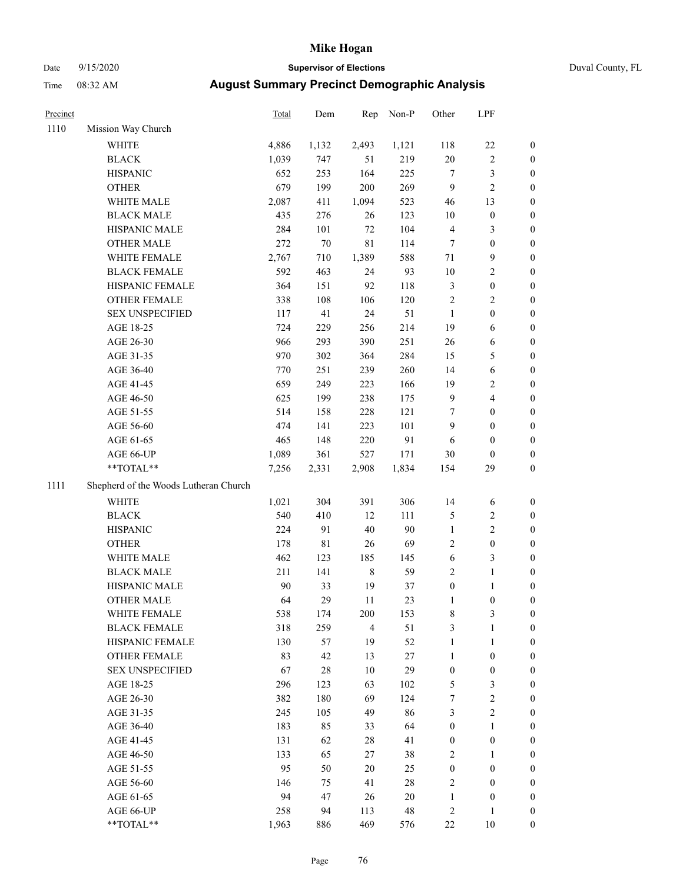## Date 9/15/2020 **Supervisor of Elections** Duval County, FL

| Precinct |                                       | <b>Total</b> | Dem         | Rep            | Non-P       | Other            | LPF              |                  |
|----------|---------------------------------------|--------------|-------------|----------------|-------------|------------------|------------------|------------------|
| 1110     | Mission Way Church                    |              |             |                |             |                  |                  |                  |
|          | <b>WHITE</b>                          | 4,886        | 1,132       | 2,493          | 1,121       | 118              | $22\,$           | 0                |
|          | <b>BLACK</b>                          | 1,039        | 747         | 51             | 219         | $20\,$           | $\sqrt{2}$       | 0                |
|          | <b>HISPANIC</b>                       | 652          | 253         | 164            | 225         | $\tau$           | $\mathfrak{Z}$   | 0                |
|          | <b>OTHER</b>                          | 679          | 199         | 200            | 269         | 9                | $\overline{c}$   | $\boldsymbol{0}$ |
|          | WHITE MALE                            | 2,087        | 411         | 1,094          | 523         | 46               | 13               | $\boldsymbol{0}$ |
|          | <b>BLACK MALE</b>                     | 435          | 276         | 26             | 123         | $10\,$           | $\boldsymbol{0}$ | $\boldsymbol{0}$ |
|          | HISPANIC MALE                         | 284          | 101         | $72\,$         | 104         | 4                | $\mathfrak{Z}$   | $\boldsymbol{0}$ |
|          | <b>OTHER MALE</b>                     | 272          | $70\,$      | $8\sqrt{1}$    | 114         | 7                | $\boldsymbol{0}$ | $\boldsymbol{0}$ |
|          | WHITE FEMALE                          | 2,767        | 710         | 1,389          | 588         | 71               | $\mathbf{9}$     | $\boldsymbol{0}$ |
|          | <b>BLACK FEMALE</b>                   | 592          | 463         | 24             | 93          | 10               | $\sqrt{2}$       | 0                |
|          | HISPANIC FEMALE                       | 364          | 151         | 92             | 118         | 3                | $\boldsymbol{0}$ | 0                |
|          | OTHER FEMALE                          | 338          | 108         | 106            | 120         | $\sqrt{2}$       | $\sqrt{2}$       | 0                |
|          | <b>SEX UNSPECIFIED</b>                | 117          | 41          | 24             | 51          | $\mathbf{1}$     | $\boldsymbol{0}$ | $\boldsymbol{0}$ |
|          | AGE 18-25                             | 724          | 229         | 256            | 214         | 19               | 6                | $\boldsymbol{0}$ |
|          | AGE 26-30                             | 966          | 293         | 390            | 251         | 26               | 6                | $\boldsymbol{0}$ |
|          | AGE 31-35                             | 970          | 302         | 364            | 284         | 15               | $\mathfrak{S}$   | $\boldsymbol{0}$ |
|          | AGE 36-40                             | 770          | 251         | 239            | 260         | 14               | $\sqrt{6}$       | $\boldsymbol{0}$ |
|          | AGE 41-45                             | 659          | 249         | 223            | 166         | 19               | $\sqrt{2}$       | $\boldsymbol{0}$ |
|          | AGE 46-50                             | 625          | 199         | 238            | 175         | $\overline{9}$   | $\overline{4}$   | $\boldsymbol{0}$ |
|          | AGE 51-55                             | 514          | 158         | 228            | 121         | 7                | $\boldsymbol{0}$ | $\boldsymbol{0}$ |
|          | AGE 56-60                             | 474          | 141         | 223            | 101         | 9                | $\boldsymbol{0}$ | 0                |
|          | AGE 61-65                             | 465          | 148         | 220            | 91          | 6                | $\boldsymbol{0}$ | 0                |
|          | AGE 66-UP                             | 1,089        | 361         | 527            | 171         | 30               | $\boldsymbol{0}$ | $\boldsymbol{0}$ |
|          | $**TOTAL**$                           | 7,256        | 2,331       | 2,908          | 1,834       | 154              | 29               | $\boldsymbol{0}$ |
| 1111     | Shepherd of the Woods Lutheran Church |              |             |                |             |                  |                  |                  |
|          | <b>WHITE</b>                          | 1,021        | 304         | 391            | 306         | 14               | 6                | $\boldsymbol{0}$ |
|          | <b>BLACK</b>                          | 540          | 410         | 12             | 111         | 5                | $\sqrt{2}$       | $\boldsymbol{0}$ |
|          | <b>HISPANIC</b>                       | 224          | 91          | $40\,$         | 90          | $\mathbf{1}$     | $\mathbf{2}$     | $\boldsymbol{0}$ |
|          | <b>OTHER</b>                          | 178          | $8\sqrt{1}$ | 26             | 69          | 2                | $\boldsymbol{0}$ | $\boldsymbol{0}$ |
|          | WHITE MALE                            | 462          | 123         | 185            | 145         | $\sqrt{6}$       | $\mathfrak{Z}$   | $\boldsymbol{0}$ |
|          | <b>BLACK MALE</b>                     | 211          | 141         | $\,$ 8 $\,$    | 59          | $\mathbf{2}$     | $\mathbf{1}$     | $\boldsymbol{0}$ |
|          | HISPANIC MALE                         | 90           | 33          | 19             | 37          | $\boldsymbol{0}$ | 1                | 0                |
|          | <b>OTHER MALE</b>                     | 64           | 29          | 11             | 23          | 1                | $\boldsymbol{0}$ | 0                |
|          | WHITE FEMALE                          | 538          | 174         | 200            | 153         | 8                | 3                | 0                |
|          | <b>BLACK FEMALE</b>                   | 318          | 259         | $\overline{4}$ | 51          | 3                | $\mathbf{1}$     | $\boldsymbol{0}$ |
|          | HISPANIC FEMALE                       | 130          | 57          | 19             | 52          | $\mathbf{1}$     | $\mathbf{1}$     | $\overline{0}$   |
|          | OTHER FEMALE                          | 83           | 42          | 13             | $27\,$      | $\mathbf{1}$     | $\boldsymbol{0}$ | $\overline{0}$   |
|          | <b>SEX UNSPECIFIED</b>                | 67           | 28          | 10             | 29          | $\boldsymbol{0}$ | $\boldsymbol{0}$ | 0                |
|          | AGE 18-25                             | 296          | 123         | 63             | 102         | 5                | $\mathfrak{Z}$   | 0                |
|          | AGE 26-30                             | 382          | 180         | 69             | 124         | 7                | $\sqrt{2}$       | 0                |
|          | AGE 31-35                             | 245          | 105         | 49             | 86          | 3                | $\sqrt{2}$       | 0                |
|          | AGE 36-40                             | 183          | 85          | 33             | 64          | $\boldsymbol{0}$ | $\mathbf{1}$     | 0                |
|          | AGE 41-45                             | 131          | 62          | 28             | 41          | $\boldsymbol{0}$ | $\boldsymbol{0}$ | 0                |
|          | AGE 46-50                             | 133          | 65          | 27             | 38          | 2                | $\mathbf{1}$     | 0                |
|          | AGE 51-55                             | 95           | 50          | 20             | 25          | $\boldsymbol{0}$ | $\boldsymbol{0}$ | 0                |
|          | AGE 56-60                             | 146          | 75          | 41             | 28          | 2                | $\boldsymbol{0}$ | 0                |
|          | AGE 61-65                             | 94           | 47          | 26             | $20\,$      | $\mathbf{1}$     | $\boldsymbol{0}$ | 0                |
|          | AGE 66-UP                             | 258          | 94          | 113            | $\sqrt{48}$ | $\overline{c}$   | $\mathbf{1}$     | 0                |
|          | **TOTAL**                             | 1,963        | 886         | 469            | 576         | 22               | 10               | $\boldsymbol{0}$ |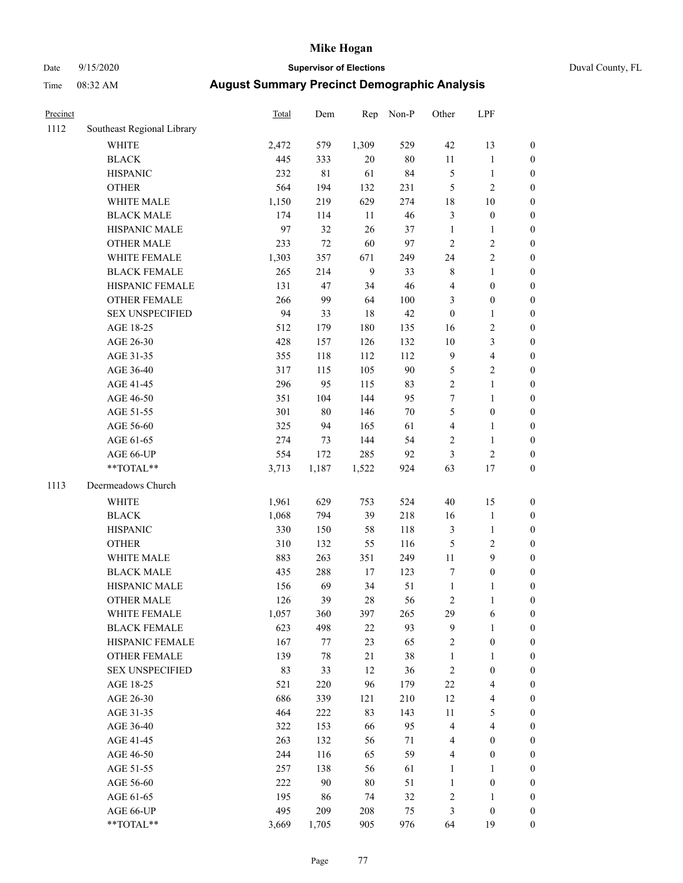### Date 9/15/2020 **Supervisor of Elections** Duval County, FL

| Precinct |                            | <b>Total</b> | Dem         | Rep          | Non-P  | Other                   | LPF              |                  |
|----------|----------------------------|--------------|-------------|--------------|--------|-------------------------|------------------|------------------|
| 1112     | Southeast Regional Library |              |             |              |        |                         |                  |                  |
|          | <b>WHITE</b>               | 2,472        | 579         | 1,309        | 529    | 42                      | 13               | 0                |
|          | <b>BLACK</b>               | 445          | 333         | 20           | $80\,$ | $11\,$                  | $\mathbf{1}$     | 0                |
|          | <b>HISPANIC</b>            | 232          | $8\sqrt{1}$ | 61           | 84     | 5                       | $\mathbf{1}$     | $\boldsymbol{0}$ |
|          | <b>OTHER</b>               | 564          | 194         | 132          | 231    | 5                       | $\sqrt{2}$       | $\boldsymbol{0}$ |
|          | WHITE MALE                 | 1,150        | 219         | 629          | 274    | 18                      | 10               | $\boldsymbol{0}$ |
|          | <b>BLACK MALE</b>          | 174          | 114         | 11           | 46     | 3                       | $\boldsymbol{0}$ | $\boldsymbol{0}$ |
|          | HISPANIC MALE              | 97           | 32          | 26           | 37     | $\mathbf{1}$            | $\mathbf{1}$     | $\boldsymbol{0}$ |
|          | <b>OTHER MALE</b>          | 233          | 72          | 60           | 97     | $\overline{c}$          | $\sqrt{2}$       | $\boldsymbol{0}$ |
|          | WHITE FEMALE               | 1,303        | 357         | 671          | 249    | 24                      | $\sqrt{2}$       | $\boldsymbol{0}$ |
|          | <b>BLACK FEMALE</b>        | 265          | 214         | $\mathbf{9}$ | 33     | 8                       | $\mathbf{1}$     | $\boldsymbol{0}$ |
|          | HISPANIC FEMALE            | 131          | 47          | 34           | 46     | 4                       | $\boldsymbol{0}$ | $\boldsymbol{0}$ |
|          | <b>OTHER FEMALE</b>        | 266          | 99          | 64           | 100    | 3                       | $\boldsymbol{0}$ | $\boldsymbol{0}$ |
|          | <b>SEX UNSPECIFIED</b>     | 94           | 33          | 18           | 42     | $\boldsymbol{0}$        | $\mathbf{1}$     | $\boldsymbol{0}$ |
|          | AGE 18-25                  | 512          | 179         | 180          | 135    | 16                      | $\sqrt{2}$       | $\boldsymbol{0}$ |
|          | AGE 26-30                  | 428          | 157         | 126          | 132    | $10\,$                  | 3                | $\boldsymbol{0}$ |
|          | AGE 31-35                  | 355          | 118         | 112          | 112    | 9                       | $\overline{4}$   | $\boldsymbol{0}$ |
|          | AGE 36-40                  | 317          | 115         | 105          | 90     | 5                       | $\sqrt{2}$       | $\boldsymbol{0}$ |
|          | AGE 41-45                  | 296          | 95          | 115          | 83     | $\overline{c}$          | $\mathbf{1}$     | $\boldsymbol{0}$ |
|          | AGE 46-50                  | 351          | 104         | 144          | 95     | 7                       | $\mathbf{1}$     | $\boldsymbol{0}$ |
|          | AGE 51-55                  | 301          | $80\,$      | 146          | $70\,$ | 5                       | $\boldsymbol{0}$ | $\boldsymbol{0}$ |
|          | AGE 56-60                  | 325          | 94          | 165          | 61     | 4                       | 1                | 0                |
|          | AGE 61-65                  | 274          | 73          | 144          | 54     | $\mathbf{2}$            | $\mathbf{1}$     | $\boldsymbol{0}$ |
|          | AGE 66-UP                  | 554          | 172         | 285          | 92     | 3                       | $\sqrt{2}$       | $\boldsymbol{0}$ |
|          | $**TOTAL**$                | 3,713        | 1,187       | 1,522        | 924    | 63                      | 17               | $\boldsymbol{0}$ |
| 1113     | Deermeadows Church         |              |             |              |        |                         |                  |                  |
|          | <b>WHITE</b>               | 1,961        | 629         | 753          | 524    | 40                      | 15               | $\boldsymbol{0}$ |
|          | <b>BLACK</b>               | 1,068        | 794         | 39           | 218    | 16                      | $\mathbf{1}$     | $\boldsymbol{0}$ |
|          | <b>HISPANIC</b>            | 330          | 150         | 58           | 118    | 3                       | $\mathbf{1}$     | $\boldsymbol{0}$ |
|          | <b>OTHER</b>               | 310          | 132         | 55           | 116    | 5                       | $\sqrt{2}$       | $\boldsymbol{0}$ |
|          | WHITE MALE                 | 883          | 263         | 351          | 249    | $11\,$                  | $\boldsymbol{9}$ | $\boldsymbol{0}$ |
|          | <b>BLACK MALE</b>          | 435          | 288         | 17           | 123    | 7                       | $\boldsymbol{0}$ | $\boldsymbol{0}$ |
|          | HISPANIC MALE              | 156          | 69          | 34           | 51     | $\mathbf{1}$            | 1                | $\boldsymbol{0}$ |
|          | <b>OTHER MALE</b>          | 126          | 39          | 28           | 56     | 2                       | $\mathbf{1}$     | $\boldsymbol{0}$ |
|          | WHITE FEMALE               | 1,057        | 360         | 397          | 265    | 29                      | 6                | 0                |
|          | <b>BLACK FEMALE</b>        | 623          | 498         | 22           | 93     | 9                       | $\mathbf{1}$     | $\overline{0}$   |
|          | HISPANIC FEMALE            | 167          | $77 \,$     | 23           | 65     | 2                       | $\boldsymbol{0}$ | $\overline{0}$   |
|          | OTHER FEMALE               | 139          | 78          | 21           | 38     | 1                       | $\mathbf{1}$     | 0                |
|          | <b>SEX UNSPECIFIED</b>     | 83           | 33          | 12           | 36     | $\overline{c}$          | $\boldsymbol{0}$ | 0                |
|          | AGE 18-25                  | 521          | 220         | 96           | 179    | 22                      | $\overline{4}$   | 0                |
|          | AGE 26-30                  | 686          | 339         | 121          | 210    | 12                      | $\overline{4}$   | 0                |
|          | AGE 31-35                  | 464          | 222         | 83           | 143    | $11\,$                  | $\mathfrak s$    | 0                |
|          | AGE 36-40                  | 322          | 153         | 66           | 95     | 4                       | $\overline{4}$   | 0                |
|          | AGE 41-45                  | 263          | 132         | 56           | 71     | 4                       | $\boldsymbol{0}$ | 0                |
|          | AGE 46-50                  | 244          | 116         | 65           | 59     | 4                       | $\boldsymbol{0}$ | 0                |
|          | AGE 51-55                  | 257          | 138         | 56           | 61     | 1                       | $\mathbf{1}$     | 0                |
|          | AGE 56-60                  | 222          | 90          | $80\,$       | 51     | 1                       | $\boldsymbol{0}$ | 0                |
|          | AGE 61-65                  | 195          | 86          | 74           | 32     | $\overline{\mathbf{c}}$ | 1                | 0                |
|          | AGE 66-UP                  | 495          | 209         | 208          | 75     | 3                       | $\boldsymbol{0}$ | 0                |
|          | **TOTAL**                  | 3,669        | 1,705       | 905          | 976    | 64                      | 19               | $\boldsymbol{0}$ |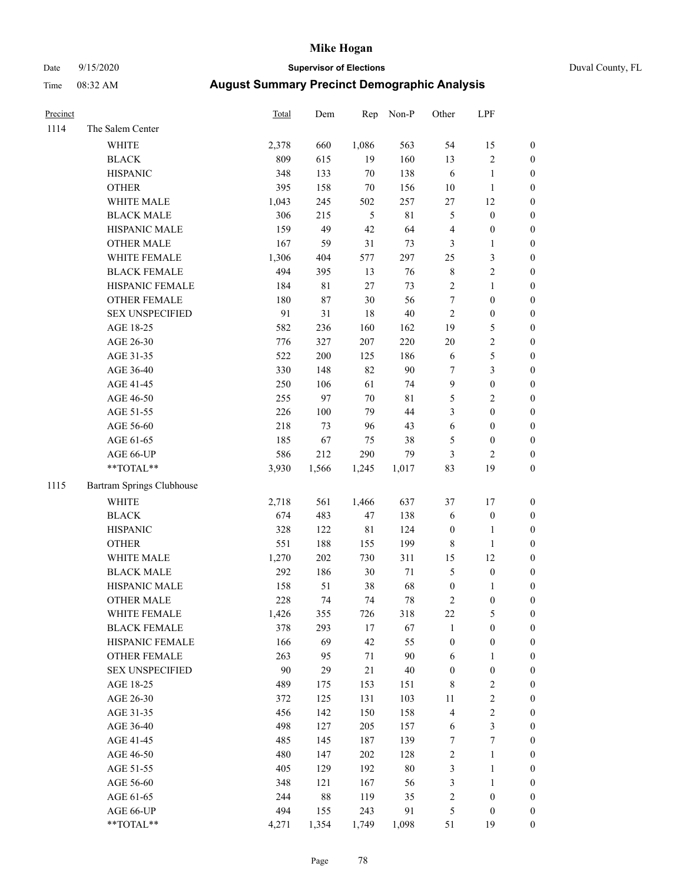### Date 9/15/2020 **Supervisor of Elections** Duval County, FL

| Precinct |                           | Total | Dem         | Rep    | Non-P       | Other                   | LPF              |                  |
|----------|---------------------------|-------|-------------|--------|-------------|-------------------------|------------------|------------------|
| 1114     | The Salem Center          |       |             |        |             |                         |                  |                  |
|          | <b>WHITE</b>              | 2,378 | 660         | 1,086  | 563         | 54                      | 15               | 0                |
|          | <b>BLACK</b>              | 809   | 615         | 19     | 160         | 13                      | $\sqrt{2}$       | 0                |
|          | <b>HISPANIC</b>           | 348   | 133         | $70\,$ | 138         | 6                       | $\mathbf{1}$     | $\boldsymbol{0}$ |
|          | <b>OTHER</b>              | 395   | 158         | $70\,$ | 156         | $10\,$                  | $\mathbf{1}$     | $\boldsymbol{0}$ |
|          | WHITE MALE                | 1,043 | 245         | 502    | 257         | 27                      | 12               | $\boldsymbol{0}$ |
|          | <b>BLACK MALE</b>         | 306   | 215         | 5      | 81          | 5                       | $\boldsymbol{0}$ | $\boldsymbol{0}$ |
|          | HISPANIC MALE             | 159   | 49          | 42     | 64          | 4                       | $\boldsymbol{0}$ | $\boldsymbol{0}$ |
|          | <b>OTHER MALE</b>         | 167   | 59          | 31     | 73          | 3                       | $\mathbf{1}$     | $\boldsymbol{0}$ |
|          | WHITE FEMALE              | 1,306 | 404         | 577    | 297         | 25                      | $\sqrt{3}$       | $\boldsymbol{0}$ |
|          | <b>BLACK FEMALE</b>       | 494   | 395         | 13     | 76          | 8                       | $\sqrt{2}$       | 0                |
|          | HISPANIC FEMALE           | 184   | $8\sqrt{1}$ | 27     | 73          | $\mathbf{2}$            | $\mathbf{1}$     | 0                |
|          | OTHER FEMALE              | 180   | 87          | 30     | 56          | $\boldsymbol{7}$        | $\boldsymbol{0}$ | $\boldsymbol{0}$ |
|          | <b>SEX UNSPECIFIED</b>    | 91    | 31          | 18     | 40          | $\mathbf{2}$            | $\boldsymbol{0}$ | $\boldsymbol{0}$ |
|          | AGE 18-25                 | 582   | 236         | 160    | 162         | 19                      | $\mathfrak s$    | $\boldsymbol{0}$ |
|          | AGE 26-30                 | 776   | 327         | 207    | 220         | $20\,$                  | $\sqrt{2}$       | $\boldsymbol{0}$ |
|          | AGE 31-35                 | 522   | 200         | 125    | 186         | 6                       | $\mathfrak s$    | $\boldsymbol{0}$ |
|          | AGE 36-40                 | 330   | 148         | 82     | 90          | 7                       | 3                | $\boldsymbol{0}$ |
|          | AGE 41-45                 | 250   | 106         | 61     | 74          | 9                       | $\boldsymbol{0}$ | $\boldsymbol{0}$ |
|          | AGE 46-50                 | 255   | 97          | 70     | $8\sqrt{1}$ | 5                       | $\sqrt{2}$       | $\boldsymbol{0}$ |
|          | AGE 51-55                 | 226   | 100         | 79     | $44\,$      | 3                       | $\boldsymbol{0}$ | $\boldsymbol{0}$ |
|          | AGE 56-60                 | 218   | 73          | 96     | 43          | 6                       | $\boldsymbol{0}$ | 0                |
|          | AGE 61-65                 | 185   | 67          | 75     | 38          | 5                       | $\boldsymbol{0}$ | $\boldsymbol{0}$ |
|          | AGE 66-UP                 | 586   | 212         | 290    | 79          | 3                       | $\mathbf{2}$     | $\boldsymbol{0}$ |
|          | $**TOTAL**$               | 3,930 | 1,566       | 1,245  | 1,017       | 83                      | 19               | $\boldsymbol{0}$ |
| 1115     | Bartram Springs Clubhouse |       |             |        |             |                         |                  |                  |
|          | <b>WHITE</b>              | 2,718 | 561         | 1,466  | 637         | 37                      | 17               | $\boldsymbol{0}$ |
|          | <b>BLACK</b>              | 674   | 483         | 47     | 138         | 6                       | $\boldsymbol{0}$ | $\boldsymbol{0}$ |
|          | <b>HISPANIC</b>           | 328   | 122         | 81     | 124         | $\boldsymbol{0}$        | $\mathbf{1}$     | $\boldsymbol{0}$ |
|          | <b>OTHER</b>              | 551   | 188         | 155    | 199         | 8                       | $\mathbf{1}$     | $\boldsymbol{0}$ |
|          | WHITE MALE                | 1,270 | 202         | 730    | 311         | 15                      | 12               | $\boldsymbol{0}$ |
|          | <b>BLACK MALE</b>         | 292   | 186         | 30     | $71\,$      | 5                       | $\boldsymbol{0}$ | $\boldsymbol{0}$ |
|          | HISPANIC MALE             | 158   | 51          | 38     | 68          | $\boldsymbol{0}$        | 1                | 0                |
|          | <b>OTHER MALE</b>         | 228   | 74          | 74     | 78          | 2                       | $\boldsymbol{0}$ | $\boldsymbol{0}$ |
|          | WHITE FEMALE              | 1,426 | 355         | 726    | 318         | 22                      | 5                | 0                |
|          | <b>BLACK FEMALE</b>       | 378   | 293         | $17\,$ | 67          | 1                       | $\boldsymbol{0}$ | $\boldsymbol{0}$ |
|          | HISPANIC FEMALE           | 166   | 69          | 42     | 55          | $\boldsymbol{0}$        | $\boldsymbol{0}$ | $\overline{0}$   |
|          | OTHER FEMALE              | 263   | 95          | $71\,$ | 90          | 6                       | $\mathbf{1}$     | $\overline{0}$   |
|          | <b>SEX UNSPECIFIED</b>    | 90    | 29          | 21     | 40          | $\boldsymbol{0}$        | $\boldsymbol{0}$ | 0                |
|          | AGE 18-25                 | 489   | 175         | 153    | 151         | 8                       | $\sqrt{2}$       | 0                |
|          | AGE 26-30                 | 372   | 125         | 131    | 103         | $11\,$                  | $\sqrt{2}$       | 0                |
|          | AGE 31-35                 | 456   | 142         | 150    | 158         | 4                       | $\sqrt{2}$       | 0                |
|          | AGE 36-40                 | 498   | 127         | 205    | 157         | 6                       | $\mathfrak{Z}$   | 0                |
|          | AGE 41-45                 | 485   | 145         | 187    | 139         | $\boldsymbol{7}$        | $\boldsymbol{7}$ | 0                |
|          | AGE 46-50                 | 480   | 147         | 202    | 128         | 2                       | $\mathbf{1}$     | 0                |
|          | AGE 51-55                 | 405   | 129         | 192    | $80\,$      | 3                       | $\mathbf{1}$     | 0                |
|          | AGE 56-60                 | 348   | 121         | 167    | 56          | 3                       | $\mathbf{1}$     | 0                |
|          | AGE 61-65                 | 244   | 88          | 119    | 35          | $\overline{\mathbf{c}}$ | $\boldsymbol{0}$ | $\boldsymbol{0}$ |
|          | AGE 66-UP                 | 494   | 155         | 243    | 91          | 5                       | $\boldsymbol{0}$ | 0                |
|          | **TOTAL**                 | 4,271 | 1,354       | 1,749  | 1,098       | 51                      | 19               | $\boldsymbol{0}$ |
|          |                           |       |             |        |             |                         |                  |                  |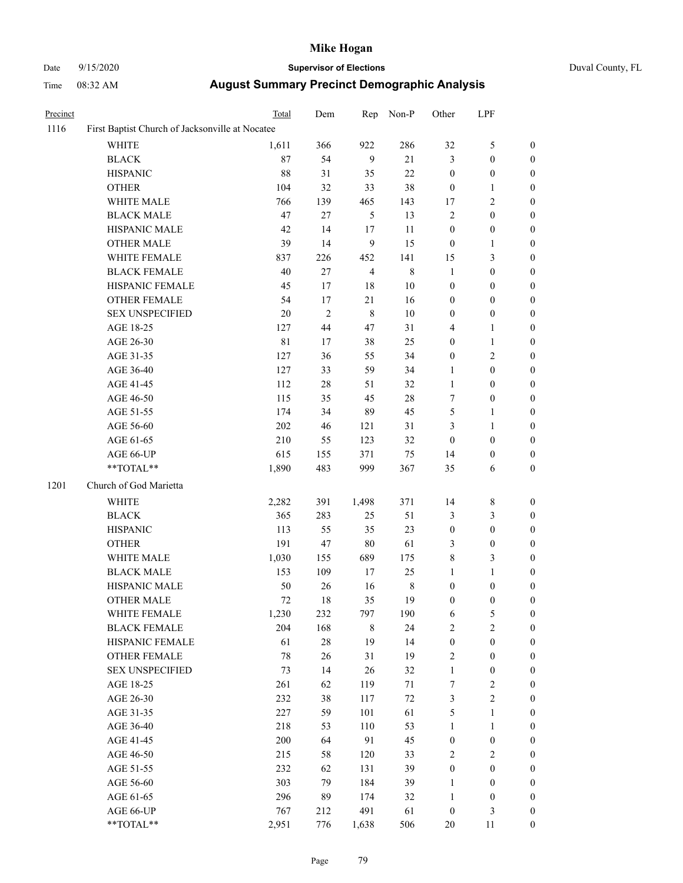# Date 9/15/2020 **Supervisor of Elections** Duval County, FL

|  |  | D |
|--|--|---|
|  |  |   |

| Time     | $08:32 \, \text{AM}$ | <b>August Summary Precinct Demographic Analysis</b> |       |     |
|----------|----------------------|-----------------------------------------------------|-------|-----|
| Precinct |                      | Total<br>Rep Non-P<br>Dem                           | Other | LPF |

| 1116 | First Baptist Church of Jacksonville at Nocatee |        |                |                |         |                  |                  |                  |
|------|-------------------------------------------------|--------|----------------|----------------|---------|------------------|------------------|------------------|
|      | <b>WHITE</b>                                    | 1,611  | 366            | 922            | 286     | 32               | $\mathfrak s$    | $\boldsymbol{0}$ |
|      | <b>BLACK</b>                                    | 87     | 54             | 9              | 21      | 3                | $\boldsymbol{0}$ | $\boldsymbol{0}$ |
|      | <b>HISPANIC</b>                                 | 88     | 31             | 35             | $22\,$  | $\boldsymbol{0}$ | $\boldsymbol{0}$ | $\boldsymbol{0}$ |
|      | <b>OTHER</b>                                    | 104    | 32             | 33             | 38      | $\boldsymbol{0}$ | $\mathbf{1}$     | $\boldsymbol{0}$ |
|      | WHITE MALE                                      | 766    | 139            | 465            | 143     | 17               | $\mathbf{2}$     | 0                |
|      | <b>BLACK MALE</b>                               | 47     | 27             | $\mathfrak{H}$ | 13      | $\mathbf{2}$     | $\boldsymbol{0}$ | 0                |
|      | HISPANIC MALE                                   | 42     | 14             | 17             | 11      | $\boldsymbol{0}$ | $\boldsymbol{0}$ | $\boldsymbol{0}$ |
|      | <b>OTHER MALE</b>                               | 39     | 14             | 9              | 15      | $\boldsymbol{0}$ | $\mathbf{1}$     | $\boldsymbol{0}$ |
|      | WHITE FEMALE                                    | 837    | 226            | 452            | 141     | 15               | $\mathfrak{Z}$   | $\boldsymbol{0}$ |
|      | <b>BLACK FEMALE</b>                             | 40     | 27             | $\overline{4}$ | $\,8\,$ | $\mathbf{1}$     | $\boldsymbol{0}$ | $\boldsymbol{0}$ |
|      | HISPANIC FEMALE                                 | 45     | 17             | $18\,$         | $10\,$  | $\boldsymbol{0}$ | $\boldsymbol{0}$ | $\boldsymbol{0}$ |
|      | OTHER FEMALE                                    | 54     | 17             | 21             | 16      | $\boldsymbol{0}$ | $\boldsymbol{0}$ | $\boldsymbol{0}$ |
|      | <b>SEX UNSPECIFIED</b>                          | $20\,$ | $\overline{c}$ | $\,8\,$        | $10\,$  | $\boldsymbol{0}$ | $\boldsymbol{0}$ | $\boldsymbol{0}$ |
|      | AGE 18-25                                       | 127    | 44             | 47             | 31      | 4                | $\mathbf{1}$     | 0                |
|      | AGE 26-30                                       | 81     | 17             | 38             | 25      | $\boldsymbol{0}$ | $\mathbf{1}$     | 0                |
|      | AGE 31-35                                       | 127    | 36             | 55             | 34      | $\boldsymbol{0}$ | $\sqrt{2}$       | 0                |
|      | AGE 36-40                                       | 127    | 33             | 59             | 34      | $\mathbf{1}$     | $\boldsymbol{0}$ | 0                |
|      | AGE 41-45                                       | 112    | $28\,$         | 51             | 32      | $\mathbf{1}$     | $\boldsymbol{0}$ | $\boldsymbol{0}$ |
|      | AGE 46-50                                       | 115    | 35             | 45             | $28\,$  | 7                | $\boldsymbol{0}$ | $\boldsymbol{0}$ |
|      | AGE 51-55                                       | 174    | 34             | 89             | 45      | 5                | $\mathbf{1}$     | $\boldsymbol{0}$ |
|      | AGE 56-60                                       | 202    | 46             | 121            | 31      | 3                | $\mathbf{1}$     | $\boldsymbol{0}$ |
|      | AGE 61-65                                       | 210    | 55             | 123            | 32      | $\boldsymbol{0}$ | $\boldsymbol{0}$ | $\boldsymbol{0}$ |
|      | AGE 66-UP                                       | 615    | 155            | 371            | 75      | 14               | $\boldsymbol{0}$ | 0                |
|      | **TOTAL**                                       | 1,890  | 483            | 999            | 367     | 35               | 6                | $\boldsymbol{0}$ |
| 1201 | Church of God Marietta                          |        |                |                |         |                  |                  |                  |
|      | WHITE                                           | 2,282  | 391            | 1,498          | 371     | 14               | 8                | $\boldsymbol{0}$ |
|      | <b>BLACK</b>                                    | 365    | 283            | 25             | 51      | 3                | 3                | 0                |
|      | <b>HISPANIC</b>                                 | 113    | 55             | 35             | 23      | $\boldsymbol{0}$ | $\boldsymbol{0}$ | 0                |
|      | <b>OTHER</b>                                    | 191    | 47             | $80\,$         | 61      | 3                | $\boldsymbol{0}$ | 0                |
|      | WHITE MALE                                      | 1,030  | 155            | 689            | 175     | 8                | $\mathfrak{Z}$   | $\boldsymbol{0}$ |
|      | <b>BLACK MALE</b>                               | 153    | 109            | 17             | 25      | $\mathbf{1}$     | $\mathbf{1}$     | $\boldsymbol{0}$ |
|      | HISPANIC MALE                                   | 50     | 26             | 16             | 8       | $\boldsymbol{0}$ | $\boldsymbol{0}$ | $\boldsymbol{0}$ |
|      | <b>OTHER MALE</b>                               | 72     | 18             | 35             | 19      | $\boldsymbol{0}$ | $\boldsymbol{0}$ | $\boldsymbol{0}$ |
|      | WHITE FEMALE                                    | 1,230  | 232            | 797            | 190     | 6                | 5                | $\boldsymbol{0}$ |
|      | <b>BLACK FEMALE</b>                             | 204    | 168            | $\,$ 8 $\,$    | 24      | $\sqrt{2}$       | $\sqrt{2}$       | 0                |
|      | HISPANIC FEMALE                                 | 61     | $28\,$         | 19             | 14      | $\boldsymbol{0}$ | $\boldsymbol{0}$ | 0                |
|      | <b>OTHER FEMALE</b>                             | 78     | 26             | 31             | 19      | 2                | $\boldsymbol{0}$ | 0                |
|      | <b>SEX UNSPECIFIED</b>                          | 73     | 14             | 26             | 32      | $\mathbf{1}$     | $\boldsymbol{0}$ | 0                |
|      | AGE 18-25                                       | 261    | 62             | 119            | 71      | $\boldsymbol{7}$ | $\sqrt{2}$       | 0                |
|      | AGE 26-30                                       | 232    | 38             | 117            | $72\,$  | 3                | $\sqrt{2}$       | $\boldsymbol{0}$ |
|      | AGE 31-35                                       | 227    | 59             | 101            | 61      | 5                | $\mathbf{1}$     | $\boldsymbol{0}$ |
|      | AGE 36-40                                       | 218    | 53             | 110            | 53      | $\mathbf{1}$     | $\mathbf{1}$     | 0                |
|      | AGE 41-45                                       | 200    | 64             | 91             | 45      | $\boldsymbol{0}$ | $\boldsymbol{0}$ | 0                |
|      | AGE 46-50                                       | 215    | 58             | 120            | 33      | $\overline{c}$   | $\sqrt{2}$       | $\overline{0}$   |
|      | AGE 51-55                                       | 232    | 62             | 131            | 39      | $\boldsymbol{0}$ | $\boldsymbol{0}$ | $\boldsymbol{0}$ |
|      | AGE 56-60                                       | 303    | 79             | 184            | 39      | $\mathbf{1}$     | $\boldsymbol{0}$ | $\boldsymbol{0}$ |
|      | AGE 61-65                                       | 296    | 89             | 174            | 32      | $\mathbf{1}$     | $\boldsymbol{0}$ | 0                |
|      | AGE 66-UP                                       | 767    | 212            | 491            | 61      | $\boldsymbol{0}$ | $\mathfrak{Z}$   | 0                |
|      | $**TOTAL**$                                     | 2,951  | 776            | 1,638          | 506     | $20\,$           | 11               | $\boldsymbol{0}$ |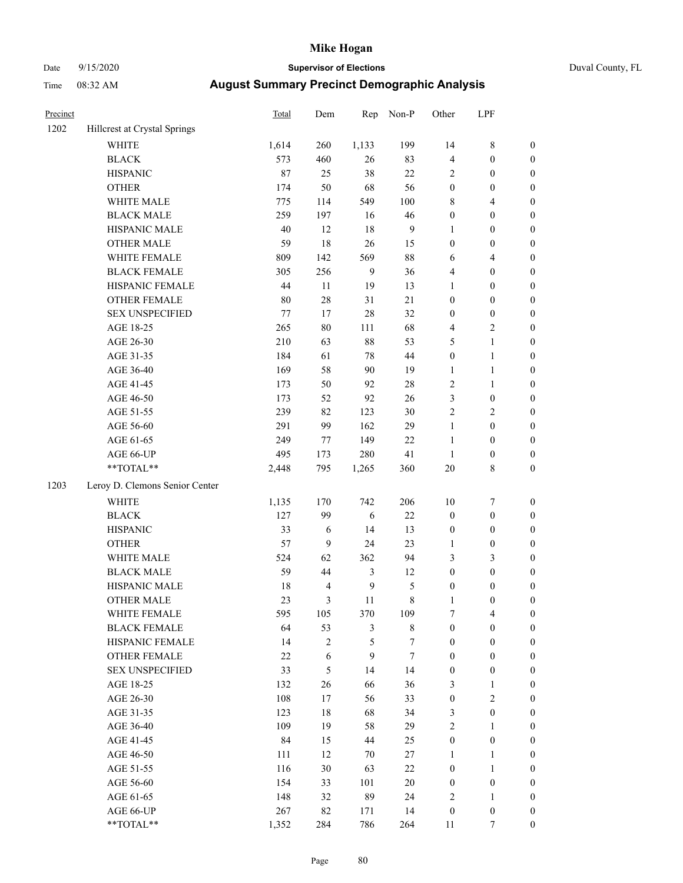# Date 9/15/2020 **Supervisor of Elections** Duval County, FL

| Precinct |                                | Total  | Dem              | Rep            | Non-P          | Other            | LPF              |                  |
|----------|--------------------------------|--------|------------------|----------------|----------------|------------------|------------------|------------------|
| 1202     | Hillcrest at Crystal Springs   |        |                  |                |                |                  |                  |                  |
|          | <b>WHITE</b>                   | 1,614  | 260              | 1,133          | 199            | 14               | $\,$ $\,$        | 0                |
|          | <b>BLACK</b>                   | 573    | 460              | 26             | 83             | 4                | $\boldsymbol{0}$ | 0                |
|          | <b>HISPANIC</b>                | 87     | 25               | 38             | 22             | $\overline{2}$   | $\boldsymbol{0}$ | $\boldsymbol{0}$ |
|          | <b>OTHER</b>                   | 174    | 50               | 68             | 56             | $\boldsymbol{0}$ | $\boldsymbol{0}$ | $\boldsymbol{0}$ |
|          | WHITE MALE                     | 775    | 114              | 549            | 100            | 8                | $\overline{4}$   | $\boldsymbol{0}$ |
|          | <b>BLACK MALE</b>              | 259    | 197              | 16             | $46\,$         | $\boldsymbol{0}$ | $\boldsymbol{0}$ | $\boldsymbol{0}$ |
|          | HISPANIC MALE                  | $40\,$ | 12               | $18\,$         | $\overline{9}$ | $\mathbf{1}$     | $\boldsymbol{0}$ | $\boldsymbol{0}$ |
|          | <b>OTHER MALE</b>              | 59     | 18               | $26\,$         | 15             | $\boldsymbol{0}$ | $\boldsymbol{0}$ | $\boldsymbol{0}$ |
|          | WHITE FEMALE                   | 809    | 142              | 569            | $88\,$         | $\sqrt{6}$       | $\overline{4}$   | $\boldsymbol{0}$ |
|          | <b>BLACK FEMALE</b>            | 305    | 256              | 9              | 36             | 4                | $\boldsymbol{0}$ | $\boldsymbol{0}$ |
|          | HISPANIC FEMALE                | 44     | 11               | 19             | 13             | 1                | $\boldsymbol{0}$ | $\boldsymbol{0}$ |
|          | OTHER FEMALE                   | $80\,$ | $28\,$           | 31             | 21             | $\boldsymbol{0}$ | $\boldsymbol{0}$ | $\boldsymbol{0}$ |
|          | <b>SEX UNSPECIFIED</b>         | 77     | 17               | $28\,$         | 32             | $\boldsymbol{0}$ | $\boldsymbol{0}$ | $\boldsymbol{0}$ |
|          | AGE 18-25                      | 265    | $80\,$           | 111            | 68             | 4                | $\sqrt{2}$       | $\boldsymbol{0}$ |
|          | AGE 26-30                      | 210    | 63               | $88\,$         | 53             | 5                | $\mathbf{1}$     | $\boldsymbol{0}$ |
|          | AGE 31-35                      | 184    | 61               | 78             | $44\,$         | $\boldsymbol{0}$ | $\mathbf{1}$     | $\boldsymbol{0}$ |
|          | AGE 36-40                      | 169    | 58               | 90             | 19             | $\mathbf{1}$     | $\mathbf{1}$     | $\boldsymbol{0}$ |
|          | AGE 41-45                      | 173    | 50               | 92             | $28\,$         | $\mathfrak{2}$   | $\mathbf{1}$     | $\boldsymbol{0}$ |
|          | AGE 46-50                      | 173    | 52               | 92             | 26             | 3                | $\boldsymbol{0}$ | $\boldsymbol{0}$ |
|          | AGE 51-55                      | 239    | 82               | 123            | $30\,$         | $\sqrt{2}$       | $\sqrt{2}$       | 0                |
|          | AGE 56-60                      | 291    | 99               | 162            | 29             | $\mathbf{1}$     | $\boldsymbol{0}$ | 0                |
|          | AGE 61-65                      | 249    | 77               | 149            | $22\,$         | $\mathbf{1}$     | $\boldsymbol{0}$ | $\boldsymbol{0}$ |
|          | AGE 66-UP                      | 495    | 173              | 280            | 41             | $\mathbf{1}$     | $\boldsymbol{0}$ | $\boldsymbol{0}$ |
|          | **TOTAL**                      | 2,448  | 795              | 1,265          | 360            | $20\,$           | $\,$ 8 $\,$      | $\boldsymbol{0}$ |
| 1203     | Leroy D. Clemons Senior Center |        |                  |                |                |                  |                  |                  |
|          | <b>WHITE</b>                   | 1,135  | 170              | 742            | 206            | $10\,$           | $\boldsymbol{7}$ | $\boldsymbol{0}$ |
|          | <b>BLACK</b>                   | 127    | 99               | $\sqrt{6}$     | $22\,$         | $\boldsymbol{0}$ | $\boldsymbol{0}$ | $\boldsymbol{0}$ |
|          | <b>HISPANIC</b>                | 33     | $\sqrt{6}$       | 14             | 13             | $\boldsymbol{0}$ | $\boldsymbol{0}$ | $\boldsymbol{0}$ |
|          | <b>OTHER</b>                   | 57     | $\boldsymbol{9}$ | 24             | 23             | $\mathbf{1}$     | $\boldsymbol{0}$ | $\boldsymbol{0}$ |
|          | WHITE MALE                     | 524    | 62               | 362            | 94             | 3                | 3                | $\boldsymbol{0}$ |
|          | <b>BLACK MALE</b>              | 59     | 44               | $\mathfrak{Z}$ | 12             | $\boldsymbol{0}$ | $\boldsymbol{0}$ | $\boldsymbol{0}$ |
|          | HISPANIC MALE                  | 18     | $\overline{4}$   | $\mathbf{9}$   | $\sqrt{5}$     | $\boldsymbol{0}$ | $\boldsymbol{0}$ | 0                |
|          | <b>OTHER MALE</b>              | 23     | 3                | 11             | $\,8\,$        | $\mathbf{1}$     | $\boldsymbol{0}$ | $\boldsymbol{0}$ |
|          | WHITE FEMALE                   | 595    | 105              | 370            | 109            | 7                | 4                | 0                |
|          | <b>BLACK FEMALE</b>            | 64     | 53               | 3              | 8              | $\boldsymbol{0}$ | $\boldsymbol{0}$ | $\overline{0}$   |
|          | HISPANIC FEMALE                | 14     | $\overline{c}$   | 5              | $\tau$         | $\boldsymbol{0}$ | $\boldsymbol{0}$ | $\overline{0}$   |
|          | OTHER FEMALE                   | $22\,$ | 6                | 9              | 7              | $\boldsymbol{0}$ | $\boldsymbol{0}$ | $\theta$         |
|          | <b>SEX UNSPECIFIED</b>         | 33     | 5                | 14             | 14             | $\boldsymbol{0}$ | $\boldsymbol{0}$ | 0                |
|          | AGE 18-25                      | 132    | 26               | 66             | 36             | 3                | $\mathbf{1}$     | 0                |
|          | AGE 26-30                      | 108    | 17               | 56             | 33             | $\boldsymbol{0}$ | $\mathbf{2}$     | 0                |
|          | AGE 31-35                      | 123    | $18\,$           | 68             | 34             | 3                | $\boldsymbol{0}$ | 0                |
|          | AGE 36-40                      | 109    | 19               | 58             | 29             | $\sqrt{2}$       | $\mathbf{1}$     | 0                |
|          | AGE 41-45                      | 84     | 15               | 44             | 25             | $\boldsymbol{0}$ | $\boldsymbol{0}$ | 0                |
|          | AGE 46-50                      | 111    | 12               | 70             | $27\,$         | $\mathbf{1}$     | $\mathbf{1}$     | 0                |
|          | AGE 51-55                      | 116    | 30               | 63             | 22             | $\boldsymbol{0}$ | $\mathbf{1}$     | 0                |
|          | AGE 56-60                      | 154    | 33               | 101            | $20\,$         | $\boldsymbol{0}$ | $\boldsymbol{0}$ | 0                |
|          | AGE 61-65                      | 148    | 32               | 89             | 24             | 2                | $\mathbf{1}$     | 0                |
|          | AGE 66-UP                      | 267    | 82               | 171            | 14             | $\boldsymbol{0}$ | $\boldsymbol{0}$ | 0                |
|          | **TOTAL**                      | 1,352  | 284              | 786            | 264            | 11               | 7                | $\boldsymbol{0}$ |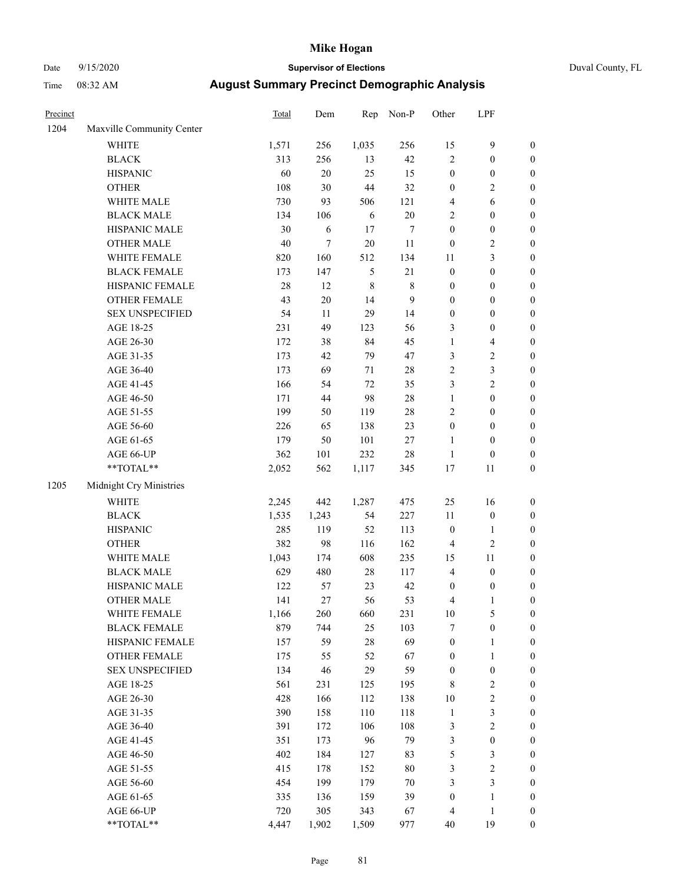# Date 9/15/2020 **Supervisor of Elections** Duval County, FL

| Precinct |                                                           | Total  | Dem    | Rep     | Non-P            | Other            | LPF              |                  |
|----------|-----------------------------------------------------------|--------|--------|---------|------------------|------------------|------------------|------------------|
| 1204     | Maxville Community Center                                 |        |        |         |                  |                  |                  |                  |
|          | <b>WHITE</b>                                              | 1,571  | 256    | 1,035   | 256              | 15               | $\boldsymbol{9}$ | 0                |
|          | <b>BLACK</b>                                              | 313    | 256    | 13      | $42\,$           | $\overline{2}$   | $\boldsymbol{0}$ | 0                |
|          | <b>HISPANIC</b>                                           | 60     | $20\,$ | 25      | 15               | $\boldsymbol{0}$ | $\boldsymbol{0}$ | $\boldsymbol{0}$ |
|          | <b>OTHER</b>                                              | 108    | 30     | $44\,$  | 32               | $\boldsymbol{0}$ | $\sqrt{2}$       | $\boldsymbol{0}$ |
|          | WHITE MALE                                                | 730    | 93     | 506     | 121              | $\overline{4}$   | 6                | $\boldsymbol{0}$ |
|          | <b>BLACK MALE</b>                                         | 134    | 106    | 6       | $20\,$           | $\sqrt{2}$       | $\boldsymbol{0}$ | $\boldsymbol{0}$ |
|          | HISPANIC MALE                                             | 30     | 6      | 17      | $\boldsymbol{7}$ | $\boldsymbol{0}$ | $\boldsymbol{0}$ | $\boldsymbol{0}$ |
|          | <b>OTHER MALE</b>                                         | 40     | $\tau$ | $20\,$  | $11\,$           | $\boldsymbol{0}$ | $\sqrt{2}$       | $\boldsymbol{0}$ |
|          | WHITE FEMALE                                              | 820    | 160    | 512     | 134              | $11\,$           | $\mathfrak{Z}$   | $\boldsymbol{0}$ |
|          | <b>BLACK FEMALE</b>                                       | 173    | 147    | 5       | $21\,$           | $\boldsymbol{0}$ | $\boldsymbol{0}$ | $\boldsymbol{0}$ |
|          | HISPANIC FEMALE                                           | $28\,$ | 12     | $\,8\,$ | $\,$ 8 $\,$      | $\boldsymbol{0}$ | $\boldsymbol{0}$ | $\boldsymbol{0}$ |
|          | OTHER FEMALE                                              | 43     | $20\,$ | 14      | 9                | $\boldsymbol{0}$ | $\boldsymbol{0}$ | $\boldsymbol{0}$ |
|          | <b>SEX UNSPECIFIED</b>                                    | 54     | 11     | 29      | 14               | $\boldsymbol{0}$ | $\boldsymbol{0}$ | $\boldsymbol{0}$ |
|          | AGE 18-25                                                 | 231    | 49     | 123     | 56               | 3                | $\boldsymbol{0}$ | $\boldsymbol{0}$ |
|          | AGE 26-30                                                 | 172    | 38     | 84      | 45               | $\mathbf{1}$     | $\overline{4}$   | $\boldsymbol{0}$ |
|          | AGE 31-35                                                 | 173    | 42     | 79      | $47\,$           | 3                | $\sqrt{2}$       | $\boldsymbol{0}$ |
|          | AGE 36-40                                                 | 173    | 69     | 71      | $28\,$           | $\sqrt{2}$       | $\mathfrak{Z}$   | $\boldsymbol{0}$ |
|          | AGE 41-45                                                 | 166    | 54     | 72      | 35               | 3                | $\overline{c}$   | $\boldsymbol{0}$ |
|          | AGE 46-50                                                 | 171    | $44\,$ | 98      | $28\,$           | $\mathbf{1}$     | $\boldsymbol{0}$ | $\boldsymbol{0}$ |
|          | AGE 51-55                                                 | 199    | 50     | 119     | $28\,$           | $\sqrt{2}$       | $\boldsymbol{0}$ | $\boldsymbol{0}$ |
|          | AGE 56-60                                                 | 226    | 65     | 138     | 23               | $\boldsymbol{0}$ | $\boldsymbol{0}$ | $\boldsymbol{0}$ |
|          | AGE 61-65                                                 | 179    | 50     | 101     | $27\,$           | $\mathbf{1}$     | $\boldsymbol{0}$ | $\boldsymbol{0}$ |
|          | AGE 66-UP                                                 | 362    | 101    | 232     | $28\,$           | $\mathbf{1}$     | $\boldsymbol{0}$ | $\boldsymbol{0}$ |
|          | $\mathrm{*}\mathrm{*}\mathrm{TOTAL} \mathrm{*}\mathrm{*}$ | 2,052  | 562    | 1,117   | 345              | $17\,$           | $11\,$           | $\boldsymbol{0}$ |
| 1205     | Midnight Cry Ministries                                   |        |        |         |                  |                  |                  |                  |
|          | <b>WHITE</b>                                              | 2,245  | 442    | 1,287   | 475              | 25               | 16               | $\boldsymbol{0}$ |
|          | <b>BLACK</b>                                              | 1,535  | 1,243  | 54      | 227              | $11\,$           | $\boldsymbol{0}$ | $\boldsymbol{0}$ |
|          | <b>HISPANIC</b>                                           | 285    | 119    | 52      | 113              | $\boldsymbol{0}$ | $\mathbf{1}$     | $\boldsymbol{0}$ |
|          | <b>OTHER</b>                                              | 382    | 98     | 116     | 162              | 4                | $\sqrt{2}$       | $\boldsymbol{0}$ |
|          | WHITE MALE                                                | 1,043  | 174    | 608     | 235              | 15               | $11\,$           | $\boldsymbol{0}$ |
|          | <b>BLACK MALE</b>                                         | 629    | 480    | $28\,$  | 117              | $\overline{4}$   | $\boldsymbol{0}$ | $\boldsymbol{0}$ |
|          | HISPANIC MALE                                             | 122    | 57     | 23      | $42\,$           | $\boldsymbol{0}$ | $\boldsymbol{0}$ | 0                |
|          | <b>OTHER MALE</b>                                         | 141    | $27\,$ | 56      | 53               | 4                | $\mathbf{1}$     | $\boldsymbol{0}$ |
|          | WHITE FEMALE                                              | 1,166  | 260    | 660     | 231              | 10               | 5                | 0                |
|          | <b>BLACK FEMALE</b>                                       | 879    | 744    | 25      | 103              | 7                | $\boldsymbol{0}$ | $\overline{0}$   |
|          | HISPANIC FEMALE                                           | 157    | 59     | $28\,$  | 69               | $\boldsymbol{0}$ | $\mathbf{1}$     | $\overline{0}$   |
|          | OTHER FEMALE                                              | 175    | 55     | 52      | 67               | $\boldsymbol{0}$ | $\mathbf{1}$     | $\overline{0}$   |
|          | <b>SEX UNSPECIFIED</b>                                    | 134    | 46     | 29      | 59               | $\boldsymbol{0}$ | $\boldsymbol{0}$ | 0                |
|          | AGE 18-25                                                 | 561    | 231    | 125     | 195              | 8                | $\sqrt{2}$       | 0                |
|          | AGE 26-30                                                 | 428    | 166    | 112     | 138              | $10\,$           | $\sqrt{2}$       | 0                |
|          | AGE 31-35                                                 | 390    | 158    | 110     | 118              | $\mathbf{1}$     | 3                | 0                |
|          | AGE 36-40                                                 | 391    | 172    | 106     | 108              | 3                | $\sqrt{2}$       | 0                |
|          | AGE 41-45                                                 | 351    | 173    | 96      | 79               | 3                | $\boldsymbol{0}$ | 0                |
|          | AGE 46-50                                                 | 402    | 184    | 127     | 83               | 5                | $\mathfrak z$    | 0                |
|          | AGE 51-55                                                 | 415    | 178    | 152     | $80\,$           | 3                | $\sqrt{2}$       | 0                |
|          | AGE 56-60                                                 | 454    | 199    | 179     | $70\,$           | 3                | 3                | $\overline{0}$   |
|          | AGE 61-65                                                 | 335    | 136    | 159     | 39               | $\boldsymbol{0}$ | $\mathbf{1}$     | $\boldsymbol{0}$ |
|          | AGE 66-UP                                                 | 720    | 305    | 343     | 67               | 4                | $\mathbf{1}$     | 0                |
|          | **TOTAL**                                                 | 4,447  | 1,902  | 1,509   | 977              | 40               | 19               | $\boldsymbol{0}$ |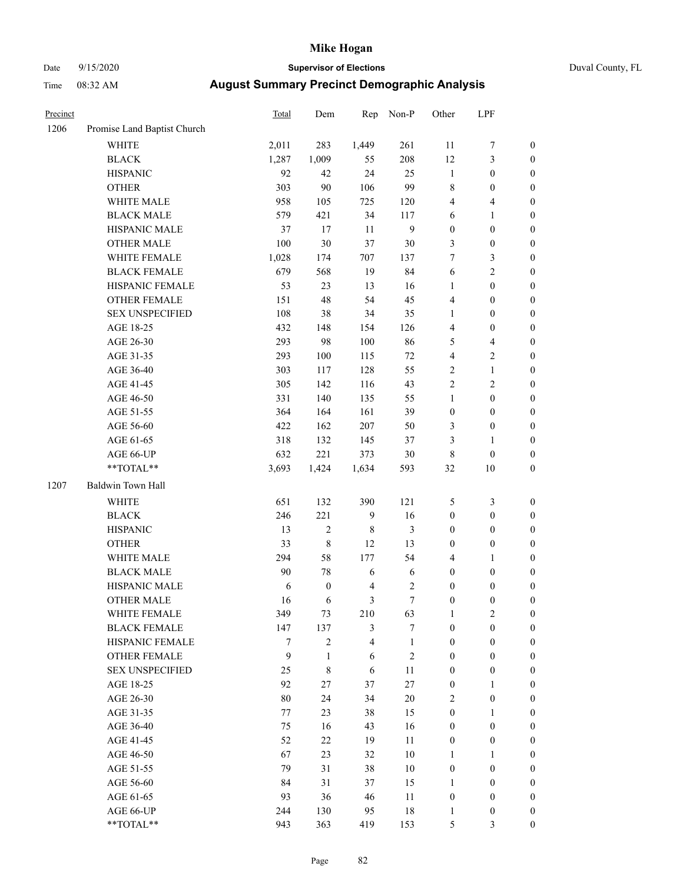# Date 9/15/2020 **Supervisor of Elections** Duval County, FL

| Precinct |                             | <b>Total</b> | Dem              | Rep                     | Non-P            | Other            | LPF              |                  |
|----------|-----------------------------|--------------|------------------|-------------------------|------------------|------------------|------------------|------------------|
| 1206     | Promise Land Baptist Church |              |                  |                         |                  |                  |                  |                  |
|          | <b>WHITE</b>                | 2,011        | 283              | 1,449                   | 261              | 11               | $\boldsymbol{7}$ | 0                |
|          | <b>BLACK</b>                | 1,287        | 1,009            | 55                      | 208              | $12\,$           | 3                | $\boldsymbol{0}$ |
|          | <b>HISPANIC</b>             | 92           | 42               | 24                      | 25               | $\mathbf{1}$     | $\boldsymbol{0}$ | $\boldsymbol{0}$ |
|          | <b>OTHER</b>                | 303          | 90               | 106                     | 99               | 8                | $\boldsymbol{0}$ | $\boldsymbol{0}$ |
|          | WHITE MALE                  | 958          | 105              | 725                     | 120              | 4                | $\overline{4}$   | $\boldsymbol{0}$ |
|          | <b>BLACK MALE</b>           | 579          | 421              | 34                      | 117              | 6                | $\mathbf{1}$     | $\boldsymbol{0}$ |
|          | HISPANIC MALE               | 37           | $17\,$           | 11                      | $\mathbf{9}$     | $\boldsymbol{0}$ | $\boldsymbol{0}$ | $\boldsymbol{0}$ |
|          | <b>OTHER MALE</b>           | 100          | 30               | 37                      | 30               | 3                | $\boldsymbol{0}$ | $\boldsymbol{0}$ |
|          | WHITE FEMALE                | 1,028        | 174              | 707                     | 137              | 7                | $\mathfrak{Z}$   | $\boldsymbol{0}$ |
|          | <b>BLACK FEMALE</b>         | 679          | 568              | 19                      | 84               | 6                | $\sqrt{2}$       | $\boldsymbol{0}$ |
|          | HISPANIC FEMALE             | 53           | 23               | 13                      | 16               | $\mathbf{1}$     | $\boldsymbol{0}$ | $\boldsymbol{0}$ |
|          | <b>OTHER FEMALE</b>         | 151          | 48               | 54                      | 45               | 4                | $\boldsymbol{0}$ | $\boldsymbol{0}$ |
|          | <b>SEX UNSPECIFIED</b>      | 108          | 38               | 34                      | 35               | $\mathbf{1}$     | $\boldsymbol{0}$ | $\boldsymbol{0}$ |
|          | AGE 18-25                   | 432          | 148              | 154                     | 126              | 4                | $\boldsymbol{0}$ | $\boldsymbol{0}$ |
|          | AGE 26-30                   | 293          | 98               | 100                     | 86               | 5                | $\overline{4}$   | $\boldsymbol{0}$ |
|          | AGE 31-35                   | 293          | 100              | 115                     | $72\,$           | 4                | $\sqrt{2}$       | $\boldsymbol{0}$ |
|          | AGE 36-40                   | 303          | 117              | 128                     | 55               | $\mathbf{2}$     | $\mathbf{1}$     | $\boldsymbol{0}$ |
|          | AGE 41-45                   | 305          | 142              | 116                     | 43               | $\overline{c}$   | $\mathbf{2}$     | $\boldsymbol{0}$ |
|          | AGE 46-50                   | 331          | 140              | 135                     | 55               | $\mathbf{1}$     | $\boldsymbol{0}$ | $\boldsymbol{0}$ |
|          | AGE 51-55                   | 364          | 164              | 161                     | 39               | $\boldsymbol{0}$ | $\boldsymbol{0}$ | $\boldsymbol{0}$ |
|          | AGE 56-60                   | 422          | 162              | 207                     | 50               | 3                | $\boldsymbol{0}$ | $\boldsymbol{0}$ |
|          | AGE 61-65                   | 318          | 132              | 145                     | 37               | 3                | 1                | $\boldsymbol{0}$ |
|          | AGE 66-UP                   | 632          | 221              | 373                     | $30\,$           | 8                | $\boldsymbol{0}$ | $\boldsymbol{0}$ |
|          | $**TOTAL**$                 | 3,693        | 1,424            | 1,634                   | 593              | 32               | 10               | $\boldsymbol{0}$ |
| 1207     | Baldwin Town Hall           |              |                  |                         |                  |                  |                  |                  |
|          | <b>WHITE</b>                | 651          | 132              | 390                     | 121              | 5                | $\mathfrak{Z}$   | $\boldsymbol{0}$ |
|          | <b>BLACK</b>                | 246          | 221              | $\mathbf{9}$            | 16               | $\boldsymbol{0}$ | $\boldsymbol{0}$ | $\boldsymbol{0}$ |
|          | <b>HISPANIC</b>             | 13           | $\sqrt{2}$       | 8                       | 3                | $\boldsymbol{0}$ | $\boldsymbol{0}$ | $\boldsymbol{0}$ |
|          | <b>OTHER</b>                | 33           | $\,$ 8 $\,$      | 12                      | 13               | $\boldsymbol{0}$ | $\boldsymbol{0}$ | $\boldsymbol{0}$ |
|          | WHITE MALE                  | 294          | 58               | 177                     | 54               | 4                | $\mathbf{1}$     | $\boldsymbol{0}$ |
|          | <b>BLACK MALE</b>           | 90           | 78               | $\sqrt{6}$              | 6                | $\boldsymbol{0}$ | $\boldsymbol{0}$ | $\boldsymbol{0}$ |
|          | HISPANIC MALE               | 6            | $\boldsymbol{0}$ | $\overline{\mathbf{4}}$ | $\boldsymbol{2}$ | 0                | $\boldsymbol{0}$ | $\boldsymbol{0}$ |
|          | <b>OTHER MALE</b>           | 16           | 6                | 3                       | $\boldsymbol{7}$ | $\boldsymbol{0}$ | $\boldsymbol{0}$ | $\boldsymbol{0}$ |
|          | WHITE FEMALE                | 349          | 73               | 210                     | 63               | 1                | $\overline{c}$   | 0                |
|          | <b>BLACK FEMALE</b>         | 147          | 137              | 3                       | 7                | $\boldsymbol{0}$ | $\boldsymbol{0}$ | $\overline{0}$   |
|          | HISPANIC FEMALE             | 7            | $\overline{c}$   | $\overline{4}$          | $\mathbf{1}$     | $\boldsymbol{0}$ | $\boldsymbol{0}$ | $\overline{0}$   |
|          | <b>OTHER FEMALE</b>         | 9            | $\mathbf{1}$     | 6                       | $\sqrt{2}$       | $\boldsymbol{0}$ | $\boldsymbol{0}$ | $\theta$         |
|          | <b>SEX UNSPECIFIED</b>      | 25           | $\,$ 8 $\,$      | 6                       | 11               | $\boldsymbol{0}$ | $\boldsymbol{0}$ | 0                |
|          | AGE 18-25                   | 92           | 27               | 37                      | $27\,$           | 0                | $\mathbf{1}$     | $\theta$         |
|          | AGE 26-30                   | $80\,$       | 24               | 34                      | $20\,$           | $\overline{c}$   | $\boldsymbol{0}$ | 0                |
|          | AGE 31-35                   | 77           | 23               | 38                      | 15               | $\boldsymbol{0}$ | $\mathbf{1}$     | 0                |
|          | AGE 36-40                   | 75           | 16               | 43                      | 16               | 0                | $\boldsymbol{0}$ | 0                |
|          | AGE 41-45                   | 52           | 22               | 19                      | 11               | 0                | $\boldsymbol{0}$ | 0                |
|          | AGE 46-50                   | 67           | 23               | 32                      | 10               | 1                | 1                | 0                |
|          | AGE 51-55                   | 79           | 31               | 38                      | $10\,$           | $\boldsymbol{0}$ | $\boldsymbol{0}$ | $\overline{0}$   |
|          | AGE 56-60                   | 84           | 31               | 37                      | 15               | 1                | $\boldsymbol{0}$ | $\overline{0}$   |
|          | AGE 61-65                   | 93           | 36               | 46                      | 11               | 0                | $\boldsymbol{0}$ | $\overline{0}$   |
|          | AGE 66-UP                   | 244          | 130              | 95                      | 18               | 1                | $\boldsymbol{0}$ | 0                |
|          | **TOTAL**                   | 943          | 363              | 419                     | 153              | 5                | 3                | $\boldsymbol{0}$ |
|          |                             |              |                  |                         |                  |                  |                  |                  |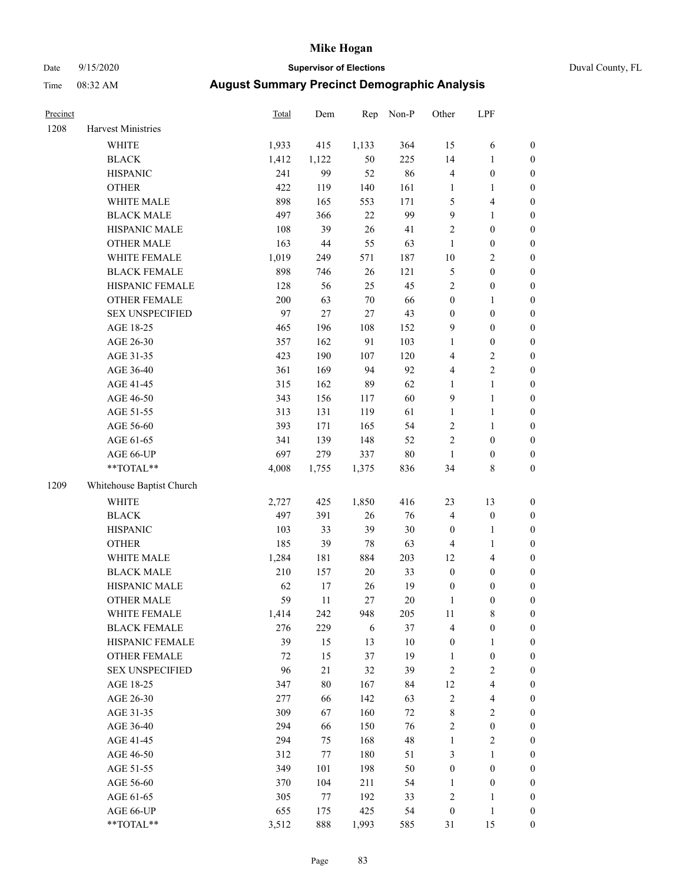# Date 9/15/2020 **Supervisor of Elections** Duval County, FL

| Precinct |                                                            | Total   | Dem    | Rep    | Non-P  | Other                   | LPF              |                  |
|----------|------------------------------------------------------------|---------|--------|--------|--------|-------------------------|------------------|------------------|
| 1208     | Harvest Ministries                                         |         |        |        |        |                         |                  |                  |
|          | <b>WHITE</b>                                               | 1,933   | 415    | 1,133  | 364    | 15                      | 6                | 0                |
|          | <b>BLACK</b>                                               | 1,412   | 1,122  | 50     | 225    | 14                      | $\mathbf{1}$     | $\boldsymbol{0}$ |
|          | <b>HISPANIC</b>                                            | 241     | 99     | 52     | 86     | 4                       | $\boldsymbol{0}$ | $\boldsymbol{0}$ |
|          | <b>OTHER</b>                                               | 422     | 119    | 140    | 161    | 1                       | 1                | $\boldsymbol{0}$ |
|          | WHITE MALE                                                 | 898     | 165    | 553    | 171    | 5                       | $\overline{4}$   | $\boldsymbol{0}$ |
|          | <b>BLACK MALE</b>                                          | 497     | 366    | 22     | 99     | 9                       | $\mathbf{1}$     | $\boldsymbol{0}$ |
|          | HISPANIC MALE                                              | 108     | 39     | 26     | 41     | 2                       | $\boldsymbol{0}$ | $\boldsymbol{0}$ |
|          | <b>OTHER MALE</b>                                          | 163     | 44     | 55     | 63     | $\mathbf{1}$            | $\boldsymbol{0}$ | $\boldsymbol{0}$ |
|          | WHITE FEMALE                                               | 1,019   | 249    | 571    | 187    | $10\,$                  | $\sqrt{2}$       | $\boldsymbol{0}$ |
|          | <b>BLACK FEMALE</b>                                        | 898     | 746    | 26     | 121    | 5                       | $\boldsymbol{0}$ | $\boldsymbol{0}$ |
|          | HISPANIC FEMALE                                            | 128     | 56     | 25     | 45     | $\overline{c}$          | $\boldsymbol{0}$ | $\boldsymbol{0}$ |
|          | OTHER FEMALE                                               | 200     | 63     | $70\,$ | 66     | $\boldsymbol{0}$        | 1                | $\boldsymbol{0}$ |
|          | <b>SEX UNSPECIFIED</b>                                     | 97      | 27     | 27     | 43     | $\boldsymbol{0}$        | $\boldsymbol{0}$ | $\boldsymbol{0}$ |
|          | AGE 18-25                                                  | 465     | 196    | 108    | 152    | 9                       | $\boldsymbol{0}$ | $\boldsymbol{0}$ |
|          | AGE 26-30                                                  | 357     | 162    | 91     | 103    | 1                       | $\boldsymbol{0}$ | $\boldsymbol{0}$ |
|          | AGE 31-35                                                  | 423     | 190    | 107    | 120    | 4                       | $\sqrt{2}$       | $\boldsymbol{0}$ |
|          | AGE 36-40                                                  | 361     | 169    | 94     | 92     | 4                       | $\sqrt{2}$       | $\boldsymbol{0}$ |
|          | AGE 41-45                                                  | 315     | 162    | 89     | 62     | $\mathbf{1}$            | $\mathbf{1}$     | $\boldsymbol{0}$ |
|          | AGE 46-50                                                  | 343     | 156    | 117    | 60     | 9                       | $\mathbf{1}$     | $\boldsymbol{0}$ |
|          | AGE 51-55                                                  | 313     | 131    | 119    | 61     | 1                       | $\mathbf{1}$     | 0                |
|          | AGE 56-60                                                  | 393     | 171    | 165    | 54     | $\mathbf{2}$            | $\mathbf{1}$     | 0                |
|          | AGE 61-65                                                  | 341     | 139    | 148    | 52     | $\overline{c}$          | $\boldsymbol{0}$ | $\boldsymbol{0}$ |
|          | AGE 66-UP                                                  | 697     | 279    | 337    | 80     | $\mathbf{1}$            | $\boldsymbol{0}$ | $\boldsymbol{0}$ |
|          | $**TOTAL**$                                                | 4,008   | 1,755  | 1,375  | 836    | 34                      | $\,$ 8 $\,$      | $\boldsymbol{0}$ |
| 1209     | Whitehouse Baptist Church                                  |         |        |        |        |                         |                  |                  |
|          | <b>WHITE</b>                                               | 2,727   | 425    | 1,850  | 416    | 23                      | 13               | $\boldsymbol{0}$ |
|          | <b>BLACK</b>                                               | 497     | 391    | 26     | 76     | 4                       | $\boldsymbol{0}$ | $\boldsymbol{0}$ |
|          | <b>HISPANIC</b>                                            | 103     | 33     | 39     | 30     | $\boldsymbol{0}$        | $\mathbf{1}$     | $\boldsymbol{0}$ |
|          | <b>OTHER</b>                                               | 185     | 39     | 78     | 63     | 4                       | $\mathbf{1}$     | $\boldsymbol{0}$ |
|          | WHITE MALE                                                 | 1,284   | 181    | 884    | 203    | 12                      | $\overline{4}$   | $\boldsymbol{0}$ |
|          | <b>BLACK MALE</b>                                          | $210\,$ | 157    | $20\,$ | 33     | $\boldsymbol{0}$        | $\boldsymbol{0}$ | $\boldsymbol{0}$ |
|          | HISPANIC MALE                                              | 62      | 17     | 26     | 19     | $\boldsymbol{0}$        | $\boldsymbol{0}$ | $\boldsymbol{0}$ |
|          | <b>OTHER MALE</b>                                          | 59      | 11     | 27     | 20     | 1                       | $\boldsymbol{0}$ | $\boldsymbol{0}$ |
|          | WHITE FEMALE                                               | 1,414   | 242    | 948    | 205    | 11                      | 8                | 0                |
|          | <b>BLACK FEMALE</b>                                        | 276     | 229    | 6      | 37     | 4                       | $\boldsymbol{0}$ | $\overline{0}$   |
|          | HISPANIC FEMALE                                            | 39      | 15     | 13     | 10     | $\boldsymbol{0}$        | $\mathbf{1}$     | 0                |
|          | OTHER FEMALE                                               | 72      | 15     | 37     | 19     | $\mathbf{1}$            | $\boldsymbol{0}$ | 0                |
|          | <b>SEX UNSPECIFIED</b>                                     | 96      | $21\,$ | 32     | 39     | 2                       | $\mathfrak{2}$   | 0                |
|          | AGE 18-25                                                  | 347     | 80     | 167    | 84     | 12                      | $\overline{4}$   | 0                |
|          | AGE 26-30                                                  | 277     | 66     | 142    | 63     | 2                       | $\overline{4}$   | 0                |
|          | AGE 31-35                                                  | 309     | 67     | 160    | $72\,$ | 8                       | $\sqrt{2}$       | 0                |
|          | AGE 36-40                                                  | 294     | 66     | 150    | 76     | 2                       | $\boldsymbol{0}$ | 0                |
|          | AGE 41-45                                                  | 294     | 75     | 168    | 48     | $\mathbf{1}$            | $\sqrt{2}$       | 0                |
|          | AGE 46-50                                                  | 312     | 77     | 180    | 51     | 3                       | $\mathbf{1}$     | 0                |
|          | AGE 51-55                                                  | 349     | 101    | 198    | 50     | $\boldsymbol{0}$        | $\boldsymbol{0}$ | 0                |
|          | AGE 56-60                                                  | 370     | 104    | 211    | 54     | 1                       | $\boldsymbol{0}$ | 0                |
|          | AGE 61-65                                                  | 305     | 77     | 192    | 33     | $\overline{\mathbf{c}}$ | 1                | $\overline{0}$   |
|          | AGE 66-UP                                                  | 655     | 175    | 425    | 54     | $\boldsymbol{0}$        | $\mathbf{1}$     | 0                |
|          | $\mathrm{*}\mathrm{*} \mathrm{TOTAL} \mathrm{*}\mathrm{*}$ | 3,512   | 888    | 1,993  | 585    | 31                      | 15               | $\boldsymbol{0}$ |
|          |                                                            |         |        |        |        |                         |                  |                  |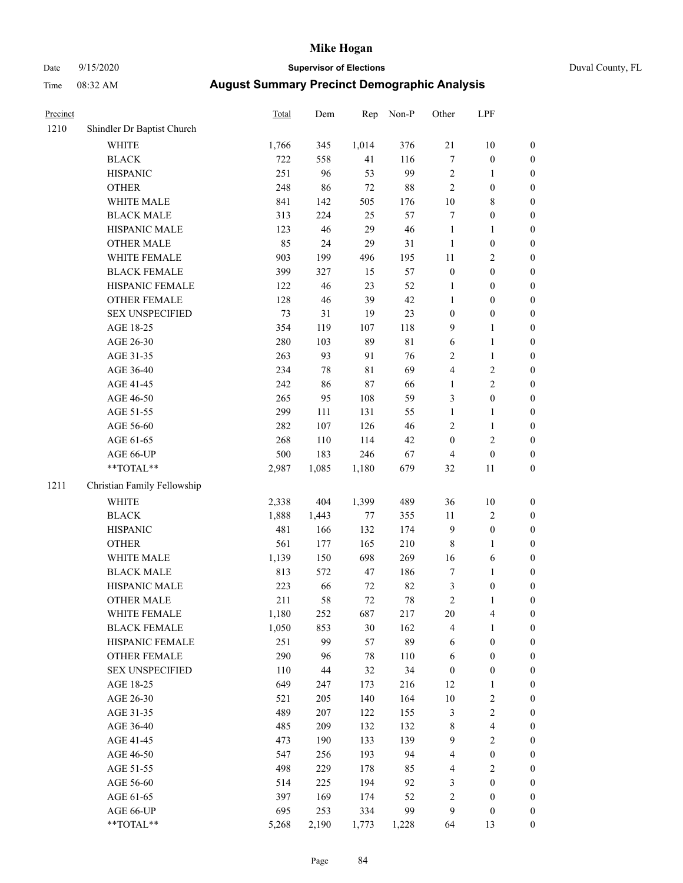# Date 9/15/2020 **Supervisor of Elections** Duval County, FL

| Precinct |                             | Total | Dem    | Rep         | Non-P       | Other            | LPF              |                  |
|----------|-----------------------------|-------|--------|-------------|-------------|------------------|------------------|------------------|
| 1210     | Shindler Dr Baptist Church  |       |        |             |             |                  |                  |                  |
|          | <b>WHITE</b>                | 1,766 | 345    | 1,014       | 376         | 21               | 10               | 0                |
|          | <b>BLACK</b>                | 722   | 558    | 41          | 116         | $\boldsymbol{7}$ | $\boldsymbol{0}$ | 0                |
|          | <b>HISPANIC</b>             | 251   | 96     | 53          | 99          | $\sqrt{2}$       | $\mathbf{1}$     | $\boldsymbol{0}$ |
|          | <b>OTHER</b>                | 248   | 86     | $72\,$      | 88          | $\sqrt{2}$       | $\boldsymbol{0}$ | $\boldsymbol{0}$ |
|          | WHITE MALE                  | 841   | 142    | 505         | 176         | $10\,$           | $\,$ 8 $\,$      | $\boldsymbol{0}$ |
|          | <b>BLACK MALE</b>           | 313   | 224    | 25          | 57          | 7                | $\boldsymbol{0}$ | $\boldsymbol{0}$ |
|          | HISPANIC MALE               | 123   | 46     | 29          | $46\,$      | $\mathbf{1}$     | $\mathbf{1}$     | $\boldsymbol{0}$ |
|          | <b>OTHER MALE</b>           | 85    | 24     | 29          | 31          | $\mathbf{1}$     | $\boldsymbol{0}$ | $\boldsymbol{0}$ |
|          | WHITE FEMALE                | 903   | 199    | 496         | 195         | $11\,$           | $\mathbf{2}$     | $\boldsymbol{0}$ |
|          | <b>BLACK FEMALE</b>         | 399   | 327    | 15          | 57          | $\boldsymbol{0}$ | $\boldsymbol{0}$ | $\boldsymbol{0}$ |
|          | HISPANIC FEMALE             | 122   | 46     | 23          | 52          | 1                | $\boldsymbol{0}$ | $\boldsymbol{0}$ |
|          | OTHER FEMALE                | 128   | 46     | 39          | $42\,$      | $\mathbf{1}$     | $\boldsymbol{0}$ | $\boldsymbol{0}$ |
|          | <b>SEX UNSPECIFIED</b>      | 73    | 31     | 19          | 23          | $\boldsymbol{0}$ | $\boldsymbol{0}$ | $\boldsymbol{0}$ |
|          | AGE 18-25                   | 354   | 119    | 107         | 118         | 9                | $\mathbf{1}$     | $\boldsymbol{0}$ |
|          | AGE 26-30                   | 280   | 103    | 89          | $8\sqrt{1}$ | 6                | $\mathbf{1}$     | $\boldsymbol{0}$ |
|          | AGE 31-35                   | 263   | 93     | 91          | 76          | $\sqrt{2}$       | $\mathbf{1}$     | $\boldsymbol{0}$ |
|          | AGE 36-40                   | 234   | $78\,$ | $8\sqrt{1}$ | 69          | 4                | $\overline{c}$   | $\boldsymbol{0}$ |
|          | AGE 41-45                   | 242   | 86     | $87\,$      | 66          | $\mathbf{1}$     | $\overline{c}$   | $\boldsymbol{0}$ |
|          | AGE 46-50                   | 265   | 95     | 108         | 59          | 3                | $\boldsymbol{0}$ | $\boldsymbol{0}$ |
|          | AGE 51-55                   | 299   | 111    | 131         | 55          | $\mathbf{1}$     | $\mathbf{1}$     | $\boldsymbol{0}$ |
|          | AGE 56-60                   | 282   | 107    | 126         | $46\,$      | $\sqrt{2}$       | $\mathbf{1}$     | 0                |
|          | AGE 61-65                   | 268   | 110    | 114         | $42\,$      | $\boldsymbol{0}$ | $\sqrt{2}$       | $\boldsymbol{0}$ |
|          | AGE 66-UP                   | 500   | 183    | 246         | 67          | 4                | $\boldsymbol{0}$ | $\boldsymbol{0}$ |
|          | **TOTAL**                   | 2,987 | 1,085  | 1,180       | 679         | 32               | $11\,$           | $\boldsymbol{0}$ |
| 1211     | Christian Family Fellowship |       |        |             |             |                  |                  |                  |
|          | <b>WHITE</b>                | 2,338 | 404    | 1,399       | 489         | 36               | $10\,$           | $\boldsymbol{0}$ |
|          | <b>BLACK</b>                | 1,888 | 1,443  | 77          | 355         | $11\,$           | $\sqrt{2}$       | $\boldsymbol{0}$ |
|          | <b>HISPANIC</b>             | 481   | 166    | 132         | 174         | 9                | $\boldsymbol{0}$ | $\boldsymbol{0}$ |
|          | <b>OTHER</b>                | 561   | 177    | 165         | 210         | $\,$ $\,$        | $\mathbf{1}$     | $\boldsymbol{0}$ |
|          | WHITE MALE                  | 1,139 | 150    | 698         | 269         | 16               | 6                | $\boldsymbol{0}$ |
|          | <b>BLACK MALE</b>           | 813   | 572    | 47          | 186         | $\boldsymbol{7}$ | $\mathbf{1}$     | $\boldsymbol{0}$ |
|          | HISPANIC MALE               | 223   | 66     | 72          | 82          | $\mathfrak{Z}$   | $\boldsymbol{0}$ | 0                |
|          | <b>OTHER MALE</b>           | 211   | 58     | $72\,$      | 78          | $\overline{c}$   | $\mathbf{1}$     | $\boldsymbol{0}$ |
|          | WHITE FEMALE                | 1,180 | 252    | 687         | 217         | 20               | 4                | 0                |
|          | <b>BLACK FEMALE</b>         | 1,050 | 853    | 30          | 162         | 4                | $\mathbf{1}$     | $\boldsymbol{0}$ |
|          | HISPANIC FEMALE             | 251   | 99     | 57          | 89          | 6                | $\boldsymbol{0}$ | $\overline{0}$   |
|          | <b>OTHER FEMALE</b>         | 290   | 96     | $78\,$      | 110         | 6                | $\boldsymbol{0}$ | 0                |
|          | <b>SEX UNSPECIFIED</b>      | 110   | 44     | 32          | 34          | $\boldsymbol{0}$ | $\boldsymbol{0}$ | 0                |
|          | AGE 18-25                   | 649   | 247    | 173         | 216         | 12               | $\mathbf{1}$     | 0                |
|          | AGE 26-30                   | 521   | 205    | 140         | 164         | $10\,$           | $\mathbf{2}$     | 0                |
|          | AGE 31-35                   | 489   | 207    | 122         | 155         | $\mathfrak{Z}$   | $\sqrt{2}$       | 0                |
|          | AGE 36-40                   | 485   | 209    | 132         | 132         | $\,$ 8 $\,$      | $\overline{4}$   | 0                |
|          | AGE 41-45                   | 473   | 190    | 133         | 139         | 9                | $\sqrt{2}$       | 0                |
|          | AGE 46-50                   | 547   | 256    | 193         | 94          | 4                | $\boldsymbol{0}$ | 0                |
|          | AGE 51-55                   | 498   | 229    | 178         | 85          | 4                | $\sqrt{2}$       | 0                |
|          | AGE 56-60                   | 514   | 225    | 194         | 92          | 3                | $\boldsymbol{0}$ | $\boldsymbol{0}$ |
|          | AGE 61-65                   | 397   | 169    | 174         | 52          | $\overline{c}$   | $\boldsymbol{0}$ | $\boldsymbol{0}$ |
|          | AGE 66-UP                   | 695   | 253    | 334         | 99          | 9                | $\boldsymbol{0}$ | 0                |
|          | **TOTAL**                   | 5,268 | 2,190  | 1,773       | 1,228       | 64               | 13               | $\boldsymbol{0}$ |
|          |                             |       |        |             |             |                  |                  |                  |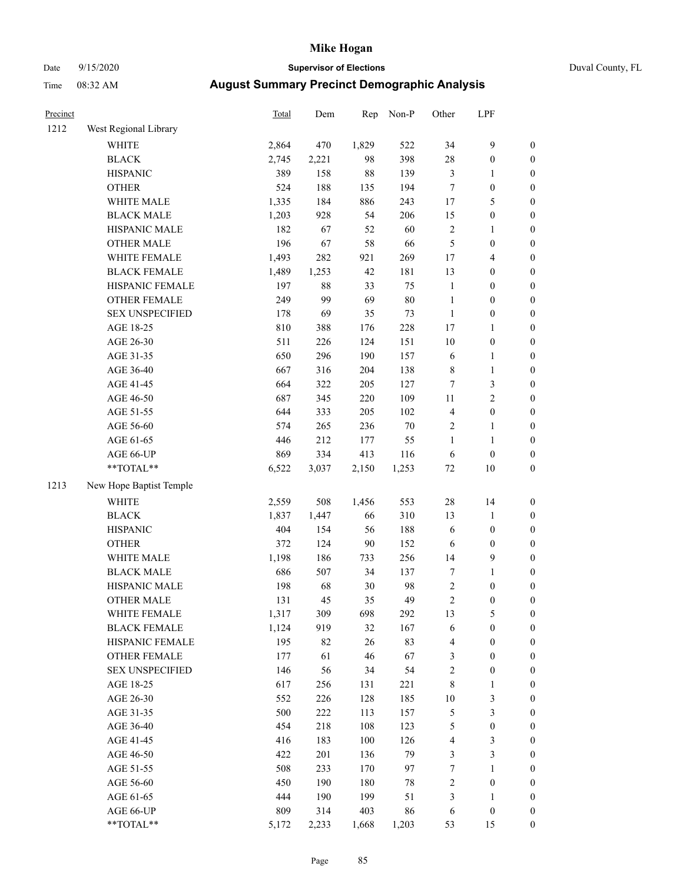# Date 9/15/2020 **Supervisor of Elections** Duval County, FL

| Precinct |                         | Total | Dem    | Rep    | Non-P  | Other                   | LPF              |                  |
|----------|-------------------------|-------|--------|--------|--------|-------------------------|------------------|------------------|
| 1212     | West Regional Library   |       |        |        |        |                         |                  |                  |
|          | WHITE                   | 2,864 | 470    | 1,829  | 522    | 34                      | $\mathbf{9}$     | 0                |
|          | <b>BLACK</b>            | 2,745 | 2,221  | 98     | 398    | 28                      | $\boldsymbol{0}$ | 0                |
|          | <b>HISPANIC</b>         | 389   | 158    | $88\,$ | 139    | 3                       | 1                | $\boldsymbol{0}$ |
|          | <b>OTHER</b>            | 524   | 188    | 135    | 194    | $\tau$                  | $\boldsymbol{0}$ | $\boldsymbol{0}$ |
|          | WHITE MALE              | 1,335 | 184    | 886    | 243    | $17$                    | 5                | $\boldsymbol{0}$ |
|          | <b>BLACK MALE</b>       | 1,203 | 928    | 54     | 206    | 15                      | $\boldsymbol{0}$ | $\boldsymbol{0}$ |
|          | HISPANIC MALE           | 182   | 67     | 52     | 60     | $\sqrt{2}$              | $\mathbf{1}$     | $\boldsymbol{0}$ |
|          | <b>OTHER MALE</b>       | 196   | 67     | 58     | 66     | 5                       | $\boldsymbol{0}$ | $\boldsymbol{0}$ |
|          | WHITE FEMALE            | 1,493 | 282    | 921    | 269    | $17$                    | $\overline{4}$   | $\boldsymbol{0}$ |
|          | <b>BLACK FEMALE</b>     | 1,489 | 1,253  | 42     | 181    | 13                      | $\boldsymbol{0}$ | $\boldsymbol{0}$ |
|          | HISPANIC FEMALE         | 197   | $88\,$ | 33     | 75     | $\mathbf{1}$            | $\boldsymbol{0}$ | $\boldsymbol{0}$ |
|          | OTHER FEMALE            | 249   | 99     | 69     | $80\,$ | $\mathbf{1}$            | $\boldsymbol{0}$ | $\boldsymbol{0}$ |
|          | <b>SEX UNSPECIFIED</b>  | 178   | 69     | 35     | 73     | $\mathbf{1}$            | $\boldsymbol{0}$ | $\boldsymbol{0}$ |
|          | AGE 18-25               | 810   | 388    | 176    | 228    | $17$                    | 1                | $\boldsymbol{0}$ |
|          | AGE 26-30               | 511   | 226    | 124    | 151    | $10\,$                  | $\boldsymbol{0}$ | $\boldsymbol{0}$ |
|          | AGE 31-35               | 650   | 296    | 190    | 157    | $\sqrt{6}$              | $\mathbf{1}$     | $\boldsymbol{0}$ |
|          | AGE 36-40               | 667   | 316    | 204    | 138    | $\,$ $\,$               | $\mathbf{1}$     | $\boldsymbol{0}$ |
|          | AGE 41-45               | 664   | 322    | 205    | 127    | $\boldsymbol{7}$        | 3                | $\boldsymbol{0}$ |
|          | AGE 46-50               | 687   | 345    | 220    | 109    | $11\,$                  | $\overline{c}$   | $\boldsymbol{0}$ |
|          | AGE 51-55               | 644   | 333    | 205    | 102    | $\overline{\mathbf{4}}$ | $\boldsymbol{0}$ | $\boldsymbol{0}$ |
|          | AGE 56-60               | 574   | 265    | 236    | $70\,$ | $\sqrt{2}$              | 1                | 0                |
|          | AGE 61-65               | 446   | 212    | 177    | 55     | $\mathbf{1}$            | $\mathbf{1}$     | $\boldsymbol{0}$ |
|          | AGE 66-UP               | 869   | 334    | 413    | 116    | 6                       | $\boldsymbol{0}$ | $\boldsymbol{0}$ |
|          | **TOTAL**               | 6,522 | 3,037  | 2,150  | 1,253  | $72\,$                  | $10\,$           | $\boldsymbol{0}$ |
| 1213     | New Hope Baptist Temple |       |        |        |        |                         |                  |                  |
|          | <b>WHITE</b>            | 2,559 | 508    | 1,456  | 553    | 28                      | 14               | $\boldsymbol{0}$ |
|          | <b>BLACK</b>            | 1,837 | 1,447  | 66     | 310    | 13                      | $\mathbf{1}$     | $\boldsymbol{0}$ |
|          | <b>HISPANIC</b>         | 404   | 154    | 56     | 188    | 6                       | $\boldsymbol{0}$ | $\boldsymbol{0}$ |
|          | <b>OTHER</b>            | 372   | 124    | 90     | 152    | 6                       | $\boldsymbol{0}$ | $\boldsymbol{0}$ |
|          | WHITE MALE              | 1,198 | 186    | 733    | 256    | 14                      | $\boldsymbol{9}$ | $\boldsymbol{0}$ |
|          | <b>BLACK MALE</b>       | 686   | 507    | 34     | 137    | $\boldsymbol{7}$        | $\mathbf{1}$     | $\boldsymbol{0}$ |
|          | HISPANIC MALE           | 198   | 68     | 30     | 98     | $\boldsymbol{2}$        | $\boldsymbol{0}$ | 0                |
|          | <b>OTHER MALE</b>       | 131   | 45     | 35     | 49     | $\overline{c}$          | $\boldsymbol{0}$ | $\boldsymbol{0}$ |
|          | WHITE FEMALE            | 1,317 | 309    | 698    | 292    | 13                      | 5                | 0                |
|          | <b>BLACK FEMALE</b>     | 1,124 | 919    | 32     | 167    | 6                       | $\boldsymbol{0}$ | 0                |
|          | HISPANIC FEMALE         | 195   | 82     | 26     | 83     | 4                       | $\boldsymbol{0}$ | 0                |
|          | <b>OTHER FEMALE</b>     | 177   | 61     | 46     | 67     | 3                       | $\boldsymbol{0}$ | 0                |
|          | <b>SEX UNSPECIFIED</b>  | 146   | 56     | 34     | 54     | $\overline{c}$          | $\boldsymbol{0}$ | 0                |
|          | AGE 18-25               | 617   | 256    | 131    | 221    | $\,$ 8 $\,$             | $\mathbf{1}$     | 0                |
|          | AGE 26-30               | 552   | 226    | 128    | 185    | $10\,$                  | 3                | 0                |
|          | AGE 31-35               | 500   | 222    | 113    | 157    | 5                       | 3                | 0                |
|          | AGE 36-40               | 454   | 218    | 108    | 123    | 5                       | $\boldsymbol{0}$ | 0                |
|          | AGE 41-45               | 416   | 183    | 100    | 126    | 4                       | 3                | 0                |
|          | AGE 46-50               | 422   | 201    | 136    | 79     | 3                       | 3                | 0                |
|          | AGE 51-55               | 508   | 233    | 170    | 97     | 7                       | $\mathbf{1}$     | 0                |
|          | AGE 56-60               | 450   | 190    | 180    | 78     | 2                       | $\boldsymbol{0}$ | 0                |
|          | AGE 61-65               | 444   | 190    | 199    | 51     | 3                       | 1                | 0                |
|          | AGE 66-UP               | 809   | 314    | 403    | 86     | 6                       | $\boldsymbol{0}$ | 0                |
|          | **TOTAL**               | 5,172 | 2,233  | 1,668  | 1,203  | 53                      | 15               | $\boldsymbol{0}$ |
|          |                         |       |        |        |        |                         |                  |                  |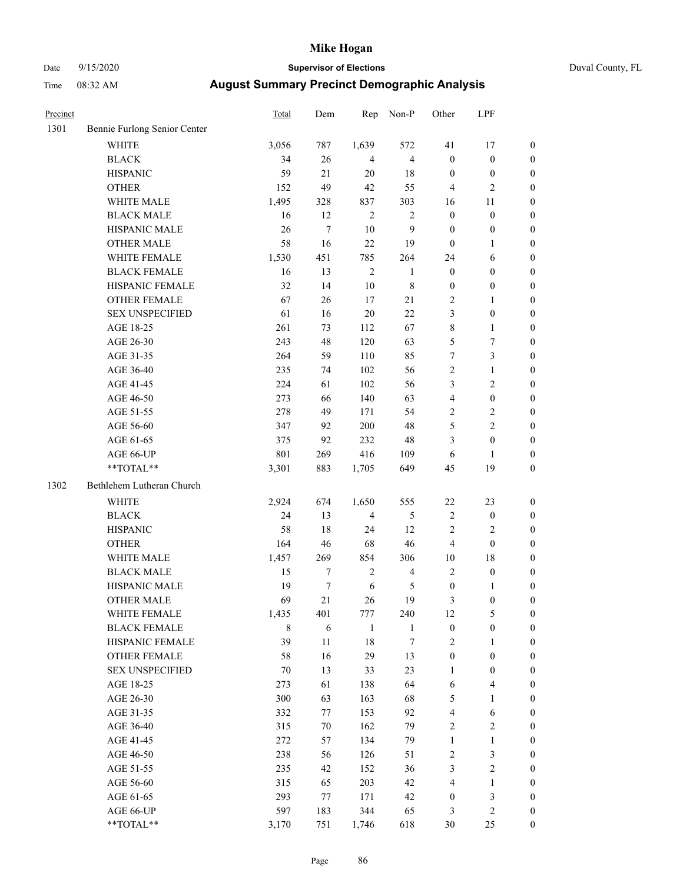### Date 9/15/2020 **Supervisor of Elections** Duval County, FL

| Precinct |                              | Total  | Dem        | Rep            | Non-P          | Other            | LPF              |                  |
|----------|------------------------------|--------|------------|----------------|----------------|------------------|------------------|------------------|
| 1301     | Bennie Furlong Senior Center |        |            |                |                |                  |                  |                  |
|          | <b>WHITE</b>                 | 3,056  | 787        | 1,639          | 572            | 41               | 17               | 0                |
|          | <b>BLACK</b>                 | 34     | 26         | $\overline{4}$ | $\overline{4}$ | $\boldsymbol{0}$ | $\boldsymbol{0}$ | 0                |
|          | <b>HISPANIC</b>              | 59     | 21         | 20             | $18\,$         | $\boldsymbol{0}$ | $\boldsymbol{0}$ | $\boldsymbol{0}$ |
|          | <b>OTHER</b>                 | 152    | 49         | 42             | 55             | 4                | $\mathbf{2}$     | $\boldsymbol{0}$ |
|          | WHITE MALE                   | 1,495  | 328        | 837            | 303            | 16               | 11               | $\boldsymbol{0}$ |
|          | <b>BLACK MALE</b>            | 16     | 12         | $\sqrt{2}$     | $\sqrt{2}$     | $\boldsymbol{0}$ | $\boldsymbol{0}$ | $\boldsymbol{0}$ |
|          | HISPANIC MALE                | 26     | $\tau$     | $10\,$         | 9              | $\boldsymbol{0}$ | $\boldsymbol{0}$ | $\boldsymbol{0}$ |
|          | <b>OTHER MALE</b>            | 58     | 16         | 22             | 19             | $\boldsymbol{0}$ | $\mathbf{1}$     | $\boldsymbol{0}$ |
|          | WHITE FEMALE                 | 1,530  | 451        | 785            | 264            | 24               | 6                | $\boldsymbol{0}$ |
|          | <b>BLACK FEMALE</b>          | 16     | 13         | $\sqrt{2}$     | $\mathbf{1}$   | $\boldsymbol{0}$ | $\boldsymbol{0}$ | $\boldsymbol{0}$ |
|          | HISPANIC FEMALE              | 32     | 14         | $10\,$         | $\,$ 8 $\,$    | $\boldsymbol{0}$ | $\boldsymbol{0}$ | $\boldsymbol{0}$ |
|          | OTHER FEMALE                 | 67     | 26         | 17             | 21             | $\overline{c}$   | $\mathbf{1}$     | $\boldsymbol{0}$ |
|          | <b>SEX UNSPECIFIED</b>       | 61     | 16         | $20\,$         | 22             | 3                | $\boldsymbol{0}$ | $\boldsymbol{0}$ |
|          | AGE 18-25                    | 261    | 73         | 112            | 67             | $\,$ $\,$        | $\mathbf{1}$     | $\boldsymbol{0}$ |
|          | AGE 26-30                    | 243    | 48         | 120            | 63             | 5                | 7                | $\boldsymbol{0}$ |
|          | AGE 31-35                    | 264    | 59         | 110            | 85             | $\boldsymbol{7}$ | $\mathfrak{Z}$   | $\boldsymbol{0}$ |
|          | AGE 36-40                    | 235    | 74         | 102            | 56             | $\sqrt{2}$       | $\mathbf{1}$     | $\boldsymbol{0}$ |
|          | AGE 41-45                    | 224    | 61         | 102            | 56             | 3                | $\overline{c}$   | $\boldsymbol{0}$ |
|          | AGE 46-50                    | 273    | 66         | 140            | 63             | $\overline{4}$   | $\boldsymbol{0}$ | $\boldsymbol{0}$ |
|          | AGE 51-55                    | 278    | 49         | 171            | 54             | 2                | $\sqrt{2}$       | $\boldsymbol{0}$ |
|          | AGE 56-60                    | 347    | 92         | 200            | $48\,$         | 5                | $\sqrt{2}$       | 0                |
|          | AGE 61-65                    | 375    | 92         | 232            | $48\,$         | 3                | $\boldsymbol{0}$ | $\boldsymbol{0}$ |
|          | AGE 66-UP                    | 801    | 269        | 416            | 109            | $\sqrt{6}$       | $\mathbf{1}$     | $\boldsymbol{0}$ |
|          | **TOTAL**                    | 3,301  | 883        | 1,705          | 649            | 45               | 19               | $\boldsymbol{0}$ |
|          |                              |        |            |                |                |                  |                  |                  |
| 1302     | Bethlehem Lutheran Church    |        |            |                |                |                  |                  |                  |
|          | <b>WHITE</b>                 | 2,924  | 674        | 1,650          | 555            | $22\,$           | 23               | $\boldsymbol{0}$ |
|          | <b>BLACK</b>                 | 24     | 13         | $\overline{4}$ | $\mathfrak{S}$ | $\sqrt{2}$       | $\boldsymbol{0}$ | $\boldsymbol{0}$ |
|          | <b>HISPANIC</b>              | 58     | 18         | 24             | 12             | $\mathbf{2}$     | $\mathfrak{2}$   | $\boldsymbol{0}$ |
|          | <b>OTHER</b>                 | 164    | 46         | 68             | 46             | 4                | $\boldsymbol{0}$ | $\boldsymbol{0}$ |
|          | WHITE MALE                   | 1,457  | 269        | 854            | 306            | 10               | 18               | $\boldsymbol{0}$ |
|          | <b>BLACK MALE</b>            | 15     | 7          | $\sqrt{2}$     | $\overline{4}$ | $\mathbf{2}$     | $\boldsymbol{0}$ | $\boldsymbol{0}$ |
|          | HISPANIC MALE                | 19     | $\tau$     | $\sqrt{6}$     | 5              | $\boldsymbol{0}$ | 1                | 0                |
|          | <b>OTHER MALE</b>            | 69     | 21         | 26             | 19             | 3                | $\boldsymbol{0}$ | $\boldsymbol{0}$ |
|          | WHITE FEMALE                 | 1,435  | 401        | 777            | 240            | 12               | 5                | 0                |
|          | <b>BLACK FEMALE</b>          | 8      | $\sqrt{6}$ | $\mathbf{1}$   | $\mathbf{1}$   | $\boldsymbol{0}$ | $\boldsymbol{0}$ | $\overline{0}$   |
|          | HISPANIC FEMALE              | 39     | 11         | 18             | $\tau$         | $\mathfrak{2}$   | 1                | 0                |
|          | OTHER FEMALE                 | 58     | 16         | 29             | 13             | $\boldsymbol{0}$ | $\boldsymbol{0}$ | 0                |
|          | <b>SEX UNSPECIFIED</b>       | $70\,$ | 13         | 33             | 23             | $\mathbf{1}$     | $\boldsymbol{0}$ | 0                |
|          | AGE 18-25                    | 273    | 61         | 138            | 64             | 6                | $\overline{4}$   | 0                |
|          | AGE 26-30                    | 300    | 63         | 163            | 68             | 5                | $\mathbf{1}$     | 0                |
|          | AGE 31-35                    | 332    | 77         | 153            | 92             | 4                | 6                | 0                |
|          | AGE 36-40                    | 315    | 70         | 162            | 79             | 2                | $\sqrt{2}$       | 0                |
|          | AGE 41-45                    | 272    | 57         | 134            | 79             | $\mathbf{1}$     | $\mathbf{1}$     | 0                |
|          | AGE 46-50                    | 238    | 56         | 126            | 51             | $\sqrt{2}$       | $\mathfrak{Z}$   | 0                |
|          | AGE 51-55                    | 235    | 42         | 152            | 36             | 3                | $\mathbf{2}$     | 0                |
|          | AGE 56-60                    | 315    | 65         | 203            | $42\,$         | $\overline{4}$   | 1                | 0                |
|          | AGE 61-65                    | 293    | 77         | 171            | 42             | $\boldsymbol{0}$ | 3                | 0                |
|          | AGE 66-UP                    | 597    | 183        | 344            | 65             | 3                | $\mathfrak{2}$   | 0                |
|          | **TOTAL**                    | 3,170  | 751        | 1,746          | 618            | 30               | 25               | $\boldsymbol{0}$ |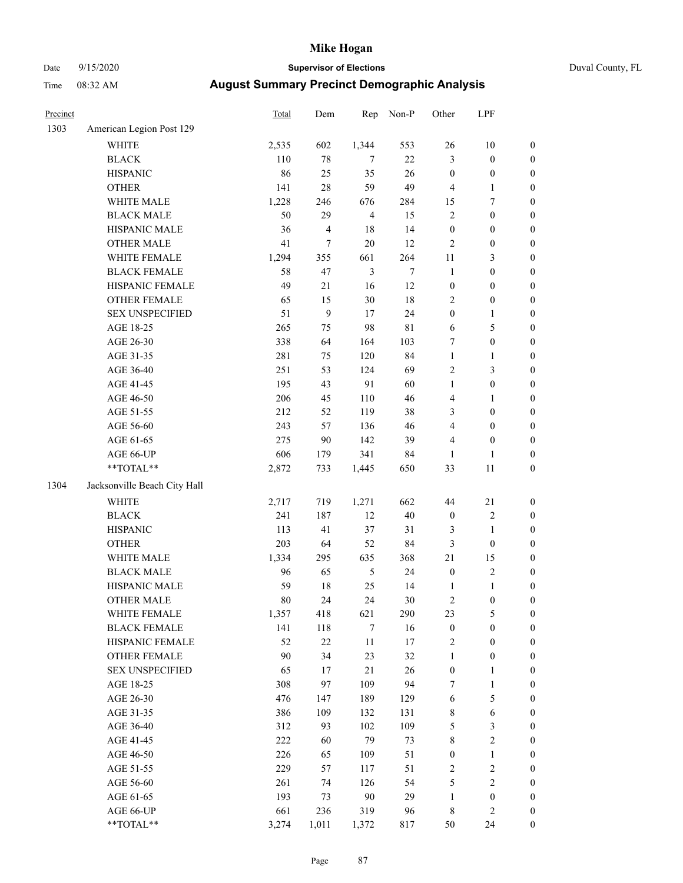# Date 9/15/2020 **Supervisor of Elections** Duval County, FL

| Precinct |                              | Total | Dem            | Rep            | Non-P       | Other            | LPF              |                  |
|----------|------------------------------|-------|----------------|----------------|-------------|------------------|------------------|------------------|
| 1303     | American Legion Post 129     |       |                |                |             |                  |                  |                  |
|          | <b>WHITE</b>                 | 2,535 | 602            | 1,344          | 553         | 26               | 10               | 0                |
|          | <b>BLACK</b>                 | 110   | $78\,$         | $\tau$         | 22          | 3                | $\boldsymbol{0}$ | 0                |
|          | <b>HISPANIC</b>              | 86    | 25             | 35             | 26          | $\boldsymbol{0}$ | $\boldsymbol{0}$ | $\boldsymbol{0}$ |
|          | <b>OTHER</b>                 | 141   | $28\,$         | 59             | 49          | 4                | 1                | $\boldsymbol{0}$ |
|          | WHITE MALE                   | 1,228 | 246            | 676            | 284         | 15               | 7                | $\boldsymbol{0}$ |
|          | <b>BLACK MALE</b>            | 50    | 29             | $\overline{4}$ | 15          | $\sqrt{2}$       | $\boldsymbol{0}$ | $\boldsymbol{0}$ |
|          | HISPANIC MALE                | 36    | $\overline{4}$ | 18             | 14          | $\boldsymbol{0}$ | $\boldsymbol{0}$ | $\boldsymbol{0}$ |
|          | <b>OTHER MALE</b>            | 41    | $\tau$         | $20\,$         | 12          | $\mathbf{2}$     | $\boldsymbol{0}$ | $\boldsymbol{0}$ |
|          | WHITE FEMALE                 | 1,294 | 355            | 661            | 264         | $11\,$           | $\mathfrak{Z}$   | $\boldsymbol{0}$ |
|          | <b>BLACK FEMALE</b>          | 58    | 47             | $\mathfrak{Z}$ | $\tau$      | $\mathbf{1}$     | $\boldsymbol{0}$ | $\boldsymbol{0}$ |
|          | HISPANIC FEMALE              | 49    | 21             | 16             | 12          | $\boldsymbol{0}$ | $\boldsymbol{0}$ | $\boldsymbol{0}$ |
|          | OTHER FEMALE                 | 65    | 15             | 30             | 18          | $\overline{2}$   | $\boldsymbol{0}$ | $\boldsymbol{0}$ |
|          | <b>SEX UNSPECIFIED</b>       | 51    | 9              | 17             | 24          | $\boldsymbol{0}$ | $\mathbf{1}$     | $\boldsymbol{0}$ |
|          | AGE 18-25                    | 265   | 75             | 98             | $8\sqrt{1}$ | 6                | 5                | $\boldsymbol{0}$ |
|          | AGE 26-30                    | 338   | 64             | 164            | 103         | 7                | $\boldsymbol{0}$ | $\boldsymbol{0}$ |
|          | AGE 31-35                    | 281   | 75             | 120            | 84          | $\mathbf{1}$     | $\mathbf{1}$     | $\boldsymbol{0}$ |
|          | AGE 36-40                    | 251   | 53             | 124            | 69          | $\overline{c}$   | 3                | $\boldsymbol{0}$ |
|          | AGE 41-45                    | 195   | 43             | 91             | 60          | $\mathbf{1}$     | $\boldsymbol{0}$ | $\boldsymbol{0}$ |
|          | AGE 46-50                    | 206   | 45             | 110            | $46\,$      | 4                | $\mathbf{1}$     | $\boldsymbol{0}$ |
|          | AGE 51-55                    | 212   | 52             | 119            | 38          | 3                | $\boldsymbol{0}$ | $\boldsymbol{0}$ |
|          | AGE 56-60                    | 243   | 57             | 136            | $46\,$      | 4                | $\boldsymbol{0}$ | $\boldsymbol{0}$ |
|          | AGE 61-65                    | 275   | 90             | 142            | 39          | 4                | $\boldsymbol{0}$ | $\boldsymbol{0}$ |
|          | AGE 66-UP                    | 606   | 179            | 341            | 84          | $\mathbf{1}$     | $\mathbf{1}$     | $\boldsymbol{0}$ |
|          | **TOTAL**                    | 2,872 | 733            | 1,445          | 650         | 33               | $11\,$           | $\boldsymbol{0}$ |
| 1304     | Jacksonville Beach City Hall |       |                |                |             |                  |                  |                  |
|          | <b>WHITE</b>                 | 2,717 | 719            | 1,271          | 662         | 44               | 21               | $\boldsymbol{0}$ |
|          | <b>BLACK</b>                 | 241   | 187            | 12             | $40\,$      | $\boldsymbol{0}$ | $\sqrt{2}$       | $\boldsymbol{0}$ |
|          | <b>HISPANIC</b>              | 113   | 41             | 37             | 31          | 3                | $\mathbf{1}$     | $\boldsymbol{0}$ |
|          | <b>OTHER</b>                 | 203   | 64             | 52             | 84          | $\mathfrak{Z}$   | $\boldsymbol{0}$ | $\boldsymbol{0}$ |
|          | WHITE MALE                   | 1,334 | 295            | 635            | 368         | 21               | 15               | $\boldsymbol{0}$ |
|          | <b>BLACK MALE</b>            | 96    | 65             | 5              | 24          | $\boldsymbol{0}$ | $\sqrt{2}$       | $\boldsymbol{0}$ |
|          | HISPANIC MALE                | 59    | 18             | 25             | 14          | 1                | $\mathbf{1}$     | 0                |
|          | <b>OTHER MALE</b>            | 80    | 24             | 24             | $30\,$      | $\mathbf{2}$     | $\boldsymbol{0}$ | $\boldsymbol{0}$ |
|          | WHITE FEMALE                 | 1,357 | 418            | 621            | 290         | 23               | 5                | 0                |
|          | <b>BLACK FEMALE</b>          | 141   | 118            | $\tau$         | 16          | $\boldsymbol{0}$ | $\boldsymbol{0}$ | $\overline{0}$   |
|          | HISPANIC FEMALE              | 52    | $22\,$         | 11             | 17          | $\overline{c}$   | $\boldsymbol{0}$ | 0                |
|          | OTHER FEMALE                 | 90    | 34             | 23             | 32          | $\mathbf{1}$     | $\boldsymbol{0}$ | 0                |
|          | <b>SEX UNSPECIFIED</b>       | 65    | 17             | $21\,$         | 26          | $\boldsymbol{0}$ | $\mathbf{1}$     | 0                |
|          | AGE 18-25                    | 308   | 97             | 109            | 94          | 7                | $\mathbf{1}$     | 0                |
|          | AGE 26-30                    | 476   | 147            | 189            | 129         | $\sqrt{6}$       | 5                | 0                |
|          | AGE 31-35                    | 386   | 109            | 132            | 131         | $\,$ 8 $\,$      | 6                | 0                |
|          | AGE 36-40                    | 312   | 93             | 102            | 109         | 5                | $\mathfrak{Z}$   | 0                |
|          | AGE 41-45                    | 222   | 60             | 79             | 73          | 8                | $\sqrt{2}$       | 0                |
|          | AGE 46-50                    | 226   | 65             | 109            | 51          | $\boldsymbol{0}$ | $\mathbf{1}$     | 0                |
|          | AGE 51-55                    | 229   | 57             | 117            | 51          | $\overline{c}$   | $\sqrt{2}$       | 0                |
|          | AGE 56-60                    | 261   | 74             | 126            | 54          | 5                | $\sqrt{2}$       | 0                |
|          | AGE 61-65                    | 193   | 73             | 90             | 29          | $\mathbf{1}$     | $\boldsymbol{0}$ | 0                |
|          | AGE 66-UP                    | 661   | 236            | 319            | 96          | 8                | $\mathfrak{2}$   | 0                |
|          | **TOTAL**                    | 3,274 | 1,011          | 1,372          | 817         | 50               | 24               | $\boldsymbol{0}$ |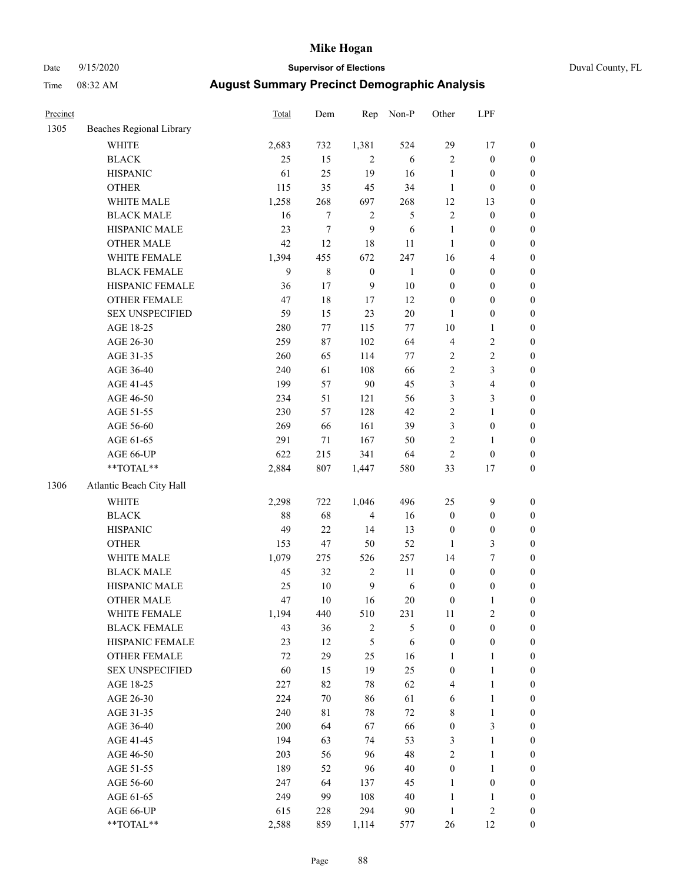### Date 9/15/2020 **Supervisor of Elections** Duval County, FL

| Precinct |                          | Total  | Dem         | Rep              | Non-P          | Other                   | LPF              |                  |
|----------|--------------------------|--------|-------------|------------------|----------------|-------------------------|------------------|------------------|
| 1305     | Beaches Regional Library |        |             |                  |                |                         |                  |                  |
|          | <b>WHITE</b>             | 2,683  | 732         | 1,381            | 524            | 29                      | 17               | 0                |
|          | <b>BLACK</b>             | 25     | 15          | $\overline{2}$   | 6              | $\overline{2}$          | $\boldsymbol{0}$ | 0                |
|          | <b>HISPANIC</b>          | 61     | 25          | 19               | 16             | $\mathbf{1}$            | $\boldsymbol{0}$ | $\boldsymbol{0}$ |
|          | <b>OTHER</b>             | 115    | 35          | 45               | 34             | $\mathbf{1}$            | $\boldsymbol{0}$ | $\boldsymbol{0}$ |
|          | WHITE MALE               | 1,258  | 268         | 697              | 268            | 12                      | 13               | $\boldsymbol{0}$ |
|          | <b>BLACK MALE</b>        | 16     | $\tau$      | $\overline{c}$   | 5              | $\sqrt{2}$              | $\boldsymbol{0}$ | $\boldsymbol{0}$ |
|          | HISPANIC MALE            | 23     | $\tau$      | 9                | 6              | $\mathbf{1}$            | $\boldsymbol{0}$ | $\boldsymbol{0}$ |
|          | <b>OTHER MALE</b>        | 42     | 12          | $18\,$           | $11\,$         | $\mathbf{1}$            | $\boldsymbol{0}$ | $\boldsymbol{0}$ |
|          | WHITE FEMALE             | 1,394  | 455         | 672              | 247            | 16                      | $\overline{4}$   | $\boldsymbol{0}$ |
|          | <b>BLACK FEMALE</b>      | 9      | $\,$ 8 $\,$ | $\boldsymbol{0}$ | $\mathbf{1}$   | $\boldsymbol{0}$        | $\boldsymbol{0}$ | 0                |
|          | HISPANIC FEMALE          | 36     | 17          | 9                | $10\,$         | $\boldsymbol{0}$        | $\boldsymbol{0}$ | $\boldsymbol{0}$ |
|          | OTHER FEMALE             | 47     | $18\,$      | 17               | 12             | $\boldsymbol{0}$        | $\boldsymbol{0}$ | $\boldsymbol{0}$ |
|          | <b>SEX UNSPECIFIED</b>   | 59     | 15          | 23               | $20\,$         | $\mathbf{1}$            | $\boldsymbol{0}$ | $\boldsymbol{0}$ |
|          | AGE 18-25                | 280    | $77 \,$     | 115              | $77 \,$        | $10\,$                  | $\mathbf{1}$     | $\boldsymbol{0}$ |
|          | AGE 26-30                | 259    | 87          | 102              | 64             | $\overline{\mathbf{4}}$ | $\sqrt{2}$       | $\boldsymbol{0}$ |
|          | AGE 31-35                | 260    | 65          | 114              | $77\,$         | $\sqrt{2}$              | $\sqrt{2}$       | $\boldsymbol{0}$ |
|          | AGE 36-40                | 240    | 61          | 108              | 66             | $\sqrt{2}$              | $\mathfrak{Z}$   | $\boldsymbol{0}$ |
|          | AGE 41-45                | 199    | 57          | 90               | 45             | 3                       | $\overline{4}$   | $\boldsymbol{0}$ |
|          | AGE 46-50                | 234    | 51          | 121              | 56             | 3                       | 3                | $\boldsymbol{0}$ |
|          | AGE 51-55                | 230    | 57          | 128              | 42             | $\sqrt{2}$              | $\mathbf{1}$     | $\boldsymbol{0}$ |
|          | AGE 56-60                | 269    | 66          | 161              | 39             | 3                       | $\boldsymbol{0}$ | 0                |
|          | AGE 61-65                | 291    | 71          | 167              | 50             | $\overline{c}$          | 1                | $\boldsymbol{0}$ |
|          | AGE 66-UP                | 622    | 215         | 341              | 64             | $\mathfrak{2}$          | $\boldsymbol{0}$ | $\boldsymbol{0}$ |
|          | **TOTAL**                | 2,884  | $807\,$     | 1,447            | 580            | 33                      | 17               | $\boldsymbol{0}$ |
| 1306     | Atlantic Beach City Hall |        |             |                  |                |                         |                  |                  |
|          | <b>WHITE</b>             | 2,298  | 722         | 1,046            | 496            | 25                      | $\mathbf{9}$     | $\boldsymbol{0}$ |
|          | <b>BLACK</b>             | $88\,$ | 68          | $\overline{4}$   | 16             | $\boldsymbol{0}$        | $\boldsymbol{0}$ | $\boldsymbol{0}$ |
|          | <b>HISPANIC</b>          | 49     | 22          | 14               | 13             | $\boldsymbol{0}$        | $\boldsymbol{0}$ | $\boldsymbol{0}$ |
|          | <b>OTHER</b>             | 153    | 47          | 50               | 52             | $\mathbf{1}$            | $\mathfrak{Z}$   | $\boldsymbol{0}$ |
|          | WHITE MALE               | 1,079  | 275         | 526              | 257            | 14                      | $\boldsymbol{7}$ | $\boldsymbol{0}$ |
|          | <b>BLACK MALE</b>        | 45     | 32          | $\sqrt{2}$       | $11\,$         | $\boldsymbol{0}$        | $\boldsymbol{0}$ | $\boldsymbol{0}$ |
|          | HISPANIC MALE            | 25     | $10\,$      | $\mathbf{9}$     | $\sqrt{6}$     | $\boldsymbol{0}$        | $\boldsymbol{0}$ | 0                |
|          | <b>OTHER MALE</b>        | 47     | 10          | 16               | 20             | $\boldsymbol{0}$        | $\mathbf{1}$     | $\boldsymbol{0}$ |
|          | WHITE FEMALE             | 1,194  | 440         | 510              | 231            | 11                      | $\overline{c}$   | 0                |
|          | <b>BLACK FEMALE</b>      | 43     | 36          | $\overline{c}$   | $\mathfrak{S}$ | $\boldsymbol{0}$        | $\boldsymbol{0}$ | $\overline{0}$   |
|          | HISPANIC FEMALE          | 23     | 12          | 5                | 6              | $\boldsymbol{0}$        | $\boldsymbol{0}$ | $\overline{0}$   |
|          | <b>OTHER FEMALE</b>      | 72     | 29          | 25               | 16             | $\mathbf{1}$            | $\mathbf{1}$     | 0                |
|          | <b>SEX UNSPECIFIED</b>   | 60     | 15          | 19               | 25             | $\boldsymbol{0}$        | $\mathbf{1}$     | 0                |
|          | AGE 18-25                | 227    | 82          | 78               | 62             | 4                       | $\mathbf{1}$     | 0                |
|          | AGE 26-30                | 224    | $70\,$      | 86               | 61             | 6                       | $\mathbf{1}$     | 0                |
|          | AGE 31-35                | 240    | $8\sqrt{1}$ | $78\,$           | $72\,$         | 8                       | $\mathbf{1}$     | 0                |
|          | AGE 36-40                | 200    | 64          | 67               | 66             | $\boldsymbol{0}$        | 3                | 0                |
|          | AGE 41-45                | 194    | 63          | 74               | 53             | 3                       | $\mathbf{1}$     | 0                |
|          | AGE 46-50                | 203    | 56          | 96               | 48             | $\mathbf{2}$            | $\mathbf{1}$     | 0                |
|          | AGE 51-55                | 189    | 52          | 96               | $40\,$         | $\boldsymbol{0}$        | $\mathbf{1}$     | 0                |
|          | AGE 56-60                | 247    | 64          | 137              | 45             | $\mathbf{1}$            | $\boldsymbol{0}$ | 0                |
|          | AGE 61-65                | 249    | 99          | 108              | 40             | $\mathbf{1}$            | $\mathbf{1}$     | 0                |
|          | AGE 66-UP                | 615    | 228         | 294              | $90\,$         | $\mathbf{1}$            | $\sqrt{2}$       | 0                |
|          | **TOTAL**                | 2,588  | 859         | 1,114            | 577            | 26                      | 12               | $\boldsymbol{0}$ |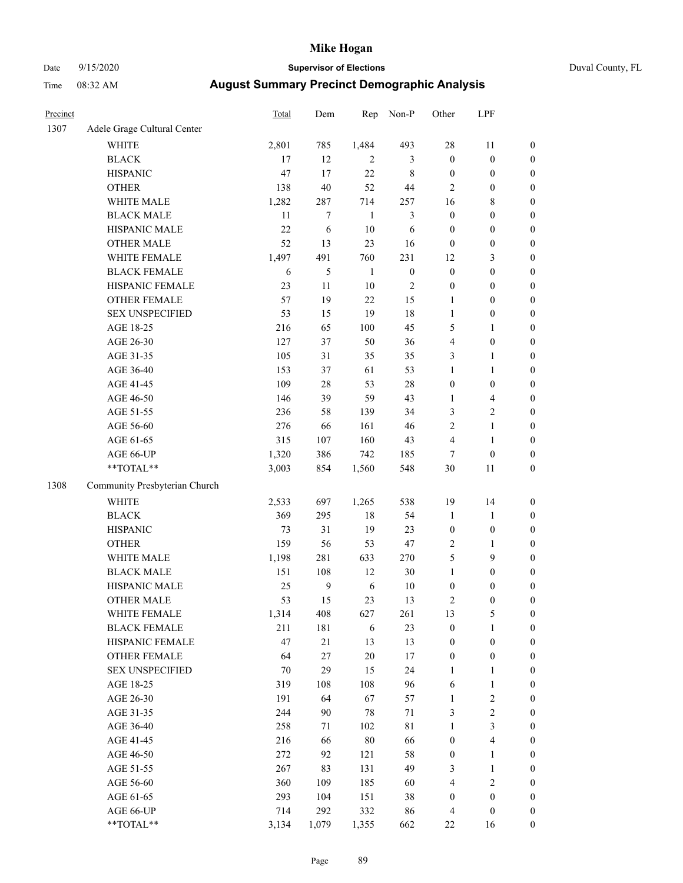### Date 9/15/2020 **Supervisor of Elections** Duval County, FL

| Precinct |                               | Total | Dem            | Rep          | Non-P            | Other            | LPF              |                  |
|----------|-------------------------------|-------|----------------|--------------|------------------|------------------|------------------|------------------|
| 1307     | Adele Grage Cultural Center   |       |                |              |                  |                  |                  |                  |
|          | <b>WHITE</b>                  | 2,801 | 785            | 1,484        | 493              | 28               | 11               | 0                |
|          | <b>BLACK</b>                  | 17    | 12             | 2            | 3                | $\boldsymbol{0}$ | $\boldsymbol{0}$ | 0                |
|          | <b>HISPANIC</b>               | 47    | 17             | 22           | $\,$ 8 $\,$      | $\boldsymbol{0}$ | $\boldsymbol{0}$ | $\boldsymbol{0}$ |
|          | <b>OTHER</b>                  | 138   | 40             | 52           | $44\,$           | $\mathbf{2}$     | $\boldsymbol{0}$ | $\boldsymbol{0}$ |
|          | WHITE MALE                    | 1,282 | 287            | 714          | 257              | 16               | $\,$ 8 $\,$      | $\boldsymbol{0}$ |
|          | <b>BLACK MALE</b>             | 11    | $\tau$         | $\mathbf{1}$ | $\mathfrak{Z}$   | $\boldsymbol{0}$ | $\boldsymbol{0}$ | $\boldsymbol{0}$ |
|          | HISPANIC MALE                 | 22    | 6              | $10\,$       | 6                | $\boldsymbol{0}$ | $\boldsymbol{0}$ | $\boldsymbol{0}$ |
|          | <b>OTHER MALE</b>             | 52    | 13             | 23           | 16               | $\boldsymbol{0}$ | $\boldsymbol{0}$ | $\boldsymbol{0}$ |
|          | WHITE FEMALE                  | 1,497 | 491            | 760          | 231              | 12               | $\mathfrak{Z}$   | $\boldsymbol{0}$ |
|          | <b>BLACK FEMALE</b>           | 6     | $\mathfrak{S}$ | $\mathbf{1}$ | $\boldsymbol{0}$ | $\boldsymbol{0}$ | $\boldsymbol{0}$ | $\boldsymbol{0}$ |
|          | HISPANIC FEMALE               | 23    | 11             | $10\,$       | $\sqrt{2}$       | $\boldsymbol{0}$ | $\boldsymbol{0}$ | $\boldsymbol{0}$ |
|          | OTHER FEMALE                  | 57    | 19             | 22           | 15               | $\mathbf{1}$     | $\boldsymbol{0}$ | $\boldsymbol{0}$ |
|          | <b>SEX UNSPECIFIED</b>        | 53    | 15             | 19           | $18\,$           | $\mathbf{1}$     | $\boldsymbol{0}$ | $\boldsymbol{0}$ |
|          | AGE 18-25                     | 216   | 65             | 100          | 45               | 5                | 1                | $\boldsymbol{0}$ |
|          | AGE 26-30                     | 127   | 37             | 50           | 36               | 4                | $\boldsymbol{0}$ | $\boldsymbol{0}$ |
|          | AGE 31-35                     | 105   | 31             | 35           | 35               | 3                | $\mathbf{1}$     | $\boldsymbol{0}$ |
|          | AGE 36-40                     | 153   | 37             | 61           | 53               | $\mathbf{1}$     | $\mathbf{1}$     | $\boldsymbol{0}$ |
|          | AGE 41-45                     | 109   | $28\,$         | 53           | $28\,$           | $\boldsymbol{0}$ | $\boldsymbol{0}$ | $\boldsymbol{0}$ |
|          | AGE 46-50                     | 146   | 39             | 59           | 43               | $\mathbf{1}$     | $\overline{4}$   | $\boldsymbol{0}$ |
|          | AGE 51-55                     | 236   | 58             | 139          | 34               | 3                | $\sqrt{2}$       | 0                |
|          | AGE 56-60                     | 276   | 66             | 161          | $46\,$           | $\sqrt{2}$       | $\mathbf{1}$     | 0                |
|          | AGE 61-65                     | 315   | 107            | 160          | 43               | 4                | $\mathbf{1}$     | $\boldsymbol{0}$ |
|          | AGE 66-UP                     | 1,320 | 386            | 742          | 185              | 7                | $\boldsymbol{0}$ | $\boldsymbol{0}$ |
|          | **TOTAL**                     | 3,003 | 854            | 1,560        | 548              | 30               | $11\,$           | $\boldsymbol{0}$ |
| 1308     | Community Presbyterian Church |       |                |              |                  |                  |                  |                  |
|          | WHITE                         | 2,533 | 697            | 1,265        | 538              | 19               | 14               | $\boldsymbol{0}$ |
|          | <b>BLACK</b>                  | 369   | 295            | $18\,$       | 54               | $\mathbf{1}$     | $\mathbf{1}$     | $\boldsymbol{0}$ |
|          | <b>HISPANIC</b>               | 73    | 31             | 19           | 23               | $\boldsymbol{0}$ | $\boldsymbol{0}$ | $\boldsymbol{0}$ |
|          | <b>OTHER</b>                  | 159   | 56             | 53           | $47\,$           | $\sqrt{2}$       | $\mathbf{1}$     | $\boldsymbol{0}$ |
|          | WHITE MALE                    | 1,198 | 281            | 633          | 270              | 5                | 9                | $\boldsymbol{0}$ |
|          | <b>BLACK MALE</b>             | 151   | 108            | 12           | $30\,$           | $\mathbf{1}$     | $\boldsymbol{0}$ | $\boldsymbol{0}$ |
|          | HISPANIC MALE                 | 25    | $\overline{9}$ | $\sqrt{6}$   | $10\,$           | $\boldsymbol{0}$ | $\boldsymbol{0}$ | $\boldsymbol{0}$ |
|          | <b>OTHER MALE</b>             | 53    | 15             | 23           | 13               | $\mathbf{2}$     | $\boldsymbol{0}$ | $\boldsymbol{0}$ |
|          | WHITE FEMALE                  | 1,314 | 408            | 627          | 261              | 13               | 5                | 0                |
|          | <b>BLACK FEMALE</b>           | 211   | 181            | 6            | 23               | $\boldsymbol{0}$ | $\mathbf{1}$     | $\overline{0}$   |
|          | HISPANIC FEMALE               | 47    | 21             | 13           | 13               | $\boldsymbol{0}$ | $\boldsymbol{0}$ | $\overline{0}$   |
|          | OTHER FEMALE                  | 64    | $27\,$         | $20\,$       | 17               | $\boldsymbol{0}$ | $\boldsymbol{0}$ | 0                |
|          | <b>SEX UNSPECIFIED</b>        | 70    | 29             | 15           | 24               | $\mathbf{1}$     | $\mathbf{1}$     | 0                |
|          | AGE 18-25                     | 319   | 108            | 108          | 96               | 6                | $\mathbf{1}$     | 0                |
|          | AGE 26-30                     | 191   | 64             | 67           | 57               | $\mathbf{1}$     | $\sqrt{2}$       | 0                |
|          | AGE 31-35                     | 244   | $90\,$         | $78\,$       | 71               | 3                | $\overline{c}$   | 0                |
|          | AGE 36-40                     | 258   | 71             | 102          | $8\sqrt{1}$      | $\mathbf{1}$     | $\mathfrak{Z}$   | 0                |
|          | AGE 41-45                     | 216   | 66             | $80\,$       | 66               | $\boldsymbol{0}$ | $\overline{4}$   | 0                |
|          | AGE 46-50                     | 272   | 92             | 121          | 58               | $\boldsymbol{0}$ | $\mathbf{1}$     | 0                |
|          | AGE 51-55                     | 267   | 83             | 131          | 49               | 3                | $\mathbf{1}$     | 0                |
|          | AGE 56-60                     | 360   | 109            | 185          | 60               | $\overline{4}$   | $\sqrt{2}$       | 0                |
|          | AGE 61-65                     | 293   | 104            | 151          | 38               | $\boldsymbol{0}$ | $\boldsymbol{0}$ | $\overline{0}$   |
|          | AGE 66-UP                     | 714   | 292            | 332          | 86               | 4                | $\boldsymbol{0}$ | 0                |
|          | **TOTAL**                     | 3,134 | 1,079          | 1,355        | 662              | 22               | 16               | $\boldsymbol{0}$ |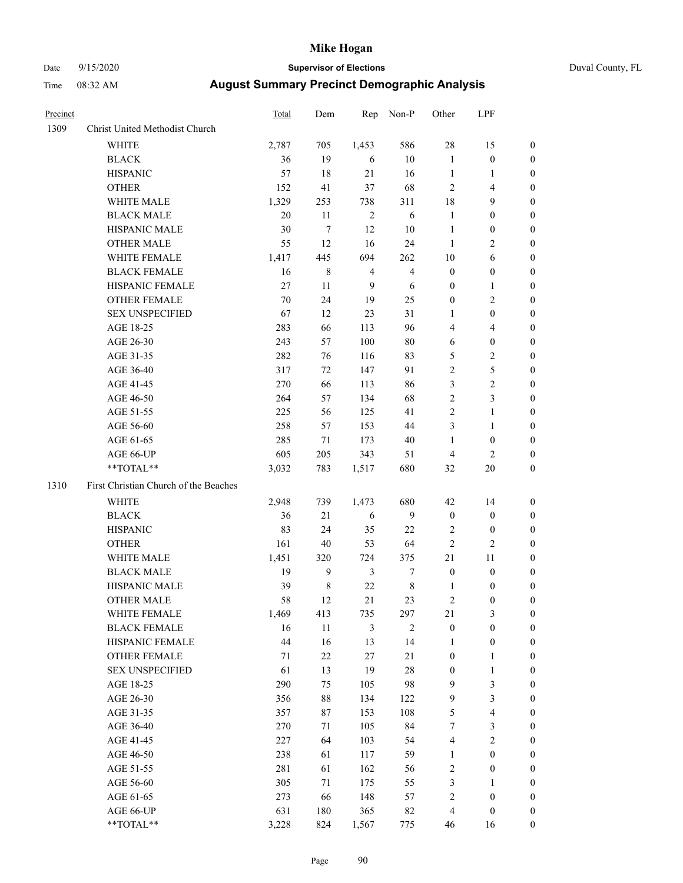# Date 9/15/2020 **Supervisor of Elections** Duval County, FL

| Precinct |                                       | Total | Dem            | Rep            | Non-P          | Other                   | LPF              |                       |
|----------|---------------------------------------|-------|----------------|----------------|----------------|-------------------------|------------------|-----------------------|
| 1309     | Christ United Methodist Church        |       |                |                |                |                         |                  |                       |
|          | <b>WHITE</b>                          | 2,787 | 705            | 1,453          | 586            | 28                      | 15               | 0                     |
|          | <b>BLACK</b>                          | 36    | 19             | 6              | 10             | $\mathbf{1}$            | $\boldsymbol{0}$ | 0                     |
|          | <b>HISPANIC</b>                       | 57    | 18             | 21             | 16             | $\mathbf{1}$            | $\mathbf{1}$     | 0                     |
|          | <b>OTHER</b>                          | 152   | 41             | 37             | 68             | 2                       | $\overline{4}$   | $\boldsymbol{0}$      |
|          | WHITE MALE                            | 1,329 | 253            | 738            | 311            | 18                      | 9                | $\boldsymbol{0}$      |
|          | <b>BLACK MALE</b>                     | 20    | 11             | $\sqrt{2}$     | 6              | $\mathbf{1}$            | $\boldsymbol{0}$ | $\boldsymbol{0}$      |
|          | HISPANIC MALE                         | 30    | $\tau$         | 12             | 10             | 1                       | $\boldsymbol{0}$ | $\boldsymbol{0}$      |
|          | <b>OTHER MALE</b>                     | 55    | 12             | 16             | 24             | $\mathbf{1}$            | $\mathbf{2}$     | $\boldsymbol{0}$      |
|          | WHITE FEMALE                          | 1,417 | 445            | 694            | 262            | $10\,$                  | 6                | 0                     |
|          | <b>BLACK FEMALE</b>                   | 16    | $\,$ 8 $\,$    | $\overline{4}$ | $\overline{4}$ | $\boldsymbol{0}$        | $\boldsymbol{0}$ | 0                     |
|          | HISPANIC FEMALE                       | 27    | 11             | 9              | 6              | 0                       | $\mathbf{1}$     | 0                     |
|          | OTHER FEMALE                          | 70    | 24             | 19             | 25             | $\boldsymbol{0}$        | $\sqrt{2}$       | 0                     |
|          | <b>SEX UNSPECIFIED</b>                | 67    | 12             | 23             | 31             | $\mathbf{1}$            | $\boldsymbol{0}$ | $\boldsymbol{0}$      |
|          | AGE 18-25                             | 283   | 66             | 113            | 96             | 4                       | $\overline{4}$   | $\boldsymbol{0}$      |
|          | AGE 26-30                             | 243   | 57             | 100            | 80             | 6                       | $\boldsymbol{0}$ | $\boldsymbol{0}$      |
|          | AGE 31-35                             | 282   | 76             | 116            | 83             | 5                       | $\sqrt{2}$       | $\boldsymbol{0}$      |
|          | AGE 36-40                             | 317   | 72             | 147            | 91             | $\overline{c}$          | 5                | $\boldsymbol{0}$      |
|          | AGE 41-45                             | 270   | 66             | 113            | 86             | 3                       | $\overline{c}$   | $\overline{0}$        |
|          | AGE 46-50                             | 264   | 57             | 134            | 68             | $\overline{c}$          | 3                | $\overline{0}$        |
|          | AGE 51-55                             | 225   | 56             | 125            | 41             | $\mathbf{2}$            | $\mathbf{1}$     | 0                     |
|          |                                       | 258   | 57             | 153            | 44             | 3                       | $\mathbf{1}$     |                       |
|          | AGE 56-60<br>AGE 61-65                | 285   | 71             | 173            | 40             | $\mathbf{1}$            | $\boldsymbol{0}$ | 0<br>0                |
|          |                                       | 605   |                |                |                |                         | $\overline{2}$   |                       |
|          | AGE 66-UP<br>**TOTAL**                |       | 205<br>783     | 343            | 51<br>680      | 4                       |                  | 0<br>$\boldsymbol{0}$ |
|          |                                       | 3,032 |                | 1,517          |                | 32                      | $20\,$           |                       |
| 1310     | First Christian Church of the Beaches |       |                |                |                |                         |                  |                       |
|          | <b>WHITE</b>                          | 2,948 | 739            | 1,473          | 680            | 42                      | 14               | $\boldsymbol{0}$      |
|          | <b>BLACK</b>                          | 36    | 21             | 6              | 9              | $\boldsymbol{0}$        | $\boldsymbol{0}$ | $\boldsymbol{0}$      |
|          | <b>HISPANIC</b>                       | 83    | 24             | 35             | $22\,$         | 2                       | $\boldsymbol{0}$ | 0                     |
|          | <b>OTHER</b>                          | 161   | 40             | 53             | 64             | $\overline{c}$          | $\mathfrak{2}$   | $\boldsymbol{0}$      |
|          | WHITE MALE                            | 1,451 | 320            | 724            | 375            | 21                      | 11               | $\boldsymbol{0}$      |
|          | <b>BLACK MALE</b>                     | 19    | $\overline{9}$ | $\mathfrak{Z}$ | $\tau$         | $\boldsymbol{0}$        | $\boldsymbol{0}$ | $\boldsymbol{0}$      |
|          | HISPANIC MALE                         | 39    | $\,$ 8 $\,$    | $22\,$         | $\,$ 8 $\,$    | 1                       | $\boldsymbol{0}$ | 0                     |
|          | <b>OTHER MALE</b>                     | 58    | 12             | 21             | 23             | 2                       | $\boldsymbol{0}$ | 0                     |
|          | WHITE FEMALE                          | 1,469 | 413            | 735            | 297            | 21                      | 3                | 0                     |
|          | <b>BLACK FEMALE</b>                   | 16    | 11             | 3              | $\overline{2}$ | $\boldsymbol{0}$        | $\boldsymbol{0}$ | $\overline{0}$        |
|          | HISPANIC FEMALE                       | 44    | 16             | 13             | 14             | 1                       | $\boldsymbol{0}$ | $\overline{0}$        |
|          | OTHER FEMALE                          | 71    | $22\,$         | 27             | $21\,$         | $\boldsymbol{0}$        | $\mathbf{1}$     | 0                     |
|          | <b>SEX UNSPECIFIED</b>                | 61    | 13             | 19             | 28             | $\boldsymbol{0}$        | $\mathbf{1}$     | 0                     |
|          | AGE 18-25                             | 290   | 75             | 105            | 98             | 9                       | 3                | 0                     |
|          | AGE 26-30                             | 356   | 88             | 134            | 122            | 9                       | 3                | 0                     |
|          | AGE 31-35                             | 357   | 87             | 153            | 108            | 5                       | $\overline{4}$   | 0                     |
|          | AGE 36-40                             | 270   | 71             | 105            | 84             | 7                       | $\mathfrak{Z}$   | 0                     |
|          | AGE 41-45                             | 227   | 64             | 103            | 54             | 4                       | $\mathbf{2}$     | 0                     |
|          | AGE 46-50                             | 238   | 61             | 117            | 59             | 1                       | $\boldsymbol{0}$ | 0                     |
|          | AGE 51-55                             | 281   | 61             | 162            | 56             | 2                       | $\boldsymbol{0}$ | 0                     |
|          | AGE 56-60                             | 305   | 71             | 175            | 55             | 3                       | 1                | 0                     |
|          | AGE 61-65                             | 273   | 66             | 148            | 57             | $\overline{\mathbf{c}}$ | $\boldsymbol{0}$ | 0                     |
|          | AGE 66-UP                             | 631   | 180            | 365            | 82             | 4                       | $\boldsymbol{0}$ | 0                     |
|          | **TOTAL**                             | 3,228 | 824            | 1,567          | 775            | 46                      | 16               | $\boldsymbol{0}$      |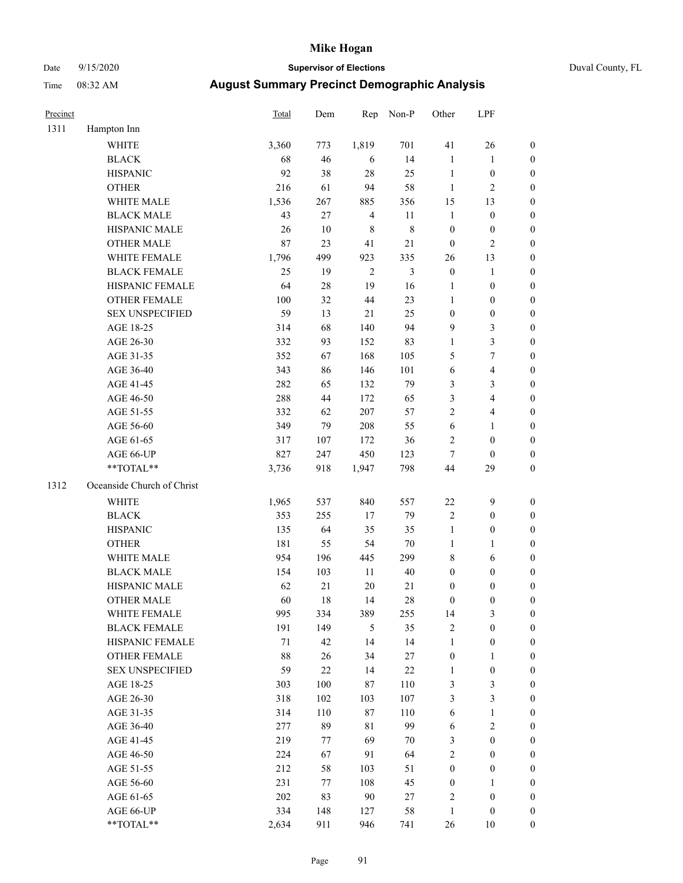#### Date 9/15/2020 **Supervisor of Elections** Duval County, FL

| Precinct |                            | <b>Total</b> | Dem    | Rep            | Non-P          | Other            | LPF                     |                  |
|----------|----------------------------|--------------|--------|----------------|----------------|------------------|-------------------------|------------------|
| 1311     | Hampton Inn                |              |        |                |                |                  |                         |                  |
|          | <b>WHITE</b>               | 3,360        | 773    | 1,819          | 701            | 41               | 26                      | 0                |
|          | <b>BLACK</b>               | 68           | 46     | 6              | 14             | $\mathbf{1}$     | $\mathbf{1}$            | 0                |
|          | <b>HISPANIC</b>            | 92           | 38     | 28             | 25             | $\mathbf{1}$     | $\boldsymbol{0}$        | $\boldsymbol{0}$ |
|          | <b>OTHER</b>               | 216          | 61     | 94             | 58             | $\mathbf{1}$     | $\mathbf{2}$            | $\boldsymbol{0}$ |
|          | WHITE MALE                 | 1,536        | 267    | 885            | 356            | 15               | 13                      | $\boldsymbol{0}$ |
|          | <b>BLACK MALE</b>          | 43           | 27     | $\overline{4}$ | 11             | $\mathbf{1}$     | $\boldsymbol{0}$        | $\boldsymbol{0}$ |
|          | HISPANIC MALE              | 26           | 10     | $\,$ 8 $\,$    | $8\,$          | $\boldsymbol{0}$ | $\boldsymbol{0}$        | $\boldsymbol{0}$ |
|          | <b>OTHER MALE</b>          | 87           | 23     | 41             | 21             | $\boldsymbol{0}$ | $\overline{2}$          | $\boldsymbol{0}$ |
|          | WHITE FEMALE               | 1,796        | 499    | 923            | 335            | 26               | 13                      | $\boldsymbol{0}$ |
|          | <b>BLACK FEMALE</b>        | 25           | 19     | $\sqrt{2}$     | $\mathfrak{Z}$ | $\boldsymbol{0}$ | $\mathbf{1}$            | 0                |
|          | HISPANIC FEMALE            | 64           | $28\,$ | 19             | 16             | 1                | $\boldsymbol{0}$        | 0                |
|          | <b>OTHER FEMALE</b>        | 100          | 32     | 44             | 23             | $\mathbf{1}$     | $\boldsymbol{0}$        | $\boldsymbol{0}$ |
|          | <b>SEX UNSPECIFIED</b>     | 59           | 13     | 21             | 25             | $\boldsymbol{0}$ | $\boldsymbol{0}$        | $\boldsymbol{0}$ |
|          | AGE 18-25                  | 314          | 68     | 140            | 94             | 9                | $\mathfrak{Z}$          | $\boldsymbol{0}$ |
|          | AGE 26-30                  | 332          | 93     | 152            | 83             | $\mathbf{1}$     | $\mathfrak{Z}$          | $\boldsymbol{0}$ |
|          | AGE 31-35                  | 352          | 67     | 168            | 105            | 5                | $\boldsymbol{7}$        | $\boldsymbol{0}$ |
|          | AGE 36-40                  | 343          | 86     | 146            | 101            | 6                | $\overline{\mathbf{4}}$ | $\boldsymbol{0}$ |
|          | AGE 41-45                  | 282          | 65     | 132            | 79             | 3                | $\mathfrak{Z}$          | $\boldsymbol{0}$ |
|          | AGE 46-50                  | 288          | 44     | 172            | 65             | 3                | $\overline{4}$          | $\boldsymbol{0}$ |
|          | AGE 51-55                  | 332          | 62     | 207            | 57             | $\overline{c}$   | $\overline{\mathbf{4}}$ | $\boldsymbol{0}$ |
|          | AGE 56-60                  | 349          | 79     | 208            | 55             | 6                | 1                       | 0                |
|          | AGE 61-65                  | 317          | 107    | 172            | 36             | 2                | $\boldsymbol{0}$        | 0                |
|          | AGE 66-UP                  | 827          | 247    | 450            | 123            | $\tau$           | $\boldsymbol{0}$        | $\boldsymbol{0}$ |
|          | **TOTAL**                  | 3,736        | 918    | 1,947          | 798            | 44               | 29                      | $\boldsymbol{0}$ |
| 1312     | Oceanside Church of Christ |              |        |                |                |                  |                         |                  |
|          | <b>WHITE</b>               | 1,965        | 537    | 840            | 557            | $22\,$           | $\mathbf{9}$            | $\boldsymbol{0}$ |
|          | <b>BLACK</b>               | 353          | 255    | $17$           | 79             | 2                | $\boldsymbol{0}$        | $\boldsymbol{0}$ |
|          | <b>HISPANIC</b>            | 135          | 64     | 35             | 35             | $\mathbf{1}$     | $\boldsymbol{0}$        | $\boldsymbol{0}$ |
|          | <b>OTHER</b>               | 181          | 55     | 54             | $70\,$         | $\mathbf{1}$     | $\mathbf{1}$            | $\boldsymbol{0}$ |
|          | WHITE MALE                 | 954          | 196    | 445            | 299            | 8                | 6                       | $\boldsymbol{0}$ |
|          | <b>BLACK MALE</b>          | 154          | 103    | 11             | 40             | $\boldsymbol{0}$ | $\boldsymbol{0}$        | $\boldsymbol{0}$ |
|          | HISPANIC MALE              | 62           | 21     | $20\,$         | 21             | $\boldsymbol{0}$ | $\boldsymbol{0}$        | 0                |
|          | <b>OTHER MALE</b>          | 60           | 18     | 14             | 28             | $\boldsymbol{0}$ | $\boldsymbol{0}$        | $\boldsymbol{0}$ |
|          | WHITE FEMALE               | 995          | 334    | 389            | 255            | 14               | 3                       | 0                |
|          | <b>BLACK FEMALE</b>        | 191          | 149    | 5              | 35             | 2                | $\boldsymbol{0}$        | $\overline{0}$   |
|          | HISPANIC FEMALE            | $71\,$       | 42     | 14             | 14             | $\mathbf{1}$     | $\boldsymbol{0}$        | $\overline{0}$   |
|          | OTHER FEMALE               | 88           | 26     | 34             | $27\,$         | $\boldsymbol{0}$ | $\mathbf{1}$            | $\overline{0}$   |
|          | <b>SEX UNSPECIFIED</b>     | 59           | $22\,$ | 14             | $22\,$         | $\mathbf{1}$     | $\boldsymbol{0}$        | 0                |
|          | AGE 18-25                  | 303          | 100    | 87             | 110            | 3                | $\mathfrak{Z}$          | 0                |
|          | AGE 26-30                  | 318          | 102    | 103            | 107            | 3                | $\mathfrak{Z}$          | 0                |
|          | AGE 31-35                  | 314          | 110    | 87             | 110            | 6                | $\mathbf{1}$            | 0                |
|          | AGE 36-40                  | 277          | 89     | 81             | 99             | 6                | $\sqrt{2}$              | 0                |
|          | AGE 41-45                  | 219          | 77     | 69             | 70             | 3                | $\boldsymbol{0}$        | 0                |
|          | AGE 46-50                  | 224          | 67     | 91             | 64             | 2                | $\boldsymbol{0}$        | 0                |
|          | AGE 51-55                  | 212          | 58     | 103            | 51             | $\boldsymbol{0}$ | $\boldsymbol{0}$        | 0                |
|          | AGE 56-60                  | 231          | 77     | 108            | 45             | $\boldsymbol{0}$ | 1                       | $\overline{0}$   |
|          | AGE 61-65                  | 202          | 83     | 90             | 27             | 2                | $\boldsymbol{0}$        | $\overline{0}$   |
|          | AGE 66-UP                  | 334          | 148    | 127            | 58             | $\mathbf{1}$     | $\boldsymbol{0}$        | 0                |
|          | **TOTAL**                  | 2,634        | 911    | 946            | 741            | 26               | 10                      | $\boldsymbol{0}$ |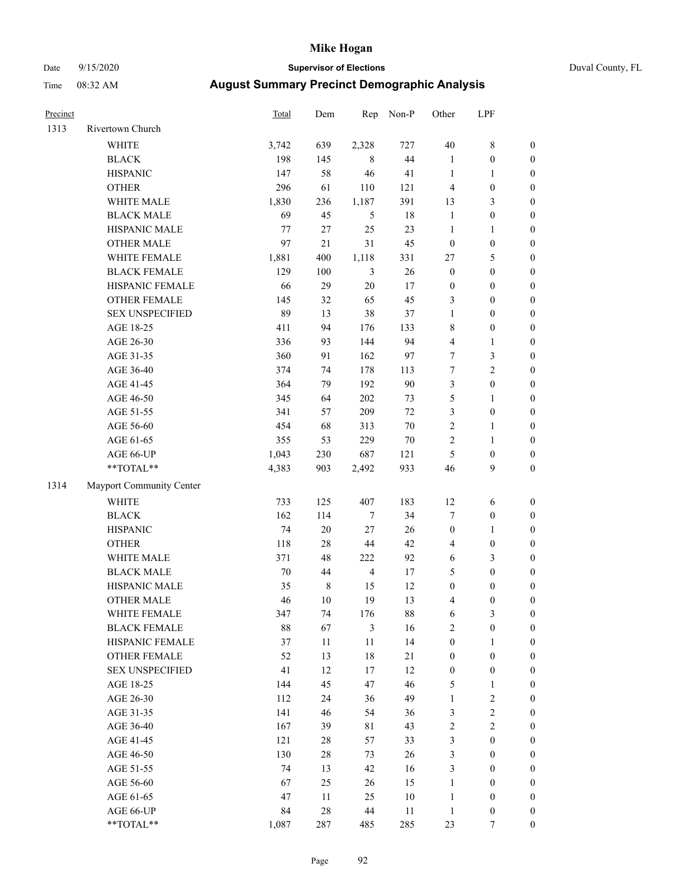### Date 9/15/2020 **Supervisor of Elections** Duval County, FL

| Precinct |                          | <b>Total</b> | Dem    | Rep            | Non-P  | Other            | LPF              |                  |
|----------|--------------------------|--------------|--------|----------------|--------|------------------|------------------|------------------|
| 1313     | Rivertown Church         |              |        |                |        |                  |                  |                  |
|          | <b>WHITE</b>             | 3,742        | 639    | 2,328          | 727    | $40\,$           | $8\,$            | 0                |
|          | <b>BLACK</b>             | 198          | 145    | 8              | 44     | $\mathbf{1}$     | $\boldsymbol{0}$ | $\boldsymbol{0}$ |
|          | <b>HISPANIC</b>          | 147          | 58     | 46             | 41     | $\mathbf{1}$     | $\mathbf{1}$     | $\boldsymbol{0}$ |
|          | <b>OTHER</b>             | 296          | 61     | 110            | 121    | 4                | $\boldsymbol{0}$ | $\boldsymbol{0}$ |
|          | WHITE MALE               | 1,830        | 236    | 1,187          | 391    | 13               | $\mathfrak{Z}$   | $\boldsymbol{0}$ |
|          | <b>BLACK MALE</b>        | 69           | 45     | $\mathfrak{H}$ | 18     | $\mathbf{1}$     | $\boldsymbol{0}$ | $\boldsymbol{0}$ |
|          | HISPANIC MALE            | 77           | 27     | 25             | 23     | $\mathbf{1}$     | $\mathbf{1}$     | $\boldsymbol{0}$ |
|          | <b>OTHER MALE</b>        | 97           | $21\,$ | 31             | 45     | $\boldsymbol{0}$ | $\boldsymbol{0}$ | $\boldsymbol{0}$ |
|          | WHITE FEMALE             | 1,881        | 400    | 1,118          | 331    | 27               | 5                | $\boldsymbol{0}$ |
|          | <b>BLACK FEMALE</b>      | 129          | 100    | 3              | 26     | $\boldsymbol{0}$ | $\boldsymbol{0}$ | $\boldsymbol{0}$ |
|          | HISPANIC FEMALE          | 66           | 29     | $20\,$         | 17     | $\boldsymbol{0}$ | $\boldsymbol{0}$ | 0                |
|          | <b>OTHER FEMALE</b>      | 145          | 32     | 65             | 45     | 3                | $\boldsymbol{0}$ | $\boldsymbol{0}$ |
|          | <b>SEX UNSPECIFIED</b>   | 89           | 13     | 38             | 37     | $\mathbf{1}$     | $\boldsymbol{0}$ | $\boldsymbol{0}$ |
|          | AGE 18-25                | 411          | 94     | 176            | 133    | 8                | $\boldsymbol{0}$ | $\boldsymbol{0}$ |
|          | AGE 26-30                | 336          | 93     | 144            | 94     | 4                | $\mathbf{1}$     | $\boldsymbol{0}$ |
|          | AGE 31-35                | 360          | 91     | 162            | 97     | 7                | $\mathfrak{Z}$   | $\boldsymbol{0}$ |
|          | AGE 36-40                | 374          | 74     | 178            | 113    | $\boldsymbol{7}$ | $\overline{c}$   | $\boldsymbol{0}$ |
|          | AGE 41-45                | 364          | 79     | 192            | 90     | 3                | $\boldsymbol{0}$ | $\boldsymbol{0}$ |
|          | AGE 46-50                | 345          | 64     | 202            | 73     | 5                | $\mathbf{1}$     | $\boldsymbol{0}$ |
|          | AGE 51-55                | 341          | 57     | 209            | $72\,$ | 3                | $\boldsymbol{0}$ | $\boldsymbol{0}$ |
|          | AGE 56-60                | 454          | 68     | 313            | $70\,$ | $\sqrt{2}$       | $\mathbf{1}$     | 0                |
|          | AGE 61-65                | 355          | 53     | 229            | $70\,$ | $\overline{c}$   | $\mathbf{1}$     | 0                |
|          | AGE 66-UP                | 1,043        | 230    | 687            | 121    | $\mathfrak{S}$   | $\boldsymbol{0}$ | $\boldsymbol{0}$ |
|          | **TOTAL**                | 4,383        | 903    | 2,492          | 933    | 46               | 9                | $\boldsymbol{0}$ |
| 1314     | Mayport Community Center |              |        |                |        |                  |                  |                  |
|          | WHITE                    | 733          | 125    | 407            | 183    | 12               | 6                | $\boldsymbol{0}$ |
|          | <b>BLACK</b>             | 162          | 114    | $\tau$         | 34     | 7                | $\boldsymbol{0}$ | $\boldsymbol{0}$ |
|          | <b>HISPANIC</b>          | 74           | $20\,$ | 27             | 26     | $\boldsymbol{0}$ | $\mathbf{1}$     | $\boldsymbol{0}$ |
|          | <b>OTHER</b>             | 118          | $28\,$ | 44             | $42\,$ | 4                | $\boldsymbol{0}$ | $\boldsymbol{0}$ |
|          | WHITE MALE               | 371          | 48     | 222            | 92     | $\sqrt{6}$       | $\mathfrak{Z}$   | $\boldsymbol{0}$ |
|          | <b>BLACK MALE</b>        | $70\,$       | 44     | $\overline{4}$ | 17     | 5                | $\boldsymbol{0}$ | $\boldsymbol{0}$ |
|          | HISPANIC MALE            | 35           | $8\,$  | 15             | 12     | $\boldsymbol{0}$ | $\boldsymbol{0}$ | $\boldsymbol{0}$ |
|          | OTHER MALE               | 46           | 10     | 19             | 13     | 4                | $\boldsymbol{0}$ | $\boldsymbol{0}$ |
|          | WHITE FEMALE             | 347          | 74     | 176            | 88     | 6                | 3                | 0                |
|          | <b>BLACK FEMALE</b>      | 88           | 67     | 3              | 16     | 2                | $\boldsymbol{0}$ | $\overline{0}$   |
|          | HISPANIC FEMALE          | 37           | 11     | $11\,$         | 14     | $\boldsymbol{0}$ | 1                | $\overline{0}$   |
|          | OTHER FEMALE             | 52           | 13     | 18             | 21     | $\boldsymbol{0}$ | $\boldsymbol{0}$ | 0                |
|          | <b>SEX UNSPECIFIED</b>   | 41           | 12     | 17             | 12     | $\boldsymbol{0}$ | $\boldsymbol{0}$ | 0                |
|          | AGE 18-25                | 144          | 45     | 47             | 46     | 5                | $\mathbf{1}$     | 0                |
|          | AGE 26-30                | 112          | 24     | 36             | 49     | $\mathbf{1}$     | $\sqrt{2}$       | 0                |
|          | AGE 31-35                | 141          | 46     | 54             | 36     | 3                | $\sqrt{2}$       | 0                |
|          | AGE 36-40                | 167          | 39     | 81             | 43     | 2                | $\sqrt{2}$       | 0                |
|          | AGE 41-45                | 121          | 28     | 57             | 33     | 3                | $\boldsymbol{0}$ | 0                |
|          | AGE 46-50                | 130          | 28     | 73             | 26     | 3                | $\boldsymbol{0}$ | 0                |
|          | AGE 51-55                | 74           | 13     | 42             | 16     | 3                | $\boldsymbol{0}$ | 0                |
|          | AGE 56-60                | 67           | 25     | 26             | 15     | $\mathbf{1}$     | $\boldsymbol{0}$ | 0                |
|          | AGE 61-65                | 47           | 11     | 25             | $10\,$ | $\mathbf{1}$     | $\boldsymbol{0}$ | 0                |
|          | AGE 66-UP                | 84           | $28\,$ | 44             | 11     | $\mathbf{1}$     | $\boldsymbol{0}$ | 0                |
|          | **TOTAL**                | 1,087        | 287    | 485            | 285    | 23               | 7                | $\boldsymbol{0}$ |
|          |                          |              |        |                |        |                  |                  |                  |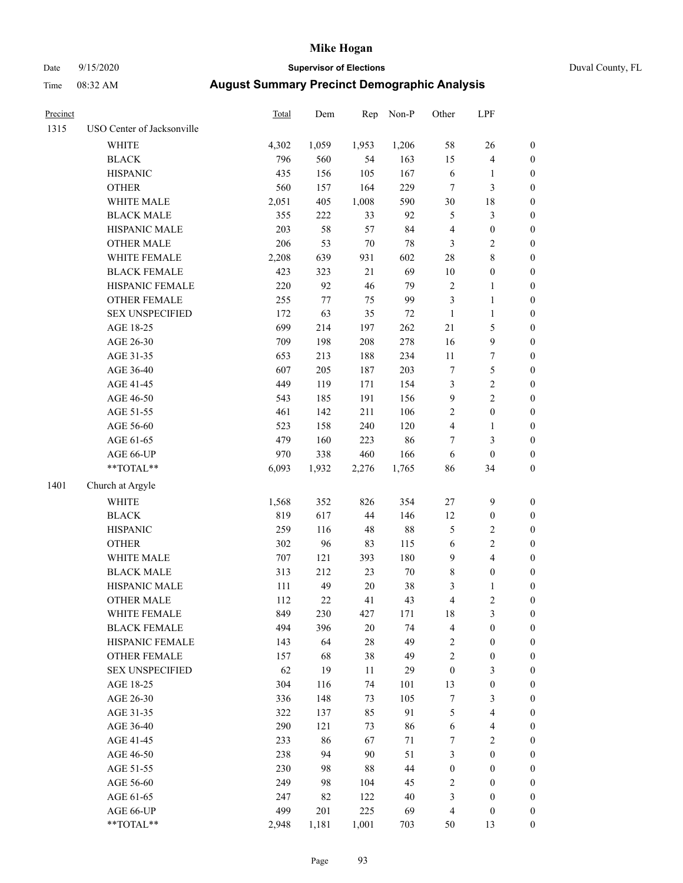# Date 9/15/2020 **Supervisor of Elections** Duval County, FL

| Precinct |                            | Total | Dem    | Rep    | Non-P  | Other                   | LPF                     |                  |
|----------|----------------------------|-------|--------|--------|--------|-------------------------|-------------------------|------------------|
| 1315     | USO Center of Jacksonville |       |        |        |        |                         |                         |                  |
|          | WHITE                      | 4,302 | 1,059  | 1,953  | 1,206  | 58                      | 26                      | 0                |
|          | <b>BLACK</b>               | 796   | 560    | 54     | 163    | 15                      | $\overline{4}$          | 0                |
|          | <b>HISPANIC</b>            | 435   | 156    | 105    | 167    | $\sqrt{6}$              | $\mathbf{1}$            | $\boldsymbol{0}$ |
|          | <b>OTHER</b>               | 560   | 157    | 164    | 229    | $\tau$                  | $\mathfrak{Z}$          | $\boldsymbol{0}$ |
|          | WHITE MALE                 | 2,051 | 405    | 1,008  | 590    | 30                      | 18                      | $\boldsymbol{0}$ |
|          | <b>BLACK MALE</b>          | 355   | 222    | 33     | 92     | 5                       | $\mathfrak{Z}$          | $\boldsymbol{0}$ |
|          | HISPANIC MALE              | 203   | 58     | 57     | 84     | 4                       | $\boldsymbol{0}$        | $\boldsymbol{0}$ |
|          | <b>OTHER MALE</b>          | 206   | 53     | $70\,$ | 78     | 3                       | $\sqrt{2}$              | $\boldsymbol{0}$ |
|          | WHITE FEMALE               | 2,208 | 639    | 931    | 602    | 28                      | $\,$ $\,$               | $\boldsymbol{0}$ |
|          | <b>BLACK FEMALE</b>        | 423   | 323    | 21     | 69     | $10\,$                  | $\boldsymbol{0}$        | 0                |
|          | HISPANIC FEMALE            | 220   | 92     | 46     | 79     | $\sqrt{2}$              | 1                       | 0                |
|          | OTHER FEMALE               | 255   | $77\,$ | 75     | 99     | $\mathfrak{Z}$          | $\mathbf{1}$            | $\boldsymbol{0}$ |
|          | <b>SEX UNSPECIFIED</b>     | 172   | 63     | 35     | $72\,$ | $\mathbf{1}$            | $\mathbf{1}$            | $\boldsymbol{0}$ |
|          | AGE 18-25                  | 699   | 214    | 197    | 262    | $21\,$                  | $\mathfrak s$           | $\boldsymbol{0}$ |
|          | AGE 26-30                  | 709   | 198    | 208    | 278    | 16                      | $\boldsymbol{9}$        | $\boldsymbol{0}$ |
|          | AGE 31-35                  | 653   | 213    | 188    | 234    | 11                      | $\boldsymbol{7}$        | $\boldsymbol{0}$ |
|          | AGE 36-40                  | 607   | 205    | 187    | 203    | $\boldsymbol{7}$        | 5                       | $\boldsymbol{0}$ |
|          | AGE 41-45                  | 449   | 119    | 171    | 154    | $\mathfrak{Z}$          | $\sqrt{2}$              | $\boldsymbol{0}$ |
|          | AGE 46-50                  | 543   | 185    | 191    | 156    | $\boldsymbol{9}$        | $\overline{c}$          | $\boldsymbol{0}$ |
|          | AGE 51-55                  | 461   | 142    | 211    | 106    | $\sqrt{2}$              | $\boldsymbol{0}$        | $\boldsymbol{0}$ |
|          | AGE 56-60                  | 523   | 158    | 240    | 120    | $\overline{\mathbf{4}}$ | 1                       | 0                |
|          | AGE 61-65                  | 479   | 160    | 223    | 86     | 7                       | 3                       | $\boldsymbol{0}$ |
|          | AGE 66-UP                  | 970   | 338    | 460    | 166    | $\sqrt{6}$              | $\boldsymbol{0}$        | $\boldsymbol{0}$ |
|          | **TOTAL**                  | 6,093 | 1,932  | 2,276  | 1,765  | 86                      | 34                      | $\boldsymbol{0}$ |
| 1401     | Church at Argyle           |       |        |        |        |                         |                         |                  |
|          | <b>WHITE</b>               | 1,568 | 352    | 826    | 354    | 27                      | $\mathbf{9}$            | $\boldsymbol{0}$ |
|          | <b>BLACK</b>               | 819   | 617    | 44     | 146    | 12                      | $\boldsymbol{0}$        | $\boldsymbol{0}$ |
|          | <b>HISPANIC</b>            | 259   | 116    | 48     | $88\,$ | 5                       | $\mathfrak{2}$          | $\boldsymbol{0}$ |
|          | <b>OTHER</b>               | 302   | 96     | 83     | 115    | $\sqrt{6}$              | $\overline{c}$          | $\boldsymbol{0}$ |
|          | WHITE MALE                 | 707   | 121    | 393    | 180    | $\mathbf{9}$            | $\overline{\mathbf{4}}$ | $\boldsymbol{0}$ |
|          | <b>BLACK MALE</b>          | 313   | 212    | 23     | $70\,$ | $\,$ $\,$               | $\boldsymbol{0}$        | $\boldsymbol{0}$ |
|          | HISPANIC MALE              | 111   | 49     | $20\,$ | $38\,$ | 3                       | $\mathbf{1}$            | 0                |
|          | <b>OTHER MALE</b>          | 112   | 22     | 41     | 43     | $\overline{\mathbf{4}}$ | $\overline{2}$          | $\boldsymbol{0}$ |
|          | WHITE FEMALE               | 849   | 230    | 427    | 171    | 18                      | 3                       | 0                |
|          | <b>BLACK FEMALE</b>        | 494   | 396    | $20\,$ | 74     | 4                       | $\boldsymbol{0}$        | $\boldsymbol{0}$ |
|          | HISPANIC FEMALE            | 143   | 64     | $28\,$ | 49     | $\overline{c}$          | $\boldsymbol{0}$        | $\overline{0}$   |
|          | OTHER FEMALE               | 157   | 68     | 38     | 49     | 2                       | $\boldsymbol{0}$        | $\overline{0}$   |
|          | <b>SEX UNSPECIFIED</b>     | 62    | 19     | 11     | 29     | $\boldsymbol{0}$        | 3                       | 0                |
|          | AGE 18-25                  | 304   | 116    | 74     | 101    | 13                      | $\boldsymbol{0}$        | $\theta$         |
|          | AGE 26-30                  | 336   | 148    | 73     | 105    | 7                       | 3                       | 0                |
|          | AGE 31-35                  | 322   | 137    | 85     | 91     | 5                       | $\overline{4}$          | 0                |
|          | AGE 36-40                  | 290   | 121    | 73     | 86     | 6                       | $\overline{4}$          | 0                |
|          | AGE 41-45                  | 233   | 86     | 67     | 71     | 7                       | $\mathfrak{2}$          | 0                |
|          | AGE 46-50                  | 238   | 94     | 90     | 51     | 3                       | $\boldsymbol{0}$        | 0                |
|          | AGE 51-55                  | 230   | 98     | $88\,$ | 44     | $\boldsymbol{0}$        | $\boldsymbol{0}$        | 0                |
|          | AGE 56-60                  | 249   | 98     | 104    | 45     | $\overline{c}$          | $\boldsymbol{0}$        | $\overline{0}$   |
|          | AGE 61-65                  | 247   | 82     | 122    | 40     | 3                       | $\boldsymbol{0}$        | $\overline{0}$   |
|          | AGE 66-UP                  | 499   | 201    | 225    | 69     | 4                       | $\boldsymbol{0}$        | 0                |
|          | **TOTAL**                  | 2,948 | 1,181  | 1,001  | 703    | 50                      | 13                      | $\boldsymbol{0}$ |
|          |                            |       |        |        |        |                         |                         |                  |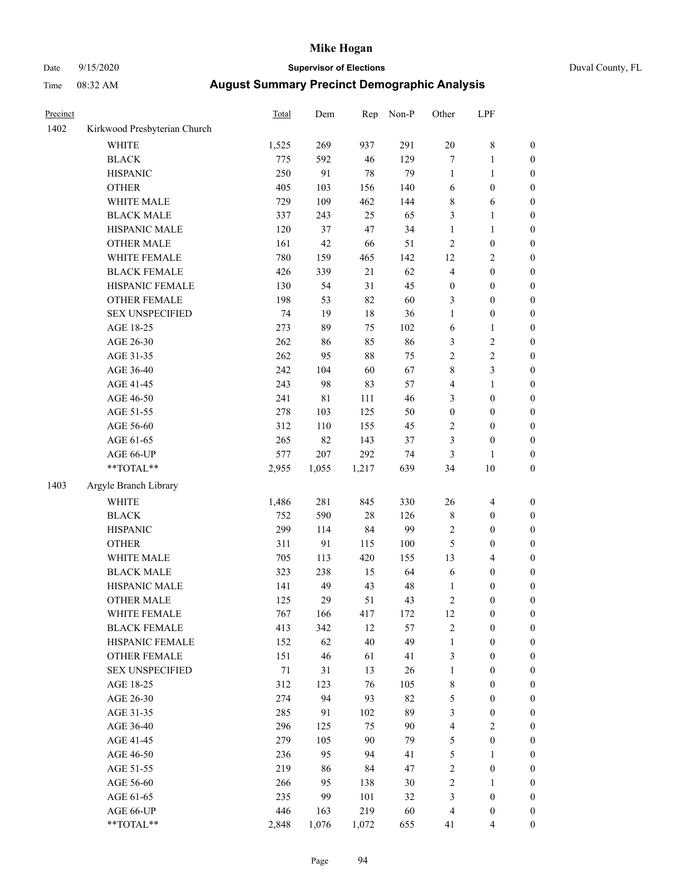# Date 9/15/2020 **Supervisor of Elections** Duval County, FL

| Precinct |                              | <b>Total</b> | Dem         | Rep    | Non-P  | Other            | LPF              |                  |
|----------|------------------------------|--------------|-------------|--------|--------|------------------|------------------|------------------|
| 1402     | Kirkwood Presbyterian Church |              |             |        |        |                  |                  |                  |
|          | <b>WHITE</b>                 | 1,525        | 269         | 937    | 291    | $20\,$           | $\,$ $\,$        | 0                |
|          | <b>BLACK</b>                 | 775          | 592         | 46     | 129    | $\boldsymbol{7}$ | $\mathbf{1}$     | 0                |
|          | <b>HISPANIC</b>              | 250          | 91          | $78\,$ | 79     | $\mathbf{1}$     | $\mathbf{1}$     | $\boldsymbol{0}$ |
|          | <b>OTHER</b>                 | 405          | 103         | 156    | 140    | 6                | $\boldsymbol{0}$ | $\boldsymbol{0}$ |
|          | WHITE MALE                   | 729          | 109         | 462    | 144    | 8                | 6                | $\boldsymbol{0}$ |
|          | <b>BLACK MALE</b>            | 337          | 243         | 25     | 65     | 3                | $\mathbf{1}$     | $\boldsymbol{0}$ |
|          | HISPANIC MALE                | 120          | 37          | 47     | 34     | 1                | $\mathbf{1}$     | $\boldsymbol{0}$ |
|          | <b>OTHER MALE</b>            | 161          | 42          | 66     | 51     | 2                | $\boldsymbol{0}$ | $\boldsymbol{0}$ |
|          | WHITE FEMALE                 | 780          | 159         | 465    | 142    | 12               | $\sqrt{2}$       | $\boldsymbol{0}$ |
|          | <b>BLACK FEMALE</b>          | 426          | 339         | 21     | 62     | 4                | $\boldsymbol{0}$ | $\boldsymbol{0}$ |
|          | HISPANIC FEMALE              | 130          | 54          | 31     | 45     | $\boldsymbol{0}$ | $\boldsymbol{0}$ | $\boldsymbol{0}$ |
|          | <b>OTHER FEMALE</b>          | 198          | 53          | 82     | 60     | 3                | $\boldsymbol{0}$ | $\boldsymbol{0}$ |
|          | <b>SEX UNSPECIFIED</b>       | 74           | 19          | $18\,$ | 36     | 1                | $\boldsymbol{0}$ | $\boldsymbol{0}$ |
|          | AGE 18-25                    | 273          | 89          | 75     | 102    | 6                | $\mathbf{1}$     | $\boldsymbol{0}$ |
|          | AGE 26-30                    | 262          | 86          | 85     | 86     | 3                | $\sqrt{2}$       | $\boldsymbol{0}$ |
|          | AGE 31-35                    | 262          | 95          | $88\,$ | 75     | $\overline{c}$   | $\sqrt{2}$       | $\boldsymbol{0}$ |
|          | AGE 36-40                    | 242          | 104         | 60     | 67     | 8                | 3                | $\boldsymbol{0}$ |
|          | AGE 41-45                    | 243          | 98          | 83     | 57     | 4                | $\mathbf{1}$     | $\boldsymbol{0}$ |
|          | AGE 46-50                    | 241          | $8\sqrt{1}$ | 111    | 46     | 3                | $\boldsymbol{0}$ | $\boldsymbol{0}$ |
|          | AGE 51-55                    | 278          | 103         | 125    | 50     | $\boldsymbol{0}$ | $\boldsymbol{0}$ | $\boldsymbol{0}$ |
|          | AGE 56-60                    | 312          | 110         | 155    | 45     | $\mathbf{2}$     | $\boldsymbol{0}$ | $\boldsymbol{0}$ |
|          | AGE 61-65                    | 265          | 82          | 143    | 37     | 3                | $\boldsymbol{0}$ | $\boldsymbol{0}$ |
|          | AGE 66-UP                    | 577          | 207         | 292    | 74     | 3                | $\mathbf{1}$     | $\boldsymbol{0}$ |
|          | $**TOTAL**$                  | 2,955        | 1,055       | 1,217  | 639    | 34               | $10\,$           | $\boldsymbol{0}$ |
| 1403     | Argyle Branch Library        |              |             |        |        |                  |                  |                  |
|          | <b>WHITE</b>                 | 1,486        | 281         | 845    | 330    | 26               | $\overline{4}$   | $\boldsymbol{0}$ |
|          | <b>BLACK</b>                 | 752          | 590         | 28     | 126    | 8                | $\boldsymbol{0}$ | $\boldsymbol{0}$ |
|          | <b>HISPANIC</b>              | 299          | 114         | 84     | 99     | 2                | $\boldsymbol{0}$ | $\boldsymbol{0}$ |
|          | <b>OTHER</b>                 | 311          | 91          | 115    | 100    | 5                | $\boldsymbol{0}$ | $\boldsymbol{0}$ |
|          | WHITE MALE                   | 705          | 113         | 420    | 155    | 13               | $\overline{4}$   | $\boldsymbol{0}$ |
|          | <b>BLACK MALE</b>            | 323          | 238         | 15     | 64     | 6                | $\boldsymbol{0}$ | $\boldsymbol{0}$ |
|          | HISPANIC MALE                | 141          | 49          | 43     | 48     | 1                | $\boldsymbol{0}$ | $\boldsymbol{0}$ |
|          | <b>OTHER MALE</b>            | 125          | 29          | 51     | 43     | 2                | $\boldsymbol{0}$ | $\boldsymbol{0}$ |
|          | WHITE FEMALE                 | 767          | 166         | 417    | 172    | 12               | 0                | 0                |
|          | <b>BLACK FEMALE</b>          | 413          | 342         | 12     | 57     | 2                | $\boldsymbol{0}$ | $\overline{0}$   |
|          | HISPANIC FEMALE              | 152          | 62          | 40     | 49     | 1                | $\boldsymbol{0}$ | $\overline{0}$   |
|          | OTHER FEMALE                 | 151          | 46          | 61     | 41     | 3                | $\boldsymbol{0}$ | $\overline{0}$   |
|          | <b>SEX UNSPECIFIED</b>       | 71           | 31          | 13     | 26     | 1                | $\boldsymbol{0}$ | 0                |
|          | AGE 18-25                    | 312          | 123         | 76     | 105    | 8                | $\boldsymbol{0}$ | 0                |
|          | AGE 26-30                    | 274          | 94          | 93     | 82     | 5                | $\boldsymbol{0}$ | 0                |
|          | AGE 31-35                    | 285          | 91          | 102    | 89     | 3                | $\boldsymbol{0}$ | 0                |
|          | AGE 36-40                    | 296          | 125         | 75     | $90\,$ | 4                | $\sqrt{2}$       | 0                |
|          | AGE 41-45                    | 279          | 105         | 90     | 79     | 5                | $\boldsymbol{0}$ | 0                |
|          | AGE 46-50                    | 236          | 95          | 94     | 41     | 5                | 1                | 0                |
|          | AGE 51-55                    | 219          | 86          | 84     | 47     | $\mathbf{2}$     | $\boldsymbol{0}$ | 0                |
|          | AGE 56-60                    | 266          | 95          | 138    | 30     | 2                | 1                | 0                |
|          | AGE 61-65                    | 235          | 99          | 101    | 32     | 3                | $\boldsymbol{0}$ | 0                |
|          | AGE 66-UP                    | 446          | 163         | 219    | 60     | 4                | $\boldsymbol{0}$ | 0                |
|          | **TOTAL**                    | 2,848        | 1,076       | 1,072  | 655    | 41               | $\overline{4}$   | $\boldsymbol{0}$ |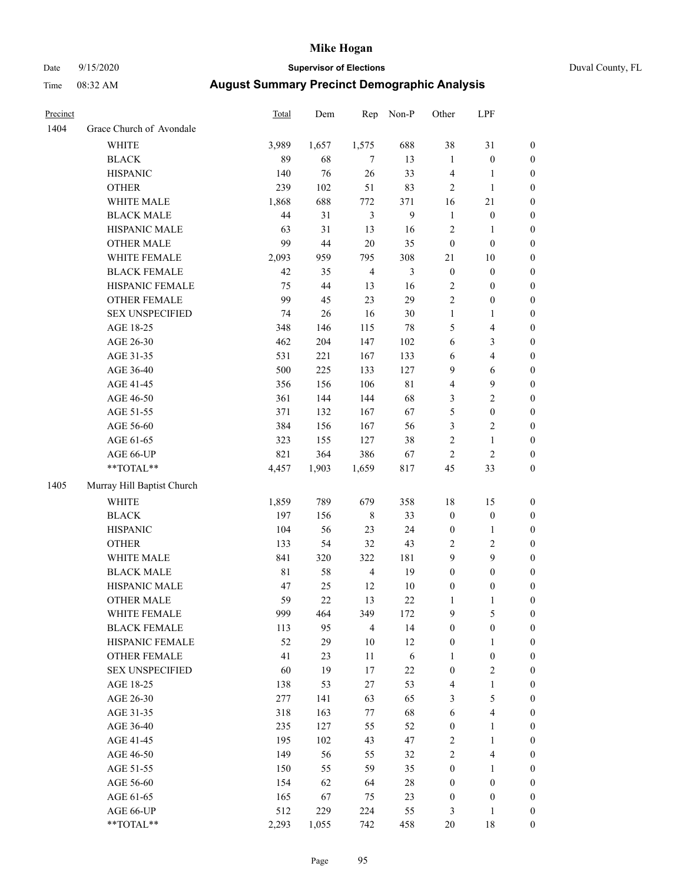### Date 9/15/2020 **Supervisor of Elections** Duval County, FL

| Precinct |                            | Total       | Dem   | Rep            | Non-P          | Other                   | LPF              |                  |
|----------|----------------------------|-------------|-------|----------------|----------------|-------------------------|------------------|------------------|
| 1404     | Grace Church of Avondale   |             |       |                |                |                         |                  |                  |
|          | <b>WHITE</b>               | 3,989       | 1,657 | 1,575          | 688            | 38                      | 31               | 0                |
|          | <b>BLACK</b>               | 89          | 68    | $\tau$         | 13             | $\mathbf{1}$            | $\boldsymbol{0}$ | 0                |
|          | <b>HISPANIC</b>            | 140         | 76    | $26\,$         | 33             | 4                       | $\mathbf{1}$     | $\boldsymbol{0}$ |
|          | <b>OTHER</b>               | 239         | 102   | 51             | 83             | $\mathfrak{2}$          | $\mathbf{1}$     | $\boldsymbol{0}$ |
|          | WHITE MALE                 | 1,868       | 688   | 772            | 371            | 16                      | $21\,$           | $\boldsymbol{0}$ |
|          | <b>BLACK MALE</b>          | 44          | 31    | $\mathfrak{Z}$ | $\mathbf{9}$   | $\mathbf{1}$            | $\boldsymbol{0}$ | $\boldsymbol{0}$ |
|          | HISPANIC MALE              | 63          | 31    | 13             | 16             | $\mathfrak{2}$          | $\mathbf{1}$     | $\boldsymbol{0}$ |
|          | <b>OTHER MALE</b>          | 99          | 44    | $20\,$         | 35             | $\boldsymbol{0}$        | $\boldsymbol{0}$ | $\boldsymbol{0}$ |
|          | WHITE FEMALE               | 2,093       | 959   | 795            | 308            | 21                      | 10               | $\boldsymbol{0}$ |
|          | <b>BLACK FEMALE</b>        | 42          | 35    | $\overline{4}$ | $\mathfrak{Z}$ | $\boldsymbol{0}$        | $\boldsymbol{0}$ | $\boldsymbol{0}$ |
|          | HISPANIC FEMALE            | 75          | 44    | 13             | 16             | $\sqrt{2}$              | $\boldsymbol{0}$ | $\boldsymbol{0}$ |
|          | OTHER FEMALE               | 99          | 45    | 23             | 29             | $\overline{2}$          | $\boldsymbol{0}$ | $\boldsymbol{0}$ |
|          | <b>SEX UNSPECIFIED</b>     | 74          | 26    | 16             | $30\,$         | $\mathbf{1}$            | $\mathbf{1}$     | $\boldsymbol{0}$ |
|          | AGE 18-25                  | 348         | 146   | 115            | 78             | 5                       | $\overline{4}$   | $\boldsymbol{0}$ |
|          | AGE 26-30                  | 462         | 204   | 147            | 102            | 6                       | 3                | $\boldsymbol{0}$ |
|          | AGE 31-35                  | 531         | 221   | 167            | 133            | 6                       | $\overline{4}$   | $\boldsymbol{0}$ |
|          | AGE 36-40                  | 500         | 225   | 133            | 127            | 9                       | 6                | $\boldsymbol{0}$ |
|          | AGE 41-45                  | 356         | 156   | 106            | $8\sqrt{1}$    | $\overline{\mathbf{4}}$ | $\boldsymbol{9}$ | $\boldsymbol{0}$ |
|          | AGE 46-50                  | 361         | 144   | 144            | 68             | 3                       | $\sqrt{2}$       | $\boldsymbol{0}$ |
|          | AGE 51-55                  | 371         | 132   | 167            | 67             | $\mathfrak s$           | $\boldsymbol{0}$ | $\boldsymbol{0}$ |
|          | AGE 56-60                  | 384         | 156   | 167            | 56             | 3                       | $\sqrt{2}$       | 0                |
|          | AGE 61-65                  | 323         | 155   | 127            | 38             | $\mathbf{2}$            | $\mathbf{1}$     | $\boldsymbol{0}$ |
|          | AGE 66-UP                  | 821         | 364   | 386            | 67             | $\mathbf{2}$            | $\mathbf{2}$     | $\boldsymbol{0}$ |
|          | **TOTAL**                  | 4,457       | 1,903 | 1,659          | 817            | 45                      | 33               | $\boldsymbol{0}$ |
| 1405     | Murray Hill Baptist Church |             |       |                |                |                         |                  |                  |
|          | <b>WHITE</b>               | 1,859       | 789   | 679            | 358            | 18                      | 15               | $\boldsymbol{0}$ |
|          | <b>BLACK</b>               | 197         | 156   | $8\,$          | 33             | $\boldsymbol{0}$        | $\boldsymbol{0}$ | $\boldsymbol{0}$ |
|          | <b>HISPANIC</b>            | 104         | 56    | 23             | 24             | $\boldsymbol{0}$        | $\mathbf{1}$     | $\boldsymbol{0}$ |
|          | <b>OTHER</b>               | 133         | 54    | 32             | 43             | $\sqrt{2}$              | $\sqrt{2}$       | $\boldsymbol{0}$ |
|          | WHITE MALE                 | 841         | 320   | 322            | 181            | 9                       | 9                | $\boldsymbol{0}$ |
|          | <b>BLACK MALE</b>          | $8\sqrt{1}$ | 58    | $\overline{4}$ | 19             | $\boldsymbol{0}$        | $\boldsymbol{0}$ | $\boldsymbol{0}$ |
|          | HISPANIC MALE              | 47          | 25    | 12             | $10\,$         | $\boldsymbol{0}$        | $\boldsymbol{0}$ | 0                |
|          | <b>OTHER MALE</b>          | 59          | 22    | 13             | 22             | $\mathbf{1}$            | $\mathbf{1}$     | $\boldsymbol{0}$ |
|          | WHITE FEMALE               | 999         | 464   | 349            | 172            | 9                       | 5                | 0                |
|          | <b>BLACK FEMALE</b>        | 113         | 95    | $\overline{4}$ | 14             | $\boldsymbol{0}$        | $\boldsymbol{0}$ | $\overline{0}$   |
|          | HISPANIC FEMALE            | 52          | 29    | $10\,$         | $12\,$         | $\boldsymbol{0}$        | $\mathbf{1}$     | $\overline{0}$   |
|          | <b>OTHER FEMALE</b>        | 41          | 23    | 11             | 6              | $\mathbf{1}$            | $\boldsymbol{0}$ | 0                |
|          | <b>SEX UNSPECIFIED</b>     | 60          | 19    | $17\,$         | $22\,$         | $\boldsymbol{0}$        | $\mathfrak{2}$   | 0                |
|          | AGE 18-25                  | 138         | 53    | 27             | 53             | 4                       | $\mathbf{1}$     | 0                |
|          | AGE 26-30                  | 277         | 141   | 63             | 65             | 3                       | 5                | 0                |
|          | AGE 31-35                  | 318         | 163   | 77             | 68             | $\sqrt{6}$              | $\overline{4}$   | 0                |
|          | AGE 36-40                  | 235         | 127   | 55             | 52             | $\boldsymbol{0}$        | $\mathbf{1}$     | 0                |
|          | AGE 41-45                  | 195         | 102   | 43             | 47             | $\overline{c}$          | $\mathbf{1}$     | 0                |
|          | AGE 46-50                  | 149         | 56    | 55             | 32             | $\sqrt{2}$              | $\overline{4}$   | 0                |
|          | AGE 51-55                  | 150         | 55    | 59             | 35             | $\boldsymbol{0}$        | $\mathbf{1}$     | 0                |
|          | AGE 56-60                  | 154         | 62    | 64             | 28             | $\boldsymbol{0}$        | $\boldsymbol{0}$ | 0                |
|          | AGE 61-65                  | 165         | 67    | 75             | 23             | $\boldsymbol{0}$        | $\boldsymbol{0}$ | 0                |
|          | AGE 66-UP                  | 512         | 229   | 224            | 55             | 3                       | $\mathbf{1}$     | 0                |
|          | **TOTAL**                  | 2,293       | 1,055 | 742            | 458            | 20                      | 18               | $\boldsymbol{0}$ |
|          |                            |             |       |                |                |                         |                  |                  |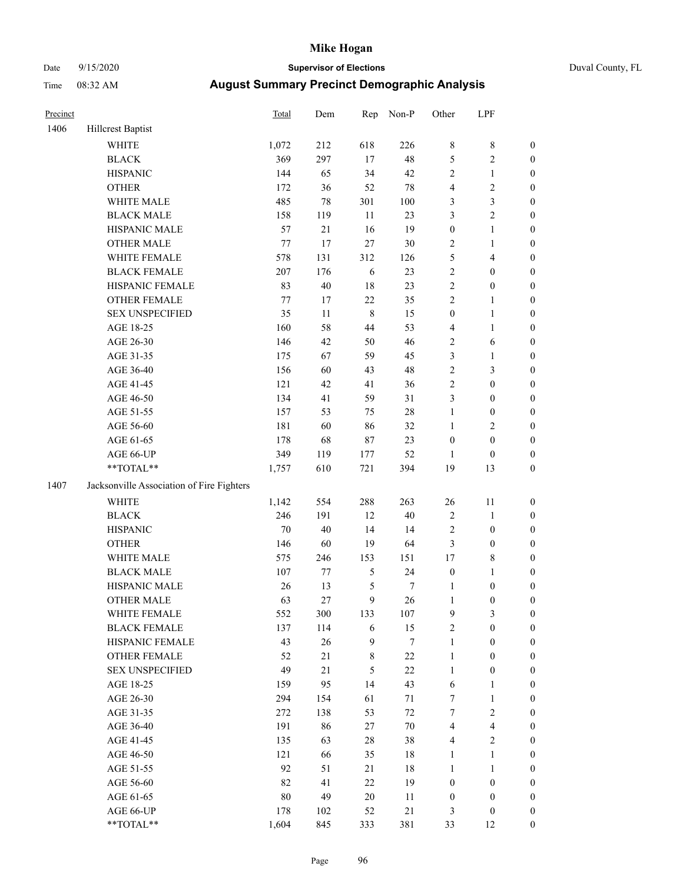### Date 9/15/2020 **Supervisor of Elections** Duval County, FL

| Precinct |                                           | Total | Dem | Rep            | Non-P  | Other            | LPF                     |                  |
|----------|-------------------------------------------|-------|-----|----------------|--------|------------------|-------------------------|------------------|
| 1406     | Hillcrest Baptist                         |       |     |                |        |                  |                         |                  |
|          | <b>WHITE</b>                              | 1,072 | 212 | 618            | 226    | 8                | $\,$ 8 $\,$             | 0                |
|          | <b>BLACK</b>                              | 369   | 297 | 17             | 48     | 5                | $\sqrt{2}$              | $\boldsymbol{0}$ |
|          | <b>HISPANIC</b>                           | 144   | 65  | 34             | 42     | 2                | $\mathbf{1}$            | $\boldsymbol{0}$ |
|          | <b>OTHER</b>                              | 172   | 36  | 52             | $78\,$ | 4                | $\sqrt{2}$              | $\boldsymbol{0}$ |
|          | WHITE MALE                                | 485   | 78  | 301            | 100    | 3                | $\mathfrak{Z}$          | $\boldsymbol{0}$ |
|          | <b>BLACK MALE</b>                         | 158   | 119 | 11             | 23     | 3                | $\sqrt{2}$              | $\boldsymbol{0}$ |
|          | HISPANIC MALE                             | 57    | 21  | 16             | 19     | $\boldsymbol{0}$ | $\mathbf{1}$            | $\boldsymbol{0}$ |
|          | <b>OTHER MALE</b>                         | 77    | 17  | 27             | $30\,$ | 2                | $\mathbf{1}$            | $\boldsymbol{0}$ |
|          | WHITE FEMALE                              | 578   | 131 | 312            | 126    | 5                | $\overline{\mathbf{4}}$ | $\boldsymbol{0}$ |
|          | <b>BLACK FEMALE</b>                       | 207   | 176 | 6              | 23     | $\overline{c}$   | $\boldsymbol{0}$        | 0                |
|          | HISPANIC FEMALE                           | 83    | 40  | 18             | 23     | $\sqrt{2}$       | $\boldsymbol{0}$        | 0                |
|          | OTHER FEMALE                              | 77    | 17  | $22\,$         | 35     | $\overline{2}$   | $\mathbf{1}$            | $\boldsymbol{0}$ |
|          | <b>SEX UNSPECIFIED</b>                    | 35    | 11  | $\,8\,$        | 15     | $\boldsymbol{0}$ | $\mathbf{1}$            | $\boldsymbol{0}$ |
|          | AGE 18-25                                 | 160   | 58  | 44             | 53     | 4                | $\mathbf{1}$            | $\boldsymbol{0}$ |
|          | AGE 26-30                                 | 146   | 42  | 50             | 46     | $\sqrt{2}$       | 6                       | $\boldsymbol{0}$ |
|          | AGE 31-35                                 | 175   | 67  | 59             | 45     | 3                | $\mathbf{1}$            | $\boldsymbol{0}$ |
|          | AGE 36-40                                 | 156   | 60  | 43             | 48     | $\overline{c}$   | 3                       | $\boldsymbol{0}$ |
|          | AGE 41-45                                 | 121   | 42  | 41             | 36     | $\overline{c}$   | $\boldsymbol{0}$        | $\boldsymbol{0}$ |
|          | AGE 46-50                                 | 134   | 41  | 59             | 31     | 3                | $\boldsymbol{0}$        | $\boldsymbol{0}$ |
|          | AGE 51-55                                 | 157   | 53  | 75             | $28\,$ | $\mathbf{1}$     | $\boldsymbol{0}$        | $\boldsymbol{0}$ |
|          | AGE 56-60                                 | 181   | 60  | 86             | 32     | $\mathbf{1}$     | $\sqrt{2}$              | 0                |
|          | AGE 61-65                                 | 178   | 68  | $87\,$         | 23     | $\boldsymbol{0}$ | $\boldsymbol{0}$        | 0                |
|          | AGE 66-UP                                 | 349   | 119 | 177            | 52     | $\mathbf{1}$     | $\boldsymbol{0}$        | $\boldsymbol{0}$ |
|          | **TOTAL**                                 | 1,757 | 610 | 721            | 394    | 19               | 13                      | $\boldsymbol{0}$ |
| 1407     | Jacksonville Association of Fire Fighters |       |     |                |        |                  |                         |                  |
|          | <b>WHITE</b>                              | 1,142 | 554 | 288            | 263    | $26\,$           | 11                      | $\boldsymbol{0}$ |
|          | <b>BLACK</b>                              | 246   | 191 | 12             | $40\,$ | $\sqrt{2}$       | $\mathbf{1}$            | $\boldsymbol{0}$ |
|          | <b>HISPANIC</b>                           | 70    | 40  | 14             | 14     | 2                | $\boldsymbol{0}$        | $\boldsymbol{0}$ |
|          | <b>OTHER</b>                              | 146   | 60  | 19             | 64     | 3                | $\boldsymbol{0}$        | $\boldsymbol{0}$ |
|          | WHITE MALE                                | 575   | 246 | 153            | 151    | 17               | $8\,$                   | $\boldsymbol{0}$ |
|          | <b>BLACK MALE</b>                         | 107   | 77  | $\mathfrak{S}$ | 24     | $\boldsymbol{0}$ | $\mathbf{1}$            | $\boldsymbol{0}$ |
|          | HISPANIC MALE                             | 26    | 13  | 5              | 7      | 1                | $\boldsymbol{0}$        | $\boldsymbol{0}$ |
|          | OTHER MALE                                | 63    | 27  | 9              | 26     | $\mathbf{1}$     | $\boldsymbol{0}$        | $\boldsymbol{0}$ |
|          | WHITE FEMALE                              | 552   | 300 | 133            | 107    | 9                | 3                       | 0                |
|          | <b>BLACK FEMALE</b>                       | 137   | 114 | 6              | 15     | 2                | $\boldsymbol{0}$        | $\overline{0}$   |
|          | HISPANIC FEMALE                           | 43    | 26  | $\mathbf{9}$   | 7      | $\mathbf{1}$     | $\boldsymbol{0}$        | $\overline{0}$   |
|          | OTHER FEMALE                              | 52    | 21  | $\,$ 8 $\,$    | $22\,$ | $\mathbf{1}$     | $\boldsymbol{0}$        | $\overline{0}$   |
|          | <b>SEX UNSPECIFIED</b>                    | 49    | 21  | 5              | $22\,$ | $\mathbf{1}$     | $\boldsymbol{0}$        | 0                |
|          | AGE 18-25                                 | 159   | 95  | 14             | 43     | 6                | $\mathbf{1}$            | 0                |
|          | AGE 26-30                                 | 294   | 154 | 61             | 71     | 7                | $\mathbf{1}$            | 0                |
|          | AGE 31-35                                 | 272   | 138 | 53             | $72\,$ | 7                | $\sqrt{2}$              | 0                |
|          | AGE 36-40                                 | 191   | 86  | 27             | $70\,$ | 4                | $\overline{\mathbf{4}}$ | 0                |
|          | AGE 41-45                                 | 135   | 63  | 28             | 38     | $\overline{4}$   | $\overline{2}$          | 0                |
|          | AGE 46-50                                 | 121   | 66  | 35             | 18     | $\mathbf{1}$     | $\mathbf{1}$            | 0                |
|          | AGE 51-55                                 | 92    | 51  | 21             | 18     | $\mathbf{1}$     | $\mathbf{1}$            | 0                |
|          | AGE 56-60                                 | 82    | 41  | 22             | 19     | $\boldsymbol{0}$ | $\boldsymbol{0}$        | 0                |
|          | AGE 61-65                                 | 80    | 49  | 20             | 11     | $\boldsymbol{0}$ | $\boldsymbol{0}$        | $\overline{0}$   |
|          | AGE 66-UP                                 | 178   | 102 | 52             | $21\,$ | 3                | $\boldsymbol{0}$        | 0                |
|          | **TOTAL**                                 | 1,604 | 845 | 333            | 381    | 33               | 12                      | $\boldsymbol{0}$ |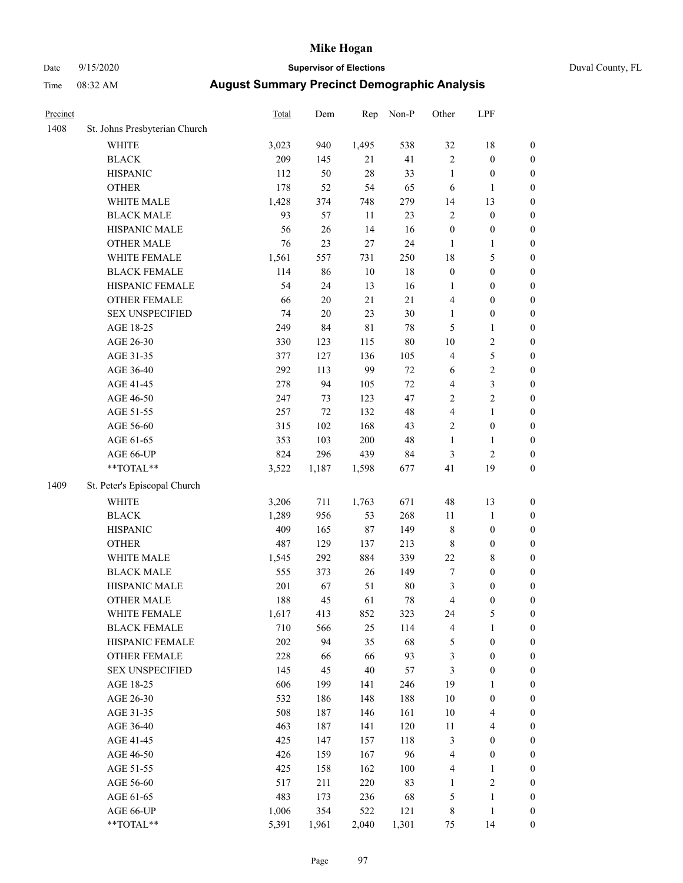# Date 9/15/2020 **Supervisor of Elections** Duval County, FL

| Precinct |                               | <b>Total</b> | Dem        | Rep    | Non-P  | Other                   | LPF                              |                     |
|----------|-------------------------------|--------------|------------|--------|--------|-------------------------|----------------------------------|---------------------|
| 1408     | St. Johns Presbyterian Church |              |            |        |        |                         |                                  |                     |
|          | <b>WHITE</b>                  | 3,023        | 940        | 1,495  | 538    | 32                      | 18                               | 0                   |
|          | <b>BLACK</b>                  | 209          | 145        | 21     | 41     | $\overline{2}$          | $\boldsymbol{0}$                 | 0                   |
|          | <b>HISPANIC</b>               | 112          | 50         | $28\,$ | 33     | $\mathbf{1}$            | $\boldsymbol{0}$                 | $\boldsymbol{0}$    |
|          | <b>OTHER</b>                  | 178          | 52         | 54     | 65     | 6                       | 1                                | $\boldsymbol{0}$    |
|          | WHITE MALE                    | 1,428        | 374        | 748    | 279    | 14                      | 13                               | $\boldsymbol{0}$    |
|          | <b>BLACK MALE</b>             | 93           | 57         | 11     | 23     | $\overline{c}$          | $\boldsymbol{0}$                 | $\boldsymbol{0}$    |
|          | HISPANIC MALE                 | 56           | 26         | 14     | 16     | $\boldsymbol{0}$        | $\boldsymbol{0}$                 | $\boldsymbol{0}$    |
|          | <b>OTHER MALE</b>             | 76           | 23         | 27     | 24     | $\mathbf{1}$            | $\mathbf{1}$                     | $\boldsymbol{0}$    |
|          | WHITE FEMALE                  | 1,561        | 557        | 731    | 250    | 18                      | 5                                | $\boldsymbol{0}$    |
|          | <b>BLACK FEMALE</b>           | 114          | 86         | $10\,$ | 18     | $\boldsymbol{0}$        | $\boldsymbol{0}$                 | $\boldsymbol{0}$    |
|          | HISPANIC FEMALE               | 54           | 24         | 13     | 16     | 1                       | $\boldsymbol{0}$                 | $\boldsymbol{0}$    |
|          | OTHER FEMALE                  | 66           | $20\,$     | 21     | 21     | 4                       | $\boldsymbol{0}$                 | $\boldsymbol{0}$    |
|          | <b>SEX UNSPECIFIED</b>        | 74           | $20\,$     | 23     | 30     | $\mathbf{1}$            | $\boldsymbol{0}$                 | $\boldsymbol{0}$    |
|          | AGE 18-25                     | 249          | 84         | 81     | 78     | 5                       | $\mathbf{1}$                     | $\boldsymbol{0}$    |
|          | AGE 26-30                     | 330          | 123        | 115    | 80     | $10\,$                  | $\sqrt{2}$                       | $\boldsymbol{0}$    |
|          | AGE 31-35                     | 377          | 127        | 136    | 105    | 4                       | $\mathfrak s$                    | $\boldsymbol{0}$    |
|          | AGE 36-40                     | 292          | 113        | 99     | $72\,$ | 6                       | $\sqrt{2}$                       | $\boldsymbol{0}$    |
|          | AGE 41-45                     | 278          | 94         | 105    | $72\,$ | 4                       | $\mathfrak{Z}$                   | $\boldsymbol{0}$    |
|          | AGE 46-50                     | 247          | 73         | 123    | 47     | $\overline{c}$          | $\sqrt{2}$                       | $\boldsymbol{0}$    |
|          | AGE 51-55                     | 257          | $72\,$     | 132    | 48     | $\overline{\mathbf{4}}$ | $\mathbf{1}$                     | $\boldsymbol{0}$    |
|          | AGE 56-60                     | 315          | 102        | 168    | 43     | $\mathbf{2}$            | $\boldsymbol{0}$                 | 0                   |
|          | AGE 61-65                     | 353          | 103        | 200    | 48     | $\mathbf{1}$            | $\mathbf{1}$                     | 0                   |
|          | AGE 66-UP                     | 824          | 296        | 439    | 84     | 3                       | $\mathfrak{2}$                   | $\boldsymbol{0}$    |
|          | $**TOTAL**$                   | 3,522        | 1,187      | 1,598  | 677    | 41                      | 19                               | $\boldsymbol{0}$    |
| 1409     | St. Peter's Episcopal Church  |              |            |        |        |                         |                                  |                     |
|          | <b>WHITE</b>                  | 3,206        | 711        | 1,763  | 671    | 48                      | 13                               | $\boldsymbol{0}$    |
|          | <b>BLACK</b>                  | 1,289        | 956        | 53     | 268    | 11                      | $\mathbf{1}$                     | $\boldsymbol{0}$    |
|          | <b>HISPANIC</b>               | 409          | 165        | 87     | 149    | 8                       | $\boldsymbol{0}$                 | $\boldsymbol{0}$    |
|          | <b>OTHER</b>                  | 487          | 129        | 137    | 213    | 8                       | $\boldsymbol{0}$                 | $\boldsymbol{0}$    |
|          | WHITE MALE                    | 1,545        | 292        | 884    | 339    | $22\,$                  | $\,$ 8 $\,$                      | $\boldsymbol{0}$    |
|          | <b>BLACK MALE</b>             | 555          | 373        | 26     | 149    | 7                       | $\boldsymbol{0}$                 | $\boldsymbol{0}$    |
|          | HISPANIC MALE                 | 201          | 67         | 51     | $80\,$ | 3                       | $\boldsymbol{0}$                 | $\boldsymbol{0}$    |
|          | <b>OTHER MALE</b>             | 188          | 45         | 61     | 78     | 4                       | $\boldsymbol{0}$                 | $\boldsymbol{0}$    |
|          | WHITE FEMALE                  | 1,617        | 413        | 852    | 323    | 24                      | 5                                | 0                   |
|          | <b>BLACK FEMALE</b>           | 710          | 566        | 25     | 114    | 4                       | $\mathbf{1}$                     | $\boldsymbol{0}$    |
|          | HISPANIC FEMALE               | 202          | 94         | 35     | 68     | 5                       | $\boldsymbol{0}$                 | $\overline{0}$      |
|          | OTHER FEMALE                  | 228          | 66         | 66     | 93     | 3                       | $\boldsymbol{0}$                 | $\overline{0}$      |
|          | <b>SEX UNSPECIFIED</b>        | 145          | 45         | 40     | 57     | 3                       | $\boldsymbol{0}$                 | 0                   |
|          | AGE 18-25                     | 606          | 199        | 141    | 246    | 19                      | $\mathbf{1}$                     | $\overline{0}$      |
|          | AGE 26-30                     | 532          | 186        | 148    | 188    | $10\,$                  | $\boldsymbol{0}$                 | 0                   |
|          | AGE 31-35                     | 508          | 187        | 146    | 161    | $10\,$                  | $\overline{4}$                   | 0                   |
|          | AGE 36-40                     | 463          | 187        | 141    | 120    | 11                      | $\overline{4}$                   | 0                   |
|          | AGE 41-45                     | 425          | 147        | 157    | 118    | 3                       | $\boldsymbol{0}$                 | 0                   |
|          |                               | 426          |            | 167    | 96     | 4                       |                                  | 0                   |
|          | AGE 46-50                     | 425          | 159        | 162    | 100    | 4                       | $\boldsymbol{0}$<br>$\mathbf{1}$ |                     |
|          | AGE 51-55<br>AGE 56-60        | 517          | 158<br>211 | 220    | 83     |                         | $\sqrt{2}$                       | 0<br>$\overline{0}$ |
|          | AGE 61-65                     | 483          | 173        | 236    | 68     | 1<br>5                  | $\mathbf{1}$                     | $\overline{0}$      |
|          | AGE 66-UP                     | 1,006        | 354        | 522    | 121    | 8                       | 1                                | 0                   |
|          | **TOTAL**                     | 5,391        | 1,961      | 2,040  | 1,301  | 75                      | 14                               | $\boldsymbol{0}$    |
|          |                               |              |            |        |        |                         |                                  |                     |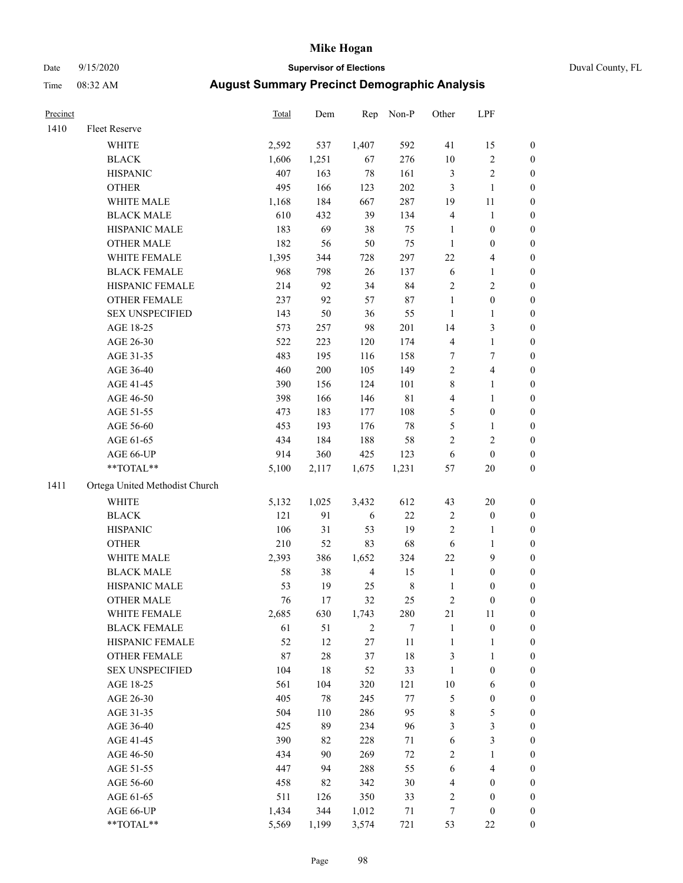### Date 9/15/2020 **Supervisor of Elections** Duval County, FL

| Precinct |                                | Total | Dem   | Rep            | Non-P       | Other                   | LPF                        |                  |
|----------|--------------------------------|-------|-------|----------------|-------------|-------------------------|----------------------------|------------------|
| 1410     | Fleet Reserve                  |       |       |                |             |                         |                            |                  |
|          | <b>WHITE</b>                   | 2,592 | 537   | 1,407          | 592         | 41                      | 15                         | 0                |
|          | <b>BLACK</b>                   | 1,606 | 1,251 | 67             | 276         | $10\,$                  | $\sqrt{2}$                 | 0                |
|          | <b>HISPANIC</b>                | 407   | 163   | 78             | 161         | 3                       | $\sqrt{2}$                 | $\boldsymbol{0}$ |
|          | <b>OTHER</b>                   | 495   | 166   | 123            | 202         | 3                       | $\mathbf{1}$               | $\boldsymbol{0}$ |
|          | WHITE MALE                     | 1,168 | 184   | 667            | 287         | 19                      | 11                         | $\boldsymbol{0}$ |
|          | <b>BLACK MALE</b>              | 610   | 432   | 39             | 134         | 4                       | $\mathbf{1}$               | $\boldsymbol{0}$ |
|          | HISPANIC MALE                  | 183   | 69    | 38             | 75          | $\mathbf{1}$            | $\boldsymbol{0}$           | $\boldsymbol{0}$ |
|          | <b>OTHER MALE</b>              | 182   | 56    | 50             | 75          | $\mathbf{1}$            | $\boldsymbol{0}$           | $\boldsymbol{0}$ |
|          | WHITE FEMALE                   | 1,395 | 344   | 728            | 297         | 22                      | $\overline{4}$             | $\boldsymbol{0}$ |
|          | <b>BLACK FEMALE</b>            | 968   | 798   | 26             | 137         | 6                       | $\mathbf{1}$               | 0                |
|          | HISPANIC FEMALE                | 214   | 92    | 34             | 84          | $\mathbf{2}$            | $\sqrt{2}$                 | 0                |
|          | OTHER FEMALE                   | 237   | 92    | 57             | 87          | $\mathbf{1}$            | $\boldsymbol{0}$           | 0                |
|          | <b>SEX UNSPECIFIED</b>         | 143   | 50    | 36             | 55          | $\mathbf{1}$            | $\mathbf{1}$               | $\boldsymbol{0}$ |
|          | AGE 18-25                      | 573   | 257   | 98             | 201         | 14                      | $\mathfrak{Z}$             | $\boldsymbol{0}$ |
|          | AGE 26-30                      | 522   | 223   | 120            | 174         | 4                       | $\mathbf{1}$               | $\boldsymbol{0}$ |
|          | AGE 31-35                      | 483   | 195   | 116            | 158         | 7                       | $\boldsymbol{7}$           | $\boldsymbol{0}$ |
|          | AGE 36-40                      | 460   | 200   | 105            | 149         | $\overline{c}$          | $\overline{4}$             | $\boldsymbol{0}$ |
|          | AGE 41-45                      | 390   | 156   | 124            | 101         | 8                       | $\mathbf{1}$               | $\boldsymbol{0}$ |
|          | AGE 46-50                      | 398   | 166   | 146            | $8\sqrt{1}$ | 4                       | $\mathbf{1}$               | $\boldsymbol{0}$ |
|          | AGE 51-55                      | 473   | 183   | 177            | 108         | 5                       | $\boldsymbol{0}$           | 0                |
|          | AGE 56-60                      | 453   | 193   | 176            | $78\,$      | 5                       | 1                          | 0                |
|          | AGE 61-65                      | 434   | 184   | 188            | 58          | 2                       | $\mathfrak{2}$             | 0                |
|          |                                | 914   | 360   | 425            | 123         | 6                       |                            | $\boldsymbol{0}$ |
|          | AGE 66-UP<br>$**TOTAL**$       | 5,100 | 2,117 | 1,675          | 1,231       | 57                      | $\boldsymbol{0}$<br>$20\,$ | $\boldsymbol{0}$ |
|          |                                |       |       |                |             |                         |                            |                  |
| 1411     | Ortega United Methodist Church |       |       |                |             |                         |                            |                  |
|          | <b>WHITE</b>                   | 5,132 | 1,025 | 3,432          | 612         | 43                      | 20                         | $\boldsymbol{0}$ |
|          | <b>BLACK</b>                   | 121   | 91    | 6              | $22\,$      | $\overline{\mathbf{c}}$ | $\boldsymbol{0}$           | $\boldsymbol{0}$ |
|          | <b>HISPANIC</b>                | 106   | 31    | 53             | 19          | 2                       | $\mathbf{1}$               | $\boldsymbol{0}$ |
|          | <b>OTHER</b>                   | 210   | 52    | 83             | 68          | 6                       | $\mathbf{1}$               | $\boldsymbol{0}$ |
|          | WHITE MALE                     | 2,393 | 386   | 1,652          | 324         | 22                      | $\mathbf{9}$               | $\boldsymbol{0}$ |
|          | <b>BLACK MALE</b>              | 58    | 38    | $\overline{4}$ | 15          | $\mathbf{1}$            | $\boldsymbol{0}$           | $\boldsymbol{0}$ |
|          | HISPANIC MALE                  | 53    | 19    | 25             | $\,$ 8 $\,$ | $\mathbf{1}$            | $\boldsymbol{0}$           | 0                |
|          | <b>OTHER MALE</b>              | 76    | 17    | 32             | 25          | 2                       | $\boldsymbol{0}$           | $\boldsymbol{0}$ |
|          | WHITE FEMALE                   | 2,685 | 630   | 1,743          | 280         | 21                      | 11                         | 0                |
|          | <b>BLACK FEMALE</b>            | 61    | 51    | 2              | 7           | $\mathbf{1}$            | $\boldsymbol{0}$           | $\boldsymbol{0}$ |
|          | HISPANIC FEMALE                | 52    | 12    | 27             | $11\,$      | $\mathbf{1}$            | $\mathbf{1}$               | $\boldsymbol{0}$ |
|          | <b>OTHER FEMALE</b>            | 87    | 28    | 37             | 18          | 3                       | $\mathbf{1}$               | $\overline{0}$   |
|          | <b>SEX UNSPECIFIED</b>         | 104   | 18    | 52             | 33          | $\mathbf{1}$            | $\boldsymbol{0}$           | 0                |
|          | AGE 18-25                      | 561   | 104   | 320            | 121         | $10\,$                  | 6                          | 0                |
|          | AGE 26-30                      | 405   | 78    | 245            | $77 \,$     | 5                       | $\boldsymbol{0}$           | 0                |
|          | AGE 31-35                      | 504   | 110   | 286            | 95          | 8                       | $\mathfrak s$              | 0                |
|          | AGE 36-40                      | 425   | 89    | 234            | 96          | 3                       | $\mathfrak{Z}$             | 0                |
|          | AGE 41-45                      | 390   | 82    | 228            | 71          | 6                       | $\mathfrak{Z}$             | 0                |
|          | AGE 46-50                      | 434   | 90    | 269            | $72\,$      | 2                       | $\mathbf{1}$               | 0                |
|          | AGE 51-55                      | 447   | 94    | 288            | 55          | 6                       | $\overline{4}$             | 0                |
|          | AGE 56-60                      | 458   | 82    | 342            | 30          | 4                       | $\boldsymbol{0}$           | 0                |
|          | AGE 61-65                      | 511   | 126   | 350            | 33          | 2                       | $\boldsymbol{0}$           | $\boldsymbol{0}$ |
|          | AGE 66-UP                      | 1,434 | 344   | 1,012          | 71          | 7                       | $\boldsymbol{0}$           | 0                |
|          | **TOTAL**                      | 5,569 | 1,199 | 3,574          | 721         | 53                      | $22\,$                     | $\boldsymbol{0}$ |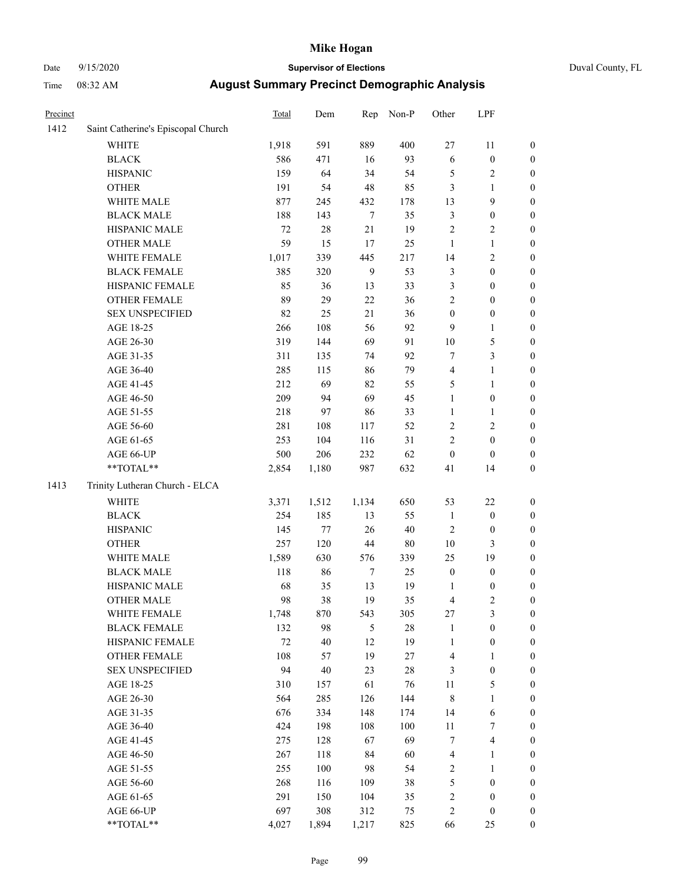# Date 9/15/2020 **Supervisor of Elections** Duval County, FL

| Precinct |                                    | Total  | Dem    | Rep            | Non-P  | Other            | LPF              |                  |
|----------|------------------------------------|--------|--------|----------------|--------|------------------|------------------|------------------|
| 1412     | Saint Catherine's Episcopal Church |        |        |                |        |                  |                  |                  |
|          | <b>WHITE</b>                       | 1,918  | 591    | 889            | 400    | 27               | 11               | 0                |
|          | <b>BLACK</b>                       | 586    | 471    | 16             | 93     | $\sqrt{6}$       | $\boldsymbol{0}$ | 0                |
|          | <b>HISPANIC</b>                    | 159    | 64     | 34             | 54     | 5                | $\sqrt{2}$       | $\boldsymbol{0}$ |
|          | <b>OTHER</b>                       | 191    | 54     | 48             | 85     | 3                | $\mathbf{1}$     | $\boldsymbol{0}$ |
|          | WHITE MALE                         | 877    | 245    | 432            | 178    | 13               | 9                | $\boldsymbol{0}$ |
|          | <b>BLACK MALE</b>                  | 188    | 143    | $\tau$         | 35     | 3                | $\boldsymbol{0}$ | $\boldsymbol{0}$ |
|          | HISPANIC MALE                      | 72     | $28\,$ | 21             | 19     | $\overline{c}$   | $\sqrt{2}$       | $\boldsymbol{0}$ |
|          | <b>OTHER MALE</b>                  | 59     | 15     | 17             | 25     | $\mathbf{1}$     | $\mathbf{1}$     | $\boldsymbol{0}$ |
|          | WHITE FEMALE                       | 1,017  | 339    | 445            | 217    | 14               | $\overline{c}$   | $\boldsymbol{0}$ |
|          | <b>BLACK FEMALE</b>                | 385    | 320    | 9              | 53     | 3                | $\boldsymbol{0}$ | $\boldsymbol{0}$ |
|          | HISPANIC FEMALE                    | 85     | 36     | 13             | 33     | 3                | $\boldsymbol{0}$ | $\boldsymbol{0}$ |
|          | OTHER FEMALE                       | 89     | 29     | 22             | 36     | $\overline{2}$   | $\boldsymbol{0}$ | $\boldsymbol{0}$ |
|          | <b>SEX UNSPECIFIED</b>             | 82     | 25     | 21             | 36     | $\boldsymbol{0}$ | $\boldsymbol{0}$ | $\boldsymbol{0}$ |
|          | AGE 18-25                          | 266    | 108    | 56             | 92     | 9                | $\mathbf{1}$     | $\boldsymbol{0}$ |
|          | AGE 26-30                          | 319    | 144    | 69             | 91     | $10\,$           | 5                | $\boldsymbol{0}$ |
|          | AGE 31-35                          | 311    | 135    | 74             | 92     | $\boldsymbol{7}$ | $\mathfrak{Z}$   | $\boldsymbol{0}$ |
|          | AGE 36-40                          | 285    | 115    | 86             | 79     | 4                | $\mathbf{1}$     | $\boldsymbol{0}$ |
|          | AGE 41-45                          | 212    | 69     | 82             | 55     | 5                | $\mathbf{1}$     | $\boldsymbol{0}$ |
|          | AGE 46-50                          | 209    | 94     | 69             | 45     | $\mathbf{1}$     | $\boldsymbol{0}$ | $\boldsymbol{0}$ |
|          | AGE 51-55                          | 218    | 97     | 86             | 33     | $\mathbf{1}$     | 1                | $\boldsymbol{0}$ |
|          | AGE 56-60                          | 281    | 108    | 117            | 52     | $\sqrt{2}$       | $\sqrt{2}$       | 0                |
|          | AGE 61-65                          | 253    | 104    | 116            | 31     | $\overline{2}$   | $\boldsymbol{0}$ | $\boldsymbol{0}$ |
|          | AGE 66-UP                          | 500    | 206    | 232            | 62     | $\boldsymbol{0}$ | $\boldsymbol{0}$ | $\boldsymbol{0}$ |
|          | **TOTAL**                          | 2,854  | 1,180  | 987            | 632    | 41               | 14               | $\boldsymbol{0}$ |
| 1413     | Trinity Lutheran Church - ELCA     |        |        |                |        |                  |                  |                  |
|          | <b>WHITE</b>                       | 3,371  | 1,512  | 1,134          | 650    | 53               | $22\,$           | $\boldsymbol{0}$ |
|          | <b>BLACK</b>                       | 254    | 185    | 13             | 55     | $\mathbf{1}$     | $\boldsymbol{0}$ | $\boldsymbol{0}$ |
|          | <b>HISPANIC</b>                    | 145    | 77     | 26             | $40\,$ | $\mathbf{2}$     | $\boldsymbol{0}$ | $\boldsymbol{0}$ |
|          | <b>OTHER</b>                       | 257    | 120    | $44\,$         | $80\,$ | $10\,$           | 3                | $\boldsymbol{0}$ |
|          | WHITE MALE                         | 1,589  | 630    | 576            | 339    | 25               | 19               | $\boldsymbol{0}$ |
|          | <b>BLACK MALE</b>                  | 118    | 86     | $\tau$         | 25     | $\boldsymbol{0}$ | $\boldsymbol{0}$ | $\boldsymbol{0}$ |
|          | HISPANIC MALE                      | 68     | 35     | 13             | 19     | 1                | $\boldsymbol{0}$ | 0                |
|          | <b>OTHER MALE</b>                  | 98     | 38     | 19             | 35     | $\overline{4}$   | $\mathfrak{2}$   | $\boldsymbol{0}$ |
|          | WHITE FEMALE                       | 1,748  | 870    | 543            | 305    | 27               | 3                | 0                |
|          | <b>BLACK FEMALE</b>                | 132    | 98     | $\mathfrak{S}$ | 28     | $\mathbf{1}$     | $\boldsymbol{0}$ | $\boldsymbol{0}$ |
|          | HISPANIC FEMALE                    | $72\,$ | $40\,$ | $12\,$         | 19     | $\mathbf{1}$     | $\boldsymbol{0}$ | $\overline{0}$   |
|          | OTHER FEMALE                       | 108    | 57     | 19             | $27\,$ | 4                | $\mathbf{1}$     | $\overline{0}$   |
|          | <b>SEX UNSPECIFIED</b>             | 94     | $40\,$ | 23             | 28     | 3                | $\boldsymbol{0}$ | 0                |
|          | AGE 18-25                          | 310    | 157    | 61             | 76     | 11               | 5                | 0                |
|          | AGE 26-30                          | 564    | 285    | 126            | 144    | 8                | $\mathbf{1}$     | 0                |
|          | AGE 31-35                          | 676    | 334    | 148            | 174    | 14               | 6                | 0                |
|          | AGE 36-40                          | 424    | 198    | 108            | 100    | 11               | 7                | 0                |
|          | AGE 41-45                          | 275    | 128    | 67             | 69     | 7                | $\overline{4}$   | 0                |
|          | AGE 46-50                          | 267    | 118    | 84             | 60     | 4                | 1                | 0                |
|          | AGE 51-55                          | 255    | 100    | 98             | 54     | 2                | $\mathbf{1}$     | 0                |
|          | AGE 56-60                          | 268    | 116    | 109            | $38\,$ | 5                | $\boldsymbol{0}$ | 0                |
|          | AGE 61-65                          | 291    | 150    | 104            | 35     | $\overline{c}$   | $\boldsymbol{0}$ | 0                |
|          | AGE 66-UP                          | 697    | 308    | 312            | 75     | 2                | $\boldsymbol{0}$ | 0                |
|          | **TOTAL**                          | 4,027  | 1,894  | 1,217          | 825    | 66               | 25               | $\boldsymbol{0}$ |